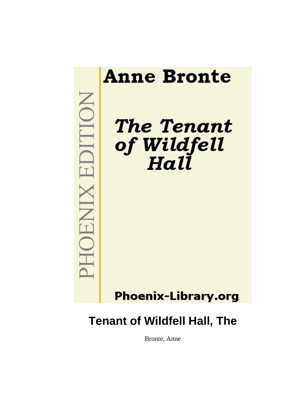

# **Tenant of Wildfell Hall, The**

Bronte, Anne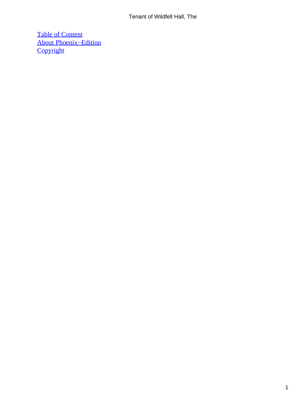## Tenant of Wildfell Hall, The

[Table of Content](#page-378-0) [About Phoenix−Edition](#page-381-0) **[Copyright](#page-382-0)**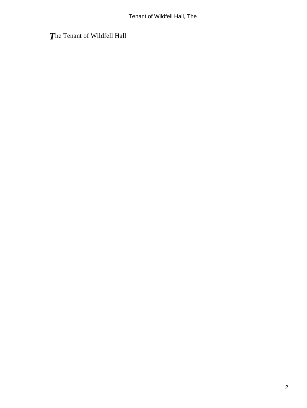*T*he Tenant of Wildfell Hall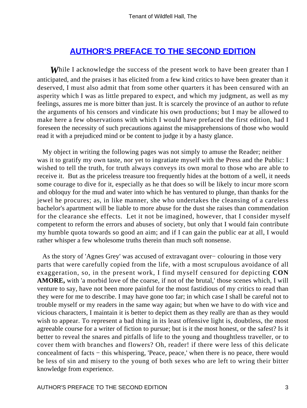## **[AUTHOR'S PREFACE TO THE SECOND EDITION](#page-378-0)**

*While I acknowledge the success of the present work to have been greater than I* anticipated, and the praises it has elicited from a few kind critics to have been greater than it deserved, I must also admit that from some other quarters it has been censured with an asperity which I was as little prepared to expect, and which my judgment, as well as my feelings, assures me is more bitter than just. It is scarcely the province of an author to refute the arguments of his censors and vindicate his own productions; but I may be allowed to make here a few observations with which I would have prefaced the first edition, had I foreseen the necessity of such precautions against the misapprehensions of those who would read it with a prejudiced mind or be content to judge it by a hasty glance.

 My object in writing the following pages was not simply to amuse the Reader; neither was it to gratify my own taste, nor yet to ingratiate myself with the Press and the Public: I wished to tell the truth, for truth always conveys its own moral to those who are able to receive it. But as the priceless treasure too frequently hides at the bottom of a well, it needs some courage to dive for it, especially as he that does so will be likely to incur more scorn and obloquy for the mud and water into which he has ventured to plunge, than thanks for the jewel he procures; as, in like manner, she who undertakes the cleansing of a careless bachelor's apartment will be liable to more abuse for the dust she raises than commendation for the clearance she effects. Let it not be imagined, however, that I consider myself competent to reform the errors and abuses of society, but only that I would fain contribute my humble quota towards so good an aim; and if I can gain the public ear at all, I would rather whisper a few wholesome truths therein than much soft nonsense.

 As the story of 'Agnes Grey' was accused of extravagant over− colouring in those very parts that were carefully copied from the life, with a most scrupulous avoidance of all exaggeration, so, in the present work, I find myself censured for depicting **CON AMORE,** with 'a morbid love of the coarse, if not of the brutal,' those scenes which, I will venture to say, have not been more painful for the most fastidious of my critics to read than they were for me to describe. I may have gone too far; in which case I shall be careful not to trouble myself or my readers in the same way again; but when we have to do with vice and vicious characters, I maintain it is better to depict them as they really are than as they would wish to appear. To represent a bad thing in its least offensive light is, doubtless, the most agreeable course for a writer of fiction to pursue; but is it the most honest, or the safest? Is it better to reveal the snares and pitfalls of life to the young and thoughtless traveller, or to cover them with branches and flowers? Oh, reader! if there were less of this delicate concealment of facts − this whispering, 'Peace, peace,' when there is no peace, there would be less of sin and misery to the young of both sexes who are left to wring their bitter knowledge from experience.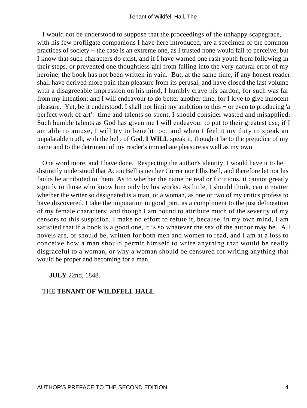I would not be understood to suppose that the proceedings of the unhappy scapegrace, with his few profligate companions I have here introduced, are a specimen of the common practices of society − the case is an extreme one, as I trusted none would fail to perceive; but I know that such characters do exist, and if I have warned one rash youth from following in their steps, or prevented one thoughtless girl from falling into the very natural error of my heroine, the book has not been written in vain. But, at the same time, if any honest reader shall have derived more pain than pleasure from its perusal, and have closed the last volume with a disagreeable impression on his mind, I humbly crave his pardon, for such was far from my intention; and I will endeavour to do better another time, for I love to give innocent pleasure. Yet, be it understood, I shall not limit my ambition to this − or even to producing 'a perfect work of art': time and talents so spent, I should consider wasted and misapplied. Such humble talents as God has given me I will endeavour to put to their greatest use; if I am able to amuse, I will try to benefit too; and when I feel it my duty to speak an unpalatable truth, with the help of God, **I WILL** speak it, though it be to the prejudice of my name and to the detriment of my reader's immediate pleasure as well as my own.

 One word more, and I have done. Respecting the author's identity, I would have it to he distinctly understood that Acton Bell is neither Currer nor Ellis Bell, and therefore let not his faults be attributed to them. As to whether the name be real or fictitious, it cannot greatly signify to those who know him only by his works. As little, I should think, can it matter whether the writer so designated is a man, or a woman, as one or two of my critics profess to have discovered. I take the imputation in good part, as a compliment to the just delineation of my female characters; and though I am bound to attribute much of the severity of my censors to this suspicion, I make no effort to refute it, because, in my own mind, I am satisfied that if a book is a good one, it is so whatever the sex of the author may be. All novels are, or should be, written for both men and women to read, and I am at a loss to conceive how a man should permit himself to write anything that would be really disgraceful to a woman, or why a woman should be censured for writing anything that would be proper and becoming for a man.

**JULY** 22nd, 1848.

### THE **TENANT OF WILDFELL HALL**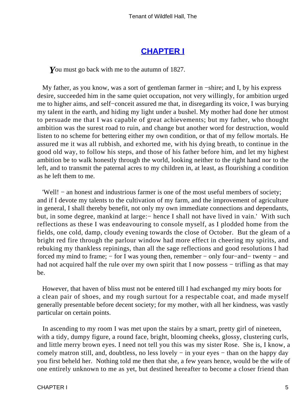## **[CHAPTER I](#page-378-0)**

*Y*ou must go back with me to the autumn of 1827.

 My father, as you know, was a sort of gentleman farmer in −shire; and I, by his express desire, succeeded him in the same quiet occupation, not very willingly, for ambition urged me to higher aims, and self−conceit assured me that, in disregarding its voice, I was burying my talent in the earth, and hiding my light under a bushel. My mother had done her utmost to persuade me that I was capable of great achievements; but my father, who thought ambition was the surest road to ruin, and change but another word for destruction, would listen to no scheme for bettering either my own condition, or that of my fellow mortals. He assured me it was all rubbish, and exhorted me, with his dying breath, to continue in the good old way, to follow his steps, and those of his father before him, and let my highest ambition be to walk honestly through the world, looking neither to the right hand nor to the left, and to transmit the paternal acres to my children in, at least, as flourishing a condition as he left them to me.

 'Well! − an honest and industrious farmer is one of the most useful members of society; and if I devote my talents to the cultivation of my farm, and the improvement of agriculture in general, I shall thereby benefit, not only my own immediate connections and dependants, but, in some degree, mankind at large:− hence I shall not have lived in vain.' With such reflections as these I was endeavouring to console myself, as I plodded home from the fields, one cold, damp, cloudy evening towards the close of October. But the gleam of a bright red fire through the parlour window had more effect in cheering my spirits, and rebuking my thankless repinings, than all the sage reflections and good resolutions I had forced my mind to frame; − for I was young then, remember − only four−and− twenty − and had not acquired half the rule over my own spirit that I now possess – trifling as that may be.

 However, that haven of bliss must not be entered till I had exchanged my miry boots for a clean pair of shoes, and my rough surtout for a respectable coat, and made myself generally presentable before decent society; for my mother, with all her kindness, was vastly particular on certain points.

 In ascending to my room I was met upon the stairs by a smart, pretty girl of nineteen, with a tidy, dumpy figure, a round face, bright, blooming cheeks, glossy, clustering curls, and little merry brown eyes. I need not tell you this was my sister Rose. She is, I know, a comely matron still, and, doubtless, no less lovely – in your eyes – than on the happy day you first beheld her. Nothing told me then that she, a few years hence, would be the wife of one entirely unknown to me as yet, but destined hereafter to become a closer friend than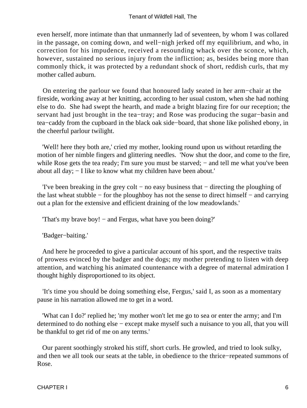even herself, more intimate than that unmannerly lad of seventeen, by whom I was collared in the passage, on coming down, and well−nigh jerked off my equilibrium, and who, in correction for his impudence, received a resounding whack over the sconce, which, however, sustained no serious injury from the infliction; as, besides being more than commonly thick, it was protected by a redundant shock of short, reddish curls, that my mother called auburn.

 On entering the parlour we found that honoured lady seated in her arm−chair at the fireside, working away at her knitting, according to her usual custom, when she had nothing else to do. She had swept the hearth, and made a bright blazing fire for our reception; the servant had just brought in the tea−tray; and Rose was producing the sugar−basin and tea−caddy from the cupboard in the black oak side−board, that shone like polished ebony, in the cheerful parlour twilight.

 'Well! here they both are,' cried my mother, looking round upon us without retarding the motion of her nimble fingers and glittering needles. 'Now shut the door, and come to the fire, while Rose gets the tea ready; I'm sure you must be starved; – and tell me what you've been about all day; − I like to know what my children have been about.'

 'I've been breaking in the grey colt − no easy business that − directing the ploughing of the last wheat stubble − for the ploughboy has not the sense to direct himself − and carrying out a plan for the extensive and efficient draining of the low meadowlands.'

'That's my brave boy! − and Fergus, what have you been doing?'

'Badger−baiting.'

 And here he proceeded to give a particular account of his sport, and the respective traits of prowess evinced by the badger and the dogs; my mother pretending to listen with deep attention, and watching his animated countenance with a degree of maternal admiration I thought highly disproportioned to its object.

 'It's time you should be doing something else, Fergus,' said I, as soon as a momentary pause in his narration allowed me to get in a word.

 'What can I do?' replied he; 'my mother won't let me go to sea or enter the army; and I'm determined to do nothing else − except make myself such a nuisance to you all, that you will be thankful to get rid of me on any terms.'

 Our parent soothingly stroked his stiff, short curls. He growled, and tried to look sulky, and then we all took our seats at the table, in obedience to the thrice−repeated summons of Rose.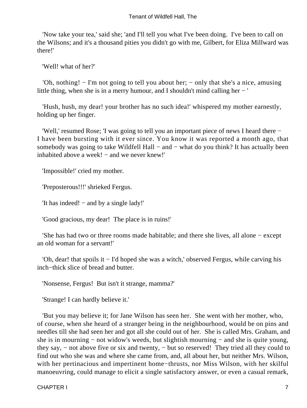#### Tenant of Wildfell Hall, The

 'Now take your tea,' said she; 'and I'll tell you what I've been doing. I've been to call on the Wilsons; and it's a thousand pities you didn't go with me, Gilbert, for Eliza Millward was there!'

'Well! what of her?'

 'Oh, nothing! − I'm not going to tell you about her; − only that she's a nice, amusing little thing, when she is in a merry humour, and I shouldn't mind calling her − '

 'Hush, hush, my dear! your brother has no such idea!' whispered my mother earnestly, holding up her finger.

 'Well,' resumed Rose; 'I was going to tell you an important piece of news I heard there − I have been bursting with it ever since. You know it was reported a month ago, that somebody was going to take Wildfell Hall – and – what do you think? It has actually been inhabited above a week! − and we never knew!'

'Impossible!' cried my mother.

'Preposterous!!!' shrieked Fergus.

'It has indeed! − and by a single lady!'

'Good gracious, my dear! The place is in ruins!'

 'She has had two or three rooms made habitable; and there she lives, all alone − except an old woman for a servant!'

 'Oh, dear! that spoils it − I'd hoped she was a witch,' observed Fergus, while carving his inch−thick slice of bread and butter.

'Nonsense, Fergus! But isn't it strange, mamma?'

'Strange! I can hardly believe it.'

 'But you may believe it; for Jane Wilson has seen her. She went with her mother, who, of course, when she heard of a stranger being in the neighbourhood, would be on pins and needles till she had seen her and got all she could out of her. She is called Mrs. Graham, and she is in mourning − not widow's weeds, but slightish mourning − and she is quite young, they say, − not above five or six and twenty, − but so reserved! They tried all they could to find out who she was and where she came from, and, all about her, but neither Mrs. Wilson, with her pertinacious and impertinent home−thrusts, nor Miss Wilson, with her skilful manoeuvring, could manage to elicit a single satisfactory answer, or even a casual remark,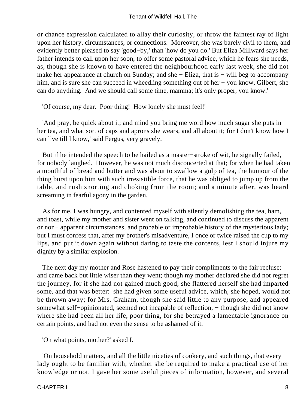or chance expression calculated to allay their curiosity, or throw the faintest ray of light upon her history, circumstances, or connections. Moreover, she was barely civil to them, and evidently better pleased to say 'good−by,' than 'how do you do.' But Eliza Millward says her father intends to call upon her soon, to offer some pastoral advice, which he fears she needs, as, though she is known to have entered the neighbourhood early last week, she did not make her appearance at church on Sunday; and she − Eliza, that is − will beg to accompany him, and is sure she can succeed in wheedling something out of her − you know, Gilbert, she can do anything. And we should call some time, mamma; it's only proper, you know.'

'Of course, my dear. Poor thing! How lonely she must feel!'

 'And pray, be quick about it; and mind you bring me word how much sugar she puts in her tea, and what sort of caps and aprons she wears, and all about it; for I don't know how I can live till I know,' said Fergus, very gravely.

 But if he intended the speech to be hailed as a master−stroke of wit, he signally failed, for nobody laughed. However, he was not much disconcerted at that; for when he had taken a mouthful of bread and butter and was about to swallow a gulp of tea, the humour of the thing burst upon him with such irresistible force, that he was obliged to jump up from the table, and rush snorting and choking from the room; and a minute after, was heard screaming in fearful agony in the garden.

 As for me, I was hungry, and contented myself with silently demolishing the tea, ham, and toast, while my mother and sister went on talking, and continued to discuss the apparent or non− apparent circumstances, and probable or improbable history of the mysterious lady; but I must confess that, after my brother's misadventure, I once or twice raised the cup to my lips, and put it down again without daring to taste the contents, lest I should injure my dignity by a similar explosion.

 The next day my mother and Rose hastened to pay their compliments to the fair recluse; and came back but little wiser than they went; though my mother declared she did not regret the journey, for if she had not gained much good, she flattered herself she had imparted some, and that was better: she had given some useful advice, which, she hoped, would not be thrown away; for Mrs. Graham, though she said little to any purpose, and appeared somewhat self–opinionated, seemed not incapable of reflection, – though she did not know where she had been all her life, poor thing, for she betrayed a lamentable ignorance on certain points, and had not even the sense to be ashamed of it.

'On what points, mother?' asked I.

 'On household matters, and all the little niceties of cookery, and such things, that every lady ought to be familiar with, whether she be required to make a practical use of her knowledge or not. I gave her some useful pieces of information, however, and several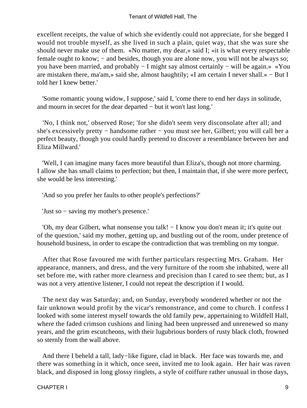excellent receipts, the value of which she evidently could not appreciate, for she begged I would not trouble myself, as she lived in such a plain, quiet way, that she was sure she should never make use of them. «No matter, my dear,» said I; «it is what every respectable female ought to know; – and besides, though you are alone now, you will not be always so; you have been married, and probably − I might say almost certainly − will be again.» «You are mistaken there, ma'am,» said she, almost haughtily; «I am certain I never shall.» − But I told her I knew better.'

 'Some romantic young widow, I suppose,' said I, 'come there to end her days in solitude, and mourn in secret for the dear departed − but it won't last long.'

 'No, I think not,' observed Rose; 'for she didn't seem very disconsolate after all; and she's excessively pretty − handsome rather − you must see her, Gilbert; you will call her a perfect beauty, though you could hardly pretend to discover a resemblance between her and Eliza Millward.'

 'Well, I can imagine many faces more beautiful than Eliza's, though not more charming. I allow she has small claims to perfection; but then, I maintain that, if she were more perfect, she would be less interesting.'

'And so you prefer her faults to other people's perfections?'

'Just so − saving my mother's presence.'

 'Oh, my dear Gilbert, what nonsense you talk! − I know you don't mean it; it's quite out of the question,' said my mother, getting up, and bustling out of the room, under pretence of household business, in order to escape the contradiction that was trembling on my tongue.

 After that Rose favoured me with further particulars respecting Mrs. Graham. Her appearance, manners, and dress, and the very furniture of the room she inhabited, were all set before me, with rather more clearness and precision than I cared to see them; but, as I was not a very attentive listener, I could not repeat the description if I would.

 The next day was Saturday; and, on Sunday, everybody wondered whether or not the fair unknown would profit by the vicar's remonstrance, and come to church. I confess I looked with some interest myself towards the old family pew, appertaining to Wildfell Hall, where the faded crimson cushions and lining had been unpressed and unrenewed so many years, and the grim escutcheons, with their lugubrious borders of rusty black cloth, frowned so sternly from the wall above.

 And there I beheld a tall, lady−like figure, clad in black. Her face was towards me, and there was something in it which, once seen, invited me to look again. Her hair was raven black, and disposed in long glossy ringlets, a style of coiffure rather unusual in those days,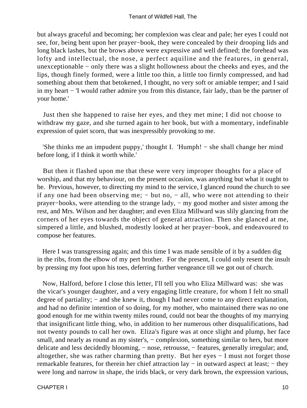but always graceful and becoming; her complexion was clear and pale; her eyes I could not see, for, being bent upon her prayer−book, they were concealed by their drooping lids and long black lashes, but the brows above were expressive and well defined; the forehead was lofty and intellectual, the nose, a perfect aquiline and the features, in general, unexceptionable − only there was a slight hollowness about the cheeks and eyes, and the lips, though finely formed, were a little too thin, a little too firmly compressed, and had something about them that betokened, I thought, no very soft or amiable temper; and I said in my heart − 'I would rather admire you from this distance, fair lady, than be the partner of your home.'

 Just then she happened to raise her eyes, and they met mine; I did not choose to withdraw my gaze, and she turned again to her book, but with a momentary, indefinable expression of quiet scorn, that was inexpressibly provoking to me.

 'She thinks me an impudent puppy,' thought I. 'Humph! − she shall change her mind before long, if I think it worth while.'

 But then it flashed upon me that these were very improper thoughts for a place of worship, and that my behaviour, on the present occasion, was anything but what it ought to be. Previous, however, to directing my mind to the service, I glanced round the church to see if any one had been observing me; − but no, − all, who were not attending to their prayer−books, were attending to the strange lady, − my good mother and sister among the rest, and Mrs. Wilson and her daughter; and even Eliza Millward was slily glancing from the corners of her eyes towards the object of general attraction. Then she glanced at me, simpered a little, and blushed, modestly looked at her prayer−book, and endeavoured to compose her features.

 Here I was transgressing again; and this time I was made sensible of it by a sudden dig in the ribs, from the elbow of my pert brother. For the present, I could only resent the insult by pressing my foot upon his toes, deferring further vengeance till we got out of church.

 Now, Halford, before I close this letter, I'll tell you who Eliza Millward was: she was the vicar's younger daughter, and a very engaging little creature, for whom I felt no small degree of partiality; – and she knew it, though I had never come to any direct explanation, and had no definite intention of so doing, for my mother, who maintained there was no one good enough for me within twenty miles round, could not bear the thoughts of my marrying that insignificant little thing, who, in addition to her numerous other disqualifications, had not twenty pounds to call her own. Eliza's figure was at once slight and plump, her face small, and nearly as round as my sister's, – complexion, something similar to hers, but more delicate and less decidedly blooming, − nose, retrousse, − features, generally irregular; and, altogether, she was rather charming than pretty. But her eyes − I must not forget those remarkable features, for therein her chief attraction lay − in outward aspect at least; − they were long and narrow in shape, the irids black, or very dark brown, the expression various,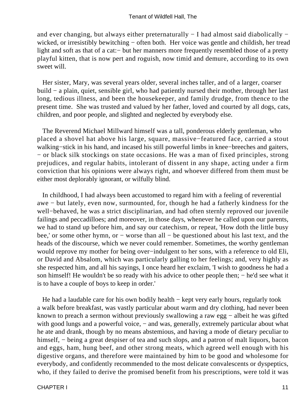and ever changing, but always either preternaturally − I had almost said diabolically − wicked, or irresistibly bewitching – often both. Her voice was gentle and childish, her tread light and soft as that of a cat:− but her manners more frequently resembled those of a pretty playful kitten, that is now pert and roguish, now timid and demure, according to its own sweet will.

 Her sister, Mary, was several years older, several inches taller, and of a larger, coarser build − a plain, quiet, sensible girl, who had patiently nursed their mother, through her last long, tedious illness, and been the housekeeper, and family drudge, from thence to the present time. She was trusted and valued by her father, loved and courted by all dogs, cats, children, and poor people, and slighted and neglected by everybody else.

 The Reverend Michael Millward himself was a tall, ponderous elderly gentleman, who placed a shovel hat above his large, square, massive−featured face, carried a stout walking−stick in his hand, and incased his still powerful limbs in knee−breeches and gaiters, − or black silk stockings on state occasions. He was a man of fixed principles, strong prejudices, and regular habits, intolerant of dissent in any shape, acting under a firm conviction that his opinions were always right, and whoever differed from them must be either most deplorably ignorant, or wilfully blind.

 In childhood, I had always been accustomed to regard him with a feeling of reverential awe − but lately, even now, surmounted, for, though he had a fatherly kindness for the well−behaved, he was a strict disciplinarian, and had often sternly reproved our juvenile failings and peccadilloes; and moreover, in those days, whenever he called upon our parents, we had to stand up before him, and say our catechism, or repeat, 'How doth the little busy bee,' or some other hymn, or − worse than all − be questioned about his last text, and the heads of the discourse, which we never could remember. Sometimes, the worthy gentleman would reprove my mother for being over−indulgent to her sons, with a reference to old Eli, or David and Absalom, which was particularly galling to her feelings; and, very highly as she respected him, and all his sayings, I once heard her exclaim, 'I wish to goodness he had a son himself! He wouldn't be so ready with his advice to other people then; – he'd see what it is to have a couple of boys to keep in order.'

He had a laudable care for his own bodily health – kept very early hours, regularly took a walk before breakfast, was vastly particular about warm and dry clothing, had never been known to preach a sermon without previously swallowing a raw egg − albeit he was gifted with good lungs and a powerful voice, – and was, generally, extremely particular about what he ate and drank, though by no means abstemious, and having a mode of dietary peculiar to himself, − being a great despiser of tea and such slops, and a patron of malt liquors, bacon and eggs, ham, hung beef, and other strong meats, which agreed well enough with his digestive organs, and therefore were maintained by him to be good and wholesome for everybody, and confidently recommended to the most delicate convalescents or dyspeptics, who, if they failed to derive the promised benefit from his prescriptions, were told it was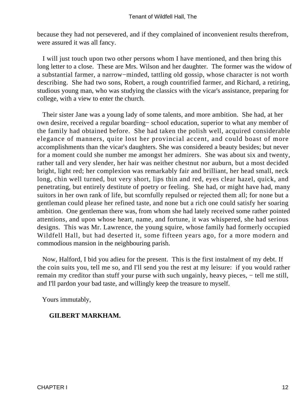because they had not persevered, and if they complained of inconvenient results therefrom, were assured it was all fancy.

 I will just touch upon two other persons whom I have mentioned, and then bring this long letter to a close. These are Mrs. Wilson and her daughter. The former was the widow of a substantial farmer, a narrow−minded, tattling old gossip, whose character is not worth describing. She had two sons, Robert, a rough countrified farmer, and Richard, a retiring, studious young man, who was studying the classics with the vicar's assistance, preparing for college, with a view to enter the church.

 Their sister Jane was a young lady of some talents, and more ambition. She had, at her own desire, received a regular boarding− school education, superior to what any member of the family had obtained before. She had taken the polish well, acquired considerable elegance of manners, quite lost her provincial accent, and could boast of more accomplishments than the vicar's daughters. She was considered a beauty besides; but never for a moment could she number me amongst her admirers. She was about six and twenty, rather tall and very slender, her hair was neither chestnut nor auburn, but a most decided bright, light red; her complexion was remarkably fair and brilliant, her head small, neck long, chin well turned, but very short, lips thin and red, eyes clear hazel, quick, and penetrating, but entirely destitute of poetry or feeling. She had, or might have had, many suitors in her own rank of life, but scornfully repulsed or rejected them all; for none but a gentleman could please her refined taste, and none but a rich one could satisfy her soaring ambition. One gentleman there was, from whom she had lately received some rather pointed attentions, and upon whose heart, name, and fortune, it was whispered, she had serious designs. This was Mr. Lawrence, the young squire, whose family had formerly occupied Wildfell Hall, but had deserted it, some fifteen years ago, for a more modern and commodious mansion in the neighbouring parish.

 Now, Halford, I bid you adieu for the present. This is the first instalment of my debt. If the coin suits you, tell me so, and I'll send you the rest at my leisure: if you would rather remain my creditor than stuff your purse with such ungainly, heavy pieces, − tell me still, and I'll pardon your bad taste, and willingly keep the treasure to myself.

Yours immutably,

### **GILBERT MARKHAM.**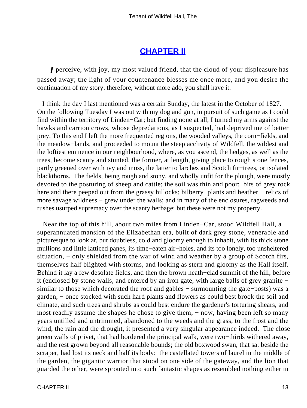## **[CHAPTER II](#page-378-0)**

*I* perceive, with joy, my most valued friend, that the cloud of your displeasure has passed away; the light of your countenance blesses me once more, and you desire the continuation of my story: therefore, without more ado, you shall have it.

 I think the day I last mentioned was a certain Sunday, the latest in the October of 1827. On the following Tuesday I was out with my dog and gun, in pursuit of such game as I could find within the territory of Linden−Car; but finding none at all, I turned my arms against the hawks and carrion crows, whose depredations, as I suspected, had deprived me of better prey. To this end I left the more frequented regions, the wooded valleys, the corn−fields, and the meadow−lands, and proceeded to mount the steep acclivity of Wildfell, the wildest and the loftiest eminence in our neighbourhood, where, as you ascend, the hedges, as well as the trees, become scanty and stunted, the former, at length, giving place to rough stone fences, partly greened over with ivy and moss, the latter to larches and Scotch fir−trees, or isolated blackthorns. The fields, being rough and stony, and wholly unfit for the plough, were mostly devoted to the posturing of sheep and cattle; the soil was thin and poor: bits of grey rock here and there peeped out from the grassy hillocks; bilberry–plants and heather – relics of more savage wildness – grew under the walls; and in many of the enclosures, ragweeds and rushes usurped supremacy over the scanty herbage; but these were not my property.

 Near the top of this hill, about two miles from Linden−Car, stood Wildfell Hall, a superannuated mansion of the Elizabethan era, built of dark grey stone, venerable and picturesque to look at, but doubtless, cold and gloomy enough to inhabit, with its thick stone mullions and little latticed panes, its time−eaten air−holes, and its too lonely, too unsheltered situation, – only shielded from the war of wind and weather by a group of Scotch firs, themselves half blighted with storms, and looking as stern and gloomy as the Hall itself. Behind it lay a few desolate fields, and then the brown heath−clad summit of the hill; before it (enclosed by stone walls, and entered by an iron gate, with large balls of grey granite − similar to those which decorated the roof and gables − surmounting the gate−posts) was a garden, − once stocked with such hard plants and flowers as could best brook the soil and climate, and such trees and shrubs as could best endure the gardener's torturing shears, and most readily assume the shapes he chose to give them, – now, having been left so many years untilled and untrimmed, abandoned to the weeds and the grass, to the frost and the wind, the rain and the drought, it presented a very singular appearance indeed. The close green walls of privet, that had bordered the principal walk, were two−thirds withered away, and the rest grown beyond all reasonable bounds; the old boxwood swan, that sat beside the scraper, had lost its neck and half its body: the castellated towers of laurel in the middle of the garden, the gigantic warrior that stood on one side of the gateway, and the lion that guarded the other, were sprouted into such fantastic shapes as resembled nothing either in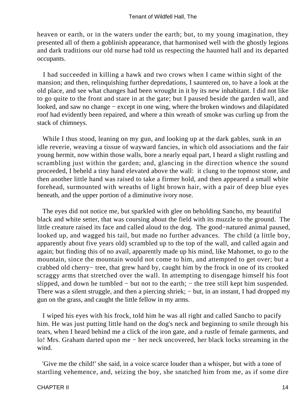heaven or earth, or in the waters under the earth; but, to my young imagination, they presented all of them a goblinish appearance, that harmonised well with the ghostly legions and dark traditions our old nurse had told us respecting the haunted hall and its departed occupants.

 I had succeeded in killing a hawk and two crows when I came within sight of the mansion; and then, relinquishing further depredations, I sauntered on, to have a look at the old place, and see what changes had been wrought in it by its new inhabitant. I did not like to go quite to the front and stare in at the gate; but I paused beside the garden wall, and looked, and saw no change − except in one wing, where the broken windows and dilapidated roof had evidently been repaired, and where a thin wreath of smoke was curling up from the stack of chimneys.

While I thus stood, leaning on my gun, and looking up at the dark gables, sunk in an idle reverie, weaving a tissue of wayward fancies, in which old associations and the fair young hermit, now within those walls, bore a nearly equal part, I heard a slight rustling and scrambling just within the garden; and, glancing in the direction whence the sound proceeded, I beheld a tiny hand elevated above the wall: it clung to the topmost stone, and then another little hand was raised to take a firmer hold, and then appeared a small white forehead, surmounted with wreaths of light brown hair, with a pair of deep blue eyes beneath, and the upper portion of a diminutive ivory nose.

 The eyes did not notice me, but sparkled with glee on beholding Sancho, my beautiful black and white setter, that was coursing about the field with its muzzle to the ground. The little creature raised its face and called aloud to the dog. The good−natured animal paused, looked up, and wagged his tail, but made no further advances. The child (a little boy, apparently about five years old) scrambled up to the top of the wall, and called again and again; but finding this of no avail, apparently made up his mind, like Mahomet, to go to the mountain, since the mountain would not come to him, and attempted to get over; but a crabbed old cherry− tree, that grew hard by, caught him by the frock in one of its crooked scraggy arms that stretched over the wall. In attempting to disengage himself his foot slipped, and down he tumbled – but not to the earth; – the tree still kept him suspended. There was a silent struggle, and then a piercing shriek; – but, in an instant, I had dropped my gun on the grass, and caught the little fellow in my arms.

 I wiped his eyes with his frock, told him he was all right and called Sancho to pacify him. He was just putting little hand on the dog's neck and beginning to smile through his tears, when I heard behind me a click of the iron gate, and a rustle of female garments, and lo! Mrs. Graham darted upon me − her neck uncovered, her black locks streaming in the wind.

 'Give me the child!' she said, in a voice scarce louder than a whisper, but with a tone of startling vehemence, and, seizing the boy, she snatched him from me, as if some dire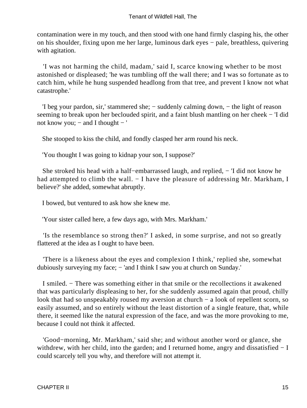contamination were in my touch, and then stood with one hand firmly clasping his, the other on his shoulder, fixing upon me her large, luminous dark eyes − pale, breathless, quivering with agitation.

 'I was not harming the child, madam,' said I, scarce knowing whether to be most astonished or displeased; 'he was tumbling off the wall there; and I was so fortunate as to catch him, while he hung suspended headlong from that tree, and prevent I know not what catastrophe.'

 'I beg your pardon, sir,' stammered she; − suddenly calming down, − the light of reason seeming to break upon her beclouded spirit, and a faint blush mantling on her cheek – 'I did not know you;  $-$  and I thought  $-$  '

She stooped to kiss the child, and fondly clasped her arm round his neck.

'You thought I was going to kidnap your son, I suppose?'

 She stroked his head with a half−embarrassed laugh, and replied, − 'I did not know he had attempted to climb the wall. – I have the pleasure of addressing Mr. Markham, I believe?' she added, somewhat abruptly.

I bowed, but ventured to ask how she knew me.

'Your sister called here, a few days ago, with Mrs. Markham.'

 'Is the resemblance so strong then?' I asked, in some surprise, and not so greatly flattered at the idea as I ought to have been.

 'There is a likeness about the eyes and complexion I think,' replied she, somewhat dubiously surveying my face; – 'and I think I saw you at church on Sunday.'

 I smiled. − There was something either in that smile or the recollections it awakened that was particularly displeasing to her, for she suddenly assumed again that proud, chilly look that had so unspeakably roused my aversion at church − a look of repellent scorn, so easily assumed, and so entirely without the least distortion of a single feature, that, while there, it seemed like the natural expression of the face, and was the more provoking to me, because I could not think it affected.

 'Good−morning, Mr. Markham,' said she; and without another word or glance, she withdrew, with her child, into the garden; and I returned home, angry and dissatisfied − I could scarcely tell you why, and therefore will not attempt it.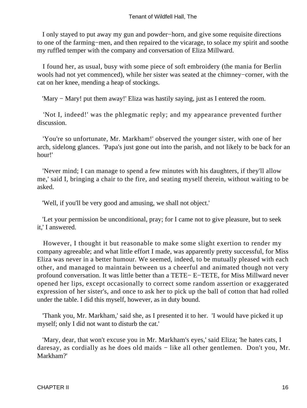I only stayed to put away my gun and powder−horn, and give some requisite directions to one of the farming−men, and then repaired to the vicarage, to solace my spirit and soothe my ruffled temper with the company and conversation of Eliza Millward.

 I found her, as usual, busy with some piece of soft embroidery (the mania for Berlin wools had not yet commenced), while her sister was seated at the chimney−corner, with the cat on her knee, mending a heap of stockings.

'Mary − Mary! put them away!' Eliza was hastily saying, just as I entered the room.

 'Not I, indeed!' was the phlegmatic reply; and my appearance prevented further discussion.

 'You're so unfortunate, Mr. Markham!' observed the younger sister, with one of her arch, sidelong glances. 'Papa's just gone out into the parish, and not likely to be back for an hour!'

 'Never mind; I can manage to spend a few minutes with his daughters, if they'll allow me,' said I, bringing a chair to the fire, and seating myself therein, without waiting to be asked.

'Well, if you'll be very good and amusing, we shall not object.'

 'Let your permission be unconditional, pray; for I came not to give pleasure, but to seek it,' I answered.

 However, I thought it but reasonable to make some slight exertion to render my company agreeable; and what little effort I made, was apparently pretty successful, for Miss Eliza was never in a better humour. We seemed, indeed, to be mutually pleased with each other, and managed to maintain between us a cheerful and animated though not very profound conversation. It was little better than a TETE− E−TETE, for Miss Millward never opened her lips, except occasionally to correct some random assertion or exaggerated expression of her sister's, and once to ask her to pick up the ball of cotton that had rolled under the table. I did this myself, however, as in duty bound.

 'Thank you, Mr. Markham,' said she, as I presented it to her. 'I would have picked it up myself; only I did not want to disturb the cat.'

 'Mary, dear, that won't excuse you in Mr. Markham's eyes,' said Eliza; 'he hates cats, I daresay, as cordially as he does old maids − like all other gentlemen. Don't you, Mr. Markham?'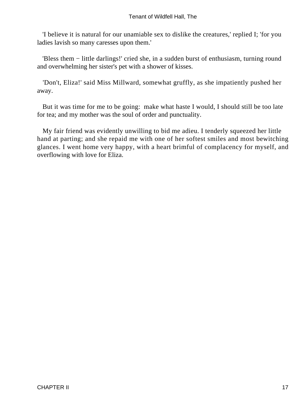'I believe it is natural for our unamiable sex to dislike the creatures,' replied I; 'for you ladies lavish so many caresses upon them.'

 'Bless them − little darlings!' cried she, in a sudden burst of enthusiasm, turning round and overwhelming her sister's pet with a shower of kisses.

 'Don't, Eliza!' said Miss Millward, somewhat gruffly, as she impatiently pushed her away.

 But it was time for me to be going: make what haste I would, I should still be too late for tea; and my mother was the soul of order and punctuality.

 My fair friend was evidently unwilling to bid me adieu. I tenderly squeezed her little hand at parting; and she repaid me with one of her softest smiles and most bewitching glances. I went home very happy, with a heart brimful of complacency for myself, and overflowing with love for Eliza.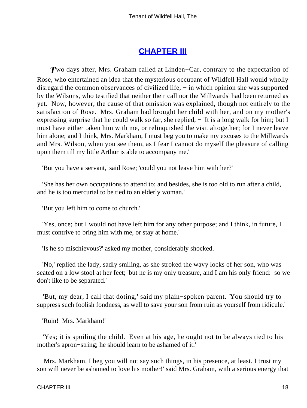# **[CHAPTER III](#page-378-0)**

*T*wo days after, Mrs. Graham called at Linden−Car, contrary to the expectation of Rose, who entertained an idea that the mysterious occupant of Wildfell Hall would wholly disregard the common observances of civilized life, − in which opinion she was supported by the Wilsons, who testified that neither their call nor the Millwards' had been returned as yet. Now, however, the cause of that omission was explained, though not entirely to the satisfaction of Rose. Mrs. Graham had brought her child with her, and on my mother's expressing surprise that he could walk so far, she replied, – 'It is a long walk for him; but I must have either taken him with me, or relinquished the visit altogether; for I never leave him alone; and I think, Mrs. Markham, I must beg you to make my excuses to the Millwards and Mrs. Wilson, when you see them, as I fear I cannot do myself the pleasure of calling upon them till my little Arthur is able to accompany me.'

'But you have a servant,' said Rose; 'could you not leave him with her?'

 'She has her own occupations to attend to; and besides, she is too old to run after a child, and he is too mercurial to be tied to an elderly woman.'

'But you left him to come to church.'

 'Yes, once; but I would not have left him for any other purpose; and I think, in future, I must contrive to bring him with me, or stay at home.'

'Is he so mischievous?' asked my mother, considerably shocked.

 'No,' replied the lady, sadly smiling, as she stroked the wavy locks of her son, who was seated on a low stool at her feet; 'but he is my only treasure, and I am his only friend: so we don't like to be separated.'

 'But, my dear, I call that doting,' said my plain−spoken parent. 'You should try to suppress such foolish fondness, as well to save your son from ruin as yourself from ridicule.'

'Ruin! Mrs. Markham!'

 'Yes; it is spoiling the child. Even at his age, he ought not to be always tied to his mother's apron−string; he should learn to be ashamed of it.'

 'Mrs. Markham, I beg you will not say such things, in his presence, at least. I trust my son will never be ashamed to love his mother!' said Mrs. Graham, with a serious energy that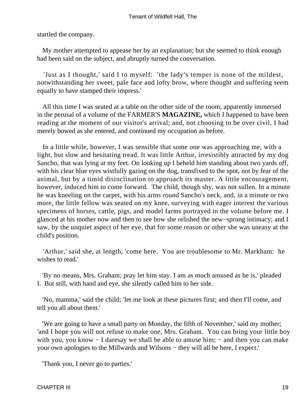startled the company.

 My mother attempted to appease her by an explanation; but she seemed to think enough had been said on the subject, and abruptly turned the conversation.

 'Just as I thought,' said I to myself: 'the lady's temper is none of the mildest, notwithstanding her sweet, pale face and lofty brow, where thought and suffering seem equally to have stamped their impress.'

 All this time I was seated at a table on the other side of the room, apparently immersed in the perusal of a volume of the FARMER'S **MAGAZINE,** which I happened to have been reading at the moment of our visitor's arrival; and, not choosing to be over civil, I had merely bowed as she entered, and continued my occupation as before.

 In a little while, however, I was sensible that some one was approaching me, with a light, but slow and hesitating tread. It was little Arthur, irresistibly attracted by my dog Sancho, that was lying at my feet. On looking up I beheld him standing about two yards off, with his clear blue eyes wistfully gazing on the dog, transfixed to the spot, not by fear of the animal, but by a timid disinclination to approach its master. A little encouragement, however, induced him to come forward. The child, though shy, was not sullen. In a minute he was kneeling on the carpet, with his arms round Sancho's neck, and, in a minute or two more, the little fellow was seated on my knee, surveying with eager interest the various specimens of horses, cattle, pigs, and model farms portrayed in the volume before me. I glanced at his mother now and then to see how she relished the new−sprung intimacy; and I saw, by the unquiet aspect of her eye, that for some reason or other she was uneasy at the child's position.

 'Arthur,' said she, at length, 'come here. You are troublesome to Mr. Markham: he wishes to read.'

 'By no means, Mrs. Graham; pray let him stay. I am as much amused as he is,' pleaded I. But still, with hand and eye, she silently called him to her side.

 'No, mamma,' said the child; 'let me look at these pictures first; and then I'll come, and tell you all about them.'

 'We are going to have a small party on Monday, the fifth of November,' said my mother; 'and I hope you will not refuse to make one, Mrs. Graham. You can bring your little boy with you, you know − I daresay we shall be able to amuse him; – and then you can make your own apologies to the Millwards and Wilsons − they will all be here, I expect.'

'Thank you, I never go to parties.'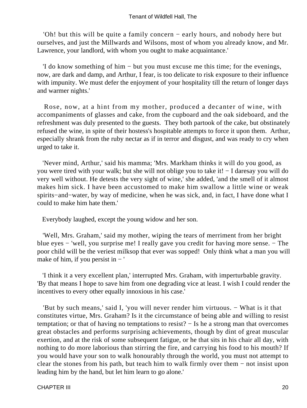'Oh! but this will be quite a family concern − early hours, and nobody here but ourselves, and just the Millwards and Wilsons, most of whom you already know, and Mr. Lawrence, your landlord, with whom you ought to make acquaintance.'

 'I do know something of him − but you must excuse me this time; for the evenings, now, are dark and damp, and Arthur, I fear, is too delicate to risk exposure to their influence with impunity. We must defer the enjoyment of your hospitality till the return of longer days and warmer nights.'

 Rose, now, at a hint from my mother, produced a decanter of wine, with accompaniments of glasses and cake, from the cupboard and the oak sideboard, and the refreshment was duly presented to the guests. They both partook of the cake, but obstinately refused the wine, in spite of their hostess's hospitable attempts to force it upon them. Arthur, especially shrank from the ruby nectar as if in terror and disgust, and was ready to cry when urged to take it.

 'Never mind, Arthur,' said his mamma; 'Mrs. Markham thinks it will do you good, as you were tired with your walk; but she will not oblige you to take it! − I daresay you will do very well without. He detests the very sight of wine,' she added, 'and the smell of it almost makes him sick. I have been accustomed to make him swallow a little wine or weak spirits−and−water, by way of medicine, when he was sick, and, in fact, I have done what I could to make him hate them.'

Everybody laughed, except the young widow and her son.

 'Well, Mrs. Graham,' said my mother, wiping the tears of merriment from her bright blue eyes − 'well, you surprise me! I really gave you credit for having more sense. − The poor child will be the veriest milksop that ever was sopped! Only think what a man you will make of him, if you persist in − '

 'I think it a very excellent plan,' interrupted Mrs. Graham, with imperturbable gravity. 'By that means I hope to save him from one degrading vice at least. I wish I could render the incentives to every other equally innoxious in his case.'

 'But by such means,' said I, 'you will never render him virtuous. − What is it that constitutes virtue, Mrs. Graham? Is it the circumstance of being able and willing to resist temptation; or that of having no temptations to resist? − Is he a strong man that overcomes great obstacles and performs surprising achievements, though by dint of great muscular exertion, and at the risk of some subsequent fatigue, or he that sits in his chair all day, with nothing to do more laborious than stirring the fire, and carrying his food to his mouth? If you would have your son to walk honourably through the world, you must not attempt to clear the stones from his path, but teach him to walk firmly over them − not insist upon leading him by the hand, but let him learn to go alone.'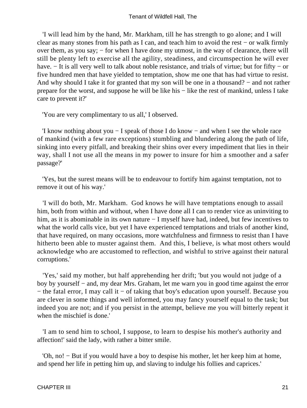'I will lead him by the hand, Mr. Markham, till he has strength to go alone; and I will clear as many stones from his path as I can, and teach him to avoid the rest − or walk firmly over them, as you say; – for when I have done my utmost, in the way of clearance, there will still be plenty left to exercise all the agility, steadiness, and circumspection he will ever have. − It is all very well to talk about noble resistance, and trials of virtue; but for fifty − or five hundred men that have yielded to temptation, show me one that has had virtue to resist. And why should I take it for granted that my son will be one in a thousand? – and not rather prepare for the worst, and suppose he will be like his − like the rest of mankind, unless I take care to prevent it?'

'You are very complimentary to us all,' I observed.

 'I know nothing about you − I speak of those I do know − and when I see the whole race of mankind (with a few rare exceptions) stumbling and blundering along the path of life, sinking into every pitfall, and breaking their shins over every impediment that lies in their way, shall I not use all the means in my power to insure for him a smoother and a safer passage?'

 'Yes, but the surest means will be to endeavour to fortify him against temptation, not to remove it out of his way.'

 'I will do both, Mr. Markham. God knows he will have temptations enough to assail him, both from within and without, when I have done all I can to render vice as uninviting to him, as it is abominable in its own nature − I myself have had, indeed, but few incentives to what the world calls vice, but yet I have experienced temptations and trials of another kind, that have required, on many occasions, more watchfulness and firmness to resist than I have hitherto been able to muster against them. And this, I believe, is what most others would acknowledge who are accustomed to reflection, and wishful to strive against their natural corruptions.'

 'Yes,' said my mother, but half apprehending her drift; 'but you would not judge of a boy by yourself − and, my dear Mrs. Graham, let me warn you in good time against the error − the fatal error, I may call it − of taking that boy's education upon yourself. Because you are clever in some things and well informed, you may fancy yourself equal to the task; but indeed you are not; and if you persist in the attempt, believe me you will bitterly repent it when the mischief is done.'

 'I am to send him to school, I suppose, to learn to despise his mother's authority and affection!' said the lady, with rather a bitter smile.

 'Oh, no! − But if you would have a boy to despise his mother, let her keep him at home, and spend her life in petting him up, and slaving to indulge his follies and caprices.'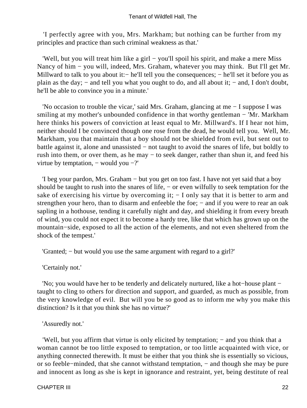#### Tenant of Wildfell Hall, The

 'I perfectly agree with you, Mrs. Markham; but nothing can be further from my principles and practice than such criminal weakness as that.'

 'Well, but you will treat him like a girl − you'll spoil his spirit, and make a mere Miss Nancy of him − you will, indeed, Mrs. Graham, whatever you may think. But I'll get Mr. Millward to talk to you about it:− he'll tell you the consequences; − he'll set it before you as plain as the day; – and tell you what you ought to do, and all about it; – and, I don't doubt, he'll be able to convince you in a minute.'

 'No occasion to trouble the vicar,' said Mrs. Graham, glancing at me − I suppose I was smiling at my mother's unbounded confidence in that worthy gentleman − 'Mr. Markham' here thinks his powers of conviction at least equal to Mr. Millward's. If I hear not him, neither should I be convinced though one rose from the dead, he would tell you. Well, Mr. Markham, you that maintain that a boy should not be shielded from evil, but sent out to battle against it, alone and unassisted − not taught to avoid the snares of life, but boldly to rush into them, or over them, as he may − to seek danger, rather than shun it, and feed his virtue by temptation, − would you −?'

 'I beg your pardon, Mrs. Graham − but you get on too fast. I have not yet said that a boy should be taught to rush into the snares of life, – or even wilfully to seek temptation for the sake of exercising his virtue by overcoming it;  $- I$  only say that it is better to arm and strengthen your hero, than to disarm and enfeeble the foe; – and if you were to rear an oak sapling in a hothouse, tending it carefully night and day, and shielding it from every breath of wind, you could not expect it to become a hardy tree, like that which has grown up on the mountain−side, exposed to all the action of the elements, and not even sheltered from the shock of the tempest.'

'Granted; − but would you use the same argument with regard to a girl?'

'Certainly not.'

 'No; you would have her to be tenderly and delicately nurtured, like a hot−house plant − taught to cling to others for direction and support, and guarded, as much as possible, from the very knowledge of evil. But will you be so good as to inform me why you make this distinction? Is it that you think she has no virtue?'

'Assuredly not.'

 'Well, but you affirm that virtue is only elicited by temptation; − and you think that a woman cannot be too little exposed to temptation, or too little acquainted with vice, or anything connected therewith. It must be either that you think she is essentially so vicious, or so feeble−minded, that she cannot withstand temptation, − and though she may be pure and innocent as long as she is kept in ignorance and restraint, yet, being destitute of real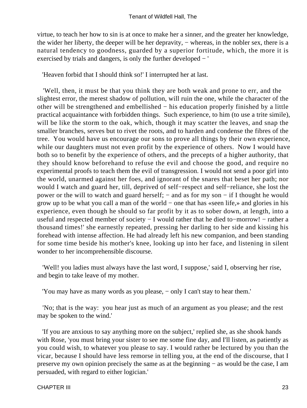virtue, to teach her how to sin is at once to make her a sinner, and the greater her knowledge, the wider her liberty, the deeper will be her depravity, − whereas, in the nobler sex, there is a natural tendency to goodness, guarded by a superior fortitude, which, the more it is exercised by trials and dangers, is only the further developed − '

'Heaven forbid that I should think so!' I interrupted her at last.

 'Well, then, it must be that you think they are both weak and prone to err, and the slightest error, the merest shadow of pollution, will ruin the one, while the character of the other will be strengthened and embellished − his education properly finished by a little practical acquaintance with forbidden things. Such experience, to him (to use a trite simile), will be like the storm to the oak, which, though it may scatter the leaves, and snap the smaller branches, serves but to rivet the roots, and to harden and condense the fibres of the tree. You would have us encourage our sons to prove all things by their own experience, while our daughters must not even profit by the experience of others. Now I would have both so to benefit by the experience of others, and the precepts of a higher authority, that they should know beforehand to refuse the evil and choose the good, and require no experimental proofs to teach them the evil of transgression. I would not send a poor girl into the world, unarmed against her foes, and ignorant of the snares that beset her path; nor would I watch and guard her, till, deprived of self−respect and self−reliance, she lost the power or the will to watch and guard herself; – and as for my son – if I thought he would grow up to be what you call a man of the world − one that has «seen life,» and glories in his experience, even though he should so far profit by it as to sober down, at length, into a useful and respected member of society − I would rather that he died to–morrow! – rather a thousand times!' she earnestly repeated, pressing her darling to her side and kissing his forehead with intense affection. He had already left his new companion, and been standing for some time beside his mother's knee, looking up into her face, and listening in silent wonder to her incomprehensible discourse.

 'Well! you ladies must always have the last word, I suppose,' said I, observing her rise, and begin to take leave of my mother.

'You may have as many words as you please, – only I can't stay to hear them.'

 'No; that is the way: you hear just as much of an argument as you please; and the rest may be spoken to the wind.'

 'If you are anxious to say anything more on the subject,' replied she, as she shook hands with Rose, 'you must bring your sister to see me some fine day, and I'll listen, as patiently as you could wish, to whatever you please to say. I would rather be lectured by you than the vicar, because I should have less remorse in telling you, at the end of the discourse, that I preserve my own opinion precisely the same as at the beginning − as would be the case, I am persuaded, with regard to either logician.'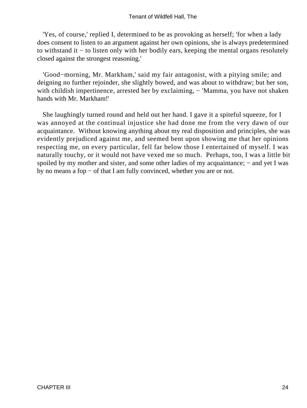'Yes, of course,' replied I, determined to be as provoking as herself; 'for when a lady does consent to listen to an argument against her own opinions, she is always predetermined to withstand it − to listen only with her bodily ears, keeping the mental organs resolutely closed against the strongest reasoning.'

 'Good−morning, Mr. Markham,' said my fair antagonist, with a pitying smile; and deigning no further rejoinder, she slightly bowed, and was about to withdraw; but her son, with childish impertinence, arrested her by exclaiming, – 'Mamma, you have not shaken hands with Mr. Markham!'

 She laughingly turned round and held out her hand. I gave it a spiteful squeeze, for I was annoyed at the continual injustice she had done me from the very dawn of our acquaintance. Without knowing anything about my real disposition and principles, she was evidently prejudiced against me, and seemed bent upon showing me that her opinions respecting me, on every particular, fell far below those I entertained of myself. I was naturally touchy, or it would not have vexed me so much. Perhaps, too, I was a little bit spoiled by my mother and sister, and some other ladies of my acquaintance; – and yet I was by no means a fop − of that I am fully convinced, whether you are or not.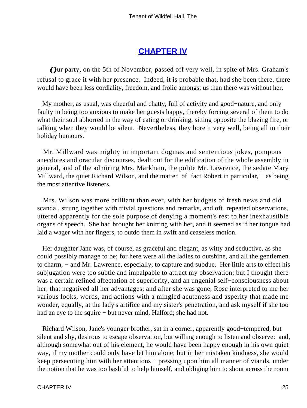## **[CHAPTER IV](#page-378-0)**

*O*ur party, on the 5th of November, passed off very well, in spite of Mrs. Graham's refusal to grace it with her presence. Indeed, it is probable that, had she been there, there would have been less cordiality, freedom, and frolic amongst us than there was without her.

 My mother, as usual, was cheerful and chatty, full of activity and good−nature, and only faulty in being too anxious to make her guests happy, thereby forcing several of them to do what their soul abhorred in the way of eating or drinking, sitting opposite the blazing fire, or talking when they would be silent. Nevertheless, they bore it very well, being all in their holiday humours.

 Mr. Millward was mighty in important dogmas and sententious jokes, pompous anecdotes and oracular discourses, dealt out for the edification of the whole assembly in general, and of the admiring Mrs. Markham, the polite Mr. Lawrence, the sedate Mary Millward, the quiet Richard Wilson, and the matter–of–fact Robert in particular, – as being the most attentive listeners.

 Mrs. Wilson was more brilliant than ever, with her budgets of fresh news and old scandal, strung together with trivial questions and remarks, and oft−repeated observations, uttered apparently for the sole purpose of denying a moment's rest to her inexhaustible organs of speech. She had brought her knitting with her, and it seemed as if her tongue had laid a wager with her fingers, to outdo them in swift and ceaseless motion.

 Her daughter Jane was, of course, as graceful and elegant, as witty and seductive, as she could possibly manage to be; for here were all the ladies to outshine, and all the gentlemen to charm, − and Mr. Lawrence, especially, to capture and subdue. Her little arts to effect his subjugation were too subtle and impalpable to attract my observation; but I thought there was a certain refined affectation of superiority, and an ungenial self−consciousness about her, that negatived all her advantages; and after she was gone, Rose interpreted to me her various looks, words, and actions with a mingled acuteness and asperity that made me wonder, equally, at the lady's artifice and my sister's penetration, and ask myself if she too had an eye to the squire − but never mind, Halford; she had not.

 Richard Wilson, Jane's younger brother, sat in a corner, apparently good−tempered, but silent and shy, desirous to escape observation, but willing enough to listen and observe: and, although somewhat out of his element, he would have been happy enough in his own quiet way, if my mother could only have let him alone; but in her mistaken kindness, she would keep persecuting him with her attentions − pressing upon him all manner of viands, under the notion that he was too bashful to help himself, and obliging him to shout across the room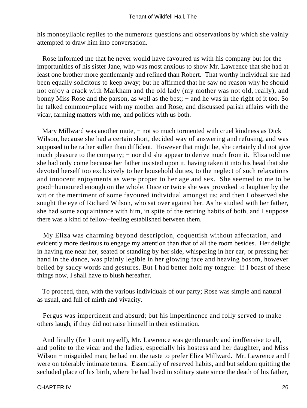his monosyllabic replies to the numerous questions and observations by which she vainly attempted to draw him into conversation.

 Rose informed me that he never would have favoured us with his company but for the importunities of his sister Jane, who was most anxious to show Mr. Lawrence that she had at least one brother more gentlemanly and refined than Robert. That worthy individual she had been equally solicitous to keep away; but he affirmed that he saw no reason why he should not enjoy a crack with Markham and the old lady (my mother was not old, really), and bonny Miss Rose and the parson, as well as the best; − and he was in the right of it too. So he talked common−place with my mother and Rose, and discussed parish affairs with the vicar, farming matters with me, and politics with us both.

Mary Millward was another mute, – not so much tormented with cruel kindness as Dick Wilson, because she had a certain short, decided way of answering and refusing, and was supposed to be rather sullen than diffident. However that might be, she certainly did not give much pleasure to the company; – nor did she appear to derive much from it. Eliza told me she had only come because her father insisted upon it, having taken it into his head that she devoted herself too exclusively to her household duties, to the neglect of such relaxations and innocent enjoyments as were proper to her age and sex. She seemed to me to be good−humoured enough on the whole. Once or twice she was provoked to laughter by the wit or the merriment of some favoured individual amongst us; and then I observed she sought the eye of Richard Wilson, who sat over against her. As he studied with her father, she had some acquaintance with him, in spite of the retiring habits of both, and I suppose there was a kind of fellow−feeling established between them.

 My Eliza was charming beyond description, coquettish without affectation, and evidently more desirous to engage my attention than that of all the room besides. Her delight in having me near her, seated or standing by her side, whispering in her ear, or pressing her hand in the dance, was plainly legible in her glowing face and heaving bosom, however belied by saucy words and gestures. But I had better hold my tongue: if I boast of these things now, I shall have to blush hereafter.

 To proceed, then, with the various individuals of our party; Rose was simple and natural as usual, and full of mirth and vivacity.

 Fergus was impertinent and absurd; but his impertinence and folly served to make others laugh, if they did not raise himself in their estimation.

 And finally (for I omit myself), Mr. Lawrence was gentlemanly and inoffensive to all, and polite to the vicar and the ladies, especially his hostess and her daughter, and Miss Wilson – misguided man; he had not the taste to prefer Eliza Millward. Mr. Lawrence and I were on tolerably intimate terms. Essentially of reserved habits, and but seldom quitting the secluded place of his birth, where he had lived in solitary state since the death of his father,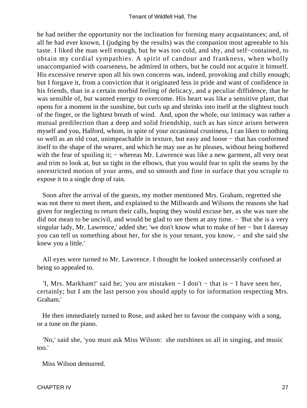he had neither the opportunity nor the inclination for forming many acquaintances; and, of all he had ever known, I (judging by the results) was the companion most agreeable to his taste. I liked the man well enough, but he was too cold, and shy, and self−contained, to obtain my cordial sympathies. A spirit of candour and frankness, when wholly unaccompanied with coarseness, he admired in others, but he could not acquire it himself. His excessive reserve upon all his own concerns was, indeed, provoking and chilly enough; but I forgave it, from a conviction that it originated less in pride and want of confidence in his friends, than in a certain morbid feeling of delicacy, and a peculiar diffidence, that he was sensible of, but wanted energy to overcome. His heart was like a sensitive plant, that opens for a moment in the sunshine, but curls up and shrinks into itself at the slightest touch of the finger, or the lightest breath of wind. And, upon the whole, our intimacy was rather a mutual predilection than a deep and solid friendship, such as has since arisen between myself and you, Halford, whom, in spite of your occasional crustiness, I can liken to nothing so well as an old coat, unimpeachable in texture, but easy and loose − that has conformed itself to the shape of the wearer, and which he may use as he pleases, without being bothered with the fear of spoiling it; – whereas Mr. Lawrence was like a new garment, all very neat and trim to look at, but so tight in the elbows, that you would fear to split the seams by the unrestricted motion of your arms, and so smooth and fine in surface that you scruple to expose it to a single drop of rain.

 Soon after the arrival of the guests, my mother mentioned Mrs. Graham, regretted she was not there to meet them, and explained to the Millwards and Wilsons the reasons she had given for neglecting to return their calls, hoping they would excuse her, as she was sure she did not mean to be uncivil, and would be glad to see them at any time. − 'But she is a very singular lady, Mr. Lawrence,' added she; 'we don't know what to make of her − but I daresay you can tell us something about her, for she is your tenant, you know, − and she said she knew you a little.'

 All eyes were turned to Mr. Lawrence. I thought he looked unnecessarily confused at being so appealed to.

 'I, Mrs. Markham!' said he; 'you are mistaken − I don't − that is − I have seen her, certainly; but I am the last person you should apply to for information respecting Mrs. Graham.'

 He then immediately turned to Rose, and asked her to favour the company with a song, or a tune on the piano.

 'No,' said she, 'you must ask Miss Wilson: she outshines us all in singing, and music too.'

Miss Wilson demurred.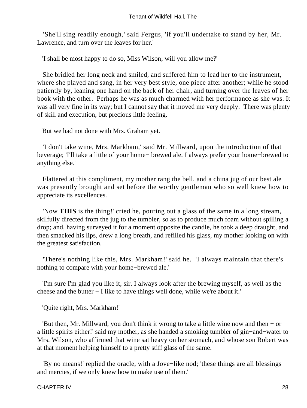'She'll sing readily enough,' said Fergus, 'if you'll undertake to stand by her, Mr. Lawrence, and turn over the leaves for her.'

'I shall be most happy to do so, Miss Wilson; will you allow me?'

 She bridled her long neck and smiled, and suffered him to lead her to the instrument, where she played and sang, in her very best style, one piece after another; while he stood patiently by, leaning one hand on the back of her chair, and turning over the leaves of her book with the other. Perhaps he was as much charmed with her performance as she was. It was all very fine in its way; but I cannot say that it moved me very deeply. There was plenty of skill and execution, but precious little feeling.

But we had not done with Mrs. Graham yet.

 'I don't take wine, Mrs. Markham,' said Mr. Millward, upon the introduction of that beverage; 'I'll take a little of your home− brewed ale. I always prefer your home−brewed to anything else.'

 Flattered at this compliment, my mother rang the bell, and a china jug of our best ale was presently brought and set before the worthy gentleman who so well knew how to appreciate its excellences.

 'Now **THIS** is the thing!' cried he, pouring out a glass of the same in a long stream, skilfully directed from the jug to the tumbler, so as to produce much foam without spilling a drop; and, having surveyed it for a moment opposite the candle, he took a deep draught, and then smacked his lips, drew a long breath, and refilled his glass, my mother looking on with the greatest satisfaction.

 'There's nothing like this, Mrs. Markham!' said he. 'I always maintain that there's nothing to compare with your home−brewed ale.'

 'I'm sure I'm glad you like it, sir. I always look after the brewing myself, as well as the cheese and the butter − I like to have things well done, while we're about it.'

'Quite right, Mrs. Markham!'

 'But then, Mr. Millward, you don't think it wrong to take a little wine now and then − or a little spirits either!' said my mother, as she handed a smoking tumbler of gin−and−water to Mrs. Wilson, who affirmed that wine sat heavy on her stomach, and whose son Robert was at that moment helping himself to a pretty stiff glass of the same.

 'By no means!' replied the oracle, with a Jove−like nod; 'these things are all blessings and mercies, if we only knew how to make use of them.'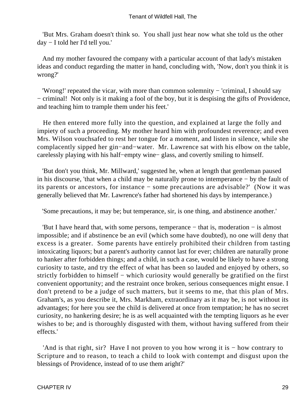'But Mrs. Graham doesn't think so. You shall just hear now what she told us the other day − I told her I'd tell you.'

 And my mother favoured the company with a particular account of that lady's mistaken ideas and conduct regarding the matter in hand, concluding with, 'Now, don't you think it is wrong?'

 'Wrong!' repeated the vicar, with more than common solemnity − 'criminal, I should say − criminal! Not only is it making a fool of the boy, but it is despising the gifts of Providence, and teaching him to trample them under his feet.'

 He then entered more fully into the question, and explained at large the folly and impiety of such a proceeding. My mother heard him with profoundest reverence; and even Mrs. Wilson vouchsafed to rest her tongue for a moment, and listen in silence, while she complacently sipped her gin−and−water. Mr. Lawrence sat with his elbow on the table, carelessly playing with his half−empty wine− glass, and covertly smiling to himself.

 'But don't you think, Mr. Millward,' suggested he, when at length that gentleman paused in his discourse, 'that when a child may be naturally prone to intemperance − by the fault of its parents or ancestors, for instance − some precautions are advisable?' (Now it was generally believed that Mr. Lawrence's father had shortened his days by intemperance.)

'Some precautions, it may be; but temperance, sir, is one thing, and abstinence another.'

 'But I have heard that, with some persons, temperance − that is, moderation − is almost impossible; and if abstinence be an evil (which some have doubted), no one will deny that excess is a greater. Some parents have entirely prohibited their children from tasting intoxicating liquors; but a parent's authority cannot last for ever; children are naturally prone to hanker after forbidden things; and a child, in such a case, would be likely to have a strong curiosity to taste, and try the effect of what has been so lauded and enjoyed by others, so strictly forbidden to himself – which curiosity would generally be gratified on the first convenient opportunity; and the restraint once broken, serious consequences might ensue. I don't pretend to be a judge of such matters, but it seems to me, that this plan of Mrs. Graham's, as you describe it, Mrs. Markham, extraordinary as it may be, is not without its advantages; for here you see the child is delivered at once from temptation; he has no secret curiosity, no hankering desire; he is as well acquainted with the tempting liquors as he ever wishes to be; and is thoroughly disgusted with them, without having suffered from their effects.'

 'And is that right, sir? Have I not proven to you how wrong it is − how contrary to Scripture and to reason, to teach a child to look with contempt and disgust upon the blessings of Providence, instead of to use them aright?'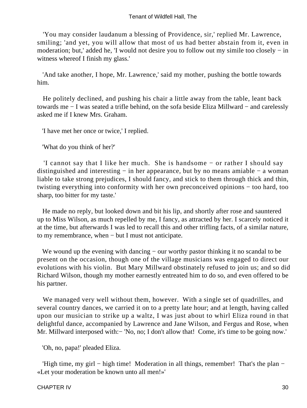'You may consider laudanum a blessing of Providence, sir,' replied Mr. Lawrence, smiling; 'and yet, you will allow that most of us had better abstain from it, even in moderation; but,' added he, 'I would not desire you to follow out my simile too closely − in witness whereof I finish my glass.'

 'And take another, I hope, Mr. Lawrence,' said my mother, pushing the bottle towards him.

 He politely declined, and pushing his chair a little away from the table, leant back towards me − I was seated a trifle behind, on the sofa beside Eliza Millward − and carelessly asked me if I knew Mrs. Graham.

'I have met her once or twice,' I replied.

'What do you think of her?'

 'I cannot say that I like her much. She is handsome − or rather I should say distinguished and interesting − in her appearance, but by no means amiable − a woman liable to take strong prejudices, I should fancy, and stick to them through thick and thin, twisting everything into conformity with her own preconceived opinions − too hard, too sharp, too bitter for my taste.'

 He made no reply, but looked down and bit his lip, and shortly after rose and sauntered up to Miss Wilson, as much repelled by me, I fancy, as attracted by her. I scarcely noticed it at the time, but afterwards I was led to recall this and other trifling facts, of a similar nature, to my remembrance, when − but I must not anticipate.

We wound up the evening with dancing – our worthy pastor thinking it no scandal to be present on the occasion, though one of the village musicians was engaged to direct our evolutions with his violin. But Mary Millward obstinately refused to join us; and so did Richard Wilson, though my mother earnestly entreated him to do so, and even offered to be his partner.

 We managed very well without them, however. With a single set of quadrilles, and several country dances, we carried it on to a pretty late hour; and at length, having called upon our musician to strike up a waltz, I was just about to whirl Eliza round in that delightful dance, accompanied by Lawrence and Jane Wilson, and Fergus and Rose, when Mr. Millward interposed with:− 'No, no; I don't allow that! Come, it's time to be going now.'

'Oh, no, papa!' pleaded Eliza.

 'High time, my girl − high time! Moderation in all things, remember! That's the plan − «Let your moderation be known unto all men!»'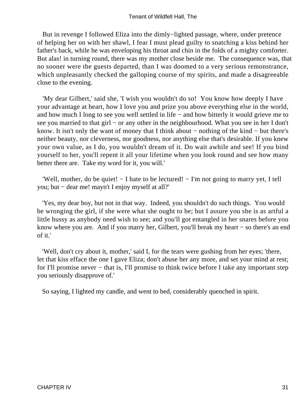But in revenge I followed Eliza into the dimly−lighted passage, where, under pretence of helping her on with her shawl, I fear I must plead guilty to snatching a kiss behind her father's back, while he was enveloping his throat and chin in the folds of a mighty comforter. But alas! in turning round, there was my mother close beside me. The consequence was, that no sooner were the guests departed, than I was doomed to a very serious remonstrance, which unpleasantly checked the galloping course of my spirits, and made a disagreeable close to the evening.

 'My dear Gilbert,' said she, 'I wish you wouldn't do so! You know how deeply I have your advantage at heart, how I love you and prize you above everything else in the world, and how much I long to see you well settled in life − and how bitterly it would grieve me to see you married to that girl – or any other in the neighbourhood. What you see in her I don't know. It isn't only the want of money that I think about − nothing of the kind − but there's neither beauty, nor cleverness, nor goodness, nor anything else that's desirable. If you knew your own value, as I do, you wouldn't dream of it. Do wait awhile and see! If you bind yourself to her, you'll repent it all your lifetime when you look round and see how many better there are. Take my word for it, you will.'

 'Well, mother, do be quiet! − I hate to be lectured! − I'm not going to marry yet, I tell you; but − dear me! mayn't I enjoy myself at all?'

 'Yes, my dear boy, but not in that way. Indeed, you shouldn't do such things. You would be wronging the girl, if she were what she ought to be; but I assure you she is as artful a little hussy as anybody need wish to see; and you'll got entangled in her snares before you know where you are. And if you marry her, Gilbert, you'll break my heart − so there's an end of it.'

 'Well, don't cry about it, mother,' said I, for the tears were gushing from her eyes; 'there, let that kiss efface the one I gave Eliza; don't abuse her any more, and set your mind at rest; for I'll promise never – that is, I'll promise to think twice before I take any important step you seriously disapprove of.'

So saying, I lighted my candle, and went to bed, considerably quenched in spirit.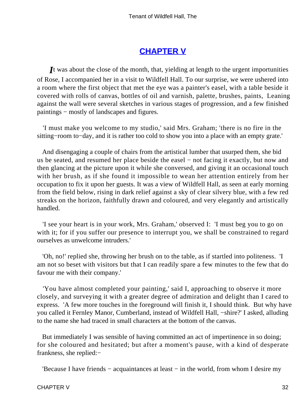# **[CHAPTER V](#page-378-0)**

*I*t was about the close of the month, that, yielding at length to the urgent importunities of Rose, I accompanied her in a visit to Wildfell Hall. To our surprise, we were ushered into a room where the first object that met the eye was a painter's easel, with a table beside it covered with rolls of canvas, bottles of oil and varnish, palette, brushes, paints, Leaning against the wall were several sketches in various stages of progression, and a few finished paintings – mostly of landscapes and figures.

 'I must make you welcome to my studio,' said Mrs. Graham; 'there is no fire in the sitting−room to−day, and it is rather too cold to show you into a place with an empty grate.'

 And disengaging a couple of chairs from the artistical lumber that usurped them, she bid us be seated, and resumed her place beside the easel − not facing it exactly, but now and then glancing at the picture upon it while she conversed, and giving it an occasional touch with her brush, as if she found it impossible to wean her attention entirely from her occupation to fix it upon her guests. It was a view of Wildfell Hall, as seen at early morning from the field below, rising in dark relief against a sky of clear silvery blue, with a few red streaks on the horizon, faithfully drawn and coloured, and very elegantly and artistically handled.

 'I see your heart is in your work, Mrs. Graham,' observed I: 'I must beg you to go on with it; for if you suffer our presence to interrupt you, we shall be constrained to regard ourselves as unwelcome intruders.'

 'Oh, no!' replied she, throwing her brush on to the table, as if startled into politeness. 'I am not so beset with visitors but that I can readily spare a few minutes to the few that do favour me with their company.'

 'You have almost completed your painting,' said I, approaching to observe it more closely, and surveying it with a greater degree of admiration and delight than I cared to express. 'A few more touches in the foreground will finish it, I should think. But why have you called it Fernley Manor, Cumberland, instead of Wildfell Hall, −shire?' I asked, alluding to the name she had traced in small characters at the bottom of the canvas.

 But immediately I was sensible of having committed an act of impertinence in so doing; for she coloured and hesitated; but after a moment's pause, with a kind of desperate frankness, she replied:−

'Because I have friends − acquaintances at least − in the world, from whom I desire my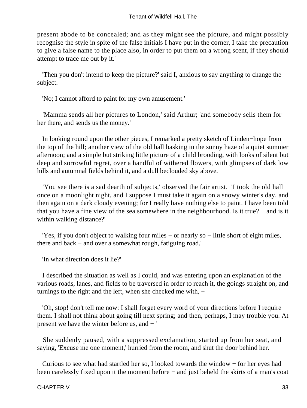present abode to be concealed; and as they might see the picture, and might possibly recognise the style in spite of the false initials I have put in the corner, I take the precaution to give a false name to the place also, in order to put them on a wrong scent, if they should attempt to trace me out by it.'

 'Then you don't intend to keep the picture?' said I, anxious to say anything to change the subject.

'No; I cannot afford to paint for my own amusement.'

 'Mamma sends all her pictures to London,' said Arthur; 'and somebody sells them for her there, and sends us the money.'

 In looking round upon the other pieces, I remarked a pretty sketch of Linden−hope from the top of the hill; another view of the old hall basking in the sunny haze of a quiet summer afternoon; and a simple but striking little picture of a child brooding, with looks of silent but deep and sorrowful regret, over a handful of withered flowers, with glimpses of dark low hills and autumnal fields behind it, and a dull beclouded sky above.

 'You see there is a sad dearth of subjects,' observed the fair artist. 'I took the old hall once on a moonlight night, and I suppose I must take it again on a snowy winter's day, and then again on a dark cloudy evening; for I really have nothing else to paint. I have been told that you have a fine view of the sea somewhere in the neighbourhood. Is it true? − and is it within walking distance?'

 'Yes, if you don't object to walking four miles − or nearly so − little short of eight miles, there and back − and over a somewhat rough, fatiguing road.'

'In what direction does it lie?'

 I described the situation as well as I could, and was entering upon an explanation of the various roads, lanes, and fields to be traversed in order to reach it, the goings straight on, and turnings to the right and the left, when she checked me with, −

 'Oh, stop! don't tell me now: I shall forget every word of your directions before I require them. I shall not think about going till next spring; and then, perhaps, I may trouble you. At present we have the winter before us, and − '

 She suddenly paused, with a suppressed exclamation, started up from her seat, and saying, 'Excuse me one moment,' hurried from the room, and shut the door behind her.

 Curious to see what had startled her so, I looked towards the window − for her eyes had been carelessly fixed upon it the moment before − and just beheld the skirts of a man's coat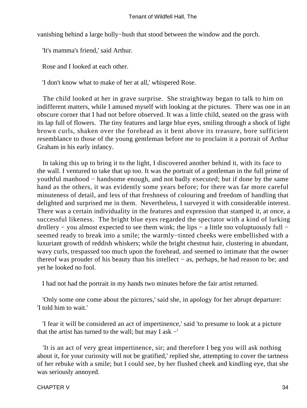vanishing behind a large holly−bush that stood between the window and the porch.

'It's mamma's friend,' said Arthur.

Rose and I looked at each other.

'I don't know what to make of her at all,' whispered Rose.

 The child looked at her in grave surprise. She straightway began to talk to him on indifferent matters, while I amused myself with looking at the pictures. There was one in an obscure corner that I had not before observed. It was a little child, seated on the grass with its lap full of flowers. The tiny features and large blue eyes, smiling through a shock of light brown curls, shaken over the forehead as it bent above its treasure, bore sufficient resemblance to those of the young gentleman before me to proclaim it a portrait of Arthur Graham in his early infancy.

 In taking this up to bring it to the light, I discovered another behind it, with its face to the wall. I ventured to take that up too. It was the portrait of a gentleman in the full prime of youthful manhood − handsome enough, and not badly executed; but if done by the same hand as the others, it was evidently some years before; for there was far more careful minuteness of detail, and less of that freshness of colouring and freedom of handling that delighted and surprised me in them. Nevertheless, I surveyed it with considerable interest. There was a certain individuality in the features and expression that stamped it, at once, a successful likeness. The bright blue eyes regarded the spectator with a kind of lurking drollery − you almost expected to see them wink; the lips − a little too voluptuously full − seemed ready to break into a smile; the warmly−tinted cheeks were embellished with a luxuriant growth of reddish whiskers; while the bright chestnut hair, clustering in abundant, wavy curls, trespassed too much upon the forehead, and seemed to intimate that the owner thereof was prouder of his beauty than his intellect − as, perhaps, he had reason to be; and yet he looked no fool.

I had not had the portrait in my hands two minutes before the fair artist returned.

 'Only some one come about the pictures,' said she, in apology for her abrupt departure: 'I told him to wait.'

 'I fear it will be considered an act of impertinence,' said 'to presume to look at a picture that the artist has turned to the wall; but may I as  $-$ '

 'It is an act of very great impertinence, sir; and therefore I beg you will ask nothing about it, for your curiosity will not be gratified,' replied she, attempting to cover the tartness of her rebuke with a smile; but I could see, by her flushed cheek and kindling eye, that she was seriously annoyed.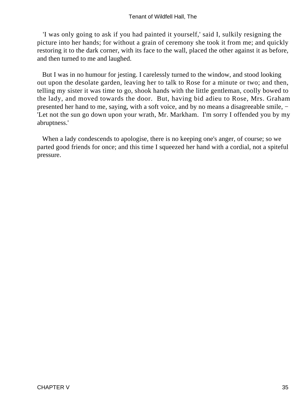'I was only going to ask if you had painted it yourself,' said I, sulkily resigning the picture into her hands; for without a grain of ceremony she took it from me; and quickly restoring it to the dark corner, with its face to the wall, placed the other against it as before, and then turned to me and laughed.

 But I was in no humour for jesting. I carelessly turned to the window, and stood looking out upon the desolate garden, leaving her to talk to Rose for a minute or two; and then, telling my sister it was time to go, shook hands with the little gentleman, coolly bowed to the lady, and moved towards the door. But, having bid adieu to Rose, Mrs. Graham presented her hand to me, saying, with a soft voice, and by no means a disagreeable smile, − 'Let not the sun go down upon your wrath, Mr. Markham. I'm sorry I offended you by my abruptness.'

 When a lady condescends to apologise, there is no keeping one's anger, of course; so we parted good friends for once; and this time I squeezed her hand with a cordial, not a spiteful pressure.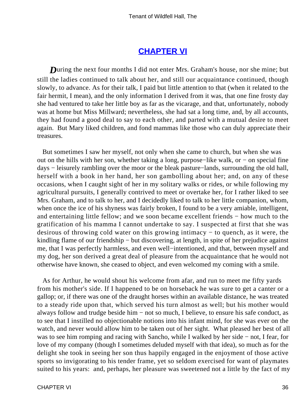### **[CHAPTER VI](#page-378-0)**

*D*uring the next four months I did not enter Mrs. Graham's house, nor she mine; but still the ladies continued to talk about her, and still our acquaintance continued, though slowly, to advance. As for their talk, I paid but little attention to that (when it related to the fair hermit, I mean), and the only information I derived from it was, that one fine frosty day she had ventured to take her little boy as far as the vicarage, and that, unfortunately, nobody was at home but Miss Millward; nevertheless, she had sat a long time, and, by all accounts, they had found a good deal to say to each other, and parted with a mutual desire to meet again. But Mary liked children, and fond mammas like those who can duly appreciate their treasures.

 But sometimes I saw her myself, not only when she came to church, but when she was out on the hills with her son, whether taking a long, purpose−like walk, or − on special fine days − leisurely rambling over the moor or the bleak pasture−lands, surrounding the old hall, herself with a book in her hand, her son gambolling about her; and, on any of these occasions, when I caught sight of her in my solitary walks or rides, or while following my agricultural pursuits, I generally contrived to meet or overtake her, for I rather liked to see Mrs. Graham, and to talk to her, and I decidedly liked to talk to her little companion, whom, when once the ice of his shyness was fairly broken, I found to be a very amiable, intelligent, and entertaining little fellow; and we soon became excellent friends − how much to the gratification of his mamma I cannot undertake to say. I suspected at first that she was desirous of throwing cold water on this growing intimacy − to quench, as it were, the kindling flame of our friendship − but discovering, at length, in spite of her prejudice against me, that I was perfectly harmless, and even well−intentioned, and that, between myself and my dog, her son derived a great deal of pleasure from the acquaintance that he would not otherwise have known, she ceased to object, and even welcomed my coming with a smile.

 As for Arthur, he would shout his welcome from afar, and run to meet me fifty yards from his mother's side. If I happened to be on horseback he was sure to get a canter or a gallop; or, if there was one of the draught horses within an available distance, he was treated to a steady ride upon that, which served his turn almost as well; but his mother would always follow and trudge beside him − not so much, I believe, to ensure his safe conduct, as to see that I instilled no objectionable notions into his infant mind, for she was ever on the watch, and never would allow him to be taken out of her sight. What pleased her best of all was to see him romping and racing with Sancho, while I walked by her side − not, I fear, for love of my company (though I sometimes deluded myself with that idea), so much as for the delight she took in seeing her son thus happily engaged in the enjoyment of those active sports so invigorating to his tender frame, yet so seldom exercised for want of playmates suited to his years: and, perhaps, her pleasure was sweetened not a little by the fact of my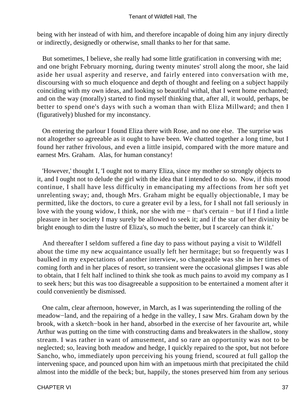being with her instead of with him, and therefore incapable of doing him any injury directly or indirectly, designedly or otherwise, small thanks to her for that same.

 But sometimes, I believe, she really had some little gratification in conversing with me; and one bright February morning, during twenty minutes' stroll along the moor, she laid aside her usual asperity and reserve, and fairly entered into conversation with me, discoursing with so much eloquence and depth of thought and feeling on a subject happily coinciding with my own ideas, and looking so beautiful withal, that I went home enchanted; and on the way (morally) started to find myself thinking that, after all, it would, perhaps, be better to spend one's days with such a woman than with Eliza Millward; and then I (figuratively) blushed for my inconstancy.

 On entering the parlour I found Eliza there with Rose, and no one else. The surprise was not altogether so agreeable as it ought to have been. We chatted together a long time, but I found her rather frivolous, and even a little insipid, compared with the more mature and earnest Mrs. Graham. Alas, for human constancy!

 'However,' thought I, 'I ought not to marry Eliza, since my mother so strongly objects to it, and I ought not to delude the girl with the idea that I intended to do so. Now, if this mood continue, I shall have less difficulty in emancipating my affections from her soft yet unrelenting sway; and, though Mrs. Graham might be equally objectionable, I may be permitted, like the doctors, to cure a greater evil by a less, for I shall not fall seriously in love with the young widow, I think, nor she with me − that's certain − but if I find a little pleasure in her society I may surely be allowed to seek it; and if the star of her divinity be bright enough to dim the lustre of Eliza's, so much the better, but I scarcely can think it.'

 And thereafter I seldom suffered a fine day to pass without paying a visit to Wildfell about the time my new acquaintance usually left her hermitage; but so frequently was I baulked in my expectations of another interview, so changeable was she in her times of coming forth and in her places of resort, so transient were the occasional glimpses I was able to obtain, that I felt half inclined to think she took as much pains to avoid my company as I to seek hers; but this was too disagreeable a supposition to be entertained a moment after it could conveniently be dismissed.

 One calm, clear afternoon, however, in March, as I was superintending the rolling of the meadow−land, and the repairing of a hedge in the valley, I saw Mrs. Graham down by the brook, with a sketch−book in her hand, absorbed in the exercise of her favourite art, while Arthur was putting on the time with constructing dams and breakwaters in the shallow, stony stream. I was rather in want of amusement, and so rare an opportunity was not to be neglected; so, leaving both meadow and hedge, I quickly repaired to the spot, but not before Sancho, who, immediately upon perceiving his young friend, scoured at full gallop the intervening space, and pounced upon him with an impetuous mirth that precipitated the child almost into the middle of the beck; but, happily, the stones preserved him from any serious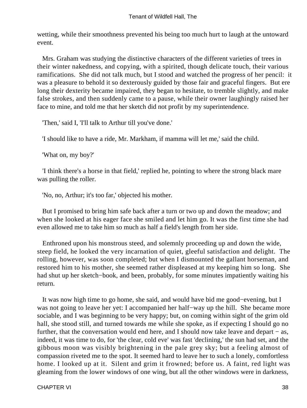wetting, while their smoothness prevented his being too much hurt to laugh at the untoward event.

 Mrs. Graham was studying the distinctive characters of the different varieties of trees in their winter nakedness, and copying, with a spirited, though delicate touch, their various ramifications. She did not talk much, but I stood and watched the progress of her pencil: it was a pleasure to behold it so dexterously guided by those fair and graceful fingers. But ere long their dexterity became impaired, they began to hesitate, to tremble slightly, and make false strokes, and then suddenly came to a pause, while their owner laughingly raised her face to mine, and told me that her sketch did not profit by my superintendence.

'Then,' said I, 'I'll talk to Arthur till you've done.'

'I should like to have a ride, Mr. Markham, if mamma will let me,' said the child.

'What on, my boy?'

 'I think there's a horse in that field,' replied he, pointing to where the strong black mare was pulling the roller.

'No, no, Arthur; it's too far,' objected his mother.

 But I promised to bring him safe back after a turn or two up and down the meadow; and when she looked at his eager face she smiled and let him go. It was the first time she had even allowed me to take him so much as half a field's length from her side.

 Enthroned upon his monstrous steed, and solemnly proceeding up and down the wide, steep field, he looked the very incarnation of quiet, gleeful satisfaction and delight. The rolling, however, was soon completed; but when I dismounted the gallant horseman, and restored him to his mother, she seemed rather displeased at my keeping him so long. She had shut up her sketch−book, and been, probably, for some minutes impatiently waiting his return.

 It was now high time to go home, she said, and would have bid me good−evening, but I was not going to leave her yet: I accompanied her half−way up the hill. She became more sociable, and I was beginning to be very happy; but, on coming within sight of the grim old hall, she stood still, and turned towards me while she spoke, as if expecting I should go no further, that the conversation would end here, and I should now take leave and depart − as, indeed, it was time to do, for 'the clear, cold eve' was fast 'declining,' the sun had set, and the gibbous moon was visibly brightening in the pale grey sky; but a feeling almost of compassion riveted me to the spot. It seemed hard to leave her to such a lonely, comfortless home. I looked up at it. Silent and grim it frowned; before us. A faint, red light was gleaming from the lower windows of one wing, but all the other windows were in darkness,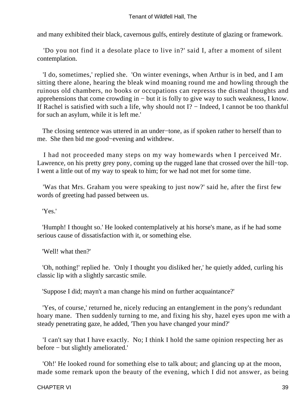and many exhibited their black, cavernous gulfs, entirely destitute of glazing or framework.

 'Do you not find it a desolate place to live in?' said I, after a moment of silent contemplation.

 'I do, sometimes,' replied she. 'On winter evenings, when Arthur is in bed, and I am sitting there alone, hearing the bleak wind moaning round me and howling through the ruinous old chambers, no books or occupations can represss the dismal thoughts and apprehensions that come crowding in − but it is folly to give way to such weakness, I know. If Rachel is satisfied with such a life, why should not I? − Indeed, I cannot be too thankful for such an asylum, while it is left me.'

 The closing sentence was uttered in an under−tone, as if spoken rather to herself than to me. She then bid me good−evening and withdrew.

 I had not proceeded many steps on my way homewards when I perceived Mr. Lawrence, on his pretty grey pony, coming up the rugged lane that crossed over the hill−top. I went a little out of my way to speak to him; for we had not met for some time.

 'Was that Mrs. Graham you were speaking to just now?' said he, after the first few words of greeting had passed between us.

'Yes.'

 'Humph! I thought so.' He looked contemplatively at his horse's mane, as if he had some serious cause of dissatisfaction with it, or something else.

'Well! what then?'

 'Oh, nothing!' replied he. 'Only I thought you disliked her,' he quietly added, curling his classic lip with a slightly sarcastic smile.

'Suppose I did; mayn't a man change his mind on further acquaintance?'

 'Yes, of course,' returned he, nicely reducing an entanglement in the pony's redundant hoary mane. Then suddenly turning to me, and fixing his shy, hazel eyes upon me with a steady penetrating gaze, he added, 'Then you have changed your mind?'

 'I can't say that I have exactly. No; I think I hold the same opinion respecting her as before − but slightly ameliorated.'

 'Oh!' He looked round for something else to talk about; and glancing up at the moon, made some remark upon the beauty of the evening, which I did not answer, as being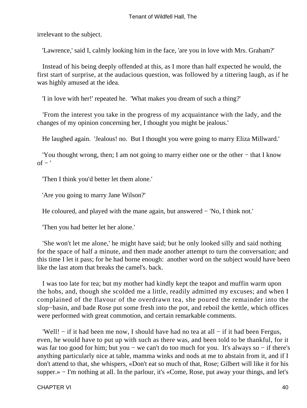irrelevant to the subject.

'Lawrence,' said I, calmly looking him in the face, 'are you in love with Mrs. Graham?'

 Instead of his being deeply offended at this, as I more than half expected he would, the first start of surprise, at the audacious question, was followed by a tittering laugh, as if he was highly amused at the idea.

'I in love with her!' repeated he. 'What makes you dream of such a thing?'

 'From the interest you take in the progress of my acquaintance with the lady, and the changes of my opinion concerning her, I thought you might be jealous.'

He laughed again. 'Jealous! no. But I thought you were going to marry Eliza Millward.'

 'You thought wrong, then; I am not going to marry either one or the other − that I know  $of -$ '

'Then I think you'd better let them alone.'

'Are you going to marry Jane Wilson?'

He coloured, and played with the mane again, but answered − 'No, I think not.'

'Then you had better let her alone.'

 'She won't let me alone,' he might have said; but he only looked silly and said nothing for the space of half a minute, and then made another attempt to turn the conversation; and this time I let it pass; for he had borne enough: another word on the subject would have been like the last atom that breaks the camel's. back.

 I was too late for tea; but my mother had kindly kept the teapot and muffin warm upon the hobs, and, though she scolded me a little, readily admitted my excuses; and when I complained of the flavour of the overdrawn tea, she poured the remainder into the slop−basin, and bade Rose put some fresh into the pot, and reboil the kettle, which offices were performed with great commotion, and certain remarkable comments.

 'Well! − if it had been me now, I should have had no tea at all − if it had been Fergus, even, he would have to put up with such as there was, and been told to be thankful, for it was far too good for him; but you − we can't do too much for you. It's always so − if there's anything particularly nice at table, mamma winks and nods at me to abstain from it, and if I don't attend to that, she whispers, «Don't eat so much of that, Rose; Gilbert will like it for his supper.» – I'm nothing at all. In the parlour, it's «Come, Rose, put away your things, and let's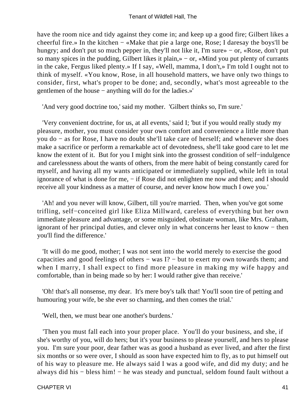have the room nice and tidy against they come in; and keep up a good fire; Gilbert likes a cheerful fire.» In the kitchen − «Make that pie a large one, Rose; I daresay the boys'll be hungry; and don't put so much pepper in, they'll not like it, I'm sure» − or, «Rose, don't put so many spices in the pudding, Gilbert likes it plain,» − or, «Mind you put plenty of currants in the cake, Fergus liked plenty.» If I say, «Well, mamma, I don't,» I'm told I ought not to think of myself. «You know, Rose, in all household matters, we have only two things to consider, first, what's proper to be done; and, secondly, what's most agreeable to the gentlemen of the house − anything will do for the ladies.»'

'And very good doctrine too,' said my mother. 'Gilbert thinks so, I'm sure.'

 'Very convenient doctrine, for us, at all events,' said I; 'but if you would really study my pleasure, mother, you must consider your own comfort and convenience a little more than you do − as for Rose, I have no doubt she'll take care of herself; and whenever she does make a sacrifice or perform a remarkable act of devotedness, she'll take good care to let me know the extent of it. But for you I might sink into the grossest condition of self−indulgence and carelessness about the wants of others, from the mere habit of being constantly cared for myself, and having all my wants anticipated or immediately supplied, while left in total ignorance of what is done for me, − if Rose did not enlighten me now and then; and I should receive all your kindness as a matter of course, and never know how much I owe you.'

 'Ah! and you never will know, Gilbert, till you're married. Then, when you've got some trifling, self−conceited girl like Eliza Millward, careless of everything but her own immediate pleasure and advantage, or some misguided, obstinate woman, like Mrs. Graham, ignorant of her principal duties, and clever only in what concerns her least to know − then you'll find the difference.'

 'It will do me good, mother; I was not sent into the world merely to exercise the good capacities and good feelings of others − was I? − but to exert my own towards them; and when I marry, I shall expect to find more pleasure in making my wife happy and comfortable, than in being made so by her: I would rather give than receive.'

 'Oh! that's all nonsense, my dear. It's mere boy's talk that! You'll soon tire of petting and humouring your wife, be she ever so charming, and then comes the trial.'

'Well, then, we must bear one another's burdens.'

 'Then you must fall each into your proper place. You'll do your business, and she, if she's worthy of you, will do hers; but it's your business to please yourself, and hers to please you. I'm sure your poor, dear father was as good a husband as ever lived, and after the first six months or so were over, I should as soon have expected him to fly, as to put himself out of his way to pleasure me. He always said I was a good wife, and did my duty; and he always did his − bless him! − he was steady and punctual, seldom found fault without a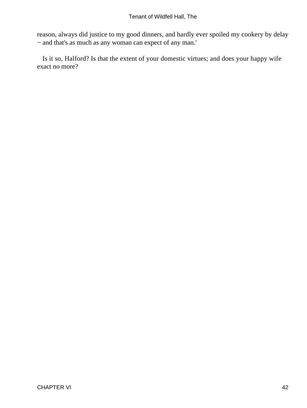reason, always did justice to my good dinners, and hardly ever spoiled my cookery by delay − and that's as much as any woman can expect of any man.'

 Is it so, Halford? Is that the extent of your domestic virtues; and does your happy wife exact no more?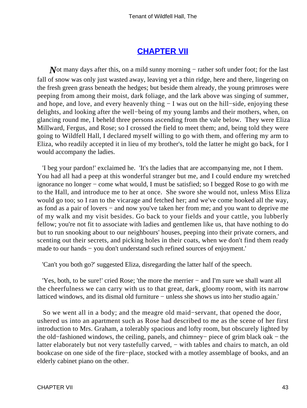## **[CHAPTER VII](#page-378-0)**

*N*ot many days after this, on a mild sunny morning – rather soft under foot; for the last fall of snow was only just wasted away, leaving yet a thin ridge, here and there, lingering on the fresh green grass beneath the hedges; but beside them already, the young primroses were peeping from among their moist, dark foliage, and the lark above was singing of summer, and hope, and love, and every heavenly thing − I was out on the hill−side, enjoying these delights, and looking after the well−being of my young lambs and their mothers, when, on glancing round me, I beheld three persons ascending from the vale below. They were Eliza Millward, Fergus, and Rose; so I crossed the field to meet them; and, being told they were going to Wildfell Hall, I declared myself willing to go with them, and offering my arm to Eliza, who readily accepted it in lieu of my brother's, told the latter he might go back, for I would accompany the ladies.

 'I beg your pardon!' exclaimed he. 'It's the ladies that are accompanying me, not I them. You had all had a peep at this wonderful stranger but me, and I could endure my wretched ignorance no longer − come what would, I must be satisfied; so I begged Rose to go with me to the Hall, and introduce me to her at once. She swore she would not, unless Miss Eliza would go too; so I ran to the vicarage and fetched her; and we've come hooked all the way, as fond as a pair of lovers − and now you've taken her from me; and you want to deprive me of my walk and my visit besides. Go back to your fields and your cattle, you lubberly fellow; you're not fit to associate with ladies and gentlemen like us, that have nothing to do but to run snooking about to our neighbours' houses, peeping into their private corners, and scenting out their secrets, and picking holes in their coats, when we don't find them ready made to our hands − you don't understand such refined sources of enjoyment.'

'Can't you both go?' suggested Eliza, disregarding the latter half of the speech.

 'Yes, both, to be sure!' cried Rose; 'the more the merrier − and I'm sure we shall want all the cheerfulness we can carry with us to that great, dark, gloomy room, with its narrow latticed windows, and its dismal old furniture − unless she shows us into her studio again.'

 So we went all in a body; and the meagre old maid−servant, that opened the door, ushered us into an apartment such as Rose had described to me as the scene of her first introduction to Mrs. Graham, a tolerably spacious and lofty room, but obscurely lighted by the old−fashioned windows, the ceiling, panels, and chimney− piece of grim black oak − the latter elaborately but not very tastefully carved, – with tables and chairs to match, an old bookcase on one side of the fire−place, stocked with a motley assemblage of books, and an elderly cabinet piano on the other.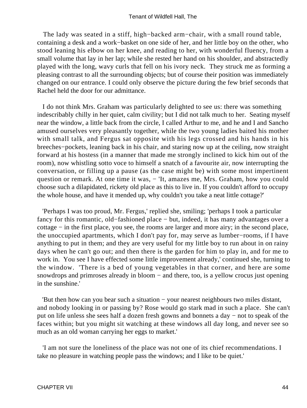The lady was seated in a stiff, high−backed arm−chair, with a small round table, containing a desk and a work−basket on one side of her, and her little boy on the other, who stood leaning his elbow on her knee, and reading to her, with wonderful fluency, from a small volume that lay in her lap; while she rested her hand on his shoulder, and abstractedly played with the long, wavy curls that fell on his ivory neck. They struck me as forming a pleasing contrast to all the surrounding objects; but of course their position was immediately changed on our entrance. I could only observe the picture during the few brief seconds that Rachel held the door for our admittance.

 I do not think Mrs. Graham was particularly delighted to see us: there was something indescribably chilly in her quiet, calm civility; but I did not talk much to her. Seating myself near the window, a little back from the circle, I called Arthur to me, and he and I and Sancho amused ourselves very pleasantly together, while the two young ladies baited his mother with small talk, and Fergus sat opposite with his legs crossed and his hands in his breeches−pockets, leaning back in his chair, and staring now up at the ceiling, now straight forward at his hostess (in a manner that made me strongly inclined to kick him out of the room), now whistling sotto voce to himself a snatch of a favourite air, now interrupting the conversation, or filling up a pause (as the case might be) with some most impertinent question or remark. At one time it was,  $-$  'It, amazes me, Mrs. Graham, how you could choose such a dilapidated, rickety old place as this to live in. If you couldn't afford to occupy the whole house, and have it mended up, why couldn't you take a neat little cottage?'

 'Perhaps I was too proud, Mr. Fergus,' replied she, smiling; 'perhaps I took a particular fancy for this romantic, old−fashioned place − but, indeed, it has many advantages over a cottage − in the first place, you see, the rooms are larger and more airy; in the second place, the unoccupied apartments, which I don't pay for, may serve as lumber−rooms, if I have anything to put in them; and they are very useful for my little boy to run about in on rainy days when he can't go out; and then there is the garden for him to play in, and for me to work in. You see I have effected some little improvement already,' continued she, turning to the window. 'There is a bed of young vegetables in that corner, and here are some snowdrops and primroses already in bloom – and there, too, is a yellow crocus just opening in the sunshine.'

 'But then how can you bear such a situation − your nearest neighbours two miles distant, and nobody looking in or passing by? Rose would go stark mad in such a place. She can't put on life unless she sees half a dozen fresh gowns and bonnets a day − not to speak of the faces within; but you might sit watching at these windows all day long, and never see so much as an old woman carrying her eggs to market.'

 'I am not sure the loneliness of the place was not one of its chief recommendations. I take no pleasure in watching people pass the windows; and I like to be quiet.'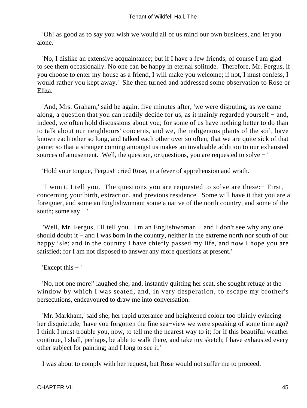'Oh! as good as to say you wish we would all of us mind our own business, and let you alone.'

 'No, I dislike an extensive acquaintance; but if I have a few friends, of course I am glad to see them occasionally. No one can be happy in eternal solitude. Therefore, Mr. Fergus, if you choose to enter my house as a friend, I will make you welcome; if not, I must confess, I would rather you kept away.' She then turned and addressed some observation to Rose or Eliza.

 'And, Mrs. Graham,' said he again, five minutes after, 'we were disputing, as we came along, a question that you can readily decide for us, as it mainly regarded yourself − and, indeed, we often hold discussions about you; for some of us have nothing better to do than to talk about our neighbours' concerns, and we, the indigenous plants of the soil, have known each other so long, and talked each other over so often, that we are quite sick of that game; so that a stranger coming amongst us makes an invaluable addition to our exhausted sources of amusement. Well, the question, or questions, you are requested to solve − '

'Hold your tongue, Fergus!' cried Rose, in a fever of apprehension and wrath.

 'I won't, I tell you. The questions you are requested to solve are these:− First, concerning your birth, extraction, and previous residence. Some will have it that you are a foreigner, and some an Englishwoman; some a native of the north country, and some of the south; some say − '

 'Well, Mr. Fergus, I'll tell you. I'm an Englishwoman − and I don't see why any one should doubt it − and I was born in the country, neither in the extreme north nor south of our happy isle; and in the country I have chiefly passed my life, and now I hope you are satisfied; for I am not disposed to answer any more questions at present.'

'Except this − '

 'No, not one more!' laughed she, and, instantly quitting her seat, she sought refuge at the window by which I was seated, and, in very desperation, to escape my brother's persecutions, endeavoured to draw me into conversation.

 'Mr. Markham,' said she, her rapid utterance and heightened colour too plainly evincing her disquietude, 'have you forgotten the fine sea−view we were speaking of some time ago? I think I must trouble you, now, to tell me the nearest way to it; for if this beautiful weather continue, I shall, perhaps, be able to walk there, and take my sketch; I have exhausted every other subject for painting; and I long to see it.'

I was about to comply with her request, but Rose would not suffer me to proceed.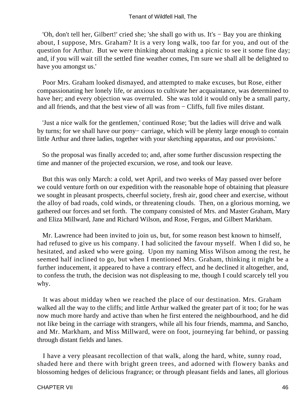'Oh, don't tell her, Gilbert!' cried she; 'she shall go with us. It's − Bay you are thinking about, I suppose, Mrs. Graham? It is a very long walk, too far for you, and out of the question for Arthur. But we were thinking about making a picnic to see it some fine day; and, if you will wait till the settled fine weather comes, I'm sure we shall all be delighted to have you amongst us.'

 Poor Mrs. Graham looked dismayed, and attempted to make excuses, but Rose, either compassionating her lonely life, or anxious to cultivate her acquaintance, was determined to have her; and every objection was overruled. She was told it would only be a small party, and all friends, and that the best view of all was from − Cliffs, full five miles distant.

 'Just a nice walk for the gentlemen,' continued Rose; 'but the ladies will drive and walk by turns; for we shall have our pony− carriage, which will be plenty large enough to contain little Arthur and three ladies, together with your sketching apparatus, and our provisions.'

 So the proposal was finally acceded to; and, after some further discussion respecting the time and manner of the projected excursion, we rose, and took our leave.

 But this was only March: a cold, wet April, and two weeks of May passed over before we could venture forth on our expedition with the reasonable hope of obtaining that pleasure we sought in pleasant prospects, cheerful society, fresh air, good cheer and exercise, without the alloy of bad roads, cold winds, or threatening clouds. Then, on a glorious morning, we gathered our forces and set forth. The company consisted of Mrs. and Master Graham, Mary and Eliza Millward, Jane and Richard Wilson, and Rose, Fergus, and Gilbert Markham.

 Mr. Lawrence had been invited to join us, but, for some reason best known to himself, had refused to give us his company. I had solicited the favour myself. When I did so, he hesitated, and asked who were going. Upon my naming Miss Wilson among the rest, he seemed half inclined to go, but when I mentioned Mrs. Graham, thinking it might be a further inducement, it appeared to have a contrary effect, and he declined it altogether, and, to confess the truth, the decision was not displeasing to me, though I could scarcely tell you why.

 It was about midday when we reached the place of our destination. Mrs. Graham walked all the way to the cliffs; and little Arthur walked the greater part of it too; for he was now much more hardy and active than when he first entered the neighbourhood, and he did not like being in the carriage with strangers, while all his four friends, mamma, and Sancho, and Mr. Markham, and Miss Millward, were on foot, journeying far behind, or passing through distant fields and lanes.

 I have a very pleasant recollection of that walk, along the hard, white, sunny road, shaded here and there with bright green trees, and adorned with flowery banks and blossoming hedges of delicious fragrance; or through pleasant fields and lanes, all glorious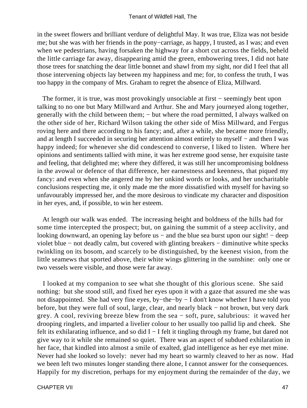in the sweet flowers and brilliant verdure of delightful May. It was true, Eliza was not beside me; but she was with her friends in the pony−carriage, as happy, I trusted, as I was; and even when we pedestrians, having forsaken the highway for a short cut across the fields, beheld the little carriage far away, disappearing amid the green, embowering trees, I did not hate those trees for snatching the dear little bonnet and shawl from my sight, nor did I feel that all those intervening objects lay between my happiness and me; for, to confess the truth, I was too happy in the company of Mrs. Graham to regret the absence of Eliza, Millward.

The former, it is true, was most provokingly unsociable at first – seemingly bent upon talking to no one but Mary Millward and Arthur. She and Mary journeyed along together, generally with the child between them; – but where the road permitted, I always walked on the other side of her, Richard Wilson taking the other side of Miss Millward, and Fergus roving here and there according to his fancy; and, after a while, she became more friendly, and at length I succeeded in securing her attention almost entirely to myself − and then I was happy indeed; for whenever she did condescend to converse, I liked to listen. Where her opinions and sentiments tallied with mine, it was her extreme good sense, her exquisite taste and feeling, that delighted me; where they differed, it was still her uncompromising boldness in the avowal or defence of that difference, her earnestness and keenness, that piqued my fancy: and even when she angered me by her unkind words or looks, and her uncharitable conclusions respecting me, it only made me the more dissatisfied with myself for having so unfavourably impressed her, and the more desirous to vindicate my character and disposition in her eyes, and, if possible, to win her esteem.

 At length our walk was ended. The increasing height and boldness of the hills had for some time intercepted the prospect; but, on gaining the summit of a steep acclivity, and looking downward, an opening lay before us − and the blue sea burst upon our sight! − deep violet blue − not deadly calm, but covered with glinting breakers − diminutive white specks twinkling on its bosom, and scarcely to be distinguished, by the keenest vision, from the little seamews that sported above, their white wings glittering in the sunshine: only one or two vessels were visible, and those were far away.

 I looked at my companion to see what she thought of this glorious scene. She said nothing: but she stood still, and fixed her eyes upon it with a gaze that assured me she was not disappointed. She had very fine eyes, by−the−by − I don't know whether I have told you before, but they were full of soul, large, clear, and nearly black − not brown, but very dark grey. A cool, reviving breeze blew from the sea − soft, pure, salubrious: it waved her drooping ringlets, and imparted a livelier colour to her usually too pallid lip and cheek. She felt its exhilarating influence, and so did I − I felt it tingling through my frame, but dared not give way to it while she remained so quiet. There was an aspect of subdued exhilaration in her face, that kindled into almost a smile of exalted, glad intelligence as her eye met mine. Never had she looked so lovely: never had my heart so warmly cleaved to her as now. Had we been left two minutes longer standing there alone, I cannot answer for the consequences. Happily for my discretion, perhaps for my enjoyment during the remainder of the day, we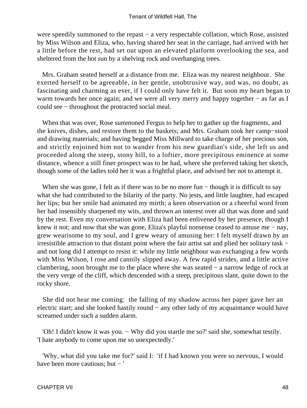were speedily summoned to the repast − a very respectable collation, which Rose, assisted by Miss Wilson and Eliza, who, having shared her seat in the carriage, had arrived with her a little before the rest, had set out upon an elevated platform overlooking the sea, and sheltered from the hot sun by a shelving rock and overhanging trees.

 Mrs. Graham seated herself at a distance from me. Eliza was my nearest neighbour. She exerted herself to be agreeable, in her gentle, unobtrusive way, and was, no doubt, as fascinating and charming as ever, if I could only have felt it. But soon my heart began to warm towards her once again; and we were all very merry and happy together − as far as I could see − throughout the protracted social meal.

 When that was over, Rose summoned Fergus to help her to gather up the fragments, and the knives, dishes, and restore them to the baskets; and Mrs. Graham took her camp−stool and drawing materials; and having begged Miss Millward to take charge of her precious son, and strictly enjoined him not to wander from his new guardian's side, she left us and proceeded along the steep, stony hill, to a loftier, more precipitous eminence at some distance, whence a still finer prospect was to be had, where she preferred taking her sketch, though some of the ladies told her it was a frightful place, and advised her not to attempt it.

When she was gone, I felt as if there was to be no more fun – though it is difficult to say what she had contributed to the hilarity of the party. No jests, and little laughter, had escaped her lips; but her smile had animated my mirth; a keen observation or a cheerful word from her had insensibly sharpened my wits, and thrown an interest over all that was done and said by the rest. Even my conversation with Eliza had been enlivened by her presence, though I knew it not; and now that she was gone, Eliza's playful nonsense ceased to amuse me − nay, grew wearisome to my soul, and I grew weary of amusing her: I felt myself drawn by an irresistible attraction to that distant point where the fair artist sat and plied her solitary task − and not long did I attempt to resist it: while my little neighbour was exchanging a few words with Miss Wilson, I rose and cannily slipped away. A few rapid strides, and a little active clambering, soon brought me to the place where she was seated − a narrow ledge of rock at the very verge of the cliff, which descended with a steep, precipitous slant, quite down to the rocky shore.

 She did not hear me coming: the falling of my shadow across her paper gave her an electric start; and she looked hastily round − any other lady of my acquaintance would have screamed under such a sudden alarm.

 'Oh! I didn't know it was you. − Why did you startle me so?' said she, somewhat testily. 'I hate anybody to come upon me so unexpectedly.'

 'Why, what did you take me for?' said I: 'if I had known you were so nervous, I would have been more cautious; but − '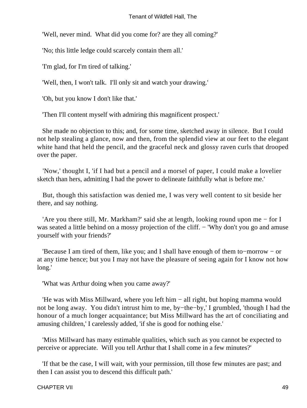'Well, never mind. What did you come for? are they all coming?'

'No; this little ledge could scarcely contain them all.'

'I'm glad, for I'm tired of talking.'

'Well, then, I won't talk. I'll only sit and watch your drawing.'

'Oh, but you know I don't like that.'

'Then I'll content myself with admiring this magnificent prospect.'

 She made no objection to this; and, for some time, sketched away in silence. But I could not help stealing a glance, now and then, from the splendid view at our feet to the elegant white hand that held the pencil, and the graceful neck and glossy raven curls that drooped over the paper.

 'Now,' thought I, 'if I had but a pencil and a morsel of paper, I could make a lovelier sketch than hers, admitting I had the power to delineate faithfully what is before me.'

 But, though this satisfaction was denied me, I was very well content to sit beside her there, and say nothing.

 'Are you there still, Mr. Markham?' said she at length, looking round upon me − for I was seated a little behind on a mossy projection of the cliff. − 'Why don't you go and amuse yourself with your friends?'

 'Because I am tired of them, like you; and I shall have enough of them to−morrow − or at any time hence; but you I may not have the pleasure of seeing again for I know not how long.'

'What was Arthur doing when you came away?'

 'He was with Miss Millward, where you left him − all right, but hoping mamma would not be long away. You didn't intrust him to me, by−the−by,' I grumbled, 'though I had the honour of a much longer acquaintance; but Miss Millward has the art of conciliating and amusing children,' I carelessly added, 'if she is good for nothing else.'

 'Miss Millward has many estimable qualities, which such as you cannot be expected to perceive or appreciate. Will you tell Arthur that I shall come in a few minutes?'

 'If that be the case, I will wait, with your permission, till those few minutes are past; and then I can assist you to descend this difficult path.'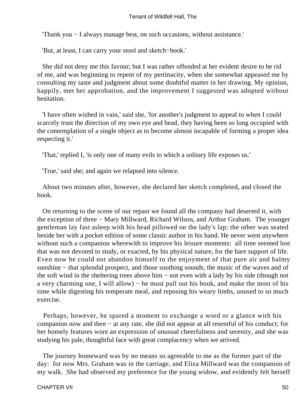'Thank you − I always manage best, on such occasions, without assistance.'

'But, at least, I can carry your stool and sketch−book.'

 She did not deny me this favour; but I was rather offended at her evident desire to be rid of me, and was beginning to repent of my pertinacity, when she somewhat appeased me by consulting my taste and judgment about some doubtful matter in her drawing. My opinion, happily, met her approbation, and the improvement I suggested was adopted without hesitation.

 'I have often wished in vain,' said she, 'for another's judgment to appeal to when I could scarcely trust the direction of my own eye and head, they having been so long occupied with the contemplation of a single object as to become almost incapable of forming a proper idea respecting it.'

'That,' replied I, 'is only one of many evils to which a solitary life exposes us.'

'True,' said she; and again we relapsed into silence.

 About two minutes after, however, she declared her sketch completed, and closed the book.

 On returning to the scene of our repast we found all the company had deserted it, with the exception of three − Mary Millward, Richard Wilson, and Arthur Graham. The younger gentleman lay fast asleep with his head pillowed on the lady's lap; the other was seated beside her with a pocket edition of some classic author in his hand. He never went anywhere without such a companion wherewith to improve his leisure moments: all time seemed lost that was not devoted to study, or exacted, by his physical nature, for the bare support of life. Even now he could not abandon himself to the enjoyment of that pure air and balmy sunshine – that splendid prospect, and those soothing sounds, the music of the waves and of the soft wind in the sheltering trees above him − not even with a lady by his side (though not a very charming one, I will allow) – he must pull out his book, and make the most of his time while digesting his temperate meal, and reposing his weary limbs, unused to so much exercise.

 Perhaps, however, he spared a moment to exchange a word or a glance with his companion now and then − at any rate, she did not appear at all resentful of his conduct; for her homely features wore an expression of unusual cheerfulness and serenity, and she was studying his pale, thoughtful face with great complacency when we arrived.

 The journey homeward was by no means so agreeable to me as the former part of the day: for now Mrs. Graham was in the carriage, and Eliza Millward was the companion of my walk. She had observed my preference for the young widow, and evidently felt herself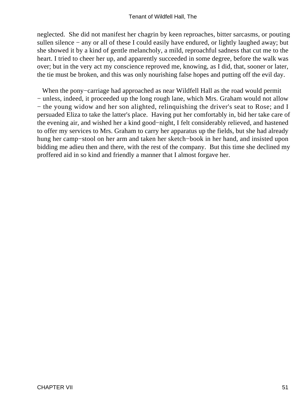neglected. She did not manifest her chagrin by keen reproaches, bitter sarcasms, or pouting sullen silence – any or all of these I could easily have endured, or lightly laughed away; but she showed it by a kind of gentle melancholy, a mild, reproachful sadness that cut me to the heart. I tried to cheer her up, and apparently succeeded in some degree, before the walk was over; but in the very act my conscience reproved me, knowing, as I did, that, sooner or later, the tie must be broken, and this was only nourishing false hopes and putting off the evil day.

 When the pony−carriage had approached as near Wildfell Hall as the road would permit − unless, indeed, it proceeded up the long rough lane, which Mrs. Graham would not allow − the young widow and her son alighted, relinquishing the driver's seat to Rose; and I persuaded Eliza to take the latter's place. Having put her comfortably in, bid her take care of the evening air, and wished her a kind good−night, I felt considerably relieved, and hastened to offer my services to Mrs. Graham to carry her apparatus up the fields, but she had already hung her camp−stool on her arm and taken her sketch−book in her hand, and insisted upon bidding me adieu then and there, with the rest of the company. But this time she declined my proffered aid in so kind and friendly a manner that I almost forgave her.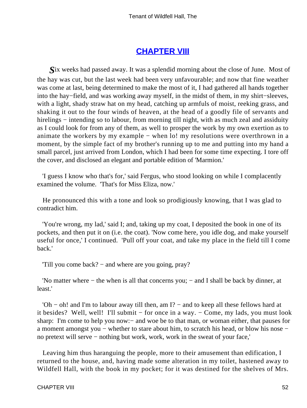### **[CHAPTER VIII](#page-378-0)**

*S*ix weeks had passed away. It was a splendid morning about the close of June. Most of the hay was cut, but the last week had been very unfavourable; and now that fine weather was come at last, being determined to make the most of it, I had gathered all hands together into the hay−field, and was working away myself, in the midst of them, in my shirt−sleeves, with a light, shady straw hat on my head, catching up armfuls of moist, reeking grass, and shaking it out to the four winds of heaven, at the head of a goodly file of servants and hirelings – intending so to labour, from morning till night, with as much zeal and assiduity as I could look for from any of them, as well to prosper the work by my own exertion as to animate the workers by my example − when lo! my resolutions were overthrown in a moment, by the simple fact of my brother's running up to me and putting into my hand a small parcel, just arrived from London, which I had been for some time expecting. I tore off the cover, and disclosed an elegant and portable edition of 'Marmion.'

 'I guess I know who that's for,' said Fergus, who stood looking on while I complacently examined the volume. 'That's for Miss Eliza, now.'

 He pronounced this with a tone and look so prodigiously knowing, that I was glad to contradict him.

 'You're wrong, my lad,' said I; and, taking up my coat, I deposited the book in one of its pockets, and then put it on (i.e. the coat). 'Now come here, you idle dog, and make yourself useful for once,' I continued. 'Pull off your coat, and take my place in the field till I come back.'

'Till you come back? − and where are you going, pray?

 'No matter where − the when is all that concerns you; − and I shall be back by dinner, at least.'

 'Oh − oh! and I'm to labour away till then, am I? − and to keep all these fellows hard at it besides? Well, well! I'll submit − for once in a way. − Come, my lads, you must look sharp: I'm come to help you now:– and woe be to that man, or woman either, that pauses for a moment amongst you − whether to stare about him, to scratch his head, or blow his nose − no pretext will serve − nothing but work, work, work in the sweat of your face,'

 Leaving him thus haranguing the people, more to their amusement than edification, I returned to the house, and, having made some alteration in my toilet, hastened away to Wildfell Hall, with the book in my pocket; for it was destined for the shelves of Mrs.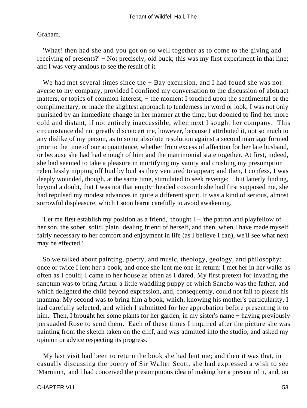#### Graham.

 'What! then had she and you got on so well together as to come to the giving and receiving of presents?' − Not precisely, old buck; this was my first experiment in that line; and I was very anxious to see the result of it.

 We had met several times since the − Bay excursion, and I had found she was not averse to my company, provided I confined my conversation to the discussion of abstract matters, or topics of common interest; – the moment I touched upon the sentimental or the complimentary, or made the slightest approach to tenderness in word or look, I was not only punished by an immediate change in her manner at the time, but doomed to find her more cold and distant, if not entirely inaccessible, when next I sought her company. This circumstance did not greatly disconcert me, however, because I attributed it, not so much to any dislike of my person, as to some absolute resolution against a second marriage formed prior to the time of our acquaintance, whether from excess of affection for her late husband, or because she had had enough of him and the matrimonial state together. At first, indeed, she had seemed to take a pleasure in mortifying my vanity and crushing my presumption − relentlessly nipping off bud by bud as they ventured to appear; and then, I confess, I was deeply wounded, though, at the same time, stimulated to seek revenge; – but latterly finding, beyond a doubt, that I was not that empty−headed coxcomb she had first supposed me, she had repulsed my modest advances in quite a different spirit. It was a kind of serious, almost sorrowful displeasure, which I soon learnt carefully to avoid awakening.

 'Let me first establish my position as a friend,' thought I − 'the patron and playfellow of her son, the sober, solid, plain−dealing friend of herself, and then, when I have made myself fairly necessary to her comfort and enjoyment in life (as I believe I can), we'll see what next may be effected.'

 So we talked about painting, poetry, and music, theology, geology, and philosophy: once or twice I lent her a book, and once she lent me one in return: I met her in her walks as often as I could; I came to her house as often as I dared. My first pretext for invading the sanctum was to bring Arthur a little waddling puppy of which Sancho was the father, and which delighted the child beyond expression, and, consequently, could not fail to please his mamma. My second was to bring him a book, which, knowing his mother's particularity, I had carefully selected, and which I submitted for her approbation before presenting it to him. Then, I brought her some plants for her garden, in my sister's name − having previously persuaded Rose to send them. Each of these times I inquired after the picture she was painting from the sketch taken on the cliff, and was admitted into the studio, and asked my opinion or advice respecting its progress.

 My last visit had been to return the book she had lent me; and then it was that, in casually discussing the poetry of Sir Walter Scott, she had expressed a wish to see 'Marmion,' and I had conceived the presumptuous idea of making her a present of it, and, on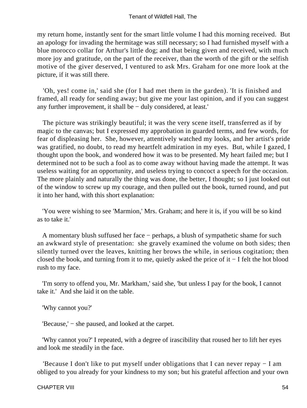my return home, instantly sent for the smart little volume I had this morning received. But an apology for invading the hermitage was still necessary; so I had furnished myself with a blue morocco collar for Arthur's little dog; and that being given and received, with much more joy and gratitude, on the part of the receiver, than the worth of the gift or the selfish motive of the giver deserved, I ventured to ask Mrs. Graham for one more look at the picture, if it was still there.

 'Oh, yes! come in,' said she (for I had met them in the garden). 'It is finished and framed, all ready for sending away; but give me your last opinion, and if you can suggest any further improvement, it shall be − duly considered, at least.'

 The picture was strikingly beautiful; it was the very scene itself, transferred as if by magic to the canvas; but I expressed my approbation in guarded terms, and few words, for fear of displeasing her. She, however, attentively watched my looks, and her artist's pride was gratified, no doubt, to read my heartfelt admiration in my eyes. But, while I gazed, I thought upon the book, and wondered how it was to be presented. My heart failed me; but I determined not to be such a fool as to come away without having made the attempt. It was useless waiting for an opportunity, and useless trying to concoct a speech for the occasion. The more plainly and naturally the thing was done, the better, I thought; so I just looked out of the window to screw up my courage, and then pulled out the book, turned round, and put it into her hand, with this short explanation:

 'You were wishing to see 'Marmion,' Mrs. Graham; and here it is, if you will be so kind as to take it.'

 A momentary blush suffused her face − perhaps, a blush of sympathetic shame for such an awkward style of presentation: she gravely examined the volume on both sides; then silently turned over the leaves, knitting her brows the while, in serious cogitation; then closed the book, and turning from it to me, quietly asked the price of it − I felt the hot blood rush to my face.

 'I'm sorry to offend you, Mr. Markham,' said she, 'but unless I pay for the book, I cannot take it.' And she laid it on the table.

'Why cannot you?'

'Because,' − she paused, and looked at the carpet.

 'Why cannot you?' I repeated, with a degree of irascibility that roused her to lift her eyes and look me steadily in the face.

 'Because I don't like to put myself under obligations that I can never repay − I am obliged to you already for your kindness to my son; but his grateful affection and your own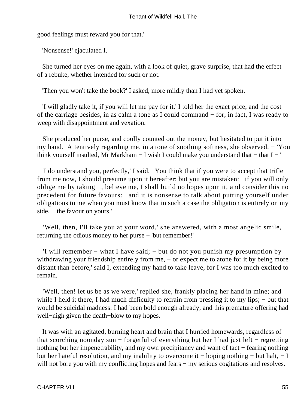good feelings must reward you for that.'

'Nonsense!' ejaculated I.

 She turned her eyes on me again, with a look of quiet, grave surprise, that had the effect of a rebuke, whether intended for such or not.

'Then you won't take the book?' I asked, more mildly than I had yet spoken.

 'I will gladly take it, if you will let me pay for it.' I told her the exact price, and the cost of the carriage besides, in as calm a tone as I could command − for, in fact, I was ready to weep with disappointment and vexation.

 She produced her purse, and coolly counted out the money, but hesitated to put it into my hand. Attentively regarding me, in a tone of soothing softness, she observed, − 'You think yourself insulted, Mr Markham − I wish I could make you understand that − that I − '

 'I do understand you, perfectly,' I said. 'You think that if you were to accept that trifle from me now, I should presume upon it hereafter; but you are mistaken:− if you will only oblige me by taking it, believe me, I shall build no hopes upon it, and consider this no precedent for future favours: – and it is nonsense to talk about putting yourself under obligations to me when you must know that in such a case the obligation is entirely on my side, – the favour on yours.'

 'Well, then, I'll take you at your word,' she answered, with a most angelic smile, returning the odious money to her purse − 'but remember!'

 'I will remember − what I have said; − but do not you punish my presumption by withdrawing your friendship entirely from me, – or expect me to atone for it by being more distant than before,' said I, extending my hand to take leave, for I was too much excited to remain.

 'Well, then! let us be as we were,' replied she, frankly placing her hand in mine; and while I held it there, I had much difficulty to refrain from pressing it to my lips; – but that would be suicidal madness: I had been bold enough already, and this premature offering had well−nigh given the death−blow to my hopes.

 It was with an agitated, burning heart and brain that I hurried homewards, regardless of that scorching noonday sun − forgetful of everything but her I had just left − regretting nothing but her impenetrability, and my own precipitancy and want of tact – fearing nothing but her hateful resolution, and my inability to overcome it − hoping nothing − but halt, − I will not bore you with my conflicting hopes and fears – my serious cogitations and resolves.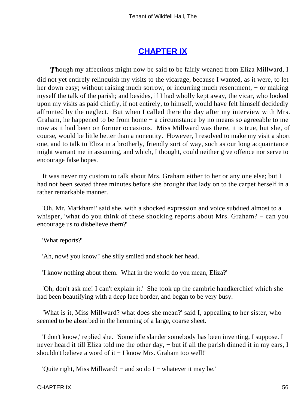## **[CHAPTER IX](#page-378-0)**

**Though my affections might now be said to be fairly weaned from Eliza Millward, I** did not yet entirely relinquish my visits to the vicarage, because I wanted, as it were, to let her down easy; without raising much sorrow, or incurring much resentment, – or making myself the talk of the parish; and besides, if I had wholly kept away, the vicar, who looked upon my visits as paid chiefly, if not entirely, to himself, would have felt himself decidedly affronted by the neglect. But when I called there the day after my interview with Mrs. Graham, he happened to be from home − a circumstance by no means so agreeable to me now as it had been on former occasions. Miss Millward was there, it is true, but she, of course, would be little better than a nonentity. However, I resolved to make my visit a short one, and to talk to Eliza in a brotherly, friendly sort of way, such as our long acquaintance might warrant me in assuming, and which, I thought, could neither give offence nor serve to encourage false hopes.

 It was never my custom to talk about Mrs. Graham either to her or any one else; but I had not been seated three minutes before she brought that lady on to the carpet herself in a rather remarkable manner.

 'Oh, Mr. Markham!' said she, with a shocked expression and voice subdued almost to a whisper, 'what do you think of these shocking reports about Mrs. Graham? – can you encourage us to disbelieve them?'

'What reports?'

'Ah, now! you know!' she slily smiled and shook her head.

'I know nothing about them. What in the world do you mean, Eliza?'

 'Oh, don't ask me! I can't explain it.' She took up the cambric handkerchief which she had been beautifying with a deep lace border, and began to be very busy.

 'What is it, Miss Millward? what does she mean?' said I, appealing to her sister, who seemed to be absorbed in the hemming of a large, coarse sheet.

 'I don't know,' replied she. 'Some idle slander somebody has been inventing, I suppose. I never heard it till Eliza told me the other day, – but if all the parish dinned it in my ears, I shouldn't believe a word of it − I know Mrs. Graham too well!'

'Quite right, Miss Millward! − and so do I − whatever it may be.'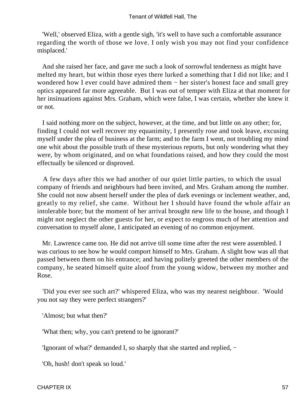'Well,' observed Eliza, with a gentle sigh, 'it's well to have such a comfortable assurance regarding the worth of those we love. I only wish you may not find your confidence misplaced.'

 And she raised her face, and gave me such a look of sorrowful tenderness as might have melted my heart, but within those eyes there lurked a something that I did not like; and I wondered how I ever could have admired them − her sister's honest face and small grey optics appeared far more agreeable. But I was out of temper with Eliza at that moment for her insinuations against Mrs. Graham, which were false, I was certain, whether she knew it or not.

 I said nothing more on the subject, however, at the time, and but little on any other; for, finding I could not well recover my equanimity, I presently rose and took leave, excusing myself under the plea of business at the farm; and to the farm I went, not troubling my mind one whit about the possible truth of these mysterious reports, but only wondering what they were, by whom originated, and on what foundations raised, and how they could the most effectually be silenced or disproved.

 A few days after this we had another of our quiet little parties, to which the usual company of friends and neighbours had been invited, and Mrs. Graham among the number. She could not now absent herself under the plea of dark evenings or inclement weather, and, greatly to my relief, she came. Without her I should have found the whole affair an intolerable bore; but the moment of her arrival brought new life to the house, and though I might not neglect the other guests for her, or expect to engross much of her attention and conversation to myself alone, I anticipated an evening of no common enjoyment.

 Mr. Lawrence came too. He did not arrive till some time after the rest were assembled. I was curious to see how he would comport himself to Mrs. Graham. A slight bow was all that passed between them on his entrance; and having politely greeted the other members of the company, he seated himself quite aloof from the young widow, between my mother and Rose.

 'Did you ever see such art?' whispered Eliza, who was my nearest neighbour. 'Would you not say they were perfect strangers?'

'Almost; but what then?'

'What then; why, you can't pretend to be ignorant?'

'Ignorant of what?' demanded I, so sharply that she started and replied, −

'Oh, hush! don't speak so loud.'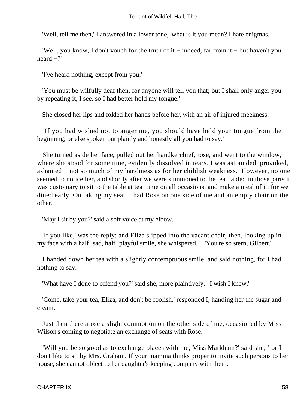'Well, tell me then,' I answered in a lower tone, 'what is it you mean? I hate enigmas.'

 'Well, you know, I don't vouch for the truth of it − indeed, far from it − but haven't you heard −?'

'I've heard nothing, except from you.'

 'You must be wilfully deaf then, for anyone will tell you that; but I shall only anger you by repeating it, I see, so I had better hold my tongue.'

She closed her lips and folded her hands before her, with an air of injured meekness.

 'If you had wished not to anger me, you should have held your tongue from the beginning, or else spoken out plainly and honestly all you had to say.'

 She turned aside her face, pulled out her handkerchief, rose, and went to the window, where she stood for some time, evidently dissolved in tears. I was astounded, provoked, ashamed − not so much of my harshness as for her childish weakness. However, no one seemed to notice her, and shortly after we were summoned to the tea−table: in those parts it was customary to sit to the table at tea−time on all occasions, and make a meal of it, for we dined early. On taking my seat, I had Rose on one side of me and an empty chair on the other.

'May I sit by you?' said a soft voice at my elbow.

 'If you like,' was the reply; and Eliza slipped into the vacant chair; then, looking up in my face with a half−sad, half−playful smile, she whispered, − 'You're so stern, Gilbert.'

 I handed down her tea with a slightly contemptuous smile, and said nothing, for I had nothing to say.

'What have I done to offend you?' said she, more plaintively. 'I wish I knew.'

 'Come, take your tea, Eliza, and don't be foolish,' responded I, handing her the sugar and cream.

 Just then there arose a slight commotion on the other side of me, occasioned by Miss Wilson's coming to negotiate an exchange of seats with Rose.

 'Will you be so good as to exchange places with me, Miss Markham?' said she; 'for I don't like to sit by Mrs. Graham. If your mamma thinks proper to invite such persons to her house, she cannot object to her daughter's keeping company with them.'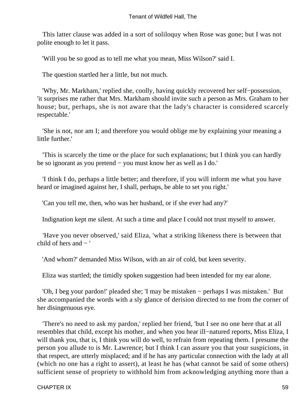This latter clause was added in a sort of soliloquy when Rose was gone; but I was not polite enough to let it pass.

'Will you be so good as to tell me what you mean, Miss Wilson?' said I.

The question startled her a little, but not much.

 'Why, Mr. Markham,' replied she, coolly, having quickly recovered her self−possession, 'it surprises me rather that Mrs. Markham should invite such a person as Mrs. Graham to her house; but, perhaps, she is not aware that the lady's character is considered scarcely respectable.'

 'She is not, nor am I; and therefore you would oblige me by explaining your meaning a little further.'

 'This is scarcely the time or the place for such explanations; but I think you can hardly be so ignorant as you pretend − you must know her as well as I do.'

 'I think I do, perhaps a little better; and therefore, if you will inform me what you have heard or imagined against her, I shall, perhaps, be able to set you right.'

'Can you tell me, then, who was her husband, or if she ever had any?'

Indignation kept me silent. At such a time and place I could not trust myself to answer.

 'Have you never observed,' said Eliza, 'what a striking likeness there is between that child of hers and  $-$ '

'And whom?' demanded Miss Wilson, with an air of cold, but keen severity.

Eliza was startled; the timidly spoken suggestion had been intended for my ear alone.

 'Oh, I beg your pardon!' pleaded she; 'I may be mistaken − perhaps I was mistaken.' But she accompanied the words with a sly glance of derision directed to me from the corner of her disingenuous eye.

 'There's no need to ask my pardon,' replied her friend, 'but I see no one here that at all resembles that child, except his mother, and when you hear ill−natured reports, Miss Eliza, I will thank you, that is, I think you will do well, to refrain from repeating them. I presume the person you allude to is Mr. Lawrence; but I think I can assure you that your suspicions, in that respect, are utterly misplaced; and if he has any particular connection with the lady at all (which no one has a right to assert), at least he has (what cannot be said of some others) sufficient sense of propriety to withhold him from acknowledging anything more than a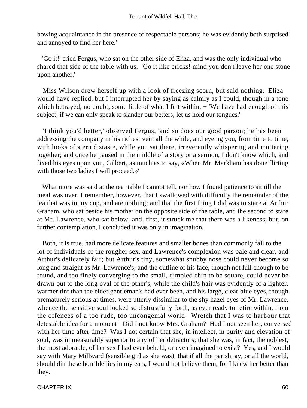bowing acquaintance in the presence of respectable persons; he was evidently both surprised and annoyed to find her here.'

 'Go it!' cried Fergus, who sat on the other side of Eliza, and was the only individual who shared that side of the table with us. 'Go it like bricks! mind you don't leave her one stone upon another.'

 Miss Wilson drew herself up with a look of freezing scorn, but said nothing. Eliza would have replied, but I interrupted her by saying as calmly as I could, though in a tone which betrayed, no doubt, some little of what I felt within, − 'We have had enough of this subject; if we can only speak to slander our betters, let us hold our tongues.'

 'I think you'd better,' observed Fergus, 'and so does our good parson; he has been addressing the company in his richest vein all the while, and eyeing you, from time to time, with looks of stern distaste, while you sat there, irreverently whispering and muttering together; and once he paused in the middle of a story or a sermon, I don't know which, and fixed his eyes upon you, Gilbert, as much as to say, «When Mr. Markham has done flirting with those two ladies I will proceed.»'

 What more was said at the tea−table I cannot tell, nor how I found patience to sit till the meal was over. I remember, however, that I swallowed with difficulty the remainder of the tea that was in my cup, and ate nothing; and that the first thing I did was to stare at Arthur Graham, who sat beside his mother on the opposite side of the table, and the second to stare at Mr. Lawrence, who sat below; and, first, it struck me that there was a likeness; but, on further contemplation, I concluded it was only in imagination.

 Both, it is true, had more delicate features and smaller bones than commonly fall to the lot of individuals of the rougher sex, and Lawrence's complexion was pale and clear, and Arthur's delicately fair; but Arthur's tiny, somewhat snubby nose could never become so long and straight as Mr. Lawrence's; and the outline of his face, though not full enough to be round, and too finely converging to the small, dimpled chin to be square, could never be drawn out to the long oval of the other's, while the child's hair was evidently of a lighter, warmer tint than the elder gentleman's had ever been, and his large, clear blue eyes, though prematurely serious at times, were utterly dissimilar to the shy hazel eyes of Mr. Lawrence, whence the sensitive soul looked so distrustfully forth, as ever ready to retire within, from the offences of a too rude, too uncongenial world. Wretch that I was to harbour that detestable idea for a moment! Did I not know Mrs. Graham? Had I not seen her, conversed with her time after time? Was I not certain that she, in intellect, in purity and elevation of soul, was immeasurably superior to any of her detractors; that she was, in fact, the noblest, the most adorable, of her sex I had ever beheld, or even imagined to exist? Yes, and I would say with Mary Millward (sensible girl as she was), that if all the parish, ay, or all the world, should din these horrible lies in my ears, I would not believe them, for I knew her better than they.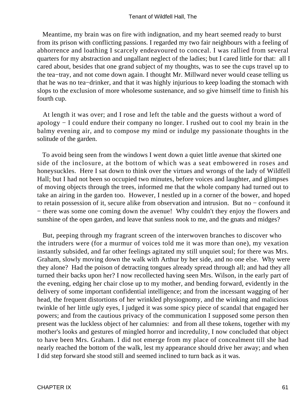Meantime, my brain was on fire with indignation, and my heart seemed ready to burst from its prison with conflicting passions. I regarded my two fair neighbours with a feeling of abhorrence and loathing I scarcely endeavoured to conceal. I was rallied from several quarters for my abstraction and ungallant neglect of the ladies; but I cared little for that: all I cared about, besides that one grand subject of my thoughts, was to see the cups travel up to the tea−tray, and not come down again. I thought Mr. Millward never would cease telling us that he was no tea−drinker, and that it was highly injurious to keep loading the stomach with slops to the exclusion of more wholesome sustenance, and so give himself time to finish his fourth cup.

 At length it was over; and I rose and left the table and the guests without a word of apology − I could endure their company no longer. I rushed out to cool my brain in the balmy evening air, and to compose my mind or indulge my passionate thoughts in the solitude of the garden.

 To avoid being seen from the windows I went down a quiet little avenue that skirted one side of the inclosure, at the bottom of which was a seat embowered in roses and honeysuckles. Here I sat down to think over the virtues and wrongs of the lady of Wildfell Hall; but I had not been so occupied two minutes, before voices and laughter, and glimpses of moving objects through the trees, informed me that the whole company had turned out to take an airing in the garden too. However, I nestled up in a corner of the bower, and hoped to retain possession of it, secure alike from observation and intrusion. But no − confound it − there was some one coming down the avenue! Why couldn't they enjoy the flowers and sunshine of the open garden, and leave that sunless nook to me, and the gnats and midges?

 But, peeping through my fragrant screen of the interwoven branches to discover who the intruders were (for a murmur of voices told me it was more than one), my vexation instantly subsided, and far other feelings agitated my still unquiet soul; for there was Mrs. Graham, slowly moving down the walk with Arthur by her side, and no one else. Why were they alone? Had the poison of detracting tongues already spread through all; and had they all turned their backs upon her? I now recollected having seen Mrs. Wilson, in the early part of the evening, edging her chair close up to my mother, and bending forward, evidently in the delivery of some important confidential intelligence; and from the incessant wagging of her head, the frequent distortions of her wrinkled physiognomy, and the winking and malicious twinkle of her little ugly eyes, I judged it was some spicy piece of scandal that engaged her powers; and from the cautious privacy of the communication I supposed some person then present was the luckless object of her calumnies: and from all these tokens, together with my mother's looks and gestures of mingled horror and incredulity, I now concluded that object to have been Mrs. Graham. I did not emerge from my place of concealment till she had nearly reached the bottom of the walk, lest my appearance should drive her away; and when I did step forward she stood still and seemed inclined to turn back as it was.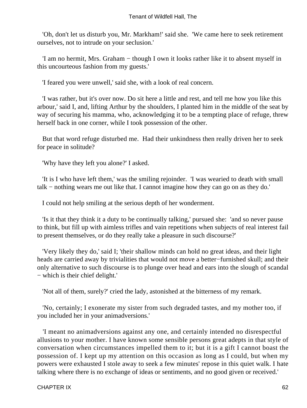'Oh, don't let us disturb you, Mr. Markham!' said she. 'We came here to seek retirement ourselves, not to intrude on your seclusion.'

 'I am no hermit, Mrs. Graham − though I own it looks rather like it to absent myself in this uncourteous fashion from my guests.'

'I feared you were unwell,' said she, with a look of real concern.

 'I was rather, but it's over now. Do sit here a little and rest, and tell me how you like this arbour,' said I, and, lifting Arthur by the shoulders, I planted him in the middle of the seat by way of securing his mamma, who, acknowledging it to be a tempting place of refuge, threw herself back in one corner, while I took possession of the other.

 But that word refuge disturbed me. Had their unkindness then really driven her to seek for peace in solitude?

'Why have they left you alone?' I asked.

 'It is I who have left them,' was the smiling rejoinder. 'I was wearied to death with small talk − nothing wears me out like that. I cannot imagine how they can go on as they do.'

I could not help smiling at the serious depth of her wonderment.

 'Is it that they think it a duty to be continually talking,' pursued she: 'and so never pause to think, but fill up with aimless trifles and vain repetitions when subjects of real interest fail to present themselves, or do they really take a pleasure in such discourse?'

 'Very likely they do,' said I; 'their shallow minds can hold no great ideas, and their light heads are carried away by trivialities that would not move a better−furnished skull; and their only alternative to such discourse is to plunge over head and ears into the slough of scandal − which is their chief delight.'

'Not all of them, surely?' cried the lady, astonished at the bitterness of my remark.

 'No, certainly; I exonerate my sister from such degraded tastes, and my mother too, if you included her in your animadversions.'

 'I meant no animadversions against any one, and certainly intended no disrespectful allusions to your mother. I have known some sensible persons great adepts in that style of conversation when circumstances impelled them to it; but it is a gift I cannot boast the possession of. I kept up my attention on this occasion as long as I could, but when my powers were exhausted I stole away to seek a few minutes' repose in this quiet walk. I hate talking where there is no exchange of ideas or sentiments, and no good given or received.'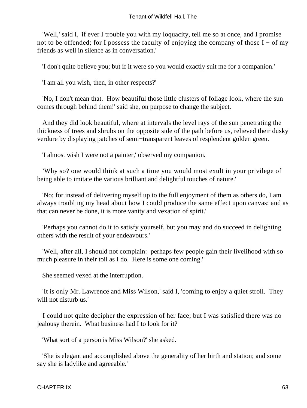'Well,' said I, 'if ever I trouble you with my loquacity, tell me so at once, and I promise not to be offended; for I possess the faculty of enjoying the company of those I – of my friends as well in silence as in conversation.'

'I don't quite believe you; but if it were so you would exactly suit me for a companion.'

'I am all you wish, then, in other respects?'

 'No, I don't mean that. How beautiful those little clusters of foliage look, where the sun comes through behind them!' said she, on purpose to change the subject.

 And they did look beautiful, where at intervals the level rays of the sun penetrating the thickness of trees and shrubs on the opposite side of the path before us, relieved their dusky verdure by displaying patches of semi−transparent leaves of resplendent golden green.

'I almost wish I were not a painter,' observed my companion.

 'Why so? one would think at such a time you would most exult in your privilege of being able to imitate the various brilliant and delightful touches of nature.'

 'No; for instead of delivering myself up to the full enjoyment of them as others do, I am always troubling my head about how I could produce the same effect upon canvas; and as that can never be done, it is more vanity and vexation of spirit.'

 'Perhaps you cannot do it to satisfy yourself, but you may and do succeed in delighting others with the result of your endeavours.'

 'Well, after all, I should not complain: perhaps few people gain their livelihood with so much pleasure in their toil as I do. Here is some one coming.'

She seemed vexed at the interruption.

 'It is only Mr. Lawrence and Miss Wilson,' said I, 'coming to enjoy a quiet stroll. They will not disturb us.'

 I could not quite decipher the expression of her face; but I was satisfied there was no jealousy therein. What business had I to look for it?

'What sort of a person is Miss Wilson?' she asked.

 'She is elegant and accomplished above the generality of her birth and station; and some say she is ladylike and agreeable.'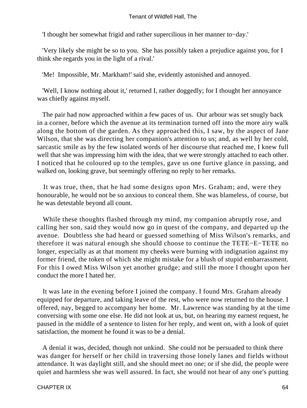'I thought her somewhat frigid and rather supercilious in her manner to−day.'

 'Very likely she might be so to you. She has possibly taken a prejudice against you, for I think she regards you in the light of a rival.'

'Me! Impossible, Mr. Markham!' said she, evidently astonished and annoyed.

 'Well, I know nothing about it,' returned I, rather doggedly; for I thought her annoyance was chiefly against myself.

 The pair had now approached within a few paces of us. Our arbour was set snugly back in a corner, before which the avenue at its termination turned off into the more airy walk along the bottom of the garden. As they approached this, I saw, by the aspect of Jane Wilson, that she was directing her companion's attention to us; and, as well by her cold, sarcastic smile as by the few isolated words of her discourse that reached me, I knew full well that she was impressing him with the idea, that we were strongly attached to each other. I noticed that he coloured up to the temples, gave us one furtive glance in passing, and walked on, looking grave, but seemingly offering no reply to her remarks.

 It was true, then, that he had some designs upon Mrs. Graham; and, were they honourable, he would not be so anxious to conceal them. She was blameless, of course, but he was detestable beyond all count.

 While these thoughts flashed through my mind, my companion abruptly rose, and calling her son, said they would now go in quest of the company, and departed up the avenue. Doubtless she had heard or guessed something of Miss Wilson's remarks, and therefore it was natural enough she should choose to continue the TETE−E−TETE no longer, especially as at that moment my cheeks were burning with indignation against my former friend, the token of which she might mistake for a blush of stupid embarrassment. For this I owed Miss Wilson yet another grudge; and still the more I thought upon her conduct the more I hated her.

 It was late in the evening before I joined the company. I found Mrs. Graham already equipped for departure, and taking leave of the rest, who were now returned to the house. I offered, nay, begged to accompany her home. Mr. Lawrence was standing by at the time conversing with some one else. He did not look at us, but, on hearing my earnest request, he paused in the middle of a sentence to listen for her reply, and went on, with a look of quiet satisfaction, the moment he found it was to be a denial.

 A denial it was, decided, though not unkind. She could not be persuaded to think there was danger for herself or her child in traversing those lonely lanes and fields without attendance. It was daylight still, and she should meet no one; or if she did, the people were quiet and harmless she was well assured. In fact, she would not hear of any one's putting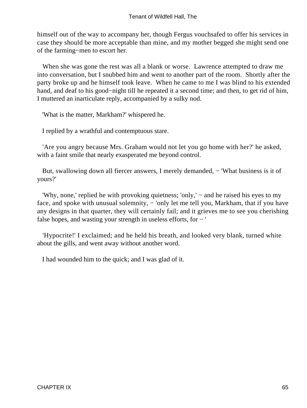himself out of the way to accompany her, though Fergus vouchsafed to offer his services in case they should be more acceptable than mine, and my mother begged she might send one of the farming−men to escort her.

 When she was gone the rest was all a blank or worse. Lawrence attempted to draw me into conversation, but I snubbed him and went to another part of the room. Shortly after the party broke up and he himself took leave. When he came to me I was blind to his extended hand, and deaf to his good−night till he repeated it a second time; and then, to get rid of him, I muttered an inarticulate reply, accompanied by a sulky nod.

'What is the matter, Markham?' whispered he.

I replied by a wrathful and contemptuous stare.

 'Are you angry because Mrs. Graham would not let you go home with her?' he asked, with a faint smile that nearly exasperated me beyond control.

But, swallowing down all fiercer answers, I merely demanded, – 'What business is it of yours?'

 'Why, none,' replied he with provoking quietness; 'only,' − and he raised his eyes to my face, and spoke with unusual solemnity, – 'only let me tell you, Markham, that if you have any designs in that quarter, they will certainly fail; and it grieves me to see you cherishing false hopes, and wasting your strength in useless efforts, for − '

 'Hypocrite!' I exclaimed; and he held his breath, and looked very blank, turned white about the gills, and went away without another word.

I had wounded him to the quick; and I was glad of it.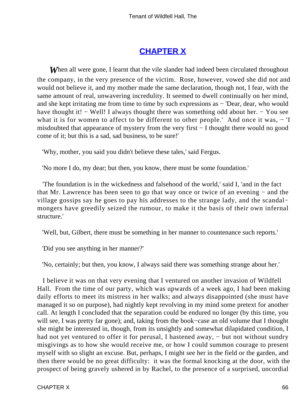# **[CHAPTER X](#page-378-0)**

**When all were gone, I learnt that the vile slander had indeed been circulated throughout** the company, in the very presence of the victim. Rose, however, vowed she did not and would not believe it, and my mother made the same declaration, though not, I fear, with the same amount of real, unwavering incredulity. It seemed to dwell continually on her mind, and she kept irritating me from time to time by such expressions as − 'Dear, dear, who would have thought it! − Well! I always thought there was something odd about her. − You see what it is for women to affect to be different to other people.' And once it was,  $-$  'I misdoubted that appearance of mystery from the very first − I thought there would no good come of it; but this is a sad, sad business, to be sure!'

'Why, mother, you said you didn't believe these tales,' said Fergus.

'No more I do, my dear; but then, you know, there must be some foundation.'

 'The foundation is in the wickedness and falsehood of the world,' said I, 'and in the fact that Mr. Lawrence has been seen to go that way once or twice of an evening − and the village gossips say he goes to pay his addresses to the strange lady, and the scandal− mongers have greedily seized the rumour, to make it the basis of their own infernal structure.'

'Well, but, Gilbert, there must be something in her manner to countenance such reports.'

'Did you see anything in her manner?'

'No, certainly; but then, you know, I always said there was something strange about her.'

 I believe it was on that very evening that I ventured on another invasion of Wildfell Hall. From the time of our party, which was upwards of a week ago, I had been making daily efforts to meet its mistress in her walks; and always disappointed (she must have managed it so on purpose), had nightly kept revolving in my mind some pretext for another call. At length I concluded that the separation could be endured no longer (by this time, you will see, I was pretty far gone); and, taking from the book−case an old volume that I thought she might be interested in, though, from its unsightly and somewhat dilapidated condition, I had not yet ventured to offer it for perusal, I hastened away, – but not without sundry misgivings as to how she would receive me, or how I could summon courage to present myself with so slight an excuse. But, perhaps, I might see her in the field or the garden, and then there would be no great difficulty: it was the formal knocking at the door, with the prospect of being gravely ushered in by Rachel, to the presence of a surprised, uncordial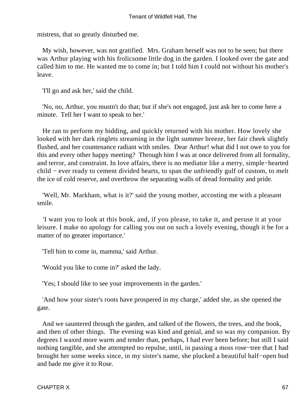mistress, that so greatly disturbed me.

 My wish, however, was not gratified. Mrs. Graham herself was not to be seen; but there was Arthur playing with his frolicsome little dog in the garden. I looked over the gate and called him to me. He wanted me to come in; but I told him I could not without his mother's leave.

'I'll go and ask her,' said the child.

 'No, no, Arthur, you mustn't do that; but if she's not engaged, just ask her to come here a minute. Tell her I want to speak to her.'

 He ran to perform my bidding, and quickly returned with his mother. How lovely she looked with her dark ringlets streaming in the light summer breeze, her fair cheek slightly flushed, and her countenance radiant with smiles. Dear Arthur! what did I not owe to you for this and every other happy meeting? Through him I was at once delivered from all formality, and terror, and constraint. In love affairs, there is no mediator like a merry, simple−hearted child − ever ready to cement divided hearts, to span the unfriendly gulf of custom, to melt the ice of cold reserve, and overthrow the separating walls of dread formality and pride.

 'Well, Mr. Markham, what is it?' said the young mother, accosting me with a pleasant smile.

 'I want you to look at this book, and, if you please, to take it, and peruse it at your leisure. I make no apology for calling you out on such a lovely evening, though it be for a matter of no greater importance.'

'Tell him to come in, mamma,' said Arthur.

'Would you like to come in?' asked the lady.

'Yes; I should like to see your improvements in the garden.'

 'And how your sister's roots have prospered in my charge,' added she, as she opened the gate.

 And we sauntered through the garden, and talked of the flowers, the trees, and the book, and then of other things. The evening was kind and genial, and so was my companion. By degrees I waxed more warm and tender than, perhaps, I had ever been before; but still I said nothing tangible, and she attempted no repulse, until, in passing a moss rose−tree that I had brought her some weeks since, in my sister's name, she plucked a beautiful half−open bud and bade me give it to Rose.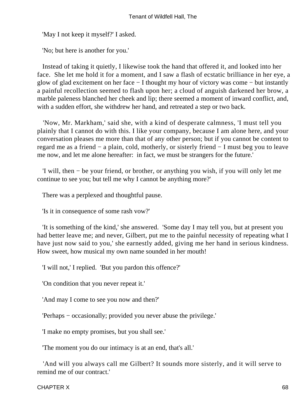'May I not keep it myself?' I asked.

'No; but here is another for you.'

 Instead of taking it quietly, I likewise took the hand that offered it, and looked into her face. She let me hold it for a moment, and I saw a flash of ecstatic brilliance in her eye, a glow of glad excitement on her face − I thought my hour of victory was come − but instantly a painful recollection seemed to flash upon her; a cloud of anguish darkened her brow, a marble paleness blanched her cheek and lip; there seemed a moment of inward conflict, and, with a sudden effort, she withdrew her hand, and retreated a step or two back.

 'Now, Mr. Markham,' said she, with a kind of desperate calmness, 'I must tell you plainly that I cannot do with this. I like your company, because I am alone here, and your conversation pleases me more than that of any other person; but if you cannot be content to regard me as a friend − a plain, cold, motherly, or sisterly friend − I must beg you to leave me now, and let me alone hereafter: in fact, we must be strangers for the future.'

 'I will, then − be your friend, or brother, or anything you wish, if you will only let me continue to see you; but tell me why I cannot be anything more?'

There was a perplexed and thoughtful pause.

'Is it in consequence of some rash vow?'

 'It is something of the kind,' she answered. 'Some day I may tell you, but at present you had better leave me; and never, Gilbert, put me to the painful necessity of repeating what I have just now said to you,' she earnestly added, giving me her hand in serious kindness. How sweet, how musical my own name sounded in her mouth!

'I will not,' I replied. 'But you pardon this offence?'

'On condition that you never repeat it.'

'And may I come to see you now and then?'

'Perhaps − occasionally; provided you never abuse the privilege.'

'I make no empty promises, but you shall see.'

'The moment you do our intimacy is at an end, that's all.'

 'And will you always call me Gilbert? It sounds more sisterly, and it will serve to remind me of our contract.'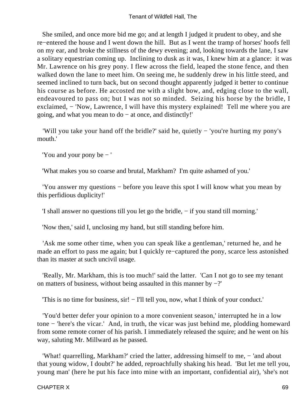She smiled, and once more bid me go; and at length I judged it prudent to obey, and she re−entered the house and I went down the hill. But as I went the tramp of horses' hoofs fell on my ear, and broke the stillness of the dewy evening; and, looking towards the lane, I saw a solitary equestrian coming up. Inclining to dusk as it was, I knew him at a glance: it was Mr. Lawrence on his grey pony. I flew across the field, leaped the stone fence, and then walked down the lane to meet him. On seeing me, he suddenly drew in his little steed, and seemed inclined to turn back, but on second thought apparently judged it better to continue his course as before. He accosted me with a slight bow, and, edging close to the wall, endeavoured to pass on; but I was not so minded. Seizing his horse by the bridle, I exclaimed, – 'Now, Lawrence, I will have this mystery explained! Tell me where you are going, and what you mean to do − at once, and distinctly!'

 'Will you take your hand off the bridle?' said he, quietly − 'you're hurting my pony's mouth.'

'You and your pony be − '

'What makes you so coarse and brutal, Markham? I'm quite ashamed of you.'

 'You answer my questions − before you leave this spot I will know what you mean by this perfidious duplicity!'

'I shall answer no questions till you let go the bridle, − if you stand till morning.'

'Now then,' said I, unclosing my hand, but still standing before him.

 'Ask me some other time, when you can speak like a gentleman,' returned he, and he made an effort to pass me again; but I quickly re−captured the pony, scarce less astonished than its master at such uncivil usage.

 'Really, Mr. Markham, this is too much!' said the latter. 'Can I not go to see my tenant on matters of business, without being assaulted in this manner by −?'

'This is no time for business, sir! − I'll tell you, now, what I think of your conduct.'

 'You'd better defer your opinion to a more convenient season,' interrupted he in a low tone − 'here's the vicar.' And, in truth, the vicar was just behind me, plodding homeward from some remote corner of his parish. I immediately released the squire; and he went on his way, saluting Mr. Millward as he passed.

 'What! quarrelling, Markham?' cried the latter, addressing himself to me, − 'and about that young widow, I doubt?' he added, reproachfully shaking his head. 'But let me tell you, young man' (here he put his face into mine with an important, confidential air), 'she's not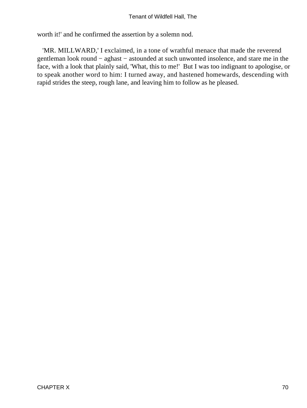worth it!' and he confirmed the assertion by a solemn nod.

 'MR. MILLWARD,' I exclaimed, in a tone of wrathful menace that made the reverend gentleman look round – aghast – astounded at such unwonted insolence, and stare me in the face, with a look that plainly said, 'What, this to me!' But I was too indignant to apologise, or to speak another word to him: I turned away, and hastened homewards, descending with rapid strides the steep, rough lane, and leaving him to follow as he pleased.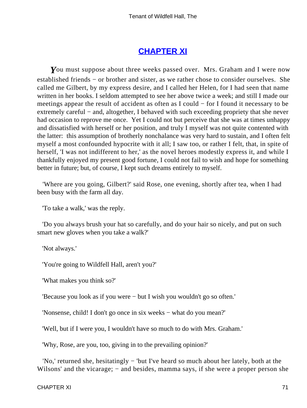### **[CHAPTER XI](#page-378-0)**

You must suppose about three weeks passed over. Mrs. Graham and I were now established friends − or brother and sister, as we rather chose to consider ourselves. She called me Gilbert, by my express desire, and I called her Helen, for I had seen that name written in her books. I seldom attempted to see her above twice a week; and still I made our meetings appear the result of accident as often as I could − for I found it necessary to be extremely careful – and, altogether, I behaved with such exceeding propriety that she never had occasion to reprove me once. Yet I could not but perceive that she was at times unhappy and dissatisfied with herself or her position, and truly I myself was not quite contented with the latter: this assumption of brotherly nonchalance was very hard to sustain, and I often felt myself a most confounded hypocrite with it all; I saw too, or rather I felt, that, in spite of herself, 'I was not indifferent to her,' as the novel heroes modestly express it, and while I thankfully enjoyed my present good fortune, I could not fail to wish and hope for something better in future; but, of course, I kept such dreams entirely to myself.

 'Where are you going, Gilbert?' said Rose, one evening, shortly after tea, when I had been busy with the farm all day.

'To take a walk,' was the reply.

 'Do you always brush your hat so carefully, and do your hair so nicely, and put on such smart new gloves when you take a walk?'

'Not always.'

'You're going to Wildfell Hall, aren't you?'

'What makes you think so?'

'Because you look as if you were − but I wish you wouldn't go so often.'

'Nonsense, child! I don't go once in six weeks − what do you mean?'

'Well, but if I were you, I wouldn't have so much to do with Mrs. Graham.'

'Why, Rose, are you, too, giving in to the prevailing opinion?'

 'No,' returned she, hesitatingly − 'but I've heard so much about her lately, both at the Wilsons' and the vicarage; – and besides, mamma says, if she were a proper person she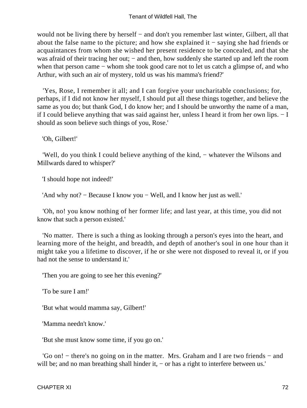would not be living there by herself − and don't you remember last winter, Gilbert, all that about the false name to the picture; and how she explained it − saying she had friends or acquaintances from whom she wished her present residence to be concealed, and that she was afraid of their tracing her out; – and then, how suddenly she started up and left the room when that person came − whom she took good care not to let us catch a glimpse of, and who Arthur, with such an air of mystery, told us was his mamma's friend?'

 'Yes, Rose, I remember it all; and I can forgive your uncharitable conclusions; for, perhaps, if I did not know her myself, I should put all these things together, and believe the same as you do; but thank God, I do know her; and I should be unworthy the name of a man, if I could believe anything that was said against her, unless I heard it from her own lips. − I should as soon believe such things of you, Rose.'

'Oh, Gilbert!'

 'Well, do you think I could believe anything of the kind, − whatever the Wilsons and Millwards dared to whisper?'

'I should hope not indeed!'

'And why not? − Because I know you − Well, and I know her just as well.'

 'Oh, no! you know nothing of her former life; and last year, at this time, you did not know that such a person existed.'

 'No matter. There is such a thing as looking through a person's eyes into the heart, and learning more of the height, and breadth, and depth of another's soul in one hour than it might take you a lifetime to discover, if he or she were not disposed to reveal it, or if you had not the sense to understand it.'

'Then you are going to see her this evening?'

'To be sure I am!'

'But what would mamma say, Gilbert!'

'Mamma needn't know.'

'But she must know some time, if you go on.'

 'Go on! − there's no going on in the matter. Mrs. Graham and I are two friends − and will be; and no man breathing shall hinder it, – or has a right to interfere between us.'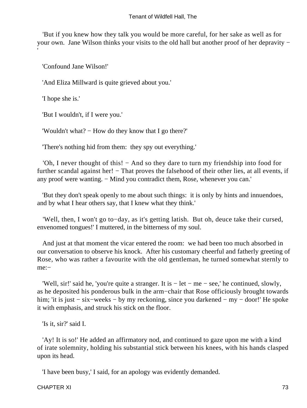'But if you knew how they talk you would be more careful, for her sake as well as for your own. Jane Wilson thinks your visits to the old hall but another proof of her depravity − '

'Confound Jane Wilson!'

'And Eliza Millward is quite grieved about you.'

'I hope she is.'

'But I wouldn't, if I were you.'

'Wouldn't what? − How do they know that I go there?'

'There's nothing hid from them: they spy out everything.'

 'Oh, I never thought of this! − And so they dare to turn my friendship into food for further scandal against her! – That proves the falsehood of their other lies, at all events, if any proof were wanting. – Mind you contradict them, Rose, whenever you can.'

 'But they don't speak openly to me about such things: it is only by hints and innuendoes, and by what I hear others say, that I knew what they think.'

 'Well, then, I won't go to−day, as it's getting latish. But oh, deuce take their cursed, envenomed tongues!' I muttered, in the bitterness of my soul.

 And just at that moment the vicar entered the room: we had been too much absorbed in our conversation to observe his knock. After his customary cheerful and fatherly greeting of Rose, who was rather a favourite with the old gentleman, he turned somewhat sternly to me:−

 'Well, sir!' said he, 'you're quite a stranger. It is − let − me − see,' he continued, slowly, as he deposited his ponderous bulk in the arm−chair that Rose officiously brought towards him; 'it is just − six−weeks − by my reckoning, since you darkened − my − door!' He spoke it with emphasis, and struck his stick on the floor.

'Is it, sir?' said I.

 'Ay! It is so!' He added an affirmatory nod, and continued to gaze upon me with a kind of irate solemnity, holding his substantial stick between his knees, with his hands clasped upon its head.

'I have been busy,' I said, for an apology was evidently demanded.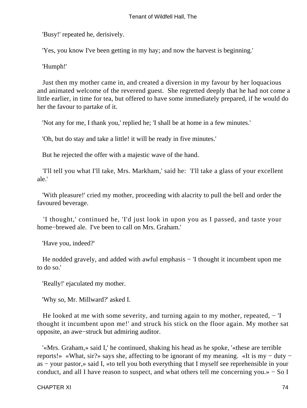'Busy!' repeated he, derisively.

'Yes, you know I've been getting in my hay; and now the harvest is beginning.'

'Humph!'

 Just then my mother came in, and created a diversion in my favour by her loquacious and animated welcome of the reverend guest. She regretted deeply that he had not come a little earlier, in time for tea, but offered to have some immediately prepared, if he would do her the favour to partake of it.

'Not any for me, I thank you,' replied he; 'I shall be at home in a few minutes.'

'Oh, but do stay and take a little! it will be ready in five minutes.'

But he rejected the offer with a majestic wave of the hand.

 'I'll tell you what I'll take, Mrs. Markham,' said he: 'I'll take a glass of your excellent ale.'

 'With pleasure!' cried my mother, proceeding with alacrity to pull the bell and order the favoured beverage.

 'I thought,' continued he, 'I'd just look in upon you as I passed, and taste your home−brewed ale. I've been to call on Mrs. Graham.'

'Have you, indeed?'

He nodded gravely, and added with awful emphasis − 'I thought it incumbent upon me to do so.'

'Really!' ejaculated my mother.

'Why so, Mr. Millward?' asked I.

He looked at me with some severity, and turning again to my mother, repeated,  $-$  'I thought it incumbent upon me!' and struck his stick on the floor again. My mother sat opposite, an awe−struck but admiring auditor.

 '«Mrs. Graham,» said I,' he continued, shaking his head as he spoke, '«these are terrible reports!» «What, sir?» says she, affecting to be ignorant of my meaning. «It is my − duty − as − your pastor,» said I, «to tell you both everything that I myself see reprehensible in your conduct, and all I have reason to suspect, and what others tell me concerning you.» − So I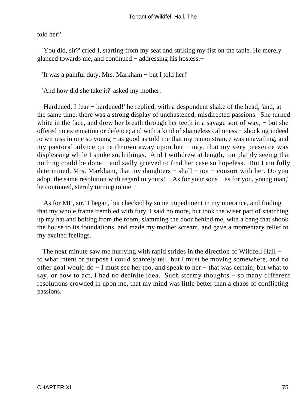told her!'

 'You did, sir?' cried I, starting from my seat and striking my fist on the table. He merely glanced towards me, and continued − addressing his hostess:−

'It was a painful duty, Mrs. Markham − but I told her!'

'And how did she take it?' asked my mother.

 'Hardened, I fear − hardened!' he replied, with a despondent shake of the head; 'and, at the same time, there was a strong display of unchastened, misdirected passions. She turned white in the face, and drew her breath through her teeth in a savage sort of way; – but she offered no extenuation or defence; and with a kind of shameless calmness − shocking indeed to witness in one so young − as good as told me that my remonstrance was unavailing, and my pastoral advice quite thrown away upon her – nay, that my very presence was displeasing while I spoke such things. And I withdrew at length, too plainly seeing that nothing could be done – and sadly grieved to find her case so hopeless. But I am fully determined, Mrs. Markham, that my daughters − shall − not − consort with her. Do you adopt the same resolution with regard to yours! − As for your sons − as for you, young man,' he continued, sternly turning to me −

 'As for ME, sir,' I began, but checked by some impediment in my utterance, and finding that my whole frame trembled with fury, I said no more, but took the wiser part of snatching up my hat and bolting from the room, slamming the door behind me, with a bang that shook the house to its foundations, and made my mother scream, and gave a momentary relief to my excited feelings.

The next minute saw me hurrying with rapid strides in the direction of Wildfell Hall − to what intent or purpose I could scarcely tell, but I must be moving somewhere, and no other goal would do − I must see her too, and speak to her − that was certain; but what to say, or how to act, I had no definite idea. Such stormy thoughts – so many different resolutions crowded in upon me, that my mind was little better than a chaos of conflicting passions.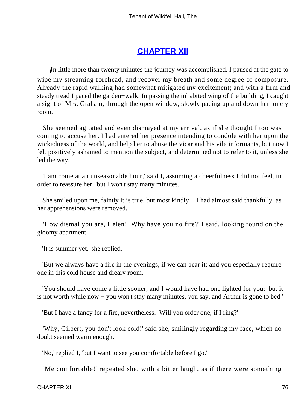## **[CHAPTER XII](#page-378-0)**

*I*n little more than twenty minutes the journey was accomplished. I paused at the gate to wipe my streaming forehead, and recover my breath and some degree of composure. Already the rapid walking had somewhat mitigated my excitement; and with a firm and steady tread I paced the garden−walk. In passing the inhabited wing of the building, I caught a sight of Mrs. Graham, through the open window, slowly pacing up and down her lonely room.

 She seemed agitated and even dismayed at my arrival, as if she thought I too was coming to accuse her. I had entered her presence intending to condole with her upon the wickedness of the world, and help her to abuse the vicar and his vile informants, but now I felt positively ashamed to mention the subject, and determined not to refer to it, unless she led the way.

 'I am come at an unseasonable hour,' said I, assuming a cheerfulness I did not feel, in order to reassure her; 'but I won't stay many minutes.'

 She smiled upon me, faintly it is true, but most kindly − I had almost said thankfully, as her apprehensions were removed.

 'How dismal you are, Helen! Why have you no fire?' I said, looking round on the gloomy apartment.

'It is summer yet,' she replied.

 'But we always have a fire in the evenings, if we can bear it; and you especially require one in this cold house and dreary room.'

 'You should have come a little sooner, and I would have had one lighted for you: but it is not worth while now − you won't stay many minutes, you say, and Arthur is gone to bed.'

'But I have a fancy for a fire, nevertheless. Will you order one, if I ring?'

 'Why, Gilbert, you don't look cold!' said she, smilingly regarding my face, which no doubt seemed warm enough.

'No,' replied I, 'but I want to see you comfortable before I go.'

'Me comfortable!' repeated she, with a bitter laugh, as if there were something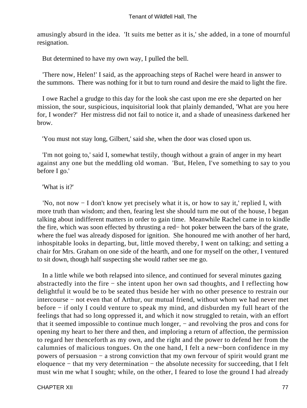amusingly absurd in the idea. 'It suits me better as it is,' she added, in a tone of mournful resignation.

But determined to have my own way, I pulled the bell.

 'There now, Helen!' I said, as the approaching steps of Rachel were heard in answer to the summons. There was nothing for it but to turn round and desire the maid to light the fire.

 I owe Rachel a grudge to this day for the look she cast upon me ere she departed on her mission, the sour, suspicious, inquisitorial look that plainly demanded, 'What are you here for, I wonder?' Her mistress did not fail to notice it, and a shade of uneasiness darkened her brow.

'You must not stay long, Gilbert,' said she, when the door was closed upon us.

 'I'm not going to,' said I, somewhat testily, though without a grain of anger in my heart against any one but the meddling old woman. 'But, Helen, I've something to say to you before I go.'

#### 'What is it?'

 'No, not now − I don't know yet precisely what it is, or how to say it,' replied I, with more truth than wisdom; and then, fearing lest she should turn me out of the house, I began talking about indifferent matters in order to gain time. Meanwhile Rachel came in to kindle the fire, which was soon effected by thrusting a red− hot poker between the bars of the grate, where the fuel was already disposed for ignition. She honoured me with another of her hard, inhospitable looks in departing, but, little moved thereby, I went on talking; and setting a chair for Mrs. Graham on one side of the hearth, and one for myself on the other, I ventured to sit down, though half suspecting she would rather see me go.

 In a little while we both relapsed into silence, and continued for several minutes gazing abstractedly into the fire − she intent upon her own sad thoughts, and I reflecting how delightful it would be to be seated thus beside her with no other presence to restrain our intercourse − not even that of Arthur, our mutual friend, without whom we had never met before − if only I could venture to speak my mind, and disburden my full heart of the feelings that had so long oppressed it, and which it now struggled to retain, with an effort that it seemed impossible to continue much longer, − and revolving the pros and cons for opening my heart to her there and then, and imploring a return of affection, the permission to regard her thenceforth as my own, and the right and the power to defend her from the calumnies of malicious tongues. On the one hand, I felt a new−born confidence in my powers of persuasion − a strong conviction that my own fervour of spirit would grant me eloquence − that my very determination − the absolute necessity for succeeding, that I felt must win me what I sought; while, on the other, I feared to lose the ground I had already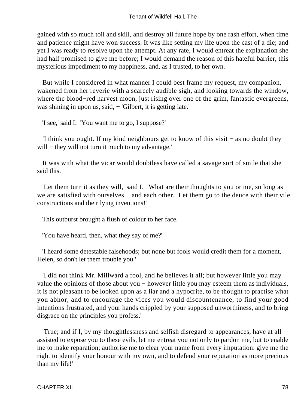gained with so much toil and skill, and destroy all future hope by one rash effort, when time and patience might have won success. It was like setting my life upon the cast of a die; and yet I was ready to resolve upon the attempt. At any rate, I would entreat the explanation she had half promised to give me before; I would demand the reason of this hateful barrier, this mysterious impediment to my happiness, and, as I trusted, to her own.

 But while I considered in what manner I could best frame my request, my companion, wakened from her reverie with a scarcely audible sigh, and looking towards the window, where the blood−red harvest moon, just rising over one of the grim, fantastic evergreens, was shining in upon us, said, − 'Gilbert, it is getting late.'

'I see,' said I. 'You want me to go, I suppose?'

 'I think you ought. If my kind neighbours get to know of this visit − as no doubt they will – they will not turn it much to my advantage.'

 It was with what the vicar would doubtless have called a savage sort of smile that she said this.

 'Let them turn it as they will,' said I. 'What are their thoughts to you or me, so long as we are satisfied with ourselves – and each other. Let them go to the deuce with their vile constructions and their lying inventions!'

This outburst brought a flush of colour to her face.

'You have heard, then, what they say of me?'

 'I heard some detestable falsehoods; but none but fools would credit them for a moment, Helen, so don't let them trouble you.'

 'I did not think Mr. Millward a fool, and he believes it all; but however little you may value the opinions of those about you − however little you may esteem them as individuals, it is not pleasant to be looked upon as a liar and a hypocrite, to be thought to practise what you abhor, and to encourage the vices you would discountenance, to find your good intentions frustrated, and your hands crippled by your supposed unworthiness, and to bring disgrace on the principles you profess.'

 'True; and if I, by my thoughtlessness and selfish disregard to appearances, have at all assisted to expose you to these evils, let me entreat you not only to pardon me, but to enable me to make reparation; authorise me to clear your name from every imputation: give me the right to identify your honour with my own, and to defend your reputation as more precious than my life!'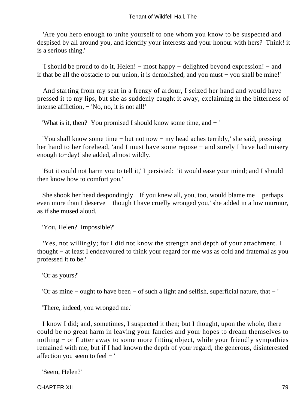'Are you hero enough to unite yourself to one whom you know to be suspected and despised by all around you, and identify your interests and your honour with hers? Think! it is a serious thing.'

 'I should be proud to do it, Helen! − most happy − delighted beyond expression! − and if that be all the obstacle to our union, it is demolished, and you must − you shall be mine!'

 And starting from my seat in a frenzy of ardour, I seized her hand and would have pressed it to my lips, but she as suddenly caught it away, exclaiming in the bitterness of intense affliction, − 'No, no, it is not all!'

'What is it, then? You promised I should know some time, and − '

 'You shall know some time − but not now − my head aches terribly,' she said, pressing her hand to her forehead, 'and I must have some repose – and surely I have had misery enough to−day!' she added, almost wildly.

 'But it could not harm you to tell it,' I persisted: 'it would ease your mind; and I should then know how to comfort you.'

 She shook her head despondingly. 'If you knew all, you, too, would blame me − perhaps even more than I deserve – though I have cruelly wronged you,' she added in a low murmur, as if she mused aloud.

'You, Helen? Impossible?'

 'Yes, not willingly; for I did not know the strength and depth of your attachment. I thought − at least I endeavoured to think your regard for me was as cold and fraternal as you professed it to be.'

'Or as yours?'

'Or as mine − ought to have been − of such a light and selfish, superficial nature, that − '

'There, indeed, you wronged me.'

 I know I did; and, sometimes, I suspected it then; but I thought, upon the whole, there could be no great harm in leaving your fancies and your hopes to dream themselves to nothing – or flutter away to some more fitting object, while your friendly sympathies remained with me; but if I had known the depth of your regard, the generous, disinterested affection you seem to feel − '

'Seem, Helen?'

CHAPTER XII 79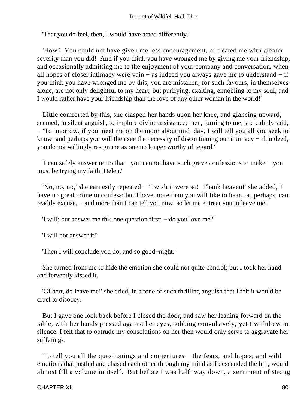'That you do feel, then, I would have acted differently.'

 'How? You could not have given me less encouragement, or treated me with greater severity than you did! And if you think you have wronged me by giving me your friendship, and occasionally admitting me to the enjoyment of your company and conversation, when all hopes of closer intimacy were vain − as indeed you always gave me to understand − if you think you have wronged me by this, you are mistaken; for such favours, in themselves alone, are not only delightful to my heart, but purifying, exalting, ennobling to my soul; and I would rather have your friendship than the love of any other woman in the world!'

 Little comforted by this, she clasped her hands upon her knee, and glancing upward, seemed, in silent anguish, to implore divine assistance; then, turning to me, she calmly said, − 'To−morrow, if you meet me on the moor about mid−day, I will tell you all you seek to know; and perhaps you will then see the necessity of discontinuing our intimacy − if, indeed, you do not willingly resign me as one no longer worthy of regard.'

 'I can safely answer no to that: you cannot have such grave confessions to make − you must be trying my faith, Helen.'

 'No, no, no,' she earnestly repeated − 'I wish it were so! Thank heaven!' she added, 'I have no great crime to confess; but I have more than you will like to hear, or, perhaps, can readily excuse, − and more than I can tell you now; so let me entreat you to leave me!'

'I will; but answer me this one question first; − do you love me?'

'I will not answer it!'

'Then I will conclude you do; and so good−night.'

 She turned from me to hide the emotion she could not quite control; but I took her hand and fervently kissed it.

 'Gilbert, do leave me!' she cried, in a tone of such thrilling anguish that I felt it would be cruel to disobey.

 But I gave one look back before I closed the door, and saw her leaning forward on the table, with her hands pressed against her eyes, sobbing convulsively; yet I withdrew in silence. I felt that to obtrude my consolations on her then would only serve to aggravate her sufferings.

 To tell you all the questionings and conjectures − the fears, and hopes, and wild emotions that jostled and chased each other through my mind as I descended the hill, would almost fill a volume in itself. But before I was half−way down, a sentiment of strong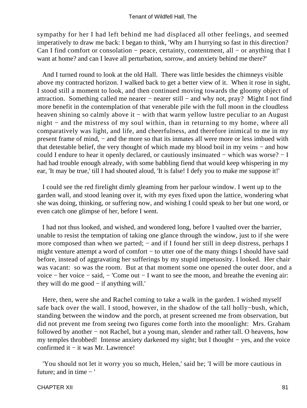sympathy for her I had left behind me had displaced all other feelings, and seemed imperatively to draw me back: I began to think, 'Why am I hurrying so fast in this direction? Can I find comfort or consolation – peace, certainty, contentment, all – or anything that I want at home? and can I leave all perturbation, sorrow, and anxiety behind me there?'

 And I turned round to look at the old Hall. There was little besides the chimneys visible above my contracted horizon. I walked back to get a better view of it. When it rose in sight, I stood still a moment to look, and then continued moving towards the gloomy object of attraction. Something called me nearer − nearer still − and why not, pray? Might I not find more benefit in the contemplation of that venerable pile with the full moon in the cloudless heaven shining so calmly above it – with that warm yellow lustre peculiar to an August night − and the mistress of my soul within, than in returning to my home, where all comparatively was light, and life, and cheerfulness, and therefore inimical to me in my present frame of mind, – and the more so that its inmates all were more or less imbued with that detestable belief, the very thought of which made my blood boil in my veins − and how could I endure to hear it openly declared, or cautiously insinuated − which was worse? − I had had trouble enough already, with some babbling fiend that would keep whispering in my ear, 'It may be true,' till I had shouted aloud, 'It is false! I defy you to make me suppose it!'

 I could see the red firelight dimly gleaming from her parlour window. I went up to the garden wall, and stood leaning over it, with my eyes fixed upon the lattice, wondering what she was doing, thinking, or suffering now, and wishing I could speak to her but one word, or even catch one glimpse of her, before I went.

 I had not thus looked, and wished, and wondered long, before I vaulted over the barrier, unable to resist the temptation of taking one glance through the window, just to if she were more composed than when we parted; – and if I found her still in deep distress, perhaps I might venture attempt a word of comfort − to utter one of the many things I should have said before, instead of aggravating her sufferings by my stupid impetuosity. I looked. Her chair was vacant: so was the room. But at that moment some one opened the outer door, and a voice − her voice − said, − 'Come out − I want to see the moon, and breathe the evening air: they will do me good − if anything will.'

 Here, then, were she and Rachel coming to take a walk in the garden. I wished myself safe back over the wall. I stood, however, in the shadow of the tall holly−bush, which, standing between the window and the porch, at present screened me from observation, but did not prevent me from seeing two figures come forth into the moonlight: Mrs. Graham followed by another − not Rachel, but a young man, slender and rather tall. O heavens, how my temples throbbed! Intense anxiety darkened my sight; but I thought − yes, and the voice confirmed it − it was Mr. Lawrence!

 'You should not let it worry you so much, Helen,' said he; 'I will be more cautious in future; and in time − '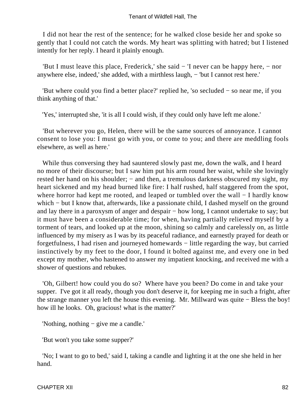I did not hear the rest of the sentence; for he walked close beside her and spoke so gently that I could not catch the words. My heart was splitting with hatred; but I listened intently for her reply. I heard it plainly enough.

 'But I must leave this place, Frederick,' she said − 'I never can be happy here, − nor anywhere else, indeed,' she added, with a mirthless laugh, − 'but I cannot rest here.'

 'But where could you find a better place?' replied he, 'so secluded − so near me, if you think anything of that.'

'Yes,' interrupted she, 'it is all I could wish, if they could only have left me alone.'

 'But wherever you go, Helen, there will be the same sources of annoyance. I cannot consent to lose you: I must go with you, or come to you; and there are meddling fools elsewhere, as well as here.'

 While thus conversing they had sauntered slowly past me, down the walk, and I heard no more of their discourse; but I saw him put his arm round her waist, while she lovingly rested her hand on his shoulder; – and then, a tremulous darkness obscured my sight, my heart sickened and my head burned like fire: I half rushed, half staggered from the spot, where horror had kept me rooted, and leaped or tumbled over the wall − I hardly know which – but I know that, afterwards, like a passionate child, I dashed myself on the ground and lay there in a paroxysm of anger and despair − how long, I cannot undertake to say; but it must have been a considerable time; for when, having partially relieved myself by a torment of tears, and looked up at the moon, shining so calmly and carelessly on, as little influenced by my misery as I was by its peaceful radiance, and earnestly prayed for death or forgetfulness, I had risen and journeyed homewards − little regarding the way, but carried instinctively by my feet to the door, I found it bolted against me, and every one in bed except my mother, who hastened to answer my impatient knocking, and received me with a shower of questions and rebukes.

 'Oh, Gilbert! how could you do so? Where have you been? Do come in and take your supper. I've got it all ready, though you don't deserve it, for keeping me in such a fright, after the strange manner you left the house this evening. Mr. Millward was quite − Bless the boy! how ill he looks. Oh, gracious! what is the matter?'

'Nothing, nothing − give me a candle.'

'But won't you take some supper?'

 'No; I want to go to bed,' said I, taking a candle and lighting it at the one she held in her hand.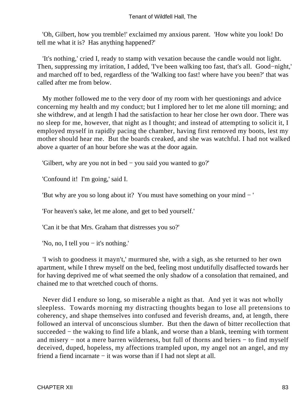'Oh, Gilbert, how you tremble!' exclaimed my anxious parent. 'How white you look! Do tell me what it is? Has anything happened?'

 'It's nothing,' cried I, ready to stamp with vexation because the candle would not light. Then, suppressing my irritation, I added, 'I've been walking too fast, that's all. Good–night,' and marched off to bed, regardless of the 'Walking too fast! where have you been?' that was called after me from below.

 My mother followed me to the very door of my room with her questionings and advice concerning my health and my conduct; but I implored her to let me alone till morning; and she withdrew, and at length I had the satisfaction to hear her close her own door. There was no sleep for me, however, that night as I thought; and instead of attempting to solicit it, I employed myself in rapidly pacing the chamber, having first removed my boots, lest my mother should hear me. But the boards creaked, and she was watchful. I had not walked above a quarter of an hour before she was at the door again.

'Gilbert, why are you not in bed − you said you wanted to go?'

'Confound it! I'm going,' said I.

'But why are you so long about it? You must have something on your mind − '

'For heaven's sake, let me alone, and get to bed yourself.'

'Can it be that Mrs. Graham that distresses you so?'

'No, no, I tell you − it's nothing.'

 'I wish to goodness it mayn't,' murmured she, with a sigh, as she returned to her own apartment, while I threw myself on the bed, feeling most undutifully disaffected towards her for having deprived me of what seemed the only shadow of a consolation that remained, and chained me to that wretched couch of thorns.

 Never did I endure so long, so miserable a night as that. And yet it was not wholly sleepless. Towards morning my distracting thoughts began to lose all pretensions to coherency, and shape themselves into confused and feverish dreams, and, at length, there followed an interval of unconscious slumber. But then the dawn of bitter recollection that succeeded – the waking to find life a blank, and worse than a blank, teeming with torment and misery − not a mere barren wilderness, but full of thorns and briers − to find myself deceived, duped, hopeless, my affections trampled upon, my angel not an angel, and my friend a fiend incarnate − it was worse than if I had not slept at all.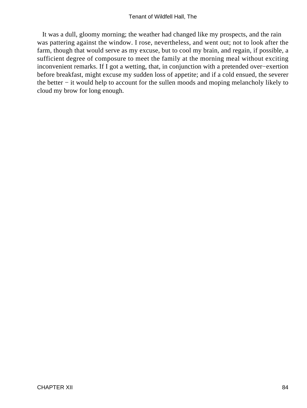It was a dull, gloomy morning; the weather had changed like my prospects, and the rain was pattering against the window. I rose, nevertheless, and went out; not to look after the farm, though that would serve as my excuse, but to cool my brain, and regain, if possible, a sufficient degree of composure to meet the family at the morning meal without exciting inconvenient remarks. If I got a wetting, that, in conjunction with a pretended over−exertion before breakfast, might excuse my sudden loss of appetite; and if a cold ensued, the severer the better − it would help to account for the sullen moods and moping melancholy likely to cloud my brow for long enough.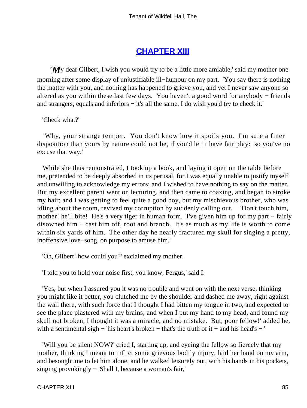## **[CHAPTER XIII](#page-378-0)**

*'M*y dear Gilbert, I wish you would try to be a little more amiable,' said my mother one morning after some display of unjustifiable ill−humour on my part. 'You say there is nothing the matter with you, and nothing has happened to grieve you, and yet I never saw anyone so altered as you within these last few days. You haven't a good word for anybody − friends and strangers, equals and inferiors − it's all the same. I do wish you'd try to check it.'

'Check what?'

 'Why, your strange temper. You don't know how it spoils you. I'm sure a finer disposition than yours by nature could not be, if you'd let it have fair play: so you've no excuse that way.'

While she thus remonstrated, I took up a book, and laying it open on the table before me, pretended to be deeply absorbed in its perusal, for I was equally unable to justify myself and unwilling to acknowledge my errors; and I wished to have nothing to say on the matter. But my excellent parent went on lecturing, and then came to coaxing, and began to stroke my hair; and I was getting to feel quite a good boy, but my mischievous brother, who was idling about the room, revived my corruption by suddenly calling out, − 'Don't touch him, mother! he'll bite! He's a very tiger in human form. I've given him up for my part − fairly disowned him − cast him off, root and branch. It's as much as my life is worth to come within six yards of him. The other day he nearly fractured my skull for singing a pretty, inoffensive love−song, on purpose to amuse him.'

'Oh, Gilbert! how could you?' exclaimed my mother.

'I told you to hold your noise first, you know, Fergus,' said I.

 'Yes, but when I assured you it was no trouble and went on with the next verse, thinking you might like it better, you clutched me by the shoulder and dashed me away, right against the wall there, with such force that I thought I had bitten my tongue in two, and expected to see the place plastered with my brains; and when I put my hand to my head, and found my skull not broken, I thought it was a miracle, and no mistake. But, poor fellow!' added he, with a sentimental sigh − 'his heart's broken − that's the truth of it − and his head's − '

 'Will you be silent NOW?' cried I, starting up, and eyeing the fellow so fiercely that my mother, thinking I meant to inflict some grievous bodily injury, laid her hand on my arm, and besought me to let him alone, and he walked leisurely out, with his hands in his pockets, singing provokingly − 'Shall I, because a woman's fair,'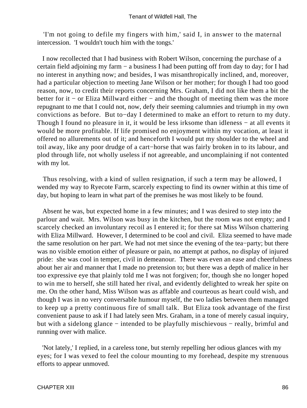'I'm not going to defile my fingers with him,' said I, in answer to the maternal intercession. 'I wouldn't touch him with the tongs.'

 I now recollected that I had business with Robert Wilson, concerning the purchase of a certain field adjoining my farm − a business I had been putting off from day to day; for I had no interest in anything now; and besides, I was misanthropically inclined, and, moreover, had a particular objection to meeting Jane Wilson or her mother; for though I had too good reason, now, to credit their reports concerning Mrs. Graham, I did not like them a bit the better for it − or Eliza Millward either − and the thought of meeting them was the more repugnant to me that I could not, now, defy their seeming calumnies and triumph in my own convictions as before. But to−day I determined to make an effort to return to my duty. Though I found no pleasure in it, it would be less irksome than idleness − at all events it would be more profitable. If life promised no enjoyment within my vocation, at least it offered no allurements out of it; and henceforth I would put my shoulder to the wheel and toil away, like any poor drudge of a cart−horse that was fairly broken in to its labour, and plod through life, not wholly useless if not agreeable, and uncomplaining if not contented with my lot.

 Thus resolving, with a kind of sullen resignation, if such a term may be allowed, I wended my way to Ryecote Farm, scarcely expecting to find its owner within at this time of day, but hoping to learn in what part of the premises he was most likely to be found.

 Absent he was, but expected home in a few minutes; and I was desired to step into the parlour and wait. Mrs. Wilson was busy in the kitchen, but the room was not empty; and I scarcely checked an involuntary recoil as I entered it; for there sat Miss Wilson chattering with Eliza Millward. However, I determined to be cool and civil. Eliza seemed to have made the same resolution on her part. We had not met since the evening of the tea−party; but there was no visible emotion either of pleasure or pain, no attempt at pathos, no display of injured pride: she was cool in temper, civil in demeanour. There was even an ease and cheerfulness about her air and manner that I made no pretension to; but there was a depth of malice in her too expressive eye that plainly told me I was not forgiven; for, though she no longer hoped to win me to herself, she still hated her rival, and evidently delighted to wreak her spite on me. On the other hand, Miss Wilson was as affable and courteous as heart could wish, and though I was in no very conversable humour myself, the two ladies between them managed to keep up a pretty continuous fire of small talk. But Eliza took advantage of the first convenient pause to ask if I had lately seen Mrs. Graham, in a tone of merely casual inquiry, but with a sidelong glance − intended to be playfully mischievous − really, brimful and running over with malice.

 'Not lately,' I replied, in a careless tone, but sternly repelling her odious glances with my eyes; for I was vexed to feel the colour mounting to my forehead, despite my strenuous efforts to appear unmoved.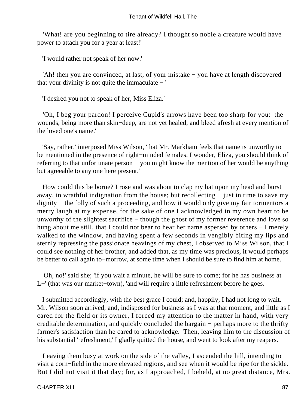'What! are you beginning to tire already? I thought so noble a creature would have power to attach you for a year at least!'

'I would rather not speak of her now.'

 'Ah! then you are convinced, at last, of your mistake − you have at length discovered that your divinity is not quite the immaculate − '

'I desired you not to speak of her, Miss Eliza.'

 'Oh, I beg your pardon! I perceive Cupid's arrows have been too sharp for you: the wounds, being more than skin−deep, are not yet healed, and bleed afresh at every mention of the loved one's name.'

 'Say, rather,' interposed Miss Wilson, 'that Mr. Markham feels that name is unworthy to be mentioned in the presence of right−minded females. I wonder, Eliza, you should think of referring to that unfortunate person – you might know the mention of her would be anything but agreeable to any one here present.'

 How could this be borne? I rose and was about to clap my hat upon my head and burst away, in wrathful indignation from the house; but recollecting − just in time to save my dignity − the folly of such a proceeding, and how it would only give my fair tormentors a merry laugh at my expense, for the sake of one I acknowledged in my own heart to be unworthy of the slightest sacrifice − though the ghost of my former reverence and love so hung about me still, that I could not bear to hear her name aspersed by others − I merely walked to the window, and having spent a few seconds in vengibly biting my lips and sternly repressing the passionate heavings of my chest, I observed to Miss Wilson, that I could see nothing of her brother, and added that, as my time was precious, it would perhaps be better to call again to−morrow, at some time when I should be sure to find him at home.

 'Oh, no!' said she; 'if you wait a minute, he will be sure to come; for he has business at L−' (that was our market−town), 'and will require a little refreshment before he goes.'

 I submitted accordingly, with the best grace I could; and, happily, I had not long to wait. Mr. Wilson soon arrived, and, indisposed for business as I was at that moment, and little as I cared for the field or its owner, I forced my attention to the matter in hand, with very creditable determination, and quickly concluded the bargain − perhaps more to the thrifty farmer's satisfaction than he cared to acknowledge. Then, leaving him to the discussion of his substantial 'refreshment,' I gladly quitted the house, and went to look after my reapers.

 Leaving them busy at work on the side of the valley, I ascended the hill, intending to visit a corn−field in the more elevated regions, and see when it would be ripe for the sickle. But I did not visit it that day; for, as I approached, I beheld, at no great distance, Mrs.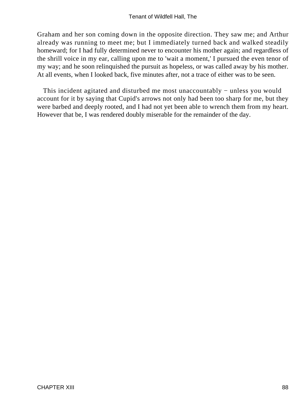Graham and her son coming down in the opposite direction. They saw me; and Arthur already was running to meet me; but I immediately turned back and walked steadily homeward; for I had fully determined never to encounter his mother again; and regardless of the shrill voice in my ear, calling upon me to 'wait a moment,' I pursued the even tenor of my way; and he soon relinquished the pursuit as hopeless, or was called away by his mother. At all events, when I looked back, five minutes after, not a trace of either was to be seen.

This incident agitated and disturbed me most unaccountably – unless you would account for it by saying that Cupid's arrows not only had been too sharp for me, but they were barbed and deeply rooted, and I had not yet been able to wrench them from my heart. However that be, I was rendered doubly miserable for the remainder of the day.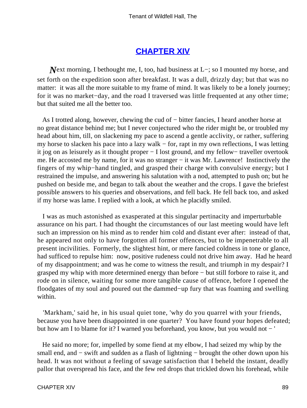## **[CHAPTER XIV](#page-378-0)**

*Next* morning, I bethought me, I, too, had business at L–; so I mounted my horse, and set forth on the expedition soon after breakfast. It was a dull, drizzly day; but that was no matter: it was all the more suitable to my frame of mind. It was likely to be a lonely journey; for it was no market−day, and the road I traversed was little frequented at any other time; but that suited me all the better too.

 As I trotted along, however, chewing the cud of − bitter fancies, I heard another horse at no great distance behind me; but I never conjectured who the rider might be, or troubled my head about him, till, on slackening my pace to ascend a gentle acclivity, or rather, suffering my horse to slacken his pace into a lazy walk – for, rapt in my own reflections, I was letting it jog on as leisurely as it thought proper − I lost ground, and my fellow− traveller overtook me. He accosted me by name, for it was no stranger – it was Mr. Lawrence! Instinctively the fingers of my whip−hand tingled, and grasped their charge with convulsive energy; but I restrained the impulse, and answering his salutation with a nod, attempted to push on; but he pushed on beside me, and began to talk about the weather and the crops. I gave the briefest possible answers to his queries and observations, and fell back. He fell back too, and asked if my horse was lame. I replied with a look, at which he placidly smiled.

 I was as much astonished as exasperated at this singular pertinacity and imperturbable assurance on his part. I had thought the circumstances of our last meeting would have left such an impression on his mind as to render him cold and distant ever after: instead of that, he appeared not only to have forgotten all former offences, but to be impenetrable to all present incivilities. Formerly, the slightest hint, or mere fancied coldness in tone or glance, had sufficed to repulse him: now, positive rudeness could not drive him away. Had he heard of my disappointment; and was he come to witness the result, and triumph in my despair? I grasped my whip with more determined energy than before − but still forbore to raise it, and rode on in silence, waiting for some more tangible cause of offence, before I opened the floodgates of my soul and poured out the dammed−up fury that was foaming and swelling within.

 'Markham,' said he, in his usual quiet tone, 'why do you quarrel with your friends, because you have been disappointed in one quarter? You have found your hopes defeated; but how am I to blame for it? I warned you beforehand, you know, but you would not − '

 He said no more; for, impelled by some fiend at my elbow, I had seized my whip by the small end, and – swift and sudden as a flash of lightning – brought the other down upon his head. It was not without a feeling of savage satisfaction that I beheld the instant, deadly pallor that overspread his face, and the few red drops that trickled down his forehead, while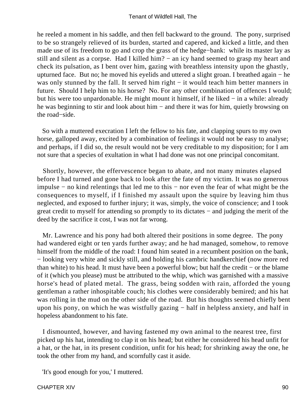he reeled a moment in his saddle, and then fell backward to the ground. The pony, surprised to be so strangely relieved of its burden, started and capered, and kicked a little, and then made use of its freedom to go and crop the grass of the hedge−bank: while its master lay as still and silent as a corpse. Had I killed him? – an icy hand seemed to grasp my heart and check its pulsation, as I bent over him, gazing with breathless intensity upon the ghastly, upturned face. But no; he moved his eyelids and uttered a slight groan. I breathed again − he was only stunned by the fall. It served him right – it would teach him better manners in future. Should I help him to his horse? No. For any other combination of offences I would; but his were too unpardonable. He might mount it himself, if he liked − in a while: already he was beginning to stir and look about him – and there it was for him, quietly browsing on the road−side.

 So with a muttered execration I left the fellow to his fate, and clapping spurs to my own horse, galloped away, excited by a combination of feelings it would not be easy to analyse; and perhaps, if I did so, the result would not be very creditable to my disposition; for I am not sure that a species of exultation in what I had done was not one principal concomitant.

 Shortly, however, the effervescence began to abate, and not many minutes elapsed before I had turned and gone back to look after the fate of my victim. It was no generous impulse − no kind relentings that led me to this − nor even the fear of what might be the consequences to myself, if I finished my assault upon the squire by leaving him thus neglected, and exposed to further injury; it was, simply, the voice of conscience; and I took great credit to myself for attending so promptly to its dictates − and judging the merit of the deed by the sacrifice it cost, I was not far wrong.

 Mr. Lawrence and his pony had both altered their positions in some degree. The pony had wandered eight or ten yards further away; and he had managed, somehow, to remove himself from the middle of the road: I found him seated in a recumbent position on the bank, − looking very white and sickly still, and holding his cambric handkerchief (now more red than white) to his head. It must have been a powerful blow; but half the credit − or the blame of it (which you please) must be attributed to the whip, which was garnished with a massive horse's head of plated metal. The grass, being sodden with rain, afforded the young gentleman a rather inhospitable couch; his clothes were considerably bemired; and his hat was rolling in the mud on the other side of the road. But his thoughts seemed chiefly bent upon his pony, on which he was wistfully gazing − half in helpless anxiety, and half in hopeless abandonment to his fate.

 I dismounted, however, and having fastened my own animal to the nearest tree, first picked up his hat, intending to clap it on his head; but either he considered his head unfit for a hat, or the hat, in its present condition, unfit for his head; for shrinking away the one, he took the other from my hand, and scornfully cast it aside.

'It's good enough for you,' I muttered.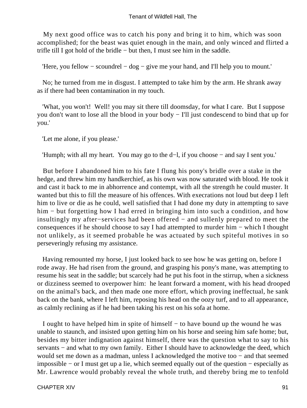My next good office was to catch his pony and bring it to him, which was soon accomplished; for the beast was quiet enough in the main, and only winced and flirted a trifle till I got hold of the bridle − but then, I must see him in the saddle.

'Here, you fellow − scoundrel − dog − give me your hand, and I'll help you to mount.'

 No; he turned from me in disgust. I attempted to take him by the arm. He shrank away as if there had been contamination in my touch.

 'What, you won't! Well! you may sit there till doomsday, for what I care. But I suppose you don't want to lose all the blood in your body − I'll just condescend to bind that up for you.'

'Let me alone, if you please.'

'Humph; with all my heart. You may go to the d−l, if you choose − and say I sent you.'

 But before I abandoned him to his fate I flung his pony's bridle over a stake in the hedge, and threw him my handkerchief, as his own was now saturated with blood. He took it and cast it back to me in abhorrence and contempt, with all the strength he could muster. It wanted but this to fill the measure of his offences. With execrations not loud but deep I left him to live or die as he could, well satisfied that I had done my duty in attempting to save him – but forgetting how I had erred in bringing him into such a condition, and how insultingly my after−services had been offered − and sullenly prepared to meet the consequences if he should choose to say I had attempted to murder him − which I thought not unlikely, as it seemed probable he was actuated by such spiteful motives in so perseveringly refusing my assistance.

 Having remounted my horse, I just looked back to see how he was getting on, before I rode away. He had risen from the ground, and grasping his pony's mane, was attempting to resume his seat in the saddle; but scarcely had he put his foot in the stirrup, when a sickness or dizziness seemed to overpower him: he leant forward a moment, with his head drooped on the animal's back, and then made one more effort, which proving ineffectual, he sank back on the bank, where I left him, reposing his head on the oozy turf, and to all appearance, as calmly reclining as if he had been taking his rest on his sofa at home.

 I ought to have helped him in spite of himself − to have bound up the wound he was unable to staunch, and insisted upon getting him on his horse and seeing him safe home; but, besides my bitter indignation against himself, there was the question what to say to his servants – and what to my own family. Either I should have to acknowledge the deed, which would set me down as a madman, unless I acknowledged the motive too − and that seemed impossible − or I must get up a lie, which seemed equally out of the question − especially as Mr. Lawrence would probably reveal the whole truth, and thereby bring me to tenfold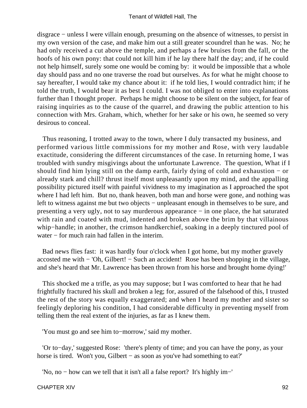disgrace − unless I were villain enough, presuming on the absence of witnesses, to persist in my own version of the case, and make him out a still greater scoundrel than he was. No; he had only received a cut above the temple, and perhaps a few bruises from the fall, or the hoofs of his own pony: that could not kill him if he lay there half the day; and, if he could not help himself, surely some one would be coming by: it would be impossible that a whole day should pass and no one traverse the road but ourselves. As for what he might choose to say hereafter, I would take my chance about it: if he told lies, I would contradict him; if he told the truth, I would bear it as best I could. I was not obliged to enter into explanations further than I thought proper. Perhaps he might choose to be silent on the subject, for fear of raising inquiries as to the cause of the quarrel, and drawing the public attention to his connection with Mrs. Graham, which, whether for her sake or his own, he seemed so very desirous to conceal.

 Thus reasoning, I trotted away to the town, where I duly transacted my business, and performed various little commissions for my mother and Rose, with very laudable exactitude, considering the different circumstances of the case. In returning home, I was troubled with sundry misgivings about the unfortunate Lawrence. The question, What if I should find him lying still on the damp earth, fairly dying of cold and exhaustion − or already stark and chill? thrust itself most unpleasantly upon my mind, and the appalling possibility pictured itself with painful vividness to my imagination as I approached the spot where I had left him. But no, thank heaven, both man and horse were gone, and nothing was left to witness against me but two objects – unpleasant enough in themselves to be sure, and presenting a very ugly, not to say murderous appearance − in one place, the hat saturated with rain and coated with mud, indented and broken above the brim by that villainous whip−handle; in another, the crimson handkerchief, soaking in a deeply tinctured pool of water − for much rain had fallen in the interim.

 Bad news flies fast: it was hardly four o'clock when I got home, but my mother gravely accosted me with − 'Oh, Gilbert! − Such an accident! Rose has been shopping in the village, and she's heard that Mr. Lawrence has been thrown from his horse and brought home dying!'

 This shocked me a trifle, as you may suppose; but I was comforted to hear that he had frightfully fractured his skull and broken a leg; for, assured of the falsehood of this, I trusted the rest of the story was equally exaggerated; and when I heard my mother and sister so feelingly deploring his condition, I had considerable difficulty in preventing myself from telling them the real extent of the injuries, as far as I knew them.

'You must go and see him to−morrow,' said my mother.

 'Or to−day,' suggested Rose: 'there's plenty of time; and you can have the pony, as your horse is tired. Won't you, Gilbert − as soon as you've had something to eat?'

'No, no − how can we tell that it isn't all a false report? It's highly im−'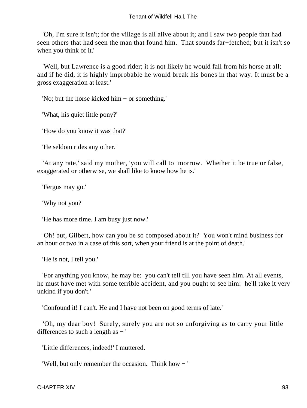#### Tenant of Wildfell Hall, The

 'Oh, I'm sure it isn't; for the village is all alive about it; and I saw two people that had seen others that had seen the man that found him. That sounds far−fetched; but it isn't so when you think of it.'

 'Well, but Lawrence is a good rider; it is not likely he would fall from his horse at all; and if he did, it is highly improbable he would break his bones in that way. It must be a gross exaggeration at least.'

'No; but the horse kicked him − or something.'

'What, his quiet little pony?'

'How do you know it was that?'

'He seldom rides any other.'

 'At any rate,' said my mother, 'you will call to−morrow. Whether it be true or false, exaggerated or otherwise, we shall like to know how he is.'

'Fergus may go.'

'Why not you?'

'He has more time. I am busy just now.'

 'Oh! but, Gilbert, how can you be so composed about it? You won't mind business for an hour or two in a case of this sort, when your friend is at the point of death.'

'He is not, I tell you.'

 'For anything you know, he may be: you can't tell till you have seen him. At all events, he must have met with some terrible accident, and you ought to see him: he'll take it very unkind if you don't.'

'Confound it! I can't. He and I have not been on good terms of late.'

 'Oh, my dear boy! Surely, surely you are not so unforgiving as to carry your little differences to such a length as − '

'Little differences, indeed!' I muttered.

'Well, but only remember the occasion. Think how − '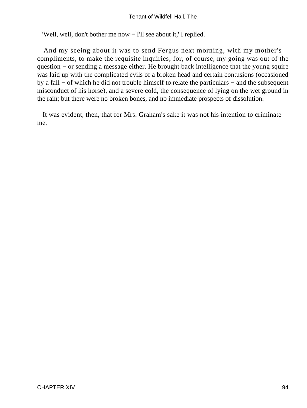'Well, well, don't bother me now − I'll see about it,' I replied.

 And my seeing about it was to send Fergus next morning, with my mother's compliments, to make the requisite inquiries; for, of course, my going was out of the question − or sending a message either. He brought back intelligence that the young squire was laid up with the complicated evils of a broken head and certain contusions (occasioned by a fall − of which he did not trouble himself to relate the particulars − and the subsequent misconduct of his horse), and a severe cold, the consequence of lying on the wet ground in the rain; but there were no broken bones, and no immediate prospects of dissolution.

 It was evident, then, that for Mrs. Graham's sake it was not his intention to criminate me.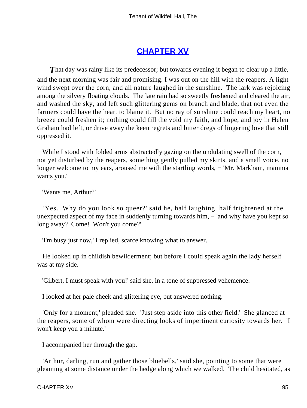# **[CHAPTER XV](#page-378-0)**

**That day was rainy like its predecessor; but towards evening it began to clear up a little,** and the next morning was fair and promising. I was out on the hill with the reapers. A light wind swept over the corn, and all nature laughed in the sunshine. The lark was rejoicing among the silvery floating clouds. The late rain had so sweetly freshened and cleared the air, and washed the sky, and left such glittering gems on branch and blade, that not even the farmers could have the heart to blame it. But no ray of sunshine could reach my heart, no breeze could freshen it; nothing could fill the void my faith, and hope, and joy in Helen Graham had left, or drive away the keen regrets and bitter dregs of lingering love that still oppressed it.

While I stood with folded arms abstractedly gazing on the undulating swell of the corn, not yet disturbed by the reapers, something gently pulled my skirts, and a small voice, no longer welcome to my ears, aroused me with the startling words, – 'Mr. Markham, mamma wants you.'

'Wants me, Arthur?'

 'Yes. Why do you look so queer?' said he, half laughing, half frightened at the unexpected aspect of my face in suddenly turning towards him, – 'and why have you kept so long away? Come! Won't you come?'

'I'm busy just now,' I replied, scarce knowing what to answer.

 He looked up in childish bewilderment; but before I could speak again the lady herself was at my side.

'Gilbert, I must speak with you!' said she, in a tone of suppressed vehemence.

I looked at her pale cheek and glittering eye, but answered nothing.

 'Only for a moment,' pleaded she. 'Just step aside into this other field.' She glanced at the reapers, some of whom were directing looks of impertinent curiosity towards her. 'I won't keep you a minute.'

I accompanied her through the gap.

 'Arthur, darling, run and gather those bluebells,' said she, pointing to some that were gleaming at some distance under the hedge along which we walked. The child hesitated, as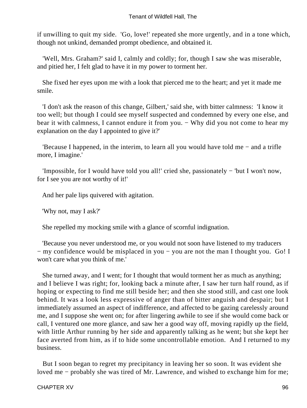if unwilling to quit my side. 'Go, love!' repeated she more urgently, and in a tone which, though not unkind, demanded prompt obedience, and obtained it.

 'Well, Mrs. Graham?' said I, calmly and coldly; for, though I saw she was miserable, and pitied her, I felt glad to have it in my power to torment her.

 She fixed her eyes upon me with a look that pierced me to the heart; and yet it made me smile.

 'I don't ask the reason of this change, Gilbert,' said she, with bitter calmness: 'I know it too well; but though I could see myself suspected and condemned by every one else, and bear it with calmness, I cannot endure it from you. – Why did you not come to hear my explanation on the day I appointed to give it?'

 'Because I happened, in the interim, to learn all you would have told me − and a trifle more, I imagine.'

 'Impossible, for I would have told you all!' cried she, passionately − 'but I won't now, for I see you are not worthy of it!'

And her pale lips quivered with agitation.

'Why not, may I ask?'

She repelled my mocking smile with a glance of scornful indignation.

 'Because you never understood me, or you would not soon have listened to my traducers − my confidence would be misplaced in you − you are not the man I thought you. Go! I won't care what you think of me.'

 She turned away, and I went; for I thought that would torment her as much as anything; and I believe I was right; for, looking back a minute after, I saw her turn half round, as if hoping or expecting to find me still beside her; and then she stood still, and cast one look behind. It was a look less expressive of anger than of bitter anguish and despair; but I immediately assumed an aspect of indifference, and affected to be gazing carelessly around me, and I suppose she went on; for after lingering awhile to see if she would come back or call, I ventured one more glance, and saw her a good way off, moving rapidly up the field, with little Arthur running by her side and apparently talking as he went; but she kept her face averted from him, as if to hide some uncontrollable emotion. And I returned to my business.

 But I soon began to regret my precipitancy in leaving her so soon. It was evident she loved me − probably she was tired of Mr. Lawrence, and wished to exchange him for me;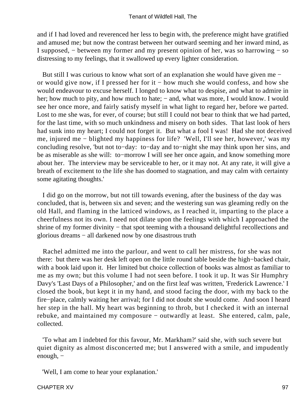and if I had loved and reverenced her less to begin with, the preference might have gratified and amused me; but now the contrast between her outward seeming and her inward mind, as I supposed, − between my former and my present opinion of her, was so harrowing − so distressing to my feelings, that it swallowed up every lighter consideration.

 But still I was curious to know what sort of an explanation she would have given me − or would give now, if I pressed her for it − how much she would confess, and how she would endeavour to excuse herself. I longed to know what to despise, and what to admire in her; how much to pity, and how much to hate; – and, what was more, I would know. I would see her once more, and fairly satisfy myself in what light to regard her, before we parted. Lost to me she was, for ever, of course; but still I could not bear to think that we had parted, for the last time, with so much unkindness and misery on both sides. That last look of hers had sunk into my heart; I could not forget it. But what a fool I was! Had she not deceived me, injured me − blighted my happiness for life? 'Well, I'll see her, however,' was my concluding resolve, 'but not to−day: to−day and to−night she may think upon her sins, and be as miserable as she will: to−morrow I will see her once again, and know something more about her. The interview may be serviceable to her, or it may not. At any rate, it will give a breath of excitement to the life she has doomed to stagnation, and may calm with certainty some agitating thoughts.'

 I did go on the morrow, but not till towards evening, after the business of the day was concluded, that is, between six and seven; and the westering sun was gleaming redly on the old Hall, and flaming in the latticed windows, as I reached it, imparting to the place a cheerfulness not its own. I need not dilate upon the feelings with which I approached the shrine of my former divinity – that spot teeming with a thousand delightful recollections and glorious dreams − all darkened now by one disastrous truth

 Rachel admitted me into the parlour, and went to call her mistress, for she was not there: but there was her desk left open on the little round table beside the high−backed chair, with a book laid upon it. Her limited but choice collection of books was almost as familiar to me as my own; but this volume I had not seen before. I took it up. It was Sir Humphry Davy's 'Last Days of a Philosopher,' and on the first leaf was written, 'Frederick Lawrence.' I closed the book, but kept it in my hand, and stood facing the door, with my back to the fire−place, calmly waiting her arrival; for I did not doubt she would come. And soon I heard her step in the hall. My heart was beginning to throb, but I checked it with an internal rebuke, and maintained my composure − outwardly at least. She entered, calm, pale, collected.

 'To what am I indebted for this favour, Mr. Markham?' said she, with such severe but quiet dignity as almost disconcerted me; but I answered with a smile, and impudently enough, −

'Well, I am come to hear your explanation.'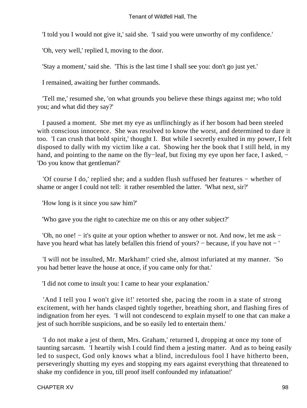'I told you I would not give it,' said she. 'I said you were unworthy of my confidence.'

'Oh, very well,' replied I, moving to the door.

'Stay a moment,' said she. 'This is the last time I shall see you: don't go just yet.'

I remained, awaiting her further commands.

 'Tell me,' resumed she, 'on what grounds you believe these things against me; who told you; and what did they say?'

 I paused a moment. She met my eye as unflinchingly as if her bosom had been steeled with conscious innocence. She was resolved to know the worst, and determined to dare it too. 'I can crush that bold spirit,' thought I. But while I secretly exulted in my power, I felt disposed to dally with my victim like a cat. Showing her the book that I still held, in my hand, and pointing to the name on the fly–leaf, but fixing my eye upon her face, I asked, − 'Do you know that gentleman?'

 'Of course I do,' replied she; and a sudden flush suffused her features − whether of shame or anger I could not tell: it rather resembled the latter. 'What next, sir?'

'How long is it since you saw him?'

'Who gave you the right to catechize me on this or any other subject?'

 'Oh, no one! − it's quite at your option whether to answer or not. And now, let me ask − have you heard what has lately befallen this friend of yours? − because, if you have not − '

 'I will not be insulted, Mr. Markham!' cried she, almost infuriated at my manner. 'So you had better leave the house at once, if you came only for that.'

'I did not come to insult you: I came to hear your explanation.'

 'And I tell you I won't give it!' retorted she, pacing the room in a state of strong excitement, with her hands clasped tightly together, breathing short, and flashing fires of indignation from her eyes. 'I will not condescend to explain myself to one that can make a jest of such horrible suspicions, and be so easily led to entertain them.'

 'I do not make a jest of them, Mrs. Graham,' returned I, dropping at once my tone of taunting sarcasm. 'I heartily wish I could find them a jesting matter. And as to being easily led to suspect, God only knows what a blind, incredulous fool I have hitherto been, perseveringly shutting my eyes and stopping my ears against everything that threatened to shake my confidence in you, till proof itself confounded my infatuation!'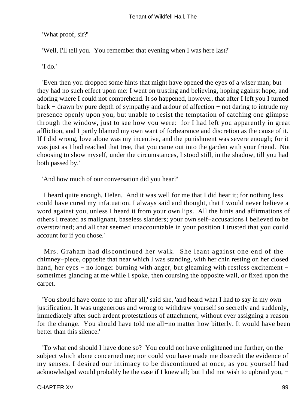'What proof, sir?'

'Well, I'll tell you. You remember that evening when I was here last?'

'I do.'

 'Even then you dropped some hints that might have opened the eyes of a wiser man; but they had no such effect upon me: I went on trusting and believing, hoping against hope, and adoring where I could not comprehend. It so happened, however, that after I left you I turned back − drawn by pure depth of sympathy and ardour of affection − not daring to intrude my presence openly upon you, but unable to resist the temptation of catching one glimpse through the window, just to see how you were: for I had left you apparently in great affliction, and I partly blamed my own want of forbearance and discretion as the cause of it. If I did wrong, love alone was my incentive, and the punishment was severe enough; for it was just as I had reached that tree, that you came out into the garden with your friend. Not choosing to show myself, under the circumstances, I stood still, in the shadow, till you had both passed by.'

'And how much of our conversation did you hear?'

 'I heard quite enough, Helen. And it was well for me that I did hear it; for nothing less could have cured my infatuation. I always said and thought, that I would never believe a word against you, unless I heard it from your own lips. All the hints and affirmations of others I treated as malignant, baseless slanders; your own self−accusations I believed to be overstrained; and all that seemed unaccountable in your position I trusted that you could account for if you chose.'

 Mrs. Graham had discontinued her walk. She leant against one end of the chimney−piece, opposite that near which I was standing, with her chin resting on her closed hand, her eyes – no longer burning with anger, but gleaming with restless excitement – sometimes glancing at me while I spoke, then coursing the opposite wall, or fixed upon the carpet.

 'You should have come to me after all,' said she, 'and heard what I had to say in my own justification. It was ungenerous and wrong to withdraw yourself so secretly and suddenly, immediately after such ardent protestations of attachment, without ever assigning a reason for the change. You should have told me all−no matter how bitterly. It would have been better than this silence.'

 'To what end should I have done so? You could not have enlightened me further, on the subject which alone concerned me; nor could you have made me discredit the evidence of my senses. I desired our intimacy to be discontinued at once, as you yourself had acknowledged would probably be the case if I knew all; but I did not wish to upbraid you, −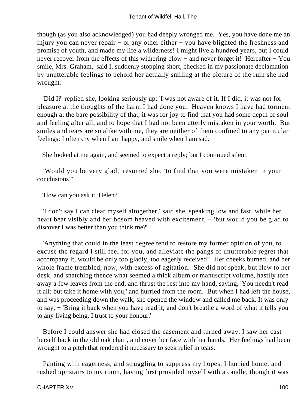though (as you also acknowledged) you had deeply wronged me. Yes, you have done me an injury you can never repair − or any other either − you have blighted the freshness and promise of youth, and made my life a wilderness! I might live a hundred years, but I could never recover from the effects of this withering blow – and never forget it! Hereafter – You smile, Mrs. Graham,' said I, suddenly stopping short, checked in my passionate declamation by unutterable feelings to behold her actually smiling at the picture of the ruin she had wrought.

 'Did I?' replied she, looking seriously up; 'I was not aware of it. If I did, it was not for pleasure at the thoughts of the harm I had done you. Heaven knows I have had torment enough at the bare possibility of that; it was for joy to find that you had some depth of soul and feeling after all, and to hope that I had not been utterly mistaken in your worth. But smiles and tears are so alike with me, they are neither of them confined to any particular feelings: I often cry when I am happy, and smile when I am sad.'

She looked at me again, and seemed to expect a reply; but I continued silent.

 'Would you be very glad,' resumed she, 'to find that you were mistaken in your conclusions?'

'How can you ask it, Helen?'

 'I don't say I can clear myself altogether,' said she, speaking low and fast, while her heart beat visibly and her bosom heaved with excitement, – 'but would you be glad to discover I was better than you think me?'

 'Anything that could in the least degree tend to restore my former opinion of you, to excuse the regard I still feel for you, and alleviate the pangs of unutterable regret that accompany it, would be only too gladly, too eagerly received!' Her cheeks burned, and her whole frame trembled, now, with excess of agitation. She did not speak, but flew to her desk, and snatching thence what seemed a thick album or manuscript volume, hastily tore away a few leaves from the end, and thrust the rest into my hand, saying, 'You needn't read it all; but take it home with you,' and hurried from the room. But when I had left the house, and was proceeding down the walk, she opened the window and called me back. It was only to say, − 'Bring it back when you have read it; and don't breathe a word of what it tells you to any living being. I trust to your honour.'

 Before I could answer she had closed the casement and turned away. I saw her cast herself back in the old oak chair, and cover her face with her hands. Her feelings had been wrought to a pitch that rendered it necessary to seek relief in tears.

 Panting with eagerness, and struggling to suppress my hopes, I hurried home, and rushed up−stairs to my room, having first provided myself with a candle, though it was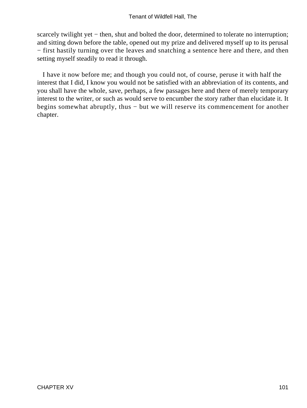scarcely twilight yet – then, shut and bolted the door, determined to tolerate no interruption; and sitting down before the table, opened out my prize and delivered myself up to its perusal − first hastily turning over the leaves and snatching a sentence here and there, and then setting myself steadily to read it through.

 I have it now before me; and though you could not, of course, peruse it with half the interest that I did, I know you would not be satisfied with an abbreviation of its contents, and you shall have the whole, save, perhaps, a few passages here and there of merely temporary interest to the writer, or such as would serve to encumber the story rather than elucidate it. It begins somewhat abruptly, thus − but we will reserve its commencement for another chapter.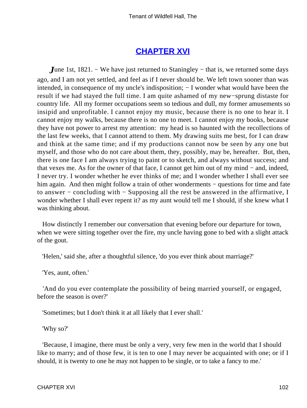### **[CHAPTER XVI](#page-378-0)**

*J*une 1st, 1821. – We have just returned to Staningley – that is, we returned some days ago, and I am not yet settled, and feel as if I never should be. We left town sooner than was intended, in consequence of my uncle's indisposition; − I wonder what would have been the result if we had stayed the full time. I am quite ashamed of my new−sprung distaste for country life. All my former occupations seem so tedious and dull, my former amusements so insipid and unprofitable. I cannot enjoy my music, because there is no one to hear it. I cannot enjoy my walks, because there is no one to meet. I cannot enjoy my books, because they have not power to arrest my attention: my head is so haunted with the recollections of the last few weeks, that I cannot attend to them. My drawing suits me best, for I can draw and think at the same time; and if my productions cannot now be seen by any one but myself, and those who do not care about them, they, possibly, may be, hereafter. But, then, there is one face I am always trying to paint or to sketch, and always without success; and that vexes me. As for the owner of that face, I cannot get him out of my mind − and, indeed, I never try. I wonder whether he ever thinks of me; and I wonder whether I shall ever see him again. And then might follow a train of other wonderments – questions for time and fate to answer – concluding with – Supposing all the rest be answered in the affirmative, I wonder whether I shall ever repent it? as my aunt would tell me I should, if she knew what I was thinking about.

 How distinctly I remember our conversation that evening before our departure for town, when we were sitting together over the fire, my uncle having gone to bed with a slight attack of the gout.

'Helen,' said she, after a thoughtful silence, 'do you ever think about marriage?'

'Yes, aunt, often.'

 'And do you ever contemplate the possibility of being married yourself, or engaged, before the season is over?'

'Sometimes; but I don't think it at all likely that I ever shall.'

'Why so?'

 'Because, I imagine, there must be only a very, very few men in the world that I should like to marry; and of those few, it is ten to one I may never be acquainted with one; or if I should, it is twenty to one he may not happen to be single, or to take a fancy to me.'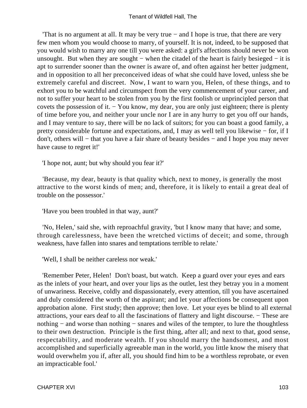'That is no argument at all. It may be very true − and I hope is true, that there are very few men whom you would choose to marry, of yourself. It is not, indeed, to be supposed that you would wish to marry any one till you were asked: a girl's affections should never be won unsought. But when they are sought – when the citadel of the heart is fairly besieged – it is apt to surrender sooner than the owner is aware of, and often against her better judgment, and in opposition to all her preconceived ideas of what she could have loved, unless she be extremely careful and discreet. Now, I want to warn you, Helen, of these things, and to exhort you to be watchful and circumspect from the very commencement of your career, and not to suffer your heart to be stolen from you by the first foolish or unprincipled person that covets the possession of it. − You know, my dear, you are only just eighteen; there is plenty of time before you, and neither your uncle nor I are in any hurry to get you off our hands, and I may venture to say, there will be no lack of suitors; for you can boast a good family, a pretty considerable fortune and expectations, and, I may as well tell you likewise − for, if I don't, others will − that you have a fair share of beauty besides − and I hope you may never have cause to regret it!'

'I hope not, aunt; but why should you fear it?'

 'Because, my dear, beauty is that quality which, next to money, is generally the most attractive to the worst kinds of men; and, therefore, it is likely to entail a great deal of trouble on the possessor.'

'Have you been troubled in that way, aunt?'

 'No, Helen,' said she, with reproachful gravity, 'but I know many that have; and some, through carelessness, have been the wretched victims of deceit; and some, through weakness, have fallen into snares and temptations terrible to relate.'

'Well, I shall be neither careless nor weak.'

 'Remember Peter, Helen! Don't boast, but watch. Keep a guard over your eyes and ears as the inlets of your heart, and over your lips as the outlet, lest they betray you in a moment of unwariness. Receive, coldly and dispassionately, every attention, till you have ascertained and duly considered the worth of the aspirant; and let your affections be consequent upon approbation alone. First study; then approve; then love. Let your eyes be blind to all external attractions, your ears deaf to all the fascinations of flattery and light discourse. − These are nothing – and worse than nothing – snares and wiles of the tempter, to lure the thoughtless to their own destruction. Principle is the first thing, after all; and next to that, good sense, respectability, and moderate wealth. If you should marry the handsomest, and most accomplished and superficially agreeable man in the world, you little know the misery that would overwhelm you if, after all, you should find him to be a worthless reprobate, or even an impracticable fool.'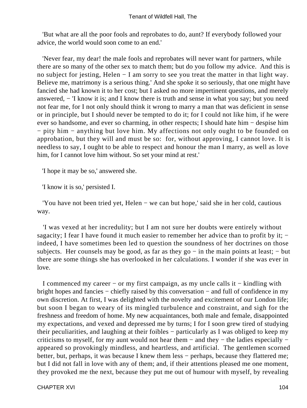'But what are all the poor fools and reprobates to do, aunt? If everybody followed your advice, the world would soon come to an end.'

 'Never fear, my dear! the male fools and reprobates will never want for partners, while there are so many of the other sex to match them; but do you follow my advice. And this is no subject for jesting, Helen − I am sorry to see you treat the matter in that light way. Believe me, matrimony is a serious thing.' And she spoke it so seriously, that one might have fancied she had known it to her cost; but I asked no more impertinent questions, and merely answered, − 'I know it is; and I know there is truth and sense in what you say; but you need not fear me, for I not only should think it wrong to marry a man that was deficient in sense or in principle, but I should never be tempted to do it; for I could not like him, if he were ever so handsome, and ever so charming, in other respects; I should hate him − despise him − pity him − anything but love him. My affections not only ought to be founded on approbation, but they will and must be so: for, without approving, I cannot love. It is needless to say, I ought to be able to respect and honour the man I marry, as well as love him, for I cannot love him without. So set your mind at rest.'

'I hope it may be so,' answered she.

'I know it is so,' persisted I.

 'You have not been tried yet, Helen − we can but hope,' said she in her cold, cautious way.

 'I was vexed at her incredulity; but I am not sure her doubts were entirely without sagacity; I fear I have found it much easier to remember her advice than to profit by it; − indeed, I have sometimes been led to question the soundness of her doctrines on those subjects. Her counsels may be good, as far as they go – in the main points at least; – but there are some things she has overlooked in her calculations. I wonder if she was ever in love.

 I commenced my career − or my first campaign, as my uncle calls it − kindling with bright hopes and fancies − chiefly raised by this conversation − and full of confidence in my own discretion. At first, I was delighted with the novelty and excitement of our London life; but soon I began to weary of its mingled turbulence and constraint, and sigh for the freshness and freedom of home. My new acquaintances, both male and female, disappointed my expectations, and vexed and depressed me by turns; I for I soon grew tired of studying their peculiarities, and laughing at their foibles − particularly as I was obliged to keep my criticisms to myself, for my aunt would not hear them − and they − the ladies especially − appeared so provokingly mindless, and heartless, and artificial. The gentlemen scorned better, but, perhaps, it was because I knew them less − perhaps, because they flattered me; but I did not fall in love with any of them; and, if their attentions pleased me one moment, they provoked me the next, because they put me out of humour with myself, by revealing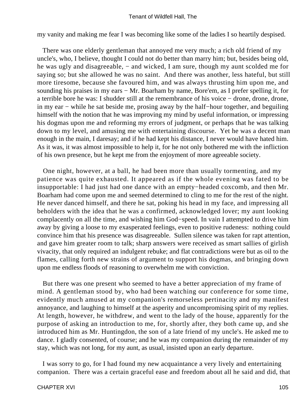my vanity and making me fear I was becoming like some of the ladies I so heartily despised.

 There was one elderly gentleman that annoyed me very much; a rich old friend of my uncle's, who, I believe, thought I could not do better than marry him; but, besides being old, he was ugly and disagreeable, – and wicked, I am sure, though my aunt scolded me for saying so; but she allowed he was no saint. And there was another, less hateful, but still more tiresome, because she favoured him, and was always thrusting him upon me, and sounding his praises in my ears − Mr. Boarham by name, Bore'em, as I prefer spelling it, for a terrible bore he was: I shudder still at the remembrance of his voice − drone, drone, drone, in my ear − while he sat beside me, prosing away by the half−hour together, and beguiling himself with the notion that he was improving my mind by useful information, or impressing his dogmas upon me and reforming my errors of judgment, or perhaps that he was talking down to my level, and amusing me with entertaining discourse. Yet he was a decent man enough in the main, I daresay; and if he had kept his distance, I never would have hated him. As it was, it was almost impossible to help it, for he not only bothered me with the infliction of his own presence, but he kept me from the enjoyment of more agreeable society.

 One night, however, at a ball, he had been more than usually tormenting, and my patience was quite exhausted. It appeared as if the whole evening was fated to be insupportable: I had just had one dance with an empty−headed coxcomb, and then Mr. Boarham had come upon me and seemed determined to cling to me for the rest of the night. He never danced himself, and there he sat, poking his head in my face, and impressing all beholders with the idea that he was a confirmed, acknowledged lover; my aunt looking complacently on all the time, and wishing him God−speed. In vain I attempted to drive him away by giving a loose to my exasperated feelings, even to positive rudeness: nothing could convince him that his presence was disagreeable. Sullen silence was taken for rapt attention, and gave him greater room to talk; sharp answers were received as smart sallies of girlish vivacity, that only required an indulgent rebuke; and flat contradictions were but as oil to the flames, calling forth new strains of argument to support his dogmas, and bringing down upon me endless floods of reasoning to overwhelm me with conviction.

 But there was one present who seemed to have a better appreciation of my frame of mind. A gentleman stood by, who had been watching our conference for some time, evidently much amused at my companion's remorseless pertinacity and my manifest annoyance, and laughing to himself at the asperity and uncompromising spirit of my replies. At length, however, he withdrew, and went to the lady of the house, apparently for the purpose of asking an introduction to me, for, shortly after, they both came up, and she introduced him as Mr. Huntingdon, the son of a late friend of my uncle's. He asked me to dance. I gladly consented, of course; and he was my companion during the remainder of my stay, which was not long, for my aunt, as usual, insisted upon an early departure.

 I was sorry to go, for I had found my new acquaintance a very lively and entertaining companion. There was a certain graceful ease and freedom about all he said and did, that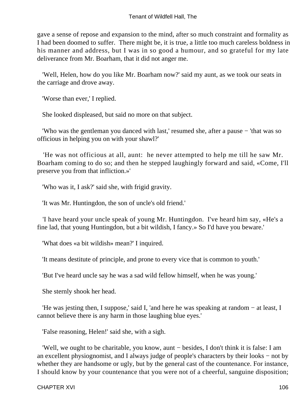gave a sense of repose and expansion to the mind, after so much constraint and formality as I had been doomed to suffer. There might be, it is true, a little too much careless boldness in his manner and address, but I was in so good a humour, and so grateful for my late deliverance from Mr. Boarham, that it did not anger me.

 'Well, Helen, how do you like Mr. Boarham now?' said my aunt, as we took our seats in the carriage and drove away.

'Worse than ever,' I replied.

She looked displeased, but said no more on that subject.

 'Who was the gentleman you danced with last,' resumed she, after a pause − 'that was so officious in helping you on with your shawl?'

 'He was not officious at all, aunt: he never attempted to help me till he saw Mr. Boarham coming to do so; and then he stepped laughingly forward and said, «Come, I'll preserve you from that infliction.»'

'Who was it, I ask?' said she, with frigid gravity.

'It was Mr. Huntingdon, the son of uncle's old friend.'

 'I have heard your uncle speak of young Mr. Huntingdon. I've heard him say, «He's a fine lad, that young Huntingdon, but a bit wildish, I fancy.» So I'd have you beware.'

'What does «a bit wildish» mean?' I inquired.

'It means destitute of principle, and prone to every vice that is common to youth.'

'But I've heard uncle say he was a sad wild fellow himself, when he was young.'

She sternly shook her head.

 'He was jesting then, I suppose,' said I, 'and here he was speaking at random − at least, I cannot believe there is any harm in those laughing blue eyes.'

'False reasoning, Helen!' said she, with a sigh.

 'Well, we ought to be charitable, you know, aunt − besides, I don't think it is false: I am an excellent physiognomist, and I always judge of people's characters by their looks − not by whether they are handsome or ugly, but by the general cast of the countenance. For instance, I should know by your countenance that you were not of a cheerful, sanguine disposition;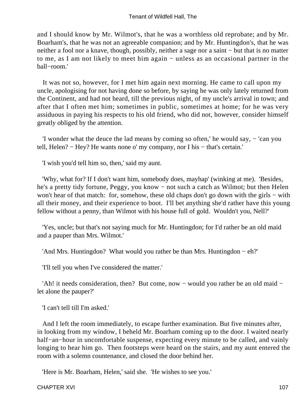and I should know by Mr. Wilmot's, that he was a worthless old reprobate; and by Mr. Boarham's, that he was not an agreeable companion; and by Mr. Huntingdon's, that he was neither a fool nor a knave, though, possibly, neither a sage nor a saint – but that is no matter to me, as I am not likely to meet him again − unless as an occasional partner in the ball−room.'

 It was not so, however, for I met him again next morning. He came to call upon my uncle, apologising for not having done so before, by saying he was only lately returned from the Continent, and had not heard, till the previous night, of my uncle's arrival in town; and after that I often met him; sometimes in public, sometimes at home; for he was very assiduous in paying his respects to his old friend, who did not, however, consider himself greatly obliged by the attention.

 'I wonder what the deuce the lad means by coming so often,' he would say, − 'can you tell, Helen? − Hey? He wants none o' my company, nor I his − that's certain.'

'I wish you'd tell him so, then,' said my aunt.

 'Why, what for? If I don't want him, somebody does, mayhap' (winking at me). 'Besides, he's a pretty tidy fortune, Peggy, you know − not such a catch as Wilmot; but then Helen won't hear of that match: for, somehow, these old chaps don't go down with the girls – with all their money, and their experience to boot. I'll bet anything she'd rather have this young fellow without a penny, than Wilmot with his house full of gold. Wouldn't you, Nell?'

 'Yes, uncle; but that's not saying much for Mr. Huntingdon; for I'd rather be an old maid and a pauper than Mrs. Wilmot.'

'And Mrs. Huntingdon? What would you rather be than Mrs. Huntingdon − eh?'

'I'll tell you when I've considered the matter.'

 'Ah! it needs consideration, then? But come, now − would you rather be an old maid − let alone the pauper?'

'I can't tell till I'm asked.'

 And I left the room immediately, to escape further examination. But five minutes after, in looking from my window, I beheld Mr. Boarham coming up to the door. I waited nearly half–an–hour in uncomfortable suspense, expecting every minute to be called, and vainly longing to hear him go. Then footsteps were heard on the stairs, and my aunt entered the room with a solemn countenance, and closed the door behind her.

'Here is Mr. Boarham, Helen,' said she. 'He wishes to see you.'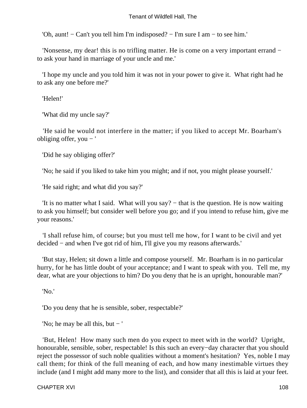'Oh, aunt! − Can't you tell him I'm indisposed? − I'm sure I am − to see him.'

 'Nonsense, my dear! this is no trifling matter. He is come on a very important errand − to ask your hand in marriage of your uncle and me.'

 'I hope my uncle and you told him it was not in your power to give it. What right had he to ask any one before me?'

'Helen!'

'What did my uncle say?'

 'He said he would not interfere in the matter; if you liked to accept Mr. Boarham's obliging offer, you  $-$  '

'Did he say obliging offer?'

'No; he said if you liked to take him you might; and if not, you might please yourself.'

'He said right; and what did you say?'

The is no matter what I said. What will you say? – that is the question. He is now waiting to ask you himself; but consider well before you go; and if you intend to refuse him, give me your reasons.'

 'I shall refuse him, of course; but you must tell me how, for I want to be civil and yet decided − and when I've got rid of him, I'll give you my reasons afterwards.'

 'But stay, Helen; sit down a little and compose yourself. Mr. Boarham is in no particular hurry, for he has little doubt of your acceptance; and I want to speak with you. Tell me, my dear, what are your objections to him? Do you deny that he is an upright, honourable man?'

'No.'

'Do you deny that he is sensible, sober, respectable?'

'No; he may be all this, but − '

 'But, Helen! How many such men do you expect to meet with in the world? Upright, honourable, sensible, sober, respectable! Is this such an every−day character that you should reject the possessor of such noble qualities without a moment's hesitation? Yes, noble I may call them; for think of the full meaning of each, and how many inestimable virtues they include (and I might add many more to the list), and consider that all this is laid at your feet.

CHAPTER XVI 108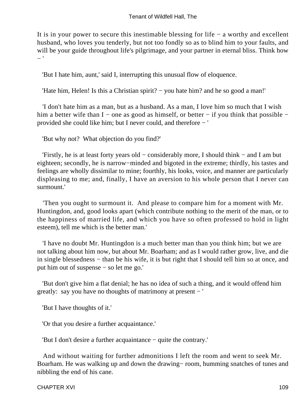It is in your power to secure this inestimable blessing for life − a worthy and excellent husband, who loves you tenderly, but not too fondly so as to blind him to your faults, and will be your guide throughout life's pilgrimage, and your partner in eternal bliss. Think how − '

'But I hate him, aunt,' said I, interrupting this unusual flow of eloquence.

'Hate him, Helen! Is this a Christian spirit? − you hate him? and he so good a man!'

 'I don't hate him as a man, but as a husband. As a man, I love him so much that I wish him a better wife than I – one as good as himself, or better – if you think that possible – provided she could like him; but I never could, and therefore − '

'But why not? What objection do you find?'

 'Firstly, he is at least forty years old − considerably more, I should think − and I am but eighteen; secondly, he is narrow−minded and bigoted in the extreme; thirdly, his tastes and feelings are wholly dissimilar to mine; fourthly, his looks, voice, and manner are particularly displeasing to me; and, finally, I have an aversion to his whole person that I never can surmount.'

 'Then you ought to surmount it. And please to compare him for a moment with Mr. Huntingdon, and, good looks apart (which contribute nothing to the merit of the man, or to the happiness of married life, and which you have so often professed to hold in light esteem), tell me which is the better man.'

 'I have no doubt Mr. Huntingdon is a much better man than you think him; but we are not talking about him now, but about Mr. Boarham; and as I would rather grow, live, and die in single blessedness − than be his wife, it is but right that I should tell him so at once, and put him out of suspense − so let me go.'

 'But don't give him a flat denial; he has no idea of such a thing, and it would offend him greatly: say you have no thoughts of matrimony at present − '

'But I have thoughts of it.'

'Or that you desire a further acquaintance.'

'But I don't desire a further acquaintance − quite the contrary.'

 And without waiting for further admonitions I left the room and went to seek Mr. Boarham. He was walking up and down the drawing− room, humming snatches of tunes and nibbling the end of his cane.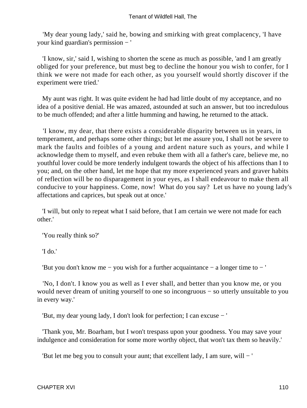'My dear young lady,' said he, bowing and smirking with great complacency, 'I have your kind guardian's permission − '

 'I know, sir,' said I, wishing to shorten the scene as much as possible, 'and I am greatly obliged for your preference, but must beg to decline the honour you wish to confer, for I think we were not made for each other, as you yourself would shortly discover if the experiment were tried.'

 My aunt was right. It was quite evident he had had little doubt of my acceptance, and no idea of a positive denial. He was amazed, astounded at such an answer, but too incredulous to be much offended; and after a little humming and hawing, he returned to the attack.

 'I know, my dear, that there exists a considerable disparity between us in years, in temperament, and perhaps some other things; but let me assure you, I shall not be severe to mark the faults and foibles of a young and ardent nature such as yours, and while I acknowledge them to myself, and even rebuke them with all a father's care, believe me, no youthful lover could be more tenderly indulgent towards the object of his affections than I to you; and, on the other hand, let me hope that my more experienced years and graver habits of reflection will be no disparagement in your eyes, as I shall endeavour to make them all conducive to your happiness. Come, now! What do you say? Let us have no young lady's affectations and caprices, but speak out at once.'

 'I will, but only to repeat what I said before, that I am certain we were not made for each other.'

'You really think so?'

'I do.'

'But you don't know me − you wish for a further acquaintance − a longer time to − '

 'No, I don't. I know you as well as I ever shall, and better than you know me, or you would never dream of uniting yourself to one so incongruous − so utterly unsuitable to you in every way.'

'But, my dear young lady, I don't look for perfection; I can excuse − '

 'Thank you, Mr. Boarham, but I won't trespass upon your goodness. You may save your indulgence and consideration for some more worthy object, that won't tax them so heavily.'

'But let me beg you to consult your aunt; that excellent lady, I am sure, will − '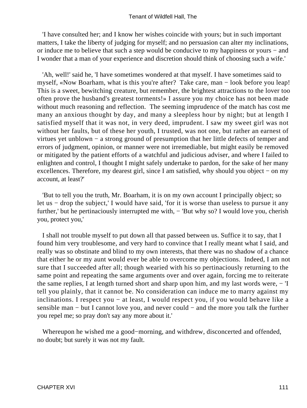'I have consulted her; and I know her wishes coincide with yours; but in such important matters, I take the liberty of judging for myself; and no persuasion can alter my inclinations, or induce me to believe that such a step would be conducive to my happiness or yours − and I wonder that a man of your experience and discretion should think of choosing such a wife.'

 'Ah, well!' said he, 'I have sometimes wondered at that myself. I have sometimes said to myself, «Now Boarham, what is this you're after? Take care, man − look before you leap! This is a sweet, bewitching creature, but remember, the brightest attractions to the lover too often prove the husband's greatest torments!» I assure you my choice has not been made without much reasoning and reflection. The seeming imprudence of the match has cost me many an anxious thought by day, and many a sleepless hour by night; but at length I satisfied myself that it was not, in very deed, imprudent. I saw my sweet girl was not without her faults, but of these her youth, I trusted, was not one, but rather an earnest of virtues yet unblown − a strong ground of presumption that her little defects of temper and errors of judgment, opinion, or manner were not irremediable, but might easily be removed or mitigated by the patient efforts of a watchful and judicious adviser, and where I failed to enlighten and control, I thought I might safely undertake to pardon, for the sake of her many excellences. Therefore, my dearest girl, since I am satisfied, why should you object – on my account, at least?'

 'But to tell you the truth, Mr. Boarham, it is on my own account I principally object; so let us − drop the subject,' I would have said, 'for it is worse than useless to pursue it any further,' but he pertinaciously interrupted me with,  $-$  'But why so? I would love you, cherish you, protect you,'

 I shall not trouble myself to put down all that passed between us. Suffice it to say, that I found him very troublesome, and very hard to convince that I really meant what I said, and really was so obstinate and blind to my own interests, that there was no shadow of a chance that either he or my aunt would ever be able to overcome my objections. Indeed, I am not sure that I succeeded after all; though wearied with his so pertinaciously returning to the same point and repeating the same arguments over and over again, forcing me to reiterate the same replies, I at length turned short and sharp upon him, and my last words were, − 'I tell you plainly, that it cannot be. No consideration can induce me to marry against my inclinations. I respect you − at least, I would respect you, if you would behave like a sensible man – but I cannot love you, and never could – and the more you talk the further you repel me; so pray don't say any more about it.'

 Whereupon he wished me a good−morning, and withdrew, disconcerted and offended, no doubt; but surely it was not my fault.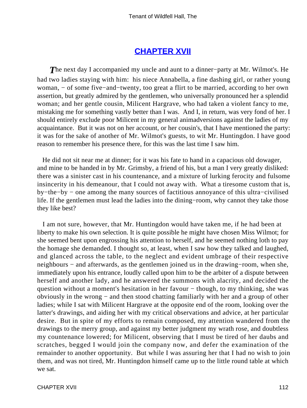### **[CHAPTER XVII](#page-378-0)**

*T*he next day I accompanied my uncle and aunt to a dinner−party at Mr. Wilmot's. He had two ladies staying with him: his niece Annabella, a fine dashing girl, or rather young woman, − of some five−and−twenty, too great a flirt to be married, according to her own assertion, but greatly admired by the gentlemen, who universally pronounced her a splendid woman; and her gentle cousin, Milicent Hargrave, who had taken a violent fancy to me, mistaking me for something vastly better than I was. And I, in return, was very fond of her. I should entirely exclude poor Milicent in my general animadversions against the ladies of my acquaintance. But it was not on her account, or her cousin's, that I have mentioned the party: it was for the sake of another of Mr. Wilmot's guests, to wit Mr. Huntingdon. I have good reason to remember his presence there, for this was the last time I saw him.

 He did not sit near me at dinner; for it was his fate to hand in a capacious old dowager, and mine to be handed in by Mr. Grimsby, a friend of his, but a man I very greatly disliked: there was a sinister cast in his countenance, and a mixture of lurking ferocity and fulsome insincerity in his demeanour, that I could not away with. What a tiresome custom that is, by−the−by − one among the many sources of factitious annoyance of this ultra−civilised life. If the gentlemen must lead the ladies into the dining−room, why cannot they take those they like best?

 I am not sure, however, that Mr. Huntingdon would have taken me, if he had been at liberty to make his own selection. It is quite possible he might have chosen Miss Wilmot; for she seemed bent upon engrossing his attention to herself, and he seemed nothing loth to pay the homage she demanded. I thought so, at least, when I saw how they talked and laughed, and glanced across the table, to the neglect and evident umbrage of their respective neighbours – and afterwards, as the gentlemen joined us in the drawing–room, when she, immediately upon his entrance, loudly called upon him to be the arbiter of a dispute between herself and another lady, and he answered the summons with alacrity, and decided the question without a moment's hesitation in her favour – though, to my thinking, she was obviously in the wrong − and then stood chatting familiarly with her and a group of other ladies; while I sat with Milicent Hargrave at the opposite end of the room, looking over the latter's drawings, and aiding her with my critical observations and advice, at her particular desire. But in spite of my efforts to remain composed, my attention wandered from the drawings to the merry group, and against my better judgment my wrath rose, and doubtless my countenance lowered; for Milicent, observing that I must be tired of her daubs and scratches, begged I would join the company now, and defer the examination of the remainder to another opportunity. But while I was assuring her that I had no wish to join them, and was not tired, Mr. Huntingdon himself came up to the little round table at which we sat.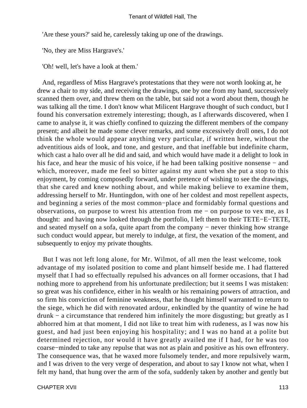'Are these yours?' said he, carelessly taking up one of the drawings.

'No, they are Miss Hargrave's.'

'Oh! well, let's have a look at them.'

 And, regardless of Miss Hargrave's protestations that they were not worth looking at, he drew a chair to my side, and receiving the drawings, one by one from my hand, successively scanned them over, and threw them on the table, but said not a word about them, though he was talking all the time. I don't know what Milicent Hargrave thought of such conduct, but I found his conversation extremely interesting; though, as I afterwards discovered, when I came to analyse it, it was chiefly confined to quizzing the different members of the company present; and albeit he made some clever remarks, and some excessively droll ones, I do not think the whole would appear anything very particular, if written here, without the adventitious aids of look, and tone, and gesture, and that ineffable but indefinite charm, which cast a halo over all he did and said, and which would have made it a delight to look in his face, and hear the music of his voice, if he had been talking positive nonsense − and which, moreover, made me feel so bitter against my aunt when she put a stop to this enjoyment, by coming composedly forward, under pretence of wishing to see the drawings, that she cared and knew nothing about, and while making believe to examine them, addressing herself to Mr. Huntingdon, with one of her coldest and most repellent aspects, and beginning a series of the most common−place and formidably formal questions and observations, on purpose to wrest his attention from me − on purpose to vex me, as I thought: and having now looked through the portfolio, I left them to their TETE−E−TETE, and seated myself on a sofa, quite apart from the company − never thinking how strange such conduct would appear, but merely to indulge, at first, the vexation of the moment, and subsequently to enjoy my private thoughts.

 But I was not left long alone, for Mr. Wilmot, of all men the least welcome, took advantage of my isolated position to come and plant himself beside me. I had flattered myself that I had so effectually repulsed his advances on all former occasions, that I had nothing more to apprehend from his unfortunate predilection; but it seems I was mistaken: so great was his confidence, either in his wealth or his remaining powers of attraction, and so firm his conviction of feminine weakness, that he thought himself warranted to return to the siege, which he did with renovated ardour, enkindled by the quantity of wine he had drunk − a circumstance that rendered him infinitely the more disgusting; but greatly as I abhorred him at that moment, I did not like to treat him with rudeness, as I was now his guest, and had just been enjoying his hospitality; and I was no hand at a polite but determined rejection, nor would it have greatly availed me if I had, for he was too coarse−minded to take any repulse that was not as plain and positive as his own effrontery. The consequence was, that he waxed more fulsomely tender, and more repulsively warm, and I was driven to the very verge of desperation, and about to say I know not what, when I felt my hand, that hung over the arm of the sofa, suddenly taken by another and gently but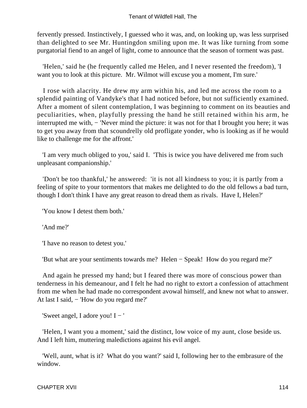fervently pressed. Instinctively, I guessed who it was, and, on looking up, was less surprised than delighted to see Mr. Huntingdon smiling upon me. It was like turning from some purgatorial fiend to an angel of light, come to announce that the season of torment was past.

 'Helen,' said he (he frequently called me Helen, and I never resented the freedom), 'I want you to look at this picture. Mr. Wilmot will excuse you a moment, I'm sure.'

 I rose with alacrity. He drew my arm within his, and led me across the room to a splendid painting of Vandyke's that I had noticed before, but not sufficiently examined. After a moment of silent contemplation, I was beginning to comment on its beauties and peculiarities, when, playfully pressing the hand he still retained within his arm, he interrupted me with, − 'Never mind the picture: it was not for that I brought you here; it was to get you away from that scoundrelly old profligate yonder, who is looking as if he would like to challenge me for the affront.'

 'I am very much obliged to you,' said I. 'This is twice you have delivered me from such unpleasant companionship.'

 'Don't be too thankful,' he answered: 'it is not all kindness to you; it is partly from a feeling of spite to your tormentors that makes me delighted to do the old fellows a bad turn, though I don't think I have any great reason to dread them as rivals. Have I, Helen?'

'You know I detest them both.'

'And me?'

'I have no reason to detest you.'

'But what are your sentiments towards me? Helen − Speak! How do you regard me?'

 And again he pressed my hand; but I feared there was more of conscious power than tenderness in his demeanour, and I felt he had no right to extort a confession of attachment from me when he had made no correspondent avowal himself, and knew not what to answer. At last I said, − 'How do you regard me?'

'Sweet angel, I adore you! I − '

 'Helen, I want you a moment,' said the distinct, low voice of my aunt, close beside us. And I left him, muttering maledictions against his evil angel.

 'Well, aunt, what is it? What do you want?' said I, following her to the embrasure of the window.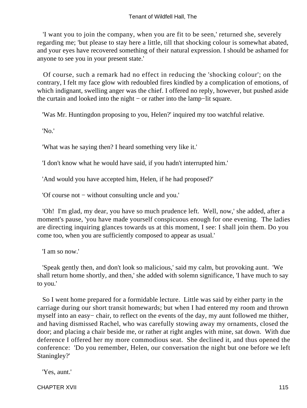'I want you to join the company, when you are fit to be seen,' returned she, severely regarding me; 'but please to stay here a little, till that shocking colour is somewhat abated, and your eyes have recovered something of their natural expression. I should be ashamed for anyone to see you in your present state.'

 Of course, such a remark had no effect in reducing the 'shocking colour'; on the contrary, I felt my face glow with redoubled fires kindled by a complication of emotions, of which indignant, swelling anger was the chief. I offered no reply, however, but pushed aside the curtain and looked into the night − or rather into the lamp−lit square.

'Was Mr. Huntingdon proposing to you, Helen?' inquired my too watchful relative.

'No.'

'What was he saying then? I heard something very like it.'

'I don't know what he would have said, if you hadn't interrupted him.'

'And would you have accepted him, Helen, if he had proposed?'

'Of course not − without consulting uncle and you.'

 'Oh! I'm glad, my dear, you have so much prudence left. Well, now,' she added, after a moment's pause, 'you have made yourself conspicuous enough for one evening. The ladies are directing inquiring glances towards us at this moment, I see: I shall join them. Do you come too, when you are sufficiently composed to appear as usual.'

'I am so now.'

 'Speak gently then, and don't look so malicious,' said my calm, but provoking aunt. 'We shall return home shortly, and then,' she added with solemn significance, 'I have much to say to you.'

 So I went home prepared for a formidable lecture. Little was said by either party in the carriage during our short transit homewards; but when I had entered my room and thrown myself into an easy− chair, to reflect on the events of the day, my aunt followed me thither, and having dismissed Rachel, who was carefully stowing away my ornaments, closed the door; and placing a chair beside me, or rather at right angles with mine, sat down. With due deference I offered her my more commodious seat. She declined it, and thus opened the conference: 'Do you remember, Helen, our conversation the night but one before we left Staningley?'

'Yes, aunt.'

CHAPTER XVII 115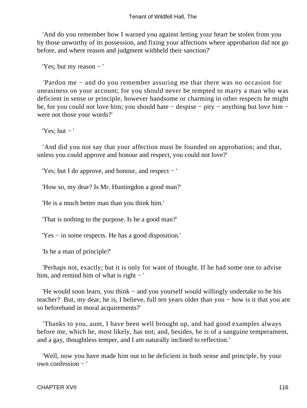'And do you remember how I warned you against letting your heart be stolen from you by those unworthy of its possession, and fixing your affections where approbation did not go before, and where reason and judgment withheld their sanction?'

'Yes; but my reason − '

 'Pardon me − and do you remember assuring me that there was no occasion for uneasiness on your account; for you should never be tempted to marry a man who was deficient in sense or principle, however handsome or charming in other respects he might be, for you could not love him; you should hate − despise − pity − anything but love him − were not those your words?'

'Yes:  $but -'$ 

 'And did you not say that your affection must be founded on approbation; and that, unless you could approve and honour and respect, you could not love?'

'Yes; but I do approve, and honour, and respect − '

'How so, my dear? Is Mr. Huntingdon a good man?'

'He is a much better man than you think him.'

'That is nothing to the purpose. Is he a good man?'

'Yes − in some respects. He has a good disposition.'

'Is he a man of principle?'

 'Perhaps not, exactly; but it is only for want of thought. If he had some one to advise him, and remind him of what is right − '

 'He would soon learn, you think − and you yourself would willingly undertake to be his teacher? But, my dear, he is, I believe, full ten years older than you − how is it that you are so beforehand in moral acquirements?'

 'Thanks to you, aunt, I have been well brought up, and had good examples always before me, which he, most likely, has not; and, besides, he is of a sanguine temperament, and a gay, thoughtless temper, and I am naturally inclined to reflection.'

 'Well, now you have made him out to be deficient in both sense and principle, by your own confession − '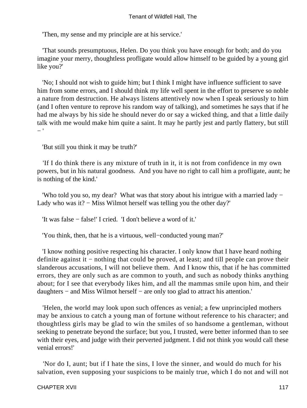'Then, my sense and my principle are at his service.'

 'That sounds presumptuous, Helen. Do you think you have enough for both; and do you imagine your merry, thoughtless profligate would allow himself to be guided by a young girl like you?'

 'No; I should not wish to guide him; but I think I might have influence sufficient to save him from some errors, and I should think my life well spent in the effort to preserve so noble a nature from destruction. He always listens attentively now when I speak seriously to him (and I often venture to reprove his random way of talking), and sometimes he says that if he had me always by his side he should never do or say a wicked thing, and that a little daily talk with me would make him quite a saint. It may he partly jest and partly flattery, but still − '

'But still you think it may be truth?'

 'If I do think there is any mixture of truth in it, it is not from confidence in my own powers, but in his natural goodness. And you have no right to call him a profligate, aunt; he is nothing of the kind.'

 'Who told you so, my dear? What was that story about his intrigue with a married lady − Lady who was it? − Miss Wilmot herself was telling you the other day?'

'It was false − false!' I cried. 'I don't believe a word of it.'

'You think, then, that he is a virtuous, well−conducted young man?'

 'I know nothing positive respecting his character. I only know that I have heard nothing definite against it − nothing that could be proved, at least; and till people can prove their slanderous accusations, I will not believe them. And I know this, that if he has committed errors, they are only such as are common to youth, and such as nobody thinks anything about; for I see that everybody likes him, and all the mammas smile upon him, and their daughters − and Miss Wilmot herself − are only too glad to attract his attention.'

 'Helen, the world may look upon such offences as venial; a few unprincipled mothers may be anxious to catch a young man of fortune without reference to his character; and thoughtless girls may be glad to win the smiles of so handsome a gentleman, without seeking to penetrate beyond the surface; but you, I trusted, were better informed than to see with their eyes, and judge with their perverted judgment. I did not think you would call these venial errors!'

 'Nor do I, aunt; but if I hate the sins, I love the sinner, and would do much for his salvation, even supposing your suspicions to be mainly true, which I do not and will not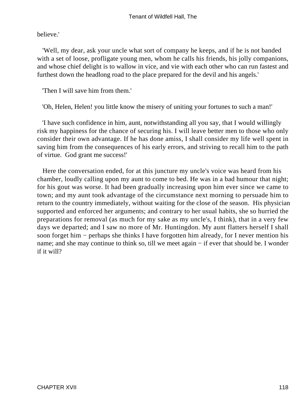believe.'

 'Well, my dear, ask your uncle what sort of company he keeps, and if he is not banded with a set of loose, profligate young men, whom he calls his friends, his jolly companions, and whose chief delight is to wallow in vice, and vie with each other who can run fastest and furthest down the headlong road to the place prepared for the devil and his angels.'

'Then I will save him from them.'

'Oh, Helen, Helen! you little know the misery of uniting your fortunes to such a man!'

 'I have such confidence in him, aunt, notwithstanding all you say, that I would willingly risk my happiness for the chance of securing his. I will leave better men to those who only consider their own advantage. If he has done amiss, I shall consider my life well spent in saving him from the consequences of his early errors, and striving to recall him to the path of virtue. God grant me success!'

 Here the conversation ended, for at this juncture my uncle's voice was heard from his chamber, loudly calling upon my aunt to come to bed. He was in a bad humour that night; for his gout was worse. It had been gradually increasing upon him ever since we came to town; and my aunt took advantage of the circumstance next morning to persuade him to return to the country immediately, without waiting for the close of the season. His physician supported and enforced her arguments; and contrary to her usual habits, she so hurried the preparations for removal (as much for my sake as my uncle's, I think), that in a very few days we departed; and I saw no more of Mr. Huntingdon. My aunt flatters herself I shall soon forget him − perhaps she thinks I have forgotten him already, for I never mention his name; and she may continue to think so, till we meet again – if ever that should be. I wonder if it will?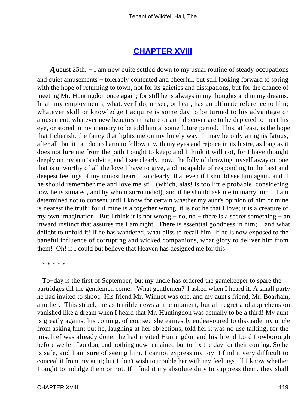### **[CHAPTER XVIII](#page-378-0)**

*A*ugust 25th. – I am now quite settled down to my usual routine of steady occupations and quiet amusements − tolerably contented and cheerful, but still looking forward to spring with the hope of returning to town, not for its gaieties and dissipations, but for the chance of meeting Mr. Huntingdon once again; for still he is always in my thoughts and in my dreams. In all my employments, whatever I do, or see, or hear, has an ultimate reference to him; whatever skill or knowledge I acquire is some day to be turned to his advantage or amusement; whatever new beauties in nature or art I discover are to be depicted to meet his eye, or stored in my memory to be told him at some future period. This, at least, is the hope that I cherish, the fancy that lights me on my lonely way. It may be only an ignis fatuus, after all, but it can do no harm to follow it with my eyes and rejoice in its lustre, as long as it does not lure me from the path I ought to keep; and I think it will not, for I have thought deeply on my aunt's advice, and I see clearly, now, the folly of throwing myself away on one that is unworthy of all the love I have to give, and incapable of responding to the best and deepest feelings of my inmost heart − so clearly, that even if I should see him again, and if he should remember me and love me still (which, alas! is too little probable, considering how he is situated, and by whom surrounded), and if he should ask me to marry him − I am determined not to consent until I know for certain whether my aunt's opinion of him or mine is nearest the truth; for if mine is altogether wrong, it is not he that I love; it is a creature of my own imagination. But I think it is not wrong − no, no − there is a secret something − an inward instinct that assures me I am right. There is essential goodness in him; − and what delight to unfold it! If he has wandered, what bliss to recall him! If he is now exposed to the baneful influence of corrupting and wicked companions, what glory to deliver him from them! Oh! if I could but believe that Heaven has designed me for this!

\* \* \* \* \*

 To−day is the first of September; but my uncle has ordered the gamekeeper to spare the partridges till the gentlemen come. 'What gentlemen?' I asked when I heard it. A small party he had invited to shoot. His friend Mr. Wilmot was one, and my aunt's friend, Mr. Boarham, another. This struck me as terrible news at the moment; but all regret and apprehension vanished like a dream when I heard that Mr. Huntingdon was actually to be a third! My aunt is greatly against his coming, of course: she earnestly endeavoured to dissuade my uncle from asking him; but he, laughing at her objections, told her it was no use talking, for the mischief was already done: he had invited Huntingdon and his friend Lord Lowborough before we left London, and nothing now remained but to fix the day for their coming. So he is safe, and I am sure of seeing him. I cannot express my joy. I find it very difficult to conceal it from my aunt; but I don't wish to trouble her with my feelings till I know whether I ought to indulge them or not. If I find it my absolute duty to suppress them, they shall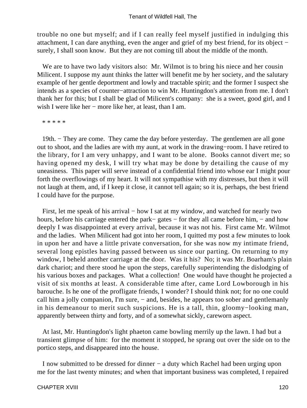trouble no one but myself; and if I can really feel myself justified in indulging this attachment, I can dare anything, even the anger and grief of my best friend, for its object − surely, I shall soon know. But they are not coming till about the middle of the month.

We are to have two lady visitors also: Mr. Wilmot is to bring his niece and her cousin Milicent. I suppose my aunt thinks the latter will benefit me by her society, and the salutary example of her gentle deportment and lowly and tractable spirit; and the former I suspect she intends as a species of counter−attraction to win Mr. Huntingdon's attention from me. I don't thank her for this; but I shall be glad of Milicent's company: she is a sweet, good girl, and I wish I were like her − more like her, at least, than I am.

\* \* \* \* \*

 19th. − They are come. They came the day before yesterday. The gentlemen are all gone out to shoot, and the ladies are with my aunt, at work in the drawing−room. I have retired to the library, for I am very unhappy, and I want to be alone. Books cannot divert me; so having opened my desk, I will try what may be done by detailing the cause of my uneasiness. This paper will serve instead of a confidential friend into whose ear I might pour forth the overflowings of my heart. It will not sympathise with my distresses, but then it will not laugh at them, and, if I keep it close, it cannot tell again; so it is, perhaps, the best friend I could have for the purpose.

First, let me speak of his arrival – how I sat at my window, and watched for nearly two hours, before his carriage entered the park− gates − for they all came before him, − and how deeply I was disappointed at every arrival, because it was not his. First came Mr. Wilmot and the ladies. When Milicent had got into her room, I quitted my post a few minutes to look in upon her and have a little private conversation, for she was now my intimate friend, several long epistles having passed between us since our parting. On returning to my window, I beheld another carriage at the door. Was it his? No; it was Mr. Boarham's plain dark chariot; and there stood he upon the steps, carefully superintending the dislodging of his various boxes and packages. What a collection! One would have thought he projected a visit of six months at least. A considerable time after, came Lord Lowborough in his barouche. Is he one of the profligate friends, I wonder? I should think not; for no one could call him a jolly companion, I'm sure, – and, besides, he appears too sober and gentlemanly in his demeanour to merit such suspicions. He is a tall, thin, gloomy−looking man, apparently between thirty and forty, and of a somewhat sickly, careworn aspect.

 At last, Mr. Huntingdon's light phaeton came bowling merrily up the lawn. I had but a transient glimpse of him: for the moment it stopped, he sprang out over the side on to the portico steps, and disappeared into the house.

 I now submitted to be dressed for dinner − a duty which Rachel had been urging upon me for the last twenty minutes; and when that important business was completed, I repaired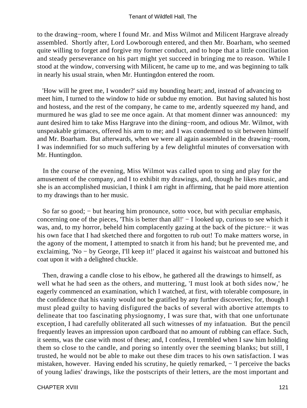to the drawing−room, where I found Mr. and Miss Wilmot and Milicent Hargrave already assembled. Shortly after, Lord Lowborough entered, and then Mr. Boarham, who seemed quite willing to forget and forgive my former conduct, and to hope that a little conciliation and steady perseverance on his part might yet succeed in bringing me to reason. While I stood at the window, conversing with Milicent, he came up to me, and was beginning to talk in nearly his usual strain, when Mr. Huntingdon entered the room.

 'How will he greet me, I wonder?' said my bounding heart; and, instead of advancing to meet him, I turned to the window to hide or subdue my emotion. But having saluted his host and hostess, and the rest of the company, he came to me, ardently squeezed my hand, and murmured he was glad to see me once again. At that moment dinner was announced: my aunt desired him to take Miss Hargrave into the dining−room, and odious Mr. Wilmot, with unspeakable grimaces, offered his arm to me; and I was condemned to sit between himself and Mr. Boarham. But afterwards, when we were all again assembled in the drawing−room, I was indemnified for so much suffering by a few delightful minutes of conversation with Mr. Huntingdon.

 In the course of the evening, Miss Wilmot was called upon to sing and play for the amusement of the company, and I to exhibit my drawings, and, though he likes music, and she is an accomplished musician, I think I am right in affirming, that he paid more attention to my drawings than to her music.

So far so good; – but hearing him pronounce, sotto voce, but with peculiar emphasis, concerning one of the pieces, 'This is better than all!' − I looked up, curious to see which it was, and, to my horror, beheld him complacently gazing at the back of the picture:− it was his own face that I had sketched there and forgotten to rub out! To make matters worse, in the agony of the moment, I attempted to snatch it from his hand; but he prevented me, and exclaiming, 'No − by George, I'll keep it!' placed it against his waistcoat and buttoned his coat upon it with a delighted chuckle.

 Then, drawing a candle close to his elbow, he gathered all the drawings to himself, as well what he had seen as the others, and muttering, 'I must look at both sides now,' he eagerly commenced an examination, which I watched, at first, with tolerable composure, in the confidence that his vanity would not be gratified by any further discoveries; for, though I must plead guilty to having disfigured the backs of several with abortive attempts to delineate that too fascinating physiognomy, I was sure that, with that one unfortunate exception, I had carefully obliterated all such witnesses of my infatuation. But the pencil frequently leaves an impression upon cardboard that no amount of rubbing can efface. Such, it seems, was the case with most of these; and, I confess, I trembled when I saw him holding them so close to the candle, and poring so intently over the seeming blanks; but still, I trusted, he would not be able to make out these dim traces to his own satisfaction. I was mistaken, however. Having ended his scrutiny, he quietly remarked, − 'I perceive the backs of young ladies' drawings, like the postscripts of their letters, are the most important and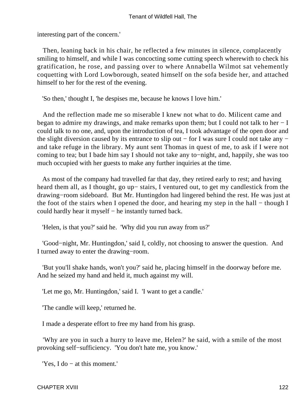interesting part of the concern.'

 Then, leaning back in his chair, he reflected a few minutes in silence, complacently smiling to himself, and while I was concocting some cutting speech wherewith to check his gratification, he rose, and passing over to where Annabella Wilmot sat vehemently coquetting with Lord Lowborough, seated himself on the sofa beside her, and attached himself to her for the rest of the evening.

'So then,' thought I, 'he despises me, because he knows I love him.'

 And the reflection made me so miserable I knew not what to do. Milicent came and began to admire my drawings, and make remarks upon them; but I could not talk to her − I could talk to no one, and, upon the introduction of tea, I took advantage of the open door and the slight diversion caused by its entrance to slip out − for I was sure I could not take any − and take refuge in the library. My aunt sent Thomas in quest of me, to ask if I were not coming to tea; but I bade him say I should not take any to−night, and, happily, she was too much occupied with her guests to make any further inquiries at the time.

 As most of the company had travelled far that day, they retired early to rest; and having heard them all, as I thought, go up− stairs, I ventured out, to get my candlestick from the drawing−room sideboard. But Mr. Huntingdon had lingered behind the rest. He was just at the foot of the stairs when I opened the door, and hearing my step in the hall – though I could hardly hear it myself − he instantly turned back.

'Helen, is that you?' said he. 'Why did you run away from us?'

 'Good−night, Mr. Huntingdon,' said I, coldly, not choosing to answer the question. And I turned away to enter the drawing−room.

 'But you'll shake hands, won't you?' said he, placing himself in the doorway before me. And he seized my hand and held it, much against my will.

'Let me go, Mr. Huntingdon,' said I. 'I want to get a candle.'

'The candle will keep,' returned he.

I made a desperate effort to free my hand from his grasp.

 'Why are you in such a hurry to leave me, Helen?' he said, with a smile of the most provoking self−sufficiency. 'You don't hate me, you know.'

'Yes, I do − at this moment.'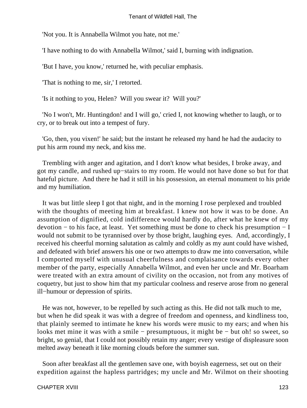'Not you. It is Annabella Wilmot you hate, not me.'

'I have nothing to do with Annabella Wilmot,' said I, burning with indignation.

'But I have, you know,' returned he, with peculiar emphasis.

'That is nothing to me, sir,' I retorted.

'Is it nothing to you, Helen? Will you swear it? Will you?'

 'No I won't, Mr. Huntingdon! and I will go,' cried I, not knowing whether to laugh, or to cry, or to break out into a tempest of fury.

 'Go, then, you vixen!' he said; but the instant he released my hand he had the audacity to put his arm round my neck, and kiss me.

 Trembling with anger and agitation, and I don't know what besides, I broke away, and got my candle, and rushed up−stairs to my room. He would not have done so but for that hateful picture. And there he had it still in his possession, an eternal monument to his pride and my humiliation.

 It was but little sleep I got that night, and in the morning I rose perplexed and troubled with the thoughts of meeting him at breakfast. I knew not how it was to be done. An assumption of dignified, cold indifference would hardly do, after what he knew of my devotion − to his face, at least. Yet something must be done to check his presumption − I would not submit to be tyrannised over by those bright, laughing eyes. And, accordingly, I received his cheerful morning salutation as calmly and coldly as my aunt could have wished, and defeated with brief answers his one or two attempts to draw me into conversation, while I comported myself with unusual cheerfulness and complaisance towards every other member of the party, especially Annabella Wilmot, and even her uncle and Mr. Boarham were treated with an extra amount of civility on the occasion, not from any motives of coquetry, but just to show him that my particular coolness and reserve arose from no general ill−humour or depression of spirits.

 He was not, however, to be repelled by such acting as this. He did not talk much to me, but when he did speak it was with a degree of freedom and openness, and kindliness too, that plainly seemed to intimate he knew his words were music to my ears; and when his looks met mine it was with a smile − presumptuous, it might be − but oh! so sweet, so bright, so genial, that I could not possibly retain my anger; every vestige of displeasure soon melted away beneath it like morning clouds before the summer sun.

 Soon after breakfast all the gentlemen save one, with boyish eagerness, set out on their expedition against the hapless partridges; my uncle and Mr. Wilmot on their shooting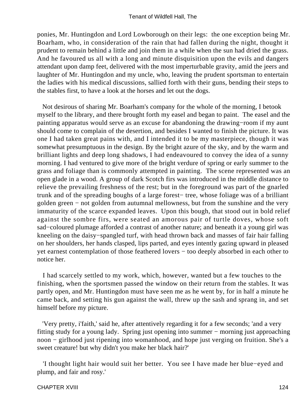ponies, Mr. Huntingdon and Lord Lowborough on their legs: the one exception being Mr. Boarham, who, in consideration of the rain that had fallen during the night, thought it prudent to remain behind a little and join them in a while when the sun had dried the grass. And he favoured us all with a long and minute disquisition upon the evils and dangers attendant upon damp feet, delivered with the most imperturbable gravity, amid the jeers and laughter of Mr. Huntingdon and my uncle, who, leaving the prudent sportsman to entertain the ladies with his medical discussions, sallied forth with their guns, bending their steps to the stables first, to have a look at the horses and let out the dogs.

 Not desirous of sharing Mr. Boarham's company for the whole of the morning, I betook myself to the library, and there brought forth my easel and began to paint. The easel and the painting apparatus would serve as an excuse for abandoning the drawing−room if my aunt should come to complain of the desertion, and besides I wanted to finish the picture. It was one I had taken great pains with, and I intended it to be my masterpiece, though it was somewhat presumptuous in the design. By the bright azure of the sky, and by the warm and brilliant lights and deep long shadows, I had endeavoured to convey the idea of a sunny morning. I had ventured to give more of the bright verdure of spring or early summer to the grass and foliage than is commonly attempted in painting. The scene represented was an open glade in a wood. A group of dark Scotch firs was introduced in the middle distance to relieve the prevailing freshness of the rest; but in the foreground was part of the gnarled trunk and of the spreading boughs of a large forest− tree, whose foliage was of a brilliant golden green − not golden from autumnal mellowness, but from the sunshine and the very immaturity of the scarce expanded leaves. Upon this bough, that stood out in bold relief against the sombre firs, were seated an amorous pair of turtle doves, whose soft sad−coloured plumage afforded a contrast of another nature; and beneath it a young girl was kneeling on the daisy−spangled turf, with head thrown back and masses of fair hair falling on her shoulders, her hands clasped, lips parted, and eyes intently gazing upward in pleased yet earnest contemplation of those feathered lovers − too deeply absorbed in each other to notice her.

 I had scarcely settled to my work, which, however, wanted but a few touches to the finishing, when the sportsmen passed the window on their return from the stables. It was partly open, and Mr. Huntingdon must have seen me as he went by, for in half a minute he came back, and setting his gun against the wall, threw up the sash and sprang in, and set himself before my picture.

 'Very pretty, i'faith,' said he, after attentively regarding it for a few seconds; 'and a very fitting study for a young lady. Spring just opening into summer − morning just approaching noon − girlhood just ripening into womanhood, and hope just verging on fruition. She's a sweet creature! but why didn't you make her black hair?'

 'I thought light hair would suit her better. You see I have made her blue−eyed and plump, and fair and rosy.'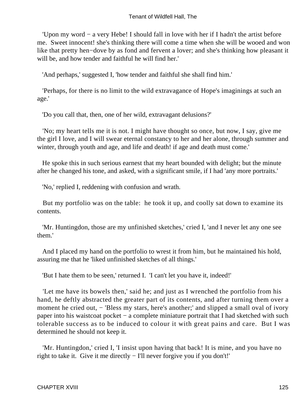'Upon my word − a very Hebe! I should fall in love with her if I hadn't the artist before me. Sweet innocent! she's thinking there will come a time when she will be wooed and won like that pretty hen−dove by as fond and fervent a lover; and she's thinking how pleasant it will be, and how tender and faithful he will find her.'

'And perhaps,' suggested I, 'how tender and faithful she shall find him.'

 'Perhaps, for there is no limit to the wild extravagance of Hope's imaginings at such an age.'

'Do you call that, then, one of her wild, extravagant delusions?'

 'No; my heart tells me it is not. I might have thought so once, but now, I say, give me the girl I love, and I will swear eternal constancy to her and her alone, through summer and winter, through youth and age, and life and death! if age and death must come.'

 He spoke this in such serious earnest that my heart bounded with delight; but the minute after he changed his tone, and asked, with a significant smile, if I had 'any more portraits.'

'No,' replied I, reddening with confusion and wrath.

 But my portfolio was on the table: he took it up, and coolly sat down to examine its contents.

 'Mr. Huntingdon, those are my unfinished sketches,' cried I, 'and I never let any one see them.'

 And I placed my hand on the portfolio to wrest it from him, but he maintained his hold, assuring me that he 'liked unfinished sketches of all things.'

'But I hate them to be seen,' returned I. 'I can't let you have it, indeed!'

 'Let me have its bowels then,' said he; and just as I wrenched the portfolio from his hand, he deftly abstracted the greater part of its contents, and after turning them over a moment he cried out, − 'Bless my stars, here's another;' and slipped a small oval of ivory paper into his waistcoat pocket – a complete miniature portrait that I had sketched with such tolerable success as to be induced to colour it with great pains and care. But I was determined he should not keep it.

 'Mr. Huntingdon,' cried I, 'I insist upon having that back! It is mine, and you have no right to take it. Give it me directly − I'll never forgive you if you don't!'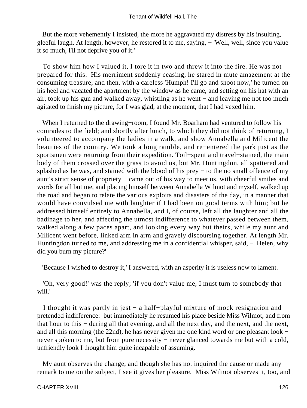But the more vehemently I insisted, the more he aggravated my distress by his insulting, gleeful laugh. At length, however, he restored it to me, saying, – 'Well, well, since you value it so much, I'll not deprive you of it.'

 To show him how I valued it, I tore it in two and threw it into the fire. He was not prepared for this. His merriment suddenly ceasing, he stared in mute amazement at the consuming treasure; and then, with a careless 'Humph! I'll go and shoot now,' he turned on his heel and vacated the apartment by the window as he came, and setting on his hat with an air, took up his gun and walked away, whistling as he went − and leaving me not too much agitated to finish my picture, for I was glad, at the moment, that I had vexed him.

 When I returned to the drawing−room, I found Mr. Boarham had ventured to follow his comrades to the field; and shortly after lunch, to which they did not think of returning, I volunteered to accompany the ladies in a walk, and show Annabella and Milicent the beauties of the country. We took a long ramble, and re−entered the park just as the sportsmen were returning from their expedition. Toil−spent and travel−stained, the main body of them crossed over the grass to avoid us, but Mr. Huntingdon, all spattered and splashed as he was, and stained with the blood of his prey – to the no small offence of my aunt's strict sense of propriety − came out of his way to meet us, with cheerful smiles and words for all but me, and placing himself between Annabella Wilmot and myself, walked up the road and began to relate the various exploits and disasters of the day, in a manner that would have convulsed me with laughter if I had been on good terms with him; but he addressed himself entirely to Annabella, and I, of course, left all the laughter and all the badinage to her, and affecting the utmost indifference to whatever passed between them, walked along a few paces apart, and looking every way but theirs, while my aunt and Milicent went before, linked arm in arm and gravely discoursing together. At length Mr. Huntingdon turned to me, and addressing me in a confidential whisper, said, − 'Helen, why did you burn my picture?'

'Because I wished to destroy it,' I answered, with an asperity it is useless now to lament.

 'Oh, very good!' was the reply; 'if you don't value me, I must turn to somebody that will.'

 I thought it was partly in jest − a half−playful mixture of mock resignation and pretended indifference: but immediately he resumed his place beside Miss Wilmot, and from that hour to this − during all that evening, and all the next day, and the next, and the next, and all this morning (the 22nd), he has never given me one kind word or one pleasant look − never spoken to me, but from pure necessity – never glanced towards me but with a cold, unfriendly look I thought him quite incapable of assuming.

 My aunt observes the change, and though she has not inquired the cause or made any remark to me on the subject, I see it gives her pleasure. Miss Wilmot observes it, too, and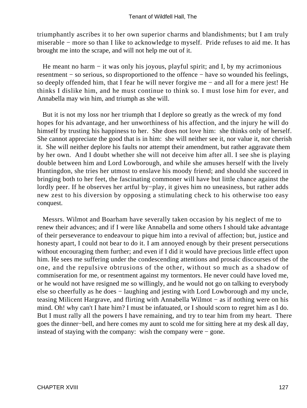triumphantly ascribes it to her own superior charms and blandishments; but I am truly miserable − more so than I like to acknowledge to myself. Pride refuses to aid me. It has brought me into the scrape, and will not help me out of it.

He meant no harm – it was only his joyous, playful spirit; and I, by my acrimonious resentment − so serious, so disproportioned to the offence − have so wounded his feelings, so deeply offended him, that I fear he will never forgive me − and all for a mere jest! He thinks I dislike him, and he must continue to think so. I must lose him for ever, and Annabella may win him, and triumph as she will.

 But it is not my loss nor her triumph that I deplore so greatly as the wreck of my fond hopes for his advantage, and her unworthiness of his affection, and the injury he will do himself by trusting his happiness to her. She does not love him: she thinks only of herself. She cannot appreciate the good that is in him: she will neither see it, nor value it, nor cherish it. She will neither deplore his faults nor attempt their amendment, but rather aggravate them by her own. And I doubt whether she will not deceive him after all. I see she is playing double between him and Lord Lowborough, and while she amuses herself with the lively Huntingdon, she tries her utmost to enslave his moody friend; and should she succeed in bringing both to her feet, the fascinating commoner will have but little chance against the lordly peer. If he observes her artful by−play, it gives him no uneasiness, but rather adds new zest to his diversion by opposing a stimulating check to his otherwise too easy conquest.

 Messrs. Wilmot and Boarham have severally taken occasion by his neglect of me to renew their advances; and if I were like Annabella and some others I should take advantage of their perseverance to endeavour to pique him into a revival of affection; but, justice and honesty apart, I could not bear to do it. I am annoyed enough by their present persecutions without encouraging them further; and even if I did it would have precious little effect upon him. He sees me suffering under the condescending attentions and prosaic discourses of the one, and the repulsive obtrusions of the other, without so much as a shadow of commiseration for me, or resentment against my tormentors. He never could have loved me, or he would not have resigned me so willingly, and he would not go on talking to everybody else so cheerfully as he does − laughing and jesting with Lord Lowborough and my uncle, teasing Milicent Hargrave, and flirting with Annabella Wilmot − as if nothing were on his mind. Oh! why can't I hate him? I must be infatuated, or I should scorn to regret him as I do. But I must rally all the powers I have remaining, and try to tear him from my heart. There goes the dinner−bell, and here comes my aunt to scold me for sitting here at my desk all day, instead of staying with the company: wish the company were − gone.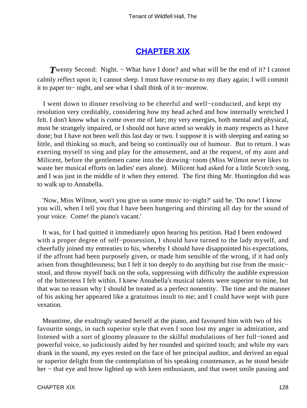## **[CHAPTER XIX](#page-378-0)**

*T* wenty Second: Night. – What have I done? and what will be the end of it? I cannot calmly reflect upon it; I cannot sleep. I must have recourse to my diary again; I will commit it to paper to− night, and see what I shall think of it to−morrow.

 I went down to dinner resolving to be cheerful and well−conducted, and kept my resolution very creditably, considering how my head ached and how internally wretched I felt. I don't know what is come over me of late; my very energies, both mental and physical, must be strangely impaired, or I should not have acted so weakly in many respects as I have done; but I have not been well this last day or two. I suppose it is with sleeping and eating so little, and thinking so much, and being so continually out of humour. But to return. I was exerting myself to sing and play for the amusement, and at the request, of my aunt and Milicent, before the gentlemen came into the drawing−room (Miss Wilmot never likes to waste her musical efforts on ladies' ears alone). Milicent had asked for a little Scotch song, and I was just in the middle of it when they entered. The first thing Mr. Huntingdon did was to walk up to Annabella.

 'Now, Miss Wilmot, won't you give us some music to−night?' said he. 'Do now! I know you will, when I tell you that I have been hungering and thirsting all day for the sound of your voice. Come! the piano's vacant.'

 It was, for I had quitted it immediately upon hearing his petition. Had I been endowed with a proper degree of self−possession, I should have turned to the lady myself, and cheerfully joined my entreaties to his, whereby I should have disappointed his expectations, if the affront had been purposely given, or made him sensible of the wrong, if it had only arisen from thoughtlessness; but I felt it too deeply to do anything but rise from the music− stool, and throw myself back on the sofa, suppressing with difficulty the audible expression of the bitterness I felt within. I knew Annabella's musical talents were superior to mine, but that was no reason why I should be treated as a perfect nonentity. The time and the manner of his asking her appeared like a gratuitous insult to me; and I could have wept with pure vexation.

 Meantime, she exultingly seated herself at the piano, and favoured him with two of his favourite songs, in such superior style that even I soon lost my anger in admiration, and listened with a sort of gloomy pleasure to the skilful modulations of her full−toned and powerful voice, so judiciously aided by her rounded and spirited touch; and while my ears drank in the sound, my eyes rested on the face of her principal auditor, and derived an equal or superior delight from the contemplation of his speaking countenance, as he stood beside her – that eye and brow lighted up with keen enthusiasm, and that sweet smile passing and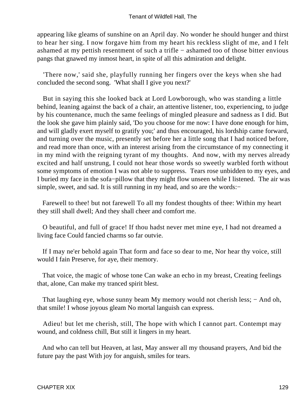appearing like gleams of sunshine on an April day. No wonder he should hunger and thirst to hear her sing. I now forgave him from my heart his reckless slight of me, and I felt ashamed at my pettish resentment of such a trifle − ashamed too of those bitter envious pangs that gnawed my inmost heart, in spite of all this admiration and delight.

 'There now,' said she, playfully running her fingers over the keys when she had concluded the second song. 'What shall I give you next?'

 But in saying this she looked back at Lord Lowborough, who was standing a little behind, leaning against the back of a chair, an attentive listener, too, experiencing, to judge by his countenance, much the same feelings of mingled pleasure and sadness as I did. But the look she gave him plainly said, 'Do you choose for me now: I have done enough for him, and will gladly exert myself to gratify you;' and thus encouraged, his lordship came forward, and turning over the music, presently set before her a little song that I had noticed before, and read more than once, with an interest arising from the circumstance of my connecting it in my mind with the reigning tyrant of my thoughts. And now, with my nerves already excited and half unstrung, I could not hear those words so sweetly warbled forth without some symptoms of emotion I was not able to suppress. Tears rose unbidden to my eyes, and I buried my face in the sofa−pillow that they might flow unseen while I listened. The air was simple, sweet, and sad. It is still running in my head, and so are the words:−

 Farewell to thee! but not farewell To all my fondest thoughts of thee: Within my heart they still shall dwell; And they shall cheer and comfort me.

 O beautiful, and full of grace! If thou hadst never met mine eye, I had not dreamed a living face Could fancied charms so far outvie.

 If I may ne'er behold again That form and face so dear to me, Nor hear thy voice, still would I fain Preserve, for aye, their memory.

 That voice, the magic of whose tone Can wake an echo in my breast, Creating feelings that, alone, Can make my tranced spirit blest.

That laughing eye, whose sunny beam My memory would not cherish less; – And oh, that smile! I whose joyous gleam No mortal languish can express.

 Adieu! but let me cherish, still, The hope with which I cannot part. Contempt may wound, and coldness chill, But still it lingers in my heart.

 And who can tell but Heaven, at last, May answer all my thousand prayers, And bid the future pay the past With joy for anguish, smiles for tears.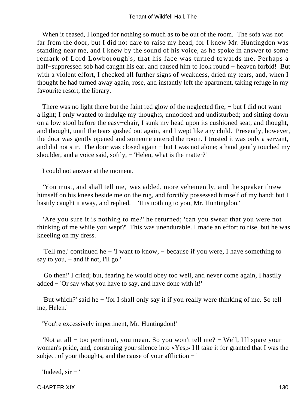When it ceased, I longed for nothing so much as to be out of the room. The sofa was not far from the door, but I did not dare to raise my head, for I knew Mr. Huntingdon was standing near me, and I knew by the sound of his voice, as he spoke in answer to some remark of Lord Lowborough's, that his face was turned towards me. Perhaps a half−suppressed sob had caught his ear, and caused him to look round − heaven forbid! But with a violent effort, I checked all further signs of weakness, dried my tears, and, when I thought he had turned away again, rose, and instantly left the apartment, taking refuge in my favourite resort, the library.

There was no light there but the faint red glow of the neglected fire; – but I did not want a light; I only wanted to indulge my thoughts, unnoticed and undisturbed; and sitting down on a low stool before the easy−chair, I sunk my head upon its cushioned seat, and thought, and thought, until the tears gushed out again, and I wept like any child. Presently, however, the door was gently opened and someone entered the room. I trusted it was only a servant, and did not stir. The door was closed again − but I was not alone; a hand gently touched my shoulder, and a voice said, softly, − 'Helen, what is the matter?'

I could not answer at the moment.

 'You must, and shall tell me,' was added, more vehemently, and the speaker threw himself on his knees beside me on the rug, and forcibly possessed himself of my hand; but I hastily caught it away, and replied, – 'It is nothing to you, Mr. Huntingdon.'

 'Are you sure it is nothing to me?' he returned; 'can you swear that you were not thinking of me while you wept?' This was unendurable. I made an effort to rise, but he was kneeling on my dress.

 'Tell me,' continued he − 'I want to know, − because if you were, I have something to say to you,  $-$  and if not, I'll go.'

 'Go then!' I cried; but, fearing he would obey too well, and never come again, I hastily added − 'Or say what you have to say, and have done with it!'

 'But which?' said he − 'for I shall only say it if you really were thinking of me. So tell me, Helen.'

'You're excessively impertinent, Mr. Huntingdon!'

 'Not at all − too pertinent, you mean. So you won't tell me? − Well, I'll spare your woman's pride, and, construing your silence into «Yes,» I'll take it for granted that I was the subject of your thoughts, and the cause of your affliction − '

```
'Indeed, \sin -'
```
CHAPTER XIX 130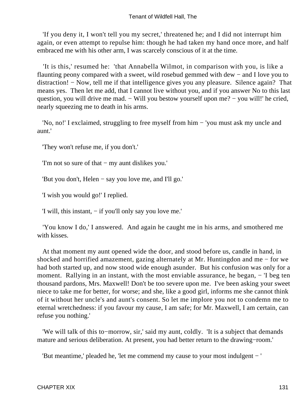'If you deny it, I won't tell you my secret,' threatened he; and I did not interrupt him again, or even attempt to repulse him: though he had taken my hand once more, and half embraced me with his other arm, I was scarcely conscious of it at the time.

 'It is this,' resumed he: 'that Annabella Wilmot, in comparison with you, is like a flaunting peony compared with a sweet, wild rosebud gemmed with dew − and I love you to distraction! − Now, tell me if that intelligence gives you any pleasure. Silence again? That means yes. Then let me add, that I cannot live without you, and if you answer No to this last question, you will drive me mad. – Will you bestow yourself upon me? – you will!' he cried, nearly squeezing me to death in his arms.

 'No, no!' I exclaimed, struggling to free myself from him − 'you must ask my uncle and aunt.'

'They won't refuse me, if you don't.'

'I'm not so sure of that − my aunt dislikes you.'

'But you don't, Helen − say you love me, and I'll go.'

'I wish you would go!' I replied.

'I will, this instant, − if you'll only say you love me.'

 'You know I do,' I answered. And again he caught me in his arms, and smothered me with kisses.

 At that moment my aunt opened wide the door, and stood before us, candle in hand, in shocked and horrified amazement, gazing alternately at Mr. Huntingdon and me − for we had both started up, and now stood wide enough asunder. But his confusion was only for a moment. Rallying in an instant, with the most enviable assurance, he began, − 'I beg ten thousand pardons, Mrs. Maxwell! Don't be too severe upon me. I've been asking your sweet niece to take me for better, for worse; and she, like a good girl, informs me she cannot think of it without her uncle's and aunt's consent. So let me implore you not to condemn me to eternal wretchedness: if you favour my cause, I am safe; for Mr. Maxwell, I am certain, can refuse you nothing.'

 'We will talk of this to−morrow, sir,' said my aunt, coldly. 'It is a subject that demands mature and serious deliberation. At present, you had better return to the drawing−room.'

'But meantime,' pleaded he, 'let me commend my cause to your most indulgent − '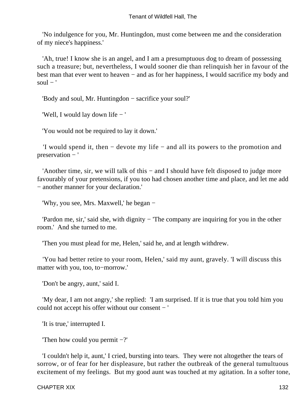'No indulgence for you, Mr. Huntingdon, must come between me and the consideration of my niece's happiness.'

 'Ah, true! I know she is an angel, and I am a presumptuous dog to dream of possessing such a treasure; but, nevertheless, I would sooner die than relinquish her in favour of the best man that ever went to heaven − and as for her happiness, I would sacrifice my body and  $soul - '$ 

'Body and soul, Mr. Huntingdon − sacrifice your soul?'

'Well, I would lay down life − '

'You would not be required to lay it down.'

 'I would spend it, then − devote my life − and all its powers to the promotion and preservation − '

 'Another time, sir, we will talk of this − and I should have felt disposed to judge more favourably of your pretensions, if you too had chosen another time and place, and let me add − another manner for your declaration.'

'Why, you see, Mrs. Maxwell,' he began −

 'Pardon me, sir,' said she, with dignity − 'The company are inquiring for you in the other room.' And she turned to me.

'Then you must plead for me, Helen,' said he, and at length withdrew.

 'You had better retire to your room, Helen,' said my aunt, gravely. 'I will discuss this matter with you, too, to−morrow.'

'Don't be angry, aunt,' said I.

 'My dear, I am not angry,' she replied: 'I am surprised. If it is true that you told him you could not accept his offer without our consent − '

'It is true,' interrupted I.

'Then how could you permit −?'

 'I couldn't help it, aunt,' I cried, bursting into tears. They were not altogether the tears of sorrow, or of fear for her displeasure, but rather the outbreak of the general tumultuous excitement of my feelings. But my good aunt was touched at my agitation. In a softer tone,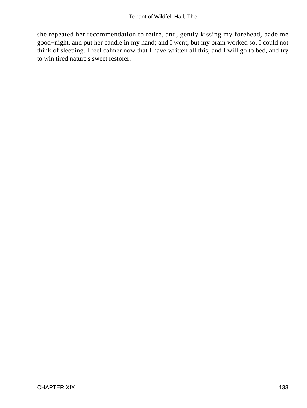she repeated her recommendation to retire, and, gently kissing my forehead, bade me good−night, and put her candle in my hand; and I went; but my brain worked so, I could not think of sleeping. I feel calmer now that I have written all this; and I will go to bed, and try to win tired nature's sweet restorer.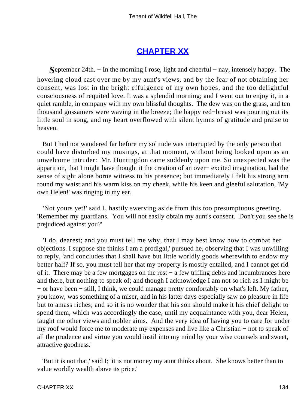# **[CHAPTER XX](#page-379-0)**

*S*eptember 24th. – In the morning I rose, light and cheerful – nay, intensely happy. The hovering cloud cast over me by my aunt's views, and by the fear of not obtaining her consent, was lost in the bright effulgence of my own hopes, and the too delightful consciousness of requited love. It was a splendid morning; and I went out to enjoy it, in a quiet ramble, in company with my own blissful thoughts. The dew was on the grass, and ten thousand gossamers were waving in the breeze; the happy red−breast was pouring out its little soul in song, and my heart overflowed with silent hymns of gratitude and praise to heaven.

 But I had not wandered far before my solitude was interrupted by the only person that could have disturbed my musings, at that moment, without being looked upon as an unwelcome intruder: Mr. Huntingdon came suddenly upon me. So unexpected was the apparition, that I might have thought it the creation of an over− excited imagination, had the sense of sight alone borne witness to his presence; but immediately I felt his strong arm round my waist and his warm kiss on my cheek, while his keen and gleeful salutation, 'My own Helen!' was ringing in my ear.

 'Not yours yet!' said I, hastily swerving aside from this too presumptuous greeting. 'Remember my guardians. You will not easily obtain my aunt's consent. Don't you see she is prejudiced against you?'

 'I do, dearest; and you must tell me why, that I may best know how to combat her objections. I suppose she thinks I am a prodigal,' pursued he, observing that I was unwilling to reply, 'and concludes that I shall have but little worldly goods wherewith to endow my better half? If so, you must tell her that my property is mostly entailed, and I cannot get rid of it. There may be a few mortgages on the rest – a few trifling debts and incumbrances here and there, but nothing to speak of; and though I acknowledge I am not so rich as I might be − or have been − still, I think, we could manage pretty comfortably on what's left. My father, you know, was something of a miser, and in his latter days especially saw no pleasure in life but to amass riches; and so it is no wonder that his son should make it his chief delight to spend them, which was accordingly the case, until my acquaintance with you, dear Helen, taught me other views and nobler aims. And the very idea of having you to care for under my roof would force me to moderate my expenses and live like a Christian − not to speak of all the prudence and virtue you would instil into my mind by your wise counsels and sweet, attractive goodness.'

 'But it is not that,' said I; 'it is not money my aunt thinks about. She knows better than to value worldly wealth above its price.'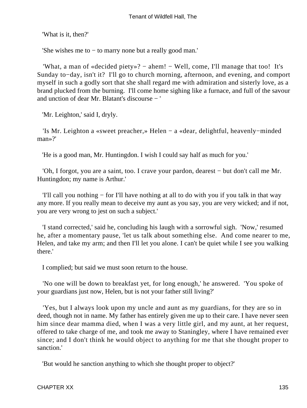'What is it, then?'

'She wishes me to − to marry none but a really good man.'

 'What, a man of «decided piety»? − ahem! − Well, come, I'll manage that too! It's Sunday to−day, isn't it? I'll go to church morning, afternoon, and evening, and comport myself in such a godly sort that she shall regard me with admiration and sisterly love, as a brand plucked from the burning. I'll come home sighing like a furnace, and full of the savour and unction of dear Mr. Blatant's discourse − '

'Mr. Leighton,' said I, dryly.

 'Is Mr. Leighton a «sweet preacher,» Helen − a «dear, delightful, heavenly−minded man»?'

'He is a good man, Mr. Huntingdon. I wish I could say half as much for you.'

 'Oh, I forgot, you are a saint, too. I crave your pardon, dearest − but don't call me Mr. Huntingdon; my name is Arthur.'

 'I'll call you nothing − for I'll have nothing at all to do with you if you talk in that way any more. If you really mean to deceive my aunt as you say, you are very wicked; and if not, you are very wrong to jest on such a subject.'

 'I stand corrected,' said he, concluding his laugh with a sorrowful sigh. 'Now,' resumed he, after a momentary pause, 'let us talk about something else. And come nearer to me, Helen, and take my arm; and then I'll let you alone. I can't be quiet while I see you walking there.'

I complied; but said we must soon return to the house.

 'No one will be down to breakfast yet, for long enough,' he answered. 'You spoke of your guardians just now, Helen, but is not your father still living?'

 'Yes, but I always look upon my uncle and aunt as my guardians, for they are so in deed, though not in name. My father has entirely given me up to their care. I have never seen him since dear mamma died, when I was a very little girl, and my aunt, at her request, offered to take charge of me, and took me away to Staningley, where I have remained ever since; and I don't think he would object to anything for me that she thought proper to sanction.'

'But would he sanction anything to which she thought proper to object?'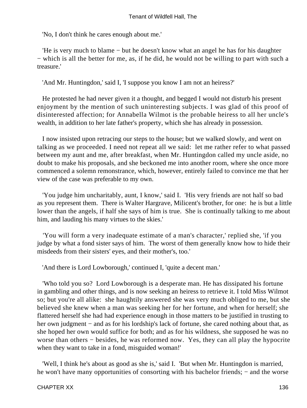'No, I don't think he cares enough about me.'

 'He is very much to blame − but he doesn't know what an angel he has for his daughter − which is all the better for me, as, if he did, he would not be willing to part with such a treasure.'

'And Mr. Huntingdon,' said I, 'I suppose you know I am not an heiress?'

 He protested he had never given it a thought, and begged I would not disturb his present enjoyment by the mention of such uninteresting subjects. I was glad of this proof of disinterested affection; for Annabella Wilmot is the probable heiress to all her uncle's wealth, in addition to her late father's property, which she has already in possession.

 I now insisted upon retracing our steps to the house; but we walked slowly, and went on talking as we proceeded. I need not repeat all we said: let me rather refer to what passed between my aunt and me, after breakfast, when Mr. Huntingdon called my uncle aside, no doubt to make his proposals, and she beckoned me into another room, where she once more commenced a solemn remonstrance, which, however, entirely failed to convince me that her view of the case was preferable to my own.

 'You judge him uncharitably, aunt, I know,' said I. 'His very friends are not half so bad as you represent them. There is Walter Hargrave, Milicent's brother, for one: he is but a little lower than the angels, if half she says of him is true. She is continually talking to me about him, and lauding his many virtues to the skies.'

 'You will form a very inadequate estimate of a man's character,' replied she, 'if you judge by what a fond sister says of him. The worst of them generally know how to hide their misdeeds from their sisters' eyes, and their mother's, too.'

'And there is Lord Lowborough,' continued I, 'quite a decent man.'

 'Who told you so? Lord Lowborough is a desperate man. He has dissipated his fortune in gambling and other things, and is now seeking an heiress to retrieve it. I told Miss Wilmot so; but you're all alike: she haughtily answered she was very much obliged to me, but she believed she knew when a man was seeking her for her fortune, and when for herself; she flattered herself she had had experience enough in those matters to be justified in trusting to her own judgment – and as for his lordship's lack of fortune, she cared nothing about that, as she hoped her own would suffice for both; and as for his wildness, she supposed he was no worse than others − besides, he was reformed now. Yes, they can all play the hypocrite when they want to take in a fond, misguided woman!'

 'Well, I think he's about as good as she is,' said I. 'But when Mr. Huntingdon is married, he won't have many opportunities of consorting with his bachelor friends; – and the worse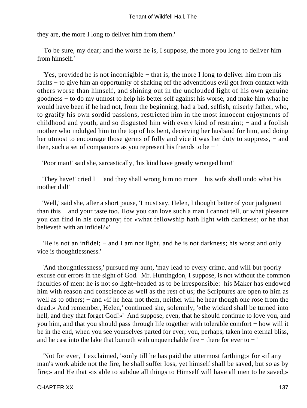they are, the more I long to deliver him from them.'

 'To be sure, my dear; and the worse he is, I suppose, the more you long to deliver him from himself.'

 'Yes, provided he is not incorrigible − that is, the more I long to deliver him from his faults − to give him an opportunity of shaking off the adventitious evil got from contact with others worse than himself, and shining out in the unclouded light of his own genuine goodness − to do my utmost to help his better self against his worse, and make him what he would have been if he had not, from the beginning, had a bad, selfish, miserly father, who, to gratify his own sordid passions, restricted him in the most innocent enjoyments of childhood and youth, and so disgusted him with every kind of restraint; – and a foolish mother who indulged him to the top of his bent, deceiving her husband for him, and doing her utmost to encourage those germs of folly and vice it was her duty to suppress, – and then, such a set of companions as you represent his friends to be − '

'Poor man!' said she, sarcastically, 'his kind have greatly wronged him!'

'They have!' cried I – 'and they shall wrong him no more – his wife shall undo what his mother did!'

 'Well,' said she, after a short pause, 'I must say, Helen, I thought better of your judgment than this − and your taste too. How you can love such a man I cannot tell, or what pleasure you can find in his company; for «what fellowship hath light with darkness; or he that believeth with an infidel?»'

 'He is not an infidel; − and I am not light, and he is not darkness; his worst and only vice is thoughtlessness.'

 'And thoughtlessness,' pursued my aunt, 'may lead to every crime, and will but poorly excuse our errors in the sight of God. Mr. Huntingdon, I suppose, is not without the common faculties of men: he is not so light−headed as to be irresponsible: his Maker has endowed him with reason and conscience as well as the rest of us; the Scriptures are open to him as well as to others; – and «if he hear not them, neither will he hear though one rose from the dead.» And remember, Helen,' continued she, solemnly, '«the wicked shall be turned into hell, and they that forget God!»' And suppose, even, that he should continue to love you, and you him, and that you should pass through life together with tolerable comfort − how will it be in the end, when you see yourselves parted for ever; you, perhaps, taken into eternal bliss, and he cast into the lake that burneth with unquenchable fire − there for ever to − '

 'Not for ever,' I exclaimed, '«only till he has paid the uttermost farthing;» for «if any man's work abide not the fire, he shall suffer loss, yet himself shall be saved, but so as by fire;» and He that «is able to subdue all things to Himself will have all men to be saved,»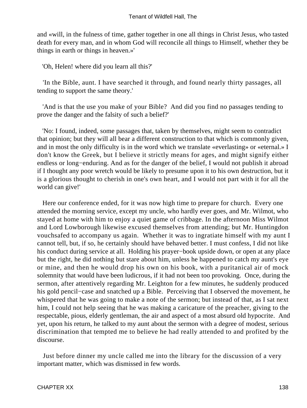and «will, in the fulness of time, gather together in one all things in Christ Jesus, who tasted death for every man, and in whom God will reconcile all things to Himself, whether they be things in earth or things in heaven.»'

'Oh, Helen! where did you learn all this?'

 'In the Bible, aunt. I have searched it through, and found nearly thirty passages, all tending to support the same theory.'

 'And is that the use you make of your Bible? And did you find no passages tending to prove the danger and the falsity of such a belief?'

 'No: I found, indeed, some passages that, taken by themselves, might seem to contradict that opinion; but they will all bear a different construction to that which is commonly given, and in most the only difficulty is in the word which we translate «everlasting» or «eternal.» I don't know the Greek, but I believe it strictly means for ages, and might signify either endless or long−enduring. And as for the danger of the belief, I would not publish it abroad if I thought any poor wretch would be likely to presume upon it to his own destruction, but it is a glorious thought to cherish in one's own heart, and I would not part with it for all the world can give!'

 Here our conference ended, for it was now high time to prepare for church. Every one attended the morning service, except my uncle, who hardly ever goes, and Mr. Wilmot, who stayed at home with him to enjoy a quiet game of cribbage. In the afternoon Miss Wilmot and Lord Lowborough likewise excused themselves from attending; but Mr. Huntingdon vouchsafed to accompany us again. Whether it was to ingratiate himself with my aunt I cannot tell, but, if so, he certainly should have behaved better. I must confess, I did not like his conduct during service at all. Holding his prayer−book upside down, or open at any place but the right, he did nothing but stare about him, unless he happened to catch my aunt's eye or mine, and then he would drop his own on his book, with a puritanical air of mock solemnity that would have been ludicrous, if it had not been too provoking. Once, during the sermon, after attentively regarding Mr. Leighton for a few minutes, he suddenly produced his gold pencil−case and snatched up a Bible. Perceiving that I observed the movement, he whispered that he was going to make a note of the sermon; but instead of that, as I sat next him, I could not help seeing that he was making a caricature of the preacher, giving to the respectable, pious, elderly gentleman, the air and aspect of a most absurd old hypocrite. And yet, upon his return, he talked to my aunt about the sermon with a degree of modest, serious discrimination that tempted me to believe he had really attended to and profited by the discourse.

 Just before dinner my uncle called me into the library for the discussion of a very important matter, which was dismissed in few words.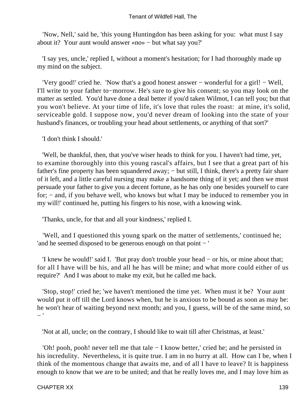'Now, Nell,' said he, 'this young Huntingdon has been asking for you: what must I say about it? Your aunt would answer «no» − but what say you?'

 'I say yes, uncle,' replied I, without a moment's hesitation; for I had thoroughly made up my mind on the subject.

 'Very good!' cried he. 'Now that's a good honest answer − wonderful for a girl! − Well, I'll write to your father to−morrow. He's sure to give his consent; so you may look on the matter as settled. You'd have done a deal better if you'd taken Wilmot, I can tell you; but that you won't believe. At your time of life, it's love that rules the roast: at mine, it's solid, serviceable gold. I suppose now, you'd never dream of looking into the state of your husband's finances, or troubling your head about settlements, or anything of that sort?'

'I don't think I should.'

 'Well, be thankful, then, that you've wiser heads to think for you. I haven't had time, yet, to examine thoroughly into this young rascal's affairs, but I see that a great part of his father's fine property has been squandered away; – but still, I think, there's a pretty fair share of it left, and a little careful nursing may make a handsome thing of it yet; and then we must persuade your father to give you a decent fortune, as he has only one besides yourself to care for; − and, if you behave well, who knows but what I may be induced to remember you in my will!' continued he, putting his fingers to his nose, with a knowing wink.

'Thanks, uncle, for that and all your kindness,' replied I.

 'Well, and I questioned this young spark on the matter of settlements,' continued he; 'and he seemed disposed to be generous enough on that point − '

 'I knew he would!' said I. 'But pray don't trouble your head − or his, or mine about that; for all I have will be his, and all he has will be mine; and what more could either of us require?' And I was about to make my exit, but he called me back.

 'Stop, stop!' cried he; 'we haven't mentioned the time yet. When must it be? Your aunt would put it off till the Lord knows when, but he is anxious to be bound as soon as may be: he won't hear of waiting beyond next month; and you, I guess, will be of the same mind, so − '

'Not at all, uncle; on the contrary, I should like to wait till after Christmas, at least.'

 'Oh! pooh, pooh! never tell me that tale − I know better,' cried he; and he persisted in his incredulity. Nevertheless, it is quite true. I am in no hurry at all. How can I be, when I think of the momentous change that awaits me, and of all I have to leave? It is happiness enough to know that we are to be united; and that he really loves me, and I may love him as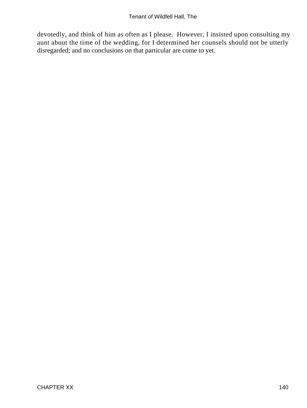devotedly, and think of him as often as I please. However, I insisted upon consulting my aunt about the time of the wedding, for I determined her counsels should not be utterly disregarded; and no conclusions on that particular are come to yet.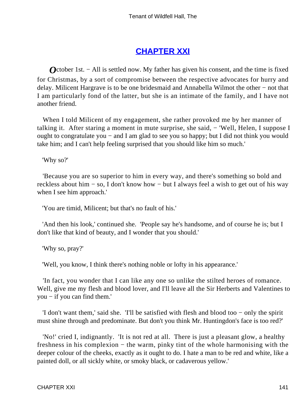## **[CHAPTER XXI](#page-379-0)**

*O*ctober 1st. – All is settled now. My father has given his consent, and the time is fixed for Christmas, by a sort of compromise between the respective advocates for hurry and delay. Milicent Hargrave is to be one bridesmaid and Annabella Wilmot the other − not that I am particularly fond of the latter, but she is an intimate of the family, and I have not another friend.

 When I told Milicent of my engagement, she rather provoked me by her manner of talking it. After staring a moment in mute surprise, she said, − 'Well, Helen, I suppose I ought to congratulate you – and I am glad to see you so happy; but I did not think you would take him; and I can't help feeling surprised that you should like him so much.'

'Why so?'

 'Because you are so superior to him in every way, and there's something so bold and reckless about him − so, I don't know how − but I always feel a wish to get out of his way when I see him approach.'

'You are timid, Milicent; but that's no fault of his.'

 'And then his look,' continued she. 'People say he's handsome, and of course he is; but I don't like that kind of beauty, and I wonder that you should.'

'Why so, pray?'

'Well, you know, I think there's nothing noble or lofty in his appearance.'

 'In fact, you wonder that I can like any one so unlike the stilted heroes of romance. Well, give me my flesh and blood lover, and I'll leave all the Sir Herberts and Valentines to you − if you can find them.'

 'I don't want them,' said she. 'I'll be satisfied with flesh and blood too − only the spirit must shine through and predominate. But don't you think Mr. Huntingdon's face is too red?'

 'No!' cried I, indignantly. 'It is not red at all. There is just a pleasant glow, a healthy freshness in his complexion − the warm, pinky tint of the whole harmonising with the deeper colour of the cheeks, exactly as it ought to do. I hate a man to be red and white, like a painted doll, or all sickly white, or smoky black, or cadaverous yellow.'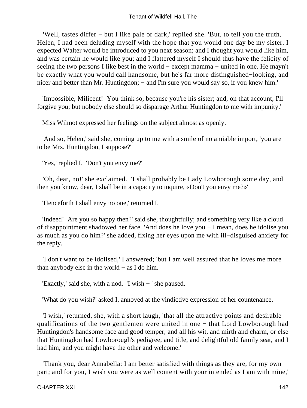'Well, tastes differ − but I like pale or dark,' replied she. 'But, to tell you the truth, Helen, I had been deluding myself with the hope that you would one day be my sister. I expected Walter would be introduced to you next season; and I thought you would like him, and was certain he would like you; and I flattered myself I should thus have the felicity of seeing the two persons I like best in the world – except mamma – united in one. He mayn't be exactly what you would call handsome, but he's far more distinguished−looking, and nicer and better than Mr. Huntingdon; – and I'm sure you would say so, if you knew him.'

 'Impossible, Milicent! You think so, because you're his sister; and, on that account, I'll forgive you; but nobody else should so disparage Arthur Huntingdon to me with impunity.'

Miss Wilmot expressed her feelings on the subject almost as openly.

 'And so, Helen,' said she, coming up to me with a smile of no amiable import, 'you are to be Mrs. Huntingdon, I suppose?'

'Yes,' replied I. 'Don't you envy me?'

 'Oh, dear, no!' she exclaimed. 'I shall probably be Lady Lowborough some day, and then you know, dear, I shall be in a capacity to inquire, «Don't you envy me?»'

'Henceforth I shall envy no one,' returned I.

 'Indeed! Are you so happy then?' said she, thoughtfully; and something very like a cloud of disappointment shadowed her face. 'And does he love you − I mean, does he idolise you as much as you do him?' she added, fixing her eyes upon me with ill−disguised anxiety for the reply.

 'I don't want to be idolised,' I answered; 'but I am well assured that he loves me more than anybody else in the world − as I do him.'

'Exactly,' said she, with a nod. 'I wish − ' she paused.

'What do you wish?' asked I, annoyed at the vindictive expression of her countenance.

 'I wish,' returned, she, with a short laugh, 'that all the attractive points and desirable qualifications of the two gentlemen were united in one – that Lord Lowborough had Huntingdon's handsome face and good temper, and all his wit, and mirth and charm, or else that Huntingdon had Lowborough's pedigree, and title, and delightful old family seat, and I had him; and you might have the other and welcome.'

 'Thank you, dear Annabella: I am better satisfied with things as they are, for my own part; and for you, I wish you were as well content with your intended as I am with mine,'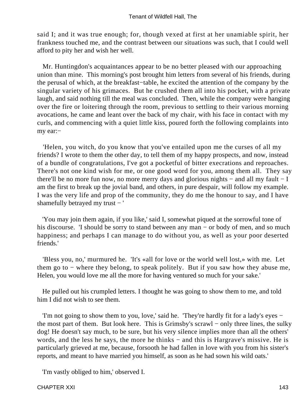said I; and it was true enough; for, though vexed at first at her unamiable spirit, her frankness touched me, and the contrast between our situations was such, that I could well afford to pity her and wish her well.

 Mr. Huntingdon's acquaintances appear to be no better pleased with our approaching union than mine. This morning's post brought him letters from several of his friends, during the perusal of which, at the breakfast−table, he excited the attention of the company by the singular variety of his grimaces. But he crushed them all into his pocket, with a private laugh, and said nothing till the meal was concluded. Then, while the company were hanging over the fire or loitering through the room, previous to settling to their various morning avocations, he came and leant over the back of my chair, with his face in contact with my curls, and commencing with a quiet little kiss, poured forth the following complaints into my ear:−

 'Helen, you witch, do you know that you've entailed upon me the curses of all my friends? I wrote to them the other day, to tell them of my happy prospects, and now, instead of a bundle of congratulations, I've got a pocketful of bitter execrations and reproaches. There's not one kind wish for me, or one good word for you, among them all. They say there'll be no more fun now, no more merry days and glorious nights − and all my fault − I am the first to break up the jovial band, and others, in pure despair, will follow my example. I was the very life and prop of the community, they do me the honour to say, and I have shamefully betrayed my trust − '

 'You may join them again, if you like,' said I, somewhat piqued at the sorrowful tone of his discourse. 'I should be sorry to stand between any man − or body of men, and so much happiness; and perhaps I can manage to do without you, as well as your poor deserted friends.'

 'Bless you, no,' murmured he. 'It's «all for love or the world well lost,» with me. Let them go to − where they belong, to speak politely. But if you saw how they abuse me, Helen, you would love me all the more for having ventured so much for your sake.'

 He pulled out his crumpled letters. I thought he was going to show them to me, and told him I did not wish to see them.

 'I'm not going to show them to you, love,' said he. 'They're hardly fit for a lady's eyes − the most part of them. But look here. This is Grimsby's scrawl − only three lines, the sulky dog! He doesn't say much, to be sure, but his very silence implies more than all the others' words, and the less he says, the more he thinks − and this is Hargrave's missive. He is particularly grieved at me, because, forsooth he had fallen in love with you from his sister's reports, and meant to have married you himself, as soon as he had sown his wild oats.'

'I'm vastly obliged to him,' observed I.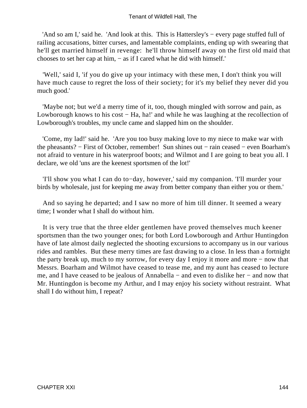'And so am I,' said he. 'And look at this. This is Hattersley's − every page stuffed full of railing accusations, bitter curses, and lamentable complaints, ending up with swearing that he'll get married himself in revenge: he'll throw himself away on the first old maid that chooses to set her cap at him, − as if I cared what he did with himself.'

 'Well,' said I, 'if you do give up your intimacy with these men, I don't think you will have much cause to regret the loss of their society; for it's my belief they never did you much good.'

 'Maybe not; but we'd a merry time of it, too, though mingled with sorrow and pain, as Lowborough knows to his cost − Ha, ha!' and while he was laughing at the recollection of Lowborough's troubles, my uncle came and slapped him on the shoulder.

 'Come, my lad!' said he. 'Are you too busy making love to my niece to make war with the pheasants? − First of October, remember! Sun shines out − rain ceased − even Boarham's not afraid to venture in his waterproof boots; and Wilmot and I are going to beat you all. I declare, we old 'uns are the keenest sportsmen of the lot!'

 'I'll show you what I can do to−day, however,' said my companion. 'I'll murder your birds by wholesale, just for keeping me away from better company than either you or them.'

 And so saying he departed; and I saw no more of him till dinner. It seemed a weary time; I wonder what I shall do without him.

 It is very true that the three elder gentlemen have proved themselves much keener sportsmen than the two younger ones; for both Lord Lowborough and Arthur Huntingdon have of late almost daily neglected the shooting excursions to accompany us in our various rides and rambles. But these merry times are fast drawing to a close. In less than a fortnight the party break up, much to my sorrow, for every day I enjoy it more and more − now that Messrs. Boarham and Wilmot have ceased to tease me, and my aunt has ceased to lecture me, and I have ceased to be jealous of Annabella − and even to dislike her − and now that Mr. Huntingdon is become my Arthur, and I may enjoy his society without restraint. What shall I do without him, I repeat?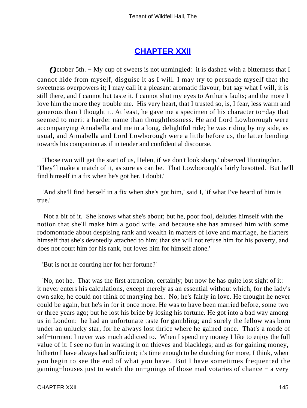# **[CHAPTER XXII](#page-379-0)**

*O*ctober 5th. – My cup of sweets is not unmingled: it is dashed with a bitterness that I cannot hide from myself, disguise it as I will. I may try to persuade myself that the sweetness overpowers it; I may call it a pleasant aromatic flavour; but say what I will, it is still there, and I cannot but taste it. I cannot shut my eyes to Arthur's faults; and the more I love him the more they trouble me. His very heart, that I trusted so, is, I fear, less warm and generous than I thought it. At least, he gave me a specimen of his character to−day that seemed to merit a harder name than thoughtlessness. He and Lord Lowborough were accompanying Annabella and me in a long, delightful ride; he was riding by my side, as usual, and Annabella and Lord Lowborough were a little before us, the latter bending towards his companion as if in tender and confidential discourse.

 'Those two will get the start of us, Helen, if we don't look sharp,' observed Huntingdon. 'They'll make a match of it, as sure as can be. That Lowborough's fairly besotted. But he'll find himself in a fix when he's got her, I doubt.'

 'And she'll find herself in a fix when she's got him,' said I, 'if what I've heard of him is true.'

 'Not a bit of it. She knows what she's about; but he, poor fool, deludes himself with the notion that she'll make him a good wife, and because she has amused him with some rodomontade about despising rank and wealth in matters of love and marriage, he flatters himself that she's devotedly attached to him; that she will not refuse him for his poverty, and does not court him for his rank, but loves him for himself alone.'

'But is not he courting her for her fortune?'

 'No, not he. That was the first attraction, certainly; but now he has quite lost sight of it: it never enters his calculations, except merely as an essential without which, for the lady's own sake, he could not think of marrying her. No; he's fairly in love. He thought he never could be again, but he's in for it once more. He was to have been married before, some two or three years ago; but he lost his bride by losing his fortune. He got into a bad way among us in London: he had an unfortunate taste for gambling; and surely the fellow was born under an unlucky star, for he always lost thrice where he gained once. That's a mode of self−torment I never was much addicted to. When I spend my money I like to enjoy the full value of it: I see no fun in wasting it on thieves and blacklegs; and as for gaining money, hitherto I have always had sufficient; it's time enough to be clutching for more, I think, when you begin to see the end of what you have. But I have sometimes frequented the gaming−houses just to watch the on−goings of those mad votaries of chance − a very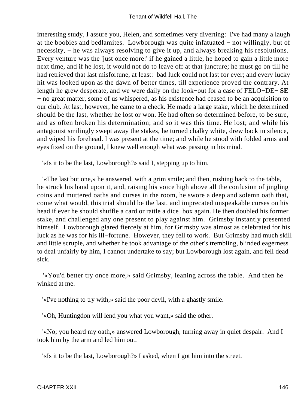interesting study, I assure you, Helen, and sometimes very diverting: I've had many a laugh at the boobies and bedlamites. Lowborough was quite infatuated − not willingly, but of necessity, – he was always resolving to give it up, and always breaking his resolutions. Every venture was the 'just once more:' if he gained a little, he hoped to gain a little more next time, and if he lost, it would not do to leave off at that juncture; he must go on till he had retrieved that last misfortune, at least: bad luck could not last for ever; and every lucky hit was looked upon as the dawn of better times, till experience proved the contrary. At length he grew desperate, and we were daily on the look−out for a case of FELO−DE− **SE −** no great matter, some of us whispered, as his existence had ceased to be an acquisition to our club. At last, however, he came to a check. He made a large stake, which he determined should be the last, whether he lost or won. He had often so determined before, to be sure, and as often broken his determination; and so it was this time. He lost; and while his antagonist smilingly swept away the stakes, he turned chalky white, drew back in silence, and wiped his forehead. I was present at the time; and while he stood with folded arms and eyes fixed on the ground, I knew well enough what was passing in his mind.

'«Is it to be the last, Lowborough?» said I, stepping up to him.

 '«The last but one,» he answered, with a grim smile; and then, rushing back to the table, he struck his hand upon it, and, raising his voice high above all the confusion of jingling coins and muttered oaths and curses in the room, he swore a deep and solemn oath that, come what would, this trial should be the last, and imprecated unspeakable curses on his head if ever he should shuffle a card or rattle a dice−box again. He then doubled his former stake, and challenged any one present to play against him. Grimsby instantly presented himself. Lowborough glared fiercely at him, for Grimsby was almost as celebrated for his luck as he was for his ill−fortune. However, they fell to work. But Grimsby had much skill and little scruple, and whether he took advantage of the other's trembling, blinded eagerness to deal unfairly by him, I cannot undertake to say; but Lowborough lost again, and fell dead sick.

 '«You'd better try once more,» said Grimsby, leaning across the table. And then he winked at me.

'«I've nothing to try with,» said the poor devil, with a ghastly smile.

'«Oh, Huntingdon will lend you what you want,» said the other.

 '«No; you heard my oath,» answered Lowborough, turning away in quiet despair. And I took him by the arm and led him out.

'«Is it to be the last, Lowborough?» I asked, when I got him into the street.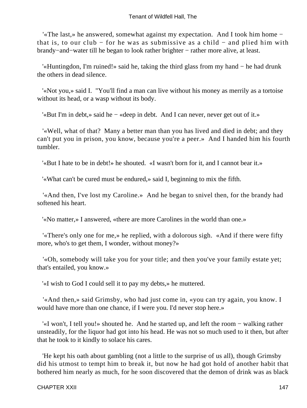'«The last,» he answered, somewhat against my expectation. And I took him home − that is, to our club − for he was as submissive as a child − and plied him with brandy−and−water till he began to look rather brighter − rather more alive, at least.

 '«Huntingdon, I'm ruined!» said he, taking the third glass from my hand − he had drunk the others in dead silence.

 '«Not you,» said I. "You'll find a man can live without his money as merrily as a tortoise without its head, or a wasp without its body.

'«But I'm in debt,» said he − «deep in debt. And I can never, never get out of it.»

 '«Well, what of that? Many a better man than you has lived and died in debt; and they can't put you in prison, you know, because you're a peer.» And I handed him his fourth tumbler.

'«But I hate to be in debt!» he shouted. «I wasn't born for it, and I cannot bear it.»

'«What can't be cured must be endured,» said I, beginning to mix the fifth.

 '«And then, I've lost my Caroline.» And he began to snivel then, for the brandy had softened his heart.

'«No matter,» I answered, «there are more Carolines in the world than one.»

 '«There's only one for me,» he replied, with a dolorous sigh. «And if there were fifty more, who's to get them, I wonder, without money?»

 '«Oh, somebody will take you for your title; and then you've your family estate yet; that's entailed, you know.»

'«I wish to God I could sell it to pay my debts,» he muttered.

 '«And then,» said Grimsby, who had just come in, «you can try again, you know. I would have more than one chance, if I were you. I'd never stop here.»

 '«I won't, I tell you!» shouted he. And he started up, and left the room − walking rather unsteadily, for the liquor had got into his head. He was not so much used to it then, but after that he took to it kindly to solace his cares.

 'He kept his oath about gambling (not a little to the surprise of us all), though Grimsby did his utmost to tempt him to break it, but now he had got hold of another habit that bothered him nearly as much, for he soon discovered that the demon of drink was as black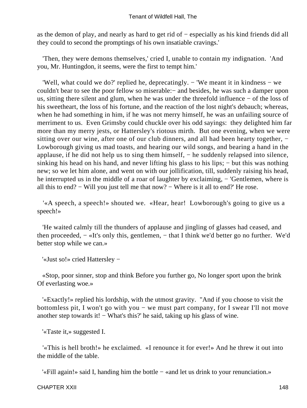as the demon of play, and nearly as hard to get rid of − especially as his kind friends did all they could to second the promptings of his own insatiable cravings.'

 'Then, they were demons themselves,' cried I, unable to contain my indignation. 'And you, Mr. Huntingdon, it seems, were the first to tempt him.'

 'Well, what could we do?' replied he, deprecatingly. − 'We meant it in kindness − we couldn't bear to see the poor fellow so miserable:− and besides, he was such a damper upon us, sitting there silent and glum, when he was under the threefold influence − of the loss of his sweetheart, the loss of his fortune, and the reaction of the lost night's debauch; whereas, when he had something in him, if he was not merry himself, he was an unfailing source of merriment to us. Even Grimsby could chuckle over his odd sayings: they delighted him far more than my merry jests, or Hattersley's riotous mirth. But one evening, when we were sitting over our wine, after one of our club dinners, and all had been hearty together, – Lowborough giving us mad toasts, and hearing our wild songs, and bearing a hand in the applause, if he did not help us to sing them himself, − he suddenly relapsed into silence, sinking his head on his hand, and never lifting his glass to his lips; – but this was nothing new; so we let him alone, and went on with our jollification, till, suddenly raising his head, he interrupted us in the middle of a roar of laughter by exclaiming, − 'Gentlemen, where is all this to end? − Will you just tell me that now? − Where is it all to end?' He rose.

 '«A speech, a speech!» shouted we. «Hear, hear! Lowborough's going to give us a speech!»

 'He waited calmly till the thunders of applause and jingling of glasses had ceased, and then proceeded, − «It's only this, gentlemen, − that I think we'd better go no further. We'd better stop while we can.»

'«Just so!» cried Hattersley −

 «Stop, poor sinner, stop and think Before you further go, No longer sport upon the brink Of everlasting woe.»

 '«Exactly!» replied his lordship, with the utmost gravity. "And if you choose to visit the bottomless pit, I won't go with you − we must part company, for I swear I'll not move another step towards it! − What's this?' he said, taking up his glass of wine.

'«Taste it,» suggested I.

 '«This is hell broth!» he exclaimed. «I renounce it for ever!» And he threw it out into the middle of the table.

'«Fill again!» said I, handing him the bottle − «and let us drink to your renunciation.»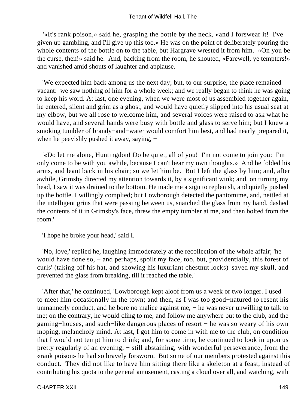'«It's rank poison,» said he, grasping the bottle by the neck, «and I forswear it! I've given up gambling, and I'll give up this too.» He was on the point of deliberately pouring the whole contents of the bottle on to the table, but Hargrave wrested it from him. «On you be the curse, then!» said he. And, backing from the room, he shouted, «Farewell, ye tempters!» and vanished amid shouts of laughter and applause.

 'We expected him back among us the next day; but, to our surprise, the place remained vacant: we saw nothing of him for a whole week; and we really began to think he was going to keep his word. At last, one evening, when we were most of us assembled together again, he entered, silent and grim as a ghost, and would have quietly slipped into his usual seat at my elbow, but we all rose to welcome him, and several voices were raised to ask what he would have, and several hands were busy with bottle and glass to serve him; but I knew a smoking tumbler of brandy−and−water would comfort him best, and had nearly prepared it, when he peevishly pushed it away, saying, –

 '«Do let me alone, Huntingdon! Do be quiet, all of you! I'm not come to join you: I'm only come to be with you awhile, because I can't bear my own thoughts.» And he folded his arms, and leant back in his chair; so we let him be. But I left the glass by him; and, after awhile, Grimsby directed my attention towards it, by a significant wink; and, on turning my head, I saw it was drained to the bottom. He made me a sign to replenish, and quietly pushed up the bottle. I willingly complied; but Lowborough detected the pantomime, and, nettled at the intelligent grins that were passing between us, snatched the glass from my hand, dashed the contents of it in Grimsby's face, threw the empty tumbler at me, and then bolted from the room.'

'I hope he broke your head,' said I.

 'No, love,' replied he, laughing immoderately at the recollection of the whole affair; 'he would have done so, – and perhaps, spoilt my face, too, but, providentially, this forest of curls' (taking off his hat, and showing his luxuriant chestnut locks) 'saved my skull, and prevented the glass from breaking, till it reached the table.'

 'After that,' he continued, 'Lowborough kept aloof from us a week or two longer. I used to meet him occasionally in the town; and then, as I was too good−natured to resent his unmannerly conduct, and he bore no malice against me, − he was never unwilling to talk to me; on the contrary, he would cling to me, and follow me anywhere but to the club, and the gaming−houses, and such−like dangerous places of resort − he was so weary of his own moping, melancholy mind. At last, I got him to come in with me to the club, on condition that I would not tempt him to drink; and, for some time, he continued to look in upon us pretty regularly of an evening, – still abstaining, with wonderful perseverance, from the «rank poison» he had so bravely forsworn. But some of our members protested against this conduct. They did not like to have him sitting there like a skeleton at a feast, instead of contributing his quota to the general amusement, casting a cloud over all, and watching, with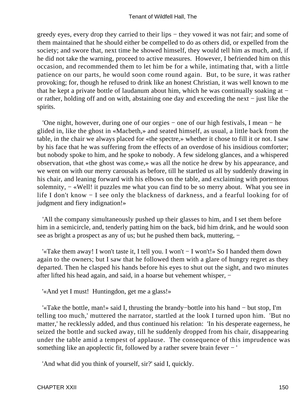greedy eyes, every drop they carried to their lips − they vowed it was not fair; and some of them maintained that he should either be compelled to do as others did, or expelled from the society; and swore that, next time he showed himself, they would tell him as much, and, if he did not take the warning, proceed to active measures. However, I befriended him on this occasion, and recommended them to let him be for a while, intimating that, with a little patience on our parts, he would soon come round again. But, to be sure, it was rather provoking; for, though he refused to drink like an honest Christian, it was well known to me that he kept a private bottle of laudanum about him, which he was continually soaking at − or rather, holding off and on with, abstaining one day and exceeding the next − just like the spirits.

 'One night, however, during one of our orgies − one of our high festivals, I mean − he glided in, like the ghost in «Macbeth,» and seated himself, as usual, a little back from the table, in the chair we always placed for «the spectre,» whether it chose to fill it or not. I saw by his face that he was suffering from the effects of an overdose of his insidious comforter; but nobody spoke to him, and he spoke to nobody. A few sidelong glances, and a whispered observation, that «the ghost was come,» was all the notice he drew by his appearance, and we went on with our merry carousals as before, till he startled us all by suddenly drawing in his chair, and leaning forward with his elbows on the table, and exclaiming with portentous solemnity, – «Well! it puzzles me what you can find to be so merry about. What you see in life I don't know − I see only the blackness of darkness, and a fearful looking for of judgment and fiery indignation!»

 'All the company simultaneously pushed up their glasses to him, and I set them before him in a semicircle, and, tenderly patting him on the back, bid him drink, and he would soon see as bright a prospect as any of us; but he pushed them back, muttering, –

 '«Take them away! I won't taste it, I tell you. I won't − I won't!» So I handed them down again to the owners; but I saw that he followed them with a glare of hungry regret as they departed. Then he clasped his hands before his eyes to shut out the sight, and two minutes after lifted his head again, and said, in a hoarse but vehement whisper, −

'«And yet I must! Huntingdon, get me a glass!»

 '«Take the bottle, man!» said I, thrusting the brandy−bottle into his hand − but stop, I'm telling too much,' muttered the narrator, startled at the look I turned upon him. 'But no matter,' he recklessly added, and thus continued his relation: 'In his desperate eagerness, he seized the bottle and sucked away, till he suddenly dropped from his chair, disappearing under the table amid a tempest of applause. The consequence of this imprudence was something like an apoplectic fit, followed by a rather severe brain fever − '

'And what did you think of yourself, sir?' said I, quickly.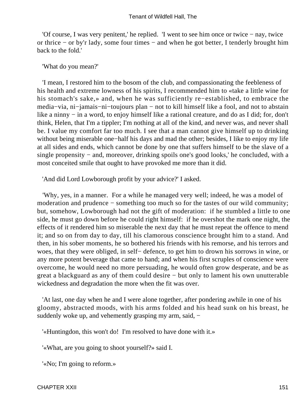'Of course, I was very penitent,' he replied. 'I went to see him once or twice − nay, twice or thrice − or by'r lady, some four times − and when he got better, I tenderly brought him back to the fold.'

'What do you mean?'

 'I mean, I restored him to the bosom of the club, and compassionating the feebleness of his health and extreme lowness of his spirits, I recommended him to «take a little wine for his stomach's sake,» and, when he was sufficiently re−established, to embrace the media−via, ni−jamais−ni−toujours plan − not to kill himself like a fool, and not to abstain like a ninny − in a word, to enjoy himself like a rational creature, and do as I did; for, don't think, Helen, that I'm a tippler; I'm nothing at all of the kind, and never was, and never shall be. I value my comfort far too much. I see that a man cannot give himself up to drinking without being miserable one−half his days and mad the other; besides, I like to enjoy my life at all sides and ends, which cannot be done by one that suffers himself to be the slave of a single propensity – and, moreover, drinking spoils one's good looks,' he concluded, with a most conceited smile that ought to have provoked me more than it did.

'And did Lord Lowborough profit by your advice?' I asked.

 'Why, yes, in a manner. For a while he managed very well; indeed, he was a model of moderation and prudence − something too much so for the tastes of our wild community; but, somehow, Lowborough had not the gift of moderation: if he stumbled a little to one side, he must go down before he could right himself: if he overshot the mark one night, the effects of it rendered him so miserable the next day that he must repeat the offence to mend it; and so on from day to day, till his clamorous conscience brought him to a stand. And then, in his sober moments, he so bothered his friends with his remorse, and his terrors and woes, that they were obliged, in self− defence, to get him to drown his sorrows in wine, or any more potent beverage that came to hand; and when his first scruples of conscience were overcome, he would need no more persuading, he would often grow desperate, and be as great a blackguard as any of them could desire − but only to lament his own unutterable wickedness and degradation the more when the fit was over.

 'At last, one day when he and I were alone together, after pondering awhile in one of his gloomy, abstracted moods, with his arms folded and his head sunk on his breast, he suddenly woke up, and vehemently grasping my arm, said, –

'«Huntingdon, this won't do! I'm resolved to have done with it.»

'«What, are you going to shoot yourself?» said I.

'«No; I'm going to reform.»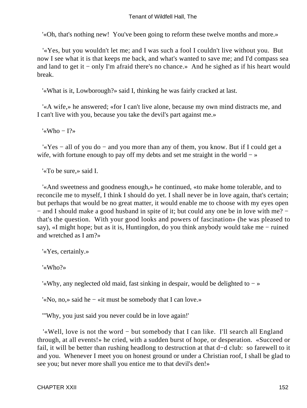'«Oh, that's nothing new! You've been going to reform these twelve months and more.»

 '«Yes, but you wouldn't let me; and I was such a fool I couldn't live without you. But now I see what it is that keeps me back, and what's wanted to save me; and I'd compass sea and land to get it − only I'm afraid there's no chance.» And he sighed as if his heart would break.

'«What is it, Lowborough?» said I, thinking he was fairly cracked at last.

 '«A wife,» he answered; «for I can't live alone, because my own mind distracts me, and I can't live with you, because you take the devil's part against me.»

'«Who − I?»

 '«Yes − all of you do − and you more than any of them, you know. But if I could get a wife, with fortune enough to pay off my debts and set me straight in the world – »

'«To be sure,» said I.

 '«And sweetness and goodness enough,» he continued, «to make home tolerable, and to reconcile me to myself, I think I should do yet. I shall never be in love again, that's certain; but perhaps that would be no great matter, it would enable me to choose with my eyes open − and I should make a good husband in spite of it; but could any one be in love with me? − that's the question. With your good looks and powers of fascination» (he was pleased to say), «I might hope; but as it is, Huntingdon, do you think anybody would take me − ruined and wretched as I am?»

'«Yes, certainly.»

'«Who?»

'«Why, any neglected old maid, fast sinking in despair, would be delighted to − »

'«No, no,» said he − «it must be somebody that I can love.»

'"Why, you just said you never could be in love again!'

 '«Well, love is not the word − but somebody that I can like. I'll search all England through, at all events!» he cried, with a sudden burst of hope, or desperation. «Succeed or fail, it will be better than rushing headlong to destruction at that d−d club: so farewell to it and you. Whenever I meet you on honest ground or under a Christian roof, I shall be glad to see you; but never more shall you entice me to that devil's den!»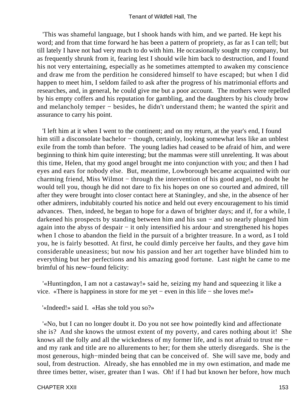'This was shameful language, but I shook hands with him, and we parted. He kept his word; and from that time forward he has been a pattern of propriety, as far as I can tell; but till lately I have not had very much to do with him. He occasionally sought my company, but as frequently shrunk from it, fearing lest I should wile him back to destruction, and I found his not very entertaining, especially as he sometimes attempted to awaken my conscience and draw me from the perdition he considered himself to have escaped; but when I did happen to meet him, I seldom failed to ask after the progress of his matrimonial efforts and researches, and, in general, he could give me but a poor account. The mothers were repelled by his empty coffers and his reputation for gambling, and the daughters by his cloudy brow and melancholy temper − besides, he didn't understand them; he wanted the spirit and assurance to carry his point.

 'I left him at it when I went to the continent; and on my return, at the year's end, I found him still a disconsolate bachelor – though, certainly, looking somewhat less like an unblest exile from the tomb than before. The young ladies had ceased to be afraid of him, and were beginning to think him quite interesting; but the mammas were still unrelenting. It was about this time, Helen, that my good angel brought me into conjunction with you; and then I had eyes and ears for nobody else. But, meantime, Lowborough became acquainted with our charming friend, Miss Wilmot − through the intervention of his good angel, no doubt he would tell you, though he did not dare to fix his hopes on one so courted and admired, till after they were brought into closer contact here at Staningley, and she, in the absence of her other admirers, indubitably courted his notice and held out every encouragement to his timid advances. Then, indeed, he began to hope for a dawn of brighter days; and if, for a while, I darkened his prospects by standing between him and his sun − and so nearly plunged him again into the abyss of despair − it only intensified his ardour and strengthened his hopes when I chose to abandon the field in the pursuit of a brighter treasure. In a word, as I told you, he is fairly besotted. At first, he could dimly perceive her faults, and they gave him considerable uneasiness; but now his passion and her art together have blinded him to everything but her perfections and his amazing good fortune. Last night he came to me brimful of his new−found felicity:

 '«Huntingdon, I am not a castaway!» said he, seizing my hand and squeezing it like a vice. «There is happiness in store for me yet − even in this life − she loves me!»

'«Indeed!» said I. «Has she told you so?»

 '«No, but I can no longer doubt it. Do you not see how pointedly kind and affectionate she is? And she knows the utmost extent of my poverty, and cares nothing about it! She knows all the folly and all the wickedness of my former life, and is not afraid to trust me − and my rank and title are no allurements to her; for them she utterly disregards. She is the most generous, high−minded being that can be conceived of. She will save me, body and soul, from destruction. Already, she has ennobled me in my own estimation, and made me three times better, wiser, greater than I was. Oh! if I had but known her before, how much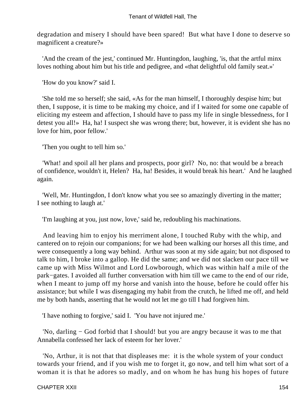degradation and misery I should have been spared! But what have I done to deserve so magnificent a creature?»

 'And the cream of the jest,' continued Mr. Huntingdon, laughing, 'is, that the artful minx loves nothing about him but his title and pedigree, and «that delightful old family seat.»'

'How do you know?' said I.

 'She told me so herself; she said, «As for the man himself, I thoroughly despise him; but then, I suppose, it is time to be making my choice, and if I waited for some one capable of eliciting my esteem and affection, I should have to pass my life in single blessedness, for I detest you all!» Ha, ha! I suspect she was wrong there; but, however, it is evident she has no love for him, poor fellow.'

'Then you ought to tell him so.'

 'What! and spoil all her plans and prospects, poor girl? No, no: that would be a breach of confidence, wouldn't it, Helen? Ha, ha! Besides, it would break his heart.' And he laughed again.

 'Well, Mr. Huntingdon, I don't know what you see so amazingly diverting in the matter; I see nothing to laugh at.'

'I'm laughing at you, just now, love,' said he, redoubling his machinations.

 And leaving him to enjoy his merriment alone, I touched Ruby with the whip, and cantered on to rejoin our companions; for we had been walking our horses all this time, and were consequently a long way behind. Arthur was soon at my side again; but not disposed to talk to him, I broke into a gallop. He did the same; and we did not slacken our pace till we came up with Miss Wilmot and Lord Lowborough, which was within half a mile of the park−gates. I avoided all further conversation with him till we came to the end of our ride, when I meant to jump off my horse and vanish into the house, before he could offer his assistance; but while I was disengaging my habit from the crutch, he lifted me off, and held me by both hands, asserting that he would not let me go till I had forgiven him.

'I have nothing to forgive,' said I. 'You have not injured me.'

 'No, darling − God forbid that I should! but you are angry because it was to me that Annabella confessed her lack of esteem for her lover.'

 'No, Arthur, it is not that that displeases me: it is the whole system of your conduct towards your friend, and if you wish me to forget it, go now, and tell him what sort of a woman it is that he adores so madly, and on whom he has hung his hopes of future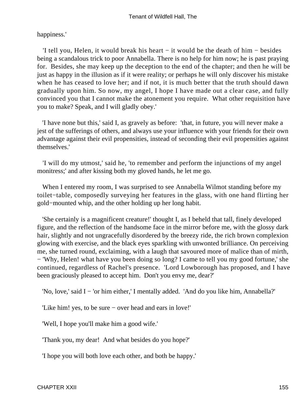happiness.'

 'I tell you, Helen, it would break his heart − it would be the death of him − besides being a scandalous trick to poor Annabella. There is no help for him now; he is past praying for. Besides, she may keep up the deception to the end of the chapter; and then he will be just as happy in the illusion as if it were reality; or perhaps he will only discover his mistake when he has ceased to love her; and if not, it is much better that the truth should dawn gradually upon him. So now, my angel, I hope I have made out a clear case, and fully convinced you that I cannot make the atonement you require. What other requisition have you to make? Speak, and I will gladly obey.'

 'I have none but this,' said I, as gravely as before: 'that, in future, you will never make a jest of the sufferings of others, and always use your influence with your friends for their own advantage against their evil propensities, instead of seconding their evil propensities against themselves.'

 'I will do my utmost,' said he, 'to remember and perform the injunctions of my angel monitress;' and after kissing both my gloved hands, he let me go.

 When I entered my room, I was surprised to see Annabella Wilmot standing before my toilet−table, composedly surveying her features in the glass, with one hand flirting her gold−mounted whip, and the other holding up her long habit.

 'She certainly is a magnificent creature!' thought I, as I beheld that tall, finely developed figure, and the reflection of the handsome face in the mirror before me, with the glossy dark hair, slightly and not ungracefully disordered by the breezy ride, the rich brown complexion glowing with exercise, and the black eyes sparkling with unwonted brilliance. On perceiving me, she turned round, exclaiming, with a laugh that savoured more of malice than of mirth, − 'Why, Helen! what have you been doing so long? I came to tell you my good fortune,' she continued, regardless of Rachel's presence. 'Lord Lowborough has proposed, and I have been graciously pleased to accept him. Don't you envy me, dear?'

'No, love,' said I − 'or him either,' I mentally added. 'And do you like him, Annabella?'

'Like him! yes, to be sure − over head and ears in love!'

'Well, I hope you'll make him a good wife.'

'Thank you, my dear! And what besides do you hope?'

'I hope you will both love each other, and both be happy.'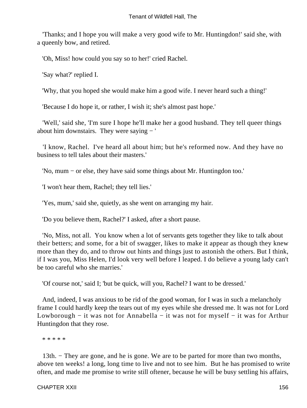'Thanks; and I hope you will make a very good wife to Mr. Huntingdon!' said she, with a queenly bow, and retired.

'Oh, Miss! how could you say so to her!' cried Rachel.

'Say what?' replied I.

'Why, that you hoped she would make him a good wife. I never heard such a thing!'

'Because I do hope it, or rather, I wish it; she's almost past hope.'

 'Well,' said she, 'I'm sure I hope he'll make her a good husband. They tell queer things about him downstairs. They were saying − '

 'I know, Rachel. I've heard all about him; but he's reformed now. And they have no business to tell tales about their masters.'

'No, mum − or else, they have said some things about Mr. Huntingdon too.'

'I won't hear them, Rachel; they tell lies.'

'Yes, mum,' said she, quietly, as she went on arranging my hair.

'Do you believe them, Rachel?' I asked, after a short pause.

 'No, Miss, not all. You know when a lot of servants gets together they like to talk about their betters; and some, for a bit of swagger, likes to make it appear as though they knew more than they do, and to throw out hints and things just to astonish the others. But I think, if I was you, Miss Helen, I'd look very well before I leaped. I do believe a young lady can't be too careful who she marries.'

'Of course not,' said I; 'but be quick, will you, Rachel? I want to be dressed.'

 And, indeed, I was anxious to be rid of the good woman, for I was in such a melancholy frame I could hardly keep the tears out of my eyes while she dressed me. It was not for Lord Lowborough − it was not for Annabella − it was not for myself − it was for Arthur Huntingdon that they rose.

\* \* \* \* \*

 13th. − They are gone, and he is gone. We are to be parted for more than two months, above ten weeks! a long, long time to live and not to see him. But he has promised to write often, and made me promise to write still oftener, because he will be busy settling his affairs,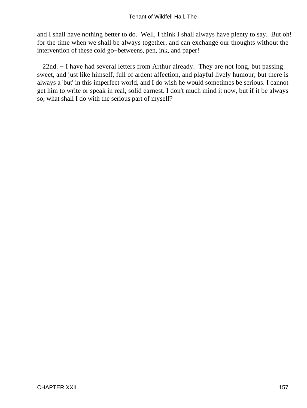and I shall have nothing better to do. Well, I think I shall always have plenty to say. But oh! for the time when we shall be always together, and can exchange our thoughts without the intervention of these cold go−betweens, pen, ink, and paper!

 22nd. − I have had several letters from Arthur already. They are not long, but passing sweet, and just like himself, full of ardent affection, and playful lively humour; but there is always a 'but' in this imperfect world, and I do wish he would sometimes be serious. I cannot get him to write or speak in real, solid earnest. I don't much mind it now, but if it be always so, what shall I do with the serious part of myself?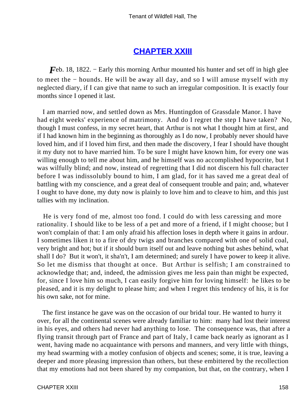### **[CHAPTER XXIII](#page-379-0)**

*F*eb. 18, 1822. – Early this morning Arthur mounted his hunter and set off in high glee to meet the − hounds. He will be away all day, and so I will amuse myself with my neglected diary, if I can give that name to such an irregular composition. It is exactly four months since I opened it last.

 I am married now, and settled down as Mrs. Huntingdon of Grassdale Manor. I have had eight weeks' experience of matrimony. And do I regret the step I have taken? No, though I must confess, in my secret heart, that Arthur is not what I thought him at first, and if I had known him in the beginning as thoroughly as I do now, I probably never should have loved him, and if I loved him first, and then made the discovery, I fear I should have thought it my duty not to have married him. To be sure I might have known him, for every one was willing enough to tell me about him, and he himself was no accomplished hypocrite, but I was wilfully blind; and now, instead of regretting that I did not discern his full character before I was indissolubly bound to him, I am glad, for it has saved me a great deal of battling with my conscience, and a great deal of consequent trouble and pain; and, whatever I ought to have done, my duty now is plainly to love him and to cleave to him, and this just tallies with my inclination.

 He is very fond of me, almost too fond. I could do with less caressing and more rationality. I should like to be less of a pet and more of a friend, if I might choose; but I won't complain of that: I am only afraid his affection loses in depth where it gains in ardour. I sometimes liken it to a fire of dry twigs and branches compared with one of solid coal, very bright and hot; but if it should burn itself out and leave nothing but ashes behind, what shall I do? But it won't, it sha'n't, I am determined; and surely I have power to keep it alive. So let me dismiss that thought at once. But Arthur is selfish; I am constrained to acknowledge that; and, indeed, the admission gives me less pain than might be expected, for, since I love him so much, I can easily forgive him for loving himself: he likes to be pleased, and it is my delight to please him; and when I regret this tendency of his, it is for his own sake, not for mine.

 The first instance he gave was on the occasion of our bridal tour. He wanted to hurry it over, for all the continental scenes were already familiar to him: many had lost their interest in his eyes, and others had never had anything to lose. The consequence was, that after a flying transit through part of France and part of Italy, I came back nearly as ignorant as I went, having made no acquaintance with persons and manners, and very little with things, my head swarming with a motley confusion of objects and scenes; some, it is true, leaving a deeper and more pleasing impression than others, but these embittered by the recollection that my emotions had not been shared by my companion, but that, on the contrary, when I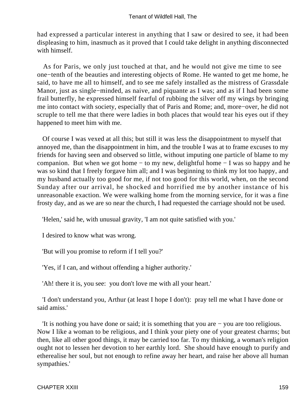had expressed a particular interest in anything that I saw or desired to see, it had been displeasing to him, inasmuch as it proved that I could take delight in anything disconnected with himself.

 As for Paris, we only just touched at that, and he would not give me time to see one−tenth of the beauties and interesting objects of Rome. He wanted to get me home, he said, to have me all to himself, and to see me safely installed as the mistress of Grassdale Manor, just as single−minded, as naive, and piquante as I was; and as if I had been some frail butterfly, he expressed himself fearful of rubbing the silver off my wings by bringing me into contact with society, especially that of Paris and Rome; and, more−over, he did not scruple to tell me that there were ladies in both places that would tear his eyes out if they happened to meet him with me.

 Of course I was vexed at all this; but still it was less the disappointment to myself that annoyed me, than the disappointment in him, and the trouble I was at to frame excuses to my friends for having seen and observed so little, without imputing one particle of blame to my companion. But when we got home − to my new, delightful home − I was so happy and he was so kind that I freely forgave him all; and I was beginning to think my lot too happy, and my husband actually too good for me, if not too good for this world, when, on the second Sunday after our arrival, he shocked and horrified me by another instance of his unreasonable exaction. We were walking home from the morning service, for it was a fine frosty day, and as we are so near the church, I had requested the carriage should not be used.

'Helen,' said he, with unusual gravity, 'I am not quite satisfied with you.'

I desired to know what was wrong.

'But will you promise to reform if I tell you?'

'Yes, if I can, and without offending a higher authority.'

'Ah! there it is, you see: you don't love me with all your heart.'

 'I don't understand you, Arthur (at least I hope I don't): pray tell me what I have done or said amiss.'

 'It is nothing you have done or said; it is something that you are − you are too religious. Now I like a woman to be religious, and I think your piety one of your greatest charms; but then, like all other good things, it may be carried too far. To my thinking, a woman's religion ought not to lessen her devotion to her earthly lord. She should have enough to purify and etherealise her soul, but not enough to refine away her heart, and raise her above all human sympathies.'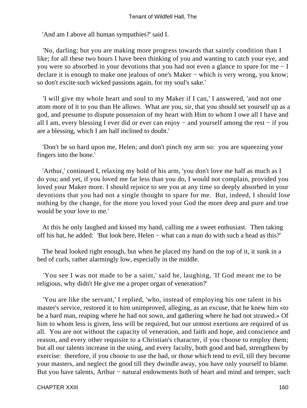'And am I above all human sympathies?' said I.

 'No, darling; but you are making more progress towards that saintly condition than I like; for all these two hours I have been thinking of you and wanting to catch your eye, and you were so absorbed in your devotions that you had not even a glance to spare for me − I declare it is enough to make one jealous of one's Maker – which is very wrong, you know; so don't excite such wicked passions again, for my soul's sake.'

 'I will give my whole heart and soul to my Maker if I can,' I answered, 'and not one atom more of it to you than He allows. What are you, sir, that you should set yourself up as a god, and presume to dispute possession of my heart with Him to whom I owe all I have and all I am, every blessing I ever did or ever can enjoy − and yourself among the rest − if you are a blessing, which I am half inclined to doubt.'

 'Don't be so hard upon me, Helen; and don't pinch my arm so: you are squeezing your fingers into the bone.'

 'Arthur,' continued I, relaxing my hold of his arm, 'you don't love me half as much as I do you; and yet, if you loved me far less than you do, I would not complain, provided you loved your Maker more. I should rejoice to see you at any time so deeply absorbed in your devotions that you had not a single thought to spare for me. But, indeed, I should lose nothing by the change, for the more you loved your God the more deep and pure and true would be your love to me.'

 At this he only laughed and kissed my hand, calling me a sweet enthusiast. Then taking off his hat, he added: 'But look here, Helen − what can a man do with such a head as this?'

 The head looked right enough, but when he placed my hand on the top of it, it sunk in a bed of curls, rather alarmingly low, especially in the middle.

 'You see I was not made to be a saint,' said he, laughing, 'If God meant me to be religious, why didn't He give me a proper organ of veneration?'

 'You are like the servant,' I replied, 'who, instead of employing his one talent in his master's service, restored it to him unimproved, alleging, as an excuse, that he knew him «to be a hard man, reaping where he had not sown, and gathering where he had not strawed.» Of him to whom less is given, less will be required, but our utmost exertions are required of us all. You are not without the capacity of veneration, and faith and hope, and conscience and reason, and every other requisite to a Christian's character, if you choose to employ them; but all our talents increase in the using, and every faculty, both good and bad, strengthens by exercise: therefore, if you choose to use the bad, or those which tend to evil, till they become your masters, and neglect the good till they dwindle away, you have only yourself to blame. But you have talents, Arthur – natural endowments both of heart and mind and temper, such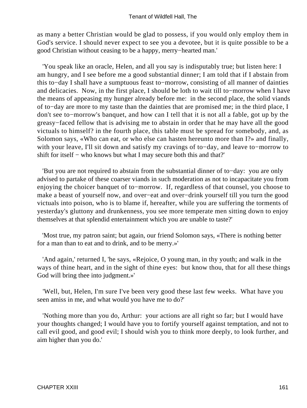as many a better Christian would be glad to possess, if you would only employ them in God's service. I should never expect to see you a devotee, but it is quite possible to be a good Christian without ceasing to be a happy, merry−hearted man.'

 'You speak like an oracle, Helen, and all you say is indisputably true; but listen here: I am hungry, and I see before me a good substantial dinner; I am told that if I abstain from this to−day I shall have a sumptuous feast to−morrow, consisting of all manner of dainties and delicacies. Now, in the first place, I should be loth to wait till to−morrow when I have the means of appeasing my hunger already before me: in the second place, the solid viands of to−day are more to my taste than the dainties that are promised me; in the third place, I don't see to−morrow's banquet, and how can I tell that it is not all a fable, got up by the greasy−faced fellow that is advising me to abstain in order that he may have all the good victuals to himself? in the fourth place, this table must be spread for somebody, and, as Solomon says, «Who can eat, or who else can hasten hereunto more than I?» and finally, with your leave, I'll sit down and satisfy my cravings of to−day, and leave to−morrow to shift for itself − who knows but what I may secure both this and that?'

 'But you are not required to abstain from the substantial dinner of to−day: you are only advised to partake of these coarser viands in such moderation as not to incapacitate you from enjoying the choicer banquet of to−morrow. If, regardless of that counsel, you choose to make a beast of yourself now, and over−eat and over−drink yourself till you turn the good victuals into poison, who is to blame if, hereafter, while you are suffering the torments of yesterday's gluttony and drunkenness, you see more temperate men sitting down to enjoy themselves at that splendid entertainment which you are unable to taste?'

 'Most true, my patron saint; but again, our friend Solomon says, «There is nothing better for a man than to eat and to drink, and to be merry.»'

 'And again,' returned I, 'he says, «Rejoice, O young man, in thy youth; and walk in the ways of thine heart, and in the sight of thine eyes: but know thou, that for all these things God will bring thee into judgment.»'

 'Well, but, Helen, I'm sure I've been very good these last few weeks. What have you seen amiss in me, and what would you have me to do?'

 'Nothing more than you do, Arthur: your actions are all right so far; but I would have your thoughts changed; I would have you to fortify yourself against temptation, and not to call evil good, and good evil; I should wish you to think more deeply, to look further, and aim higher than you do.'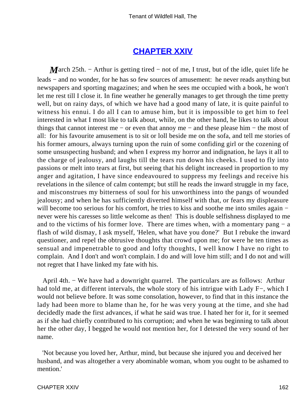### **[CHAPTER XXIV](#page-379-0)**

*M*arch 25th. – Arthur is getting tired – not of me, I trust, but of the idle, quiet life he leads − and no wonder, for he has so few sources of amusement: he never reads anything but newspapers and sporting magazines; and when he sees me occupied with a book, he won't let me rest till I close it. In fine weather he generally manages to get through the time pretty well, but on rainy days, of which we have had a good many of late, it is quite painful to witness his ennui. I do all I can to amuse him, but it is impossible to get him to feel interested in what I most like to talk about, while, on the other hand, he likes to talk about things that cannot interest me − or even that annoy me − and these please him − the most of all: for his favourite amusement is to sit or loll beside me on the sofa, and tell me stories of his former amours, always turning upon the ruin of some confiding girl or the cozening of some unsuspecting husband; and when I express my horror and indignation, he lays it all to the charge of jealousy, and laughs till the tears run down his cheeks. I used to fly into passions or melt into tears at first, but seeing that his delight increased in proportion to my anger and agitation, I have since endeavoured to suppress my feelings and receive his revelations in the silence of calm contempt; but still he reads the inward struggle in my face, and misconstrues my bitterness of soul for his unworthiness into the pangs of wounded jealousy; and when he has sufficiently diverted himself with that, or fears my displeasure will become too serious for his comfort, he tries to kiss and soothe me into smiles again – never were his caresses so little welcome as then! This is double selfishness displayed to me and to the victims of his former love. There are times when, with a momentary pang − a flash of wild dismay, I ask myself, 'Helen, what have you done?' But I rebuke the inward questioner, and repel the obtrusive thoughts that crowd upon me; for were he ten times as sensual and impenetrable to good and lofty thoughts, I well know I have no right to complain. And I don't and won't complain. I do and will love him still; and I do not and will not regret that I have linked my fate with his.

 April 4th. − We have had a downright quarrel. The particulars are as follows: Arthur had told me, at different intervals, the whole story of his intrigue with Lady F−, which I would not believe before. It was some consolation, however, to find that in this instance the lady had been more to blame than he, for he was very young at the time, and she had decidedly made the first advances, if what he said was true. I hated her for it, for it seemed as if she had chiefly contributed to his corruption; and when he was beginning to talk about her the other day, I begged he would not mention her, for I detested the very sound of her name.

 'Not because you loved her, Arthur, mind, but because she injured you and deceived her husband, and was altogether a very abominable woman, whom you ought to be ashamed to mention.'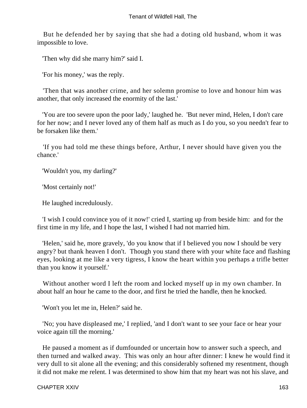But he defended her by saying that she had a doting old husband, whom it was impossible to love.

'Then why did she marry him?' said I.

'For his money,' was the reply.

 'Then that was another crime, and her solemn promise to love and honour him was another, that only increased the enormity of the last.'

 'You are too severe upon the poor lady,' laughed he. 'But never mind, Helen, I don't care for her now; and I never loved any of them half as much as I do you, so you needn't fear to be forsaken like them.'

 'If you had told me these things before, Arthur, I never should have given you the chance.'

'Wouldn't you, my darling?'

'Most certainly not!'

He laughed incredulously.

 'I wish I could convince you of it now!' cried I, starting up from beside him: and for the first time in my life, and I hope the last, I wished I had not married him.

 'Helen,' said he, more gravely, 'do you know that if I believed you now I should be very angry? but thank heaven I don't. Though you stand there with your white face and flashing eyes, looking at me like a very tigress, I know the heart within you perhaps a trifle better than you know it yourself.'

 Without another word I left the room and locked myself up in my own chamber. In about half an hour he came to the door, and first he tried the handle, then he knocked.

'Won't you let me in, Helen?' said he.

 'No; you have displeased me,' I replied, 'and I don't want to see your face or hear your voice again till the morning.'

 He paused a moment as if dumfounded or uncertain how to answer such a speech, and then turned and walked away. This was only an hour after dinner: I knew he would find it very dull to sit alone all the evening; and this considerably softened my resentment, though it did not make me relent. I was determined to show him that my heart was not his slave, and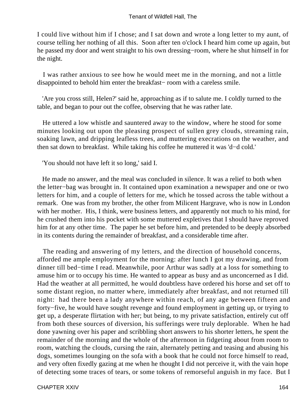I could live without him if I chose; and I sat down and wrote a long letter to my aunt, of course telling her nothing of all this. Soon after ten o'clock I heard him come up again, but he passed my door and went straight to his own dressing−room, where he shut himself in for the night.

 I was rather anxious to see how he would meet me in the morning, and not a little disappointed to behold him enter the breakfast− room with a careless smile.

 'Are you cross still, Helen?' said he, approaching as if to salute me. I coldly turned to the table, and began to pour out the coffee, observing that he was rather late.

 He uttered a low whistle and sauntered away to the window, where he stood for some minutes looking out upon the pleasing prospect of sullen grey clouds, streaming rain, soaking lawn, and dripping leafless trees, and muttering execrations on the weather, and then sat down to breakfast. While taking his coffee he muttered it was 'd−d cold.'

'You should not have left it so long,' said I.

 He made no answer, and the meal was concluded in silence. It was a relief to both when the letter−bag was brought in. It contained upon examination a newspaper and one or two letters for him, and a couple of letters for me, which he tossed across the table without a remark. One was from my brother, the other from Milicent Hargrave, who is now in London with her mother. His, I think, were business letters, and apparently not much to his mind, for he crushed them into his pocket with some muttered expletives that I should have reproved him for at any other time. The paper he set before him, and pretended to be deeply absorbed in its contents during the remainder of breakfast, and a considerable time after.

 The reading and answering of my letters, and the direction of household concerns, afforded me ample employment for the morning: after lunch I got my drawing, and from dinner till bed−time I read. Meanwhile, poor Arthur was sadly at a loss for something to amuse him or to occupy his time. He wanted to appear as busy and as unconcerned as I did. Had the weather at all permitted, he would doubtless have ordered his horse and set off to some distant region, no matter where, immediately after breakfast, and not returned till night: had there been a lady anywhere within reach, of any age between fifteen and forty−five, he would have sought revenge and found employment in getting up, or trying to get up, a desperate flirtation with her; but being, to my private satisfaction, entirely cut off from both these sources of diversion, his sufferings were truly deplorable. When he had done yawning over his paper and scribbling short answers to his shorter letters, he spent the remainder of the morning and the whole of the afternoon in fidgeting about from room to room, watching the clouds, cursing the rain, alternately petting and teasing and abusing his dogs, sometimes lounging on the sofa with a book that he could not force himself to read, and very often fixedly gazing at me when he thought I did not perceive it, with the vain hope of detecting some traces of tears, or some tokens of remorseful anguish in my face. But I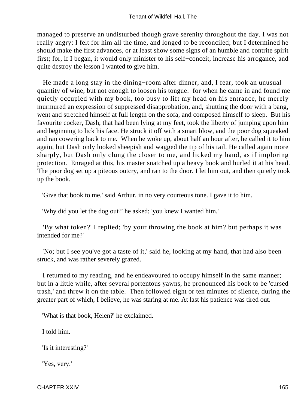managed to preserve an undisturbed though grave serenity throughout the day. I was not really angry: I felt for him all the time, and longed to be reconciled; but I determined he should make the first advances, or at least show some signs of an humble and contrite spirit first; for, if I began, it would only minister to his self−conceit, increase his arrogance, and quite destroy the lesson I wanted to give him.

 He made a long stay in the dining−room after dinner, and, I fear, took an unusual quantity of wine, but not enough to loosen his tongue: for when he came in and found me quietly occupied with my book, too busy to lift my head on his entrance, he merely murmured an expression of suppressed disapprobation, and, shutting the door with a bang, went and stretched himself at full length on the sofa, and composed himself to sleep. But his favourite cocker, Dash, that had been lying at my feet, took the liberty of jumping upon him and beginning to lick his face. He struck it off with a smart blow, and the poor dog squeaked and ran cowering back to me. When he woke up, about half an hour after, he called it to him again, but Dash only looked sheepish and wagged the tip of his tail. He called again more sharply, but Dash only clung the closer to me, and licked my hand, as if imploring protection. Enraged at this, his master snatched up a heavy book and hurled it at his head. The poor dog set up a piteous outcry, and ran to the door. I let him out, and then quietly took up the book.

'Give that book to me,' said Arthur, in no very courteous tone. I gave it to him.

'Why did you let the dog out?' he asked; 'you knew I wanted him.'

 'By what token?' I replied; 'by your throwing the book at him? but perhaps it was intended for me?'

 'No; but I see you've got a taste of it,' said he, looking at my hand, that had also been struck, and was rather severely grazed.

 I returned to my reading, and he endeavoured to occupy himself in the same manner; but in a little while, after several portentous yawns, he pronounced his book to be 'cursed trash,' and threw it on the table. Then followed eight or ten minutes of silence, during the greater part of which, I believe, he was staring at me. At last his patience was tired out.

'What is that book, Helen?' he exclaimed.

I told him.

'Is it interesting?'

'Yes, very.'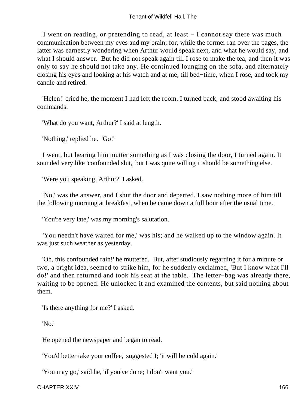I went on reading, or pretending to read, at least − I cannot say there was much communication between my eyes and my brain; for, while the former ran over the pages, the latter was earnestly wondering when Arthur would speak next, and what he would say, and what I should answer. But he did not speak again till I rose to make the tea, and then it was only to say he should not take any. He continued lounging on the sofa, and alternately closing his eyes and looking at his watch and at me, till bed−time, when I rose, and took my candle and retired.

 'Helen!' cried he, the moment I had left the room. I turned back, and stood awaiting his commands.

'What do you want, Arthur?' I said at length.

'Nothing,' replied he. 'Go!'

 I went, but hearing him mutter something as I was closing the door, I turned again. It sounded very like 'confounded slut,' but I was quite willing it should be something else.

'Were you speaking, Arthur?' I asked.

 'No,' was the answer, and I shut the door and departed. I saw nothing more of him till the following morning at breakfast, when he came down a full hour after the usual time.

'You're very late,' was my morning's salutation.

 'You needn't have waited for me,' was his; and he walked up to the window again. It was just such weather as yesterday.

 'Oh, this confounded rain!' he muttered. But, after studiously regarding it for a minute or two, a bright idea, seemed to strike him, for he suddenly exclaimed, 'But I know what I'll do!' and then returned and took his seat at the table. The letter−bag was already there, waiting to be opened. He unlocked it and examined the contents, but said nothing about them.

'Is there anything for me?' I asked.

'No.'

He opened the newspaper and began to read.

'You'd better take your coffee,' suggested I; 'it will be cold again.'

'You may go,' said he, 'if you've done; I don't want you.'

CHAPTER XXIV 166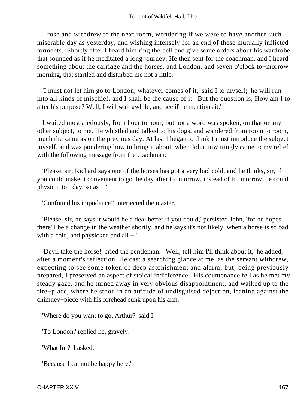I rose and withdrew to the next room, wondering if we were to have another such miserable day as yesterday, and wishing intensely for an end of these mutually inflicted torments. Shortly after I heard him ring the bell and give some orders about his wardrobe that sounded as if he meditated a long journey. He then sent for the coachman, and I heard something about the carriage and the horses, and London, and seven o'clock to−morrow morning, that startled and disturbed me not a little.

 'I must not let him go to London, whatever comes of it,' said I to myself; 'he will run into all kinds of mischief, and I shall be the cause of it. But the question is, How am I to alter his purpose? Well, I will wait awhile, and see if he mentions it.'

 I waited most anxiously, from hour to hour; but not a word was spoken, on that or any other subject, to me. He whistled and talked to his dogs, and wandered from room to room, much the same as on the previous day. At last I began to think I must introduce the subject myself, and was pondering how to bring it about, when John unwittingly came to my relief with the following message from the coachman:

 'Please, sir, Richard says one of the horses has got a very bad cold, and he thinks, sir, if you could make it convenient to go the day after to−morrow, instead of to−morrow, he could physic it to− day, so as − '

'Confound his impudence!' interjected the master.

 'Please, sir, he says it would be a deal better if you could,' persisted John, 'for he hopes there'll be a change in the weather shortly, and he says it's not likely, when a horse is so bad with a cold, and physicked and all − '

 'Devil take the horse!' cried the gentleman. 'Well, tell him I'll think about it,' he added, after a moment's reflection. He cast a searching glance at me, as the servant withdrew, expecting to see some token of deep astonishment and alarm; but, being previously prepared, I preserved an aspect of stoical indifference. His countenance fell as he met my steady gaze, and he turned away in very obvious disappointment, and walked up to the fire−place, where he stood in an attitude of undisguised dejection, leaning against the chimney−piece with his forehead sunk upon his arm.

'Where do you want to go, Arthur?' said I.

'To London,' replied he, gravely.

'What for?' I asked.

'Because I cannot be happy here.'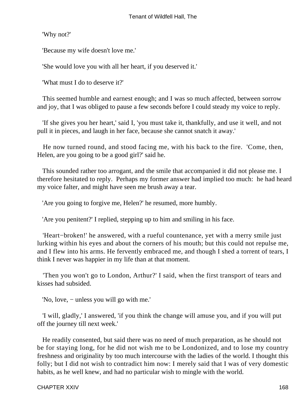'Why not?'

'Because my wife doesn't love me.'

'She would love you with all her heart, if you deserved it.'

'What must I do to deserve it?'

 This seemed humble and earnest enough; and I was so much affected, between sorrow and joy, that I was obliged to pause a few seconds before I could steady my voice to reply.

 'If she gives you her heart,' said I, 'you must take it, thankfully, and use it well, and not pull it in pieces, and laugh in her face, because she cannot snatch it away.'

 He now turned round, and stood facing me, with his back to the fire. 'Come, then, Helen, are you going to be a good girl?' said he.

 This sounded rather too arrogant, and the smile that accompanied it did not please me. I therefore hesitated to reply. Perhaps my former answer had implied too much: he had heard my voice falter, and might have seen me brush away a tear.

'Are you going to forgive me, Helen?' he resumed, more humbly.

'Are you penitent?' I replied, stepping up to him and smiling in his face.

 'Heart−broken!' he answered, with a rueful countenance, yet with a merry smile just lurking within his eyes and about the corners of his mouth; but this could not repulse me, and I flew into his arms. He fervently embraced me, and though I shed a torrent of tears, I think I never was happier in my life than at that moment.

 'Then you won't go to London, Arthur?' I said, when the first transport of tears and kisses had subsided.

'No, love, − unless you will go with me.'

 'I will, gladly,' I answered, 'if you think the change will amuse you, and if you will put off the journey till next week.'

 He readily consented, but said there was no need of much preparation, as he should not be for staying long, for he did not wish me to be Londonized, and to lose my country freshness and originality by too much intercourse with the ladies of the world. I thought this folly; but I did not wish to contradict him now: I merely said that I was of very domestic habits, as he well knew, and had no particular wish to mingle with the world.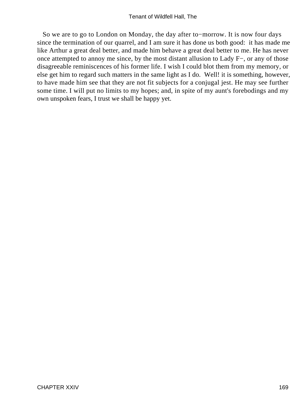So we are to go to London on Monday, the day after to−morrow. It is now four days since the termination of our quarrel, and I am sure it has done us both good: it has made me like Arthur a great deal better, and made him behave a great deal better to me. He has never once attempted to annoy me since, by the most distant allusion to Lady F−, or any of those disagreeable reminiscences of his former life. I wish I could blot them from my memory, or else get him to regard such matters in the same light as I do. Well! it is something, however, to have made him see that they are not fit subjects for a conjugal jest. He may see further some time. I will put no limits to my hopes; and, in spite of my aunt's forebodings and my own unspoken fears, I trust we shall be happy yet.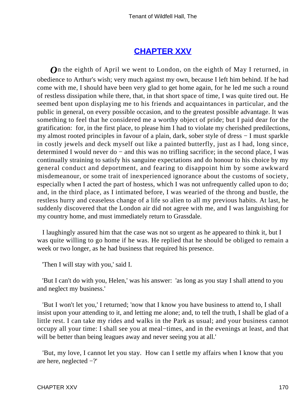## **[CHAPTER XXV](#page-379-0)**

*O*n the eighth of April we went to London, on the eighth of May I returned, in obedience to Arthur's wish; very much against my own, because I left him behind. If he had come with me, I should have been very glad to get home again, for he led me such a round of restless dissipation while there, that, in that short space of time, I was quite tired out. He seemed bent upon displaying me to his friends and acquaintances in particular, and the public in general, on every possible occasion, and to the greatest possible advantage. It was something to feel that he considered me a worthy object of pride; but I paid dear for the gratification: for, in the first place, to please him I had to violate my cherished predilections, my almost rooted principles in favour of a plain, dark, sober style of dress − I must sparkle in costly jewels and deck myself out like a painted butterfly, just as I had, long since, determined I would never do − and this was no trifling sacrifice; in the second place, I was continually straining to satisfy his sanguine expectations and do honour to his choice by my general conduct and deportment, and fearing to disappoint him by some awkward misdemeanour, or some trait of inexperienced ignorance about the customs of society, especially when I acted the part of hostess, which I was not unfrequently called upon to do; and, in the third place, as I intimated before, I was wearied of the throng and bustle, the restless hurry and ceaseless change of a life so alien to all my previous habits. At last, he suddenly discovered that the London air did not agree with me, and I was languishing for my country home, and must immediately return to Grassdale.

 I laughingly assured him that the case was not so urgent as he appeared to think it, but I was quite willing to go home if he was. He replied that he should be obliged to remain a week or two longer, as he had business that required his presence.

'Then I will stay with you,' said I.

 'But I can't do with you, Helen,' was his answer: 'as long as you stay I shall attend to you and neglect my business.'

 'But I won't let you,' I returned; 'now that I know you have business to attend to, I shall insist upon your attending to it, and letting me alone; and, to tell the truth, I shall be glad of a little rest. I can take my rides and walks in the Park as usual; and your business cannot occupy all your time: I shall see you at meal−times, and in the evenings at least, and that will be better than being leagues away and never seeing you at all.

 'But, my love, I cannot let you stay. How can I settle my affairs when I know that you are here, neglected −?'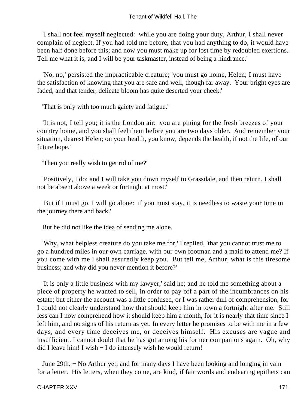'I shall not feel myself neglected: while you are doing your duty, Arthur, I shall never complain of neglect. If you had told me before, that you had anything to do, it would have been half done before this; and now you must make up for lost time by redoubled exertions. Tell me what it is; and I will be your taskmaster, instead of being a hindrance.'

 'No, no,' persisted the impracticable creature; 'you must go home, Helen; I must have the satisfaction of knowing that you are safe and well, though far away. Your bright eyes are faded, and that tender, delicate bloom has quite deserted your cheek.'

'That is only with too much gaiety and fatigue.'

 'It is not, I tell you; it is the London air: you are pining for the fresh breezes of your country home, and you shall feel them before you are two days older. And remember your situation, dearest Helen; on your health, you know, depends the health, if not the life, of our future hope.'

'Then you really wish to get rid of me?'

 'Positively, I do; and I will take you down myself to Grassdale, and then return. I shall not be absent above a week or fortnight at most.'

 'But if I must go, I will go alone: if you must stay, it is needless to waste your time in the journey there and back.'

But he did not like the idea of sending me alone.

 'Why, what helpless creature do you take me for,' I replied, 'that you cannot trust me to go a hundred miles in our own carriage, with our own footman and a maid to attend me? If you come with me I shall assuredly keep you. But tell me, Arthur, what is this tiresome business; and why did you never mention it before?'

 'It is only a little business with my lawyer,' said he; and he told me something about a piece of property he wanted to sell, in order to pay off a part of the incumbrances on his estate; but either the account was a little confused, or I was rather dull of comprehension, for I could not clearly understand how that should keep him in town a fortnight after me. Still less can I now comprehend how it should keep him a month, for it is nearly that time since I left him, and no signs of his return as yet. In every letter he promises to be with me in a few days, and every time deceives me, or deceives himself. His excuses are vague and insufficient. I cannot doubt that he has got among his former companions again. Oh, why did I leave him! I wish − I do intensely wish he would return!

 June 29th. − No Arthur yet; and for many days I have been looking and longing in vain for a letter. His letters, when they come, are kind, if fair words and endearing epithets can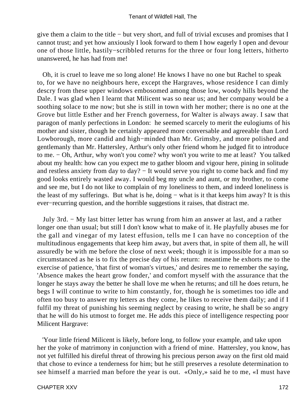give them a claim to the title − but very short, and full of trivial excuses and promises that I cannot trust; and yet how anxiously I look forward to them I how eagerly I open and devour one of those little, hastily−scribbled returns for the three or four long letters, hitherto unanswered, he has had from me!

 Oh, it is cruel to leave me so long alone! He knows I have no one but Rachel to speak to, for we have no neighbours here, except the Hargraves, whose residence I can dimly descry from these upper windows embosomed among those low, woody hills beyond the Dale. I was glad when I learnt that Milicent was so near us; and her company would be a soothing solace to me now; but she is still in town with her mother; there is no one at the Grove but little Esther and her French governess, for Walter is always away. I saw that paragon of manly perfections in London: he seemed scarcely to merit the eulogiums of his mother and sister, though he certainly appeared more conversable and agreeable than Lord Lowborough, more candid and high−minded than Mr. Grimsby, and more polished and gentlemanly than Mr. Hattersley, Arthur's only other friend whom he judged fit to introduce to me. − Oh, Arthur, why won't you come? why won't you write to me at least? You talked about my health: how can you expect me to gather bloom and vigour here, pining in solitude and restless anxiety from day to day? – It would serve you right to come back and find my good looks entirely wasted away. I would beg my uncle and aunt, or my brother, to come and see me, but I do not like to complain of my loneliness to them, and indeed loneliness is the least of my sufferings. But what is he, doing − what is it that keeps him away? It is this ever−recurring question, and the horrible suggestions it raises, that distract me.

 July 3rd. − My last bitter letter has wrung from him an answer at last, and a rather longer one than usual; but still I don't know what to make of it. He playfully abuses me for the gall and vinegar of my latest effusion, tells me I can have no conception of the multitudinous engagements that keep him away, but avers that, in spite of them all, he will assuredly be with me before the close of next week; though it is impossible for a man so circumstanced as he is to fix the precise day of his return: meantime he exhorts me to the exercise of patience, 'that first of woman's virtues,' and desires me to remember the saying, 'Absence makes the heart grow fonder,' and comfort myself with the assurance that the longer he stays away the better he shall love me when he returns; and till he does return, he begs I will continue to write to him constantly, for, though he is sometimes too idle and often too busy to answer my letters as they come, he likes to receive them daily; and if I fulfil my threat of punishing his seeming neglect by ceasing to write, he shall be so angry that he will do his utmost to forget me. He adds this piece of intelligence respecting poor Milicent Hargrave:

 'Your little friend Milicent is likely, before long, to follow your example, and take upon her the yoke of matrimony in conjunction with a friend of mine. Hattersley, you know, has not yet fulfilled his direful threat of throwing his precious person away on the first old maid that chose to evince a tenderness for him; but he still preserves a resolute determination to see himself a married man before the year is out. «Only,» said he to me, «I must have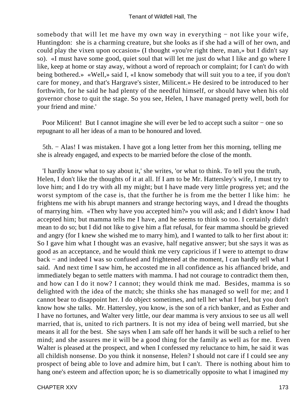somebody that will let me have my own way in everything – not like your wife, Huntingdon: she is a charming creature, but she looks as if she had a will of her own, and could play the vixen upon occasion» (I thought «you're right there, man,» but I didn't say so). «I must have some good, quiet soul that will let me just do what I like and go where I like, keep at home or stay away, without a word of reproach or complaint; for I can't do with being bothered.» «Well,» said I, «I know somebody that will suit you to a tee, if you don't care for money, and that's Hargrave's sister, Milicent.» He desired to be introduced to her forthwith, for he said he had plenty of the needful himself, or should have when his old governor chose to quit the stage. So you see, Helen, I have managed pretty well, both for your friend and mine.'

Poor Milicent! But I cannot imagine she will ever be led to accept such a suitor – one so repugnant to all her ideas of a man to be honoured and loved.

5th. − Alas! I was mistaken. I have got a long letter from her this morning, telling me she is already engaged, and expects to be married before the close of the month.

 'I hardly know what to say about it,' she writes, 'or what to think. To tell you the truth, Helen, I don't like the thoughts of it at all. If I am to be Mr. Hattersley's wife, I must try to love him; and I do try with all my might; but I have made very little progress yet; and the worst symptom of the case is, that the further he is from me the better I like him: he frightens me with his abrupt manners and strange hectoring ways, and I dread the thoughts of marrying him. «Then why have you accepted him?» you will ask; and I didn't know I had accepted him; but mamma tells me I have, and he seems to think so too. I certainly didn't mean to do so; but I did not like to give him a flat refusal, for fear mamma should be grieved and angry (for I knew she wished me to marry him), and I wanted to talk to her first about it: So I gave him what I thought was an evasive, half negative answer; but she says it was as good as an acceptance, and he would think me very capricious if I were to attempt to draw back − and indeed I was so confused and frightened at the moment, I can hardly tell what I said. And next time I saw him, he accosted me in all confidence as his affianced bride, and immediately began to settle matters with mamma. I had not courage to contradict them then, and how can I do it now? I cannot; they would think me mad. Besides, mamma is so delighted with the idea of the match; she thinks she has managed so well for me; and I cannot bear to disappoint her. I do object sometimes, and tell her what I feel, but you don't know how she talks. Mr. Hattersley, you know, is the son of a rich banker, and as Esther and I have no fortunes, and Walter very little, our dear mamma is very anxious to see us all well married, that is, united to rich partners. It is not my idea of being well married, but she means it all for the best. She says when I am safe off her hands it will be such a relief to her mind; and she assures me it will be a good thing for the family as well as for me. Even Walter is pleased at the prospect, and when I confessed my reluctance to him, he said it was all childish nonsense. Do you think it nonsense, Helen? I should not care if I could see any prospect of being able to love and admire him, but I can't. There is nothing about him to hang one's esteem and affection upon; he is so diametrically opposite to what I imagined my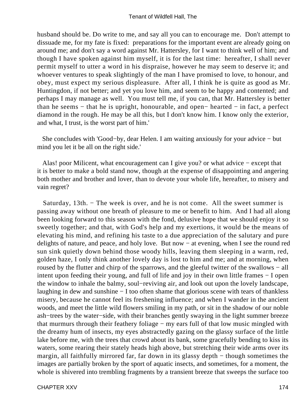husband should be. Do write to me, and say all you can to encourage me. Don't attempt to dissuade me, for my fate is fixed: preparations for the important event are already going on around me; and don't say a word against Mr. Hattersley, for I want to think well of him; and though I have spoken against him myself, it is for the last time: hereafter, I shall never permit myself to utter a word in his dispraise, however he may seem to deserve it; and whoever ventures to speak slightingly of the man I have promised to love, to honour, and obey, must expect my serious displeasure. After all, I think he is quite as good as Mr. Huntingdon, if not better; and yet you love him, and seem to be happy and contented; and perhaps I may manage as well. You must tell me, if you can, that Mr. Hattersley is better than he seems − that he is upright, honourable, and open− hearted − in fact, a perfect diamond in the rough. He may be all this, but I don't know him. I know only the exterior, and what, I trust, is the worst part of him.'

 She concludes with 'Good−by, dear Helen. I am waiting anxiously for your advice − but mind you let it be all on the right side.'

 Alas! poor Milicent, what encouragement can I give you? or what advice − except that it is better to make a bold stand now, though at the expense of disappointing and angering both mother and brother and lover, than to devote your whole life, hereafter, to misery and vain regret?

 Saturday, 13th. − The week is over, and he is not come. All the sweet summer is passing away without one breath of pleasure to me or benefit to him. And I had all along been looking forward to this season with the fond, delusive hope that we should enjoy it so sweetly together; and that, with God's help and my exertions, it would be the means of elevating his mind, and refining his taste to a due appreciation of the salutary and pure delights of nature, and peace, and holy love. But now − at evening, when I see the round red sun sink quietly down behind those woody hills, leaving them sleeping in a warm, red, golden haze, I only think another lovely day is lost to him and me; and at morning, when roused by the flutter and chirp of the sparrows, and the gleeful twitter of the swallows − all intent upon feeding their young, and full of life and joy in their own little frames − I open the window to inhale the balmy, soul−reviving air, and look out upon the lovely landscape, laughing in dew and sunshine − I too often shame that glorious scene with tears of thankless misery, because he cannot feel its freshening influence; and when I wander in the ancient woods, and meet the little wild flowers smiling in my path, or sit in the shadow of our noble ash−trees by the water−side, with their branches gently swaying in the light summer breeze that murmurs through their feathery foliage − my ears full of that low music mingled with the dreamy hum of insects, my eyes abstractedly gazing on the glassy surface of the little lake before me, with the trees that crowd about its bank, some gracefully bending to kiss its waters, some rearing their stately heads high above, but stretching their wide arms over its margin, all faithfully mirrored far, far down in its glassy depth − though sometimes the images are partially broken by the sport of aquatic insects, and sometimes, for a moment, the whole is shivered into trembling fragments by a transient breeze that sweeps the surface too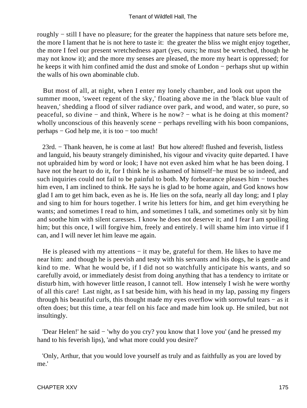roughly − still I have no pleasure; for the greater the happiness that nature sets before me, the more I lament that he is not here to taste it: the greater the bliss we might enjoy together, the more I feel our present wretchedness apart (yes, ours; he must be wretched, though he may not know it); and the more my senses are pleased, the more my heart is oppressed; for he keeps it with him confined amid the dust and smoke of London − perhaps shut up within the walls of his own abominable club.

 But most of all, at night, when I enter my lonely chamber, and look out upon the summer moon, 'sweet regent of the sky,' floating above me in the 'black blue vault of heaven,' shedding a flood of silver radiance over park, and wood, and water, so pure, so peaceful, so divine − and think, Where is he now? − what is he doing at this moment? wholly unconscious of this heavenly scene − perhaps revelling with his boon companions, perhaps − God help me, it is too − too much!

 23rd. − Thank heaven, he is come at last! But how altered! flushed and feverish, listless and languid, his beauty strangely diminished, his vigour and vivacity quite departed. I have not upbraided him by word or look; I have not even asked him what he has been doing. I have not the heart to do it, for I think he is ashamed of himself−he must be so indeed, and such inquiries could not fail to be painful to both. My forbearance pleases him – touches him even, I am inclined to think. He says he is glad to be home again, and God knows how glad I am to get him back, even as he is. He lies on the sofa, nearly all day long; and I play and sing to him for hours together. I write his letters for him, and get him everything he wants; and sometimes I read to him, and sometimes I talk, and sometimes only sit by him and soothe him with silent caresses. I know he does not deserve it; and I fear I am spoiling him; but this once, I will forgive him, freely and entirely. I will shame him into virtue if I can, and I will never let him leave me again.

He is pleased with my attentions – it may be, grateful for them. He likes to have me near him: and though he is peevish and testy with his servants and his dogs, he is gentle and kind to me. What he would be, if I did not so watchfully anticipate his wants, and so carefully avoid, or immediately desist from doing anything that has a tendency to irritate or disturb him, with however little reason, I cannot tell. How intensely I wish he were worthy of all this care! Last night, as I sat beside him, with his head in my lap, passing my fingers through his beautiful curls, this thought made my eyes overflow with sorrowful tears − as it often does; but this time, a tear fell on his face and made him look up. He smiled, but not insultingly.

 'Dear Helen!' he said − 'why do you cry? you know that I love you' (and he pressed my hand to his feverish lips), 'and what more could you desire?'

 'Only, Arthur, that you would love yourself as truly and as faithfully as you are loved by me.'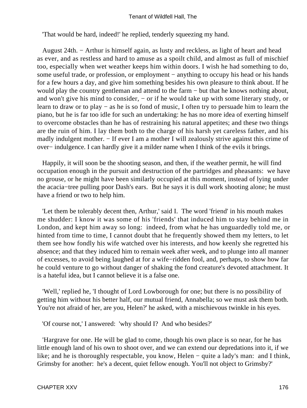'That would be hard, indeed!' he replied, tenderly squeezing my hand.

 August 24th. − Arthur is himself again, as lusty and reckless, as light of heart and head as ever, and as restless and hard to amuse as a spoilt child, and almost as full of mischief too, especially when wet weather keeps him within doors. I wish he had something to do, some useful trade, or profession, or employment – anything to occupy his head or his hands for a few hours a day, and give him something besides his own pleasure to think about. If he would play the country gentleman and attend to the farm − but that he knows nothing about, and won't give his mind to consider, − or if he would take up with some literary study, or learn to draw or to play − as he is so fond of music, I often try to persuade him to learn the piano, but he is far too idle for such an undertaking: he has no more idea of exerting himself to overcome obstacles than he has of restraining his natural appetites; and these two things are the ruin of him. I lay them both to the charge of his harsh yet careless father, and his madly indulgent mother. – If ever I am a mother I will zealously strive against this crime of over− indulgence. I can hardly give it a milder name when I think of the evils it brings.

 Happily, it will soon be the shooting season, and then, if the weather permit, he will find occupation enough in the pursuit and destruction of the partridges and pheasants: we have no grouse, or he might have been similarly occupied at this moment, instead of lying under the acacia−tree pulling poor Dash's ears. But he says it is dull work shooting alone; he must have a friend or two to help him.

 'Let them be tolerably decent then, Arthur,' said I. The word 'friend' in his mouth makes me shudder: I know it was some of his 'friends' that induced him to stay behind me in London, and kept him away so long: indeed, from what he has unguardedly told me, or hinted from time to time, I cannot doubt that he frequently showed them my letters, to let them see how fondly his wife watched over his interests, and how keenly she regretted his absence; and that they induced him to remain week after week, and to plunge into all manner of excesses, to avoid being laughed at for a wife−ridden fool, and, perhaps, to show how far he could venture to go without danger of shaking the fond creature's devoted attachment. It is a hateful idea, but I cannot believe it is a false one.

 'Well,' replied he, 'I thought of Lord Lowborough for one; but there is no possibility of getting him without his better half, our mutual friend, Annabella; so we must ask them both. You're not afraid of her, are you, Helen?' he asked, with a mischievous twinkle in his eyes.

'Of course not,' I answered: 'why should I? And who besides?'

 'Hargrave for one. He will be glad to come, though his own place is so near, for he has little enough land of his own to shoot over, and we can extend our depredations into it, if we like; and he is thoroughly respectable, you know, Helen − quite a lady's man: and I think, Grimsby for another: he's a decent, quiet fellow enough. You'll not object to Grimsby?'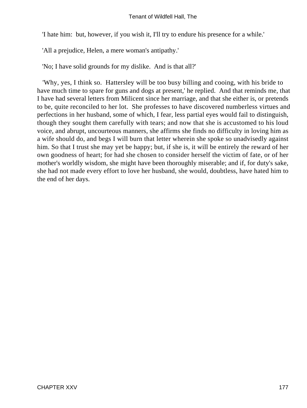'I hate him: but, however, if you wish it, I'll try to endure his presence for a while.'

'All a prejudice, Helen, a mere woman's antipathy.'

'No; I have solid grounds for my dislike. And is that all?'

 'Why, yes, I think so. Hattersley will be too busy billing and cooing, with his bride to have much time to spare for guns and dogs at present,' he replied. And that reminds me, that I have had several letters from Milicent since her marriage, and that she either is, or pretends to be, quite reconciled to her lot. She professes to have discovered numberless virtues and perfections in her husband, some of which, I fear, less partial eyes would fail to distinguish, though they sought them carefully with tears; and now that she is accustomed to his loud voice, and abrupt, uncourteous manners, she affirms she finds no difficulty in loving him as a wife should do, and begs I will burn that letter wherein she spoke so unadvisedly against him. So that I trust she may yet be happy; but, if she is, it will be entirely the reward of her own goodness of heart; for had she chosen to consider herself the victim of fate, or of her mother's worldly wisdom, she might have been thoroughly miserable; and if, for duty's sake, she had not made every effort to love her husband, she would, doubtless, have hated him to the end of her days.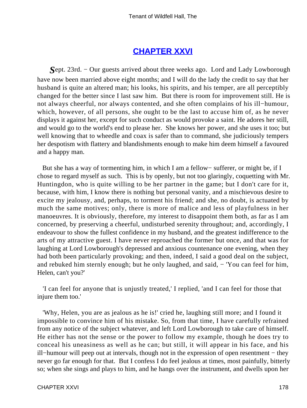## **[CHAPTER XXVI](#page-379-0)**

*S*ept. 23rd. − Our guests arrived about three weeks ago. Lord and Lady Lowborough have now been married above eight months; and I will do the lady the credit to say that her husband is quite an altered man; his looks, his spirits, and his temper, are all perceptibly changed for the better since I last saw him. But there is room for improvement still. He is not always cheerful, nor always contented, and she often complains of his ill−humour, which, however, of all persons, she ought to be the last to accuse him of, as he never displays it against her, except for such conduct as would provoke a saint. He adores her still, and would go to the world's end to please her. She knows her power, and she uses it too; but well knowing that to wheedle and coax is safer than to command, she judiciously tempers her despotism with flattery and blandishments enough to make him deem himself a favoured and a happy man.

 But she has a way of tormenting him, in which I am a fellow− sufferer, or might be, if I chose to regard myself as such. This is by openly, but not too glaringly, coquetting with Mr. Huntingdon, who is quite willing to be her partner in the game; but I don't care for it, because, with him, I know there is nothing but personal vanity, and a mischievous desire to excite my jealousy, and, perhaps, to torment his friend; and she, no doubt, is actuated by much the same motives; only, there is more of malice and less of playfulness in her manoeuvres. It is obviously, therefore, my interest to disappoint them both, as far as I am concerned, by preserving a cheerful, undisturbed serenity throughout; and, accordingly, I endeavour to show the fullest confidence in my husband, and the greatest indifference to the arts of my attractive guest. I have never reproached the former but once, and that was for laughing at Lord Lowborough's depressed and anxious countenance one evening, when they had both been particularly provoking; and then, indeed, I said a good deal on the subject, and rebuked him sternly enough; but he only laughed, and said, − 'You can feel for him, Helen, can't you?'

 'I can feel for anyone that is unjustly treated,' I replied, 'and I can feel for those that injure them too.'

 'Why, Helen, you are as jealous as he is!' cried he, laughing still more; and I found it impossible to convince him of his mistake. So, from that time, I have carefully refrained from any notice of the subject whatever, and left Lord Lowborough to take care of himself. He either has not the sense or the power to follow my example, though he does try to conceal his uneasiness as well as he can; but still, it will appear in his face, and his ill−humour will peep out at intervals, though not in the expression of open resentment − they never go far enough for that. But I confess I do feel jealous at times, most painfully, bitterly so; when she sings and plays to him, and he hangs over the instrument, and dwells upon her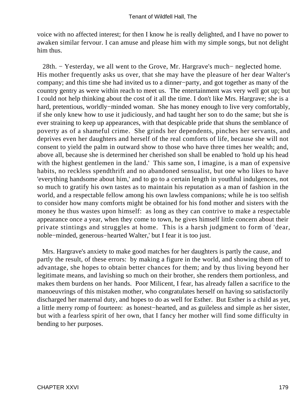voice with no affected interest; for then I know he is really delighted, and I have no power to awaken similar fervour. I can amuse and please him with my simple songs, but not delight him thus.

 28th. − Yesterday, we all went to the Grove, Mr. Hargrave's much− neglected home. His mother frequently asks us over, that she may have the pleasure of her dear Walter's company; and this time she had invited us to a dinner−party, and got together as many of the country gentry as were within reach to meet us. The entertainment was very well got up; but I could not help thinking about the cost of it all the time. I don't like Mrs. Hargrave; she is a hard, pretentious, worldly−minded woman. She has money enough to live very comfortably, if she only knew how to use it judiciously, and had taught her son to do the same; but she is ever straining to keep up appearances, with that despicable pride that shuns the semblance of poverty as of a shameful crime. She grinds her dependents, pinches her servants, and deprives even her daughters and herself of the real comforts of life, because she will not consent to yield the palm in outward show to those who have three times her wealth; and, above all, because she is determined her cherished son shall be enabled to 'hold up his head with the highest gentlemen in the land.' This same son, I imagine, is a man of expensive habits, no reckless spendthrift and no abandoned sensualist, but one who likes to have 'everything handsome about him,' and to go to a certain length in youthful indulgences, not so much to gratify his own tastes as to maintain his reputation as a man of fashion in the world, and a respectable fellow among his own lawless companions; while he is too selfish to consider how many comforts might be obtained for his fond mother and sisters with the money he thus wastes upon himself: as long as they can contrive to make a respectable appearance once a year, when they come to town, he gives himself little concern about their private stintings and struggles at home. This is a harsh judgment to form of 'dear, noble−minded, generous−hearted Walter,' but I fear it is too just.

 Mrs. Hargrave's anxiety to make good matches for her daughters is partly the cause, and partly the result, of these errors: by making a figure in the world, and showing them off to advantage, she hopes to obtain better chances for them; and by thus living beyond her legitimate means, and lavishing so much on their brother, she renders them portionless, and makes them burdens on her hands. Poor Milicent, I fear, has already fallen a sacrifice to the manoeuvrings of this mistaken mother, who congratulates herself on having so satisfactorily discharged her maternal duty, and hopes to do as well for Esther. But Esther is a child as yet, a little merry romp of fourteen: as honest−hearted, and as guileless and simple as her sister, but with a fearless spirit of her own, that I fancy her mother will find some difficulty in bending to her purposes.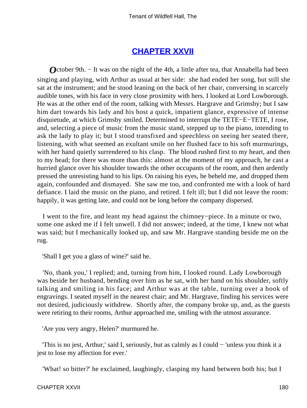## **[CHAPTER XXVII](#page-379-0)**

*O*ctober 9th. – It was on the night of the 4th, a little after tea, that Annabella had been singing and playing, with Arthur as usual at her side: she had ended her song, but still she sat at the instrument; and he stood leaning on the back of her chair, conversing in scarcely audible tones, with his face in very close proximity with hers. I looked at Lord Lowborough. He was at the other end of the room, talking with Messrs. Hargrave and Grimsby; but I saw him dart towards his lady and his host a quick, impatient glance, expressive of intense disquietude, at which Grimsby smiled. Determined to interrupt the TETE−E−TETE, I rose, and, selecting a piece of music from the music stand, stepped up to the piano, intending to ask the lady to play it; but I stood transfixed and speechless on seeing her seated there, listening, with what seemed an exultant smile on her flushed face to his soft murmurings, with her hand quietly surrendered to his clasp. The blood rushed first to my heart, and then to my head; for there was more than this: almost at the moment of my approach, he cast a hurried glance over his shoulder towards the other occupants of the room, and then ardently pressed the unresisting hand to his lips. On raising his eyes, he beheld me, and dropped them again, confounded and dismayed. She saw me too, and confronted me with a look of hard defiance. I laid the music on the piano, and retired. I felt ill; but I did not leave the room: happily, it was getting late, and could not be long before the company dispersed.

 I went to the fire, and leant my head against the chimney−piece. In a minute or two, some one asked me if I felt unwell. I did not answer; indeed, at the time, I knew not what was said; but I mechanically looked up, and saw Mr. Hargrave standing beside me on the rug.

'Shall I get you a glass of wine?' said he.

 'No, thank you,' I replied; and, turning from him, I looked round. Lady Lowborough was beside her husband, bending over him as he sat, with her hand on his shoulder, softly talking and smiling in his face; and Arthur was at the table, turning over a book of engravings. I seated myself in the nearest chair; and Mr. Hargrave, finding his services were not desired, judiciously withdrew. Shortly after, the company broke up, and, as the guests were retiring to their rooms, Arthur approached me, smiling with the utmost assurance.

'Are you very angry, Helen?' murmured he.

 'This is no jest, Arthur,' said I, seriously, but as calmly as I could − 'unless you think it a jest to lose my affection for ever.'

'What! so bitter?' he exclaimed, laughingly, clasping my hand between both his; but I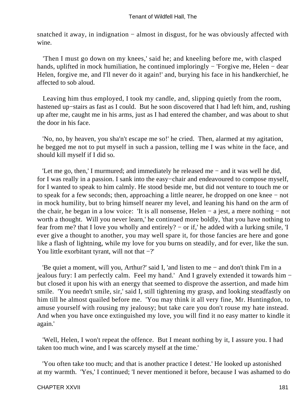snatched it away, in indignation – almost in disgust, for he was obviously affected with wine.

 'Then I must go down on my knees,' said he; and kneeling before me, with clasped hands, uplifted in mock humiliation, he continued imploringly − 'Forgive me, Helen − dear Helen, forgive me, and I'll never do it again!' and, burying his face in his handkerchief, he affected to sob aloud.

 Leaving him thus employed, I took my candle, and, slipping quietly from the room, hastened up−stairs as fast as I could. But he soon discovered that I had left him, and, rushing up after me, caught me in his arms, just as I had entered the chamber, and was about to shut the door in his face.

 'No, no, by heaven, you sha'n't escape me so!' he cried. Then, alarmed at my agitation, he begged me not to put myself in such a passion, telling me I was white in the face, and should kill myself if I did so.

 'Let me go, then,' I murmured; and immediately he released me − and it was well he did, for I was really in a passion. I sank into the easy−chair and endeavoured to compose myself, for I wanted to speak to him calmly. He stood beside me, but did not venture to touch me or to speak for a few seconds; then, approaching a little nearer, he dropped on one knee − not in mock humility, but to bring himself nearer my level, and leaning his hand on the arm of the chair, he began in a low voice: 'It is all nonsense, Helen − a jest, a mere nothing − not worth a thought. Will you never learn,' he continued more boldly, 'that you have nothing to fear from me? that I love you wholly and entirely? − or if,' he added with a lurking smile, 'I ever give a thought to another, you may well spare it, for those fancies are here and gone like a flash of lightning, while my love for you burns on steadily, and for ever, like the sun. You little exorbitant tyrant, will not that −?'

 'Be quiet a moment, will you, Arthur?' said I, 'and listen to me − and don't think I'm in a jealous fury: I am perfectly calm. Feel my hand.' And I gravely extended it towards him − but closed it upon his with an energy that seemed to disprove the assertion, and made him smile. 'You needn't smile, sir,' said I, still tightening my grasp, and looking steadfastly on him till he almost quailed before me. 'You may think it all very fine, Mr. Huntingdon, to amuse yourself with rousing my jealousy; but take care you don't rouse my hate instead. And when you have once extinguished my love, you will find it no easy matter to kindle it again.'

 'Well, Helen, I won't repeat the offence. But I meant nothing by it, I assure you. I had taken too much wine, and I was scarcely myself at the time.'

 'You often take too much; and that is another practice I detest.' He looked up astonished at my warmth. 'Yes,' I continued; 'I never mentioned it before, because I was ashamed to do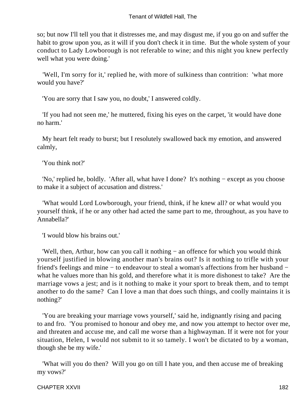so; but now I'll tell you that it distresses me, and may disgust me, if you go on and suffer the habit to grow upon you, as it will if you don't check it in time. But the whole system of your conduct to Lady Lowborough is not referable to wine; and this night you knew perfectly well what you were doing.'

 'Well, I'm sorry for it,' replied he, with more of sulkiness than contrition: 'what more would you have?'

'You are sorry that I saw you, no doubt,' I answered coldly.

 'If you had not seen me,' he muttered, fixing his eyes on the carpet, 'it would have done no harm.'

 My heart felt ready to burst; but I resolutely swallowed back my emotion, and answered calmly,

'You think not?'

 'No,' replied he, boldly. 'After all, what have I done? It's nothing − except as you choose to make it a subject of accusation and distress.'

 'What would Lord Lowborough, your friend, think, if he knew all? or what would you yourself think, if he or any other had acted the same part to me, throughout, as you have to Annabella?'

'I would blow his brains out.'

 'Well, then, Arthur, how can you call it nothing − an offence for which you would think yourself justified in blowing another man's brains out? Is it nothing to trifle with your friend's feelings and mine − to endeavour to steal a woman's affections from her husband − what he values more than his gold, and therefore what it is more dishonest to take? Are the marriage vows a jest; and is it nothing to make it your sport to break them, and to tempt another to do the same? Can I love a man that does such things, and coolly maintains it is nothing?'

 'You are breaking your marriage vows yourself,' said he, indignantly rising and pacing to and fro. 'You promised to honour and obey me, and now you attempt to hector over me, and threaten and accuse me, and call me worse than a highwayman. If it were not for your situation, Helen, I would not submit to it so tamely. I won't be dictated to by a woman, though she be my wife.'

 'What will you do then? Will you go on till I hate you, and then accuse me of breaking my vows?'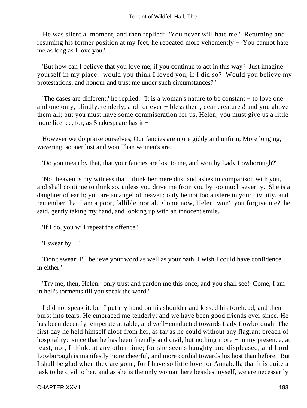He was silent a. moment, and then replied: 'You never will hate me.' Returning and resuming his former position at my feet, he repeated more vehemently − 'You cannot hate me as long as I love you.'

 'But how can I believe that you love me, if you continue to act in this way? Just imagine yourself in my place: would you think I loved you, if I did so? Would you believe my protestations, and honour and trust me under such circumstances? '

 'The cases are different,' he replied. 'It is a woman's nature to be constant − to love one and one only, blindly, tenderly, and for ever − bless them, dear creatures! and you above them all; but you must have some commiseration for us, Helen; you must give us a little more licence, for, as Shakespeare has it −

 However we do praise ourselves, Our fancies are more giddy and unfirm, More longing, wavering, sooner lost and won Than women's are.'

'Do you mean by that, that your fancies are lost to me, and won by Lady Lowborough?'

 'No! heaven is my witness that I think her mere dust and ashes in comparison with you, and shall continue to think so, unless you drive me from you by too much severity. She is a daughter of earth; you are an angel of heaven; only be not too austere in your divinity, and remember that I am a poor, fallible mortal. Come now, Helen; won't you forgive me?' he said, gently taking my hand, and looking up with an innocent smile.

'If I do, you will repeat the offence.'

'I swear by  $-$ '

 'Don't swear; I'll believe your word as well as your oath. I wish I could have confidence in either.'

 'Try me, then, Helen: only trust and pardon me this once, and you shall see! Come, I am in hell's torments till you speak the word.'

 I did not speak it, but I put my hand on his shoulder and kissed his forehead, and then burst into tears. He embraced me tenderly; and we have been good friends ever since. He has been decently temperate at table, and well−conducted towards Lady Lowborough. The first day he held himself aloof from her, as far as he could without any flagrant breach of hospitality: since that he has been friendly and civil, but nothing more − in my presence, at least, nor, I think, at any other time; for she seems haughty and displeased, and Lord Lowborough is manifestly more cheerful, and more cordial towards his host than before. But I shall be glad when they are gone, for I have so little love for Annabella that it is quite a task to be civil to her, and as she is the only woman here besides myself, we are necessarily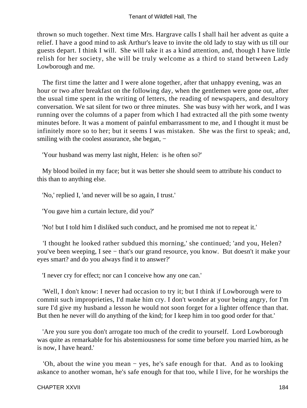thrown so much together. Next time Mrs. Hargrave calls I shall hail her advent as quite a relief. I have a good mind to ask Arthur's leave to invite the old lady to stay with us till our guests depart. I think I will. She will take it as a kind attention, and, though I have little relish for her society, she will be truly welcome as a third to stand between Lady Lowborough and me.

 The first time the latter and I were alone together, after that unhappy evening, was an hour or two after breakfast on the following day, when the gentlemen were gone out, after the usual time spent in the writing of letters, the reading of newspapers, and desultory conversation. We sat silent for two or three minutes. She was busy with her work, and I was running over the columns of a paper from which I had extracted all the pith some twenty minutes before. It was a moment of painful embarrassment to me, and I thought it must be infinitely more so to her; but it seems I was mistaken. She was the first to speak; and, smiling with the coolest assurance, she began, –

'Your husband was merry last night, Helen: is he often so?'

 My blood boiled in my face; but it was better she should seem to attribute his conduct to this than to anything else.

'No,' replied I, 'and never will be so again, I trust.'

'You gave him a curtain lecture, did you?'

'No! but I told him I disliked such conduct, and he promised me not to repeat it.'

 'I thought he looked rather subdued this morning,' she continued; 'and you, Helen? you've been weeping, I see − that's our grand resource, you know. But doesn't it make your eyes smart? and do you always find it to answer?'

'I never cry for effect; nor can I conceive how any one can.'

 'Well, I don't know: I never had occasion to try it; but I think if Lowborough were to commit such improprieties, I'd make him cry. I don't wonder at your being angry, for I'm sure I'd give my husband a lesson he would not soon forget for a lighter offence than that. But then he never will do anything of the kind; for I keep him in too good order for that.'

 'Are you sure you don't arrogate too much of the credit to yourself. Lord Lowborough was quite as remarkable for his abstemiousness for some time before you married him, as he is now, I have heard.'

 'Oh, about the wine you mean − yes, he's safe enough for that. And as to looking askance to another woman, he's safe enough for that too, while I live, for he worships the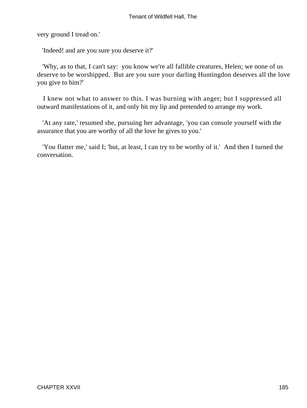very ground I tread on.'

'Indeed! and are you sure you deserve it?'

 'Why, as to that, I can't say: you know we're all fallible creatures, Helen; we none of us deserve to be worshipped. But are you sure your darling Huntingdon deserves all the love you give to him?'

 I knew not what to answer to this. I was burning with anger; but I suppressed all outward manifestations of it, and only bit my lip and pretended to arrange my work.

 'At any rate,' resumed she, pursuing her advantage, 'you can console yourself with the assurance that you are worthy of all the love he gives to you.'

 'You flatter me,' said I; 'but, at least, I can try to be worthy of it.' And then I turned the conversation.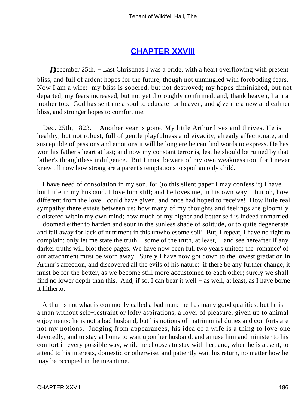### **[CHAPTER XXVIII](#page-379-0)**

*D*ecember 25th. – Last Christmas I was a bride, with a heart overflowing with present bliss, and full of ardent hopes for the future, though not unmingled with foreboding fears. Now I am a wife: my bliss is sobered, but not destroyed; my hopes diminished, but not departed; my fears increased, but not yet thoroughly confirmed; and, thank heaven, I am a mother too. God has sent me a soul to educate for heaven, and give me a new and calmer bliss, and stronger hopes to comfort me.

Dec. 25th, 1823. – Another year is gone. My little Arthur lives and thrives. He is healthy, but not robust, full of gentle playfulness and vivacity, already affectionate, and susceptible of passions and emotions it will be long ere he can find words to express. He has won his father's heart at last; and now my constant terror is, lest he should be ruined by that father's thoughtless indulgence. But I must beware of my own weakness too, for I never knew till now how strong are a parent's temptations to spoil an only child.

 I have need of consolation in my son, for (to this silent paper I may confess it) I have but little in my husband. I love him still; and he loves me, in his own way − but oh, how different from the love I could have given, and once had hoped to receive! How little real sympathy there exists between us; how many of my thoughts and feelings are gloomily cloistered within my own mind; how much of my higher and better self is indeed unmarried − doomed either to harden and sour in the sunless shade of solitude, or to quite degenerate and fall away for lack of nutriment in this unwholesome soil! But, I repeat, I have no right to complain; only let me state the truth − some of the truth, at least, − and see hereafter if any darker truths will blot these pages. We have now been full two years united; the 'romance' of our attachment must be worn away. Surely I have now got down to the lowest gradation in Arthur's affection, and discovered all the evils of his nature: if there be any further change, it must be for the better, as we become still more accustomed to each other; surely we shall find no lower depth than this. And, if so, I can bear it well − as well, at least, as I have borne it hitherto.

 Arthur is not what is commonly called a bad man: he has many good qualities; but he is a man without self−restraint or lofty aspirations, a lover of pleasure, given up to animal enjoyments: he is not a bad husband, but his notions of matrimonial duties and comforts are not my notions. Judging from appearances, his idea of a wife is a thing to love one devotedly, and to stay at home to wait upon her husband, and amuse him and minister to his comfort in every possible way, while he chooses to stay with her; and, when he is absent, to attend to his interests, domestic or otherwise, and patiently wait his return, no matter how he may be occupied in the meantime.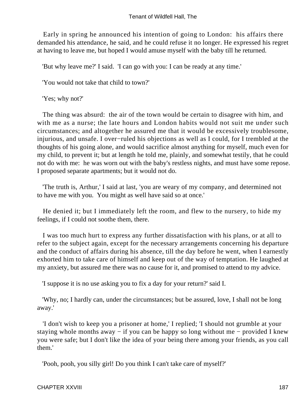Early in spring he announced his intention of going to London: his affairs there demanded his attendance, he said, and he could refuse it no longer. He expressed his regret at having to leave me, but hoped I would amuse myself with the baby till he returned.

'But why leave me?' I said. 'I can go with you: I can be ready at any time.'

'You would not take that child to town?'

'Yes; why not?'

 The thing was absurd: the air of the town would be certain to disagree with him, and with me as a nurse; the late hours and London habits would not suit me under such circumstances; and altogether he assured me that it would be excessively troublesome, injurious, and unsafe. I over−ruled his objections as well as I could, for I trembled at the thoughts of his going alone, and would sacrifice almost anything for myself, much even for my child, to prevent it; but at length he told me, plainly, and somewhat testily, that he could not do with me: he was worn out with the baby's restless nights, and must have some repose. I proposed separate apartments; but it would not do.

 'The truth is, Arthur,' I said at last, 'you are weary of my company, and determined not to have me with you. You might as well have said so at once.'

 He denied it; but I immediately left the room, and flew to the nursery, to hide my feelings, if I could not soothe them, there.

 I was too much hurt to express any further dissatisfaction with his plans, or at all to refer to the subject again, except for the necessary arrangements concerning his departure and the conduct of affairs during his absence, till the day before he went, when I earnestly exhorted him to take care of himself and keep out of the way of temptation. He laughed at my anxiety, but assured me there was no cause for it, and promised to attend to my advice.

'I suppose it is no use asking you to fix a day for your return?' said I.

 'Why, no; I hardly can, under the circumstances; but be assured, love, I shall not be long away.'

 'I don't wish to keep you a prisoner at home,' I replied; 'I should not grumble at your staying whole months away − if you can be happy so long without me − provided I knew you were safe; but I don't like the idea of your being there among your friends, as you call them.'

'Pooh, pooh, you silly girl! Do you think I can't take care of myself?'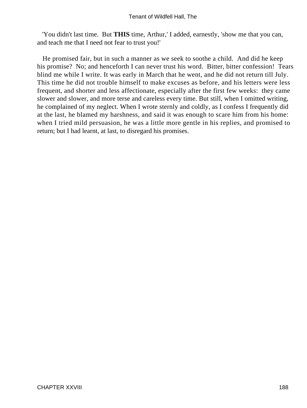'You didn't last time. But **THIS** time, Arthur,' I added, earnestly, 'show me that you can, and teach me that I need not fear to trust you!'

 He promised fair, but in such a manner as we seek to soothe a child. And did he keep his promise? No; and henceforth I can never trust his word. Bitter, bitter confession! Tears blind me while I write. It was early in March that he went, and he did not return till July. This time he did not trouble himself to make excuses as before, and his letters were less frequent, and shorter and less affectionate, especially after the first few weeks: they came slower and slower, and more terse and careless every time. But still, when I omitted writing, he complained of my neglect. When I wrote sternly and coldly, as I confess I frequently did at the last, he blamed my harshness, and said it was enough to scare him from his home: when I tried mild persuasion, he was a little more gentle in his replies, and promised to return; but I had learnt, at last, to disregard his promises.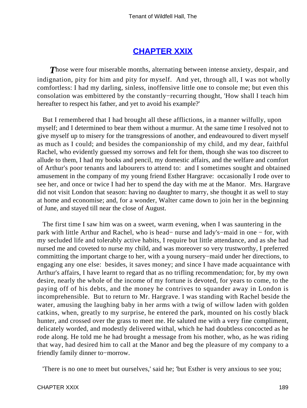## **[CHAPTER XXIX](#page-379-0)**

**Those were four miserable months, alternating between intense anxiety, despair, and** indignation, pity for him and pity for myself. And yet, through all, I was not wholly comfortless: I had my darling, sinless, inoffensive little one to console me; but even this consolation was embittered by the constantly−recurring thought, 'How shall I teach him hereafter to respect his father, and yet to avoid his example?'

 But I remembered that I had brought all these afflictions, in a manner wilfully, upon myself; and I determined to bear them without a murmur. At the same time I resolved not to give myself up to misery for the transgressions of another, and endeavoured to divert myself as much as I could; and besides the companionship of my child, and my dear, faithful Rachel, who evidently guessed my sorrows and felt for them, though she was too discreet to allude to them, I had my books and pencil, my domestic affairs, and the welfare and comfort of Arthur's poor tenants and labourers to attend to: and I sometimes sought and obtained amusement in the company of my young friend Esther Hargrave: occasionally I rode over to see her, and once or twice I had her to spend the day with me at the Manor. Mrs. Hargrave did not visit London that season: having no daughter to marry, she thought it as well to stay at home and economise; and, for a wonder, Walter came down to join her in the beginning of June, and stayed till near the close of August.

 The first time I saw him was on a sweet, warm evening, when I was sauntering in the park with little Arthur and Rachel, who is head− nurse and lady's−maid in one − for, with my secluded life and tolerably active habits, I require but little attendance, and as she had nursed me and coveted to nurse my child, and was moreover so very trustworthy, I preferred committing the important charge to her, with a young nursery−maid under her directions, to engaging any one else: besides, it saves money; and since I have made acquaintance with Arthur's affairs, I have learnt to regard that as no trifling recommendation; for, by my own desire, nearly the whole of the income of my fortune is devoted, for years to come, to the paying off of his debts, and the money he contrives to squander away in London is incomprehensible. But to return to Mr. Hargrave. I was standing with Rachel beside the water, amusing the laughing baby in her arms with a twig of willow laden with golden catkins, when, greatly to my surprise, he entered the park, mounted on his costly black hunter, and crossed over the grass to meet me. He saluted me with a very fine compliment, delicately worded, and modestly delivered withal, which he had doubtless concocted as he rode along. He told me he had brought a message from his mother, who, as he was riding that way, had desired him to call at the Manor and beg the pleasure of my company to a friendly family dinner to−morrow.

'There is no one to meet but ourselves,' said he; 'but Esther is very anxious to see you;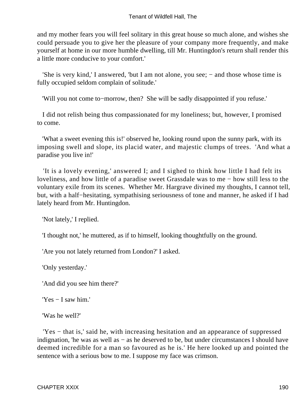and my mother fears you will feel solitary in this great house so much alone, and wishes she could persuade you to give her the pleasure of your company more frequently, and make yourself at home in our more humble dwelling, till Mr. Huntingdon's return shall render this a little more conducive to your comfort.'

 'She is very kind,' I answered, 'but I am not alone, you see; − and those whose time is fully occupied seldom complain of solitude.'

'Will you not come to−morrow, then? She will be sadly disappointed if you refuse.'

 I did not relish being thus compassionated for my loneliness; but, however, I promised to come.

 'What a sweet evening this is!' observed he, looking round upon the sunny park, with its imposing swell and slope, its placid water, and majestic clumps of trees. 'And what a paradise you live in!'

 'It is a lovely evening,' answered I; and I sighed to think how little I had felt its loveliness, and how little of a paradise sweet Grassdale was to me − how still less to the voluntary exile from its scenes. Whether Mr. Hargrave divined my thoughts, I cannot tell, but, with a half−hesitating, sympathising seriousness of tone and manner, he asked if I had lately heard from Mr. Huntingdon.

'Not lately,' I replied.

'I thought not,' he muttered, as if to himself, looking thoughtfully on the ground.

'Are you not lately returned from London?' I asked.

'Only yesterday.'

'And did you see him there?'

'Yes − I saw him.'

'Was he well?'

 'Yes − that is,' said he, with increasing hesitation and an appearance of suppressed indignation, 'he was as well as − as he deserved to be, but under circumstances I should have deemed incredible for a man so favoured as he is.' He here looked up and pointed the sentence with a serious bow to me. I suppose my face was crimson.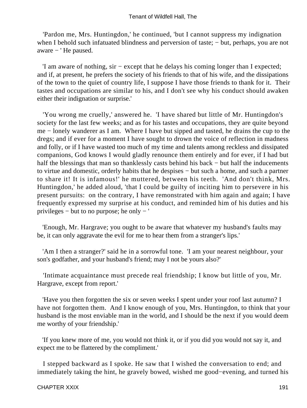'Pardon me, Mrs. Huntingdon,' he continued, 'but I cannot suppress my indignation when I behold such infatuated blindness and perversion of taste; – but, perhaps, you are not aware − ' He paused.

 'I am aware of nothing, sir − except that he delays his coming longer than I expected; and if, at present, he prefers the society of his friends to that of his wife, and the dissipations of the town to the quiet of country life, I suppose I have those friends to thank for it. Their tastes and occupations are similar to his, and I don't see why his conduct should awaken either their indignation or surprise.'

 'You wrong me cruelly,' answered he. 'I have shared but little of Mr. Huntingdon's society for the last few weeks; and as for his tastes and occupations, they are quite beyond me − lonely wanderer as I am. Where I have but sipped and tasted, he drains the cup to the dregs; and if ever for a moment I have sought to drown the voice of reflection in madness and folly, or if I have wasted too much of my time and talents among reckless and dissipated companions, God knows I would gladly renounce them entirely and for ever, if I had but half the blessings that man so thanklessly casts behind his back – but half the inducements to virtue and domestic, orderly habits that he despises − but such a home, and such a partner to share it! It is infamous!' he muttered, between his teeth. 'And don't think, Mrs. Huntingdon,' he added aloud, 'that I could be guilty of inciting him to persevere in his present pursuits: on the contrary, I have remonstrated with him again and again; I have frequently expressed my surprise at his conduct, and reminded him of his duties and his privileges − but to no purpose; he only − '

 'Enough, Mr. Hargrave; you ought to be aware that whatever my husband's faults may be, it can only aggravate the evil for me to hear them from a stranger's lips.'

 'Am I then a stranger?' said he in a sorrowful tone. 'I am your nearest neighbour, your son's godfather, and your husband's friend; may I not be yours also?'

 'Intimate acquaintance must precede real friendship; I know but little of you, Mr. Hargrave, except from report.'

 'Have you then forgotten the six or seven weeks I spent under your roof last autumn? I have not forgotten them. And I know enough of you, Mrs. Huntingdon, to think that your husband is the most enviable man in the world, and I should be the next if you would deem me worthy of your friendship.'

 'If you knew more of me, you would not think it, or if you did you would not say it, and expect me to be flattered by the compliment.'

 I stepped backward as I spoke. He saw that I wished the conversation to end; and immediately taking the hint, he gravely bowed, wished me good−evening, and turned his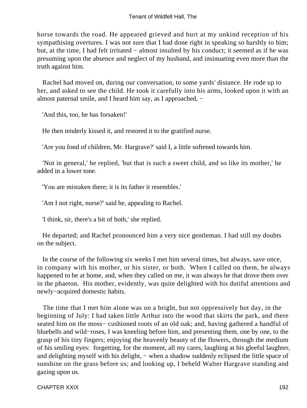horse towards the road. He appeared grieved and hurt at my unkind reception of his sympathising overtures. I was not sure that I had done right in speaking so harshly to him; but, at the time, I had felt irritated − almost insulted by his conduct; it seemed as if he was presuming upon the absence and neglect of my husband, and insinuating even more than the truth against him.

 Rachel had moved on, during our conversation, to some yards' distance. He rode up to her, and asked to see the child. He took it carefully into his arms, looked upon it with an almost paternal smile, and I heard him say, as I approached, −

'And this, too, he has forsaken!'

He then tenderly kissed it, and restored it to the gratified nurse.

'Are you fond of children, Mr. Hargrave?' said I, a little softened towards him.

 'Not in general,' he replied, 'but that is such a sweet child, and so like its mother,' he added in a lower tone.

'You are mistaken there; it is its father it resembles.'

'Am I not right, nurse?' said he, appealing to Rachel.

'I think, sir, there's a bit of both,' she replied.

 He departed; and Rachel pronounced him a very nice gentleman. I had still my doubts on the subject.

 In the course of the following six weeks I met him several times, but always, save once, in company with his mother, or his sister, or both. When I called on them, he always happened to be at home, and, when they called on me, it was always he that drove them over in the phaeton. His mother, evidently, was quite delighted with his dutiful attentions and newly−acquired domestic habits.

 The time that I met him alone was on a bright, but not oppressively hot day, in the beginning of July: I had taken little Arthur into the wood that skirts the park, and there seated him on the moss– cushioned roots of an old oak; and, having gathered a handful of bluebells and wild−roses, I was kneeling before him, and presenting them, one by one, to the grasp of his tiny fingers; enjoying the heavenly beauty of the flowers, through the medium of his smiling eyes: forgetting, for the moment, all my cares, laughing at his gleeful laughter, and delighting myself with his delight, – when a shadow suddenly eclipsed the little space of sunshine on the grass before us; and looking up, I beheld Walter Hargrave standing and gazing upon us.

CHAPTER XXIX 192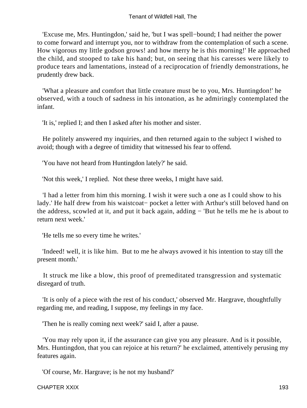'Excuse me, Mrs. Huntingdon,' said he, 'but I was spell−bound; I had neither the power to come forward and interrupt you, nor to withdraw from the contemplation of such a scene. How vigorous my little godson grows! and how merry he is this morning!' He approached the child, and stooped to take his hand; but, on seeing that his caresses were likely to produce tears and lamentations, instead of a reciprocation of friendly demonstrations, he prudently drew back.

 'What a pleasure and comfort that little creature must be to you, Mrs. Huntingdon!' he observed, with a touch of sadness in his intonation, as he admiringly contemplated the infant.

'It is,' replied I; and then I asked after his mother and sister.

 He politely answered my inquiries, and then returned again to the subject I wished to avoid; though with a degree of timidity that witnessed his fear to offend.

'You have not heard from Huntingdon lately?' he said.

'Not this week,' I replied. Not these three weeks, I might have said.

 'I had a letter from him this morning. I wish it were such a one as I could show to his lady.' He half drew from his waistcoat− pocket a letter with Arthur's still beloved hand on the address, scowled at it, and put it back again, adding − 'But he tells me he is about to return next week.'

'He tells me so every time he writes.'

 'Indeed! well, it is like him. But to me he always avowed it his intention to stay till the present month.'

 It struck me like a blow, this proof of premeditated transgression and systematic disregard of truth.

 'It is only of a piece with the rest of his conduct,' observed Mr. Hargrave, thoughtfully regarding me, and reading, I suppose, my feelings in my face.

'Then he is really coming next week?' said I, after a pause.

 'You may rely upon it, if the assurance can give you any pleasure. And is it possible, Mrs. Huntingdon, that you can rejoice at his return?' he exclaimed, attentively perusing my features again.

'Of course, Mr. Hargrave; is he not my husband?'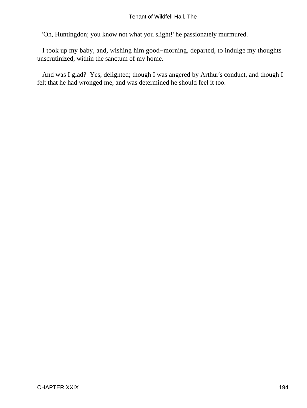'Oh, Huntingdon; you know not what you slight!' he passionately murmured.

 I took up my baby, and, wishing him good−morning, departed, to indulge my thoughts unscrutinized, within the sanctum of my home.

 And was I glad? Yes, delighted; though I was angered by Arthur's conduct, and though I felt that he had wronged me, and was determined he should feel it too.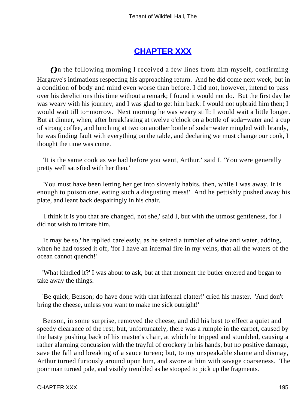# **[CHAPTER XXX](#page-379-0)**

*O*n the following morning I received a few lines from him myself, confirming Hargrave's intimations respecting his approaching return. And he did come next week, but in a condition of body and mind even worse than before. I did not, however, intend to pass over his derelictions this time without a remark; I found it would not do. But the first day he was weary with his journey, and I was glad to get him back: I would not upbraid him then; I would wait till to−morrow. Next morning he was weary still: I would wait a little longer. But at dinner, when, after breakfasting at twelve o'clock on a bottle of soda−water and a cup of strong coffee, and lunching at two on another bottle of soda−water mingled with brandy, he was finding fault with everything on the table, and declaring we must change our cook, I thought the time was come.

 'It is the same cook as we had before you went, Arthur,' said I. 'You were generally pretty well satisfied with her then.'

 'You must have been letting her get into slovenly habits, then, while I was away. It is enough to poison one, eating such a disgusting mess!' And he pettishly pushed away his plate, and leant back despairingly in his chair.

 'I think it is you that are changed, not she,' said I, but with the utmost gentleness, for I did not wish to irritate him.

 'It may be so,' he replied carelessly, as he seized a tumbler of wine and water, adding, when he had tossed it off, 'for I have an infernal fire in my veins, that all the waters of the ocean cannot quench!'

 'What kindled it?' I was about to ask, but at that moment the butler entered and began to take away the things.

 'Be quick, Benson; do have done with that infernal clatter!' cried his master. 'And don't bring the cheese, unless you want to make me sick outright!'

 Benson, in some surprise, removed the cheese, and did his best to effect a quiet and speedy clearance of the rest; but, unfortunately, there was a rumple in the carpet, caused by the hasty pushing back of his master's chair, at which he tripped and stumbled, causing a rather alarming concussion with the trayful of crockery in his hands, but no positive damage, save the fall and breaking of a sauce tureen; but, to my unspeakable shame and dismay, Arthur turned furiously around upon him, and swore at him with savage coarseness. The poor man turned pale, and visibly trembled as he stooped to pick up the fragments.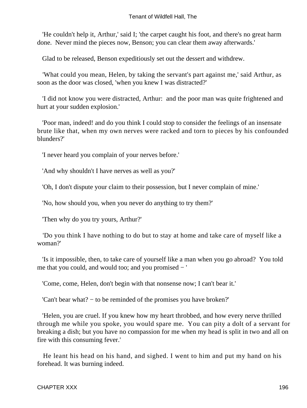'He couldn't help it, Arthur,' said I; 'the carpet caught his foot, and there's no great harm done. Never mind the pieces now, Benson; you can clear them away afterwards.'

Glad to be released, Benson expeditiously set out the dessert and withdrew.

 'What could you mean, Helen, by taking the servant's part against me,' said Arthur, as soon as the door was closed, 'when you knew I was distracted?'

 'I did not know you were distracted, Arthur: and the poor man was quite frightened and hurt at your sudden explosion.'

 'Poor man, indeed! and do you think I could stop to consider the feelings of an insensate brute like that, when my own nerves were racked and torn to pieces by his confounded blunders?'

'I never heard you complain of your nerves before.'

'And why shouldn't I have nerves as well as you?'

'Oh, I don't dispute your claim to their possession, but I never complain of mine.'

'No, how should you, when you never do anything to try them?'

'Then why do you try yours, Arthur?'

 'Do you think I have nothing to do but to stay at home and take care of myself like a woman?'

 'Is it impossible, then, to take care of yourself like a man when you go abroad? You told me that you could, and would too; and you promised − '

'Come, come, Helen, don't begin with that nonsense now; I can't bear it.'

'Can't bear what? − to be reminded of the promises you have broken?'

 'Helen, you are cruel. If you knew how my heart throbbed, and how every nerve thrilled through me while you spoke, you would spare me. You can pity a dolt of a servant for breaking a dish; but you have no compassion for me when my head is split in two and all on fire with this consuming fever.'

 He leant his head on his hand, and sighed. I went to him and put my hand on his forehead. It was burning indeed.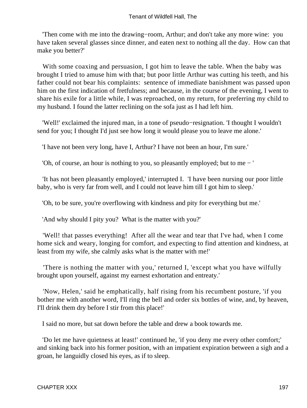'Then come with me into the drawing−room, Arthur; and don't take any more wine: you have taken several glasses since dinner, and eaten next to nothing all the day. How can that make you better?'

With some coaxing and persuasion, I got him to leave the table. When the baby was brought I tried to amuse him with that; but poor little Arthur was cutting his teeth, and his father could not bear his complaints: sentence of immediate banishment was passed upon him on the first indication of fretfulness; and because, in the course of the evening, I went to share his exile for a little while, I was reproached, on my return, for preferring my child to my husband. I found the latter reclining on the sofa just as I had left him.

 'Well!' exclaimed the injured man, in a tone of pseudo−resignation. 'I thought I wouldn't send for you; I thought I'd just see how long it would please you to leave me alone.'

'I have not been very long, have I, Arthur? I have not been an hour, I'm sure.'

'Oh, of course, an hour is nothing to you, so pleasantly employed; but to me − '

 'It has not been pleasantly employed,' interrupted I. 'I have been nursing our poor little baby, who is very far from well, and I could not leave him till I got him to sleep.'

'Oh, to be sure, you're overflowing with kindness and pity for everything but me.'

'And why should I pity you? What is the matter with you?'

 'Well! that passes everything! After all the wear and tear that I've had, when I come home sick and weary, longing for comfort, and expecting to find attention and kindness, at least from my wife, she calmly asks what is the matter with me!'

 'There is nothing the matter with you,' returned I, 'except what you have wilfully brought upon yourself, against my earnest exhortation and entreaty.'

 'Now, Helen,' said he emphatically, half rising from his recumbent posture, 'if you bother me with another word, I'll ring the bell and order six bottles of wine, and, by heaven, I'll drink them dry before I stir from this place!'

I said no more, but sat down before the table and drew a book towards me.

 'Do let me have quietness at least!' continued he, 'if you deny me every other comfort;' and sinking back into his former position, with an impatient expiration between a sigh and a groan, he languidly closed his eyes, as if to sleep.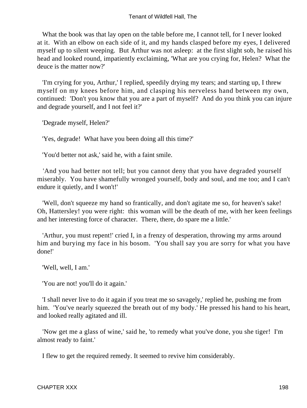What the book was that lay open on the table before me, I cannot tell, for I never looked at it. With an elbow on each side of it, and my hands clasped before my eyes, I delivered myself up to silent weeping. But Arthur was not asleep: at the first slight sob, he raised his head and looked round, impatiently exclaiming, 'What are you crying for, Helen? What the deuce is the matter now?'

 'I'm crying for you, Arthur,' I replied, speedily drying my tears; and starting up, I threw myself on my knees before him, and clasping his nerveless hand between my own, continued: 'Don't you know that you are a part of myself? And do you think you can injure and degrade yourself, and I not feel it?'

'Degrade myself, Helen?'

'Yes, degrade! What have you been doing all this time?'

'You'd better not ask,' said he, with a faint smile.

 'And you had better not tell; but you cannot deny that you have degraded yourself miserably. You have shamefully wronged yourself, body and soul, and me too; and I can't endure it quietly, and I won't!'

 'Well, don't squeeze my hand so frantically, and don't agitate me so, for heaven's sake! Oh, Hattersley! you were right: this woman will be the death of me, with her keen feelings and her interesting force of character. There, there, do spare me a little.'

 'Arthur, you must repent!' cried I, in a frenzy of desperation, throwing my arms around him and burying my face in his bosom. 'You shall say you are sorry for what you have done!'

'Well, well, I am.'

'You are not! you'll do it again.'

 'I shall never live to do it again if you treat me so savagely,' replied he, pushing me from him. 'You've nearly squeezed the breath out of my body.' He pressed his hand to his heart, and looked really agitated and ill.

 'Now get me a glass of wine,' said he, 'to remedy what you've done, you she tiger! I'm almost ready to faint.'

I flew to get the required remedy. It seemed to revive him considerably.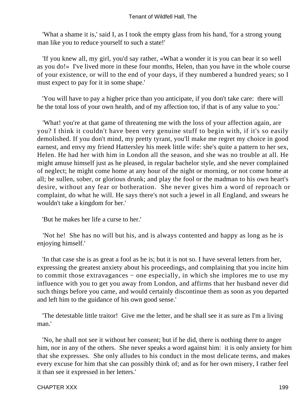'What a shame it is,' said I, as I took the empty glass from his hand, 'for a strong young man like you to reduce yourself to such a state!'

 'If you knew all, my girl, you'd say rather, «What a wonder it is you can bear it so well as you do!» I've lived more in these four months, Helen, than you have in the whole course of your existence, or will to the end of your days, if they numbered a hundred years; so I must expect to pay for it in some shape.'

 'You will have to pay a higher price than you anticipate, if you don't take care: there will be the total loss of your own health, and of my affection too, if that is of any value to you.'

 'What! you're at that game of threatening me with the loss of your affection again, are you? I think it couldn't have been very genuine stuff to begin with, if it's so easily demolished. If you don't mind, my pretty tyrant, you'll make me regret my choice in good earnest, and envy my friend Hattersley his meek little wife: she's quite a pattern to her sex, Helen. He had her with him in London all the season, and she was no trouble at all. He might amuse himself just as he pleased, in regular bachelor style, and she never complained of neglect; he might come home at any hour of the night or morning, or not come home at all; be sullen, sober, or glorious drunk; and play the fool or the madman to his own heart's desire, without any fear or botheration. She never gives him a word of reproach or complaint, do what he will. He says there's not such a jewel in all England, and swears he wouldn't take a kingdom for her.'

'But he makes her life a curse to her.'

 'Not he! She has no will but his, and is always contented and happy as long as he is enjoying himself.'

 'In that case she is as great a fool as he is; but it is not so. I have several letters from her, expressing the greatest anxiety about his proceedings, and complaining that you incite him to commit those extravagances − one especially, in which she implores me to use my influence with you to get you away from London, and affirms that her husband never did such things before you came, and would certainly discontinue them as soon as you departed and left him to the guidance of his own good sense.'

 'The detestable little traitor! Give me the letter, and he shall see it as sure as I'm a living man.'

 'No, he shall not see it without her consent; but if he did, there is nothing there to anger him, nor in any of the others. She never speaks a word against him: it is only anxiety for him that she expresses. She only alludes to his conduct in the most delicate terms, and makes every excuse for him that she can possibly think of; and as for her own misery, I rather feel it than see it expressed in her letters.'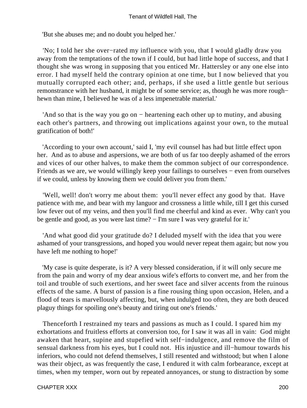'But she abuses me; and no doubt you helped her.'

 'No; I told her she over−rated my influence with you, that I would gladly draw you away from the temptations of the town if I could, but had little hope of success, and that I thought she was wrong in supposing that you enticed Mr. Hattersley or any one else into error. I had myself held the contrary opinion at one time, but I now believed that you mutually corrupted each other; and, perhaps, if she used a little gentle but serious remonstrance with her husband, it might be of some service; as, though he was more rough− hewn than mine, I believed he was of a less impenetrable material.'

 'And so that is the way you go on − heartening each other up to mutiny, and abusing each other's partners, and throwing out implications against your own, to the mutual gratification of both!'

 'According to your own account,' said I, 'my evil counsel has had but little effect upon her. And as to abuse and aspersions, we are both of us far too deeply ashamed of the errors and vices of our other halves, to make them the common subject of our correspondence. Friends as we are, we would willingly keep your failings to ourselves − even from ourselves if we could, unless by knowing them we could deliver you from them.'

 'Well, well! don't worry me about them: you'll never effect any good by that. Have patience with me, and bear with my languor and crossness a little while, till I get this cursed low fever out of my veins, and then you'll find me cheerful and kind as ever. Why can't you be gentle and good, as you were last time? − I'm sure I was very grateful for it.'

 'And what good did your gratitude do? I deluded myself with the idea that you were ashamed of your transgressions, and hoped you would never repeat them again; but now you have left me nothing to hope!'

 'My case is quite desperate, is it? A very blessed consideration, if it will only secure me from the pain and worry of my dear anxious wife's efforts to convert me, and her from the toil and trouble of such exertions, and her sweet face and silver accents from the ruinous effects of the same. A burst of passion is a fine rousing thing upon occasion, Helen, and a flood of tears is marvellously affecting, but, when indulged too often, they are both deuced plaguy things for spoiling one's beauty and tiring out one's friends.'

 Thenceforth I restrained my tears and passions as much as I could. I spared him my exhortations and fruitless efforts at conversion too, for I saw it was all in vain: God might awaken that heart, supine and stupefied with self−indulgence, and remove the film of sensual darkness from his eyes, but I could not. His injustice and ill−humour towards his inferiors, who could not defend themselves, I still resented and withstood; but when I alone was their object, as was frequently the case, I endured it with calm forbearance, except at times, when my temper, worn out by repeated annoyances, or stung to distraction by some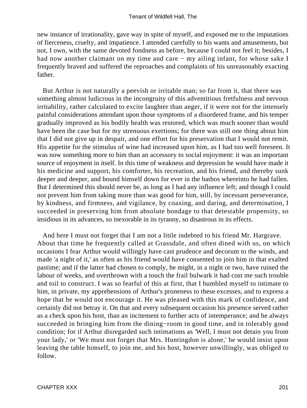new instance of irrationality, gave way in spite of myself, and exposed me to the imputations of fierceness, cruelty, and impatience. I attended carefully to his wants and amusements, but not, I own, with the same devoted fondness as before, because I could not feel it; besides, I had now another claimant on my time and care − my ailing infant, for whose sake I frequently braved and suffered the reproaches and complaints of his unreasonably exacting father.

 But Arthur is not naturally a peevish or irritable man; so far from it, that there was something almost ludicrous in the incongruity of this adventitious fretfulness and nervous irritability, rather calculated to excite laughter than anger, if it were not for the intensely painful considerations attendant upon those symptoms of a disordered frame, and his temper gradually improved as his bodily health was restored, which was much sooner than would have been the case but for my strenuous exertions; for there was still one thing about him that I did not give up in despair, and one effort for his preservation that I would not remit. His appetite for the stimulus of wine had increased upon him, as I had too well foreseen. It was now something more to him than an accessory to social enjoyment: it was an important source of enjoyment in itself. In this time of weakness and depression he would have made it his medicine and support, his comforter, his recreation, and his friend, and thereby sunk deeper and deeper, and bound himself down for ever in the bathos whereinto he had fallen. But I determined this should never be, as long as I had any influence left; and though I could not prevent him from taking more than was good for him, still, by incessant perseverance, by kindness, and firmness, and vigilance, by coaxing, and daring, and determination, I succeeded in preserving him from absolute bondage to that detestable propensity, so insidious in its advances, so inexorable in its tyranny, so disastrous in its effects.

 And here I must not forget that I am not a little indebted to his friend Mr. Hargrave. About that time he frequently called at Grassdale, and often dined with us, on which occasions I fear Arthur would willingly have cast prudence and decorum to the winds, and made 'a night of it,' as often as his friend would have consented to join him in that exalted pastime; and if the latter had chosen to comply, he might, in a night or two, have ruined the labour of weeks, and overthrown with a touch the frail bulwark it had cost me such trouble and toil to construct. I was so fearful of this at first, that I humbled myself to intimate to him, in private, my apprehensions of Arthur's proneness to these excesses, and to express a hope that he would not encourage it. He was pleased with this mark of confidence, and certainly did not betray it. On that and every subsequent occasion his presence served rather as a check upon his host, than an incitement to further acts of intemperance; and he always succeeded in bringing him from the dining−room in good time, and in tolerably good condition; for if Arthur disregarded such intimations as 'Well, I must not detain you from your lady,' or 'We must not forget that Mrs. Huntingdon is alone,' he would insist upon leaving the table himself, to join me, and his host, however unwillingly, was obliged to follow.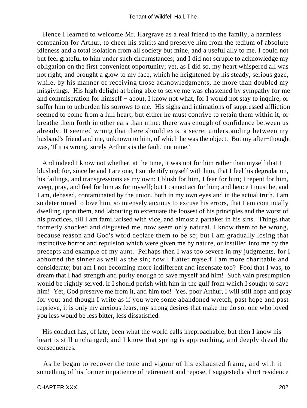Hence I learned to welcome Mr. Hargrave as a real friend to the family, a harmless companion for Arthur, to cheer his spirits and preserve him from the tedium of absolute idleness and a total isolation from all society but mine, and a useful ally to me. I could not but feel grateful to him under such circumstances; and I did not scruple to acknowledge my obligation on the first convenient opportunity; yet, as I did so, my heart whispered all was not right, and brought a glow to my face, which he heightened by his steady, serious gaze, while, by his manner of receiving those acknowledgments, he more than doubled my misgivings. His high delight at being able to serve me was chastened by sympathy for me and commiseration for himself − about, I know not what, for I would not stay to inquire, or suffer him to unburden his sorrows to me. His sighs and intimations of suppressed affliction seemed to come from a full heart; but either he must contrive to retain them within it, or breathe them forth in other ears than mine: there was enough of confidence between us already. It seemed wrong that there should exist a secret understanding between my husband's friend and me, unknown to him, of which he was the object. But my after−thought was, 'If it is wrong, surely Arthur's is the fault, not mine.'

 And indeed I know not whether, at the time, it was not for him rather than myself that I blushed; for, since he and I are one, I so identify myself with him, that I feel his degradation, his failings, and transgressions as my own: I blush for him, I fear for him; I repent for him, weep, pray, and feel for him as for myself; but I cannot act for him; and hence I must be, and I am, debased, contaminated by the union, both in my own eyes and in the actual truth. I am so determined to love him, so intensely anxious to excuse his errors, that I am continually dwelling upon them, and labouring to extenuate the loosest of his principles and the worst of his practices, till I am familiarised with vice, and almost a partaker in his sins. Things that formerly shocked and disgusted me, now seem only natural. I know them to be wrong, because reason and God's word declare them to be so; but I am gradually losing that instinctive horror and repulsion which were given me by nature, or instilled into me by the precepts and example of my aunt. Perhaps then I was too severe in my judgments, for I abhorred the sinner as well as the sin; now I flatter myself I am more charitable and considerate; but am I not becoming more indifferent and insensate too? Fool that I was, to dream that I had strength and purity enough to save myself and him! Such vain presumption would be rightly served, if I should perish with him in the gulf from which I sought to save him! Yet, God preserve me from it, and him too! Yes, poor Arthur, I will still hope and pray for you; and though I write as if you were some abandoned wretch, past hope and past reprieve, it is only my anxious fears, my strong desires that make me do so; one who loved you less would be less bitter, less dissatisfied.

 His conduct has, of late, been what the world calls irreproachable; but then I know his heart is still unchanged; and I know that spring is approaching, and deeply dread the consequences.

 As he began to recover the tone and vigour of his exhausted frame, and with it something of his former impatience of retirement and repose, I suggested a short residence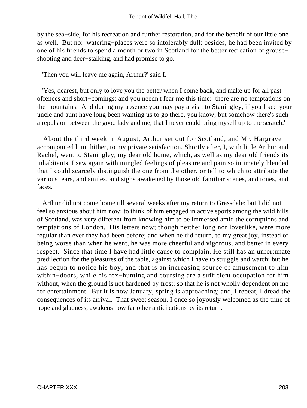by the sea−side, for his recreation and further restoration, and for the benefit of our little one as well. But no: watering−places were so intolerably dull; besides, he had been invited by one of his friends to spend a month or two in Scotland for the better recreation of grouse− shooting and deer−stalking, and had promise to go.

'Then you will leave me again, Arthur?' said I.

 'Yes, dearest, but only to love you the better when I come back, and make up for all past offences and short−comings; and you needn't fear me this time: there are no temptations on the mountains. And during my absence you may pay a visit to Staningley, if you like: your uncle and aunt have long been wanting us to go there, you know; but somehow there's such a repulsion between the good lady and me, that I never could bring myself up to the scratch.'

 About the third week in August, Arthur set out for Scotland, and Mr. Hargrave accompanied him thither, to my private satisfaction. Shortly after, I, with little Arthur and Rachel, went to Staningley, my dear old home, which, as well as my dear old friends its inhabitants, I saw again with mingled feelings of pleasure and pain so intimately blended that I could scarcely distinguish the one from the other, or tell to which to attribute the various tears, and smiles, and sighs awakened by those old familiar scenes, and tones, and faces.

 Arthur did not come home till several weeks after my return to Grassdale; but I did not feel so anxious about him now; to think of him engaged in active sports among the wild hills of Scotland, was very different from knowing him to be immersed amid the corruptions and temptations of London. His letters now; though neither long nor loverlike, were more regular than ever they had been before; and when he did return, to my great joy, instead of being worse than when he went, he was more cheerful and vigorous, and better in every respect. Since that time I have had little cause to complain. He still has an unfortunate predilection for the pleasures of the table, against which I have to struggle and watch; but he has begun to notice his boy, and that is an increasing source of amusement to him within−doors, while his fox−hunting and coursing are a sufficient occupation for him without, when the ground is not hardened by frost; so that he is not wholly dependent on me for entertainment. But it is now January; spring is approaching; and, I repeat, I dread the consequences of its arrival. That sweet season, I once so joyously welcomed as the time of hope and gladness, awakens now far other anticipations by its return.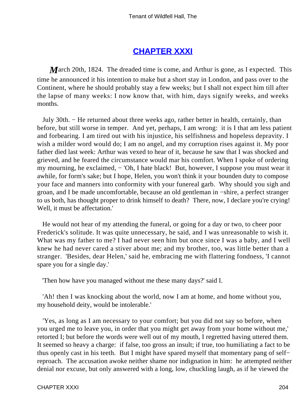## **[CHAPTER XXXI](#page-379-0)**

*March* 20th, 1824. The dreaded time is come, and Arthur is gone, as I expected. This time he announced it his intention to make but a short stay in London, and pass over to the Continent, where he should probably stay a few weeks; but I shall not expect him till after the lapse of many weeks: I now know that, with him, days signify weeks, and weeks months.

 July 30th. − He returned about three weeks ago, rather better in health, certainly, than before, but still worse in temper. And yet, perhaps, I am wrong: it is I that am less patient and forbearing. I am tired out with his injustice, his selfishness and hopeless depravity. I wish a milder word would do; I am no angel, and my corruption rises against it. My poor father died last week: Arthur was vexed to hear of it, because he saw that I was shocked and grieved, and he feared the circumstance would mar his comfort. When I spoke of ordering my mourning, he exclaimed, − 'Oh, I hate black! But, however, I suppose you must wear it awhile, for form's sake; but I hope, Helen, you won't think it your bounden duty to compose your face and manners into conformity with your funereal garb. Why should you sigh and groan, and I be made uncomfortable, because an old gentleman in −shire, a perfect stranger to us both, has thought proper to drink himself to death? There, now, I declare you're crying! Well, it must be affectation.'

 He would not hear of my attending the funeral, or going for a day or two, to cheer poor Frederick's solitude. It was quite unnecessary, he said, and I was unreasonable to wish it. What was my father to me? I had never seen him but once since I was a baby, and I well knew he had never cared a stiver about me; and my brother, too, was little better than a stranger. 'Besides, dear Helen,' said he, embracing me with flattering fondness, 'I cannot spare you for a single day.'

'Then how have you managed without me these many days?' said I.

 'Ah! then I was knocking about the world, now I am at home, and home without you, my household deity, would be intolerable.'

 'Yes, as long as I am necessary to your comfort; but you did not say so before, when you urged me to leave you, in order that you might get away from your home without me,' retorted I; but before the words were well out of my mouth, I regretted having uttered them. It seemed so heavy a charge: if false, too gross an insult; if true, too humiliating a fact to be thus openly cast in his teeth. But I might have spared myself that momentary pang of self− reproach. The accusation awoke neither shame nor indignation in him: he attempted neither denial nor excuse, but only answered with a long, low, chuckling laugh, as if he viewed the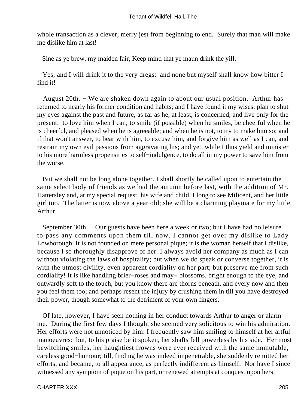whole transaction as a clever, merry jest from beginning to end. Surely that man will make me dislike him at last!

Sine as ye brew, my maiden fair, Keep mind that ye maun drink the yill.

 Yes; and I will drink it to the very dregs: and none but myself shall know how bitter I find it!

 August 20th. − We are shaken down again to about our usual position. Arthur has returned to nearly his former condition and habits; and I have found it my wisest plan to shut my eyes against the past and future, as far as he, at least, is concerned, and live only for the present: to love him when I can; to smile (if possible) when he smiles, be cheerful when he is cheerful, and pleased when he is agreeable; and when he is not, to try to make him so; and if that won't answer, to bear with him, to excuse him, and forgive him as well as I can, and restrain my own evil passions from aggravating his; and yet, while I thus yield and minister to his more harmless propensities to self−indulgence, to do all in my power to save him from the worse.

 But we shall not be long alone together. I shall shortly be called upon to entertain the same select body of friends as we had the autumn before last, with the addition of Mr. Hattersley and, at my special request, his wife and child. I long to see Milicent, and her little girl too. The latter is now above a year old; she will be a charming playmate for my little Arthur.

 September 30th. − Our guests have been here a week or two; but I have had no leisure to pass any comments upon them till now. I cannot get over my dislike to Lady Lowborough. It is not founded on mere personal pique; it is the woman herself that I dislike, because I so thoroughly disapprove of her. I always avoid her company as much as I can without violating the laws of hospitality; but when we do speak or converse together, it is with the utmost civility, even apparent cordiality on her part; but preserve me from such cordiality! It is like handling brier−roses and may− blossoms, bright enough to the eye, and outwardly soft to the touch, but you know there are thorns beneath, and every now and then you feel them too; and perhaps resent the injury by crushing them in till you have destroyed their power, though somewhat to the detriment of your own fingers.

 Of late, however, I have seen nothing in her conduct towards Arthur to anger or alarm me. During the first few days I thought she seemed very solicitous to win his admiration. Her efforts were not unnoticed by him: I frequently saw him smiling to himself at her artful manoeuvres: but, to his praise be it spoken, her shafts fell powerless by his side. Her most bewitching smiles, her haughtiest frowns were ever received with the same immutable, careless good−humour; till, finding he was indeed impenetrable, she suddenly remitted her efforts, and became, to all appearance, as perfectly indifferent as himself. Nor have I since witnessed any symptom of pique on his part, or renewed attempts at conquest upon hers.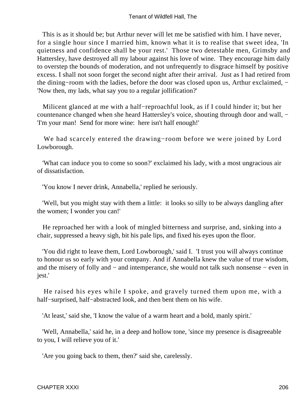This is as it should be; but Arthur never will let me be satisfied with him. I have never, for a single hour since I married him, known what it is to realise that sweet idea, 'In quietness and confidence shall be your rest.' Those two detestable men, Grimsby and Hattersley, have destroyed all my labour against his love of wine. They encourage him daily to overstep the bounds of moderation, and not unfrequently to disgrace himself by positive excess. I shall not soon forget the second night after their arrival. Just as I had retired from the dining−room with the ladies, before the door was closed upon us, Arthur exclaimed, − 'Now then, my lads, what say you to a regular jollification?'

 Milicent glanced at me with a half−reproachful look, as if I could hinder it; but her countenance changed when she heard Hattersley's voice, shouting through door and wall, − 'I'm your man! Send for more wine: here isn't half enough!'

 We had scarcely entered the drawing−room before we were joined by Lord Lowborough.

 'What can induce you to come so soon?' exclaimed his lady, with a most ungracious air of dissatisfaction.

'You know I never drink, Annabella,' replied he seriously.

 'Well, but you might stay with them a little: it looks so silly to be always dangling after the women; I wonder you can!'

 He reproached her with a look of mingled bitterness and surprise, and, sinking into a chair, suppressed a heavy sigh, bit his pale lips, and fixed his eyes upon the floor.

 'You did right to leave them, Lord Lowborough,' said I. 'I trust you will always continue to honour us so early with your company. And if Annabella knew the value of true wisdom, and the misery of folly and − and intemperance, she would not talk such nonsense − even in jest.'

 He raised his eyes while I spoke, and gravely turned them upon me, with a half−surprised, half−abstracted look, and then bent them on his wife.

'At least,' said she, 'I know the value of a warm heart and a bold, manly spirit.'

 'Well, Annabella,' said he, in a deep and hollow tone, 'since my presence is disagreeable to you, I will relieve you of it.'

'Are you going back to them, then?' said she, carelessly.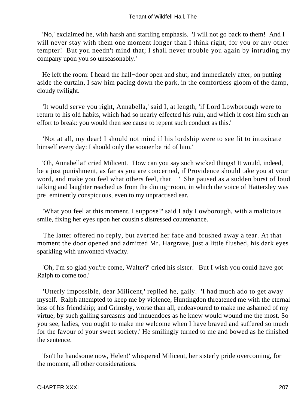'No,' exclaimed he, with harsh and startling emphasis. 'I will not go back to them! And I will never stay with them one moment longer than I think right, for you or any other tempter! But you needn't mind that; I shall never trouble you again by intruding my company upon you so unseasonably.'

 He left the room: I heard the hall−door open and shut, and immediately after, on putting aside the curtain, I saw him pacing down the park, in the comfortless gloom of the damp, cloudy twilight.

 'It would serve you right, Annabella,' said I, at length, 'if Lord Lowborough were to return to his old habits, which had so nearly effected his ruin, and which it cost him such an effort to break: you would then see cause to repent such conduct as this.'

 'Not at all, my dear! I should not mind if his lordship were to see fit to intoxicate himself every day: I should only the sooner be rid of him.'

 'Oh, Annabella!' cried Milicent. 'How can you say such wicked things! It would, indeed, be a just punishment, as far as you are concerned, if Providence should take you at your word, and make you feel what others feel, that − ' She paused as a sudden burst of loud talking and laughter reached us from the dining−room, in which the voice of Hattersley was pre−eminently conspicuous, even to my unpractised ear.

 'What you feel at this moment, I suppose?' said Lady Lowborough, with a malicious smile, fixing her eyes upon her cousin's distressed countenance.

 The latter offered no reply, but averted her face and brushed away a tear. At that moment the door opened and admitted Mr. Hargrave, just a little flushed, his dark eyes sparkling with unwonted vivacity.

 'Oh, I'm so glad you're come, Walter?' cried his sister. 'But I wish you could have got Ralph to come too.'

 'Utterly impossible, dear Milicent,' replied he, gaily. 'I had much ado to get away myself. Ralph attempted to keep me by violence; Huntingdon threatened me with the eternal loss of his friendship; and Grimsby, worse than all, endeavoured to make me ashamed of my virtue, by such galling sarcasms and innuendoes as he knew would wound me the most. So you see, ladies, you ought to make me welcome when I have braved and suffered so much for the favour of your sweet society.' He smilingly turned to me and bowed as he finished the sentence.

 'Isn't he handsome now, Helen!' whispered Milicent, her sisterly pride overcoming, for the moment, all other considerations.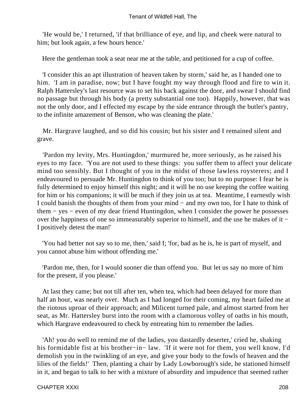'He would be,' I returned, 'if that brilliance of eye, and lip, and cheek were natural to him; but look again, a few hours hence.'

Here the gentleman took a seat near me at the table, and petitioned for a cup of coffee.

 'I consider this an apt illustration of heaven taken by storm,' said he, as I handed one to him. 'I am in paradise, now; but I have fought my way through flood and fire to win it. Ralph Hattersley's last resource was to set his back against the door, and swear I should find no passage but through his body (a pretty substantial one too). Happily, however, that was not the only door, and I effected my escape by the side entrance through the butler's pantry, to the infinite amazement of Benson, who was cleaning the plate.'

 Mr. Hargrave laughed, and so did his cousin; but his sister and I remained silent and grave.

 'Pardon my levity, Mrs. Huntingdon,' murmured he, more seriously, as he raised his eyes to my face. 'You are not used to these things: you suffer them to affect your delicate mind too sensibly. But I thought of you in the midst of those lawless roysterers; and I endeavoured to persuade Mr. Huntingdon to think of you too; but to no purpose: I fear he is fully determined to enjoy himself this night; and it will be no use keeping the coffee waiting for him or his companions; it will be much if they join us at tea. Meantime, I earnestly wish I could banish the thoughts of them from your mind − and my own too, for I hate to think of them − yes − even of my dear friend Huntingdon, when I consider the power he possesses over the happiness of one so immeasurably superior to himself, and the use he makes of it − I positively detest the man!'

 'You had better not say so to me, then,' said I; 'for, bad as he is, he is part of myself, and you cannot abuse him without offending me.'

 'Pardon me, then, for I would sooner die than offend you. But let us say no more of him for the present, if you please.'

 At last they came; but not till after ten, when tea, which had been delayed for more than half an hour, was nearly over. Much as I had longed for their coming, my heart failed me at the riotous uproar of their approach; and Milicent turned pale, and almost started from her seat, as Mr. Hattersley burst into the room with a clamorous volley of oaths in his mouth, which Hargrave endeavoured to check by entreating him to remember the ladies.

 'Ah! you do well to remind me of the ladies, you dastardly deserter,' cried he, shaking his formidable fist at his brother−in− law. 'If it were not for them, you well know, I'd demolish you in the twinkling of an eye, and give your body to the fowls of heaven and the lilies of the fields!' Then, planting a chair by Lady Lowborough's side, he stationed himself in it, and began to talk to her with a mixture of absurdity and impudence that seemed rather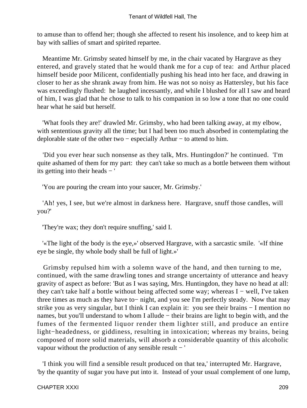to amuse than to offend her; though she affected to resent his insolence, and to keep him at bay with sallies of smart and spirited repartee.

 Meantime Mr. Grimsby seated himself by me, in the chair vacated by Hargrave as they entered, and gravely stated that he would thank me for a cup of tea: and Arthur placed himself beside poor Milicent, confidentially pushing his head into her face, and drawing in closer to her as she shrank away from him. He was not so noisy as Hattersley, but his face was exceedingly flushed: he laughed incessantly, and while I blushed for all I saw and heard of him, I was glad that he chose to talk to his companion in so low a tone that no one could hear what he said but herself.

 'What fools they are!' drawled Mr. Grimsby, who had been talking away, at my elbow, with sententious gravity all the time; but I had been too much absorbed in contemplating the deplorable state of the other two − especially Arthur − to attend to him.

 'Did you ever hear such nonsense as they talk, Mrs. Huntingdon?' he continued. 'I'm quite ashamed of them for my part: they can't take so much as a bottle between them without its getting into their heads − '

'You are pouring the cream into your saucer, Mr. Grimsby.'

 'Ah! yes, I see, but we're almost in darkness here. Hargrave, snuff those candles, will you?'

'They're wax; they don't require snuffing,' said I.

 '«The light of the body is the eye,»' observed Hargrave, with a sarcastic smile. '«If thine eye be single, thy whole body shall be full of light.»'

 Grimsby repulsed him with a solemn wave of the hand, and then turning to me, continued, with the same drawling tones and strange uncertainty of utterance and heavy gravity of aspect as before: 'But as I was saying, Mrs. Huntingdon, they have no head at all: they can't take half a bottle without being affected some way; whereas I − well, I've taken three times as much as they have to− night, and you see I'm perfectly steady. Now that may strike you as very singular, but I think I can explain it: you see their brains − I mention no names, but you'll understand to whom I allude – their brains are light to begin with, and the fumes of the fermented liquor render them lighter still, and produce an entire light−headedness, or giddiness, resulting in intoxication; whereas my brains, being composed of more solid materials, will absorb a considerable quantity of this alcoholic vapour without the production of any sensible result − '

 'I think you will find a sensible result produced on that tea,' interrupted Mr. Hargrave, 'by the quantity of sugar you have put into it. Instead of your usual complement of one lump,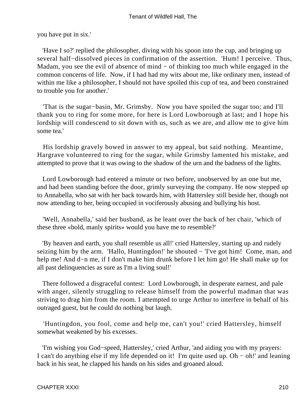you have put in six.'

 'Have I so?' replied the philosopher, diving with his spoon into the cup, and bringing up several half−dissolved pieces in confirmation of the assertion. 'Hum! I perceive. Thus, Madam, you see the evil of absence of mind − of thinking too much while engaged in the common concerns of life. Now, if I had had my wits about me, like ordinary men, instead of within me like a philosopher, I should not have spoiled this cup of tea, and been constrained to trouble you for another.'

 'That is the sugar−basin, Mr. Grimsby. Now you have spoiled the sugar too; and I'll thank you to ring for some more, for here is Lord Lowborough at last; and I hope his lordship will condescend to sit down with us, such as we are, and allow me to give him some tea.'

 His lordship gravely bowed in answer to my appeal, but said nothing. Meantime, Hargrave volunteered to ring for the sugar, while Grimsby lamented his mistake, and attempted to prove that it was owing to the shadow of the urn and the badness of the lights.

 Lord Lowborough had entered a minute or two before, unobserved by an one but me, and had been standing before the door, grimly surveying the company. He now stepped up to Annabella, who sat with her back towards him, with Hattersley still beside her, though not now attending to her, being occupied in vociferously abusing and bullying his host.

 'Well, Annabella,' said her husband, as he leant over the back of her chair, 'which of these three «bold, manly spirits» would you have me to resemble?'

 'By heaven and earth, you shall resemble us all!' cried Hattersley, starting up and rudely seizing him by the arm. 'Hallo, Huntingdon!' he shouted – 'I've got him! Come, man, and help me! And d−n me, if I don't make him drunk before I let him go! He shall make up for all past delinquencies as sure as I'm a living soul!'

 There followed a disgraceful contest: Lord Lowborough, in desperate earnest, and pale with anger, silently struggling to release himself from the powerful madman that was striving to drag him from the room. I attempted to urge Arthur to interfere in behalf of his outraged guest, but he could do nothing but laugh.

 'Huntingdon, you fool, come and help me, can't you!' cried Hattersley, himself somewhat weakened by his excesses.

 'I'm wishing you God−speed, Hattersley,' cried Arthur, 'and aiding you with my prayers: I can't do anything else if my life depended on it! I'm quite used up. Oh − oh!' and leaning back in his seat, he clapped his hands on his sides and groaned aloud.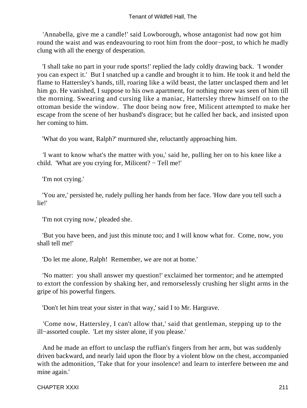'Annabella, give me a candle!' said Lowborough, whose antagonist had now got him round the waist and was endeavouring to root him from the door−post, to which he madly clung with all the energy of desperation.

 'I shall take no part in your rude sports!' replied the lady coldly drawing back. 'I wonder you can expect it.' But I snatched up a candle and brought it to him. He took it and held the flame to Hattersley's hands, till, roaring like a wild beast, the latter unclasped them and let him go. He vanished, I suppose to his own apartment, for nothing more was seen of him till the morning. Swearing and cursing like a maniac, Hattersley threw himself on to the ottoman beside the window. The door being now free, Milicent attempted to make her escape from the scene of her husband's disgrace; but he called her back, and insisted upon her coming to him.

'What do you want, Ralph?' murmured she, reluctantly approaching him.

 'I want to know what's the matter with you,' said he, pulling her on to his knee like a child. 'What are you crying for, Milicent? − Tell me!'

'I'm not crying.'

 'You are,' persisted he, rudely pulling her hands from her face. 'How dare you tell such a lie!'

'I'm not crying now,' pleaded she.

 'But you have been, and just this minute too; and I will know what for. Come, now, you shall tell me!'

'Do let me alone, Ralph! Remember, we are not at home.'

 'No matter: you shall answer my question!' exclaimed her tormentor; and he attempted to extort the confession by shaking her, and remorselessly crushing her slight arms in the gripe of his powerful fingers.

'Don't let him treat your sister in that way,' said I to Mr. Hargrave.

 'Come now, Hattersley, I can't allow that,' said that gentleman, stepping up to the ill−assorted couple. 'Let my sister alone, if you please.'

 And he made an effort to unclasp the ruffian's fingers from her arm, but was suddenly driven backward, and nearly laid upon the floor by a violent blow on the chest, accompanied with the admonition, 'Take that for your insolence! and learn to interfere between me and mine again.'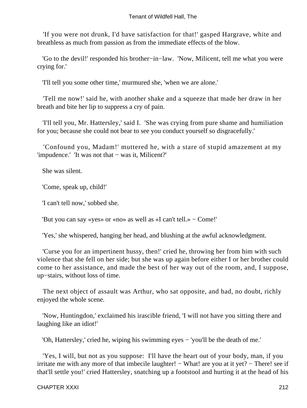'If you were not drunk, I'd have satisfaction for that!' gasped Hargrave, white and breathless as much from passion as from the immediate effects of the blow.

 'Go to the devil!' responded his brother−in−law. 'Now, Milicent, tell me what you were crying for.'

'I'll tell you some other time,' murmured she, 'when we are alone.'

 'Tell me now!' said he, with another shake and a squeeze that made her draw in her breath and bite her lip to suppress a cry of pain.

 'I'll tell you, Mr. Hattersley,' said I. 'She was crying from pure shame and humiliation for you; because she could not bear to see you conduct yourself so disgracefully.'

 'Confound you, Madam!' muttered he, with a stare of stupid amazement at my 'impudence.' 'It was not that − was it, Milicent?'

She was silent.

'Come, speak up, child!'

'I can't tell now,' sobbed she.

'But you can say «yes» or «no» as well as «I can't tell.» − Come!'

'Yes,' she whispered, hanging her head, and blushing at the awful acknowledgment.

 'Curse you for an impertinent hussy, then!' cried he, throwing her from him with such violence that she fell on her side; but she was up again before either I or her brother could come to her assistance, and made the best of her way out of the room, and, I suppose, up−stairs, without loss of time.

 The next object of assault was Arthur, who sat opposite, and had, no doubt, richly enjoyed the whole scene.

 'Now, Huntingdon,' exclaimed his irascible friend, 'I will not have you sitting there and laughing like an idiot!'

'Oh, Hattersley,' cried he, wiping his swimming eyes − 'you'll be the death of me.'

 'Yes, I will, but not as you suppose: I'll have the heart out of your body, man, if you irritate me with any more of that imbecile laughter! – What! are you at it yet? – There! see if that'll settle you!' cried Hattersley, snatching up a footstool and hurting it at the head of his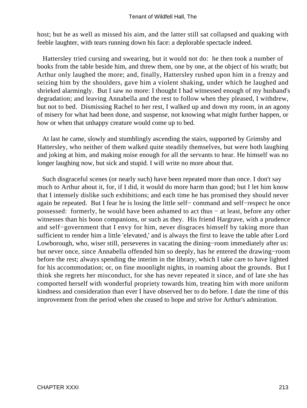host; but he as well as missed his aim, and the latter still sat collapsed and quaking with feeble laughter, with tears running down his face: a deplorable spectacle indeed.

 Hattersley tried cursing and swearing, but it would not do: he then took a number of books from the table beside him, and threw them, one by one, at the object of his wrath; but Arthur only laughed the more; and, finally, Hattersley rushed upon him in a frenzy and seizing him by the shoulders, gave him a violent shaking, under which he laughed and shrieked alarmingly. But I saw no more: I thought I had witnessed enough of my husband's degradation; and leaving Annabella and the rest to follow when they pleased, I withdrew, but not to bed. Dismissing Rachel to her rest, I walked up and down my room, in an agony of misery for what had been done, and suspense, not knowing what might further happen, or how or when that unhappy creature would come up to bed.

 At last he came, slowly and stumblingly ascending the stairs, supported by Grimsby and Hattersley, who neither of them walked quite steadily themselves, but were both laughing and joking at him, and making noise enough for all the servants to hear. He himself was no longer laughing now, but sick and stupid. I will write no more about that.

 Such disgraceful scenes (or nearly such) have been repeated more than once. I don't say much to Arthur about it, for, if I did, it would do more harm than good; but I let him know that I intensely dislike such exhibitions; and each time he has promised they should never again be repeated. But I fear he is losing the little self− command and self−respect he once possessed: formerly, he would have been ashamed to act thus − at least, before any other witnesses than his boon companions, or such as they. His friend Hargrave, with a prudence and self−government that I envy for him, never disgraces himself by taking more than sufficient to render him a little 'elevated,' and is always the first to leave the table after Lord Lowborough, who, wiser still, perseveres in vacating the dining−room immediately after us: but never once, since Annabella offended him so deeply, has he entered the drawing−room before the rest; always spending the interim in the library, which I take care to have lighted for his accommodation; or, on fine moonlight nights, in roaming about the grounds. But I think she regrets her misconduct, for she has never repeated it since, and of late she has comported herself with wonderful propriety towards him, treating him with more uniform kindness and consideration than ever I have observed her to do before. I date the time of this improvement from the period when she ceased to hope and strive for Arthur's admiration.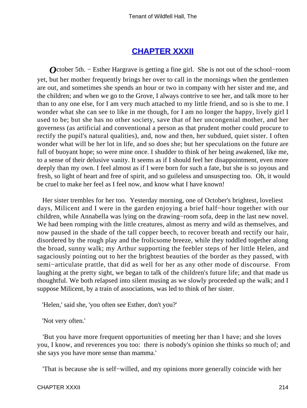#### **[CHAPTER XXXII](#page-379-0)**

*O*ctober 5th. – Esther Hargrave is getting a fine girl. She is not out of the school–room yet, but her mother frequently brings her over to call in the mornings when the gentlemen are out, and sometimes she spends an hour or two in company with her sister and me, and the children; and when we go to the Grove, I always contrive to see her, and talk more to her than to any one else, for I am very much attached to my little friend, and so is she to me. I wonder what she can see to like in me though, for I am no longer the happy, lively girl I used to be; but she has no other society, save that of her uncongenial mother, and her governess (as artificial and conventional a person as that prudent mother could procure to rectify the pupil's natural qualities), and, now and then, her subdued, quiet sister. I often wonder what will be her lot in life, and so does she; but her speculations on the future are full of buoyant hope; so were mine once. I shudder to think of her being awakened, like me, to a sense of their delusive vanity. It seems as if I should feel her disappointment, even more deeply than my own. I feel almost as if I were born for such a fate, but she is so joyous and fresh, so light of heart and free of spirit, and so guileless and unsuspecting too. Oh, it would be cruel to make her feel as I feel now, and know what I have known!

 Her sister trembles for her too. Yesterday morning, one of October's brightest, loveliest days, Milicent and I were in the garden enjoying a brief half−hour together with our children, while Annabella was lying on the drawing−room sofa, deep in the last new novel. We had been romping with the little creatures, almost as merry and wild as themselves, and now paused in the shade of the tall copper beech, to recover breath and rectify our hair, disordered by the rough play and the frolicsome breeze, while they toddled together along the broad, sunny walk; my Arthur supporting the feebler steps of her little Helen, and sagaciously pointing out to her the brightest beauties of the border as they passed, with semi−articulate prattle, that did as well for her as any other mode of discourse. From laughing at the pretty sight, we began to talk of the children's future life; and that made us thoughtful. We both relapsed into silent musing as we slowly proceeded up the walk; and I suppose Milicent, by a train of associations, was led to think of her sister.

'Helen,' said she, 'you often see Esther, don't you?'

'Not very often.'

 'But you have more frequent opportunities of meeting her than I have; and she loves you, I know, and reverences you too: there is nobody's opinion she thinks so much of; and she says you have more sense than mamma.'

'That is because she is self−willed, and my opinions more generally coincide with her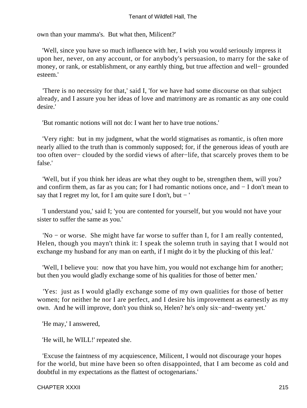own than your mamma's. But what then, Milicent?'

 'Well, since you have so much influence with her, I wish you would seriously impress it upon her, never, on any account, or for anybody's persuasion, to marry for the sake of money, or rank, or establishment, or any earthly thing, but true affection and well− grounded esteem.'

 'There is no necessity for that,' said I, 'for we have had some discourse on that subject already, and I assure you her ideas of love and matrimony are as romantic as any one could desire.'

'But romantic notions will not do: I want her to have true notions.'

 'Very right: but in my judgment, what the world stigmatises as romantic, is often more nearly allied to the truth than is commonly supposed; for, if the generous ideas of youth are too often over− clouded by the sordid views of after−life, that scarcely proves them to be false.'

 'Well, but if you think her ideas are what they ought to be, strengthen them, will you? and confirm them, as far as you can; for I had romantic notions once, and − I don't mean to say that I regret my lot, for I am quite sure I don't, but  $-$  '

 'I understand you,' said I; 'you are contented for yourself, but you would not have your sister to suffer the same as you.'

 'No − or worse. She might have far worse to suffer than I, for I am really contented, Helen, though you mayn't think it: I speak the solemn truth in saying that I would not exchange my husband for any man on earth, if I might do it by the plucking of this leaf.'

 'Well, I believe you: now that you have him, you would not exchange him for another; but then you would gladly exchange some of his qualities for those of better men.'

 'Yes: just as I would gladly exchange some of my own qualities for those of better women; for neither he nor I are perfect, and I desire his improvement as earnestly as my own. And he will improve, don't you think so, Helen? he's only six−and−twenty yet.'

'He may,' I answered,

'He will, he WILL!' repeated she.

 'Excuse the faintness of my acquiescence, Milicent, I would not discourage your hopes for the world, but mine have been so often disappointed, that I am become as cold and doubtful in my expectations as the flattest of octogenarians.'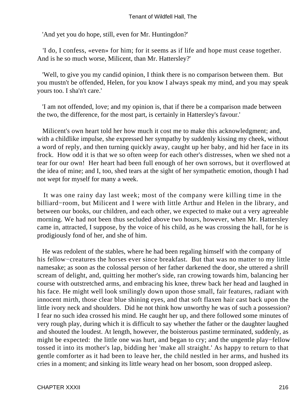'And yet you do hope, still, even for Mr. Huntingdon?'

 'I do, I confess, «even» for him; for it seems as if life and hope must cease together. And is he so much worse, Milicent, than Mr. Hattersley?'

 'Well, to give you my candid opinion, I think there is no comparison between them. But you mustn't be offended, Helen, for you know I always speak my mind, and you may speak yours too. I sha'n't care.'

 'I am not offended, love; and my opinion is, that if there be a comparison made between the two, the difference, for the most part, is certainly in Hattersley's favour.'

 Milicent's own heart told her how much it cost me to make this acknowledgment; and, with a childlike impulse, she expressed her sympathy by suddenly kissing my cheek, without a word of reply, and then turning quickly away, caught up her baby, and hid her face in its frock. How odd it is that we so often weep for each other's distresses, when we shed not a tear for our own! Her heart had been full enough of her own sorrows, but it overflowed at the idea of mine; and I, too, shed tears at the sight of her sympathetic emotion, though I had not wept for myself for many a week.

 It was one rainy day last week; most of the company were killing time in the billiard−room, but Milicent and I were with little Arthur and Helen in the library, and between our books, our children, and each other, we expected to make out a very agreeable morning. We had not been thus secluded above two hours, however, when Mr. Hattersley came in, attracted, I suppose, by the voice of his child, as he was crossing the hall, for he is prodigiously fond of her, and she of him.

 He was redolent of the stables, where he had been regaling himself with the company of his fellow−creatures the horses ever since breakfast. But that was no matter to my little namesake; as soon as the colossal person of her father darkened the door, she uttered a shrill scream of delight, and, quitting her mother's side, ran crowing towards him, balancing her course with outstretched arms, and embracing his knee, threw back her head and laughed in his face. He might well look smilingly down upon those small, fair features, radiant with innocent mirth, those clear blue shining eyes, and that soft flaxen hair cast back upon the little ivory neck and shoulders. Did he not think how unworthy he was of such a possession? I fear no such idea crossed his mind. He caught her up, and there followed some minutes of very rough play, during which it is difficult to say whether the father or the daughter laughed and shouted the loudest. At length, however, the boisterous pastime terminated, suddenly, as might be expected: the little one was hurt, and began to cry; and the ungentle play−fellow tossed it into its mother's lap, bidding her 'make all straight.' As happy to return to that gentle comforter as it had been to leave her, the child nestled in her arms, and hushed its cries in a moment; and sinking its little weary head on her bosom, soon dropped asleep.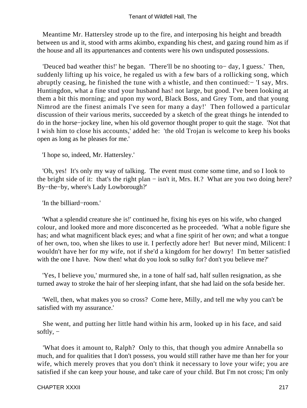Meantime Mr. Hattersley strode up to the fire, and interposing his height and breadth between us and it, stood with arms akimbo, expanding his chest, and gazing round him as if the house and all its appurtenances and contents were his own undisputed possessions.

 'Deuced bad weather this!' he began. 'There'll be no shooting to− day, I guess.' Then, suddenly lifting up his voice, he regaled us with a few bars of a rollicking song, which abruptly ceasing, he finished the tune with a whistle, and then continued:− 'I say, Mrs. Huntingdon, what a fine stud your husband has! not large, but good. I've been looking at them a bit this morning; and upon my word, Black Boss, and Grey Tom, and that young Nimrod are the finest animals I've seen for many a day!' Then followed a particular discussion of their various merits, succeeded by a sketch of the great things he intended to do in the horse−jockey line, when his old governor thought proper to quit the stage. 'Not that I wish him to close his accounts,' added he: 'the old Trojan is welcome to keep his books open as long as he pleases for me.'

'I hope so, indeed, Mr. Hattersley.'

 'Oh, yes! It's only my way of talking. The event must come some time, and so I look to the bright side of it: that's the right plan − isn't it, Mrs. H.? What are you two doing here? By−the−by, where's Lady Lowborough?'

'In the billiard−room.'

 'What a splendid creature she is!' continued he, fixing his eyes on his wife, who changed colour, and looked more and more disconcerted as he proceeded. 'What a noble figure she has; and what magnificent black eyes; and what a fine spirit of her own; and what a tongue of her own, too, when she likes to use it. I perfectly adore her! But never mind, Milicent: I wouldn't have her for my wife, not if she'd a kingdom for her dowry! I'm better satisfied with the one I have. Now then! what do you look so sulky for? don't you believe me?'

 'Yes, I believe you,' murmured she, in a tone of half sad, half sullen resignation, as she turned away to stroke the hair of her sleeping infant, that she had laid on the sofa beside her.

 'Well, then, what makes you so cross? Come here, Milly, and tell me why you can't be satisfied with my assurance.'

 She went, and putting her little hand within his arm, looked up in his face, and said softly, −

 'What does it amount to, Ralph? Only to this, that though you admire Annabella so much, and for qualities that I don't possess, you would still rather have me than her for your wife, which merely proves that you don't think it necessary to love your wife; you are satisfied if she can keep your house, and take care of your child. But I'm not cross; I'm only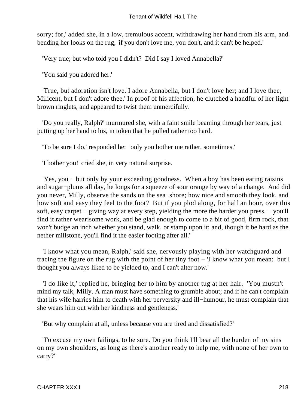sorry; for,' added she, in a low, tremulous accent, withdrawing her hand from his arm, and bending her looks on the rug, 'if you don't love me, you don't, and it can't be helped.'

'Very true; but who told you I didn't? Did I say I loved Annabella?'

'You said you adored her.'

 'True, but adoration isn't love. I adore Annabella, but I don't love her; and I love thee, Milicent, but I don't adore thee.' In proof of his affection, he clutched a handful of her light brown ringlets, and appeared to twist them unmercifully.

 'Do you really, Ralph?' murmured she, with a faint smile beaming through her tears, just putting up her hand to his, in token that he pulled rather too hard.

'To be sure I do,' responded he: 'only you bother me rather, sometimes.'

'I bother you!' cried she, in very natural surprise.

 'Yes, you − but only by your exceeding goodness. When a boy has been eating raisins and sugar−plums all day, he longs for a squeeze of sour orange by way of a change. And did you never, Milly, observe the sands on the sea−shore; how nice and smooth they look, and how soft and easy they feel to the foot? But if you plod along, for half an hour, over this soft, easy carpet – giving way at every step, yielding the more the harder you press, – you'll find it rather wearisome work, and be glad enough to come to a bit of good, firm rock, that won't budge an inch whether you stand, walk, or stamp upon it; and, though it be hard as the nether millstone, you'll find it the easier footing after all.'

 'I know what you mean, Ralph,' said she, nervously playing with her watchguard and tracing the figure on the rug with the point of her tiny foot − 'I know what you mean: but I thought you always liked to be yielded to, and I can't alter now.'

 'I do like it,' replied he, bringing her to him by another tug at her hair. 'You mustn't mind my talk, Milly. A man must have something to grumble about; and if he can't complain that his wife harries him to death with her perversity and ill−humour, he must complain that she wears him out with her kindness and gentleness.'

'But why complain at all, unless because you are tired and dissatisfied?'

 'To excuse my own failings, to be sure. Do you think I'll bear all the burden of my sins on my own shoulders, as long as there's another ready to help me, with none of her own to carry?'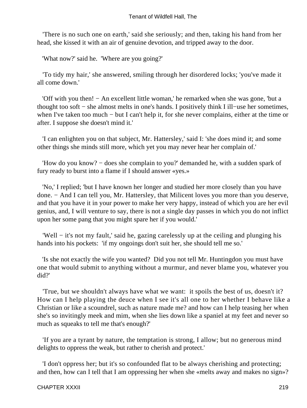'There is no such one on earth,' said she seriously; and then, taking his hand from her head, she kissed it with an air of genuine devotion, and tripped away to the door.

'What now?' said he. 'Where are you going?'

 'To tidy my hair,' she answered, smiling through her disordered locks; 'you've made it all come down.'

 'Off with you then! − An excellent little woman,' he remarked when she was gone, 'but a thought too soft − she almost melts in one's hands. I positively think I ill−use her sometimes, when I've taken too much − but I can't help it, for she never complains, either at the time or after. I suppose she doesn't mind it.'

 'I can enlighten you on that subject, Mr. Hattersley,' said I: 'she does mind it; and some other things she minds still more, which yet you may never hear her complain of.'

 'How do you know? − does she complain to you?' demanded he, with a sudden spark of fury ready to burst into a flame if I should answer «yes.»

 'No,' I replied; 'but I have known her longer and studied her more closely than you have done. − And I can tell you, Mr. Hattersley, that Milicent loves you more than you deserve, and that you have it in your power to make her very happy, instead of which you are her evil genius, and, I will venture to say, there is not a single day passes in which you do not inflict upon her some pang that you might spare her if you would.'

 'Well − it's not my fault,' said he, gazing carelessly up at the ceiling and plunging his hands into his pockets: 'if my ongoings don't suit her, she should tell me so.'

 'Is she not exactly the wife you wanted? Did you not tell Mr. Huntingdon you must have one that would submit to anything without a murmur, and never blame you, whatever you did?'

 'True, but we shouldn't always have what we want: it spoils the best of us, doesn't it? How can I help playing the deuce when I see it's all one to her whether I behave like a Christian or like a scoundrel, such as nature made me? and how can I help teasing her when she's so invitingly meek and mim, when she lies down like a spaniel at my feet and never so much as squeaks to tell me that's enough?'

 'If you are a tyrant by nature, the temptation is strong, I allow; but no generous mind delights to oppress the weak, but rather to cherish and protect.'

 'I don't oppress her; but it's so confounded flat to be always cherishing and protecting; and then, how can I tell that I am oppressing her when she «melts away and makes no sign»?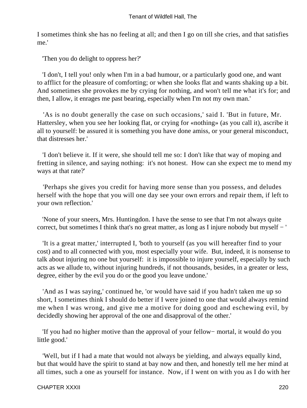I sometimes think she has no feeling at all; and then I go on till she cries, and that satisfies me.'

'Then you do delight to oppress her?'

 'I don't, I tell you! only when I'm in a bad humour, or a particularly good one, and want to afflict for the pleasure of comforting; or when she looks flat and wants shaking up a bit. And sometimes she provokes me by crying for nothing, and won't tell me what it's for; and then, I allow, it enrages me past bearing, especially when I'm not my own man.'

 'As is no doubt generally the case on such occasions,' said I. 'But in future, Mr. Hattersley, when you see her looking flat, or crying for «nothing» (as you call it), ascribe it all to yourself: be assured it is something you have done amiss, or your general misconduct, that distresses her.'

 'I don't believe it. If it were, she should tell me so: I don't like that way of moping and fretting in silence, and saying nothing: it's not honest. How can she expect me to mend my ways at that rate?'

 'Perhaps she gives you credit for having more sense than you possess, and deludes herself with the hope that you will one day see your own errors and repair them, if left to your own reflection.'

 'None of your sneers, Mrs. Huntingdon. I have the sense to see that I'm not always quite correct, but sometimes I think that's no great matter, as long as I injure nobody but myself − '

 'It is a great matter,' interrupted I, 'both to yourself (as you will hereafter find to your cost) and to all connected with you, most especially your wife. But, indeed, it is nonsense to talk about injuring no one but yourself: it is impossible to injure yourself, especially by such acts as we allude to, without injuring hundreds, if not thousands, besides, in a greater or less, degree, either by the evil you do or the good you leave undone.'

 'And as I was saying,' continued he, 'or would have said if you hadn't taken me up so short, I sometimes think I should do better if I were joined to one that would always remind me when I was wrong, and give me a motive for doing good and eschewing evil, by decidedly showing her approval of the one and disapproval of the other.'

 'If you had no higher motive than the approval of your fellow− mortal, it would do you little good.'

 'Well, but if I had a mate that would not always be yielding, and always equally kind, but that would have the spirit to stand at bay now and then, and honestly tell me her mind at all times, such a one as yourself for instance. Now, if I went on with you as I do with her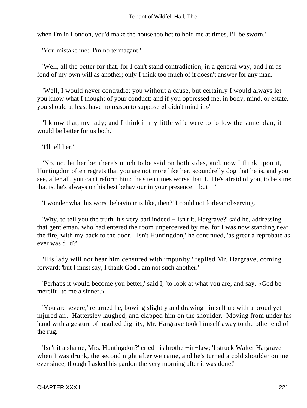when I'm in London, you'd make the house too hot to hold me at times, I'll be sworn.'

'You mistake me: I'm no termagant.'

 'Well, all the better for that, for I can't stand contradiction, in a general way, and I'm as fond of my own will as another; only I think too much of it doesn't answer for any man.'

 'Well, I would never contradict you without a cause, but certainly I would always let you know what I thought of your conduct; and if you oppressed me, in body, mind, or estate, you should at least have no reason to suppose «I didn't mind it.»'

 'I know that, my lady; and I think if my little wife were to follow the same plan, it would be better for us both.'

'I'll tell her.'

 'No, no, let her be; there's much to be said on both sides, and, now I think upon it, Huntingdon often regrets that you are not more like her, scoundrelly dog that he is, and you see, after all, you can't reform him: he's ten times worse than I. He's afraid of you, to be sure; that is, he's always on his best behaviour in your presence − but − '

'I wonder what his worst behaviour is like, then?' I could not forbear observing.

 'Why, to tell you the truth, it's very bad indeed − isn't it, Hargrave?' said he, addressing that gentleman, who had entered the room unperceived by me, for I was now standing near the fire, with my back to the door. 'Isn't Huntingdon,' he continued, 'as great a reprobate as ever was d−d?'

 'His lady will not hear him censured with impunity,' replied Mr. Hargrave, coming forward; 'but I must say, I thank God I am not such another.'

 'Perhaps it would become you better,' said I, 'to look at what you are, and say, «God be merciful to me a sinner.»'

 'You are severe,' returned he, bowing slightly and drawing himself up with a proud yet injured air. Hattersley laughed, and clapped him on the shoulder. Moving from under his hand with a gesture of insulted dignity, Mr. Hargrave took himself away to the other end of the rug.

 'Isn't it a shame, Mrs. Huntingdon?' cried his brother−in−law; 'I struck Walter Hargrave when I was drunk, the second night after we came, and he's turned a cold shoulder on me ever since; though I asked his pardon the very morning after it was done!'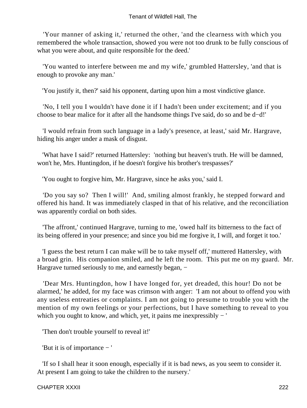'Your manner of asking it,' returned the other, 'and the clearness with which you remembered the whole transaction, showed you were not too drunk to be fully conscious of what you were about, and quite responsible for the deed.'

 'You wanted to interfere between me and my wife,' grumbled Hattersley, 'and that is enough to provoke any man.'

'You justify it, then?' said his opponent, darting upon him a most vindictive glance.

 'No, I tell you I wouldn't have done it if I hadn't been under excitement; and if you choose to bear malice for it after all the handsome things I've said, do so and be d−d!'

 'I would refrain from such language in a lady's presence, at least,' said Mr. Hargrave, hiding his anger under a mask of disgust.

 'What have I said?' returned Hattersley: 'nothing but heaven's truth. He will be damned, won't he, Mrs. Huntingdon, if he doesn't forgive his brother's trespasses?'

'You ought to forgive him, Mr. Hargrave, since he asks you,' said I.

 'Do you say so? Then I will!' And, smiling almost frankly, he stepped forward and offered his hand. It was immediately clasped in that of his relative, and the reconciliation was apparently cordial on both sides.

 'The affront,' continued Hargrave, turning to me, 'owed half its bitterness to the fact of its being offered in your presence; and since you bid me forgive it, I will, and forget it too.'

 'I guess the best return I can make will be to take myself off,' muttered Hattersley, with a broad grin. His companion smiled, and he left the room. This put me on my guard. Mr. Hargrave turned seriously to me, and earnestly began, –

 'Dear Mrs. Huntingdon, how I have longed for, yet dreaded, this hour! Do not be alarmed,' he added, for my face was crimson with anger: 'I am not about to offend you with any useless entreaties or complaints. I am not going to presume to trouble you with the mention of my own feelings or your perfections, but I have something to reveal to you which you ought to know, and which, yet, it pains me inexpressibly − '

'Then don't trouble yourself to reveal it!'

'But it is of importance − '

 'If so I shall hear it soon enough, especially if it is bad news, as you seem to consider it. At present I am going to take the children to the nursery.'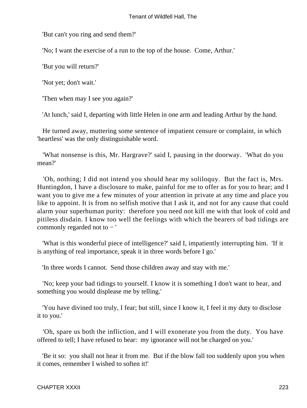'But can't you ring and send them?'

'No; I want the exercise of a run to the top of the house. Come, Arthur.'

'But you will return?'

'Not yet; don't wait.'

'Then when may I see you again?'

'At lunch,' said I, departing with little Helen in one arm and leading Arthur by the hand.

 He turned away, muttering some sentence of impatient censure or complaint, in which 'heartless' was the only distinguishable word.

 'What nonsense is this, Mr. Hargrave?' said I, pausing in the doorway. 'What do you mean?'

 'Oh, nothing; I did not intend you should hear my soliloquy. But the fact is, Mrs. Huntingdon, I have a disclosure to make, painful for me to offer as for you to hear; and I want you to give me a few minutes of your attention in private at any time and place you like to appoint. It is from no selfish motive that I ask it, and not for any cause that could alarm your superhuman purity: therefore you need not kill me with that look of cold and pitiless disdain. I know too well the feelings with which the bearers of bad tidings are commonly regarded not to − '

 'What is this wonderful piece of intelligence?' said I, impatiently interrupting him. 'If it is anything of real importance, speak it in three words before I go.'

'In three words I cannot. Send those children away and stay with me.'

 'No; keep your bad tidings to yourself. I know it is something I don't want to hear, and something you would displease me by telling.'

 'You have divined too truly, I fear; but still, since I know it, I feel it my duty to disclose it to you.'

 'Oh, spare us both the infliction, and I will exonerate you from the duty. You have offered to tell; I have refused to hear: my ignorance will not be charged on you.'

 'Be it so: you shall not hear it from me. But if the blow fall too suddenly upon you when it comes, remember I wished to soften it!'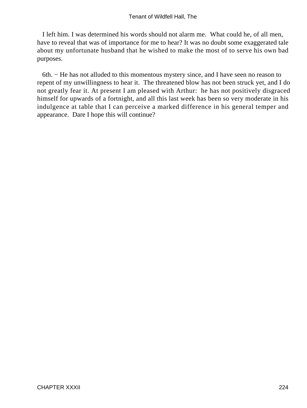I left him. I was determined his words should not alarm me. What could he, of all men, have to reveal that was of importance for me to hear? It was no doubt some exaggerated tale about my unfortunate husband that he wished to make the most of to serve his own bad purposes.

 6th. − He has not alluded to this momentous mystery since, and I have seen no reason to repent of my unwillingness to hear it. The threatened blow has not been struck yet, and I do not greatly fear it. At present I am pleased with Arthur: he has not positively disgraced himself for upwards of a fortnight, and all this last week has been so very moderate in his indulgence at table that I can perceive a marked difference in his general temper and appearance. Dare I hope this will continue?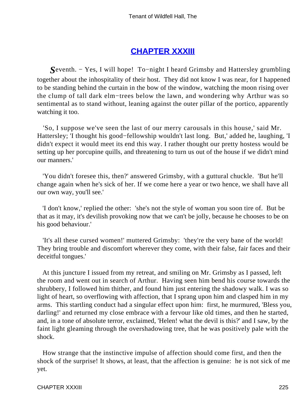# **[CHAPTER XXXIII](#page-379-0)**

*S*eventh. − Yes, I will hope! To−night I heard Grimsby and Hattersley grumbling together about the inhospitality of their host. They did not know I was near, for I happened to be standing behind the curtain in the bow of the window, watching the moon rising over the clump of tall dark elm−trees below the lawn, and wondering why Arthur was so sentimental as to stand without, leaning against the outer pillar of the portico, apparently watching it too.

 'So, I suppose we've seen the last of our merry carousals in this house,' said Mr. Hattersley; 'I thought his good−fellowship wouldn't last long. But,' added he, laughing, 'I didn't expect it would meet its end this way. I rather thought our pretty hostess would be setting up her porcupine quills, and threatening to turn us out of the house if we didn't mind our manners.'

 'You didn't foresee this, then?' answered Grimsby, with a guttural chuckle. 'But he'll change again when he's sick of her. If we come here a year or two hence, we shall have all our own way, you'll see.'

 'I don't know,' replied the other: 'she's not the style of woman you soon tire of. But be that as it may, it's devilish provoking now that we can't be jolly, because he chooses to be on his good behaviour.'

 'It's all these cursed women!' muttered Grimsby: 'they're the very bane of the world! They bring trouble and discomfort wherever they come, with their false, fair faces and their deceitful tongues.'

 At this juncture I issued from my retreat, and smiling on Mr. Grimsby as I passed, left the room and went out in search of Arthur. Having seen him bend his course towards the shrubbery, I followed him thither, and found him just entering the shadowy walk. I was so light of heart, so overflowing with affection, that I sprang upon him and clasped him in my arms. This startling conduct had a singular effect upon him: first, he murmured, 'Bless you, darling!' and returned my close embrace with a fervour like old times, and then he started, and, in a tone of absolute terror, exclaimed, 'Helen! what the devil is this?' and I saw, by the faint light gleaming through the overshadowing tree, that he was positively pale with the shock.

 How strange that the instinctive impulse of affection should come first, and then the shock of the surprise! It shows, at least, that the affection is genuine: he is not sick of me yet.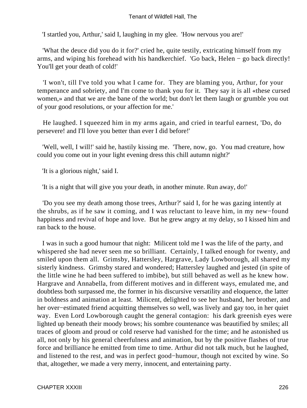'I startled you, Arthur,' said I, laughing in my glee. 'How nervous you are!'

 'What the deuce did you do it for?' cried he, quite testily, extricating himself from my arms, and wiping his forehead with his handkerchief. 'Go back, Helen − go back directly! You'll get your death of cold!'

 'I won't, till I've told you what I came for. They are blaming you, Arthur, for your temperance and sobriety, and I'm come to thank you for it. They say it is all «these cursed women,» and that we are the bane of the world; but don't let them laugh or grumble you out of your good resolutions, or your affection for me.'

 He laughed. I squeezed him in my arms again, and cried in tearful earnest, 'Do, do persevere! and I'll love you better than ever I did before!'

 'Well, well, I will!' said he, hastily kissing me. 'There, now, go. You mad creature, how could you come out in your light evening dress this chill autumn night?'

'It is a glorious night,' said I.

'It is a night that will give you your death, in another minute. Run away, do!'

 'Do you see my death among those trees, Arthur?' said I, for he was gazing intently at the shrubs, as if he saw it coming, and I was reluctant to leave him, in my new−found happiness and revival of hope and love. But he grew angry at my delay, so I kissed him and ran back to the house.

 I was in such a good humour that night: Milicent told me I was the life of the party, and whispered she had never seen me so brilliant. Certainly, I talked enough for twenty, and smiled upon them all. Grimsby, Hattersley, Hargrave, Lady Lowborough, all shared my sisterly kindness. Grimsby stared and wondered; Hattersley laughed and jested (in spite of the little wine he had been suffered to imbibe), but still behaved as well as he knew how. Hargrave and Annabella, from different motives and in different ways, emulated me, and doubtless both surpassed me, the former in his discursive versatility and eloquence, the latter in boldness and animation at least. Milicent, delighted to see her husband, her brother, and her over−estimated friend acquitting themselves so well, was lively and gay too, in her quiet way. Even Lord Lowborough caught the general contagion: his dark greenish eyes were lighted up beneath their moody brows; his sombre countenance was beautified by smiles; all traces of gloom and proud or cold reserve had vanished for the time; and he astonished us all, not only by his general cheerfulness and animation, but by the positive flashes of true force and brilliance he emitted from time to time. Arthur did not talk much, but he laughed, and listened to the rest, and was in perfect good−humour, though not excited by wine. So that, altogether, we made a very merry, innocent, and entertaining party.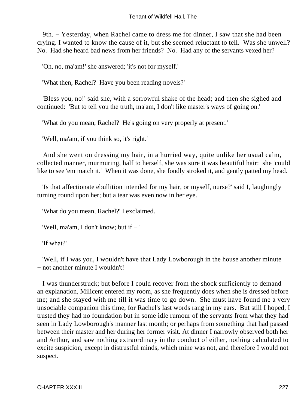9th. – Yesterday, when Rachel came to dress me for dinner, I saw that she had been crying. I wanted to know the cause of it, but she seemed reluctant to tell. Was she unwell? No. Had she heard bad news from her friends? No. Had any of the servants vexed her?

'Oh, no, ma'am!' she answered; 'it's not for myself.'

'What then, Rachel? Have you been reading novels?'

 'Bless you, no!' said she, with a sorrowful shake of the head; and then she sighed and continued: 'But to tell you the truth, ma'am, I don't like master's ways of going on.'

'What do you mean, Rachel? He's going on very properly at present.'

'Well, ma'am, if you think so, it's right.'

 And she went on dressing my hair, in a hurried way, quite unlike her usual calm, collected manner, murmuring, half to herself, she was sure it was beautiful hair: she 'could like to see 'em match it.' When it was done, she fondly stroked it, and gently patted my head.

 'Is that affectionate ebullition intended for my hair, or myself, nurse?' said I, laughingly turning round upon her; but a tear was even now in her eye.

'What do you mean, Rachel?' I exclaimed.

'Well, ma'am, I don't know; but if − '

'If what?'

 'Well, if I was you, I wouldn't have that Lady Lowborough in the house another minute − not another minute I wouldn't!

 I was thunderstruck; but before I could recover from the shock sufficiently to demand an explanation, Milicent entered my room, as she frequently does when she is dressed before me; and she stayed with me till it was time to go down. She must have found me a very unsociable companion this time, for Rachel's last words rang in my ears. But still I hoped, I trusted they had no foundation but in some idle rumour of the servants from what they had seen in Lady Lowborough's manner last month; or perhaps from something that had passed between their master and her during her former visit. At dinner I narrowly observed both her and Arthur, and saw nothing extraordinary in the conduct of either, nothing calculated to excite suspicion, except in distrustful minds, which mine was not, and therefore I would not suspect.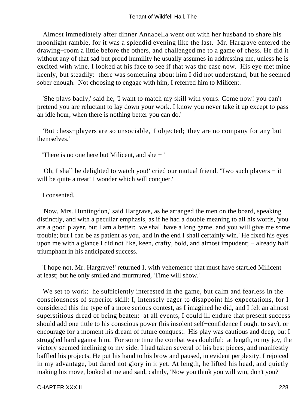Almost immediately after dinner Annabella went out with her husband to share his moonlight ramble, for it was a splendid evening like the last. Mr. Hargrave entered the drawing−room a little before the others, and challenged me to a game of chess. He did it without any of that sad but proud humility he usually assumes in addressing me, unless he is excited with wine. I looked at his face to see if that was the case now. His eye met mine keenly, but steadily: there was something about him I did not understand, but he seemed sober enough. Not choosing to engage with him, I referred him to Milicent.

 'She plays badly,' said he, 'I want to match my skill with yours. Come now! you can't pretend you are reluctant to lay down your work. I know you never take it up except to pass an idle hour, when there is nothing better you can do.'

 'But chess−players are so unsociable,' I objected; 'they are no company for any but themselves.'

'There is no one here but Milicent, and she − '

 'Oh, I shall be delighted to watch you!' cried our mutual friend. 'Two such players − it will be quite a treat! I wonder which will conquer.'

I consented.

 'Now, Mrs. Huntingdon,' said Hargrave, as he arranged the men on the board, speaking distinctly, and with a peculiar emphasis, as if he had a double meaning to all his words, 'you are a good player, but I am a better: we shall have a long game, and you will give me some trouble; but I can be as patient as you, and in the end I shall certainly win.' He fixed his eyes upon me with a glance I did not like, keen, crafty, bold, and almost impudent; – already half triumphant in his anticipated success.

 'I hope not, Mr. Hargrave!' returned I, with vehemence that must have startled Milicent at least; but he only smiled and murmured, 'Time will show.'

We set to work: he sufficiently interested in the game, but calm and fearless in the consciousness of superior skill: I, intensely eager to disappoint his expectations, for I considered this the type of a more serious contest, as I imagined he did, and I felt an almost superstitious dread of being beaten: at all events, I could ill endure that present success should add one tittle to his conscious power (his insolent self−confidence I ought to say), or encourage for a moment his dream of future conquest. His play was cautious and deep, but I struggled hard against him. For some time the combat was doubtful: at length, to my joy, the victory seemed inclining to my side: I had taken several of his best pieces, and manifestly baffled his projects. He put his hand to his brow and paused, in evident perplexity. I rejoiced in my advantage, but dared not glory in it yet. At length, he lifted his head, and quietly making his move, looked at me and said, calmly, 'Now you think you will win, don't you?'

CHAPTER XXXIII 228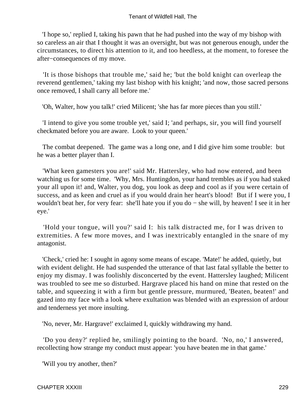'I hope so,' replied I, taking his pawn that he had pushed into the way of my bishop with so careless an air that I thought it was an oversight, but was not generous enough, under the circumstances, to direct his attention to it, and too heedless, at the moment, to foresee the after−consequences of my move.

 'It is those bishops that trouble me,' said he; 'but the bold knight can overleap the reverend gentlemen,' taking my last bishop with his knight; 'and now, those sacred persons once removed, I shall carry all before me.'

'Oh, Walter, how you talk!' cried Milicent; 'she has far more pieces than you still.'

 'I intend to give you some trouble yet,' said I; 'and perhaps, sir, you will find yourself checkmated before you are aware. Look to your queen.'

 The combat deepened. The game was a long one, and I did give him some trouble: but he was a better player than I.

 'What keen gamesters you are!' said Mr. Hattersley, who had now entered, and been watching us for some time. 'Why, Mrs. Huntingdon, your hand trembles as if you had staked your all upon it! and, Walter, you dog, you look as deep and cool as if you were certain of success, and as keen and cruel as if you would drain her heart's blood! But if I were you, I wouldn't beat her, for very fear: she'll hate you if you do − she will, by heaven! I see it in her eye.'

 'Hold your tongue, will you?' said I: his talk distracted me, for I was driven to extremities. A few more moves, and I was inextricably entangled in the snare of my antagonist.

 'Check,' cried he: I sought in agony some means of escape. 'Mate!' he added, quietly, but with evident delight. He had suspended the utterance of that last fatal syllable the better to enjoy my dismay. I was foolishly disconcerted by the event. Hattersley laughed; Milicent was troubled to see me so disturbed. Hargrave placed his hand on mine that rested on the table, and squeezing it with a firm but gentle pressure, murmured, 'Beaten, beaten!' and gazed into my face with a look where exultation was blended with an expression of ardour and tenderness yet more insulting.

'No, never, Mr. Hargrave!' exclaimed I, quickly withdrawing my hand.

 'Do you deny?' replied he, smilingly pointing to the board. 'No, no,' I answered, recollecting how strange my conduct must appear: 'you have beaten me in that game.'

'Will you try another, then?'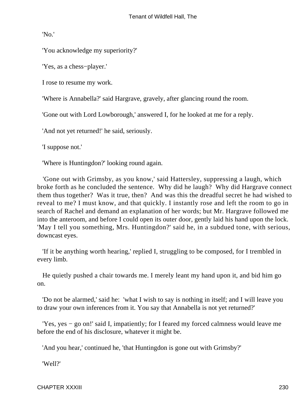'No.'

'You acknowledge my superiority?'

'Yes, as a chess−player.'

I rose to resume my work.

'Where is Annabella?' said Hargrave, gravely, after glancing round the room.

'Gone out with Lord Lowborough,' answered I, for he looked at me for a reply.

'And not yet returned!' he said, seriously.

'I suppose not.'

'Where is Huntingdon?' looking round again.

 'Gone out with Grimsby, as you know,' said Hattersley, suppressing a laugh, which broke forth as he concluded the sentence. Why did he laugh? Why did Hargrave connect them thus together? Was it true, then? And was this the dreadful secret he had wished to reveal to me? I must know, and that quickly. I instantly rose and left the room to go in search of Rachel and demand an explanation of her words; but Mr. Hargrave followed me into the anteroom, and before I could open its outer door, gently laid his hand upon the lock. 'May I tell you something, Mrs. Huntingdon?' said he, in a subdued tone, with serious, downcast eyes.

 'If it be anything worth hearing,' replied I, struggling to be composed, for I trembled in every limb.

 He quietly pushed a chair towards me. I merely leant my hand upon it, and bid him go on.

 'Do not be alarmed,' said he: 'what I wish to say is nothing in itself; and I will leave you to draw your own inferences from it. You say that Annabella is not yet returned?'

 'Yes, yes − go on!' said I, impatiently; for I feared my forced calmness would leave me before the end of his disclosure, whatever it might be.

'And you hear,' continued he, 'that Huntingdon is gone out with Grimsby?'

'Well?'

CHAPTER XXXIII 230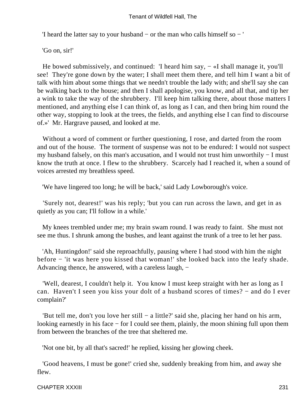'I heard the latter say to your husband − or the man who calls himself so − '

'Go on, sir!'

He bowed submissively, and continued: 'I heard him say, – «I shall manage it, you'll see! They're gone down by the water; I shall meet them there, and tell him I want a bit of talk with him about some things that we needn't trouble the lady with; and she'll say she can be walking back to the house; and then I shall apologise, you know, and all that, and tip her a wink to take the way of the shrubbery. I'll keep him talking there, about those matters I mentioned, and anything else I can think of, as long as I can, and then bring him round the other way, stopping to look at the trees, the fields, and anything else I can find to discourse of.»' Mr. Hargrave paused, and looked at me.

 Without a word of comment or further questioning, I rose, and darted from the room and out of the house. The torment of suspense was not to be endured: I would not suspect my husband falsely, on this man's accusation, and I would not trust him unworthily − I must know the truth at once. I flew to the shrubbery. Scarcely had I reached it, when a sound of voices arrested my breathless speed.

'We have lingered too long; he will be back,' said Lady Lowborough's voice.

 'Surely not, dearest!' was his reply; 'but you can run across the lawn, and get in as quietly as you can; I'll follow in a while.'

 My knees trembled under me; my brain swam round. I was ready to faint. She must not see me thus. I shrunk among the bushes, and leant against the trunk of a tree to let her pass.

 'Ah, Huntingdon!' said she reproachfully, pausing where I had stood with him the night before − 'it was here you kissed that woman!' she looked back into the leafy shade. Advancing thence, he answered, with a careless laugh, −

 'Well, dearest, I couldn't help it. You know I must keep straight with her as long as I can. Haven't I seen you kiss your dolt of a husband scores of times? − and do I ever complain?'

 'But tell me, don't you love her still − a little?' said she, placing her hand on his arm, looking earnestly in his face − for I could see them, plainly, the moon shining full upon them from between the branches of the tree that sheltered me.

'Not one bit, by all that's sacred!' he replied, kissing her glowing cheek.

 'Good heavens, I must be gone!' cried she, suddenly breaking from him, and away she flew.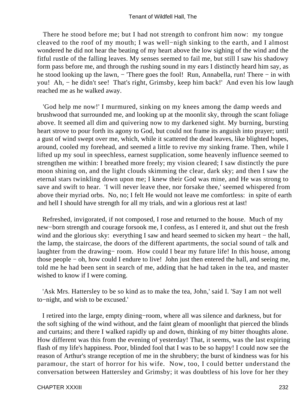There he stood before me; but I had not strength to confront him now: my tongue cleaved to the roof of my mouth; I was well−nigh sinking to the earth, and I almost wondered he did not hear the beating of my heart above the low sighing of the wind and the fitful rustle of the falling leaves. My senses seemed to fail me, but still I saw his shadowy form pass before me, and through the rushing sound in my ears I distinctly heard him say, as he stood looking up the lawn, − 'There goes the fool! Run, Annabella, run! There – in with you! Ah, − he didn't see! That's right, Grimsby, keep him back!' And even his low laugh reached me as he walked away.

 'God help me now!' I murmured, sinking on my knees among the damp weeds and brushwood that surrounded me, and looking up at the moonlit sky, through the scant foliage above. It seemed all dim and quivering now to my darkened sight. My burning, bursting heart strove to pour forth its agony to God, but could not frame its anguish into prayer; until a gust of wind swept over me, which, while it scattered the dead leaves, like blighted hopes, around, cooled my forehead, and seemed a little to revive my sinking frame. Then, while I lifted up my soul in speechless, earnest supplication, some heavenly influence seemed to strengthen me within: I breathed more freely; my vision cleared; I saw distinctly the pure moon shining on, and the light clouds skimming the clear, dark sky; and then I saw the eternal stars twinkling down upon me; I knew their God was mine, and He was strong to save and swift to hear. 'I will never leave thee, nor forsake thee,' seemed whispered from above their myriad orbs. No, no; I felt He would not leave me comfortless: in spite of earth and hell I should have strength for all my trials, and win a glorious rest at last!

 Refreshed, invigorated, if not composed, I rose and returned to the house. Much of my new−born strength and courage forsook me, I confess, as I entered it, and shut out the fresh wind and the glorious sky: everything I saw and heard seemed to sicken my heart – the hall, the lamp, the staircase, the doors of the different apartments, the social sound of talk and laughter from the drawing− room. How could I bear my future life! In this house, among those people − oh, how could I endure to live! John just then entered the hall, and seeing me, told me he had been sent in search of me, adding that he had taken in the tea, and master wished to know if I were coming.

 'Ask Mrs. Hattersley to be so kind as to make the tea, John,' said I. 'Say I am not well to−night, and wish to be excused.'

 I retired into the large, empty dining−room, where all was silence and darkness, but for the soft sighing of the wind without, and the faint gleam of moonlight that pierced the blinds and curtains; and there I walked rapidly up and down, thinking of my bitter thoughts alone. How different was this from the evening of yesterday! That, it seems, was the last expiring flash of my life's happiness. Poor, blinded fool that I was to be so happy! I could now see the reason of Arthur's strange reception of me in the shrubbery; the burst of kindness was for his paramour, the start of horror for his wife. Now, too, I could better understand the conversation between Hattersley and Grimsby; it was doubtless of his love for her they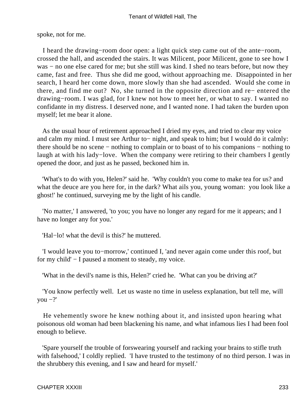spoke, not for me.

 I heard the drawing−room door open: a light quick step came out of the ante−room, crossed the hall, and ascended the stairs. It was Milicent, poor Milicent, gone to see how I was − no one else cared for me; but she still was kind. I shed no tears before, but now they came, fast and free. Thus she did me good, without approaching me. Disappointed in her search, I heard her come down, more slowly than she had ascended. Would she come in there, and find me out? No, she turned in the opposite direction and re− entered the drawing−room. I was glad, for I knew not how to meet her, or what to say. I wanted no confidante in my distress. I deserved none, and I wanted none. I had taken the burden upon myself; let me bear it alone.

 As the usual hour of retirement approached I dried my eyes, and tried to clear my voice and calm my mind. I must see Arthur to− night, and speak to him; but I would do it calmly: there should be no scene − nothing to complain or to boast of to his companions − nothing to laugh at with his lady−love. When the company were retiring to their chambers I gently opened the door, and just as he passed, beckoned him in.

 'What's to do with you, Helen?' said he. 'Why couldn't you come to make tea for us? and what the deuce are you here for, in the dark? What ails you, young woman: you look like a ghost!' he continued, surveying me by the light of his candle.

 'No matter,' I answered, 'to you; you have no longer any regard for me it appears; and I have no longer any for you.'

'Hal−lo! what the devil is this?' he muttered.

 'I would leave you to−morrow,' continued I, 'and never again come under this roof, but for my child' − I paused a moment to steady, my voice.

'What in the devil's name is this, Helen?' cried he. 'What can you be driving at?'

 'You know perfectly well. Let us waste no time in useless explanation, but tell me, will you  $-$ ?'

 He vehemently swore he knew nothing about it, and insisted upon hearing what poisonous old woman had been blackening his name, and what infamous lies I had been fool enough to believe.

 'Spare yourself the trouble of forswearing yourself and racking your brains to stifle truth with falsehood,' I coldly replied. 'I have trusted to the testimony of no third person. I was in the shrubbery this evening, and I saw and heard for myself.'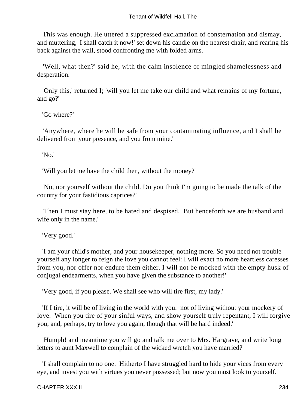This was enough. He uttered a suppressed exclamation of consternation and dismay, and muttering, 'I shall catch it now!' set down his candle on the nearest chair, and rearing his back against the wall, stood confronting me with folded arms.

 'Well, what then?' said he, with the calm insolence of mingled shamelessness and desperation.

 'Only this,' returned I; 'will you let me take our child and what remains of my fortune, and go?'

'Go where?'

 'Anywhere, where he will be safe from your contaminating influence, and I shall be delivered from your presence, and you from mine.'

'No.'

'Will you let me have the child then, without the money?'

 'No, nor yourself without the child. Do you think I'm going to be made the talk of the country for your fastidious caprices?'

 'Then I must stay here, to be hated and despised. But henceforth we are husband and wife only in the name.'

'Very good.'

 'I am your child's mother, and your housekeeper, nothing more. So you need not trouble yourself any longer to feign the love you cannot feel: I will exact no more heartless caresses from you, nor offer nor endure them either. I will not be mocked with the empty husk of conjugal endearments, when you have given the substance to another!'

'Very good, if you please. We shall see who will tire first, my lady.'

 'If I tire, it will be of living in the world with you: not of living without your mockery of love. When you tire of your sinful ways, and show yourself truly repentant, I will forgive you, and, perhaps, try to love you again, though that will be hard indeed.'

 'Humph! and meantime you will go and talk me over to Mrs. Hargrave, and write long letters to aunt Maxwell to complain of the wicked wretch you have married?'

 'I shall complain to no one. Hitherto I have struggled hard to hide your vices from every eye, and invest you with virtues you never possessed; but now you must look to yourself.'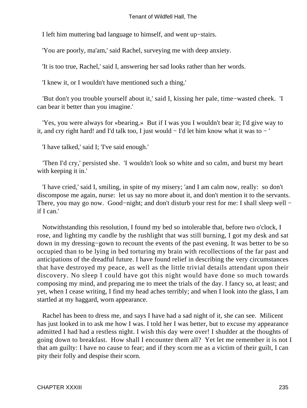I left him muttering bad language to himself, and went up−stairs.

'You are poorly, ma'am,' said Rachel, surveying me with deep anxiety.

'It is too true, Rachel,' said I, answering her sad looks rather than her words.

'I knew it, or I wouldn't have mentioned such a thing.'

 'But don't you trouble yourself about it,' said I, kissing her pale, time−wasted cheek. 'I can bear it better than you imagine.'

 'Yes, you were always for «bearing.» But if I was you I wouldn't bear it; I'd give way to it, and cry right hard! and I'd talk too, I just would − I'd let him know what it was to − '

'I have talked,' said I; 'I've said enough.'

 'Then I'd cry,' persisted she. 'I wouldn't look so white and so calm, and burst my heart with keeping it in.'

 'I have cried,' said I, smiling, in spite of my misery; 'and I am calm now, really: so don't discompose me again, nurse: let us say no more about it, and don't mention it to the servants. There, you may go now. Good–night; and don't disturb your rest for me: I shall sleep well − if I can.'

 Notwithstanding this resolution, I found my bed so intolerable that, before two o'clock, I rose, and lighting my candle by the rushlight that was still burning, I got my desk and sat down in my dressing−gown to recount the events of the past evening. It was better to be so occupied than to be lying in bed torturing my brain with recollections of the far past and anticipations of the dreadful future. I have found relief in describing the very circumstances that have destroyed my peace, as well as the little trivial details attendant upon their discovery. No sleep I could have got this night would have done so much towards composing my mind, and preparing me to meet the trials of the day. I fancy so, at least; and yet, when I cease writing, I find my head aches terribly; and when I look into the glass, I am startled at my haggard, worn appearance.

 Rachel has been to dress me, and says I have had a sad night of it, she can see. Milicent has just looked in to ask me how I was. I told her I was better, but to excuse my appearance admitted I had had a restless night. I wish this day were over! I shudder at the thoughts of going down to breakfast. How shall I encounter them all? Yet let me remember it is not I that am guilty: I have no cause to fear; and if they scorn me as a victim of their guilt, I can pity their folly and despise their scorn.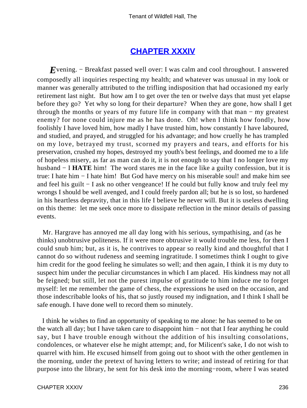# **[CHAPTER XXXIV](#page-379-0)**

*E*vening. – Breakfast passed well over: I was calm and cool throughout. I answered composedly all inquiries respecting my health; and whatever was unusual in my look or manner was generally attributed to the trifling indisposition that had occasioned my early retirement last night. But how am I to get over the ten or twelve days that must yet elapse before they go? Yet why so long for their departure? When they are gone, how shall I get through the months or years of my future life in company with that man − my greatest enemy? for none could injure me as he has done. Oh! when I think how fondly, how foolishly I have loved him, how madly I have trusted him, how constantly I have laboured, and studied, and prayed, and struggled for his advantage; and how cruelly he has trampled on my love, betrayed my trust, scorned my prayers and tears, and efforts for his preservation, crushed my hopes, destroyed my youth's best feelings, and doomed me to a life of hopeless misery, as far as man can do it, it is not enough to say that I no longer love my husband − I **HATE** him! The word stares me in the face like a guilty confession, but it is true: I hate him − I hate him! But God have mercy on his miserable soul! and make him see and feel his guilt − I ask no other vengeance! If he could but fully know and truly feel my wrongs I should be well avenged, and I could freely pardon all; but he is so lost, so hardened in his heartless depravity, that in this life I believe he never will. But it is useless dwelling on this theme: let me seek once more to dissipate reflection in the minor details of passing events.

 Mr. Hargrave has annoyed me all day long with his serious, sympathising, and (as he thinks) unobtrusive politeness. If it were more obtrusive it would trouble me less, for then I could snub him; but, as it is, he contrives to appear so really kind and thoughtful that I cannot do so without rudeness and seeming ingratitude. I sometimes think I ought to give him credit for the good feeling he simulates so well; and then again, I think it is my duty to suspect him under the peculiar circumstances in which I am placed. His kindness may not all be feigned; but still, let not the purest impulse of gratitude to him induce me to forget myself: let me remember the game of chess, the expressions he used on the occasion, and those indescribable looks of his, that so justly roused my indignation, and I think I shall be safe enough. I have done well to record them so minutely.

 I think he wishes to find an opportunity of speaking to me alone: he has seemed to be on the watch all day; but I have taken care to disappoint him − not that I fear anything he could say, but I have trouble enough without the addition of his insulting consolations, condolences, or whatever else he might attempt; and, for Milicent's sake, I do not wish to quarrel with him. He excused himself from going out to shoot with the other gentlemen in the morning, under the pretext of having letters to write; and instead of retiring for that purpose into the library, he sent for his desk into the morning−room, where I was seated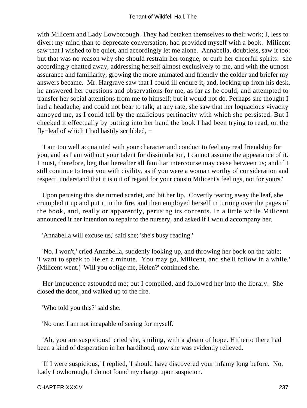with Milicent and Lady Lowborough. They had betaken themselves to their work; I, less to divert my mind than to deprecate conversation, had provided myself with a book. Milicent saw that I wished to be quiet, and accordingly let me alone. Annabella, doubtless, saw it too: but that was no reason why she should restrain her tongue, or curb her cheerful spirits: she accordingly chatted away, addressing herself almost exclusively to me, and with the utmost assurance and familiarity, growing the more animated and friendly the colder and briefer my answers became. Mr. Hargrave saw that I could ill endure it, and, looking up from his desk, he answered her questions and observations for me, as far as he could, and attempted to transfer her social attentions from me to himself; but it would not do. Perhaps she thought I had a headache, and could not bear to talk; at any rate, she saw that her loquacious vivacity annoyed me, as I could tell by the malicious pertinacity with which she persisted. But I checked it effectually by putting into her hand the book I had been trying to read, on the fly−leaf of which I had hastily scribbled, −

 'I am too well acquainted with your character and conduct to feel any real friendship for you, and as I am without your talent for dissimulation, I cannot assume the appearance of it. I must, therefore, beg that hereafter all familiar intercourse may cease between us; and if I still continue to treat you with civility, as if you were a woman worthy of consideration and respect, understand that it is out of regard for your cousin Milicent's feelings, not for yours.'

 Upon perusing this she turned scarlet, and bit her lip. Covertly tearing away the leaf, she crumpled it up and put it in the fire, and then employed herself in turning over the pages of the book, and, really or apparently, perusing its contents. In a little while Milicent announced it her intention to repair to the nursery, and asked if I would accompany her.

'Annabella will excuse us,' said she; 'she's busy reading.'

 'No, I won't,' cried Annabella, suddenly looking up, and throwing her book on the table; 'I want to speak to Helen a minute. You may go, Milicent, and she'll follow in a while.' (Milicent went.) 'Will you oblige me, Helen?' continued she.

 Her impudence astounded me; but I complied, and followed her into the library. She closed the door, and walked up to the fire.

'Who told you this?' said she.

'No one: I am not incapable of seeing for myself.'

 'Ah, you are suspicious!' cried she, smiling, with a gleam of hope. Hitherto there had been a kind of desperation in her hardihood; now she was evidently relieved.

 'If I were suspicious,' I replied, 'I should have discovered your infamy long before. No, Lady Lowborough, I do not found my charge upon suspicion.'

CHAPTER XXXIV 237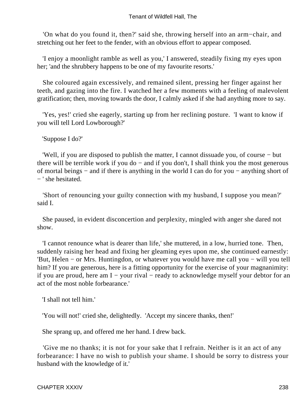'On what do you found it, then?' said she, throwing herself into an arm−chair, and stretching out her feet to the fender, with an obvious effort to appear composed.

 'I enjoy a moonlight ramble as well as you,' I answered, steadily fixing my eyes upon her; 'and the shrubbery happens to be one of my favourite resorts.'

 She coloured again excessively, and remained silent, pressing her finger against her teeth, and gazing into the fire. I watched her a few moments with a feeling of malevolent gratification; then, moving towards the door, I calmly asked if she had anything more to say.

 'Yes, yes!' cried she eagerly, starting up from her reclining posture. 'I want to know if you will tell Lord Lowborough?'

'Suppose I do?'

 'Well, if you are disposed to publish the matter, I cannot dissuade you, of course − but there will be terrible work if you do – and if you don't, I shall think you the most generous of mortal beings − and if there is anything in the world I can do for you − anything short of − ' she hesitated.

 'Short of renouncing your guilty connection with my husband, I suppose you mean?' said I.

 She paused, in evident disconcertion and perplexity, mingled with anger she dared not show.

 'I cannot renounce what is dearer than life,' she muttered, in a low, hurried tone. Then, suddenly raising her head and fixing her gleaming eyes upon me, she continued earnestly: 'But, Helen − or Mrs. Huntingdon, or whatever you would have me call you − will you tell him? If you are generous, here is a fitting opportunity for the exercise of your magnanimity: if you are proud, here am I − your rival − ready to acknowledge myself your debtor for an act of the most noble forbearance.'

'I shall not tell him.'

'You will not!' cried she, delightedly. 'Accept my sincere thanks, then!'

She sprang up, and offered me her hand. I drew back.

 'Give me no thanks; it is not for your sake that I refrain. Neither is it an act of any forbearance: I have no wish to publish your shame. I should be sorry to distress your husband with the knowledge of it.'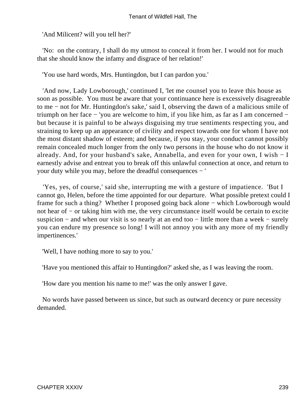'And Milicent? will you tell her?'

 'No: on the contrary, I shall do my utmost to conceal it from her. I would not for much that she should know the infamy and disgrace of her relation!'

'You use hard words, Mrs. Huntingdon, but I can pardon you.'

 'And now, Lady Lowborough,' continued I, 'let me counsel you to leave this house as soon as possible. You must be aware that your continuance here is excessively disagreeable to me − not for Mr. Huntingdon's sake,' said I, observing the dawn of a malicious smile of triumph on her face − 'you are welcome to him, if you like him, as far as I am concerned − but because it is painful to be always disguising my true sentiments respecting you, and straining to keep up an appearance of civility and respect towards one for whom I have not the most distant shadow of esteem; and because, if you stay, your conduct cannot possibly remain concealed much longer from the only two persons in the house who do not know it already. And, for your husband's sake, Annabella, and even for your own, I wish − I earnestly advise and entreat you to break off this unlawful connection at once, and return to your duty while you may, before the dreadful consequences − '

 'Yes, yes, of course,' said she, interrupting me with a gesture of impatience. 'But I cannot go, Helen, before the time appointed for our departure. What possible pretext could I frame for such a thing? Whether I proposed going back alone – which Lowborough would not hear of – or taking him with me, the very circumstance itself would be certain to excite suspicion – and when our visit is so nearly at an end too – little more than a week – surely you can endure my presence so long! I will not annoy you with any more of my friendly impertinences.'

'Well, I have nothing more to say to you.'

'Have you mentioned this affair to Huntingdon?' asked she, as I was leaving the room.

'How dare you mention his name to me!' was the only answer I gave.

 No words have passed between us since, but such as outward decency or pure necessity demanded.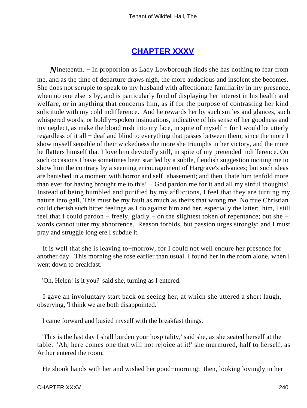## **[CHAPTER XXXV](#page-379-0)**

*N*ineteenth. – In proportion as Lady Lowborough finds she has nothing to fear from me, and as the time of departure draws nigh, the more audacious and insolent she becomes. She does not scruple to speak to my husband with affectionate familiarity in my presence, when no one else is by, and is particularly fond of displaying her interest in his health and welfare, or in anything that concerns him, as if for the purpose of contrasting her kind solicitude with my cold indifference. And he rewards her by such smiles and glances, such whispered words, or boldly−spoken insinuations, indicative of his sense of her goodness and my neglect, as make the blood rush into my face, in spite of myself − for I would be utterly regardless of it all − deaf and blind to everything that passes between them, since the more I show myself sensible of their wickedness the more she triumphs in her victory, and the more he flatters himself that I love him devotedly still, in spite of my pretended indifference. On such occasions I have sometimes been startled by a subtle, fiendish suggestion inciting me to show him the contrary by a seeming encouragement of Hargrave's advances; but such ideas are banished in a moment with horror and self−abasement; and then I hate him tenfold more than ever for having brought me to this! – God pardon me for it and all my sinful thoughts! Instead of being humbled and purified by my afflictions, I feel that they are turning my nature into gall. This must be my fault as much as theirs that wrong me. No true Christian could cherish such bitter feelings as I do against him and her, especially the latter: him, I still feel that I could pardon – freely, gladly – on the slightest token of repentance; but she – words cannot utter my abhorrence. Reason forbids, but passion urges strongly; and I must pray and struggle long ere I subdue it.

 It is well that she is leaving to−morrow, for I could not well endure her presence for another day. This morning she rose earlier than usual. I found her in the room alone, when I went down to breakfast.

'Oh, Helen! is it you?' said she, turning as I entered.

 I gave an involuntary start back on seeing her, at which she uttered a short laugh, observing, 'I think we are both disappointed.'

I came forward and busied myself with the breakfast things.

 'This is the last day I shall burden your hospitality,' said she, as she seated herself at the table. 'Ah, here comes one that will not rejoice at it!' she murmured, half to herself, as Arthur entered the room.

He shook hands with her and wished her good−morning: then, looking lovingly in her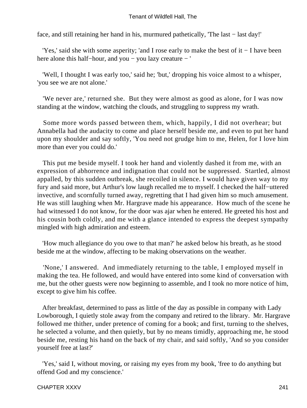face, and still retaining her hand in his, murmured pathetically, 'The last − last day!'

 'Yes,' said she with some asperity; 'and I rose early to make the best of it − I have been here alone this half−hour, and you − you lazy creature − '

 'Well, I thought I was early too,' said he; 'but,' dropping his voice almost to a whisper, 'you see we are not alone.'

 'We never are,' returned she. But they were almost as good as alone, for I was now standing at the window, watching the clouds, and struggling to suppress my wrath.

 Some more words passed between them, which, happily, I did not overhear; but Annabella had the audacity to come and place herself beside me, and even to put her hand upon my shoulder and say softly, 'You need not grudge him to me, Helen, for I love him more than ever you could do.'

 This put me beside myself. I took her hand and violently dashed it from me, with an expression of abhorrence and indignation that could not be suppressed. Startled, almost appalled, by this sudden outbreak, she recoiled in silence. I would have given way to my fury and said more, but Arthur's low laugh recalled me to myself. I checked the half−uttered invective, and scornfully turned away, regretting that I had given him so much amusement. He was still laughing when Mr. Hargrave made his appearance. How much of the scene he had witnessed I do not know, for the door was ajar when he entered. He greeted his host and his cousin both coldly, and me with a glance intended to express the deepest sympathy mingled with high admiration and esteem.

 'How much allegiance do you owe to that man?' he asked below his breath, as he stood beside me at the window, affecting to be making observations on the weather.

 'None,' I answered. And immediately returning to the table, I employed myself in making the tea. He followed, and would have entered into some kind of conversation with me, but the other guests were now beginning to assemble, and I took no more notice of him, except to give him his coffee.

 After breakfast, determined to pass as little of the day as possible in company with Lady Lowborough, I quietly stole away from the company and retired to the library. Mr. Hargrave followed me thither, under pretence of coming for a book; and first, turning to the shelves, he selected a volume, and then quietly, but by no means timidly, approaching me, he stood beside me, resting his hand on the back of my chair, and said softly, 'And so you consider yourself free at last?'

 'Yes,' said I, without moving, or raising my eyes from my book, 'free to do anything but offend God and my conscience.'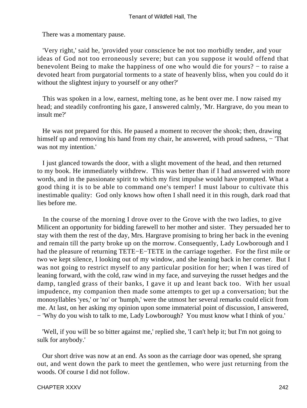There was a momentary pause.

 'Very right,' said he, 'provided your conscience be not too morbidly tender, and your ideas of God not too erroneously severe; but can you suppose it would offend that benevolent Being to make the happiness of one who would die for yours? − to raise a devoted heart from purgatorial torments to a state of heavenly bliss, when you could do it without the slightest injury to yourself or any other?'

 This was spoken in a low, earnest, melting tone, as he bent over me. I now raised my head; and steadily confronting his gaze, I answered calmly, 'Mr. Hargrave, do you mean to insult me?'

 He was not prepared for this. He paused a moment to recover the shook; then, drawing himself up and removing his hand from my chair, he answered, with proud sadness, − 'That was not my intention.'

 I just glanced towards the door, with a slight movement of the head, and then returned to my book. He immediately withdrew. This was better than if I had answered with more words, and in the passionate spirit to which my first impulse would have prompted. What a good thing it is to be able to command one's temper! I must labour to cultivate this inestimable quality: God only knows how often I shall need it in this rough, dark road that lies before me.

 In the course of the morning I drove over to the Grove with the two ladies, to give Milicent an opportunity for bidding farewell to her mother and sister. They persuaded her to stay with them the rest of the day, Mrs. Hargrave promising to bring her back in the evening and remain till the party broke up on the morrow. Consequently, Lady Lowborough and I had the pleasure of returning TETE−E−TETE in the carriage together. For the first mile or two we kept silence, I looking out of my window, and she leaning back in her corner. But I was not going to restrict myself to any particular position for her; when I was tired of leaning forward, with the cold, raw wind in my face, and surveying the russet hedges and the damp, tangled grass of their banks, I gave it up and leant back too. With her usual impudence, my companion then made some attempts to get up a conversation; but the monosyllables 'yes,' or 'no' or 'humph,' were the utmost her several remarks could elicit from me. At last, on her asking my opinion upon some immaterial point of discussion, I answered, − 'Why do you wish to talk to me, Lady Lowborough? You must know what I think of you.'

 'Well, if you will be so bitter against me,' replied she, 'I can't help it; but I'm not going to sulk for anybody.'

 Our short drive was now at an end. As soon as the carriage door was opened, she sprang out, and went down the park to meet the gentlemen, who were just returning from the woods. Of course I did not follow.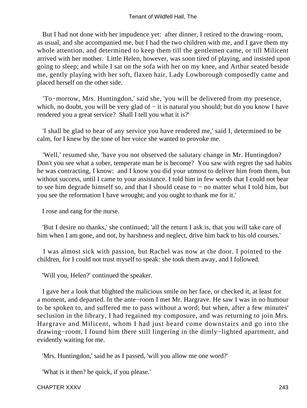But I had not done with her impudence yet: after dinner, I retired to the drawing−room, as usual, and she accompanied me, but I had the two children with me, and I gave them my whole attention, and determined to keep them till the gentlemen came, or till Milicent arrived with her mother. Little Helen, however, was soon tired of playing, and insisted upon going to sleep; and while I sat on the sofa with her on my knee, and Arthur seated beside me, gently playing with her soft, flaxen hair, Lady Lowborough composedly came and placed herself on the other side.

 'To−morrow, Mrs. Huntingdon,' said she, 'you will be delivered from my presence, which, no doubt, you will be very glad of – it is natural you should; but do you know I have rendered you a great service? Shall I tell you what it is?'

 'I shall be glad to hear of any service you have rendered me,' said I, determined to be calm, for I knew by the tone of her voice she wanted to provoke me.

 'Well,' resumed she, 'have you not observed the salutary change in Mr. Huntingdon? Don't you see what a sober, temperate man he is become? You saw with regret the sad habits he was contracting, I know: and I know you did your utmost to deliver him from them, but without success, until I came to your assistance. I told him in few words that I could not bear to see him degrade himself so, and that I should cease to − no matter what I told him, but you see the reformation I have wrought; and you ought to thank me for it.'

I rose and rang for the nurse.

 'But I desire no thanks,' she continued; 'all the return I ask is, that you will take care of him when I am gone, and not, by harshness and neglect, drive him back to his old courses.'

 I was almost sick with passion, but Rachel was now at the door. I pointed to the children, for I could not trust myself to speak: she took them away, and I followed.

'Will you, Helen?' continued the speaker.

 I gave her a look that blighted the malicious smile on her face, or checked it, at least for a moment, and departed. In the ante−room I met Mr. Hargrave. He saw I was in no humour to be spoken to, and suffered me to pass without a word; but when, after a few minutes' seclusion in the library, I had regained my composure, and was returning to join Mrs. Hargrave and Milicent, whom I had just heard come downstairs and go into the drawing−room, I found him there still lingering in the dimly−lighted apartment, and evidently waiting for me.

'Mrs. Huntingdon,' said he as I passed, 'will you allow me one word?'

'What is it then? be quick, if you please.'

#### CHAPTER XXXV 243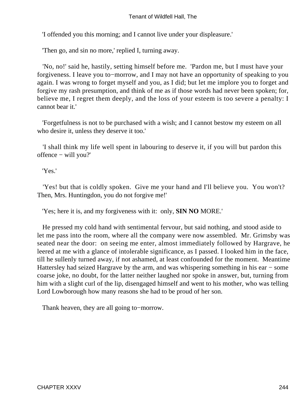'I offended you this morning; and I cannot live under your displeasure.'

'Then go, and sin no more,' replied I, turning away.

 'No, no!' said he, hastily, setting himself before me. 'Pardon me, but I must have your forgiveness. I leave you to−morrow, and I may not have an opportunity of speaking to you again. I was wrong to forget myself and you, as I did; but let me implore you to forget and forgive my rash presumption, and think of me as if those words had never been spoken; for, believe me, I regret them deeply, and the loss of your esteem is too severe a penalty: I cannot bear it.'

 'Forgetfulness is not to be purchased with a wish; and I cannot bestow my esteem on all who desire it, unless they deserve it too.'

 'I shall think my life well spent in labouring to deserve it, if you will but pardon this offence − will you?'

'Yes.'

 'Yes! but that is coldly spoken. Give me your hand and I'll believe you. You won't? Then, Mrs. Huntingdon, you do not forgive me!'

'Yes; here it is, and my forgiveness with it: only, **SIN NO** MORE.'

 He pressed my cold hand with sentimental fervour, but said nothing, and stood aside to let me pass into the room, where all the company were now assembled. Mr. Grimsby was seated near the door: on seeing me enter, almost immediately followed by Hargrave, he leered at me with a glance of intolerable significance, as I passed. I looked him in the face, till he sullenly turned away, if not ashamed, at least confounded for the moment. Meantime Hattersley had seized Hargrave by the arm, and was whispering something in his ear − some coarse joke, no doubt, for the latter neither laughed nor spoke in answer, but, turning from him with a slight curl of the lip, disengaged himself and went to his mother, who was telling Lord Lowborough how many reasons she had to be proud of her son.

Thank heaven, they are all going to−morrow.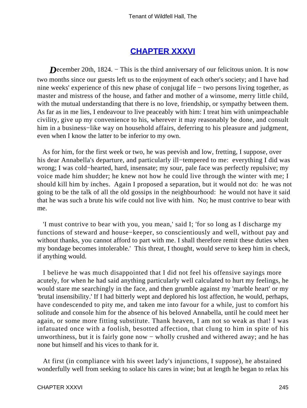# **[CHAPTER XXXVI](#page-379-0)**

*D*ecember 20th, 1824. – This is the third anniversary of our felicitous union. It is now two months since our guests left us to the enjoyment of each other's society; and I have had nine weeks' experience of this new phase of conjugal life − two persons living together, as master and mistress of the house, and father and mother of a winsome, merry little child, with the mutual understanding that there is no love, friendship, or sympathy between them. As far as in me lies, I endeavour to live peaceably with him: I treat him with unimpeachable civility, give up my convenience to his, wherever it may reasonably be done, and consult him in a business−like way on household affairs, deferring to his pleasure and judgment, even when I know the latter to be inferior to my own.

 As for him, for the first week or two, he was peevish and low, fretting, I suppose, over his dear Annabella's departure, and particularly ill−tempered to me: everything I did was wrong; I was cold−hearted, hard, insensate; my sour, pale face was perfectly repulsive; my voice made him shudder; he knew not how he could live through the winter with me; I should kill him by inches. Again I proposed a separation, but it would not do: he was not going to be the talk of all the old gossips in the neighbourhood: he would not have it said that he was such a brute his wife could not live with him. No; he must contrive to bear with me.

 'I must contrive to bear with you, you mean,' said I; 'for so long as I discharge my functions of steward and house−keeper, so conscientiously and well, without pay and without thanks, you cannot afford to part with me. I shall therefore remit these duties when my bondage becomes intolerable.' This threat, I thought, would serve to keep him in check, if anything would.

 I believe he was much disappointed that I did not feel his offensive sayings more acutely, for when he had said anything particularly well calculated to hurt my feelings, he would stare me searchingly in the face, and then grumble against my 'marble heart' or my 'brutal insensibility.' If I had bitterly wept and deplored his lost affection, he would, perhaps, have condescended to pity me, and taken me into favour for a while, just to comfort his solitude and console him for the absence of his beloved Annabella, until he could meet her again, or some more fitting substitute. Thank heaven, I am not so weak as that! I was infatuated once with a foolish, besotted affection, that clung to him in spite of his unworthiness, but it is fairly gone now − wholly crushed and withered away; and he has none but himself and his vices to thank for it.

 At first (in compliance with his sweet lady's injunctions, I suppose), he abstained wonderfully well from seeking to solace his cares in wine; but at length he began to relax his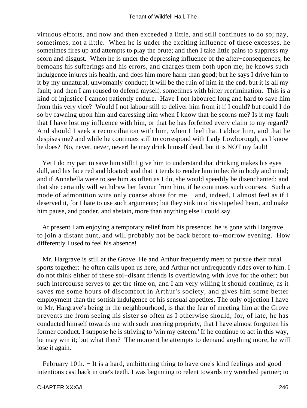virtuous efforts, and now and then exceeded a little, and still continues to do so; nay, sometimes, not a little. When he is under the exciting influence of these excesses, he sometimes fires up and attempts to play the brute; and then I take little pains to suppress my scorn and disgust. When he is under the depressing influence of the after−consequences, he bemoans his sufferings and his errors, and charges them both upon me; he knows such indulgence injures his health, and does him more harm than good; but he says I drive him to it by my unnatural, unwomanly conduct; it will be the ruin of him in the end, but it is all my fault; and then I am roused to defend myself, sometimes with bitter recrimination. This is a kind of injustice I cannot patiently endure. Have I not laboured long and hard to save him from this very vice? Would I not labour still to deliver him from it if I could? but could I do so by fawning upon him and caressing him when I know that he scorns me? Is it my fault that I have lost my influence with him, or that he has forfeited every claim to my regard? And should I seek a reconciliation with him, when I feel that I abhor him, and that he despises me? and while he continues still to correspond with Lady Lowborough, as I know he does? No, never, never, never! he may drink himself dead, but it is NOT my fault!

 Yet I do my part to save him still: I give him to understand that drinking makes his eyes dull, and his face red and bloated; and that it tends to render him imbecile in body and mind; and if Annabella were to see him as often as I do, she would speedily be disenchanted; and that she certainly will withdraw her favour from him, if he continues such courses. Such a mode of admonition wins only coarse abuse for me − and, indeed, I almost feel as if I deserved it, for I hate to use such arguments; but they sink into his stupefied heart, and make him pause, and ponder, and abstain, more than anything else I could say.

 At present I am enjoying a temporary relief from his presence: he is gone with Hargrave to join a distant hunt, and will probably not be back before to−morrow evening. How differently I used to feel his absence!

 Mr. Hargrave is still at the Grove. He and Arthur frequently meet to pursue their rural sports together: he often calls upon us here, and Arthur not unfrequently rides over to him. I do not think either of these soi−disant friends is overflowing with love for the other; but such intercourse serves to get the time on, and I am very willing it should continue, as it saves me some hours of discomfort in Arthur's society, and gives him some better employment than the sottish indulgence of his sensual appetites. The only objection I have to Mr. Hargrave's being in the neighbourhood, is that the fear of meeting him at the Grove prevents me from seeing his sister so often as I otherwise should; for, of late, he has conducted himself towards me with such unerring propriety, that I have almost forgotten his former conduct. I suppose he is striving to 'win my esteem.' If he continue to act in this way, he may win it; but what then? The moment he attempts to demand anything more, he will lose it again.

 February 10th. − It is a hard, embittering thing to have one's kind feelings and good intentions cast back in one's teeth. I was beginning to relent towards my wretched partner; to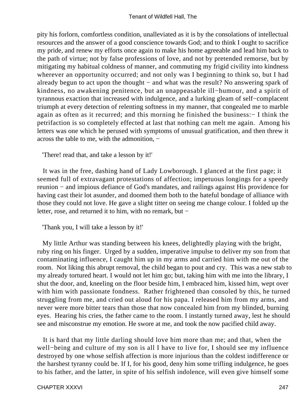pity his forlorn, comfortless condition, unalleviated as it is by the consolations of intellectual resources and the answer of a good conscience towards God; and to think I ought to sacrifice my pride, and renew my efforts once again to make his home agreeable and lead him back to the path of virtue; not by false professions of love, and not by pretended remorse, but by mitigating my habitual coldness of manner, and commuting my frigid civility into kindness wherever an opportunity occurred; and not only was I beginning to think so, but I had already begun to act upon the thought − and what was the result? No answering spark of kindness, no awakening penitence, but an unappeasable ill−humour, and a spirit of tyrannous exaction that increased with indulgence, and a lurking gleam of self−complacent triumph at every detection of relenting softness in my manner, that congealed me to marble again as often as it recurred; and this morning he finished the business:− I think the petrifaction is so completely effected at last that nothing can melt me again. Among his letters was one which he perused with symptoms of unusual gratification, and then threw it across the table to me, with the admonition, −

'There! read that, and take a lesson by it!'

 It was in the free, dashing hand of Lady Lowborough. I glanced at the first page; it seemed full of extravagant protestations of affection; impetuous longings for a speedy reunion − and impious defiance of God's mandates, and railings against His providence for having cast their lot asunder, and doomed them both to the hateful bondage of alliance with those they could not love. He gave a slight titter on seeing me change colour. I folded up the letter, rose, and returned it to him, with no remark, but −

'Thank you, I will take a lesson by it!'

 My little Arthur was standing between his knees, delightedly playing with the bright, ruby ring on his finger. Urged by a sudden, imperative impulse to deliver my son from that contaminating influence, I caught him up in my arms and carried him with me out of the room. Not liking this abrupt removal, the child began to pout and cry. This was a new stab to my already tortured heart. I would not let him go; but, taking him with me into the library, I shut the door, and, kneeling on the floor beside him, I embraced him, kissed him, wept over with him with passionate fondness. Rather frightened than consoled by this, he turned struggling from me, and cried out aloud for his papa. I released him from my arms, and never were more bitter tears than those that now concealed him from my blinded, burning eyes. Hearing his cries, the father came to the room. I instantly turned away, lest he should see and misconstrue my emotion. He swore at me, and took the now pacified child away.

 It is hard that my little darling should love him more than me; and that, when the well−being and culture of my son is all I have to live for, I should see my influence destroyed by one whose selfish affection is more injurious than the coldest indifference or the harshest tyranny could be. If I, for his good, deny him some trifling indulgence, he goes to his father, and the latter, in spite of his selfish indolence, will even give himself some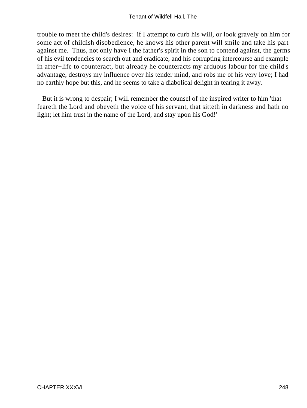trouble to meet the child's desires: if I attempt to curb his will, or look gravely on him for some act of childish disobedience, he knows his other parent will smile and take his part against me. Thus, not only have I the father's spirit in the son to contend against, the germs of his evil tendencies to search out and eradicate, and his corrupting intercourse and example in after−life to counteract, but already he counteracts my arduous labour for the child's advantage, destroys my influence over his tender mind, and robs me of his very love; I had no earthly hope but this, and he seems to take a diabolical delight in tearing it away.

 But it is wrong to despair; I will remember the counsel of the inspired writer to him 'that feareth the Lord and obeyeth the voice of his servant, that sitteth in darkness and hath no light; let him trust in the name of the Lord, and stay upon his God!'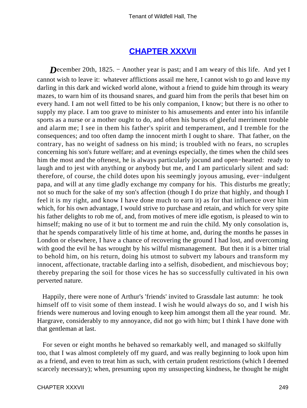## **[CHAPTER XXXVII](#page-379-0)**

*D*ecember 20th, 1825. – Another year is past; and I am weary of this life. And yet I cannot wish to leave it: whatever afflictions assail me here, I cannot wish to go and leave my darling in this dark and wicked world alone, without a friend to guide him through its weary mazes, to warn him of its thousand snares, and guard him from the perils that beset him on every hand. I am not well fitted to be his only companion, I know; but there is no other to supply my place. I am too grave to minister to his amusements and enter into his infantile sports as a nurse or a mother ought to do, and often his bursts of gleeful merriment trouble and alarm me; I see in them his father's spirit and temperament, and I tremble for the consequences; and too often damp the innocent mirth I ought to share. That father, on the contrary, has no weight of sadness on his mind; is troubled with no fears, no scruples concerning his son's future welfare; and at evenings especially, the times when the child sees him the most and the oftenest, he is always particularly jocund and open−hearted: ready to laugh and to jest with anything or anybody but me, and I am particularly silent and sad: therefore, of course, the child dotes upon his seemingly joyous amusing, ever−indulgent papa, and will at any time gladly exchange my company for his. This disturbs me greatly; not so much for the sake of my son's affection (though I do prize that highly, and though I feel it is my right, and know I have done much to earn it) as for that influence over him which, for his own advantage, I would strive to purchase and retain, and which for very spite his father delights to rob me of, and, from motives of mere idle egotism, is pleased to win to himself; making no use of it but to torment me and ruin the child. My only consolation is, that he spends comparatively little of his time at home, and, during the months he passes in London or elsewhere, I have a chance of recovering the ground I had lost, and overcoming with good the evil he has wrought by his wilful mismanagement. But then it is a bitter trial to behold him, on his return, doing his utmost to subvert my labours and transform my innocent, affectionate, tractable darling into a selfish, disobedient, and mischievous boy; thereby preparing the soil for those vices he has so successfully cultivated in his own perverted nature.

 Happily, there were none of Arthur's 'friends' invited to Grassdale last autumn: he took himself off to visit some of them instead. I wish he would always do so, and I wish his friends were numerous and loving enough to keep him amongst them all the year round. Mr. Hargrave, considerably to my annoyance, did not go with him; but I think I have done with that gentleman at last.

 For seven or eight months he behaved so remarkably well, and managed so skilfully too, that I was almost completely off my guard, and was really beginning to look upon him as a friend, and even to treat him as such, with certain prudent restrictions (which I deemed scarcely necessary); when, presuming upon my unsuspecting kindness, he thought he might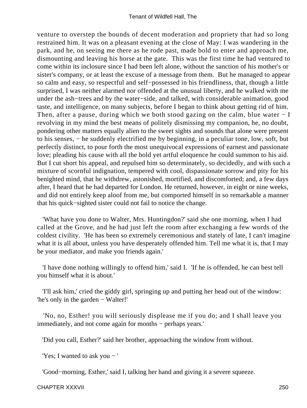venture to overstep the bounds of decent moderation and propriety that had so long restrained him. It was on a pleasant evening at the close of May: I was wandering in the park, and he, on seeing me there as he rode past, made bold to enter and approach me, dismounting and leaving his horse at the gate. This was the first time he had ventured to come within its inclosure since I had been left alone, without the sanction of his mother's or sister's company, or at least the excuse of a message from them. But he managed to appear so calm and easy, so respectful and self−possessed in his friendliness, that, though a little surprised, I was neither alarmed nor offended at the unusual liberty, and he walked with me under the ash−trees and by the water−side, and talked, with considerable animation, good taste, and intelligence, on many subjects, before I began to think about getting rid of him. Then, after a pause, during which we both stood gazing on the calm, blue water − I revolving in my mind the best means of politely dismissing my companion, he, no doubt, pondering other matters equally alien to the sweet sights and sounds that alone were present to his senses, − he suddenly electrified me by beginning, in a peculiar tone, low, soft, but perfectly distinct, to pour forth the most unequivocal expressions of earnest and passionate love; pleading his cause with all the bold yet artful eloquence he could summon to his aid. But I cut short his appeal, and repulsed him so determinately, so decidedly, and with such a mixture of scornful indignation, tempered with cool, dispassionate sorrow and pity for his benighted mind, that he withdrew, astonished, mortified, and discomforted; and, a few days after, I heard that he had departed for London. He returned, however, in eight or nine weeks, and did not entirely keep aloof from me, but comported himself in so remarkable a manner that his quick−sighted sister could not fail to notice the change.

 'What have you done to Walter, Mrs. Huntingdon?' said she one morning, when I had called at the Grove, and he had just left the room after exchanging a few words of the coldest civility. 'He has been so extremely ceremonious and stately of late, I can't imagine what it is all about, unless you have desperately offended him. Tell me what it is, that I may be your mediator, and make you friends again.'

 'I have done nothing willingly to offend him,' said I. 'If he is offended, he can best tell you himself what it is about.'

 'I'll ask him,' cried the giddy girl, springing up and putting her head out of the window: 'he's only in the garden − Walter!'

 'No, no, Esther! you will seriously displease me if you do; and I shall leave you immediately, and not come again for months − perhaps years.'

'Did you call, Esther?' said her brother, approaching the window from without.

'Yes; I wanted to ask you − '

'Good−morning, Esther,' said I, talking her hand and giving it a severe squeeze.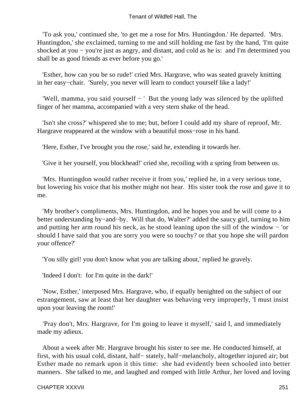'To ask you,' continued she, 'to get me a rose for Mrs. Huntingdon.' He departed. 'Mrs. Huntingdon,' she exclaimed, turning to me and still holding me fast by the hand, 'I'm quite shocked at you − you're just as angry, and distant, and cold as he is: and I'm determined you shall be as good friends as ever before you go.'

 'Esther, how can you be so rude!' cried Mrs. Hargrave, who was seated gravely knitting in her easy−chair. 'Surely, you never will learn to conduct yourself like a lady!'

 'Well, mamma, you said yourself − ' But the young lady was silenced by the uplifted finger of her mamma, accompanied with a very stern shake of the head.

 'Isn't she cross?' whispered she to me; but, before I could add my share of reproof, Mr. Hargrave reappeared at the window with a beautiful moss−rose in his hand.

'Here, Esther, I've brought you the rose,' said he, extending it towards her.

'Give it her yourself, you blockhead!' cried she, recoiling with a spring from between us.

 'Mrs. Huntingdon would rather receive it from you,' replied he, in a very serious tone, but lowering his voice that his mother might not hear. His sister took the rose and gave it to me.

 'My brother's compliments, Mrs. Huntingdon, and he hopes you and he will come to a better understanding by−and−by. Will that do, Walter?' added the saucy girl, turning to him and putting her arm round his neck, as he stood leaning upon the sill of the window − 'or should I have said that you are sorry you were so touchy? or that you hope she will pardon your offence?'

'You silly girl! you don't know what you are talking about,' replied he gravely.

'Indeed I don't: for I'm quite in the dark!'

 'Now, Esther,' interposed Mrs. Hargrave, who, if equally benighted on the subject of our estrangement, saw at least that her daughter was behaving very improperly, 'I must insist upon your leaving the room!'

 'Pray don't, Mrs. Hargrave, for I'm going to leave it myself,' said I, and immediately made my adieux.

 About a week after Mr. Hargrave brought his sister to see me. He conducted himself, at first, with his usual cold, distant, half− stately, half−melancholy, altogether injured air; but Esther made no remark upon it this time: she had evidently been schooled into better manners. She talked to me, and laughed and romped with little Arthur, her loved and loving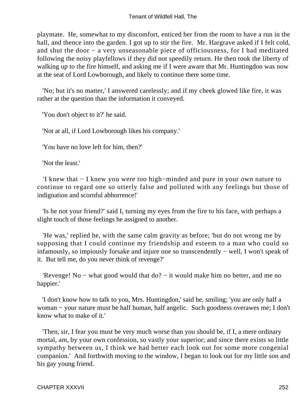playmate. He, somewhat to my discomfort, enticed her from the room to have a run in the hall, and thence into the garden. I got up to stir the fire. Mr. Hargrave asked if I felt cold, and shut the door − a very unseasonable piece of officiousness, for I had meditated following the noisy playfellows if they did not speedily return. He then took the liberty of walking up to the fire himself, and asking me if I were aware that Mr. Huntingdon was now at the seat of Lord Lowborough, and likely to continue there some time.

 'No; but it's no matter,' I answered carelessly; and if my cheek glowed like fire, it was rather at the question than the information it conveyed.

'You don't object to it?' he said.

'Not at all, if Lord Lowborough likes his company.'

'You have no love left for him, then?'

'Not the least.'

 'I knew that − I knew you were too high−minded and pure in your own nature to continue to regard one so utterly false and polluted with any feelings but those of indignation and scornful abhorrence!'

 'Is he not your friend?' said I, turning my eyes from the fire to his face, with perhaps a slight touch of those feelings he assigned to another.

 'He was,' replied he, with the same calm gravity as before; 'but do not wrong me by supposing that I could continue my friendship and esteem to a man who could so infamously, so impiously forsake and injure one so transcendently − well, I won't speak of it. But tell me, do you never think of revenge?'

 'Revenge! No − what good would that do? − it would make him no better, and me no happier.'

 'I don't know how to talk to you, Mrs. Huntingdon,' said he, smiling; 'you are only half a woman − your nature must be half human, half angelic. Such goodness overawes me; I don't know what to make of it.'

 'Then, sir, I fear you must be very much worse than you should be, if I, a mere ordinary mortal, am, by your own confession, so vastly your superior; and since there exists so little sympathy between us, I think we had better each look out for some more congenial companion.' And forthwith moving to the window, I began to look out for my little son and his gay young friend.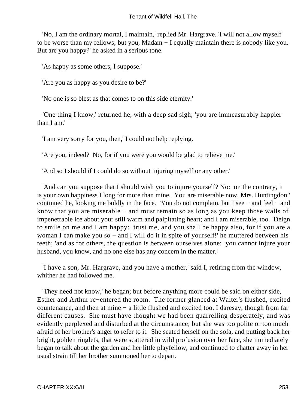'No, I am the ordinary mortal, I maintain,' replied Mr. Hargrave. 'I will not allow myself to be worse than my fellows; but you, Madam − I equally maintain there is nobody like you. But are you happy?' he asked in a serious tone.

'As happy as some others, I suppose.'

'Are you as happy as you desire to be?'

'No one is so blest as that comes to on this side eternity.'

 'One thing I know,' returned he, with a deep sad sigh; 'you are immeasurably happier than I am.'

'I am very sorry for you, then,' I could not help replying.

'Are you, indeed? No, for if you were you would be glad to relieve me.'

'And so I should if I could do so without injuring myself or any other.'

 'And can you suppose that I should wish you to injure yourself? No: on the contrary, it is your own happiness I long for more than mine. You are miserable now, Mrs. Huntingdon,' continued he, looking me boldly in the face. 'You do not complain, but I see − and feel − and know that you are miserable − and must remain so as long as you keep those walls of impenetrable ice about your still warm and palpitating heart; and I am miserable, too. Deign to smile on me and I am happy: trust me, and you shall be happy also, for if you are a woman I can make you so − and I will do it in spite of yourself!' he muttered between his teeth; 'and as for others, the question is between ourselves alone: you cannot injure your husband, you know, and no one else has any concern in the matter.'

 'I have a son, Mr. Hargrave, and you have a mother,' said I, retiring from the window, whither he had followed me.

 'They need not know,' he began; but before anything more could be said on either side, Esther and Arthur re−entered the room. The former glanced at Walter's flushed, excited countenance, and then at mine − a little flushed and excited too, I daresay, though from far different causes. She must have thought we had been quarrelling desperately, and was evidently perplexed and disturbed at the circumstance; but she was too polite or too much afraid of her brother's anger to refer to it. She seated herself on the sofa, and putting back her bright, golden ringlets, that were scattered in wild profusion over her face, she immediately began to talk about the garden and her little playfellow, and continued to chatter away in her usual strain till her brother summoned her to depart.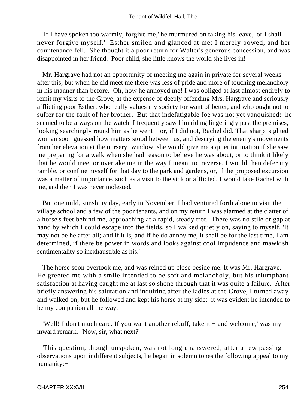'If I have spoken too warmly, forgive me,' he murmured on taking his leave, 'or I shall never forgive myself.' Esther smiled and glanced at me: I merely bowed, and her countenance fell. She thought it a poor return for Walter's generous concession, and was disappointed in her friend. Poor child, she little knows the world she lives in!

 Mr. Hargrave had not an opportunity of meeting me again in private for several weeks after this; but when he did meet me there was less of pride and more of touching melancholy in his manner than before. Oh, how he annoyed me! I was obliged at last almost entirely to remit my visits to the Grove, at the expense of deeply offending Mrs. Hargrave and seriously afflicting poor Esther, who really values my society for want of better, and who ought not to suffer for the fault of her brother. But that indefatigable foe was not yet vanquished: he seemed to be always on the watch. I frequently saw him riding lingeringly past the premises, looking searchingly round him as he went − or, if I did not, Rachel did. That sharp−sighted woman soon guessed how matters stood between us, and descrying the enemy's movements from her elevation at the nursery−window, she would give me a quiet intimation if she saw me preparing for a walk when she had reason to believe he was about, or to think it likely that he would meet or overtake me in the way I meant to traverse. I would then defer my ramble, or confine myself for that day to the park and gardens, or, if the proposed excursion was a matter of importance, such as a visit to the sick or afflicted, I would take Rachel with me, and then I was never molested.

 But one mild, sunshiny day, early in November, I had ventured forth alone to visit the village school and a few of the poor tenants, and on my return I was alarmed at the clatter of a horse's feet behind me, approaching at a rapid, steady trot. There was no stile or gap at hand by which I could escape into the fields, so I walked quietly on, saying to myself, 'It may not be he after all; and if it is, and if he do annoy me, it shall be for the last time, I am determined, if there be power in words and looks against cool impudence and mawkish sentimentality so inexhaustible as his.'

 The horse soon overtook me, and was reined up close beside me. It was Mr. Hargrave. He greeted me with a smile intended to be soft and melancholy, but his triumphant satisfaction at having caught me at last so shone through that it was quite a failure. After briefly answering his salutation and inquiring after the ladies at the Grove, I turned away and walked on; but he followed and kept his horse at my side: it was evident he intended to be my companion all the way.

 'Well! I don't much care. If you want another rebuff, take it − and welcome,' was my inward remark. 'Now, sir, what next?'

 This question, though unspoken, was not long unanswered; after a few passing observations upon indifferent subjects, he began in solemn tones the following appeal to my humanity:−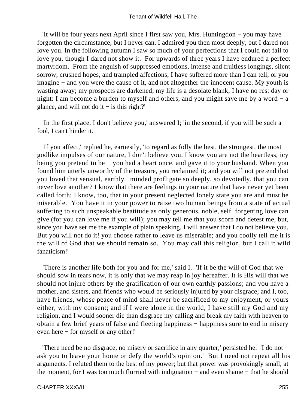'It will be four years next April since I first saw you, Mrs. Huntingdon − you may have forgotten the circumstance, but I never can. I admired you then most deeply, but I dared not love you. In the following autumn I saw so much of your perfections that I could not fail to love you, though I dared not show it. For upwards of three years I have endured a perfect martyrdom. From the anguish of suppressed emotions, intense and fruitless longings, silent sorrow, crushed hopes, and trampled affections, I have suffered more than I can tell, or you imagine − and you were the cause of it, and not altogether the innocent cause. My youth is wasting away; my prospects are darkened; my life is a desolate blank; I have no rest day or night: I am become a burden to myself and others, and you might save me by a word − a glance, and will not do it  $-$  is this right?'

 'In the first place, I don't believe you,' answered I; 'in the second, if you will be such a fool, I can't hinder it.'

 'If you affect,' replied he, earnestly, 'to regard as folly the best, the strongest, the most godlike impulses of our nature, I don't believe you. I know you are not the heartless, icy being you pretend to be − you had a heart once, and gave it to your husband. When you found him utterly unworthy of the treasure, you reclaimed it; and you will not pretend that you loved that sensual, earthly− minded profligate so deeply, so devotedly, that you can never love another? I know that there are feelings in your nature that have never yet been called forth; I know, too, that in your present neglected lonely state you are and must be miserable. You have it in your power to raise two human beings from a state of actual suffering to such unspeakable beatitude as only generous, noble, self−forgetting love can give (for you can love me if you will); you may tell me that you scorn and detest me, but, since you have set me the example of plain speaking, I will answer that I do not believe you. But you will not do it! you choose rather to leave us miserable; and you coolly tell me it is the will of God that we should remain so. You may call this religion, but I call it wild fanaticism!'

 'There is another life both for you and for me,' said I. 'If it be the will of God that we should sow in tears now, it is only that we may reap in joy hereafter. It is His will that we should not injure others by the gratification of our own earthly passions; and you have a mother, and sisters, and friends who would be seriously injured by your disgrace; and I, too, have friends, whose peace of mind shall never be sacrificed to my enjoyment, or yours either, with my consent; and if I were alone in the world, I have still my God and my religion, and I would sooner die than disgrace my calling and break my faith with heaven to obtain a few brief years of false and fleeting happiness − happiness sure to end in misery even here − for myself or any other!'

 'There need be no disgrace, no misery or sacrifice in any quarter,' persisted he. 'I do not ask you to leave your home or defy the world's opinion.' But I need not repeat all his arguments. I refuted them to the best of my power; but that power was provokingly small, at the moment, for I was too much flurried with indignation − and even shame − that he should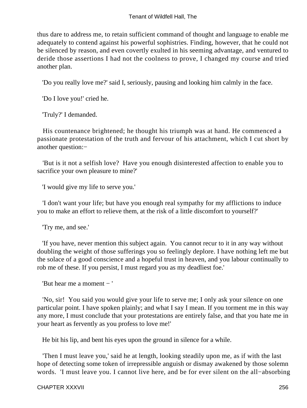thus dare to address me, to retain sufficient command of thought and language to enable me adequately to contend against his powerful sophistries. Finding, however, that he could not be silenced by reason, and even covertly exulted in his seeming advantage, and ventured to deride those assertions I had not the coolness to prove, I changed my course and tried another plan.

'Do you really love me?' said I, seriously, pausing and looking him calmly in the face.

'Do I love you!' cried he.

'Truly?' I demanded.

 His countenance brightened; he thought his triumph was at hand. He commenced a passionate protestation of the truth and fervour of his attachment, which I cut short by another question:−

 'But is it not a selfish love? Have you enough disinterested affection to enable you to sacrifice your own pleasure to mine?'

'I would give my life to serve you.'

 'I don't want your life; but have you enough real sympathy for my afflictions to induce you to make an effort to relieve them, at the risk of a little discomfort to yourself?'

'Try me, and see.'

 'If you have, never mention this subject again. You cannot recur to it in any way without doubling the weight of those sufferings you so feelingly deplore. I have nothing left me but the solace of a good conscience and a hopeful trust in heaven, and you labour continually to rob me of these. If you persist, I must regard you as my deadliest foe.'

'But hear me a moment − '

 'No, sir! You said you would give your life to serve me; I only ask your silence on one particular point. I have spoken plainly; and what I say I mean. If you torment me in this way any more, I must conclude that your protestations are entirely false, and that you hate me in your heart as fervently as you profess to love me!'

He bit his lip, and bent his eyes upon the ground in silence for a while.

 'Then I must leave you,' said he at length, looking steadily upon me, as if with the last hope of detecting some token of irrepressible anguish or dismay awakened by those solemn words. 'I must leave you. I cannot live here, and be for ever silent on the all−absorbing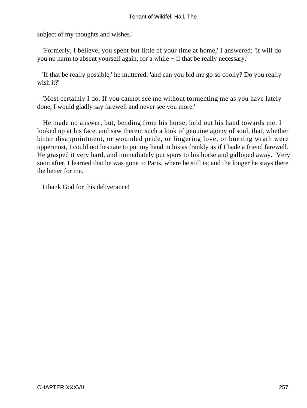subject of my thoughts and wishes.'

 'Formerly, I believe, you spent but little of your time at home,' I answered; 'it will do you no harm to absent yourself again, for a while − if that be really necessary.'

 'If that be really possible,' he muttered; 'and can you bid me go so coolly? Do you really wish it?'

 'Most certainly I do. If you cannot see me without tormenting me as you have lately done, I would gladly say farewell and never see you more.'

 He made no answer, but, bending from his horse, held out his hand towards me. I looked up at his face, and saw therein such a look of genuine agony of soul, that, whether bitter disappointment, or wounded pride, or lingering love, or burning wrath were uppermost, I could not hesitate to put my hand in his as frankly as if I bade a friend farewell. He grasped it very hard, and immediately put spurs to his horse and galloped away. Very soon after, I learned that he was gone to Paris, where he still is; and the longer he stays there the better for me.

I thank God for this deliverance!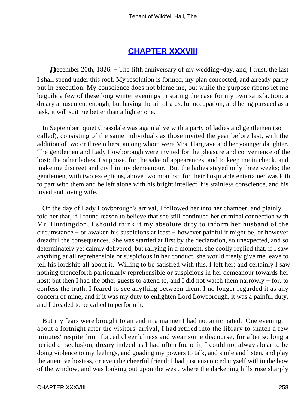### **[CHAPTER XXXVIII](#page-379-0)**

*D*ecember 20th, 1826. – The fifth anniversary of my wedding–day, and, I trust, the last I shall spend under this roof. My resolution is formed, my plan concocted, and already partly put in execution. My conscience does not blame me, but while the purpose ripens let me beguile a few of these long winter evenings in stating the case for my own satisfaction: a dreary amusement enough, but having the air of a useful occupation, and being pursued as a task, it will suit me better than a lighter one.

 In September, quiet Grassdale was again alive with a party of ladies and gentlemen (so called), consisting of the same individuals as those invited the year before last, with the addition of two or three others, among whom were Mrs. Hargrave and her younger daughter. The gentlemen and Lady Lowborough were invited for the pleasure and convenience of the host; the other ladies, I suppose, for the sake of appearances, and to keep me in check, and make me discreet and civil in my demeanour. But the ladies stayed only three weeks; the gentlemen, with two exceptions, above two months: for their hospitable entertainer was loth to part with them and be left alone with his bright intellect, his stainless conscience, and his loved and loving wife.

 On the day of Lady Lowborough's arrival, I followed her into her chamber, and plainly told her that, if I found reason to believe that she still continued her criminal connection with Mr. Huntingdon, I should think it my absolute duty to inform her husband of the circumstance − or awaken his suspicions at least − however painful it might be, or however dreadful the consequences. She was startled at first by the declaration, so unexpected, and so determinately yet calmly delivered; but rallying in a moment, she coolly replied that, if I saw anything at all reprehensible or suspicious in her conduct, she would freely give me leave to tell his lordship all about it. Willing to be satisfied with this, I left her; and certainly I saw nothing thenceforth particularly reprehensible or suspicious in her demeanour towards her host; but then I had the other guests to attend to, and I did not watch them narrowly − for, to confess the truth, I feared to see anything between them. I no longer regarded it as any concern of mine, and if it was my duty to enlighten Lord Lowborough, it was a painful duty, and I dreaded to be called to perform it.

 But my fears were brought to an end in a manner I had not anticipated. One evening, about a fortnight after the visitors' arrival, I had retired into the library to snatch a few minutes' respite from forced cheerfulness and wearisome discourse, for after so long a period of seclusion, dreary indeed as I had often found it, I could not always bear to be doing violence to my feelings, and goading my powers to talk, and smile and listen, and play the attentive hostess, or even the cheerful friend: I had just ensconced myself within the bow of the window, and was looking out upon the west, where the darkening hills rose sharply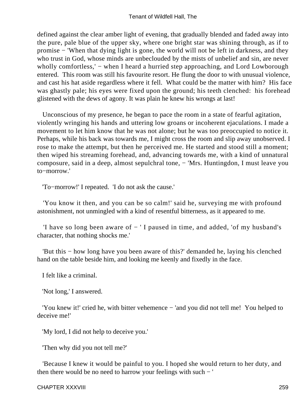defined against the clear amber light of evening, that gradually blended and faded away into the pure, pale blue of the upper sky, where one bright star was shining through, as if to promise − 'When that dying light is gone, the world will not be left in darkness, and they who trust in God, whose minds are unbeclouded by the mists of unbelief and sin, are never wholly comfortless,' – when I heard a hurried step approaching, and Lord Lowborough entered. This room was still his favourite resort. He flung the door to with unusual violence, and cast his hat aside regardless where it fell. What could be the matter with him? His face was ghastly pale; his eyes were fixed upon the ground; his teeth clenched: his forehead glistened with the dews of agony. It was plain he knew his wrongs at last!

 Unconscious of my presence, he began to pace the room in a state of fearful agitation, violently wringing his hands and uttering low groans or incoherent ejaculations. I made a movement to let him know that he was not alone; but he was too preoccupied to notice it. Perhaps, while his back was towards me, I might cross the room and slip away unobserved. I rose to make the attempt, but then he perceived me. He started and stood still a moment; then wiped his streaming forehead, and, advancing towards me, with a kind of unnatural composure, said in a deep, almost sepulchral tone, − 'Mrs. Huntingdon, I must leave you to−morrow.'

'To−morrow!' I repeated. 'I do not ask the cause.'

 'You know it then, and you can be so calm!' said he, surveying me with profound astonishment, not unmingled with a kind of resentful bitterness, as it appeared to me.

 'I have so long been aware of − ' I paused in time, and added, 'of my husband's character, that nothing shocks me.'

 'But this − how long have you been aware of this?' demanded he, laying his clenched hand on the table beside him, and looking me keenly and fixedly in the face.

I felt like a criminal.

'Not long,' I answered.

 'You knew it!' cried he, with bitter vehemence − 'and you did not tell me! You helped to deceive me!'

'My lord, I did not help to deceive you.'

'Then why did you not tell me?'

 'Because I knew it would be painful to you. I hoped she would return to her duty, and then there would be no need to harrow your feelings with such − '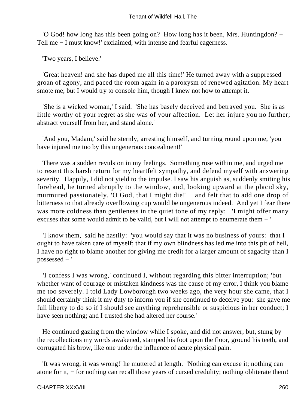'O God! how long has this been going on? How long has it been, Mrs. Huntingdon? − Tell me − I must know!' exclaimed, with intense and fearful eagerness.

'Two years, I believe.'

 'Great heaven! and she has duped me all this time!' He turned away with a suppressed groan of agony, and paced the room again in a paroxysm of renewed agitation. My heart smote me; but I would try to console him, though I knew not how to attempt it.

 'She is a wicked woman,' I said. 'She has basely deceived and betrayed you. She is as little worthy of your regret as she was of your affection. Let her injure you no further; abstract yourself from her, and stand alone.'

 'And you, Madam,' said he sternly, arresting himself, and turning round upon me, 'you have injured me too by this ungenerous concealment!'

 There was a sudden revulsion in my feelings. Something rose within me, and urged me to resent this harsh return for my heartfelt sympathy, and defend myself with answering severity. Happily, I did not yield to the impulse. I saw his anguish as, suddenly smiting his forehead, he turned abruptly to the window, and, looking upward at the placid sky, murmured passionately, 'O God, that I might die!' – and felt that to add one drop of bitterness to that already overflowing cup would be ungenerous indeed. And yet I fear there was more coldness than gentleness in the quiet tone of my reply:− 'I might offer many excuses that some would admit to be valid, but I will not attempt to enumerate them − '

 'I know them,' said he hastily: 'you would say that it was no business of yours: that I ought to have taken care of myself; that if my own blindness has led me into this pit of hell, I have no right to blame another for giving me credit for a larger amount of sagacity than I possessed − '

 'I confess I was wrong,' continued I, without regarding this bitter interruption; 'but whether want of courage or mistaken kindness was the cause of my error, I think you blame me too severely. I told Lady Lowborough two weeks ago, the very hour she came, that I should certainly think it my duty to inform you if she continued to deceive you: she gave me full liberty to do so if I should see anything reprehensible or suspicious in her conduct; I have seen nothing; and I trusted she had altered her course.'

 He continued gazing from the window while I spoke, and did not answer, but, stung by the recollections my words awakened, stamped his foot upon the floor, ground his teeth, and corrugated his brow, like one under the influence of acute physical pain.

 'It was wrong, it was wrong!' he muttered at length. 'Nothing can excuse it; nothing can atone for it, − for nothing can recall those years of cursed credulity; nothing obliterate them!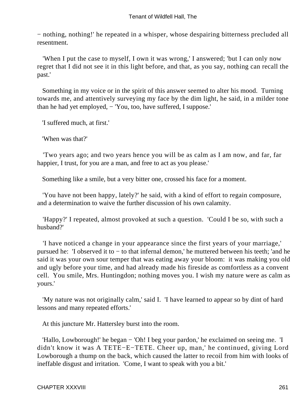− nothing, nothing!' he repeated in a whisper, whose despairing bitterness precluded all resentment.

 'When I put the case to myself, I own it was wrong,' I answered; 'but I can only now regret that I did not see it in this light before, and that, as you say, nothing can recall the past.'

 Something in my voice or in the spirit of this answer seemed to alter his mood. Turning towards me, and attentively surveying my face by the dim light, he said, in a milder tone than he had yet employed, − 'You, too, have suffered, I suppose.'

'I suffered much, at first.'

'When was that?'

 'Two years ago; and two years hence you will be as calm as I am now, and far, far happier, I trust, for you are a man, and free to act as you please.'

Something like a smile, but a very bitter one, crossed his face for a moment.

 'You have not been happy, lately?' he said, with a kind of effort to regain composure, and a determination to waive the further discussion of his own calamity.

 'Happy?' I repeated, almost provoked at such a question. 'Could I be so, with such a husband?'

 'I have noticed a change in your appearance since the first years of your marriage,' pursued he: 'I observed it to − to that infernal demon,' he muttered between his teeth; 'and he said it was your own sour temper that was eating away your bloom: it was making you old and ugly before your time, and had already made his fireside as comfortless as a convent cell. You smile, Mrs. Huntingdon; nothing moves you. I wish my nature were as calm as yours.'

 'My nature was not originally calm,' said I. 'I have learned to appear so by dint of hard lessons and many repeated efforts.'

At this juncture Mr. Hattersley burst into the room.

 'Hallo, Lowborough!' he began − 'Oh! I beg your pardon,' he exclaimed on seeing me. 'I didn't know it was A TETE−E−TETE. Cheer up, man,' he continued, giving Lord Lowborough a thump on the back, which caused the latter to recoil from him with looks of ineffable disgust and irritation. 'Come, I want to speak with you a bit.'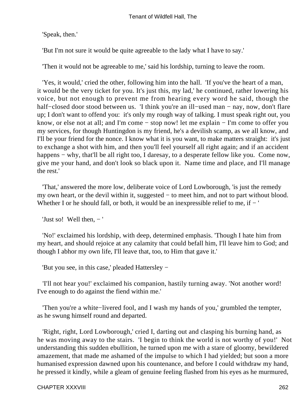'Speak, then.'

'But I'm not sure it would be quite agreeable to the lady what I have to say.'

'Then it would not be agreeable to me,' said his lordship, turning to leave the room.

 'Yes, it would,' cried the other, following him into the hall. 'If you've the heart of a man, it would be the very ticket for you. It's just this, my lad,' he continued, rather lowering his voice, but not enough to prevent me from hearing every word he said, though the half−closed door stood between us. 'I think you're an ill−used man − nay, now, don't flare up; I don't want to offend you: it's only my rough way of talking. I must speak right out, you know, or else not at all; and I'm come − stop now! let me explain − I'm come to offer you my services, for though Huntingdon is my friend, he's a devilish scamp, as we all know, and I'll be your friend for the nonce. I know what it is you want, to make matters straight: it's just to exchange a shot with him, and then you'll feel yourself all right again; and if an accident happens – why, that'll be all right too, I daresay, to a desperate fellow like you. Come now, give me your hand, and don't look so black upon it. Name time and place, and I'll manage the rest.'

 'That,' answered the more low, deliberate voice of Lord Lowborough, 'is just the remedy my own heart, or the devil within it, suggested – to meet him, and not to part without blood. Whether I or he should fall, or both, it would be an inexpressible relief to me, if − '

'Just so! Well then,  $-$ '

 'No!' exclaimed his lordship, with deep, determined emphasis. 'Though I hate him from my heart, and should rejoice at any calamity that could befall him, I'll leave him to God; and though I abhor my own life, I'll leave that, too, to Him that gave it.'

'But you see, in this case,' pleaded Hattersley −

 'I'll not hear you!' exclaimed his companion, hastily turning away. 'Not another word! I've enough to do against the fiend within me.'

 'Then you're a white−livered fool, and I wash my hands of you,' grumbled the tempter, as he swung himself round and departed.

 'Right, right, Lord Lowborough,' cried I, darting out and clasping his burning hand, as he was moving away to the stairs. 'I begin to think the world is not worthy of you!' Not understanding this sudden ebullition, he turned upon me with a stare of gloomy, bewildered amazement, that made me ashamed of the impulse to which I had yielded; but soon a more humanised expression dawned upon his countenance, and before I could withdraw my hand, he pressed it kindly, while a gleam of genuine feeling flashed from his eyes as he murmured,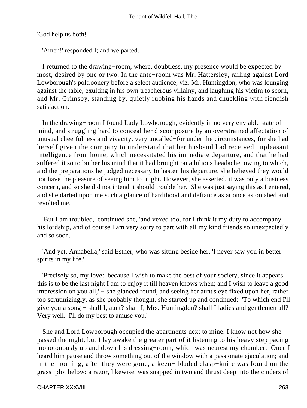'God help us both!'

'Amen!' responded I; and we parted.

 I returned to the drawing−room, where, doubtless, my presence would be expected by most, desired by one or two. In the ante−room was Mr. Hattersley, railing against Lord Lowborough's poltroonery before a select audience, viz. Mr. Huntingdon, who was lounging against the table, exulting in his own treacherous villainy, and laughing his victim to scorn, and Mr. Grimsby, standing by, quietly rubbing his hands and chuckling with fiendish satisfaction.

 In the drawing−room I found Lady Lowborough, evidently in no very enviable state of mind, and struggling hard to conceal her discomposure by an overstrained affectation of unusual cheerfulness and vivacity, very uncalled−for under the circumstances, for she had herself given the company to understand that her husband had received unpleasant intelligence from home, which necessitated his immediate departure, and that he had suffered it so to bother his mind that it had brought on a bilious headache, owing to which, and the preparations he judged necessary to hasten his departure, she believed they would not have the pleasure of seeing him to−night. However, she asserted, it was only a business concern, and so she did not intend it should trouble her. She was just saying this as I entered, and she darted upon me such a glance of hardihood and defiance as at once astonished and revolted me.

 'But I am troubled,' continued she, 'and vexed too, for I think it my duty to accompany his lordship, and of course I am very sorry to part with all my kind friends so unexpectedly and so soon.'

 'And yet, Annabella,' said Esther, who was sitting beside her, 'I never saw you in better spirits in my life.'

 'Precisely so, my love: because I wish to make the best of your society, since it appears this is to be the last night I am to enjoy it till heaven knows when; and I wish to leave a good impression on you all,' – she glanced round, and seeing her aunt's eye fixed upon her, rather too scrutinizingly, as she probably thought, she started up and continued: 'To which end I'll give you a song − shall I, aunt? shall I, Mrs. Huntingdon? shall I ladies and gentlemen all? Very well. I'll do my best to amuse you.'

 She and Lord Lowborough occupied the apartments next to mine. I know not how she passed the night, but I lay awake the greater part of it listening to his heavy step pacing monotonously up and down his dressing−room, which was nearest my chamber. Once I heard him pause and throw something out of the window with a passionate ejaculation; and in the morning, after they were gone, a keen− bladed clasp−knife was found on the grass−plot below; a razor, likewise, was snapped in two and thrust deep into the cinders of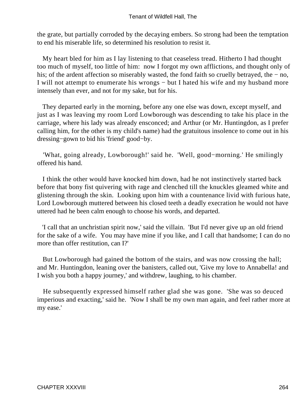the grate, but partially corroded by the decaying embers. So strong had been the temptation to end his miserable life, so determined his resolution to resist it.

 My heart bled for him as I lay listening to that ceaseless tread. Hitherto I had thought too much of myself, too little of him: now I forgot my own afflictions, and thought only of his; of the ardent affection so miserably wasted, the fond faith so cruelly betrayed, the − no, I will not attempt to enumerate his wrongs − but I hated his wife and my husband more intensely than ever, and not for my sake, but for his.

 They departed early in the morning, before any one else was down, except myself, and just as I was leaving my room Lord Lowborough was descending to take his place in the carriage, where his lady was already ensconced; and Arthur (or Mr. Huntingdon, as I prefer calling him, for the other is my child's name) had the gratuitous insolence to come out in his dressing−gown to bid his 'friend' good−by.

 'What, going already, Lowborough!' said he. 'Well, good−morning.' He smilingly offered his hand.

 I think the other would have knocked him down, had he not instinctively started back before that bony fist quivering with rage and clenched till the knuckles gleamed white and glistening through the skin. Looking upon him with a countenance livid with furious hate, Lord Lowborough muttered between his closed teeth a deadly execration he would not have uttered had he been calm enough to choose his words, and departed.

 'I call that an unchristian spirit now,' said the villain. 'But I'd never give up an old friend for the sake of a wife. You may have mine if you like, and I call that handsome; I can do no more than offer restitution, can I?'

 But Lowborough had gained the bottom of the stairs, and was now crossing the hall; and Mr. Huntingdon, leaning over the banisters, called out, 'Give my love to Annabella! and I wish you both a happy journey,' and withdrew, laughing, to his chamber.

 He subsequently expressed himself rather glad she was gone. 'She was so deuced imperious and exacting,' said he. 'Now I shall be my own man again, and feel rather more at my ease.'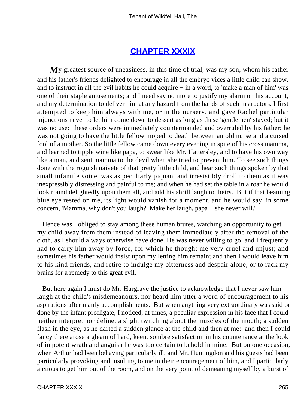### **[CHAPTER XXXIX](#page-379-0)**

My greatest source of uneasiness, in this time of trial, was my son, whom his father and his father's friends delighted to encourage in all the embryo vices a little child can show, and to instruct in all the evil habits he could acquire − in a word, to 'make a man of him' was one of their staple amusements; and I need say no more to justify my alarm on his account, and my determination to deliver him at any hazard from the hands of such instructors. I first attempted to keep him always with me, or in the nursery, and gave Rachel particular injunctions never to let him come down to dessert as long as these 'gentlemen' stayed; but it was no use: these orders were immediately countermanded and overruled by his father; he was not going to have the little fellow moped to death between an old nurse and a cursed fool of a mother. So the little fellow came down every evening in spite of his cross mamma, and learned to tipple wine like papa, to swear like Mr. Hattersley, and to have his own way like a man, and sent mamma to the devil when she tried to prevent him. To see such things done with the roguish naivete of that pretty little child, and hear such things spoken by that small infantile voice, was as peculiarly piquant and irresistibly droll to them as it was inexpressibly distressing and painful to me; and when he had set the table in a roar he would look round delightedly upon them all, and add his shrill laugh to theirs. But if that beaming blue eye rested on me, its light would vanish for a moment, and he would say, in some concern, 'Mamma, why don't you laugh? Make her laugh, papa − she never will.'

 Hence was I obliged to stay among these human brutes, watching an opportunity to get my child away from them instead of leaving them immediately after the removal of the cloth, as I should always otherwise have done. He was never willing to go, and I frequently had to carry him away by force, for which he thought me very cruel and unjust; and sometimes his father would insist upon my letting him remain; and then I would leave him to his kind friends, and retire to indulge my bitterness and despair alone, or to rack my brains for a remedy to this great evil.

 But here again I must do Mr. Hargrave the justice to acknowledge that I never saw him laugh at the child's misdemeanours, nor heard him utter a word of encouragement to his aspirations after manly accomplishments. But when anything very extraordinary was said or done by the infant profligate, I noticed, at times, a peculiar expression in his face that I could neither interpret nor define: a slight twitching about the muscles of the mouth; a sudden flash in the eye, as he darted a sudden glance at the child and then at me: and then I could fancy there arose a gleam of hard, keen, sombre satisfaction in his countenance at the look of impotent wrath and anguish he was too certain to behold in mine. But on one occasion, when Arthur had been behaving particularly ill, and Mr. Huntingdon and his guests had been particularly provoking and insulting to me in their encouragement of him, and I particularly anxious to get him out of the room, and on the very point of demeaning myself by a burst of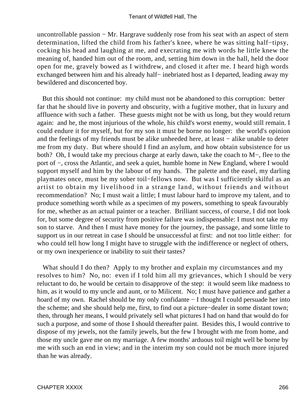uncontrollable passion − Mr. Hargrave suddenly rose from his seat with an aspect of stern determination, lifted the child from his father's knee, where he was sitting half−tipsy, cocking his head and laughing at me, and execrating me with words he little knew the meaning of, handed him out of the room, and, setting him down in the hall, held the door open for me, gravely bowed as I withdrew, and closed it after me. I heard high words exchanged between him and his already half– inebriated host as I departed, leading away my bewildered and disconcerted boy.

 But this should not continue: my child must not be abandoned to this corruption: better far that he should live in poverty and obscurity, with a fugitive mother, that in luxury and affluence with such a father. These guests might not be with us long, but they would return again: and he, the most injurious of the whole, his child's worst enemy, would still remain. I could endure it for myself, but for my son it must be borne no longer: the world's opinion and the feelings of my friends must be alike unheeded here, at least − alike unable to deter me from my duty. But where should I find an asylum, and how obtain subsistence for us both? Oh, I would take my precious charge at early dawn, take the coach to M−, flee to the port of −, cross the Atlantic, and seek a quiet, humble home in New England, where I would support myself and him by the labour of my hands. The palette and the easel, my darling playmates once, must be my sober toil−fellows now. But was I sufficiently skilful as an artist to obtain my livelihood in a strange land, without friends and without recommendation? No; I must wait a little; I must labour hard to improve my talent, and to produce something worth while as a specimen of my powers, something to speak favourably for me, whether as an actual painter or a teacher. Brilliant success, of course, I did not look for, but some degree of security from positive failure was indispensable: I must not take my son to starve. And then I must have money for the journey, the passage, and some little to support us in our retreat in case I should be unsuccessful at first: and not too little either: for who could tell how long I might have to struggle with the indifference or neglect of others, or my own inexperience or inability to suit their tastes?

What should I do then? Apply to my brother and explain my circumstances and my resolves to him? No, no: even if I told him all my grievances, which I should be very reluctant to do, he would be certain to disapprove of the step: it would seem like madness to him, as it would to my uncle and aunt, or to Milicent. No; I must have patience and gather a hoard of my own. Rachel should be my only confidante − I thought I could persuade her into the scheme; and she should help me, first, to find out a picture−dealer in some distant town; then, through her means, I would privately sell what pictures I had on hand that would do for such a purpose, and some of those I should thereafter paint. Besides this, I would contrive to dispose of my jewels, not the family jewels, but the few I brought with me from home, and those my uncle gave me on my marriage. A few months' arduous toil might well be borne by me with such an end in view; and in the interim my son could not be much more injured than he was already.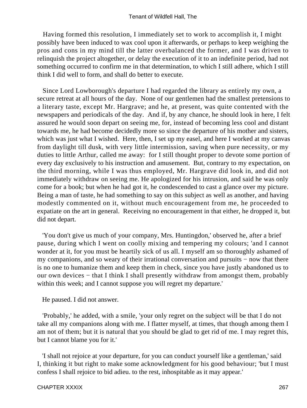Having formed this resolution, I immediately set to work to accomplish it, I might possibly have been induced to wax cool upon it afterwards, or perhaps to keep weighing the pros and cons in my mind till the latter overbalanced the former, and I was driven to relinquish the project altogether, or delay the execution of it to an indefinite period, had not something occurred to confirm me in that determination, to which I still adhere, which I still think I did well to form, and shall do better to execute.

 Since Lord Lowborough's departure I had regarded the library as entirely my own, a secure retreat at all hours of the day. None of our gentlemen had the smallest pretensions to a literary taste, except Mr. Hargrave; and he, at present, was quite contented with the newspapers and periodicals of the day. And if, by any chance, he should look in here, I felt assured he would soon depart on seeing me, for, instead of becoming less cool and distant towards me, he had become decidedly more so since the departure of his mother and sisters, which was just what I wished. Here, then, I set up my easel, and here I worked at my canvas from daylight till dusk, with very little intermission, saving when pure necessity, or my duties to little Arthur, called me away: for I still thought proper to devote some portion of every day exclusively to his instruction and amusement. But, contrary to my expectation, on the third morning, while I was thus employed, Mr. Hargrave did look in, and did not immediately withdraw on seeing me. He apologized for his intrusion, and said he was only come for a book; but when he had got it, he condescended to cast a glance over my picture. Being a man of taste, he had something to say on this subject as well as another, and having modestly commented on it, without much encouragement from me, he proceeded to expatiate on the art in general. Receiving no encouragement in that either, he dropped it, but did not depart.

 'You don't give us much of your company, Mrs. Huntingdon,' observed he, after a brief pause, during which I went on coolly mixing and tempering my colours; 'and I cannot wonder at it, for you must be heartily sick of us all. I myself am so thoroughly ashamed of my companions, and so weary of their irrational conversation and pursuits – now that there is no one to humanize them and keep them in check, since you have justly abandoned us to our own devices − that I think I shall presently withdraw from amongst them, probably within this week; and I cannot suppose you will regret my departure.'

He paused. I did not answer.

 'Probably,' he added, with a smile, 'your only regret on the subject will be that I do not take all my companions along with me. I flatter myself, at times, that though among them I am not of them; but it is natural that you should be glad to get rid of me. I may regret this, but I cannot blame you for it.'

 'I shall not rejoice at your departure, for you can conduct yourself like a gentleman,' said I, thinking it but right to make some acknowledgment for his good behaviour; 'but I must confess I shall rejoice to bid adieu. to the rest, inhospitable as it may appear.'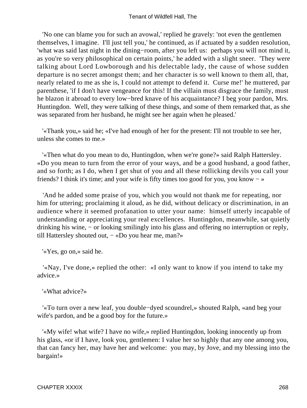'No one can blame you for such an avowal,' replied he gravely: 'not even the gentlemen themselves, I imagine. I'll just tell you,' he continued, as if actuated by a sudden resolution, 'what was said last night in the dining−room, after you left us: perhaps you will not mind it, as you're so very philosophical on certain points,' he added with a slight sneer. 'They were talking about Lord Lowborough and his delectable lady, the cause of whose sudden departure is no secret amongst them; and her character is so well known to them all, that, nearly related to me as she is, I could not attempt to defend it. Curse me!' he muttered, par parenthese, 'if I don't have vengeance for this! If the villain must disgrace the family, must he blazon it abroad to every low−bred knave of his acquaintance? I beg your pardon, Mrs. Huntingdon. Well, they were talking of these things, and some of them remarked that, as she was separated from her husband, he might see her again when he pleased.'

 '«Thank you,» said he; «I've had enough of her for the present: I'll not trouble to see her, unless she comes to me.»

 '«Then what do you mean to do, Huntingdon, when we're gone?» said Ralph Hattersley. «Do you mean to turn from the error of your ways, and be a good husband, a good father, and so forth; as I do, when I get shut of you and all these rollicking devils you call your friends? I think it's time; and your wife is fifty times too good for you, you know − »

 'And he added some praise of you, which you would not thank me for repeating, nor him for uttering; proclaiming it aloud, as he did, without delicacy or discrimination, in an audience where it seemed profanation to utter your name: himself utterly incapable of understanding or appreciating your real excellences. Huntingdon, meanwhile, sat quietly drinking his wine, – or looking smilingly into his glass and offering no interruption or reply, till Hattersley shouted out, − «Do you hear me, man?»

'«Yes, go on,» said he.

 '«Nay, I've done,» replied the other: «I only want to know if you intend to take my advice.»

'«What advice?»

 '«To turn over a new leaf, you double−dyed scoundrel,» shouted Ralph, «and beg your wife's pardon, and be a good boy for the future.»

 '«My wife! what wife? I have no wife,» replied Huntingdon, looking innocently up from his glass, «or if I have, look you, gentlemen: I value her so highly that any one among you, that can fancy her, may have her and welcome: you may, by Jove, and my blessing into the bargain!»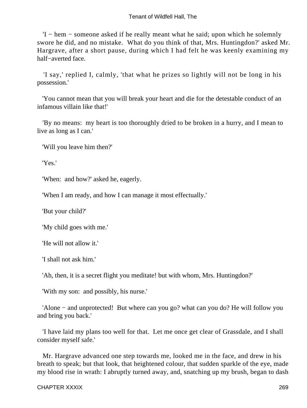### Tenant of Wildfell Hall, The

 'I − hem − someone asked if he really meant what he said; upon which he solemnly swore he did, and no mistake. What do you think of that, Mrs. Huntingdon?' asked Mr. Hargrave, after a short pause, during which I had felt he was keenly examining my half−averted face.

 'I say,' replied I, calmly, 'that what he prizes so lightly will not be long in his possession.'

 'You cannot mean that you will break your heart and die for the detestable conduct of an infamous villain like that!'

 'By no means: my heart is too thoroughly dried to be broken in a hurry, and I mean to live as long as I can.'

'Will you leave him then?'

'Yes.'

'When: and how?' asked he, eagerly.

'When I am ready, and how I can manage it most effectually.'

'But your child?'

'My child goes with me.'

'He will not allow it.'

'I shall not ask him.'

'Ah, then, it is a secret flight you meditate! but with whom, Mrs. Huntingdon?'

'With my son: and possibly, his nurse.'

 'Alone − and unprotected! But where can you go? what can you do? He will follow you and bring you back.'

 'I have laid my plans too well for that. Let me once get clear of Grassdale, and I shall consider myself safe.'

 Mr. Hargrave advanced one step towards me, looked me in the face, and drew in his breath to speak; but that look, that heightened colour, that sudden sparkle of the eye, made my blood rise in wrath: I abruptly turned away, and, snatching up my brush, began to dash

#### CHAPTER XXXIX 269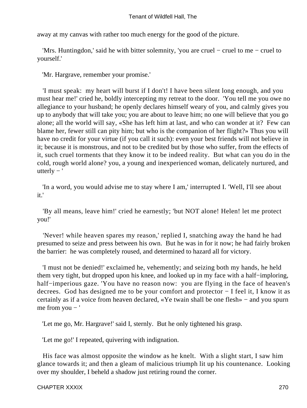away at my canvas with rather too much energy for the good of the picture.

 'Mrs. Huntingdon,' said he with bitter solemnity, 'you are cruel − cruel to me − cruel to yourself.'

'Mr. Hargrave, remember your promise.'

 'I must speak: my heart will burst if I don't! I have been silent long enough, and you must hear me!' cried he, boldly intercepting my retreat to the door. 'You tell me you owe no allegiance to your husband; he openly declares himself weary of you, and calmly gives you up to anybody that will take you; you are about to leave him; no one will believe that you go alone; all the world will say, «She has left him at last, and who can wonder at it? Few can blame her, fewer still can pity him; but who is the companion of her flight?» Thus you will have no credit for your virtue (if you call it such): even your best friends will not believe in it; because it is monstrous, and not to be credited but by those who suffer, from the effects of it, such cruel torments that they know it to be indeed reality. But what can you do in the cold, rough world alone? you, a young and inexperienced woman, delicately nurtured, and utterly  $-$ '

 'In a word, you would advise me to stay where I am,' interrupted I. 'Well, I'll see about it.'

 'By all means, leave him!' cried he earnestly; 'but NOT alone! Helen! let me protect you!'

 'Never! while heaven spares my reason,' replied I, snatching away the hand he had presumed to seize and press between his own. But he was in for it now; he had fairly broken the barrier: he was completely roused, and determined to hazard all for victory.

 'I must not be denied!' exclaimed he, vehemently; and seizing both my hands, he held them very tight, but dropped upon his knee, and looked up in my face with a half−imploring, half−imperious gaze. 'You have no reason now: you are flying in the face of heaven's decrees. God has designed me to be your comfort and protector − I feel it, I know it as certainly as if a voice from heaven declared, «Ye twain shall be one flesh» − and you spurn me from you − '

'Let me go, Mr. Hargrave!' said I, sternly. But he only tightened his grasp.

'Let me go!' I repeated, quivering with indignation.

 His face was almost opposite the window as he knelt. With a slight start, I saw him glance towards it; and then a gleam of malicious triumph lit up his countenance. Looking over my shoulder, I beheld a shadow just retiring round the corner.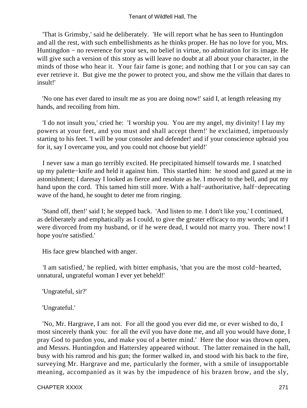### Tenant of Wildfell Hall, The

 'That is Grimsby,' said he deliberately. 'He will report what he has seen to Huntingdon and all the rest, with such embellishments as he thinks proper. He has no love for you, Mrs. Huntingdon − no reverence for your sex, no belief in virtue, no admiration for its image. He will give such a version of this story as will leave no doubt at all about your character, in the minds of those who hear it. Your fair fame is gone; and nothing that I or you can say can ever retrieve it. But give me the power to protect you, and show me the villain that dares to insult!'

 'No one has ever dared to insult me as you are doing now!' said I, at length releasing my hands, and recoiling from him.

 'I do not insult you,' cried he: 'I worship you. You are my angel, my divinity! I lay my powers at your feet, and you must and shall accept them!' he exclaimed, impetuously starting to his feet. 'I will be your consoler and defender! and if your conscience upbraid you for it, say I overcame you, and you could not choose but yield!'

 I never saw a man go terribly excited. He precipitated himself towards me. I snatched up my palette−knife and held it against him. This startled him: he stood and gazed at me in astonishment; I daresay I looked as fierce and resolute as he. I moved to the bell, and put my hand upon the cord. This tamed him still more. With a half−authoritative, half−deprecating wave of the hand, he sought to deter me from ringing.

 'Stand off, then!' said I; he stepped back. 'And listen to me. I don't like you,' I continued, as deliberately and emphatically as I could, to give the greater efficacy to my words; 'and if I were divorced from my husband, or if he were dead, I would not marry you. There now! I hope you're satisfied.'

His face grew blanched with anger.

 'I am satisfied,' he replied, with bitter emphasis, 'that you are the most cold−hearted, unnatural, ungrateful woman I ever yet beheld!'

'Ungrateful, sir?'

'Ungrateful.'

 'No, Mr. Hargrave, I am not. For all the good you ever did me, or ever wished to do, I most sincerely thank you: for all the evil you have done me, and all you would have done, I pray God to pardon you, and make you of a better mind.' Here the door was thrown open, and Messrs. Huntingdon and Hattersley appeared without. The latter remained in the hall, busy with his ramrod and his gun; the former walked in, and stood with his back to the fire, surveying Mr. Hargrave and me, particularly the former, with a smile of insupportable meaning, accompanied as it was by the impudence of his brazen brow, and the sly,

CHAPTER XXXIX 271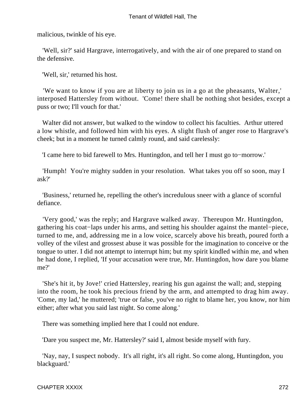malicious, twinkle of his eye.

 'Well, sir?' said Hargrave, interrogatively, and with the air of one prepared to stand on the defensive.

'Well, sir,' returned his host.

 'We want to know if you are at liberty to join us in a go at the pheasants, Walter,' interposed Hattersley from without. 'Come! there shall be nothing shot besides, except a puss or two; I'll vouch for that.'

 Walter did not answer, but walked to the window to collect his faculties. Arthur uttered a low whistle, and followed him with his eyes. A slight flush of anger rose to Hargrave's cheek; but in a moment he turned calmly round, and said carelessly:

'I came here to bid farewell to Mrs. Huntingdon, and tell her I must go to−morrow.'

 'Humph! You're mighty sudden in your resolution. What takes you off so soon, may I ask?'

 'Business,' returned he, repelling the other's incredulous sneer with a glance of scornful defiance.

 'Very good,' was the reply; and Hargrave walked away. Thereupon Mr. Huntingdon, gathering his coat−laps under his arms, and setting his shoulder against the mantel−piece, turned to me, and, addressing me in a low voice, scarcely above his breath, poured forth a volley of the vilest and grossest abuse it was possible for the imagination to conceive or the tongue to utter. I did not attempt to interrupt him; but my spirit kindled within me, and when he had done, I replied, 'If your accusation were true, Mr. Huntingdon, how dare you blame me?'

 'She's hit it, by Jove!' cried Hattersley, rearing his gun against the wall; and, stepping into the room, he took his precious friend by the arm, and attempted to drag him away. 'Come, my lad,' he muttered; 'true or false, you've no right to blame her, you know, nor him either; after what you said last night. So come along.'

There was something implied here that I could not endure.

'Dare you suspect me, Mr. Hattersley?' said I, almost beside myself with fury.

 'Nay, nay, I suspect nobody. It's all right, it's all right. So come along, Huntingdon, you blackguard.'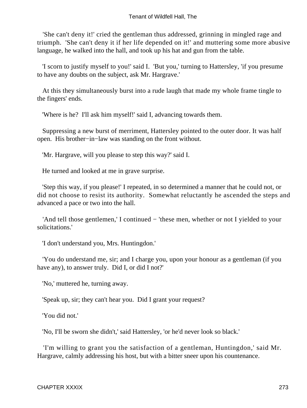'She can't deny it!' cried the gentleman thus addressed, grinning in mingled rage and triumph. 'She can't deny it if her life depended on it!' and muttering some more abusive language, he walked into the hall, and took up his hat and gun from the table.

 'I scorn to justify myself to you!' said I. 'But you,' turning to Hattersley, 'if you presume to have any doubts on the subject, ask Mr. Hargrave.'

 At this they simultaneously burst into a rude laugh that made my whole frame tingle to the fingers' ends.

'Where is he? I'll ask him myself!' said I, advancing towards them.

 Suppressing a new burst of merriment, Hattersley pointed to the outer door. It was half open. His brother−in−law was standing on the front without.

'Mr. Hargrave, will you please to step this way?' said I.

He turned and looked at me in grave surprise.

 'Step this way, if you please!' I repeated, in so determined a manner that he could not, or did not choose to resist its authority. Somewhat reluctantly he ascended the steps and advanced a pace or two into the hall.

 'And tell those gentlemen,' I continued − 'these men, whether or not I yielded to your solicitations.'

'I don't understand you, Mrs. Huntingdon.'

 'You do understand me, sir; and I charge you, upon your honour as a gentleman (if you have any), to answer truly. Did I, or did I not?'

'No,' muttered he, turning away.

'Speak up, sir; they can't hear you. Did I grant your request?

'You did not.'

'No, I'll be sworn she didn't,' said Hattersley, 'or he'd never look so black.'

 'I'm willing to grant you the satisfaction of a gentleman, Huntingdon,' said Mr. Hargrave, calmly addressing his host, but with a bitter sneer upon his countenance.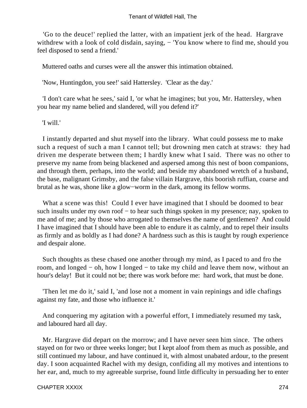'Go to the deuce!' replied the latter, with an impatient jerk of the head. Hargrave withdrew with a look of cold disdain, saying, − 'You know where to find me, should you feel disposed to send a friend.'

Muttered oaths and curses were all the answer this intimation obtained.

'Now, Huntingdon, you see!' said Hattersley. 'Clear as the day.'

 'I don't care what he sees,' said I, 'or what he imagines; but you, Mr. Hattersley, when you hear my name belied and slandered, will you defend it?'

'I will.'

 I instantly departed and shut myself into the library. What could possess me to make such a request of such a man I cannot tell; but drowning men catch at straws: they had driven me desperate between them; I hardly knew what I said. There was no other to preserve my name from being blackened and aspersed among this nest of boon companions, and through them, perhaps, into the world; and beside my abandoned wretch of a husband, the base, malignant Grimsby, and the false villain Hargrave, this boorish ruffian, coarse and brutal as he was, shone like a glow−worm in the dark, among its fellow worms.

What a scene was this! Could I ever have imagined that I should be doomed to bear such insults under my own roof – to hear such things spoken in my presence; nay, spoken to me and of me; and by those who arrogated to themselves the name of gentlemen? And could I have imagined that I should have been able to endure it as calmly, and to repel their insults as firmly and as boldly as I had done? A hardness such as this is taught by rough experience and despair alone.

 Such thoughts as these chased one another through my mind, as I paced to and fro the room, and longed − oh, how I longed − to take my child and leave them now, without an hour's delay! But it could not be; there was work before me: hard work, that must be done.

 'Then let me do it,' said I, 'and lose not a moment in vain repinings and idle chafings against my fate, and those who influence it.'

 And conquering my agitation with a powerful effort, I immediately resumed my task, and laboured hard all day.

 Mr. Hargrave did depart on the morrow; and I have never seen him since. The others stayed on for two or three weeks longer; but I kept aloof from them as much as possible, and still continued my labour, and have continued it, with almost unabated ardour, to the present day. I soon acquainted Rachel with my design, confiding all my motives and intentions to her ear, and, much to my agreeable surprise, found little difficulty in persuading her to enter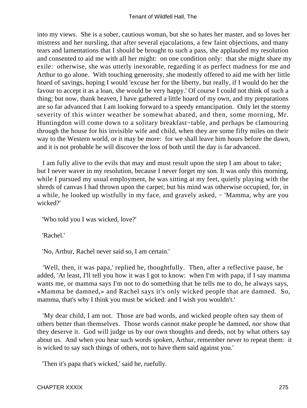into my views. She is a sober, cautious woman, but she so hates her master, and so loves her mistress and her nursling, that after several ejaculations, a few faint objections, and many tears and lamentations that I should be brought to such a pass, she applauded my resolution and consented to aid me with all her might: on one condition only: that she might share my exile: otherwise, she was utterly inexorable, regarding it as perfect madness for me and Arthur to go alone. With touching generosity, she modestly offered to aid me with her little hoard of savings, hoping I would 'excuse her for the liberty, but really, if I would do her the favour to accept it as a loan, she would be very happy.' Of course I could not think of such a thing; but now, thank heaven, I have gathered a little hoard of my own, and my preparations are so far advanced that I am looking forward to a speedy emancipation. Only let the stormy severity of this winter weather be somewhat abated, and then, some morning, Mr. Huntingdon will come down to a solitary breakfast−table, and perhaps be clamouring through the house for his invisible wife and child, when they are some fifty miles on their way to the Western world, or it may be more: for we shall leave him hours before the dawn, and it is not probable he will discover the loss of both until the day is far advanced.

 I am fully alive to the evils that may and must result upon the step I am about to take; but I never waver in my resolution, because I never forget my son. It was only this morning, while I pursued my usual employment, he was sitting at my feet, quietly playing with the shreds of canvas I had thrown upon the carpet; but his mind was otherwise occupied, for, in a while, he looked up wistfully in my face, and gravely asked, − 'Mamma, why are you wicked?'

'Who told you I was wicked, love?'

'Rachel.'

'No, Arthur, Rachel never said so, I am certain.'

 'Well, then, it was papa,' replied he, thoughtfully. Then, after a reflective pause, he added, 'At least, I'll tell you how it was I got to know: when I'm with papa, if I say mamma wants me, or mamma says I'm not to do something that he tells me to do, he always says, «Mamma be damned,» and Rachel says it's only wicked people that are damned. So, mamma, that's why I think you must be wicked: and I wish you wouldn't.'

 'My dear child, I am not. Those are bad words, and wicked people often say them of others better than themselves. Those words cannot make people be damned, nor show that they deserve it. God will judge us by our own thoughts and deeds, not by what others say about us. And when you hear such words spoken, Arthur, remember never to repeat them: it is wicked to say such things of others, not to have them said against you.'

'Then it's papa that's wicked,' said he, ruefully.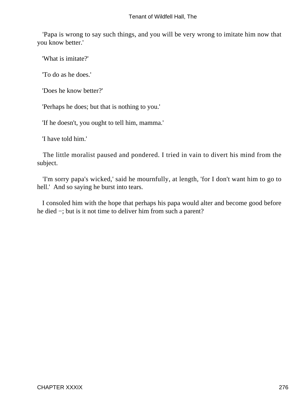'Papa is wrong to say such things, and you will be very wrong to imitate him now that you know better.'

'What is imitate?'

'To do as he does.'

'Does he know better?'

'Perhaps he does; but that is nothing to you.'

'If he doesn't, you ought to tell him, mamma.'

'I have told him.'

 The little moralist paused and pondered. I tried in vain to divert his mind from the subject.

 'I'm sorry papa's wicked,' said he mournfully, at length, 'for I don't want him to go to hell.' And so saying he burst into tears.

 I consoled him with the hope that perhaps his papa would alter and become good before he died −; but is it not time to deliver him from such a parent?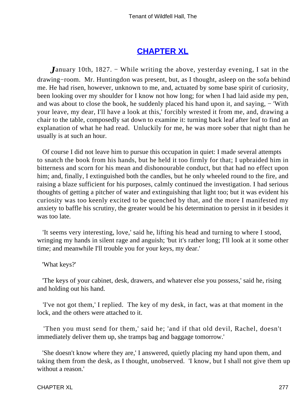# **[CHAPTER XL](#page-379-0)**

*January* 10th, 1827. – While writing the above, yesterday evening, I sat in the drawing−room. Mr. Huntingdon was present, but, as I thought, asleep on the sofa behind me. He had risen, however, unknown to me, and, actuated by some base spirit of curiosity, been looking over my shoulder for I know not how long; for when I had laid aside my pen, and was about to close the book, he suddenly placed his hand upon it, and saying, − 'With your leave, my dear, I'll have a look at this,' forcibly wrested it from me, and, drawing a chair to the table, composedly sat down to examine it: turning back leaf after leaf to find an explanation of what he had read. Unluckily for me, he was more sober that night than he usually is at such an hour.

 Of course I did not leave him to pursue this occupation in quiet: I made several attempts to snatch the book from his hands, but he held it too firmly for that; I upbraided him in bitterness and scorn for his mean and dishonourable conduct, but that had no effect upon him; and, finally, I extinguished both the candles, but he only wheeled round to the fire, and raising a blaze sufficient for his purposes, calmly continued the investigation. I had serious thoughts of getting a pitcher of water and extinguishing that light too; but it was evident his curiosity was too keenly excited to be quenched by that, and the more I manifested my anxiety to baffle his scrutiny, the greater would be his determination to persist in it besides it was too late.

 'It seems very interesting, love,' said he, lifting his head and turning to where I stood, wringing my hands in silent rage and anguish; 'but it's rather long; I'll look at it some other time; and meanwhile I'll trouble you for your keys, my dear.'

'What keys?'

 'The keys of your cabinet, desk, drawers, and whatever else you possess,' said he, rising and holding out his hand.

 'I've not got them,' I replied. The key of my desk, in fact, was at that moment in the lock, and the others were attached to it.

 'Then you must send for them,' said he; 'and if that old devil, Rachel, doesn't immediately deliver them up, she tramps bag and baggage tomorrow.'

 'She doesn't know where they are,' I answered, quietly placing my hand upon them, and taking them from the desk, as I thought, unobserved. 'I know, but I shall not give them up without a reason.'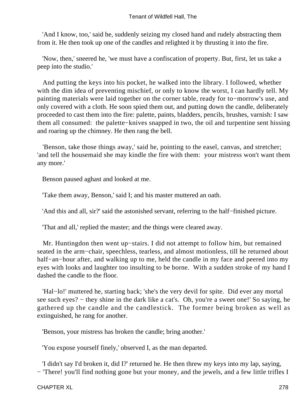'And I know, too,' said he, suddenly seizing my closed hand and rudely abstracting them from it. He then took up one of the candles and relighted it by thrusting it into the fire.

 'Now, then,' sneered he, 'we must have a confiscation of property. But, first, let us take a peep into the studio.'

 And putting the keys into his pocket, he walked into the library. I followed, whether with the dim idea of preventing mischief, or only to know the worst, I can hardly tell. My painting materials were laid together on the corner table, ready for to−morrow's use, and only covered with a cloth. He soon spied them out, and putting down the candle, deliberately proceeded to cast them into the fire: palette, paints, bladders, pencils, brushes, varnish: I saw them all consumed: the palette−knives snapped in two, the oil and turpentine sent hissing and roaring up the chimney. He then rang the bell.

 'Benson, take those things away,' said he, pointing to the easel, canvas, and stretcher; 'and tell the housemaid she may kindle the fire with them: your mistress won't want them any more.'

Benson paused aghast and looked at me.

'Take them away, Benson,' said I; and his master muttered an oath.

'And this and all, sir?' said the astonished servant, referring to the half−finished picture.

'That and all,' replied the master; and the things were cleared away.

 Mr. Huntingdon then went up−stairs. I did not attempt to follow him, but remained seated in the arm−chair, speechless, tearless, and almost motionless, till he returned about half−an−hour after, and walking up to me, held the candle in my face and peered into my eyes with looks and laughter too insulting to be borne. With a sudden stroke of my hand I dashed the candle to the floor.

 'Hal−lo!' muttered he, starting back; 'she's the very devil for spite. Did ever any mortal see such eyes? – they shine in the dark like a cat's. Oh, you're a sweet one!' So saying, he gathered up the candle and the candlestick. The former being broken as well as extinguished, he rang for another.

'Benson, your mistress has broken the candle; bring another.'

'You expose yourself finely,' observed I, as the man departed.

 'I didn't say I'd broken it, did I?' returned he. He then threw my keys into my lap, saying, − 'There! you'll find nothing gone but your money, and the jewels, and a few little trifles I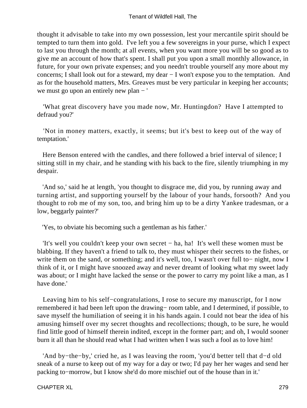thought it advisable to take into my own possession, lest your mercantile spirit should be tempted to turn them into gold. I've left you a few sovereigns in your purse, which I expect to last you through the month; at all events, when you want more you will be so good as to give me an account of how that's spent. I shall put you upon a small monthly allowance, in future, for your own private expenses; and you needn't trouble yourself any more about my concerns; I shall look out for a steward, my dear − I won't expose you to the temptation. And as for the household matters, Mrs. Greaves must be very particular in keeping her accounts; we must go upon an entirely new plan − '

 'What great discovery have you made now, Mr. Huntingdon? Have I attempted to defraud you?'

 'Not in money matters, exactly, it seems; but it's best to keep out of the way of temptation.'

 Here Benson entered with the candles, and there followed a brief interval of silence; I sitting still in my chair, and he standing with his back to the fire, silently triumphing in my despair.

 'And so,' said he at length, 'you thought to disgrace me, did you, by running away and turning artist, and supporting yourself by the labour of your hands, forsooth? And you thought to rob me of my son, too, and bring him up to be a dirty Yankee tradesman, or a low, beggarly painter?'

'Yes, to obviate his becoming such a gentleman as his father.'

 'It's well you couldn't keep your own secret − ha, ha! It's well these women must be blabbing. If they haven't a friend to talk to, they must whisper their secrets to the fishes, or write them on the sand, or something; and it's well, too, I wasn't over full to− night, now I think of it, or I might have snoozed away and never dreamt of looking what my sweet lady was about; or I might have lacked the sense or the power to carry my point like a man, as I have done.'

 Leaving him to his self−congratulations, I rose to secure my manuscript, for I now remembered it had been left upon the drawing− room table, and I determined, if possible, to save myself the humiliation of seeing it in his hands again. I could not bear the idea of his amusing himself over my secret thoughts and recollections; though, to be sure, he would find little good of himself therein indited, except in the former part; and oh, I would sooner burn it all than he should read what I had written when I was such a fool as to love him!

 'And by−the−by,' cried he, as I was leaving the room, 'you'd better tell that d−d old sneak of a nurse to keep out of my way for a day or two; I'd pay her her wages and send her packing to−morrow, but I know she'd do more mischief out of the house than in it.'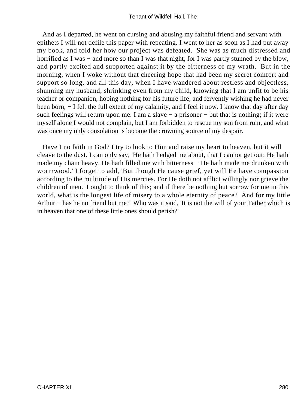And as I departed, he went on cursing and abusing my faithful friend and servant with epithets I will not defile this paper with repeating. I went to her as soon as I had put away my book, and told her how our project was defeated. She was as much distressed and horrified as I was – and more so than I was that night, for I was partly stunned by the blow, and partly excited and supported against it by the bitterness of my wrath. But in the morning, when I woke without that cheering hope that had been my secret comfort and support so long, and all this day, when I have wandered about restless and objectless, shunning my husband, shrinking even from my child, knowing that I am unfit to be his teacher or companion, hoping nothing for his future life, and fervently wishing he had never been born, − I felt the full extent of my calamity, and I feel it now. I know that day after day such feelings will return upon me. I am a slave – a prisoner – but that is nothing; if it were myself alone I would not complain, but I am forbidden to rescue my son from ruin, and what was once my only consolation is become the crowning source of my despair.

 Have I no faith in God? I try to look to Him and raise my heart to heaven, but it will cleave to the dust. I can only say, 'He hath hedged me about, that I cannot get out: He hath made my chain heavy. He hath filled me with bitterness − He hath made me drunken with wormwood.' I forget to add, 'But though He cause grief, yet will He have compassion according to the multitude of His mercies. For He doth not afflict willingly nor grieve the children of men.' I ought to think of this; and if there be nothing but sorrow for me in this world, what is the longest life of misery to a whole eternity of peace? And for my little Arthur − has he no friend but me? Who was it said, 'It is not the will of your Father which is in heaven that one of these little ones should perish?'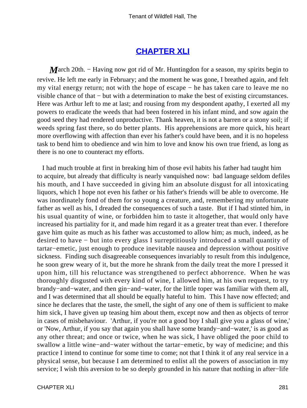## **[CHAPTER XLI](#page-379-0)**

*M*arch 20th. – Having now got rid of Mr. Huntingdon for a season, my spirits begin to revive. He left me early in February; and the moment he was gone, I breathed again, and felt my vital energy return; not with the hope of escape − he has taken care to leave me no visible chance of that − but with a determination to make the best of existing circumstances. Here was Arthur left to me at last; and rousing from my despondent apathy, I exerted all my powers to eradicate the weeds that had been fostered in his infant mind, and sow again the good seed they had rendered unproductive. Thank heaven, it is not a barren or a stony soil; if weeds spring fast there, so do better plants. His apprehensions are more quick, his heart more overflowing with affection than ever his father's could have been, and it is no hopeless task to bend him to obedience and win him to love and know his own true friend, as long as there is no one to counteract my efforts.

 I had much trouble at first in breaking him of those evil habits his father had taught him to acquire, but already that difficulty is nearly vanquished now: bad language seldom defiles his mouth, and I have succeeded in giving him an absolute disgust for all intoxicating liquors, which I hope not even his father or his father's friends will be able to overcome. He was inordinately fond of them for so young a creature, and, remembering my unfortunate father as well as his, I dreaded the consequences of such a taste. But if I had stinted him, in his usual quantity of wine, or forbidden him to taste it altogether, that would only have increased his partiality for it, and made him regard it as a greater treat than ever. I therefore gave him quite as much as his father was accustomed to allow him; as much, indeed, as he desired to have − but into every glass I surreptitiously introduced a small quantity of tartar−emetic, just enough to produce inevitable nausea and depression without positive sickness. Finding such disagreeable consequences invariably to result from this indulgence, he soon grew weary of it, but the more he shrank from the daily treat the more I pressed it upon him, till his reluctance was strengthened to perfect abhorrence. When he was thoroughly disgusted with every kind of wine, I allowed him, at his own request, to try brandy−and−water, and then gin−and−water, for the little toper was familiar with them all, and I was determined that all should be equally hateful to him. This I have now effected; and since he declares that the taste, the smell, the sight of any one of them is sufficient to make him sick, I have given up teasing him about them, except now and then as objects of terror in cases of misbehaviour. 'Arthur, if you're not a good boy I shall give you a glass of wine,' or 'Now, Arthur, if you say that again you shall have some brandy−and−water,' is as good as any other threat; and once or twice, when he was sick, I have obliged the poor child to swallow a little wine−and−water without the tartar−emetic, by way of medicine; and this practice I intend to continue for some time to come; not that I think it of any real service in a physical sense, but because I am determined to enlist all the powers of association in my service; I wish this aversion to be so deeply grounded in his nature that nothing in after−life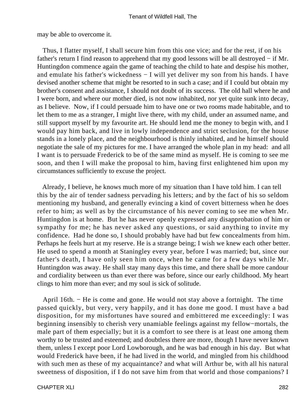may be able to overcome it.

 Thus, I flatter myself, I shall secure him from this one vice; and for the rest, if on his father's return I find reason to apprehend that my good lessons will be all destroyed − if Mr. Huntingdon commence again the game of teaching the child to hate and despise his mother, and emulate his father's wickedness − I will yet deliver my son from his hands. I have devised another scheme that might be resorted to in such a case; and if I could but obtain my brother's consent and assistance, I should not doubt of its success. The old hall where he and I were born, and where our mother died, is not now inhabited, nor yet quite sunk into decay, as I believe. Now, if I could persuade him to have one or two rooms made habitable, and to let them to me as a stranger, I might live there, with my child, under an assumed name, and still support myself by my favourite art. He should lend me the money to begin with, and I would pay him back, and live in lowly independence and strict seclusion, for the house stands in a lonely place, and the neighbourhood is thinly inhabited, and he himself should negotiate the sale of my pictures for me. I have arranged the whole plan in my head: and all I want is to persuade Frederick to be of the same mind as myself. He is coming to see me soon, and then I will make the proposal to him, having first enlightened him upon my circumstances sufficiently to excuse the project.

 Already, I believe, he knows much more of my situation than I have told him. I can tell this by the air of tender sadness pervading his letters; and by the fact of his so seldom mentioning my husband, and generally evincing a kind of covert bitterness when he does refer to him; as well as by the circumstance of his never coming to see me when Mr. Huntingdon is at home. But he has never openly expressed any disapprobation of him or sympathy for me; he has never asked any questions, or said anything to invite my confidence. Had he done so, I should probably have had but few concealments from him. Perhaps he feels hurt at my reserve. He is a strange being; I wish we knew each other better. He used to spend a month at Staningley every year, before I was married; but, since our father's death, I have only seen him once, when he came for a few days while Mr. Huntingdon was away. He shall stay many days this time, and there shall be more candour and cordiality between us than ever there was before, since our early childhood. My heart clings to him more than ever; and my soul is sick of solitude.

 April 16th. − He is come and gone. He would not stay above a fortnight. The time passed quickly, but very, very happily, and it has done me good. I must have a bad disposition, for my misfortunes have soured and embittered me exceedingly: I was beginning insensibly to cherish very unamiable feelings against my fellow−mortals, the male part of them especially; but it is a comfort to see there is at least one among them worthy to be trusted and esteemed; and doubtless there are more, though I have never known them, unless I except poor Lord Lowborough, and he was bad enough in his day. But what would Frederick have been, if he had lived in the world, and mingled from his childhood with such men as these of my acquaintance? and what will Arthur be, with all his natural sweetness of disposition, if I do not save him from that world and those companions? I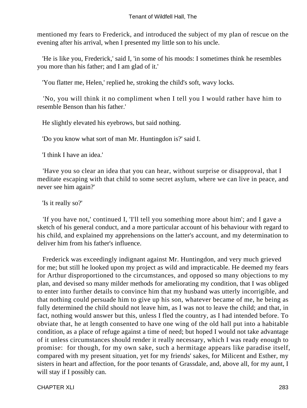mentioned my fears to Frederick, and introduced the subject of my plan of rescue on the evening after his arrival, when I presented my little son to his uncle.

 'He is like you, Frederick,' said I, 'in some of his moods: I sometimes think he resembles you more than his father; and I am glad of it.'

'You flatter me, Helen,' replied he, stroking the child's soft, wavy locks.

 'No, you will think it no compliment when I tell you I would rather have him to resemble Benson than his father.'

He slightly elevated his eyebrows, but said nothing.

'Do you know what sort of man Mr. Huntingdon is?' said I.

'I think I have an idea.'

 'Have you so clear an idea that you can hear, without surprise or disapproval, that I meditate escaping with that child to some secret asylum, where we can live in peace, and never see him again?'

'Is it really so?'

 'If you have not,' continued I, 'I'll tell you something more about him'; and I gave a sketch of his general conduct, and a more particular account of his behaviour with regard to his child, and explained my apprehensions on the latter's account, and my determination to deliver him from his father's influence.

 Frederick was exceedingly indignant against Mr. Huntingdon, and very much grieved for me; but still he looked upon my project as wild and impracticable. He deemed my fears for Arthur disproportioned to the circumstances, and opposed so many objections to my plan, and devised so many milder methods for ameliorating my condition, that I was obliged to enter into further details to convince him that my husband was utterly incorrigible, and that nothing could persuade him to give up his son, whatever became of me, he being as fully determined the child should not leave him, as I was not to leave the child; and that, in fact, nothing would answer but this, unless I fled the country, as I had intended before. To obviate that, he at length consented to have one wing of the old hall put into a habitable condition, as a place of refuge against a time of need; but hoped I would not take advantage of it unless circumstances should render it really necessary, which I was ready enough to promise: for though, for my own sake, such a hermitage appears like paradise itself, compared with my present situation, yet for my friends' sakes, for Milicent and Esther, my sisters in heart and affection, for the poor tenants of Grassdale, and, above all, for my aunt, I will stay if I possibly can.

CHAPTER XLI 283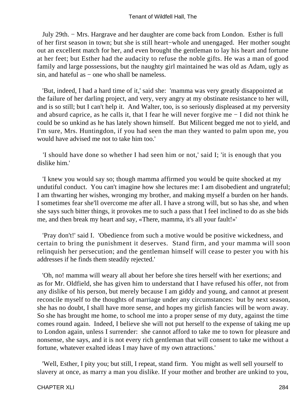July 29th. − Mrs. Hargrave and her daughter are come back from London. Esther is full of her first season in town; but she is still heart−whole and unengaged. Her mother sought out an excellent match for her, and even brought the gentleman to lay his heart and fortune at her feet; but Esther had the audacity to refuse the noble gifts. He was a man of good family and large possessions, but the naughty girl maintained he was old as Adam, ugly as sin, and hateful as – one who shall be nameless.

 'But, indeed, I had a hard time of it,' said she: 'mamma was very greatly disappointed at the failure of her darling project, and very, very angry at my obstinate resistance to her will, and is so still; but I can't help it. And Walter, too, is so seriously displeased at my perversity and absurd caprice, as he calls it, that I fear he will never forgive me − I did not think he could be so unkind as he has lately shown himself. But Milicent begged me not to yield, and I'm sure, Mrs. Huntingdon, if you had seen the man they wanted to palm upon me, you would have advised me not to take him too.'

 'I should have done so whether I had seen him or not,' said I; 'it is enough that you dislike him.'

 'I knew you would say so; though mamma affirmed you would be quite shocked at my undutiful conduct. You can't imagine how she lectures me: I am disobedient and ungrateful; I am thwarting her wishes, wronging my brother, and making myself a burden on her hands. I sometimes fear she'll overcome me after all. I have a strong will, but so has she, and when she says such bitter things, it provokes me to such a pass that I feel inclined to do as she bids me, and then break my heart and say, «There, mamma, it's all your fault!»'

 'Pray don't!' said I. 'Obedience from such a motive would be positive wickedness, and certain to bring the punishment it deserves. Stand firm, and your mamma will soon relinquish her persecution; and the gentleman himself will cease to pester you with his addresses if he finds them steadily rejected.'

 'Oh, no! mamma will weary all about her before she tires herself with her exertions; and as for Mr. Oldfield, she has given him to understand that I have refused his offer, not from any dislike of his person, but merely because I am giddy and young, and cannot at present reconcile myself to the thoughts of marriage under any circumstances: but by next season, she has no doubt, I shall have more sense, and hopes my girlish fancies will be worn away. So she has brought me home, to school me into a proper sense of my duty, against the time comes round again. Indeed, I believe she will not put herself to the expense of taking me up to London again, unless I surrender: she cannot afford to take me to town for pleasure and nonsense, she says, and it is not every rich gentleman that will consent to take me without a fortune, whatever exalted ideas I may have of my own attractions.'

 'Well, Esther, I pity you; but still, I repeat, stand firm. You might as well sell yourself to slavery at once, as marry a man you dislike. If your mother and brother are unkind to you,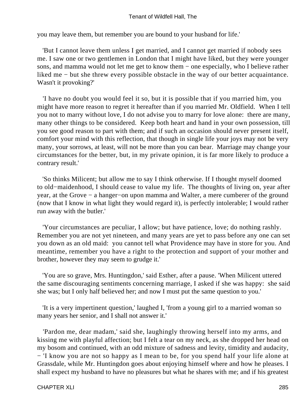you may leave them, but remember you are bound to your husband for life.'

 'But I cannot leave them unless I get married, and I cannot get married if nobody sees me. I saw one or two gentlemen in London that I might have liked, but they were younger sons, and mamma would not let me get to know them − one especially, who I believe rather liked me − but she threw every possible obstacle in the way of our better acquaintance. Wasn't it provoking?'

 'I have no doubt you would feel it so, but it is possible that if you married him, you might have more reason to regret it hereafter than if you married Mr. Oldfield. When I tell you not to marry without love, I do not advise you to marry for love alone: there are many, many other things to be considered. Keep both heart and hand in your own possession, till you see good reason to part with them; and if such an occasion should never present itself, comfort your mind with this reflection, that though in single life your joys may not be very many, your sorrows, at least, will not be more than you can bear. Marriage may change your circumstances for the better, but, in my private opinion, it is far more likely to produce a contrary result.'

 'So thinks Milicent; but allow me to say I think otherwise. If I thought myself doomed to old−maidenhood, I should cease to value my life. The thoughts of living on, year after year, at the Grove − a hanger−on upon mamma and Walter, a mere cumberer of the ground (now that I know in what light they would regard it), is perfectly intolerable; I would rather run away with the butler.'

 'Your circumstances are peculiar, I allow; but have patience, love; do nothing rashly. Remember you are not yet nineteen, and many years are yet to pass before any one can set you down as an old maid: you cannot tell what Providence may have in store for you. And meantime, remember you have a right to the protection and support of your mother and brother, however they may seem to grudge it.'

 'You are so grave, Mrs. Huntingdon,' said Esther, after a pause. 'When Milicent uttered the same discouraging sentiments concerning marriage, I asked if she was happy: she said she was; but I only half believed her; and now I must put the same question to you.'

 'It is a very impertinent question,' laughed I, 'from a young girl to a married woman so many years her senior, and I shall not answer it.'

 'Pardon me, dear madam,' said she, laughingly throwing herself into my arms, and kissing me with playful affection; but I felt a tear on my neck, as she dropped her head on my bosom and continued, with an odd mixture of sadness and levity, timidity and audacity, − 'I know you are not so happy as I mean to be, for you spend half your life alone at Grassdale, while Mr. Huntingdon goes about enjoying himself where and how he pleases. I shall expect my husband to have no pleasures but what he shares with me; and if his greatest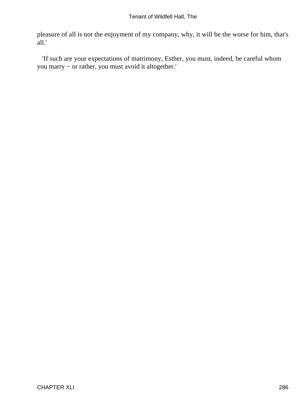pleasure of all is not the enjoyment of my company, why, it will be the worse for him, that's all.'

 'If such are your expectations of matrimony, Esther, you must, indeed, be careful whom you marry − or rather, you must avoid it altogether.'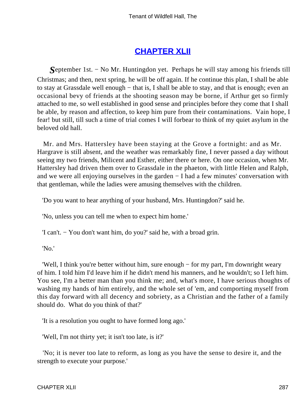## **[CHAPTER XLII](#page-380-0)**

*S*eptember 1st. − No Mr. Huntingdon yet. Perhaps he will stay among his friends till Christmas; and then, next spring, he will be off again. If he continue this plan, I shall be able to stay at Grassdale well enough − that is, I shall be able to stay, and that is enough; even an occasional bevy of friends at the shooting season may be borne, if Arthur get so firmly attached to me, so well established in good sense and principles before they come that I shall be able, by reason and affection, to keep him pure from their contaminations. Vain hope, I fear! but still, till such a time of trial comes I will forbear to think of my quiet asylum in the beloved old hall.

 Mr. and Mrs. Hattersley have been staying at the Grove a fortnight: and as Mr. Hargrave is still absent, and the weather was remarkably fine, I never passed a day without seeing my two friends, Milicent and Esther, either there or here. On one occasion, when Mr. Hattersley had driven them over to Grassdale in the phaeton, with little Helen and Ralph, and we were all enjoying ourselves in the garden − I had a few minutes' conversation with that gentleman, while the ladies were amusing themselves with the children.

'Do you want to hear anything of your husband, Mrs. Huntingdon?' said he.

'No, unless you can tell me when to expect him home.'

'I can't. − You don't want him, do you?' said he, with a broad grin.

'No.'

 'Well, I think you're better without him, sure enough − for my part, I'm downright weary of him. I told him I'd leave him if he didn't mend his manners, and he wouldn't; so I left him. You see, I'm a better man than you think me; and, what's more, I have serious thoughts of washing my hands of him entirely, and the whole set of 'em, and comporting myself from this day forward with all decency and sobriety, as a Christian and the father of a family should do. What do you think of that?'

'It is a resolution you ought to have formed long ago.'

'Well, I'm not thirty yet; it isn't too late, is it?'

 'No; it is never too late to reform, as long as you have the sense to desire it, and the strength to execute your purpose.'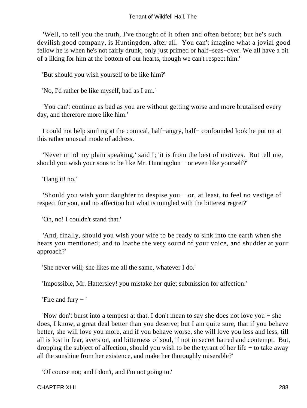'Well, to tell you the truth, I've thought of it often and often before; but he's such devilish good company, is Huntingdon, after all. You can't imagine what a jovial good fellow he is when he's not fairly drunk, only just primed or half−seas−over. We all have a bit of a liking for him at the bottom of our hearts, though we can't respect him.'

'But should you wish yourself to be like him?'

'No, I'd rather be like myself, bad as I am.'

 'You can't continue as bad as you are without getting worse and more brutalised every day, and therefore more like him.'

 I could not help smiling at the comical, half−angry, half− confounded look he put on at this rather unusual mode of address.

 'Never mind my plain speaking,' said I; 'it is from the best of motives. But tell me, should you wish your sons to be like Mr. Huntingdon − or even like yourself?'

'Hang it! no.'

 'Should you wish your daughter to despise you − or, at least, to feel no vestige of respect for you, and no affection but what is mingled with the bitterest regret?'

'Oh, no! I couldn't stand that.'

 'And, finally, should you wish your wife to be ready to sink into the earth when she hears you mentioned; and to loathe the very sound of your voice, and shudder at your approach?'

'She never will; she likes me all the same, whatever I do.'

'Impossible, Mr. Hattersley! you mistake her quiet submission for affection.'

'Fire and fury − '

 'Now don't burst into a tempest at that. I don't mean to say she does not love you − she does, I know, a great deal better than you deserve; but I am quite sure, that if you behave better, she will love you more, and if you behave worse, she will love you less and less, till all is lost in fear, aversion, and bitterness of soul, if not in secret hatred and contempt. But, dropping the subject of affection, should you wish to be the tyrant of her life − to take away all the sunshine from her existence, and make her thoroughly miserable?'

'Of course not; and I don't, and I'm not going to.'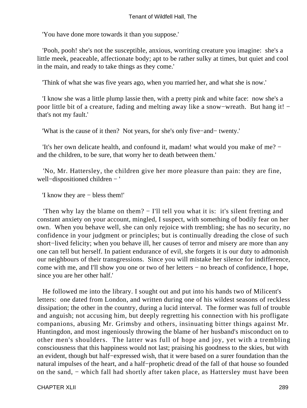'You have done more towards it than you suppose.'

 'Pooh, pooh! she's not the susceptible, anxious, worriting creature you imagine: she's a little meek, peaceable, affectionate body; apt to be rather sulky at times, but quiet and cool in the main, and ready to take things as they come.'

'Think of what she was five years ago, when you married her, and what she is now.'

 'I know she was a little plump lassie then, with a pretty pink and white face: now she's a poor little bit of a creature, fading and melting away like a snow–wreath. But hang it! − that's not my fault.'

'What is the cause of it then? Not years, for she's only five−and− twenty.'

 'It's her own delicate health, and confound it, madam! what would you make of me? − and the children, to be sure, that worry her to death between them.'

 'No, Mr. Hattersley, the children give her more pleasure than pain: they are fine, well−dispositioned children − '

'I know they are − bless them!'

 'Then why lay the blame on them? − I'll tell you what it is: it's silent fretting and constant anxiety on your account, mingled, I suspect, with something of bodily fear on her own. When you behave well, she can only rejoice with trembling; she has no security, no confidence in your judgment or principles; but is continually dreading the close of such short−lived felicity; when you behave ill, her causes of terror and misery are more than any one can tell but herself. In patient endurance of evil, she forgets it is our duty to admonish our neighbours of their transgressions. Since you will mistake her silence for indifference, come with me, and I'll show you one or two of her letters − no breach of confidence, I hope, since you are her other half.'

 He followed me into the library. I sought out and put into his hands two of Milicent's letters: one dated from London, and written during one of his wildest seasons of reckless dissipation; the other in the country, during a lucid interval. The former was full of trouble and anguish; not accusing him, but deeply regretting his connection with his profligate companions, abusing Mr. Grimsby and others, insinuating bitter things against Mr. Huntingdon, and most ingeniously throwing the blame of her husband's misconduct on to other men's shoulders. The latter was full of hope and joy, yet with a trembling consciousness that this happiness would not last; praising his goodness to the skies, but with an evident, though but half−expressed wish, that it were based on a surer foundation than the natural impulses of the heart, and a half–prophetic dread of the fall of that house so founded on the sand, − which fall had shortly after taken place, as Hattersley must have been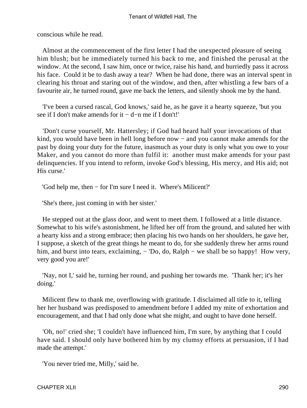conscious while he read.

 Almost at the commencement of the first letter I had the unexpected pleasure of seeing him blush; but he immediately turned his back to me, and finished the perusal at the window. At the second, I saw him, once or twice, raise his hand, and hurriedly pass it across his face. Could it be to dash away a tear? When he had done, there was an interval spent in clearing his throat and staring out of the window, and then, after whistling a few bars of a favourite air, he turned round, gave me back the letters, and silently shook me by the hand.

 'I've been a cursed rascal, God knows,' said he, as he gave it a hearty squeeze, 'but you see if I don't make amends for it − d−n me if I don't!'

 'Don't curse yourself, Mr. Hattersley; if God had heard half your invocations of that kind, you would have been in hell long before now − and you cannot make amends for the past by doing your duty for the future, inasmuch as your duty is only what you owe to your Maker, and you cannot do more than fulfil it: another must make amends for your past delinquencies. If you intend to reform, invoke God's blessing, His mercy, and His aid; not His curse.'

'God help me, then − for I'm sure I need it. Where's Milicent?'

'She's there, just coming in with her sister.'

 He stepped out at the glass door, and went to meet them. I followed at a little distance. Somewhat to his wife's astonishment, he lifted her off from the ground, and saluted her with a hearty kiss and a strong embrace; then placing his two hands on her shoulders, he gave her, I suppose, a sketch of the great things he meant to do, for she suddenly threw her arms round him, and burst into tears, exclaiming, − 'Do, do, Ralph – we shall be so happy! How very, very good you are!'

 'Nay, not I,' said he, turning her round, and pushing her towards me. 'Thank her; it's her doing.'

 Milicent flew to thank me, overflowing with gratitude. I disclaimed all title to it, telling her her husband was predisposed to amendment before I added my mite of exhortation and encouragement, and that I had only done what she might, and ought to have done herself.

 'Oh, no!' cried she; 'I couldn't have influenced him, I'm sure, by anything that I could have said. I should only have bothered him by my clumsy efforts at persuasion, if I had made the attempt.'

'You never tried me, Milly,' said he.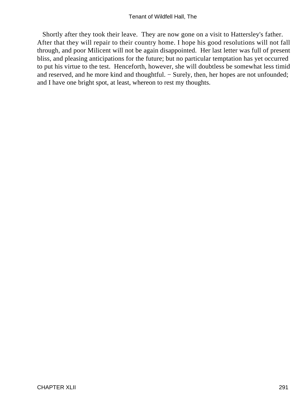Shortly after they took their leave. They are now gone on a visit to Hattersley's father. After that they will repair to their country home. I hope his good resolutions will not fall through, and poor Milicent will not be again disappointed. Her last letter was full of present bliss, and pleasing anticipations for the future; but no particular temptation has yet occurred to put his virtue to the test. Henceforth, however, she will doubtless be somewhat less timid and reserved, and he more kind and thoughtful. − Surely, then, her hopes are not unfounded; and I have one bright spot, at least, whereon to rest my thoughts.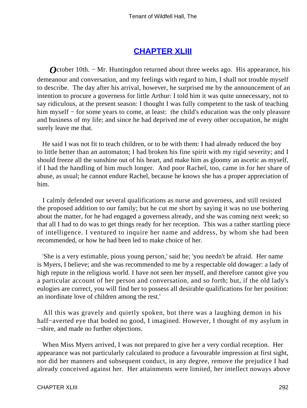## **[CHAPTER XLIII](#page-380-0)**

*O*ctober 10th. – Mr. Huntingdon returned about three weeks ago. His appearance, his demeanour and conversation, and my feelings with regard to him, I shall not trouble myself to describe. The day after his arrival, however, he surprised me by the announcement of an intention to procure a governess for little Arthur: I told him it was quite unnecessary, not to say ridiculous, at the present season: I thought I was fully competent to the task of teaching him myself – for some years to come, at least: the child's education was the only pleasure and business of my life; and since he had deprived me of every other occupation, he might surely leave me that.

 He said I was not fit to teach children, or to be with them: I had already reduced the boy to little better than an automaton; I had broken his fine spirit with my rigid severity; and I should freeze all the sunshine out of his heart, and make him as gloomy an ascetic as myself, if I had the handling of him much longer. And poor Rachel, too, came in for her share of abuse, as usual; he cannot endure Rachel, because he knows she has a proper appreciation of him.

 I calmly defended our several qualifications as nurse and governess, and still resisted the proposed addition to our family; but he cut me short by saying it was no use bothering about the matter, for he had engaged a governess already, and she was coming next week; so that all I had to do was to get things ready for her reception. This was a rather startling piece of intelligence. I ventured to inquire her name and address, by whom she had been recommended, or how he had been led to make choice of her.

 'She is a very estimable, pious young person,' said he; 'you needn't be afraid. Her name is Myers, I believe; and she was recommended to me by a respectable old dowager: a lady of high repute in the religious world. I have not seen her myself, and therefore cannot give you a particular account of her person and conversation, and so forth; but, if the old lady's eulogies are correct, you will find her to possess all desirable qualifications for her position: an inordinate love of children among the rest.'

 All this was gravely and quietly spoken, but there was a laughing demon in his half−averted eye that boded no good, I imagined. However, I thought of my asylum in −shire, and made no further objections.

 When Miss Myers arrived, I was not prepared to give her a very cordial reception. Her appearance was not particularly calculated to produce a favourable impression at first sight, nor did her manners and subsequent conduct, in any degree, remove the prejudice I had already conceived against her. Her attainments were limited, her intellect noways above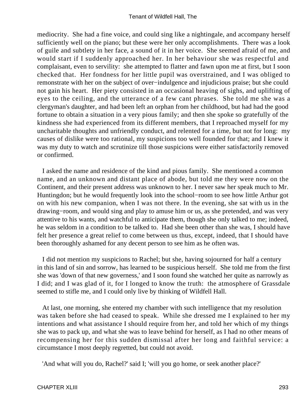mediocrity. She had a fine voice, and could sing like a nightingale, and accompany herself sufficiently well on the piano; but these were her only accomplishments. There was a look of guile and subtlety in her face, a sound of it in her voice. She seemed afraid of me, and would start if I suddenly approached her. In her behaviour she was respectful and complaisant, even to servility: she attempted to flatter and fawn upon me at first, but I soon checked that. Her fondness for her little pupil was overstrained, and I was obliged to remonstrate with her on the subject of over−indulgence and injudicious praise; but she could not gain his heart. Her piety consisted in an occasional heaving of sighs, and uplifting of eyes to the ceiling, and the utterance of a few cant phrases. She told me she was a clergyman's daughter, and had been left an orphan from her childhood, but had had the good fortune to obtain a situation in a very pious family; and then she spoke so gratefully of the kindness she had experienced from its different members, that I reproached myself for my uncharitable thoughts and unfriendly conduct, and relented for a time, but not for long: my causes of dislike were too rational, my suspicions too well founded for that; and I knew it was my duty to watch and scrutinize till those suspicions were either satisfactorily removed or confirmed.

 I asked the name and residence of the kind and pious family. She mentioned a common name, and an unknown and distant place of abode, but told me they were now on the Continent, and their present address was unknown to her. I never saw her speak much to Mr. Huntingdon; but he would frequently look into the school−room to see how little Arthur got on with his new companion, when I was not there. In the evening, she sat with us in the drawing−room, and would sing and play to amuse him or us, as she pretended, and was very attentive to his wants, and watchful to anticipate them, though she only talked to me; indeed, he was seldom in a condition to be talked to. Had she been other than she was, I should have felt her presence a great relief to come between us thus, except, indeed, that I should have been thoroughly ashamed for any decent person to see him as he often was.

 I did not mention my suspicions to Rachel; but she, having sojourned for half a century in this land of sin and sorrow, has learned to be suspicious herself. She told me from the first she was 'down of that new governess,' and I soon found she watched her quite as narrowly as I did; and I was glad of it, for I longed to know the truth: the atmosphere of Grassdale seemed to stifle me, and I could only live by thinking of Wildfell Hall.

 At last, one morning, she entered my chamber with such intelligence that my resolution was taken before she had ceased to speak. While she dressed me I explained to her my intentions and what assistance I should require from her, and told her which of my things she was to pack up, and what she was to leave behind for herself, as I had no other means of recompensing her for this sudden dismissal after her long and faithful service: a circumstance I most deeply regretted, but could not avoid.

'And what will you do, Rachel?' said I; 'will you go home, or seek another place?'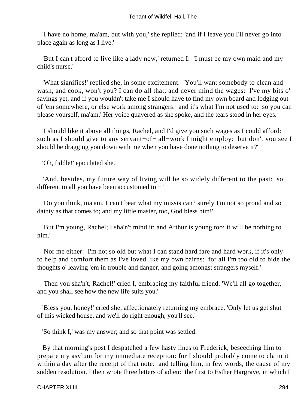'I have no home, ma'am, but with you,' she replied; 'and if I leave you I'll never go into place again as long as I live.'

 'But I can't afford to live like a lady now,' returned I: 'I must be my own maid and my child's nurse.'

 'What signifies!' replied she, in some excitement. 'You'll want somebody to clean and wash, and cook, won't you? I can do all that; and never mind the wages: I've my bits o' savings yet, and if you wouldn't take me I should have to find my own board and lodging out of 'em somewhere, or else work among strangers: and it's what I'm not used to: so you can please yourself, ma'am.' Her voice quavered as she spoke, and the tears stood in her eyes.

 'I should like it above all things, Rachel, and I'd give you such wages as I could afford: such as I should give to any servant–of– all–work I might employ: but don't you see I should be dragging you down with me when you have done nothing to deserve it?'

'Oh, fiddle!' ejaculated she.

 'And, besides, my future way of living will be so widely different to the past: so different to all you have been accustomed to − '

 'Do you think, ma'am, I can't bear what my missis can? surely I'm not so proud and so dainty as that comes to; and my little master, too, God bless him!'

 'But I'm young, Rachel; I sha'n't mind it; and Arthur is young too: it will be nothing to him.'

 'Nor me either: I'm not so old but what I can stand hard fare and hard work, if it's only to help and comfort them as I've loved like my own bairns: for all I'm too old to bide the thoughts o' leaving 'em in trouble and danger, and going amongst strangers myself.'

 'Then you sha'n't, Rachel!' cried I, embracing my faithful friend. 'We'll all go together, and you shall see how the new life suits you.'

 'Bless you, honey!' cried she, affectionately returning my embrace. 'Only let us get shut of this wicked house, and we'll do right enough, you'll see.'

'So think I,' was my answer; and so that point was settled.

 By that morning's post I despatched a few hasty lines to Frederick, beseeching him to prepare my asylum for my immediate reception: for I should probably come to claim it within a day after the receipt of that note: and telling him, in few words, the cause of my sudden resolution. I then wrote three letters of adieu: the first to Esther Hargrave, in which I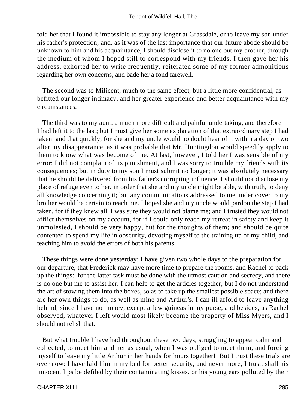told her that I found it impossible to stay any longer at Grassdale, or to leave my son under his father's protection; and, as it was of the last importance that our future abode should be unknown to him and his acquaintance, I should disclose it to no one but my brother, through the medium of whom I hoped still to correspond with my friends. I then gave her his address, exhorted her to write frequently, reiterated some of my former admonitions regarding her own concerns, and bade her a fond farewell.

 The second was to Milicent; much to the same effect, but a little more confidential, as befitted our longer intimacy, and her greater experience and better acquaintance with my circumstances.

 The third was to my aunt: a much more difficult and painful undertaking, and therefore I had left it to the last; but I must give her some explanation of that extraordinary step I had taken: and that quickly, for she and my uncle would no doubt hear of it within a day or two after my disappearance, as it was probable that Mr. Huntingdon would speedily apply to them to know what was become of me. At last, however, I told her I was sensible of my error: I did not complain of its punishment, and I was sorry to trouble my friends with its consequences; but in duty to my son I must submit no longer; it was absolutely necessary that he should be delivered from his father's corrupting influence. I should not disclose my place of refuge even to her, in order that she and my uncle might be able, with truth, to deny all knowledge concerning it; but any communications addressed to me under cover to my brother would be certain to reach me. I hoped she and my uncle would pardon the step I had taken, for if they knew all, I was sure they would not blame me; and I trusted they would not afflict themselves on my account, for if I could only reach my retreat in safety and keep it unmolested, I should be very happy, but for the thoughts of them; and should be quite contented to spend my life in obscurity, devoting myself to the training up of my child, and teaching him to avoid the errors of both his parents.

 These things were done yesterday: I have given two whole days to the preparation for our departure, that Frederick may have more time to prepare the rooms, and Rachel to pack up the things: for the latter task must be done with the utmost caution and secrecy, and there is no one but me to assist her. I can help to get the articles together, but I do not understand the art of stowing them into the boxes, so as to take up the smallest possible space; and there are her own things to do, as well as mine and Arthur's. I can ill afford to leave anything behind, since I have no money, except a few guineas in my purse; and besides, as Rachel observed, whatever I left would most likely become the property of Miss Myers, and I should not relish that.

 But what trouble I have had throughout these two days, struggling to appear calm and collected, to meet him and her as usual, when I was obliged to meet them, and forcing myself to leave my little Arthur in her hands for hours together! But I trust these trials are over now: I have laid him in my bed for better security, and never more, I trust, shall his innocent lips be defiled by their contaminating kisses, or his young ears polluted by their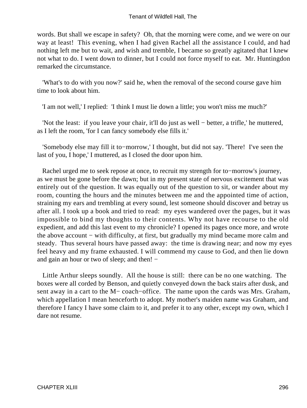words. But shall we escape in safety? Oh, that the morning were come, and we were on our way at least! This evening, when I had given Rachel all the assistance I could, and had nothing left me but to wait, and wish and tremble, I became so greatly agitated that I knew not what to do. I went down to dinner, but I could not force myself to eat. Mr. Huntingdon remarked the circumstance.

 'What's to do with you now?' said he, when the removal of the second course gave him time to look about him.

'I am not well,' I replied: 'I think I must lie down a little; you won't miss me much?'

 'Not the least: if you leave your chair, it'll do just as well − better, a trifle,' he muttered, as I left the room, 'for I can fancy somebody else fills it.'

 'Somebody else may fill it to−morrow,' I thought, but did not say. 'There! I've seen the last of you, I hope,' I muttered, as I closed the door upon him.

 Rachel urged me to seek repose at once, to recruit my strength for to−morrow's journey, as we must be gone before the dawn; but in my present state of nervous excitement that was entirely out of the question. It was equally out of the question to sit, or wander about my room, counting the hours and the minutes between me and the appointed time of action, straining my ears and trembling at every sound, lest someone should discover and betray us after all. I took up a book and tried to read: my eyes wandered over the pages, but it was impossible to bind my thoughts to their contents. Why not have recourse to the old expedient, and add this last event to my chronicle? I opened its pages once more, and wrote the above account − with difficulty, at first, but gradually my mind became more calm and steady. Thus several hours have passed away: the time is drawing near; and now my eyes feel heavy and my frame exhausted. I will commend my cause to God, and then lie down and gain an hour or two of sleep; and then! −

 Little Arthur sleeps soundly. All the house is still: there can be no one watching. The boxes were all corded by Benson, and quietly conveyed down the back stairs after dusk, and sent away in a cart to the M− coach−office. The name upon the cards was Mrs. Graham, which appellation I mean henceforth to adopt. My mother's maiden name was Graham, and therefore I fancy I have some claim to it, and prefer it to any other, except my own, which I dare not resume.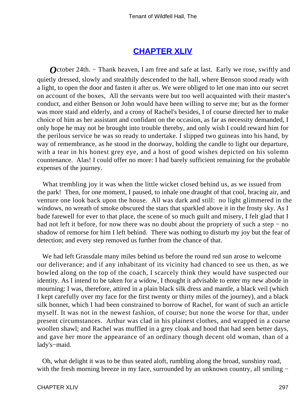### **[CHAPTER XLIV](#page-380-0)**

*O*ctober 24th. – Thank heaven, I am free and safe at last. Early we rose, swiftly and quietly dressed, slowly and stealthily descended to the hall, where Benson stood ready with a light, to open the door and fasten it after us. We were obliged to let one man into our secret on account of the boxes, All the servants were but too well acquainted with their master's conduct, and either Benson or John would have been willing to serve me; but as the former was more staid and elderly, and a crony of Rachel's besides, I of course directed her to make choice of him as her assistant and confidant on the occasion, as far as necessity demanded, I only hope he may not be brought into trouble thereby, and only wish I could reward him for the perilous service he was so ready to undertake. I slipped two guineas into his hand, by way of remembrance, as he stood in the doorway, holding the candle to light our departure, with a tear in his honest grey eye, and a host of good wishes depicted on his solemn countenance. Alas! I could offer no more: I had barely sufficient remaining for the probable expenses of the journey.

 What trembling joy it was when the little wicket closed behind us, as we issued from the park! Then, for one moment, I paused, to inhale one draught of that cool, bracing air, and venture one look back upon the house. All was dark and still: no light glimmered in the windows, no wreath of smoke obscured the stars that sparkled above it in the frosty sky. As I bade farewell for ever to that place, the scene of so much guilt and misery, I felt glad that I had not left it before, for now there was no doubt about the propriety of such a step – no shadow of remorse for him I left behind. There was nothing to disturb my joy but the fear of detection; and every step removed us further from the chance of that.

 We had left Grassdale many miles behind us before the round red sun arose to welcome our deliverance; and if any inhabitant of its vicinity had chanced to see us then, as we bowled along on the top of the coach, I scarcely think they would have suspected our identity. As I intend to be taken for a widow, I thought it advisable to enter my new abode in mourning: I was, therefore, attired in a plain black silk dress and mantle, a black veil (which I kept carefully over my face for the first twenty or thirty miles of the journey), and a black silk bonnet, which I had been constrained to borrow of Rachel, for want of such an article myself. It was not in the newest fashion, of course; but none the worse for that, under present circumstances. Arthur was clad in his plainest clothes, and wrapped in a coarse woollen shawl; and Rachel was muffled in a grey cloak and hood that had seen better days, and gave her more the appearance of an ordinary though decent old woman, than of a lady's−maid.

 Oh, what delight it was to be thus seated aloft, rumbling along the broad, sunshiny road, with the fresh morning breeze in my face, surrounded by an unknown country, all smiling −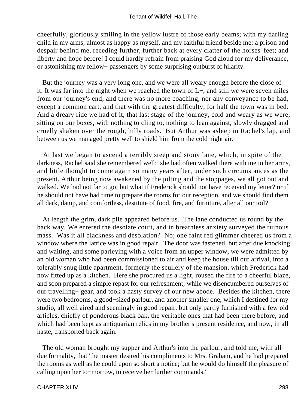cheerfully, gloriously smiling in the yellow lustre of those early beams; with my darling child in my arms, almost as happy as myself, and my faithful friend beside me: a prison and despair behind me, receding further, further back at every clatter of the horses' feet; and liberty and hope before! I could hardly refrain from praising God aloud for my deliverance, or astonishing my fellow− passengers by some surprising outburst of hilarity.

 But the journey was a very long one, and we were all weary enough before the close of it. It was far into the night when we reached the town of L−, and still we were seven miles from our journey's end; and there was no more coaching, nor any conveyance to be had, except a common cart, and that with the greatest difficulty, for half the town was in bed. And a dreary ride we had of it, that last stage of the journey, cold and weary as we were; sitting on our boxes, with nothing to cling to, nothing to lean against, slowly dragged and cruelly shaken over the rough, hilly roads. But Arthur was asleep in Rachel's lap, and between us we managed pretty well to shield him from the cold night air.

 At last we began to ascend a terribly steep and stony lane, which, in spite of the darkness, Rachel said she remembered well: she had often walked there with me in her arms, and little thought to come again so many years after, under such circumstances as the present. Arthur being now awakened by the jolting and the stoppages, we all got out and walked. We had not far to go; but what if Frederick should not have received my letter? or if he should not have had time to prepare the rooms for our reception, and we should find them all dark, damp, and comfortless, destitute of food, fire, and furniture, after all our toil?

 At length the grim, dark pile appeared before us. The lane conducted us round by the back way. We entered the desolate court, and in breathless anxiety surveyed the ruinous mass. Was it all blackness and desolation? No; one faint red glimmer cheered us from a window where the lattice was in good repair. The door was fastened, but after due knocking and waiting, and some parleying with a voice from an upper window, we were admitted by an old woman who had been commissioned to air and keep the house till our arrival, into a tolerably snug little apartment, formerly the scullery of the mansion, which Frederick had now fitted up as a kitchen. Here she procured us a light, roused the fire to a cheerful blaze, and soon prepared a simple repast for our refreshment; while we disencumbered ourselves of our travelling− gear, and took a hasty survey of our new abode. Besides the kitchen, there were two bedrooms, a good−sized parlour, and another smaller one, which I destined for my studio, all well aired and seemingly in good repair, but only partly furnished with a few old articles, chiefly of ponderous black oak, the veritable ones that had been there before, and which had been kept as antiquarian relics in my brother's present residence, and now, in all haste, transported back again.

 The old woman brought my supper and Arthur's into the parlour, and told me, with all due formality, that 'the master desired his compliments to Mrs. Graham, and he had prepared the rooms as well as he could upon so short a notice; but he would do himself the pleasure of calling upon her to−morrow, to receive her further commands.'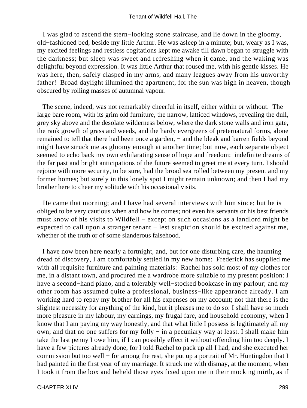I was glad to ascend the stern−looking stone staircase, and lie down in the gloomy, old−fashioned bed, beside my little Arthur. He was asleep in a minute; but, weary as I was, my excited feelings and restless cogitations kept me awake till dawn began to struggle with the darkness; but sleep was sweet and refreshing when it came, and the waking was delightful beyond expression. It was little Arthur that roused me, with his gentle kisses. He was here, then, safely clasped in my arms, and many leagues away from his unworthy father! Broad daylight illumined the apartment, for the sun was high in heaven, though obscured by rolling masses of autumnal vapour.

 The scene, indeed, was not remarkably cheerful in itself, either within or without. The large bare room, with its grim old furniture, the narrow, latticed windows, revealing the dull, grey sky above and the desolate wilderness below, where the dark stone walls and iron gate, the rank growth of grass and weeds, and the hardy evergreens of preternatural forms, alone remained to tell that there had been once a garden, − and the bleak and barren fields beyond might have struck me as gloomy enough at another time; but now, each separate object seemed to echo back my own exhilarating sense of hope and freedom: indefinite dreams of the far past and bright anticipations of the future seemed to greet me at every turn. I should rejoice with more security, to be sure, had the broad sea rolled between my present and my former homes; but surely in this lonely spot I might remain unknown; and then I had my brother here to cheer my solitude with his occasional visits.

 He came that morning; and I have had several interviews with him since; but he is obliged to be very cautious when and how he comes; not even his servants or his best friends must know of his visits to Wildfell − except on such occasions as a landlord might be expected to call upon a stranger tenant − lest suspicion should be excited against me, whether of the truth or of some slanderous falsehood.

 I have now been here nearly a fortnight, and, but for one disturbing care, the haunting dread of discovery, I am comfortably settled in my new home: Frederick has supplied me with all requisite furniture and painting materials: Rachel has sold most of my clothes for me, in a distant town, and procured me a wardrobe more suitable to my present position: I have a second−hand piano, and a tolerably well−stocked bookcase in my parlour; and my other room has assumed quite a professional, business−like appearance already. I am working hard to repay my brother for all his expenses on my account; not that there is the slightest necessity for anything of the kind, but it pleases me to do so: I shall have so much more pleasure in my labour, my earnings, my frugal fare, and household economy, when I know that I am paying my way honestly, and that what little I possess is legitimately all my own; and that no one suffers for my folly − in a pecuniary way at least. I shall make him take the last penny I owe him, if I can possibly effect it without offending him too deeply. I have a few pictures already done, for I told Rachel to pack up all I had; and she executed her commission but too well − for among the rest, she put up a portrait of Mr. Huntingdon that I had painted in the first year of my marriage. It struck me with dismay, at the moment, when I took it from the box and beheld those eyes fixed upon me in their mocking mirth, as if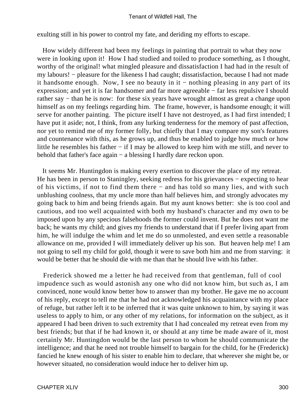exulting still in his power to control my fate, and deriding my efforts to escape.

 How widely different had been my feelings in painting that portrait to what they now were in looking upon it! How I had studied and toiled to produce something, as I thought, worthy of the original! what mingled pleasure and dissatisfaction I had had in the result of my labours! − pleasure for the likeness I had caught; dissatisfaction, because I had not made it handsome enough. Now, I see no beauty in it − nothing pleasing in any part of its expression; and yet it is far handsomer and far more agreeable − far less repulsive I should rather say – than he is now: for these six years have wrought almost as great a change upon himself as on my feelings regarding him. The frame, however, is handsome enough; it will serve for another painting. The picture itself I have not destroyed, as I had first intended; I have put it aside; not, I think, from any lurking tenderness for the memory of past affection, nor yet to remind me of my former folly, but chiefly that I may compare my son's features and countenance with this, as he grows up, and thus be enabled to judge how much or how little he resembles his father − if I may be allowed to keep him with me still, and never to behold that father's face again − a blessing I hardly dare reckon upon.

 It seems Mr. Huntingdon is making every exertion to discover the place of my retreat. He has been in person to Staningley, seeking redress for his grievances – expecting to hear of his victims, if not to find them there − and has told so many lies, and with such unblushing coolness, that my uncle more than half believes him, and strongly advocates my going back to him and being friends again. But my aunt knows better: she is too cool and cautious, and too well acquainted with both my husband's character and my own to be imposed upon by any specious falsehoods the former could invent. But he does not want me back; he wants my child; and gives my friends to understand that if I prefer living apart from him, he will indulge the whim and let me do so unmolested, and even settle a reasonable allowance on me, provided I will immediately deliver up his son. But heaven help me! I am not going to sell my child for gold, though it were to save both him and me from starving: it would be better that he should die with me than that he should live with his father.

 Frederick showed me a letter he had received from that gentleman, full of cool impudence such as would astonish any one who did not know him, but such as, I am convinced, none would know better how to answer than my brother. He gave me no account of his reply, except to tell me that he had not acknowledged his acquaintance with my place of refuge, but rather left it to be inferred that it was quite unknown to him, by saying it was useless to apply to him, or any other of my relations, for information on the subject, as it appeared I had been driven to such extremity that I had concealed my retreat even from my best friends; but that if he had known it, or should at any time be made aware of it, most certainly Mr. Huntingdon would be the last person to whom he should communicate the intelligence; and that he need not trouble himself to bargain for the child, for he (Frederick) fancied he knew enough of his sister to enable him to declare, that wherever she might be, or however situated, no consideration would induce her to deliver him up.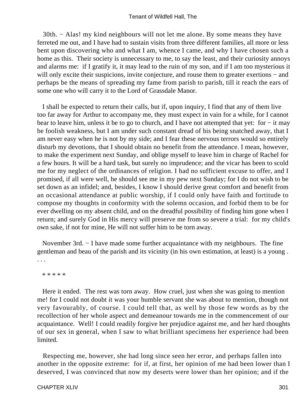30th. − Alas! my kind neighbours will not let me alone. By some means they have ferreted me out, and I have had to sustain visits from three different families, all more or less bent upon discovering who and what I am, whence I came, and why I have chosen such a home as this. Their society is unnecessary to me, to say the least, and their curiosity annoys and alarms me: if I gratify it, it may lead to the ruin of my son, and if I am too mysterious it will only excite their suspicions, invite conjecture, and rouse them to greater exertions – and perhaps be the means of spreading my fame from parish to parish, till it reach the ears of some one who will carry it to the Lord of Grassdale Manor.

 I shall be expected to return their calls, but if, upon inquiry, I find that any of them live too far away for Arthur to accompany me, they must expect in vain for a while, for I cannot bear to leave him, unless it be to go to church, and I have not attempted that yet: for − it may be foolish weakness, but I am under such constant dread of his being snatched away, that I am never easy when he is not by my side; and I fear these nervous terrors would so entirely disturb my devotions, that I should obtain no benefit from the attendance. I mean, however, to make the experiment next Sunday, and oblige myself to leave him in charge of Rachel for a few hours. It will be a hard task, but surely no imprudence; and the vicar has been to scold me for my neglect of the ordinances of religion. I had no sufficient excuse to offer, and I promised, if all were well, he should see me in my pew next Sunday; for I do not wish to be set down as an infidel; and, besides, I know I should derive great comfort and benefit from an occasional attendance at public worship, if I could only have faith and fortitude to compose my thoughts in conformity with the solemn occasion, and forbid them to be for ever dwelling on my absent child, and on the dreadful possibility of finding him gone when I return; and surely God in His mercy will preserve me from so severe a trial: for my child's own sake, if not for mine, He will not suffer him to be torn away.

 November 3rd. − I have made some further acquaintance with my neighbours. The fine gentleman and beau of the parish and its vicinity (in his own estimation, at least) is a young . . . .

\* \* \* \* \*

 Here it ended. The rest was torn away. How cruel, just when she was going to mention me! for I could not doubt it was your humble servant she was about to mention, though not very favourably, of course. I could tell that, as well by those few words as by the recollection of her whole aspect and demeanour towards me in the commencement of our acquaintance. Well! I could readily forgive her prejudice against me, and her hard thoughts of our sex in general, when I saw to what brilliant specimens her experience had been limited.

 Respecting me, however, she had long since seen her error, and perhaps fallen into another in the opposite extreme: for if, at first, her opinion of me had been lower than I deserved, I was convinced that now my deserts were lower than her opinion; and if the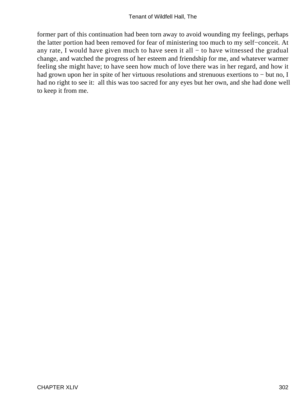former part of this continuation had been torn away to avoid wounding my feelings, perhaps the latter portion had been removed for fear of ministering too much to my self−conceit. At any rate, I would have given much to have seen it all − to have witnessed the gradual change, and watched the progress of her esteem and friendship for me, and whatever warmer feeling she might have; to have seen how much of love there was in her regard, and how it had grown upon her in spite of her virtuous resolutions and strenuous exertions to − but no, I had no right to see it: all this was too sacred for any eyes but her own, and she had done well to keep it from me.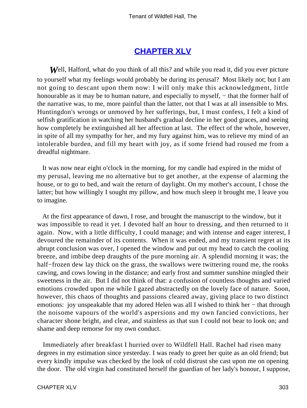### **[CHAPTER XLV](#page-380-0)**

*W*ell, Halford, what do you think of all this? and while you read it, did you ever picture to yourself what my feelings would probably be during its perusal? Most likely not; but I am not going to descant upon them now: I will only make this acknowledgment, little honourable as it may be to human nature, and especially to myself, – that the former half of the narrative was, to me, more painful than the latter, not that I was at all insensible to Mrs. Huntingdon's wrongs or unmoved by her sufferings, but, I must confess, I felt a kind of selfish gratification in watching her husband's gradual decline in her good graces, and seeing how completely he extinguished all her affection at last. The effect of the whole, however, in spite of all my sympathy for her, and my fury against him, was to relieve my mind of an intolerable burden, and fill my heart with joy, as if some friend had roused me from a dreadful nightmare.

 It was now near eight o'clock in the morning, for my candle had expired in the midst of my perusal, leaving me no alternative but to get another, at the expense of alarming the house, or to go to bed, and wait the return of daylight. On my mother's account, I chose the latter; but how willingly I sought my pillow, and how much sleep it brought me, I leave you to imagine.

 At the first appearance of dawn, I rose, and brought the manuscript to the window, but it was impossible to read it yet. I devoted half an hour to dressing, and then returned to it again. Now, with a little difficulty, I could manage; and with intense and eager interest, I devoured the remainder of its contents. When it was ended, and my transient regret at its abrupt conclusion was over, I opened the window and put out my head to catch the cooling breeze, and imbibe deep draughts of the pure morning air. A splendid morning it was; the half–frozen dew lay thick on the grass, the swallows were twittering round me, the rooks cawing, and cows lowing in the distance; and early frost and summer sunshine mingled their sweetness in the air. But I did not think of that: a confusion of countless thoughts and varied emotions crowded upon me while I gazed abstractedly on the lovely face of nature. Soon, however, this chaos of thoughts and passions cleared away, giving place to two distinct emotions: joy unspeakable that my adored Helen was all I wished to think her – that through the noisome vapours of the world's aspersions and my own fancied convictions, her character shone bright, and clear, and stainless as that sun I could not bear to look on; and shame and deep remorse for my own conduct.

 Immediately after breakfast I hurried over to Wildfell Hall. Rachel had risen many degrees in my estimation since yesterday. I was ready to greet her quite as an old friend; but every kindly impulse was checked by the look of cold distrust she cast upon me on opening the door. The old virgin had constituted herself the guardian of her lady's honour, I suppose,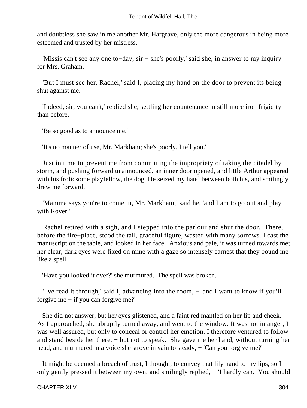and doubtless she saw in me another Mr. Hargrave, only the more dangerous in being more esteemed and trusted by her mistress.

 'Missis can't see any one to−day, sir − she's poorly,' said she, in answer to my inquiry for Mrs. Graham.

 'But I must see her, Rachel,' said I, placing my hand on the door to prevent its being shut against me.

 'Indeed, sir, you can't,' replied she, settling her countenance in still more iron frigidity than before.

'Be so good as to announce me.'

'It's no manner of use, Mr. Markham; she's poorly, I tell you.'

 Just in time to prevent me from committing the impropriety of taking the citadel by storm, and pushing forward unannounced, an inner door opened, and little Arthur appeared with his frolicsome playfellow, the dog. He seized my hand between both his, and smilingly drew me forward.

 'Mamma says you're to come in, Mr. Markham,' said he, 'and I am to go out and play with Rover.'

 Rachel retired with a sigh, and I stepped into the parlour and shut the door. There, before the fire−place, stood the tall, graceful figure, wasted with many sorrows. I cast the manuscript on the table, and looked in her face. Anxious and pale, it was turned towards me; her clear, dark eyes were fixed on mine with a gaze so intensely earnest that they bound me like a spell.

'Have you looked it over?' she murmured. The spell was broken.

 'I've read it through,' said I, advancing into the room, − 'and I want to know if you'll forgive me − if you can forgive me?'

 She did not answer, but her eyes glistened, and a faint red mantled on her lip and cheek. As I approached, she abruptly turned away, and went to the window. It was not in anger, I was well assured, but only to conceal or control her emotion. I therefore ventured to follow and stand beside her there, − but not to speak. She gave me her hand, without turning her head, and murmured in a voice she strove in vain to steady, – 'Can you forgive me?'

 It might be deemed a breach of trust, I thought, to convey that lily hand to my lips, so I only gently pressed it between my own, and smilingly replied, − 'I hardly can. You should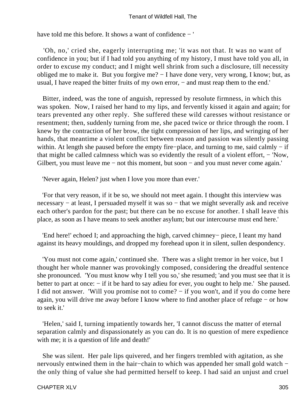#### Tenant of Wildfell Hall, The

have told me this before. It shows a want of confidence − '

 'Oh, no,' cried she, eagerly interrupting me; 'it was not that. It was no want of confidence in you; but if I had told you anything of my history, I must have told you all, in order to excuse my conduct; and I might well shrink from such a disclosure, till necessity obliged me to make it. But you forgive me? − I have done very, very wrong, I know; but, as usual, I have reaped the bitter fruits of my own error, − and must reap them to the end.'

 Bitter, indeed, was the tone of anguish, repressed by resolute firmness, in which this was spoken. Now, I raised her hand to my lips, and fervently kissed it again and again; for tears prevented any other reply. She suffered these wild caresses without resistance or resentment; then, suddenly turning from me, she paced twice or thrice through the room. I knew by the contraction of her brow, the tight compression of her lips, and wringing of her hands, that meantime a violent conflict between reason and passion was silently passing within. At length she paused before the empty fire–place, and turning to me, said calmly – if that might be called calmness which was so evidently the result of a violent effort, − 'Now, Gilbert, you must leave me – not this moment, but soon – and you must never come again.'

'Never again, Helen? just when I love you more than ever.'

 'For that very reason, if it be so, we should not meet again. I thought this interview was necessary – at least, I persuaded myself it was so – that we might severally ask and receive each other's pardon for the past; but there can be no excuse for another. I shall leave this place, as soon as I have means to seek another asylum; but our intercourse must end here.'

 'End here!' echoed I; and approaching the high, carved chimney− piece, I leant my hand against its heavy mouldings, and dropped my forehead upon it in silent, sullen despondency.

 'You must not come again,' continued she. There was a slight tremor in her voice, but I thought her whole manner was provokingly composed, considering the dreadful sentence she pronounced. 'You must know why I tell you so,' she resumed; 'and you must see that it is better to part at once: − if it be hard to say adieu for ever, you ought to help me.' She paused. I did not answer. 'Will you promise not to come? − if you won't, and if you do come here again, you will drive me away before I know where to find another place of refuge − or how to seek it.'

 'Helen,' said I, turning impatiently towards her, 'I cannot discuss the matter of eternal separation calmly and dispassionately as you can do. It is no question of mere expedience with me; it is a question of life and death!'

 She was silent. Her pale lips quivered, and her fingers trembled with agitation, as she nervously entwined them in the hair–chain to which was appended her small gold watch − the only thing of value she had permitted herself to keep. I had said an unjust and cruel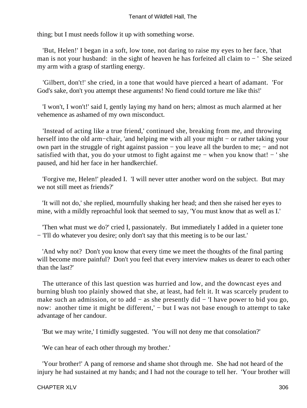thing; but I must needs follow it up with something worse.

 'But, Helen!' I began in a soft, low tone, not daring to raise my eyes to her face, 'that man is not your husband: in the sight of heaven he has forfeited all claim to − ' She seized my arm with a grasp of startling energy.

 'Gilbert, don't!' she cried, in a tone that would have pierced a heart of adamant. 'For God's sake, don't you attempt these arguments! No fiend could torture me like this!'

 'I won't, I won't!' said I, gently laying my hand on hers; almost as much alarmed at her vehemence as ashamed of my own misconduct.

 'Instead of acting like a true friend,' continued she, breaking from me, and throwing herself into the old arm−chair, 'and helping me with all your might − or rather taking your own part in the struggle of right against passion − you leave all the burden to me; − and not satisfied with that, you do your utmost to fight against me – when you know that! – ' she paused, and hid her face in her handkerchief.

 'Forgive me, Helen!' pleaded I. 'I will never utter another word on the subject. But may we not still meet as friends?'

 'It will not do,' she replied, mournfully shaking her head; and then she raised her eyes to mine, with a mildly reproachful look that seemed to say, 'You must know that as well as I.'

 'Then what must we do?' cried I, passionately. But immediately I added in a quieter tone − 'I'll do whatever you desire; only don't say that this meeting is to be our last.'

 'And why not? Don't you know that every time we meet the thoughts of the final parting will become more painful? Don't you feel that every interview makes us dearer to each other than the last?'

 The utterance of this last question was hurried and low, and the downcast eyes and burning blush too plainly showed that she, at least, had felt it. It was scarcely prudent to make such an admission, or to add − as she presently did − 'I have power to bid you go, now: another time it might be different,' – but I was not base enough to attempt to take advantage of her candour.

'But we may write,' I timidly suggested. 'You will not deny me that consolation?'

'We can hear of each other through my brother.'

 'Your brother!' A pang of remorse and shame shot through me. She had not heard of the injury he had sustained at my hands; and I had not the courage to tell her. 'Your brother will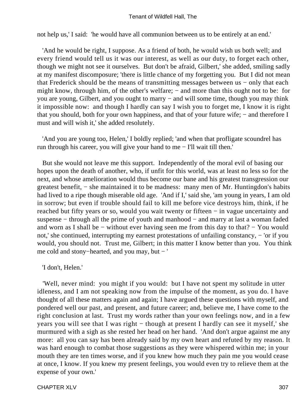not help us,' I said: 'he would have all communion between us to be entirely at an end.'

 'And he would be right, I suppose. As a friend of both, he would wish us both well; and every friend would tell us it was our interest, as well as our duty, to forget each other, though we might not see it ourselves. But don't be afraid, Gilbert,' she added, smiling sadly at my manifest discomposure; 'there is little chance of my forgetting you. But I did not mean that Frederick should be the means of transmitting messages between us − only that each might know, through him, of the other's welfare; – and more than this ought not to be: for you are young, Gilbert, and you ought to marry − and will some time, though you may think it impossible now: and though I hardly can say I wish you to forget me, I know it is right that you should, both for your own happiness, and that of your future wife; − and therefore I must and will wish it,' she added resolutely.

 'And you are young too, Helen,' I boldly replied; 'and when that profligate scoundrel has run through his career, you will give your hand to me − I'll wait till then.'

 But she would not leave me this support. Independently of the moral evil of basing our hopes upon the death of another, who, if unfit for this world, was at least no less so for the next, and whose amelioration would thus become our bane and his greatest transgression our greatest benefit, − she maintained it to be madness: many men of Mr. Huntingdon's habits had lived to a ripe though miserable old age. 'And if I,' said she, 'am young in years, I am old in sorrow; but even if trouble should fail to kill me before vice destroys him, think, if he reached but fifty years or so, would you wait twenty or fifteen − in vague uncertainty and suspense − through all the prime of youth and manhood − and marry at last a woman faded and worn as I shall be − without ever having seen me from this day to that? − You would not,' she continued, interrupting my earnest protestations of unfailing constancy, − 'or if you would, you should not. Trust me, Gilbert; in this matter I know better than you. You think me cold and stony−hearted, and you may, but − '

'I don't, Helen.'

 'Well, never mind: you might if you would: but I have not spent my solitude in utter idleness, and I am not speaking now from the impulse of the moment, as you do. I have thought of all these matters again and again; I have argued these questions with myself, and pondered well our past, and present, and future career; and, believe me, I have come to the right conclusion at last. Trust my words rather than your own feelings now, and in a few years you will see that I was right − though at present I hardly can see it myself,' she murmured with a sigh as she rested her head on her hand. 'And don't argue against me any more: all you can say has been already said by my own heart and refuted by my reason. It was hard enough to combat those suggestions as they were whispered within me; in your mouth they are ten times worse, and if you knew how much they pain me you would cease at once, I know. If you knew my present feelings, you would even try to relieve them at the expense of your own.'

CHAPTER XLV 307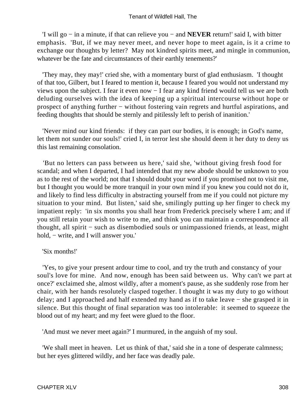'I will go − in a minute, if that can relieve you − and **NEVER** return!' said I, with bitter emphasis. 'But, if we may never meet, and never hope to meet again, is it a crime to exchange our thoughts by letter? May not kindred spirits meet, and mingle in communion, whatever be the fate and circumstances of their earthly tenements?'

 'They may, they may!' cried she, with a momentary burst of glad enthusiasm. 'I thought of that too, Gilbert, but I feared to mention it, because I feared you would not understand my views upon the subject. I fear it even now − I fear any kind friend would tell us we are both deluding ourselves with the idea of keeping up a spiritual intercourse without hope or prospect of anything further − without fostering vain regrets and hurtful aspirations, and feeding thoughts that should be sternly and pitilessly left to perish of inanition.'

 'Never mind our kind friends: if they can part our bodies, it is enough; in God's name, let them not sunder our souls!' cried I, in terror lest she should deem it her duty to deny us this last remaining consolation.

 'But no letters can pass between us here,' said she, 'without giving fresh food for scandal; and when I departed, I had intended that my new abode should be unknown to you as to the rest of the world; not that I should doubt your word if you promised not to visit me, but I thought you would be more tranquil in your own mind if you knew you could not do it, and likely to find less difficulty in abstracting yourself from me if you could not picture my situation to your mind. But listen,' said she, smilingly putting up her finger to check my impatient reply: 'in six months you shall hear from Frederick precisely where I am; and if you still retain your wish to write to me, and think you can maintain a correspondence all thought, all spirit − such as disembodied souls or unimpassioned friends, at least, might hold, − write, and I will answer you.'

'Six months!'

 'Yes, to give your present ardour time to cool, and try the truth and constancy of your soul's love for mine. And now, enough has been said between us. Why can't we part at once?' exclaimed she, almost wildly, after a moment's pause, as she suddenly rose from her chair, with her hands resolutely clasped together. I thought it was my duty to go without delay; and I approached and half extended my hand as if to take leave − she grasped it in silence. But this thought of final separation was too intolerable: it seemed to squeeze the blood out of my heart; and my feet were glued to the floor.

'And must we never meet again?' I murmured, in the anguish of my soul.

 'We shall meet in heaven. Let us think of that,' said she in a tone of desperate calmness; but her eyes glittered wildly, and her face was deadly pale.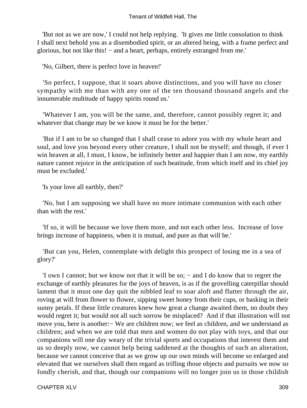'But not as we are now,' I could not help replying. 'It gives me little consolation to think I shall next behold you as a disembodied spirit, or an altered being, with a frame perfect and glorious, but not like this! − and a heart, perhaps, entirely estranged from me.'

'No, Gilbert, there is perfect love in heaven!'

 'So perfect, I suppose, that it soars above distinctions, and you will have no closer sympathy with me than with any one of the ten thousand thousand angels and the innumerable multitude of happy spirits round us.'

 'Whatever I am, you will be the same, and, therefore, cannot possibly regret it; and whatever that change may be we know it must be for the better.'

 'But if I am to be so changed that I shall cease to adore you with my whole heart and soul, and love you beyond every other creature, I shall not be myself; and though, if ever I win heaven at all, I must, I know, be infinitely better and happier than I am now, my earthly nature cannot rejoice in the anticipation of such beatitude, from which itself and its chief joy must be excluded.'

'Is your love all earthly, then?'

 'No, but I am supposing we shall have no more intimate communion with each other than with the rest.'

 'If so, it will be because we love them more, and not each other less. Increase of love brings increase of happiness, when it is mutual, and pure as that will be.'

 'But can you, Helen, contemplate with delight this prospect of losing me in a sea of glory?'

 'I own I cannot; but we know not that it will be so; − and I do know that to regret the exchange of earthly pleasures for the joys of heaven, is as if the grovelling caterpillar should lament that it must one day quit the nibbled leaf to soar aloft and flutter through the air, roving at will from flower to flower, sipping sweet honey from their cups, or basking in their sunny petals. If these little creatures knew how great a change awaited them, no doubt they would regret it; but would not all such sorrow be misplaced? And if that illustration will not move you, here is another:− We are children now; we feel as children, and we understand as children; and when we are told that men and women do not play with toys, and that our companions will one day weary of the trivial sports and occupations that interest them and us so deeply now, we cannot help being saddened at the thoughts of such an alteration, because we cannot conceive that as we grow up our own minds will become so enlarged and elevated that we ourselves shall then regard as trifling those objects and pursuits we now so fondly cherish, and that, though our companions will no longer join us in those childish

CHAPTER XLV 309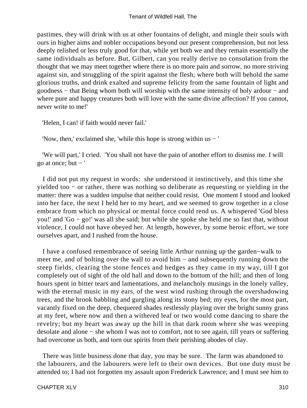pastimes, they will drink with us at other fountains of delight, and mingle their souls with ours in higher aims and nobler occupations beyond our present comprehension, but not less deeply relished or less truly good for that, while yet both we and they remain essentially the same individuals as before. But, Gilbert, can you really derive no consolation from the thought that we may meet together where there is no more pain and sorrow, no more striving against sin, and struggling of the spirit against the flesh; where both will behold the same glorious truths, and drink exalted and supreme felicity from the same fountain of light and goodness − that Being whom both will worship with the same intensity of holy ardour − and where pure and happy creatures both will love with the same divine affection? If you cannot, never write to me!'

'Helen, I can! if faith would never fail.'

'Now, then,' exclaimed she, 'while this hope is strong within us − '

 'We will part,' I cried. 'You shall not have the pain of another effort to dismiss me. I will go at once; but  $-$ '

 I did not put my request in words: she understood it instinctively, and this time she yielded too − or rather, there was nothing so deliberate as requesting or yielding in the matter: there was a sudden impulse that neither could resist. One moment I stood and looked into her face, the next I held her to my heart, and we seemed to grow together in a close embrace from which no physical or mental force could rend us. A whispered 'God bless you!' and 'Go − go!' was all she said; but while she spoke she held me so fast that, without violence, I could not have obeyed her. At length, however, by some heroic effort, we tore ourselves apart, and I rushed from the house.

 I have a confused remembrance of seeing little Arthur running up the garden−walk to meet me, and of bolting over the wall to avoid him − and subsequently running down the steep fields, clearing the stone fences and hedges as they came in my way, till I got completely out of sight of the old hall and down to the bottom of the hill; and then of long hours spent in bitter tears and lamentations, and melancholy musings in the lonely valley, with the eternal music in my ears, of the west wind rushing through the overshadowing trees, and the brook babbling and gurgling along its stony bed; my eyes, for the most part, vacantly fixed on the deep, chequered shades restlessly playing over the bright sunny grass at my feet, where now and then a withered leaf or two would come dancing to share the revelry; but my heart was away up the hill in that dark room where she was weeping desolate and alone − she whom I was not to comfort, not to see again, till years or suffering had overcome us both, and torn our spirits from their perishing abodes of clay.

 There was little business done that day, you may be sure. The farm was abandoned to the labourers, and the labourers were left to their own devices. But one duty must be attended to; I had not forgotten my assault upon Frederick Lawrence; and I must see him to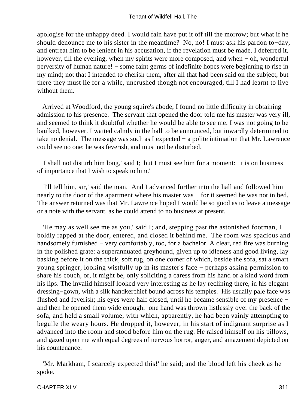apologise for the unhappy deed. I would fain have put it off till the morrow; but what if he should denounce me to his sister in the meantime? No, no! I must ask his pardon to−day, and entreat him to be lenient in his accusation, if the revelation must be made. I deferred it, however, till the evening, when my spirits were more composed, and when − oh, wonderful perversity of human nature! – some faint germs of indefinite hopes were beginning to rise in my mind; not that I intended to cherish them, after all that had been said on the subject, but there they must lie for a while, uncrushed though not encouraged, till I had learnt to live without them.

 Arrived at Woodford, the young squire's abode, I found no little difficulty in obtaining admission to his presence. The servant that opened the door told me his master was very ill, and seemed to think it doubtful whether he would be able to see me. I was not going to be baulked, however. I waited calmly in the hall to be announced, but inwardly determined to take no denial. The message was such as I expected − a polite intimation that Mr. Lawrence could see no one; he was feverish, and must not be disturbed.

 'I shall not disturb him long,' said I; 'but I must see him for a moment: it is on business of importance that I wish to speak to him.'

 'I'll tell him, sir,' said the man. And I advanced further into the hall and followed him nearly to the door of the apartment where his master was – for it seemed he was not in bed. The answer returned was that Mr. Lawrence hoped I would be so good as to leave a message or a note with the servant, as he could attend to no business at present.

 'He may as well see me as you,' said I; and, stepping past the astonished footman, I boldly rapped at the door, entered, and closed it behind me. The room was spacious and handsomely furnished − very comfortably, too, for a bachelor. A clear, red fire was burning in the polished grate: a superannuated greyhound, given up to idleness and good living, lay basking before it on the thick, soft rug, on one corner of which, beside the sofa, sat a smart young springer, looking wistfully up in its master's face − perhaps asking permission to share his couch, or, it might be, only soliciting a caress from his hand or a kind word from his lips. The invalid himself looked very interesting as he lay reclining there, in his elegant dressing−gown, with a silk handkerchief bound across his temples. His usually pale face was flushed and feverish; his eyes were half closed, until he became sensible of my presence − and then he opened them wide enough: one hand was thrown listlessly over the back of the sofa, and held a small volume, with which, apparently, he had been vainly attempting to beguile the weary hours. He dropped it, however, in his start of indignant surprise as I advanced into the room and stood before him on the rug. He raised himself on his pillows, and gazed upon me with equal degrees of nervous horror, anger, and amazement depicted on his countenance.

 'Mr. Markham, I scarcely expected this!' he said; and the blood left his cheek as he spoke.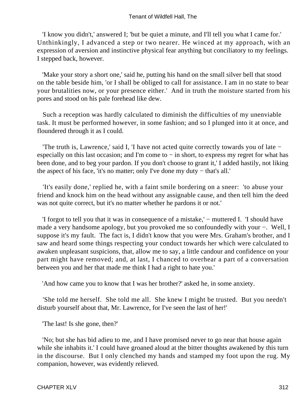'I know you didn't,' answered I; 'but be quiet a minute, and I'll tell you what I came for.' Unthinkingly, I advanced a step or two nearer. He winced at my approach, with an expression of aversion and instinctive physical fear anything but conciliatory to my feelings. I stepped back, however.

 'Make your story a short one,' said he, putting his hand on the small silver bell that stood on the table beside him, 'or I shall be obliged to call for assistance. I am in no state to bear your brutalities now, or your presence either.' And in truth the moisture started from his pores and stood on his pale forehead like dew.

 Such a reception was hardly calculated to diminish the difficulties of my unenviable task. It must be performed however, in some fashion; and so I plunged into it at once, and floundered through it as I could.

 'The truth is, Lawrence,' said I, 'I have not acted quite correctly towards you of late − especially on this last occasion; and I'm come to − in short, to express my regret for what has been done, and to beg your pardon. If you don't choose to grant it,' I added hastily, not liking the aspect of his face, 'it's no matter; only I've done my duty − that's all.'

 'It's easily done,' replied he, with a faint smile bordering on a sneer: 'to abuse your friend and knock him on the head without any assignable cause, and then tell him the deed was not quite correct, but it's no matter whether he pardons it or not.'

 'I forgot to tell you that it was in consequence of a mistake,' − muttered I. 'I should have made a very handsome apology, but you provoked me so confoundedly with your −. Well, I suppose it's my fault. The fact is, I didn't know that you were Mrs. Graham's brother, and I saw and heard some things respecting your conduct towards her which were calculated to awaken unpleasant suspicions, that, allow me to say, a little candour and confidence on your part might have removed; and, at last, I chanced to overhear a part of a conversation between you and her that made me think I had a right to hate you.'

'And how came you to know that I was her brother?' asked he, in some anxiety.

 'She told me herself. She told me all. She knew I might be trusted. But you needn't disturb yourself about that, Mr. Lawrence, for I've seen the last of her!'

'The last! Is she gone, then?'

 'No; but she has bid adieu to me, and I have promised never to go near that house again while she inhabits it.' I could have groaned aloud at the bitter thoughts awakened by this turn in the discourse. But I only clenched my hands and stamped my foot upon the rug. My companion, however, was evidently relieved.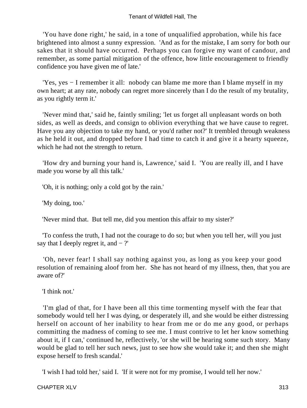'You have done right,' he said, in a tone of unqualified approbation, while his face brightened into almost a sunny expression. 'And as for the mistake, I am sorry for both our sakes that it should have occurred. Perhaps you can forgive my want of candour, and remember, as some partial mitigation of the offence, how little encouragement to friendly confidence you have given me of late.'

 'Yes, yes − I remember it all: nobody can blame me more than I blame myself in my own heart; at any rate, nobody can regret more sincerely than I do the result of my brutality, as you rightly term it.'

 'Never mind that,' said he, faintly smiling; 'let us forget all unpleasant words on both sides, as well as deeds, and consign to oblivion everything that we have cause to regret. Have you any objection to take my hand, or you'd rather not?' It trembled through weakness as he held it out, and dropped before I had time to catch it and give it a hearty squeeze, which he had not the strength to return.

 'How dry and burning your hand is, Lawrence,' said I. 'You are really ill, and I have made you worse by all this talk.'

'Oh, it is nothing; only a cold got by the rain.'

'My doing, too.'

'Never mind that. But tell me, did you mention this affair to my sister?'

 'To confess the truth, I had not the courage to do so; but when you tell her, will you just say that I deeply regret it, and  $-$  ?'

 'Oh, never fear! I shall say nothing against you, as long as you keep your good resolution of remaining aloof from her. She has not heard of my illness, then, that you are aware of?'

'I think not.'

 'I'm glad of that, for I have been all this time tormenting myself with the fear that somebody would tell her I was dying, or desperately ill, and she would be either distressing herself on account of her inability to hear from me or do me any good, or perhaps committing the madness of coming to see me. I must contrive to let her know something about it, if I can,' continued he, reflectively, 'or she will be hearing some such story. Many would be glad to tell her such news, just to see how she would take it; and then she might expose herself to fresh scandal.'

'I wish I had told her,' said I. 'If it were not for my promise, I would tell her now.'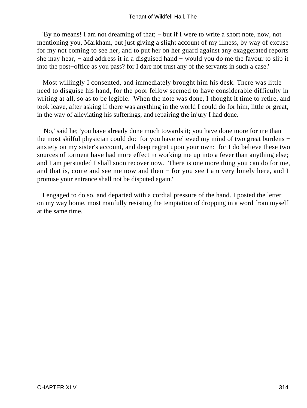'By no means! I am not dreaming of that; − but if I were to write a short note, now, not mentioning you, Markham, but just giving a slight account of my illness, by way of excuse for my not coming to see her, and to put her on her guard against any exaggerated reports she may hear, − and address it in a disguised hand − would you do me the favour to slip it into the post−office as you pass? for I dare not trust any of the servants in such a case.'

 Most willingly I consented, and immediately brought him his desk. There was little need to disguise his hand, for the poor fellow seemed to have considerable difficulty in writing at all, so as to be legible. When the note was done, I thought it time to retire, and took leave, after asking if there was anything in the world I could do for him, little or great, in the way of alleviating his sufferings, and repairing the injury I had done.

 'No,' said he; 'you have already done much towards it; you have done more for me than the most skilful physician could do: for you have relieved my mind of two great burdens − anxiety on my sister's account, and deep regret upon your own: for I do believe these two sources of torment have had more effect in working me up into a fever than anything else; and I am persuaded I shall soon recover now. There is one more thing you can do for me, and that is, come and see me now and then − for you see I am very lonely here, and I promise your entrance shall not be disputed again.'

 I engaged to do so, and departed with a cordial pressure of the hand. I posted the letter on my way home, most manfully resisting the temptation of dropping in a word from myself at the same time.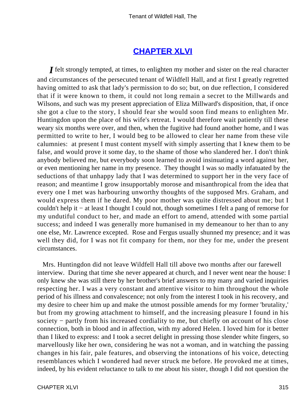### **[CHAPTER XLVI](#page-380-0)**

*I* felt strongly tempted, at times, to enlighten my mother and sister on the real character and circumstances of the persecuted tenant of Wildfell Hall, and at first I greatly regretted having omitted to ask that lady's permission to do so; but, on due reflection, I considered that if it were known to them, it could not long remain a secret to the Millwards and Wilsons, and such was my present appreciation of Eliza Millward's disposition, that, if once she got a clue to the story, I should fear she would soon find means to enlighten Mr. Huntingdon upon the place of his wife's retreat. I would therefore wait patiently till these weary six months were over, and then, when the fugitive had found another home, and I was permitted to write to her, I would beg to be allowed to clear her name from these vile calumnies: at present I must content myself with simply asserting that I knew them to be false, and would prove it some day, to the shame of those who slandered her. I don't think anybody believed me, but everybody soon learned to avoid insinuating a word against her, or even mentioning her name in my presence. They thought I was so madly infatuated by the seductions of that unhappy lady that I was determined to support her in the very face of reason; and meantime I grow insupportably morose and misanthropical from the idea that every one I met was harbouring unworthy thoughts of the supposed Mrs. Graham, and would express them if he dared. My poor mother was quite distressed about me; but I couldn't help it − at least I thought I could not, though sometimes I felt a pang of remorse for my undutiful conduct to her, and made an effort to amend, attended with some partial success; and indeed I was generally more humanised in my demeanour to her than to any one else, Mr. Lawrence excepted. Rose and Fergus usually shunned my presence; and it was well they did, for I was not fit company for them, nor they for me, under the present circumstances.

 Mrs. Huntingdon did not leave Wildfell Hall till above two months after our farewell interview. During that time she never appeared at church, and I never went near the house: I only knew she was still there by her brother's brief answers to my many and varied inquiries respecting her. I was a very constant and attentive visitor to him throughout the whole period of his illness and convalescence; not only from the interest I took in his recovery, and my desire to cheer him up and make the utmost possible amends for my former 'brutality,' but from my growing attachment to himself, and the increasing pleasure I found in his society – partly from his increased cordiality to me, but chiefly on account of his close connection, both in blood and in affection, with my adored Helen. I loved him for it better than I liked to express: and I took a secret delight in pressing those slender white fingers, so marvellously like her own, considering he was not a woman, and in watching the passing changes in his fair, pale features, and observing the intonations of his voice, detecting resemblances which I wondered had never struck me before. He provoked me at times, indeed, by his evident reluctance to talk to me about his sister, though I did not question the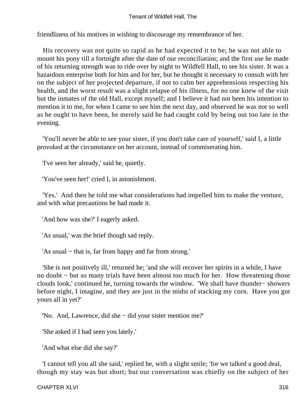friendliness of his motives in wishing to discourage my remembrance of her.

 His recovery was not quite so rapid as he had expected it to be; he was not able to mount his pony till a fortnight after the date of our reconciliation; and the first use he made of his returning strength was to ride over by night to Wildfell Hall, to see his sister. It was a hazardous enterprise both for him and for her, but he thought it necessary to consult with her on the subject of her projected departure, if not to calm her apprehensions respecting his health, and the worst result was a slight relapse of his illness, for no one knew of the visit but the inmates of the old Hall, except myself; and I believe it had not been his intention to mention it to me, for when I came to see him the next day, and observed he was not so well as he ought to have been, he merely said he had caught cold by being out too late in the evening.

 'You'll never be able to see your sister, if you don't take care of yourself,' said I, a little provoked at the circumstance on her account, instead of commiserating him.

'I've seen her already,' said he, quietly.

'You've seen her!' cried I, in astonishment.

 'Yes.' And then he told me what considerations had impelled him to make the venture, and with what precautions he had made it.

'And how was she?' I eagerly asked.

'As usual,' was the brief though sad reply.

'As usual − that is, far from happy and far from strong.'

 'She is not positively ill,' returned he; 'and she will recover her spirits in a while, I have no doubt – but so many trials have been almost too much for her. How threatening those clouds look,' continued he, turning towards the window. 'We shall have thunder− showers before night, I imagine, and they are just in the midst of stacking my corn. Have you got yours all in yet?'

'No. And, Lawrence, did she − did your sister mention me?'

'She asked if I had seen you lately.'

'And what else did she say?'

 'I cannot tell you all she said,' replied he, with a slight smile; 'for we talked a good deal, though my stay was but short; but our conversation was chiefly on the subject of her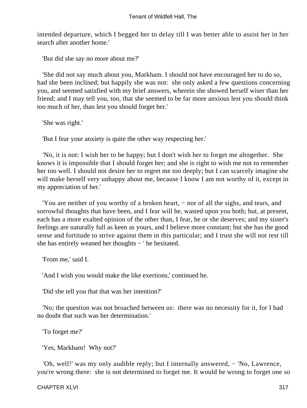intended departure, which I begged her to delay till I was better able to assist her in her search after another home.'

'But did she say no more about me?'

 'She did not say much about you, Markham. I should not have encouraged her to do so, had she been inclined; but happily she was not: she only asked a few questions concerning you, and seemed satisfied with my brief answers, wherein she showed herself wiser than her friend; and I may tell you, too, that she seemed to be far more anxious lest you should think too much of her, than lest you should forget her.'

'She was right.'

'But I fear your anxiety is quite the other way respecting her.'

 'No, it is not: I wish her to be happy; but I don't wish her to forget me altogether. She knows it is impossible that I should forget her; and she is right to wish me not to remember her too well. I should not desire her to regret me too deeply; but I can scarcely imagine she will make herself very unhappy about me, because I know I am not worthy of it, except in my appreciation of her.'

 'You are neither of you worthy of a broken heart, − nor of all the sighs, and tears, and sorrowful thoughts that have been, and I fear will be, wasted upon you both; but, at present, each has a more exalted opinion of the other than, I fear, he or she deserves; and my sister's feelings are naturally full as keen as yours, and I believe more constant; but she has the good sense and fortitude to strive against them in this particular; and I trust she will not rest till she has entirely weaned her thoughts − ' he hesitated.

'From me,' said I.

'And I wish you would make the like exertions,' continued he.

'Did she tell you that that was her intention?'

 'No; the question was not broached between us: there was no necessity for it, for I had no doubt that such was her determination.'

'To forget me?'

'Yes, Markham! Why not?'

 'Oh, well!' was my only audible reply; but I internally answered, − 'No, Lawrence, you're wrong there: she is not determined to forget me. It would be wrong to forget one so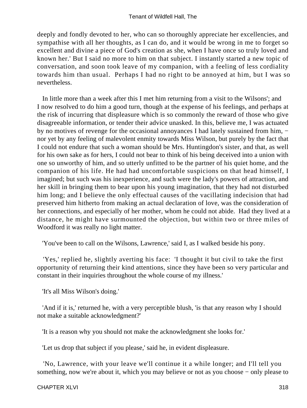deeply and fondly devoted to her, who can so thoroughly appreciate her excellencies, and sympathise with all her thoughts, as I can do, and it would be wrong in me to forget so excellent and divine a piece of God's creation as she, when I have once so truly loved and known her.' But I said no more to him on that subject. I instantly started a new topic of conversation, and soon took leave of my companion, with a feeling of less cordiality towards him than usual. Perhaps I had no right to be annoyed at him, but I was so nevertheless.

 In little more than a week after this I met him returning from a visit to the Wilsons'; and I now resolved to do him a good turn, though at the expense of his feelings, and perhaps at the risk of incurring that displeasure which is so commonly the reward of those who give disagreeable information, or tender their advice unasked. In this, believe me, I was actuated by no motives of revenge for the occasional annoyances I had lately sustained from him, − nor yet by any feeling of malevolent enmity towards Miss Wilson, but purely by the fact that I could not endure that such a woman should be Mrs. Huntingdon's sister, and that, as well for his own sake as for hers, I could not bear to think of his being deceived into a union with one so unworthy of him, and so utterly unfitted to be the partner of his quiet home, and the companion of his life. He had had uncomfortable suspicions on that head himself, I imagined; but such was his inexperience, and such were the lady's powers of attraction, and her skill in bringing them to bear upon his young imagination, that they had not disturbed him long; and I believe the only effectual causes of the vacillating indecision that had preserved him hitherto from making an actual declaration of love, was the consideration of her connections, and especially of her mother, whom he could not abide. Had they lived at a distance, he might have surmounted the objection, but within two or three miles of Woodford it was really no light matter.

'You've been to call on the Wilsons, Lawrence,' said I, as I walked beside his pony.

 'Yes,' replied he, slightly averting his face: 'I thought it but civil to take the first opportunity of returning their kind attentions, since they have been so very particular and constant in their inquiries throughout the whole course of my illness.'

'It's all Miss Wilson's doing.'

 'And if it is,' returned he, with a very perceptible blush, 'is that any reason why I should not make a suitable acknowledgment?'

'It is a reason why you should not make the acknowledgment she looks for.'

'Let us drop that subject if you please,' said he, in evident displeasure.

 'No, Lawrence, with your leave we'll continue it a while longer; and I'll tell you something, now we're about it, which you may believe or not as you choose – only please to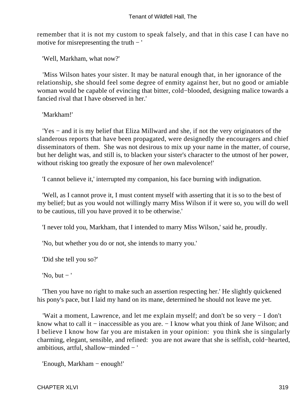remember that it is not my custom to speak falsely, and that in this case I can have no motive for misrepresenting the truth − '

'Well, Markham, what now?'

 'Miss Wilson hates your sister. It may be natural enough that, in her ignorance of the relationship, she should feel some degree of enmity against her, but no good or amiable woman would be capable of evincing that bitter, cold−blooded, designing malice towards a fancied rival that I have observed in her.'

'Markham!'

 'Yes − and it is my belief that Eliza Millward and she, if not the very originators of the slanderous reports that have been propagated, were designedly the encouragers and chief disseminators of them. She was not desirous to mix up your name in the matter, of course, but her delight was, and still is, to blacken your sister's character to the utmost of her power, without risking too greatly the exposure of her own malevolence!'

'I cannot believe it,' interrupted my companion, his face burning with indignation.

 'Well, as I cannot prove it, I must content myself with asserting that it is so to the best of my belief; but as you would not willingly marry Miss Wilson if it were so, you will do well to be cautious, till you have proved it to be otherwise.'

'I never told you, Markham, that I intended to marry Miss Wilson,' said he, proudly.

'No, but whether you do or not, she intends to marry you.'

'Did she tell you so?'

'No, but  $-$ '

 'Then you have no right to make such an assertion respecting her.' He slightly quickened his pony's pace, but I laid my hand on its mane, determined he should not leave me yet.

 'Wait a moment, Lawrence, and let me explain myself; and don't be so very − I don't know what to call it − inaccessible as you are. − I know what you think of Jane Wilson; and I believe I know how far you are mistaken in your opinion: you think she is singularly charming, elegant, sensible, and refined: you are not aware that she is selfish, cold−hearted, ambitious, artful, shallow−minded − '

'Enough, Markham − enough!'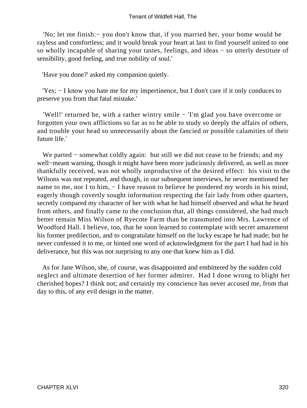'No; let me finish:− you don't know that, if you married her, your home would be rayless and comfortless; and it would break your heart at last to find yourself united to one so wholly incapable of sharing your tastes, feelings, and ideas − so utterly destitute of sensibility, good feeling, and true nobility of soul.'

'Have you done?' asked my companion quietly.

 'Yes; − I know you hate me for my impertinence, but I don't care if it only conduces to preserve you from that fatal mistake.'

 'Well!' returned he, with a rather wintry smile − 'I'm glad you have overcome or forgotten your own afflictions so far as to be able to study so deeply the affairs of others, and trouble your head so unnecessarily about the fancied or possible calamities of their future life.'

 We parted − somewhat coldly again: but still we did not cease to be friends; and my well−meant warning, though it might have been more judiciously delivered, as well as more thankfully received, was not wholly unproductive of the desired effect: his visit to the Wilsons was not repeated, and though, in our subsequent interviews, he never mentioned her name to me, nor I to him, − I have reason to believe he pondered my words in his mind, eagerly though covertly sought information respecting the fair lady from other quarters, secretly compared my character of her with what he had himself observed and what he heard from others, and finally came to the conclusion that, all things considered, she had much better remain Miss Wilson of Ryecote Farm than be transmuted into Mrs. Lawrence of Woodford Hall. I believe, too, that he soon learned to contemplate with secret amazement his former predilection, and to congratulate himself on the lucky escape he had made; but he never confessed it to me, or hinted one word of acknowledgment for the part I had had in his deliverance, but this was not surprising to any one that knew him as I did.

 As for Jane Wilson, she, of course, was disappointed and embittered by the sudden cold neglect and ultimate desertion of her former admirer. Had I done wrong to blight her cherished hopes? I think not; and certainly my conscience has never accused me, from that day to this, of any evil design in the matter.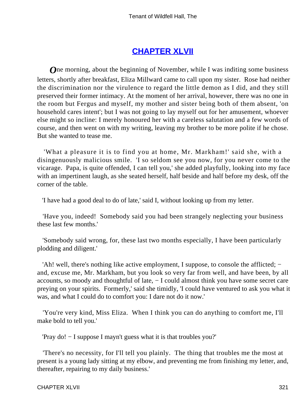# **[CHAPTER XLVII](#page-380-0)**

*O*ne morning, about the beginning of November, while I was inditing some business letters, shortly after breakfast, Eliza Millward came to call upon my sister. Rose had neither the discrimination nor the virulence to regard the little demon as I did, and they still preserved their former intimacy. At the moment of her arrival, however, there was no one in the room but Fergus and myself, my mother and sister being both of them absent, 'on household cares intent'; but I was not going to lay myself out for her amusement, whoever else might so incline: I merely honoured her with a careless salutation and a few words of course, and then went on with my writing, leaving my brother to be more polite if he chose. But she wanted to tease me.

 'What a pleasure it is to find you at home, Mr. Markham!' said she, with a disingenuously malicious smile. 'I so seldom see you now, for you never come to the vicarage. Papa, is quite offended, I can tell you,' she added playfully, looking into my face with an impertinent laugh, as she seated herself, half beside and half before my desk, off the corner of the table.

'I have had a good deal to do of late,' said I, without looking up from my letter.

 'Have you, indeed! Somebody said you had been strangely neglecting your business these last few months.'

 'Somebody said wrong, for, these last two months especially, I have been particularly plodding and diligent.'

 'Ah! well, there's nothing like active employment, I suppose, to console the afflicted; − and, excuse me, Mr. Markham, but you look so very far from well, and have been, by all accounts, so moody and thoughtful of late, − I could almost think you have some secret care preying on your spirits. Formerly,' said she timidly, 'I could have ventured to ask you what it was, and what I could do to comfort you: I dare not do it now.'

 'You're very kind, Miss Eliza. When I think you can do anything to comfort me, I'll make bold to tell you.'

'Pray do! − I suppose I mayn't guess what it is that troubles you?'

 'There's no necessity, for I'll tell you plainly. The thing that troubles me the most at present is a young lady sitting at my elbow, and preventing me from finishing my letter, and, thereafter, repairing to my daily business.'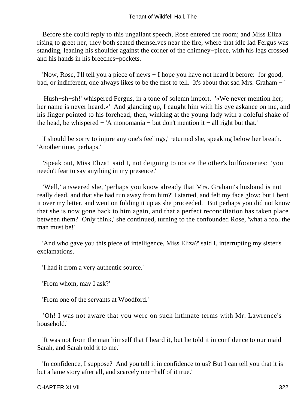Before she could reply to this ungallant speech, Rose entered the room; and Miss Eliza rising to greet her, they both seated themselves near the fire, where that idle lad Fergus was standing, leaning his shoulder against the corner of the chimney−piece, with his legs crossed and his hands in his breeches−pockets.

 'Now, Rose, I'll tell you a piece of news − I hope you have not heard it before: for good, bad, or indifferent, one always likes to be the first to tell. It's about that sad Mrs. Graham − '

 'Hush−sh−sh!' whispered Fergus, in a tone of solemn import. '«We never mention her; her name is never heard.»' And glancing up, I caught him with his eye askance on me, and his finger pointed to his forehead; then, winking at the young lady with a doleful shake of the head, be whispered − 'A monomania − but don't mention it − all right but that.'

 'I should be sorry to injure any one's feelings,' returned she, speaking below her breath. 'Another time, perhaps.'

 'Speak out, Miss Eliza!' said I, not deigning to notice the other's buffooneries: 'you needn't fear to say anything in my presence.'

 'Well,' answered she, 'perhaps you know already that Mrs. Graham's husband is not really dead, and that she had run away from him?' I started, and felt my face glow; but I bent it over my letter, and went on folding it up as she proceeded. 'But perhaps you did not know that she is now gone back to him again, and that a perfect reconciliation has taken place between them? Only think,' she continued, turning to the confounded Rose, 'what a fool the man must be!'

 'And who gave you this piece of intelligence, Miss Eliza?' said I, interrupting my sister's exclamations.

'I had it from a very authentic source.'

'From whom, may I ask?'

'From one of the servants at Woodford.'

 'Oh! I was not aware that you were on such intimate terms with Mr. Lawrence's household.'

 'It was not from the man himself that I heard it, but he told it in confidence to our maid Sarah, and Sarah told it to me.'

 'In confidence, I suppose? And you tell it in confidence to us? But I can tell you that it is but a lame story after all, and scarcely one−half of it true.'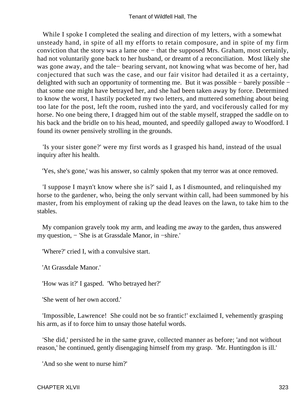While I spoke I completed the sealing and direction of my letters, with a somewhat unsteady hand, in spite of all my efforts to retain composure, and in spite of my firm conviction that the story was a lame one − that the supposed Mrs. Graham, most certainly, had not voluntarily gone back to her husband, or dreamt of a reconciliation. Most likely she was gone away, and the tale− bearing servant, not knowing what was become of her, had conjectured that such was the case, and our fair visitor had detailed it as a certainty, delighted with such an opportunity of tormenting me. But it was possible − barely possible − that some one might have betrayed her, and she had been taken away by force. Determined to know the worst, I hastily pocketed my two letters, and muttered something about being too late for the post, left the room, rushed into the yard, and vociferously called for my horse. No one being there, I dragged him out of the stable myself, strapped the saddle on to his back and the bridle on to his head, mounted, and speedily galloped away to Woodford. I found its owner pensively strolling in the grounds.

 'Is your sister gone?' were my first words as I grasped his hand, instead of the usual inquiry after his health.

'Yes, she's gone,' was his answer, so calmly spoken that my terror was at once removed.

 'I suppose I mayn't know where she is?' said I, as I dismounted, and relinquished my horse to the gardener, who, being the only servant within call, had been summoned by his master, from his employment of raking up the dead leaves on the lawn, to take him to the stables.

 My companion gravely took my arm, and leading me away to the garden, thus answered my question, − 'She is at Grassdale Manor, in −shire.'

'Where?' cried I, with a convulsive start.

'At Grassdale Manor.'

'How was it?' I gasped. 'Who betrayed her?'

'She went of her own accord.'

 'Impossible, Lawrence! She could not be so frantic!' exclaimed I, vehemently grasping his arm, as if to force him to unsay those hateful words.

 'She did,' persisted he in the same grave, collected manner as before; 'and not without reason,' he continued, gently disengaging himself from my grasp. 'Mr. Huntingdon is ill.'

'And so she went to nurse him?'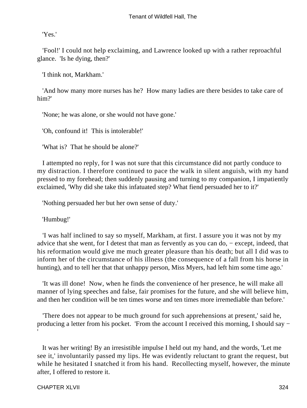'Yes.'

 'Fool!' I could not help exclaiming, and Lawrence looked up with a rather reproachful glance. 'Is he dying, then?'

'I think not, Markham.'

 'And how many more nurses has he? How many ladies are there besides to take care of him?'

'None; he was alone, or she would not have gone.'

'Oh, confound it! This is intolerable!'

'What is? That he should be alone?'

 I attempted no reply, for I was not sure that this circumstance did not partly conduce to my distraction. I therefore continued to pace the walk in silent anguish, with my hand pressed to my forehead; then suddenly pausing and turning to my companion, I impatiently exclaimed, 'Why did she take this infatuated step? What fiend persuaded her to it?'

'Nothing persuaded her but her own sense of duty.'

'Humbug!'

 'I was half inclined to say so myself, Markham, at first. I assure you it was not by my advice that she went, for I detest that man as fervently as you can do, − except, indeed, that his reformation would give me much greater pleasure than his death; but all I did was to inform her of the circumstance of his illness (the consequence of a fall from his horse in hunting), and to tell her that that unhappy person, Miss Myers, had left him some time ago.'

 'It was ill done! Now, when he finds the convenience of her presence, he will make all manner of lying speeches and false, fair promises for the future, and she will believe him, and then her condition will be ten times worse and ten times more irremediable than before.'

 'There does not appear to be much ground for such apprehensions at present,' said he, producing a letter from his pocket. 'From the account I received this morning, I should say −

 It was her writing! By an irresistible impulse I held out my hand, and the words, 'Let me see it,' involuntarily passed my lips. He was evidently reluctant to grant the request, but while he hesitated I snatched it from his hand. Recollecting myself, however, the minute after, I offered to restore it.

'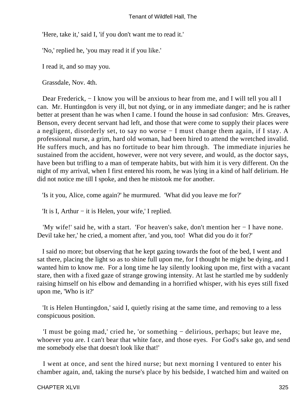'Here, take it,' said I, 'if you don't want me to read it.'

'No,' replied he, 'you may read it if you like.'

I read it, and so may you.

Grassdale, Nov. 4th.

Dear Frederick, – I know you will be anxious to hear from me, and I will tell you all I can. Mr. Huntingdon is very ill, but not dying, or in any immediate danger; and he is rather better at present than he was when I came. I found the house in sad confusion: Mrs. Greaves, Benson, every decent servant had left, and those that were come to supply their places were a negligent, disorderly set, to say no worse − I must change them again, if I stay. A professional nurse, a grim, hard old woman, had been hired to attend the wretched invalid. He suffers much, and has no fortitude to bear him through. The immediate injuries he sustained from the accident, however, were not very severe, and would, as the doctor says, have been but trifling to a man of temperate habits, but with him it is very different. On the night of my arrival, when I first entered his room, he was lying in a kind of half delirium. He did not notice me till I spoke, and then he mistook me for another.

'Is it you, Alice, come again?' he murmured. 'What did you leave me for?'

'It is I, Arthur − it is Helen, your wife,' I replied.

 'My wife!' said he, with a start. 'For heaven's sake, don't mention her − I have none. Devil take her,' he cried, a moment after, 'and you, too! What did you do it for?'

 I said no more; but observing that he kept gazing towards the foot of the bed, I went and sat there, placing the light so as to shine full upon me, for I thought he might be dying, and I wanted him to know me. For a long time he lay silently looking upon me, first with a vacant stare, then with a fixed gaze of strange growing intensity. At last he startled me by suddenly raising himself on his elbow and demanding in a horrified whisper, with his eyes still fixed upon me, 'Who is it?'

 'It is Helen Huntingdon,' said I, quietly rising at the same time, and removing to a less conspicuous position.

 'I must be going mad,' cried he, 'or something − delirious, perhaps; but leave me, whoever you are. I can't bear that white face, and those eyes. For God's sake go, and send me somebody else that doesn't look like that!'

 I went at once, and sent the hired nurse; but next morning I ventured to enter his chamber again, and, taking the nurse's place by his bedside, I watched him and waited on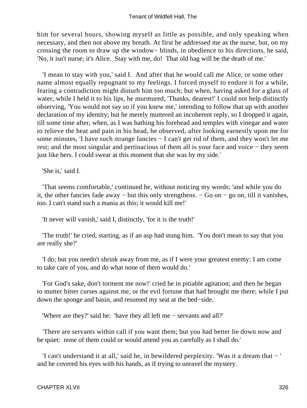him for several hours, showing myself as little as possible, and only speaking when necessary, and then not above my breath. At first he addressed me as the nurse, but, on my crossing the room to draw up the window− blinds, in obedience to his directions, he said, 'No, it isn't nurse; it's Alice. Stay with me, do! That old hag will be the death of me.'

 'I mean to stay with you,' said I. And after that he would call me Alice, or some other name almost equally repugnant to my feelings. I forced myself to endure it for a while, fearing a contradiction might disturb him too much; but when, having asked for a glass of water, while I held it to his lips, he murmured, 'Thanks, dearest!' I could not help distinctly observing, 'You would not say so if you knew me,' intending to follow that up with another declaration of my identity; but he merely muttered an incoherent reply, so I dropped it again, till some time after, when, as I was bathing his forehead and temples with vinegar and water to relieve the heat and pain in his head, he observed, after looking earnestly upon me for some minutes, 'I have such strange fancies − I can't get rid of them, and they won't let me rest; and the most singular and pertinacious of them all is your face and voice − they seem just like hers. I could swear at this moment that she was by my side.'

'She is,' said I.

 'That seems comfortable,' continued he, without noticing my words; 'and while you do it, the other fancies fade away − but this only strengthens. − Go on − go on, till it vanishes, too. I can't stand such a mania as this; it would kill me!'

'It never will vanish,' said I, distinctly, 'for it is the truth!'

 'The truth!' he cried, starting, as if an asp had stung him. 'You don't mean to say that you are really she?'

 'I do; but you needn't shrink away from me, as if I were your greatest enemy: I am come to take care of you, and do what none of them would do.'

 'For God's sake, don't torment me now!' cried he in pitiable agitation; and then he began to mutter bitter curses against me, or the evil fortune that had brought me there; while I put down the sponge and basin, and resumed my seat at the bed−side.

'Where are they?' said he: 'have they all left me − servants and all?'

 'There are servants within call if you want them; but you had better lie down now and be quiet: none of them could or would attend you as carefully as I shall do.'

 'I can't understand it at all,' said he, in bewildered perplexity. 'Was it a dream that − ' and he covered his eyes with his hands, as if trying to unravel the mystery.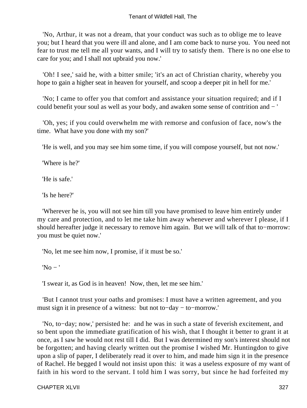'No, Arthur, it was not a dream, that your conduct was such as to oblige me to leave you; but I heard that you were ill and alone, and I am come back to nurse you. You need not fear to trust me tell me all your wants, and I will try to satisfy them. There is no one else to care for you; and I shall not upbraid you now.'

 'Oh! I see,' said he, with a bitter smile; 'it's an act of Christian charity, whereby you hope to gain a higher seat in heaven for yourself, and scoop a deeper pit in hell for me.'

 'No; I came to offer you that comfort and assistance your situation required; and if I could benefit your soul as well as your body, and awaken some sense of contrition and − '

 'Oh, yes; if you could overwhelm me with remorse and confusion of face, now's the time. What have you done with my son?'

'He is well, and you may see him some time, if you will compose yourself, but not now.'

'Where is he?'

'He is safe.'

'Is he here?'

 'Wherever he is, you will not see him till you have promised to leave him entirely under my care and protection, and to let me take him away whenever and wherever I please, if I should hereafter judge it necessary to remove him again. But we will talk of that to−morrow: you must be quiet now.'

'No, let me see him now, I promise, if it must be so.'

 $'No -'$ 

'I swear it, as God is in heaven! Now, then, let me see him.'

 'But I cannot trust your oaths and promises: I must have a written agreement, and you must sign it in presence of a witness: but not to−day − to−morrow.'

 'No, to−day; now,' persisted he: and he was in such a state of feverish excitement, and so bent upon the immediate gratification of his wish, that I thought it better to grant it at once, as I saw he would not rest till I did. But I was determined my son's interest should not be forgotten; and having clearly written out the promise I wished Mr. Huntingdon to give upon a slip of paper, I deliberately read it over to him, and made him sign it in the presence of Rachel. He begged I would not insist upon this: it was a useless exposure of my want of faith in his word to the servant. I told him I was sorry, but since he had forfeited my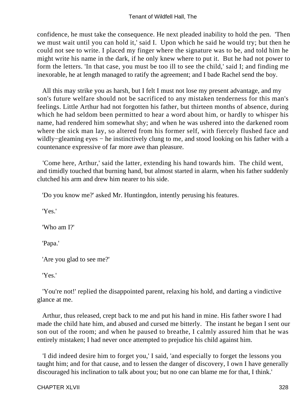confidence, he must take the consequence. He next pleaded inability to hold the pen. 'Then we must wait until you can hold it,' said I. Upon which he said he would try; but then he could not see to write. I placed my finger where the signature was to be, and told him he might write his name in the dark, if he only knew where to put it. But he had not power to form the letters. 'In that case, you must be too ill to see the child,' said I; and finding me inexorable, he at length managed to ratify the agreement; and I bade Rachel send the boy.

 All this may strike you as harsh, but I felt I must not lose my present advantage, and my son's future welfare should not be sacrificed to any mistaken tenderness for this man's feelings. Little Arthur had not forgotten his father, but thirteen months of absence, during which he had seldom been permitted to hear a word about him, or hardly to whisper his name, had rendered him somewhat shy; and when he was ushered into the darkened room where the sick man lay, so altered from his former self, with fiercely flushed face and wildly−gleaming eyes − he instinctively clung to me, and stood looking on his father with a countenance expressive of far more awe than pleasure.

 'Come here, Arthur,' said the latter, extending his hand towards him. The child went, and timidly touched that burning hand, but almost started in alarm, when his father suddenly clutched his arm and drew him nearer to his side.

'Do you know me?' asked Mr. Huntingdon, intently perusing his features.

'Yes.'

'Who am I?'

'Papa.'

'Are you glad to see me?'

'Yes.'

 'You're not!' replied the disappointed parent, relaxing his hold, and darting a vindictive glance at me.

 Arthur, thus released, crept back to me and put his hand in mine. His father swore I had made the child hate him, and abused and cursed me bitterly. The instant he began I sent our son out of the room; and when he paused to breathe, I calmly assured him that he was entirely mistaken; I had never once attempted to prejudice his child against him.

 'I did indeed desire him to forget you,' I said, 'and especially to forget the lessons you taught him; and for that cause, and to lessen the danger of discovery, I own I have generally discouraged his inclination to talk about you; but no one can blame me for that, I think.'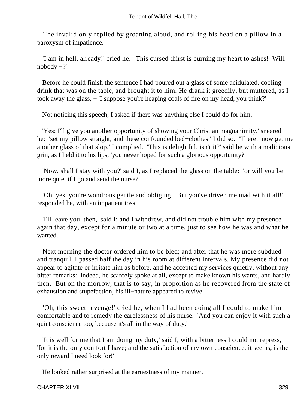The invalid only replied by groaning aloud, and rolling his head on a pillow in a paroxysm of impatience.

 'I am in hell, already!' cried he. 'This cursed thirst is burning my heart to ashes! Will nobody −?'

 Before he could finish the sentence I had poured out a glass of some acidulated, cooling drink that was on the table, and brought it to him. He drank it greedily, but muttered, as I took away the glass, − 'I suppose you're heaping coals of fire on my head, you think?'

Not noticing this speech, I asked if there was anything else I could do for him.

 'Yes; I'll give you another opportunity of showing your Christian magnanimity,' sneered he: 'set my pillow straight, and these confounded bed−clothes.' I did so. 'There: now get me another glass of that slop.' I complied. 'This is delightful, isn't it?' said he with a malicious grin, as I held it to his lips; 'you never hoped for such a glorious opportunity?'

 'Now, shall I stay with you?' said I, as I replaced the glass on the table: 'or will you be more quiet if I go and send the nurse?'

 'Oh, yes, you're wondrous gentle and obliging! But you've driven me mad with it all!' responded he, with an impatient toss.

 'I'll leave you, then,' said I; and I withdrew, and did not trouble him with my presence again that day, except for a minute or two at a time, just to see how he was and what he wanted.

 Next morning the doctor ordered him to be bled; and after that he was more subdued and tranquil. I passed half the day in his room at different intervals. My presence did not appear to agitate or irritate him as before, and he accepted my services quietly, without any bitter remarks: indeed, he scarcely spoke at all, except to make known his wants, and hardly then. But on the morrow, that is to say, in proportion as he recovered from the state of exhaustion and stupefaction, his ill−nature appeared to revive.

 'Oh, this sweet revenge!' cried he, when I had been doing all I could to make him comfortable and to remedy the carelessness of his nurse. 'And you can enjoy it with such a quiet conscience too, because it's all in the way of duty.'

 'It is well for me that I am doing my duty,' said I, with a bitterness I could not repress, 'for it is the only comfort I have; and the satisfaction of my own conscience, it seems, is the only reward I need look for!'

He looked rather surprised at the earnestness of my manner.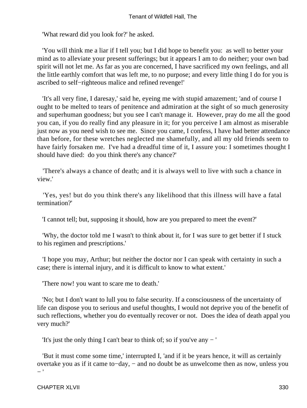'What reward did you look for?' he asked.

 'You will think me a liar if I tell you; but I did hope to benefit you: as well to better your mind as to alleviate your present sufferings; but it appears I am to do neither; your own bad spirit will not let me. As far as you are concerned, I have sacrificed my own feelings, and all the little earthly comfort that was left me, to no purpose; and every little thing I do for you is ascribed to self−righteous malice and refined revenge!'

 'It's all very fine, I daresay,' said he, eyeing me with stupid amazement; 'and of course I ought to be melted to tears of penitence and admiration at the sight of so much generosity and superhuman goodness; but you see I can't manage it. However, pray do me all the good you can, if you do really find any pleasure in it; for you perceive I am almost as miserable just now as you need wish to see me. Since you came, I confess, I have had better attendance than before, for these wretches neglected me shamefully, and all my old friends seem to have fairly forsaken me. I've had a dreadful time of it, I assure you: I sometimes thought I should have died: do you think there's any chance?'

 'There's always a chance of death; and it is always well to live with such a chance in view.'

 'Yes, yes! but do you think there's any likelihood that this illness will have a fatal termination?'

'I cannot tell; but, supposing it should, how are you prepared to meet the event?'

 'Why, the doctor told me I wasn't to think about it, for I was sure to get better if I stuck to his regimen and prescriptions.'

 'I hope you may, Arthur; but neither the doctor nor I can speak with certainty in such a case; there is internal injury, and it is difficult to know to what extent.'

'There now! you want to scare me to death.'

 'No; but I don't want to lull you to false security. If a consciousness of the uncertainty of life can dispose you to serious and useful thoughts, I would not deprive you of the benefit of such reflections, whether you do eventually recover or not. Does the idea of death appal you very much?'

'It's just the only thing I can't bear to think of; so if you've any − '

 'But it must come some time,' interrupted I, 'and if it be years hence, it will as certainly overtake you as if it came to−day, − and no doubt be as unwelcome then as now, unless you − '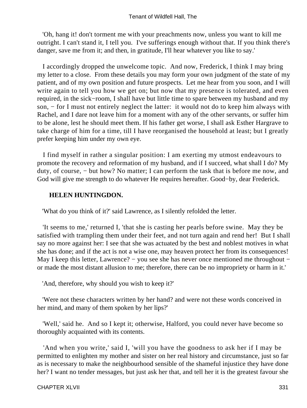'Oh, hang it! don't torment me with your preachments now, unless you want to kill me outright. I can't stand it, I tell you. I've sufferings enough without that. If you think there's danger, save me from it; and then, in gratitude, I'll hear whatever you like to say.'

 I accordingly dropped the unwelcome topic. And now, Frederick, I think I may bring my letter to a close. From these details you may form your own judgment of the state of my patient, and of my own position and future prospects. Let me hear from you soon, and I will write again to tell you how we get on; but now that my presence is tolerated, and even required, in the sick−room, I shall have but little time to spare between my husband and my son, – for I must not entirely neglect the latter: it would not do to keep him always with Rachel, and I dare not leave him for a moment with any of the other servants, or suffer him to be alone, lest he should meet them. If his father get worse, I shall ask Esther Hargrave to take charge of him for a time, till I have reorganised the household at least; but I greatly prefer keeping him under my own eye.

 I find myself in rather a singular position: I am exerting my utmost endeavours to promote the recovery and reformation of my husband, and if I succeed, what shall I do? My duty, of course, − but how? No matter; I can perform the task that is before me now, and God will give me strength to do whatever He requires hereafter. Good−by, dear Frederick.

### **HELEN HUNTINGDON.**

'What do you think of it?' said Lawrence, as I silently refolded the letter.

 'It seems to me,' returned I, 'that she is casting her pearls before swine. May they be satisfied with trampling them under their feet, and not turn again and rend her! But I shall say no more against her: I see that she was actuated by the best and noblest motives in what she has done; and if the act is not a wise one, may heaven protect her from its consequences! May I keep this letter, Lawrence? – you see she has never once mentioned me throughout – or made the most distant allusion to me; therefore, there can be no impropriety or harm in it.'

'And, therefore, why should you wish to keep it?'

 'Were not these characters written by her hand? and were not these words conceived in her mind, and many of them spoken by her lips?'

 'Well,' said he. And so I kept it; otherwise, Halford, you could never have become so thoroughly acquainted with its contents.

 'And when you write,' said I, 'will you have the goodness to ask her if I may be permitted to enlighten my mother and sister on her real history and circumstance, just so far as is necessary to make the neighbourhood sensible of the shameful injustice they have done her? I want no tender messages, but just ask her that, and tell her it is the greatest favour she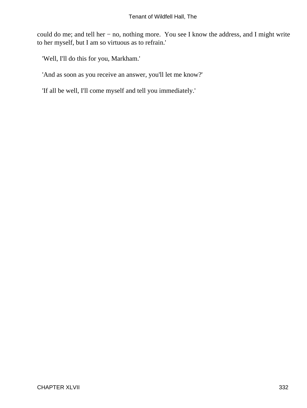could do me; and tell her − no, nothing more. You see I know the address, and I might write to her myself, but I am so virtuous as to refrain.'

'Well, I'll do this for you, Markham.'

'And as soon as you receive an answer, you'll let me know?'

'If all be well, I'll come myself and tell you immediately.'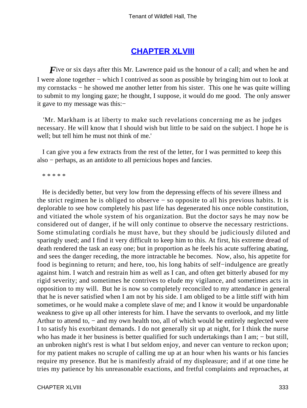## **[CHAPTER XLVIII](#page-380-0)**

*F*ive or six days after this Mr. Lawrence paid us the honour of a call; and when he and I were alone together − which I contrived as soon as possible by bringing him out to look at my cornstacks − he showed me another letter from his sister. This one he was quite willing to submit to my longing gaze; he thought, I suppose, it would do me good. The only answer it gave to my message was this:−

 'Mr. Markham is at liberty to make such revelations concerning me as he judges necessary. He will know that I should wish but little to be said on the subject. I hope he is well; but tell him he must not think of me.'

 I can give you a few extracts from the rest of the letter, for I was permitted to keep this also − perhaps, as an antidote to all pernicious hopes and fancies.

\* \* \* \* \*

 He is decidedly better, but very low from the depressing effects of his severe illness and the strict regimen he is obliged to observe − so opposite to all his previous habits. It is deplorable to see how completely his past life has degenerated his once noble constitution, and vitiated the whole system of his organization. But the doctor says he may now be considered out of danger, if he will only continue to observe the necessary restrictions. Some stimulating cordials he must have, but they should be judiciously diluted and sparingly used; and I find it very difficult to keep him to this. At first, his extreme dread of death rendered the task an easy one; but in proportion as he feels his acute suffering abating, and sees the danger receding, the more intractable he becomes. Now, also, his appetite for food is beginning to return; and here, too, his long habits of self−indulgence are greatly against him. I watch and restrain him as well as I can, and often get bitterly abused for my rigid severity; and sometimes he contrives to elude my vigilance, and sometimes acts in opposition to my will. But he is now so completely reconciled to my attendance in general that he is never satisfied when I am not by his side. I am obliged to be a little stiff with him sometimes, or he would make a complete slave of me; and I know it would be unpardonable weakness to give up all other interests for him. I have the servants to overlook, and my little Arthur to attend to, – and my own health too, all of which would be entirely neglected were I to satisfy his exorbitant demands. I do not generally sit up at night, for I think the nurse who has made it her business is better qualified for such undertakings than I am; − but still, an unbroken night's rest is what I but seldom enjoy, and never can venture to reckon upon; for my patient makes no scruple of calling me up at an hour when his wants or his fancies require my presence. But he is manifestly afraid of my displeasure; and if at one time he tries my patience by his unreasonable exactions, and fretful complaints and reproaches, at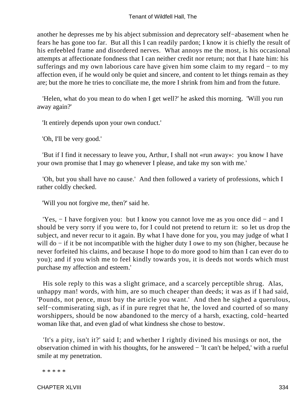another he depresses me by his abject submission and deprecatory self−abasement when he fears he has gone too far. But all this I can readily pardon; I know it is chiefly the result of his enfeebled frame and disordered nerves. What annoys me the most, is his occasional attempts at affectionate fondness that I can neither credit nor return; not that I hate him: his sufferings and my own laborious care have given him some claim to my regard − to my affection even, if he would only be quiet and sincere, and content to let things remain as they are; but the more he tries to conciliate me, the more I shrink from him and from the future.

 'Helen, what do you mean to do when I get well?' he asked this morning. 'Will you run away again?'

'It entirely depends upon your own conduct.'

'Oh, I'll be very good.'

 'But if I find it necessary to leave you, Arthur, I shall not «run away»: you know I have your own promise that I may go whenever I please, and take my son with me.'

 'Oh, but you shall have no cause.' And then followed a variety of professions, which I rather coldly checked.

'Will you not forgive me, then?' said he.

 'Yes, − I have forgiven you: but I know you cannot love me as you once did − and I should be very sorry if you were to, for I could not pretend to return it: so let us drop the subject, and never recur to it again. By what I have done for you, you may judge of what I will do – if it be not incompatible with the higher duty I owe to my son (higher, because he never forfeited his claims, and because I hope to do more good to him than I can ever do to you); and if you wish me to feel kindly towards you, it is deeds not words which must purchase my affection and esteem.'

 His sole reply to this was a slight grimace, and a scarcely perceptible shrug. Alas, unhappy man! words, with him, are so much cheaper than deeds; it was as if I had said, 'Pounds, not pence, must buy the article you want.' And then he sighed a querulous, self−commiserating sigh, as if in pure regret that he, the loved and courted of so many worshippers, should be now abandoned to the mercy of a harsh, exacting, cold−hearted woman like that, and even glad of what kindness she chose to bestow.

 'It's a pity, isn't it?' said I; and whether I rightly divined his musings or not, the observation chimed in with his thoughts, for he answered − 'It can't be helped,' with a rueful smile at my penetration.

\* \* \* \* \*

CHAPTER XLVIII 334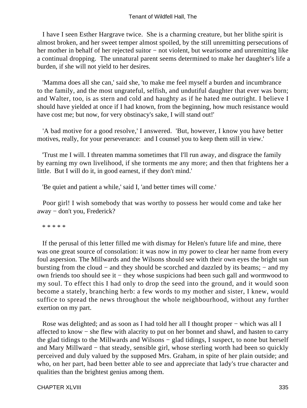I have I seen Esther Hargrave twice. She is a charming creature, but her blithe spirit is almost broken, and her sweet temper almost spoiled, by the still unremitting persecutions of her mother in behalf of her rejected suitor – not violent, but wearisome and unremitting like a continual dropping. The unnatural parent seems determined to make her daughter's life a burden, if she will not yield to her desires.

 'Mamma does all she can,' said she, 'to make me feel myself a burden and incumbrance to the family, and the most ungrateful, selfish, and undutiful daughter that ever was born; and Walter, too, is as stern and cold and haughty as if he hated me outright. I believe I should have yielded at once if I had known, from the beginning, how much resistance would have cost me; but now, for very obstinacy's sake, I will stand out!'

 'A bad motive for a good resolve,' I answered. 'But, however, I know you have better motives, really, for your perseverance: and I counsel you to keep them still in view.'

 'Trust me I will. I threaten mamma sometimes that I'll run away, and disgrace the family by earning my own livelihood, if she torments me any more; and then that frightens her a little. But I will do it, in good earnest, if they don't mind.'

'Be quiet and patient a while,' said I, 'and better times will come.'

 Poor girl! I wish somebody that was worthy to possess her would come and take her away − don't you, Frederick?

\* \* \* \* \*

 If the perusal of this letter filled me with dismay for Helen's future life and mine, there was one great source of consolation: it was now in my power to clear her name from every foul aspersion. The Millwards and the Wilsons should see with their own eyes the bright sun bursting from the cloud − and they should be scorched and dazzled by its beams; − and my own friends too should see it − they whose suspicions had been such gall and wormwood to my soul. To effect this I had only to drop the seed into the ground, and it would soon become a stately, branching herb: a few words to my mother and sister, I knew, would suffice to spread the news throughout the whole neighbourhood, without any further exertion on my part.

 Rose was delighted; and as soon as I had told her all I thought proper − which was all I affected to know − she flew with alacrity to put on her bonnet and shawl, and hasten to carry the glad tidings to the Millwards and Wilsons − glad tidings, I suspect, to none but herself and Mary Millward − that steady, sensible girl, whose sterling worth had been so quickly perceived and duly valued by the supposed Mrs. Graham, in spite of her plain outside; and who, on her part, had been better able to see and appreciate that lady's true character and qualities than the brightest genius among them.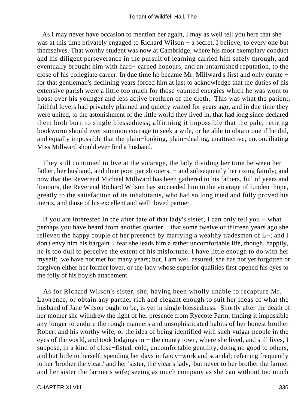As I may never have occasion to mention her again, I may as well tell you here that she was at this time privately engaged to Richard Wilson − a secret, I believe, to every one but themselves. That worthy student was now at Cambridge, where his most exemplary conduct and his diligent perseverance in the pursuit of learning carried him safely through, and eventually brought him with hard− earned honours, and an untarnished reputation, to the close of his collegiate career. In due time he became Mr. Millward's first and only curate − for that gentleman's declining years forced him at last to acknowledge that the duties of his extensive parish were a little too much for those vaunted energies which he was wont to boast over his younger and less active brethren of the cloth. This was what the patient, faithful lovers had privately planned and quietly waited for years ago; and in due time they were united, to the astonishment of the little world they lived in, that had long since declared them both born to single blessedness; affirming it impossible that the pale, retiring bookworm should ever summon courage to seek a wife, or be able to obtain one if he did, and equally impossible that the plain−looking, plain−dealing, unattractive, unconciliating Miss Millward should ever find a husband.

 They still continued to live at the vicarage, the lady dividing her time between her father, her husband, and their poor parishioners, – and subsequently her rising family; and now that the Reverend Michael Millward has been gathered to his fathers, full of years and honours, the Reverend Richard Wilson has succeeded him to the vicarage of Linden−hope, greatly to the satisfaction of its inhabitants, who had so long tried and fully proved his merits, and those of his excellent and well−loved partner.

 If you are interested in the after fate of that lady's sister, I can only tell you − what perhaps you have heard from another quarter − that some twelve or thirteen years ago she relieved the happy couple of her presence by marrying a wealthy tradesman of L−; and I don't envy him his bargain. I fear she leads him a rather uncomfortable life, though, happily, he is too dull to perceive the extent of his misfortune. I have little enough to do with her myself: we have not met for many years; but, I am well assured, she has not yet forgotten or forgiven either her former lover, or the lady whose superior qualities first opened his eyes to the folly of his boyish attachment.

 As for Richard Wilson's sister, she, having been wholly unable to recapture Mr. Lawrence, or obtain any partner rich and elegant enough to suit her ideas of what the husband of Jane Wilson ought to be, is yet in single blessedness. Shortly after the death of her mother she withdrew the light of her presence from Ryecote Farm, finding it impossible any longer to endure the rough manners and unsophisticated habits of her honest brother Robert and his worthy wife, or the idea of being identified with such vulgar people in the eyes of the world, and took lodgings in – the county town, where she lived, and still lives, I suppose, in a kind of close−fisted, cold, uncomfortable gentility, doing no good to others, and but little to herself; spending her days in fancy−work and scandal; referring frequently to her 'brother the vicar,' and her 'sister, the vicar's lady,' but never to her brother the farmer and her sister the farmer's wife; seeing as much company as she can without too much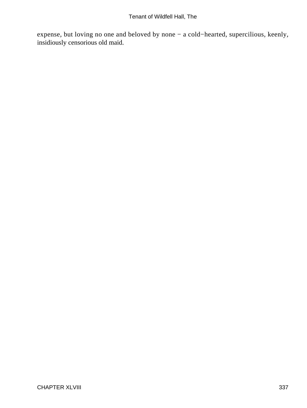expense, but loving no one and beloved by none − a cold−hearted, supercilious, keenly, insidiously censorious old maid.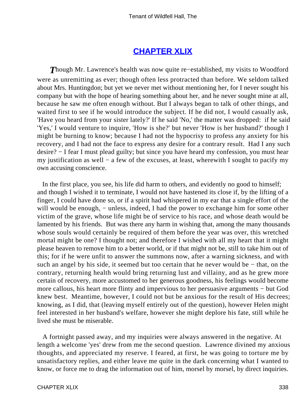## **[CHAPTER XLIX](#page-380-0)**

*T*hough Mr. Lawrence's health was now quite re−established, my visits to Woodford were as unremitting as ever; though often less protracted than before. We seldom talked about Mrs. Huntingdon; but yet we never met without mentioning her, for I never sought his company but with the hope of hearing something about her, and he never sought mine at all, because he saw me often enough without. But I always began to talk of other things, and waited first to see if he would introduce the subject. If he did not, I would casually ask, 'Have you heard from your sister lately?' If he said 'No,' the matter was dropped: if he said 'Yes,' I would venture to inquire, 'How is she?' but never 'How is her husband?' though I might be burning to know; because I had not the hypocrisy to profess any anxiety for his recovery, and I had not the face to express any desire for a contrary result. Had I any such desire? − I fear I must plead guilty; but since you have heard my confession, you must hear my justification as well − a few of the excuses, at least, wherewith I sought to pacify my own accusing conscience.

 In the first place, you see, his life did harm to others, and evidently no good to himself; and though I wished it to terminate, I would not have hastened its close if, by the lifting of a finger, I could have done so, or if a spirit had whispered in my ear that a single effort of the will would be enough, – unless, indeed, I had the power to exchange him for some other victim of the grave, whose life might be of service to his race, and whose death would be lamented by his friends. But was there any harm in wishing that, among the many thousands whose souls would certainly be required of them before the year was over, this wretched mortal might be one? I thought not; and therefore I wished with all my heart that it might please heaven to remove him to a better world, or if that might not be, still to take him out of this; for if he were unfit to answer the summons now, after a warning sickness, and with such an angel by his side, it seemed but too certain that he never would be – that, on the contrary, returning health would bring returning lust and villainy, and as he grew more certain of recovery, more accustomed to her generous goodness, his feelings would become more callous, his heart more flinty and impervious to her persuasive arguments − but God knew best. Meantime, however, I could not but be anxious for the result of His decrees; knowing, as I did, that (leaving myself entirely out of the question), however Helen might feel interested in her husband's welfare, however she might deplore his fate, still while he lived she must be miserable.

 A fortnight passed away, and my inquiries were always answered in the negative. At length a welcome 'yes' drew from me the second question. Lawrence divined my anxious thoughts, and appreciated my reserve. I feared, at first, he was going to torture me by unsatisfactory replies, and either leave me quite in the dark concerning what I wanted to know, or force me to drag the information out of him, morsel by morsel, by direct inquiries.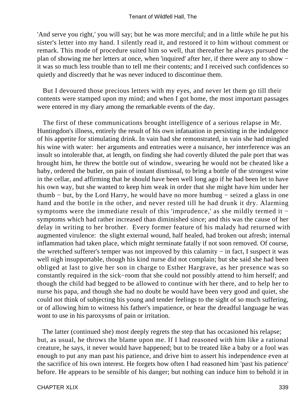'And serve you right,' you will say; but he was more merciful; and in a little while he put his sister's letter into my hand. I silently read it, and restored it to him without comment or remark. This mode of procedure suited him so well, that thereafter he always pursued the plan of showing me her letters at once, when 'inquired' after her, if there were any to show − it was so much less trouble than to tell me their contents; and I received such confidences so quietly and discreetly that he was never induced to discontinue them.

 But I devoured those precious letters with my eyes, and never let them go till their contents were stamped upon my mind; and when I got home, the most important passages were entered in my diary among the remarkable events of the day.

 The first of these communications brought intelligence of a serious relapse in Mr. Huntingdon's illness, entirely the result of his own infatuation in persisting in the indulgence of his appetite for stimulating drink. In vain had she remonstrated, in vain she had mingled his wine with water: her arguments and entreaties were a nuisance, her interference was an insult so intolerable that, at length, on finding she had covertly diluted the pale port that was brought him, he threw the bottle out of window, swearing he would not be cheated like a baby, ordered the butler, on pain of instant dismissal, to bring a bottle of the strongest wine in the cellar, and affirming that he should have been well long ago if he had been let to have his own way, but she wanted to keep him weak in order that she might have him under her thumb − but, by the Lord Harry, he would have no more humbug − seized a glass in one hand and the bottle in the other, and never rested till he had drunk it dry. Alarming symptoms were the immediate result of this 'imprudence,' as she mildly termed it − symptoms which had rather increased than diminished since; and this was the cause of her delay in writing to her brother. Every former feature of his malady had returned with augmented virulence: the slight external wound, half healed, had broken out afresh; internal inflammation had taken place, which might terminate fatally if not soon removed. Of course, the wretched sufferer's temper was not improved by this calamity − in fact, I suspect it was well nigh insupportable, though his kind nurse did not complain; but she said she had been obliged at last to give her son in charge to Esther Hargrave, as her presence was so constantly required in the sick−room that she could not possibly attend to him herself; and though the child had begged to be allowed to continue with her there, and to help her to nurse his papa, and though she had no doubt he would have been very good and quiet, she could not think of subjecting his young and tender feelings to the sight of so much suffering, or of allowing him to witness his father's impatience, or hear the dreadful language he was wont to use in his paroxysms of pain or irritation.

 The latter (continued she) most deeply regrets the step that has occasioned his relapse; but, as usual, he throws the blame upon me. If I had reasoned with him like a rational creature, he says, it never would have happened; but to be treated like a baby or a fool was enough to put any man past his patience, and drive him to assert his independence even at the sacrifice of his own interest. He forgets how often I had reasoned him 'past his patience' before. He appears to be sensible of his danger; but nothing can induce him to behold it in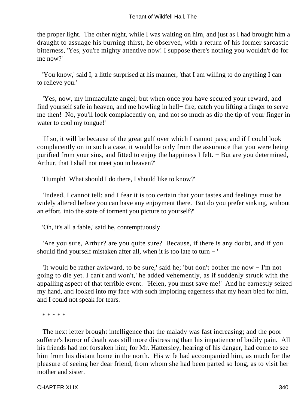the proper light. The other night, while I was waiting on him, and just as I had brought him a draught to assuage his burning thirst, he observed, with a return of his former sarcastic bitterness, 'Yes, you're mighty attentive now! I suppose there's nothing you wouldn't do for me now?'

 'You know,' said I, a little surprised at his manner, 'that I am willing to do anything I can to relieve you.'

 'Yes, now, my immaculate angel; but when once you have secured your reward, and find yourself safe in heaven, and me howling in hell− fire, catch you lifting a finger to serve me then! No, you'll look complacently on, and not so much as dip the tip of your finger in water to cool my tongue!'

 'If so, it will be because of the great gulf over which I cannot pass; and if I could look complacently on in such a case, it would be only from the assurance that you were being purified from your sins, and fitted to enjoy the happiness I felt. − But are you determined, Arthur, that I shall not meet you in heaven?'

'Humph! What should I do there, I should like to know?'

 'Indeed, I cannot tell; and I fear it is too certain that your tastes and feelings must be widely altered before you can have any enjoyment there. But do you prefer sinking, without an effort, into the state of torment you picture to yourself?'

'Oh, it's all a fable,' said he, contemptuously.

 'Are you sure, Arthur? are you quite sure? Because, if there is any doubt, and if you should find yourself mistaken after all, when it is too late to turn − '

 'It would be rather awkward, to be sure,' said he; 'but don't bother me now − I'm not going to die yet. I can't and won't,' he added vehemently, as if suddenly struck with the appalling aspect of that terrible event. 'Helen, you must save me!' And he earnestly seized my hand, and looked into my face with such imploring eagerness that my heart bled for him, and I could not speak for tears.

\* \* \* \* \*

 The next letter brought intelligence that the malady was fast increasing; and the poor sufferer's horror of death was still more distressing than his impatience of bodily pain. All his friends had not forsaken him; for Mr. Hattersley, hearing of his danger, had come to see him from his distant home in the north. His wife had accompanied him, as much for the pleasure of seeing her dear friend, from whom she had been parted so long, as to visit her mother and sister.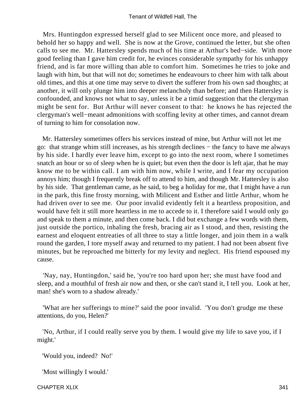Mrs. Huntingdon expressed herself glad to see Milicent once more, and pleased to behold her so happy and well. She is now at the Grove, continued the letter, but she often calls to see me. Mr. Hattersley spends much of his time at Arthur's bed−side. With more good feeling than I gave him credit for, he evinces considerable sympathy for his unhappy friend, and is far more willing than able to comfort him. Sometimes he tries to joke and laugh with him, but that will not do; sometimes he endeavours to cheer him with talk about old times, and this at one time may serve to divert the sufferer from his own sad thoughts; at another, it will only plunge him into deeper melancholy than before; and then Hattersley is confounded, and knows not what to say, unless it be a timid suggestion that the clergyman might be sent for. But Arthur will never consent to that: he knows he has rejected the clergyman's well−meant admonitions with scoffing levity at other times, and cannot dream of turning to him for consolation now.

 Mr. Hattersley sometimes offers his services instead of mine, but Arthur will not let me go: that strange whim still increases, as his strength declines − the fancy to have me always by his side. I hardly ever leave him, except to go into the next room, where I sometimes snatch an hour or so of sleep when he is quiet; but even then the door is left ajar, that he may know me to be within call. I am with him now, while I write, and I fear my occupation annoys him; though I frequently break off to attend to him, and though Mr. Hattersley is also by his side. That gentleman came, as he said, to beg a holiday for me, that I might have a run in the park, this fine frosty morning, with Milicent and Esther and little Arthur, whom he had driven over to see me. Our poor invalid evidently felt it a heartless proposition, and would have felt it still more heartless in me to accede to it. I therefore said I would only go and speak to them a minute, and then come back. I did but exchange a few words with them, just outside the portico, inhaling the fresh, bracing air as I stood, and then, resisting the earnest and eloquent entreaties of all three to stay a little longer, and join them in a walk round the garden, I tore myself away and returned to my patient. I had not been absent five minutes, but he reproached me bitterly for my levity and neglect. His friend espoused my cause.

 'Nay, nay, Huntingdon,' said he, 'you're too hard upon her; she must have food and sleep, and a mouthful of fresh air now and then, or she can't stand it, I tell you. Look at her, man! she's worn to a shadow already.'

 'What are her sufferings to mine?' said the poor invalid. 'You don't grudge me these attentions, do you, Helen?'

 'No, Arthur, if I could really serve you by them. I would give my life to save you, if I might.'

'Would you, indeed? No!'

'Most willingly I would.'

CHAPTER XLIX 341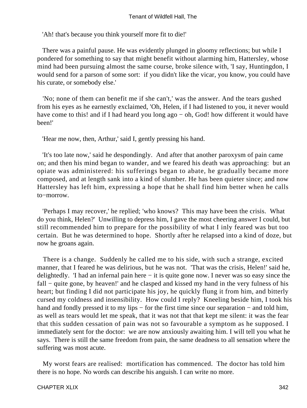'Ah! that's because you think yourself more fit to die!'

 There was a painful pause. He was evidently plunged in gloomy reflections; but while I pondered for something to say that might benefit without alarming him, Hattersley, whose mind had been pursuing almost the same course, broke silence with, 'I say, Huntingdon, I would send for a parson of some sort: if you didn't like the vicar, you know, you could have his curate, or somebody else.'

 'No; none of them can benefit me if she can't,' was the answer. And the tears gushed from his eyes as he earnestly exclaimed, 'Oh, Helen, if I had listened to you, it never would have come to this! and if I had heard you long ago − oh, God! how different it would have been!'

'Hear me now, then, Arthur,' said I, gently pressing his hand.

 'It's too late now,' said he despondingly. And after that another paroxysm of pain came on; and then his mind began to wander, and we feared his death was approaching: but an opiate was administered: his sufferings began to abate, he gradually became more composed, and at length sank into a kind of slumber. He has been quieter since; and now Hattersley has left him, expressing a hope that he shall find him better when he calls to−morrow.

 'Perhaps I may recover,' he replied; 'who knows? This may have been the crisis. What do you think, Helen?' Unwilling to depress him, I gave the most cheering answer I could, but still recommended him to prepare for the possibility of what I inly feared was but too certain. But he was determined to hope. Shortly after he relapsed into a kind of doze, but now he groans again.

 There is a change. Suddenly he called me to his side, with such a strange, excited manner, that I feared he was delirious, but he was not. 'That was the crisis, Helen!' said he, delightedly. 'I had an infernal pain here − it is quite gone now. I never was so easy since the fall − quite gone, by heaven!' and he clasped and kissed my hand in the very fulness of his heart; but finding I did not participate his joy, he quickly flung it from him, and bitterly cursed my coldness and insensibility. How could I reply? Kneeling beside him, I took his hand and fondly pressed it to my lips – for the first time since our separation – and told him, as well as tears would let me speak, that it was not that that kept me silent: it was the fear that this sudden cessation of pain was not so favourable a symptom as he supposed. I immediately sent for the doctor: we are now anxiously awaiting him. I will tell you what he says. There is still the same freedom from pain, the same deadness to all sensation where the suffering was most acute.

 My worst fears are realised: mortification has commenced. The doctor has told him there is no hope. No words can describe his anguish. I can write no more.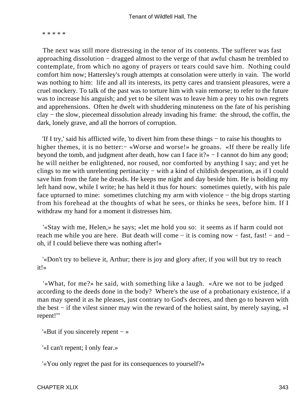\* \* \* \* \*

 The next was still more distressing in the tenor of its contents. The sufferer was fast approaching dissolution − dragged almost to the verge of that awful chasm he trembled to contemplate, from which no agony of prayers or tears could save him. Nothing could comfort him now; Hattersley's rough attempts at consolation were utterly in vain. The world was nothing to him: life and all its interests, its petty cares and transient pleasures, were a cruel mockery. To talk of the past was to torture him with vain remorse; to refer to the future was to increase his anguish; and yet to be silent was to leave him a prey to his own regrets and apprehensions. Often he dwelt with shuddering minuteness on the fate of his perishing clay − the slow, piecemeal dissolution already invading his frame: the shroud, the coffin, the dark, lonely grave, and all the horrors of corruption.

 'If I try,' said his afflicted wife, 'to divert him from these things − to raise his thoughts to higher themes, it is no better:− «Worse and worse!» he groans. «If there be really life beyond the tomb, and judgment after death, how can I face it?» − I cannot do him any good; he will neither be enlightened, nor roused, nor comforted by anything I say; and yet he clings to me with unrelenting pertinacity − with a kind of childish desperation, as if I could save him from the fate he dreads. He keeps me night and day beside him. He is holding my left hand now, while I write; he has held it thus for hours: sometimes quietly, with his pale face upturned to mine: sometimes clutching my arm with violence – the big drops starting from his forehead at the thoughts of what he sees, or thinks he sees, before him. If I withdraw my hand for a moment it distresses him.

 '«Stay with me, Helen,» he says; «let me hold you so: it seems as if harm could not reach me while you are here. But death will come – it is coming now – fast, fast! – and – oh, if I could believe there was nothing after!»

 '«Don't try to believe it, Arthur; there is joy and glory after, if you will but try to reach it!»

 '«What, for me?» he said, with something like a laugh. «Are we not to be judged according to the deeds done in the body? Where's the use of a probationary existence, if a man may spend it as he pleases, just contrary to God's decrees, and then go to heaven with the best − if the vilest sinner may win the reward of the holiest saint, by merely saying, »I repent!"'

'«But if you sincerely repent − »

'«I can't repent; I only fear.»

'«You only regret the past for its consequences to yourself?»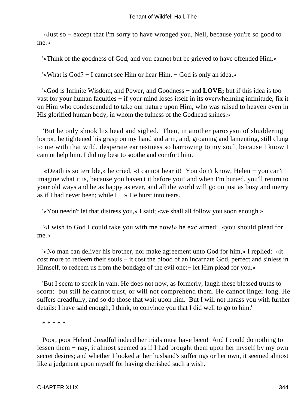'«Just so − except that I'm sorry to have wronged you, Nell, because you're so good to me.»

'«Think of the goodness of God, and you cannot but be grieved to have offended Him.»

'«What is God? − I cannot see Him or hear Him. − God is only an idea.»

 '«God is Infinite Wisdom, and Power, and Goodness − and **LOVE;** but if this idea is too vast for your human faculties − if your mind loses itself in its overwhelming infinitude, fix it on Him who condescended to take our nature upon Him, who was raised to heaven even in His glorified human body, in whom the fulness of the Godhead shines.»

 'But he only shook his head and sighed. Then, in another paroxysm of shuddering horror, he tightened his grasp on my hand and arm, and, groaning and lamenting, still clung to me with that wild, desperate earnestness so harrowing to my soul, because I know I cannot help him. I did my best to soothe and comfort him.

 '«Death is so terrible,» he cried, «I cannot bear it! You don't know, Helen − you can't imagine what it is, because you haven't it before you! and when I'm buried, you'll return to your old ways and be as happy as ever, and all the world will go on just as busy and merry as if I had never been; while  $I \rightarrow$  He burst into tears.

'«You needn't let that distress you,» I said; «we shall all follow you soon enough.»

 '«I wish to God I could take you with me now!» he exclaimed: «you should plead for me.»

 '«No man can deliver his brother, nor make agreement unto God for him,» I replied: «it cost more to redeem their souls − it cost the blood of an incarnate God, perfect and sinless in Himself, to redeem us from the bondage of the evil one:− let Him plead for you.»

 'But I seem to speak in vain. He does not now, as formerly, laugh these blessed truths to scorn: but still he cannot trust, or will not comprehend them. He cannot linger long. He suffers dreadfully, and so do those that wait upon him. But I will not harass you with further details: I have said enough, I think, to convince you that I did well to go to him.'

\* \* \* \* \*

 Poor, poor Helen! dreadful indeed her trials must have been! And I could do nothing to lessen them − nay, it almost seemed as if I had brought them upon her myself by my own secret desires; and whether I looked at her husband's sufferings or her own, it seemed almost like a judgment upon myself for having cherished such a wish.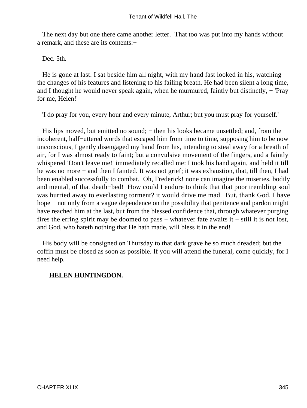The next day but one there came another letter. That too was put into my hands without a remark, and these are its contents:−

Dec. 5th.

 He is gone at last. I sat beside him all night, with my hand fast looked in his, watching the changes of his features and listening to his failing breath. He had been silent a long time, and I thought he would never speak again, when he murmured, faintly but distinctly, − 'Pray for me, Helen!'

'I do pray for you, every hour and every minute, Arthur; but you must pray for yourself.'

His lips moved, but emitted no sound; – then his looks became unsettled; and, from the incoherent, half−uttered words that escaped him from time to time, supposing him to be now unconscious, I gently disengaged my hand from his, intending to steal away for a breath of air, for I was almost ready to faint; but a convulsive movement of the fingers, and a faintly whispered 'Don't leave me!' immediately recalled me: I took his hand again, and held it till he was no more – and then I fainted. It was not grief; it was exhaustion, that, till then, I had been enabled successfully to combat. Oh, Frederick! none can imagine the miseries, bodily and mental, of that death−bed! How could I endure to think that that poor trembling soul was hurried away to everlasting torment? it would drive me mad. But, thank God, I have hope – not only from a vague dependence on the possibility that penitence and pardon might have reached him at the last, but from the blessed confidence that, through whatever purging fires the erring spirit may be doomed to pass – whatever fate awaits it – still it is not lost, and God, who hateth nothing that He hath made, will bless it in the end!

 His body will be consigned on Thursday to that dark grave he so much dreaded; but the coffin must be closed as soon as possible. If you will attend the funeral, come quickly, for I need help.

### **HELEN HUNTINGDON.**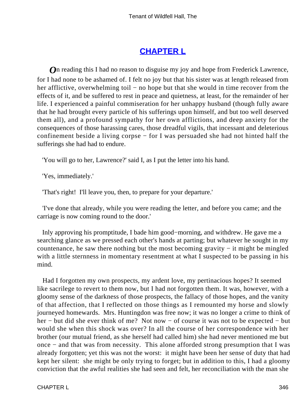# **[CHAPTER L](#page-380-0)**

*O*n reading this I had no reason to disguise my joy and hope from Frederick Lawrence, for I had none to be ashamed of. I felt no joy but that his sister was at length released from her afflictive, overwhelming toil – no hope but that she would in time recover from the effects of it, and be suffered to rest in peace and quietness, at least, for the remainder of her life. I experienced a painful commiseration for her unhappy husband (though fully aware that he had brought every particle of his sufferings upon himself, and but too well deserved them all), and a profound sympathy for her own afflictions, and deep anxiety for the consequences of those harassing cares, those dreadful vigils, that incessant and deleterious confinement beside a living corpse − for I was persuaded she had not hinted half the sufferings she had had to endure.

'You will go to her, Lawrence?' said I, as I put the letter into his hand.

'Yes, immediately.'

'That's right! I'll leave you, then, to prepare for your departure.'

 'I've done that already, while you were reading the letter, and before you came; and the carriage is now coming round to the door.'

 Inly approving his promptitude, I bade him good−morning, and withdrew. He gave me a searching glance as we pressed each other's hands at parting; but whatever he sought in my countenance, he saw there nothing but the most becoming gravity − it might be mingled with a little sternness in momentary resentment at what I suspected to be passing in his mind.

 Had I forgotten my own prospects, my ardent love, my pertinacious hopes? It seemed like sacrilege to revert to them now, but I had not forgotten them. It was, however, with a gloomy sense of the darkness of those prospects, the fallacy of those hopes, and the vanity of that affection, that I reflected on those things as I remounted my horse and slowly journeyed homewards. Mrs. Huntingdon was free now; it was no longer a crime to think of her − but did she ever think of me? Not now − of course it was not to be expected − but would she when this shock was over? In all the course of her correspondence with her brother (our mutual friend, as she herself had called him) she had never mentioned me but once − and that was from necessity. This alone afforded strong presumption that I was already forgotten; yet this was not the worst: it might have been her sense of duty that had kept her silent: she might be only trying to forget; but in addition to this, I had a gloomy conviction that the awful realities she had seen and felt, her reconciliation with the man she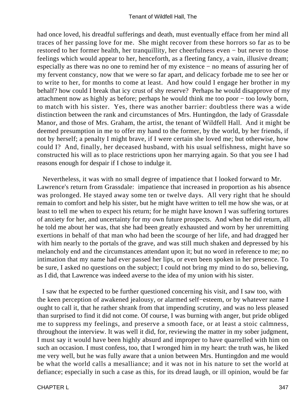had once loved, his dreadful sufferings and death, must eventually efface from her mind all traces of her passing love for me. She might recover from these horrors so far as to be restored to her former health, her tranquillity, her cheerfulness even − but never to those feelings which would appear to her, henceforth, as a fleeting fancy, a vain, illusive dream; especially as there was no one to remind her of my existence − no means of assuring her of my fervent constancy, now that we were so far apart, and delicacy forbade me to see her or to write to her, for months to come at least. And how could I engage her brother in my behalf? how could I break that icy crust of shy reserve? Perhaps he would disapprove of my attachment now as highly as before; perhaps he would think me too poor − too lowly born, to match with his sister. Yes, there was another barrier: doubtless there was a wide distinction between the rank and circumstances of Mrs. Huntingdon, the lady of Grassdale Manor, and those of Mrs. Graham, the artist, the tenant of Wildfell Hall. And it might be deemed presumption in me to offer my hand to the former, by the world, by her friends, if not by herself; a penalty I might brave, if I were certain she loved me; but otherwise, how could I? And, finally, her deceased husband, with his usual selfishness, might have so constructed his will as to place restrictions upon her marrying again. So that you see I had reasons enough for despair if I chose to indulge it.

 Nevertheless, it was with no small degree of impatience that I looked forward to Mr. Lawrence's return from Grassdale: impatience that increased in proportion as his absence was prolonged. He stayed away some ten or twelve days. All very right that he should remain to comfort and help his sister, but he might have written to tell me how she was, or at least to tell me when to expect his return; for he might have known I was suffering tortures of anxiety for her, and uncertainty for my own future prospects. And when he did return, all he told me about her was, that she had been greatly exhausted and worn by her unremitting exertions in behalf of that man who had been the scourge of her life, and had dragged her with him nearly to the portals of the grave, and was still much shaken and depressed by his melancholy end and the circumstances attendant upon it; but no word in reference to me; no intimation that my name had ever passed her lips, or even been spoken in her presence. To be sure, I asked no questions on the subject; I could not bring my mind to do so, believing, as I did, that Lawrence was indeed averse to the idea of my union with his sister.

 I saw that he expected to be further questioned concerning his visit, and I saw too, with the keen perception of awakened jealousy, or alarmed self−esteem, or by whatever name I ought to call it, that he rather shrank from that impending scrutiny, and was no less pleased than surprised to find it did not come. Of course, I was burning with anger, but pride obliged me to suppress my feelings, and preserve a smooth face, or at least a stoic calmness, throughout the interview. It was well it did, for, reviewing the matter in my sober judgment, I must say it would have been highly absurd and improper to have quarrelled with him on such an occasion. I must confess, too, that I wronged him in my heart: the truth was, he liked me very well, but he was fully aware that a union between Mrs. Huntingdon and me would be what the world calls a mesalliance; and it was not in his nature to set the world at defiance; especially in such a case as this, for its dread laugh, or ill opinion, would be far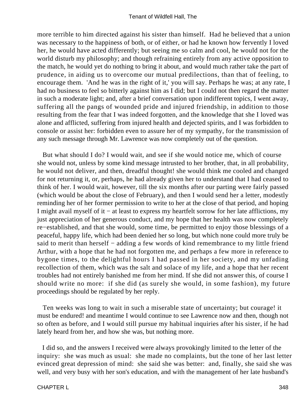more terrible to him directed against his sister than himself. Had he believed that a union was necessary to the happiness of both, or of either, or had he known how fervently I loved her, he would have acted differently; but seeing me so calm and cool, he would not for the world disturb my philosophy; and though refraining entirely from any active opposition to the match, he would yet do nothing to bring it about, and would much rather take the part of prudence, in aiding us to overcome our mutual predilections, than that of feeling, to encourage them. 'And he was in the right of it,' you will say. Perhaps he was; at any rate, I had no business to feel so bitterly against him as I did; but I could not then regard the matter in such a moderate light; and, after a brief conversation upon indifferent topics, I went away, suffering all the pangs of wounded pride and injured friendship, in addition to those resulting from the fear that I was indeed forgotten, and the knowledge that she I loved was alone and afflicted, suffering from injured health and dejected spirits, and I was forbidden to console or assist her: forbidden even to assure her of my sympathy, for the transmission of any such message through Mr. Lawrence was now completely out of the question.

 But what should I do? I would wait, and see if she would notice me, which of course she would not, unless by some kind message intrusted to her brother, that, in all probability, he would not deliver, and then, dreadful thought! she would think me cooled and changed for not returning it, or, perhaps, he had already given her to understand that I had ceased to think of her. I would wait, however, till the six months after our parting were fairly passed (which would be about the close of February), and then I would send her a letter, modestly reminding her of her former permission to write to her at the close of that period, and hoping I might avail myself of it − at least to express my heartfelt sorrow for her late afflictions, my just appreciation of her generous conduct, and my hope that her health was now completely re−established, and that she would, some time, be permitted to enjoy those blessings of a peaceful, happy life, which had been denied her so long, but which none could more truly be said to merit than herself – adding a few words of kind remembrance to my little friend Arthur, with a hope that he had not forgotten me, and perhaps a few more in reference to bygone times, to the delightful hours I had passed in her society, and my unfading recollection of them, which was the salt and solace of my life, and a hope that her recent troubles had not entirely banished me from her mind. If she did not answer this, of course I should write no more: if she did (as surely she would, in some fashion), my future proceedings should be regulated by her reply.

 Ten weeks was long to wait in such a miserable state of uncertainty; but courage! it must be endured! and meantime I would continue to see Lawrence now and then, though not so often as before, and I would still pursue my habitual inquiries after his sister, if he had lately heard from her, and how she was, but nothing more.

 I did so, and the answers I received were always provokingly limited to the letter of the inquiry: she was much as usual: she made no complaints, but the tone of her last letter evinced great depression of mind: she said she was better: and, finally, she said she was well, and very busy with her son's education, and with the management of her late husband's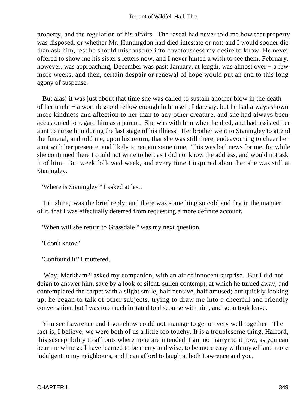property, and the regulation of his affairs. The rascal had never told me how that property was disposed, or whether Mr. Huntingdon had died intestate or not; and I would sooner die than ask him, lest he should misconstrue into covetousness my desire to know. He never offered to show me his sister's letters now, and I never hinted a wish to see them. February, however, was approaching; December was past; January, at length, was almost over − a few more weeks, and then, certain despair or renewal of hope would put an end to this long agony of suspense.

 But alas! it was just about that time she was called to sustain another blow in the death of her uncle − a worthless old fellow enough in himself, I daresay, but he had always shown more kindness and affection to her than to any other creature, and she had always been accustomed to regard him as a parent. She was with him when he died, and had assisted her aunt to nurse him during the last stage of his illness. Her brother went to Staningley to attend the funeral, and told me, upon his return, that she was still there, endeavouring to cheer her aunt with her presence, and likely to remain some time. This was bad news for me, for while she continued there I could not write to her, as I did not know the address, and would not ask it of him. But week followed week, and every time I inquired about her she was still at Staningley.

'Where is Staningley?' I asked at last.

 'In −shire,' was the brief reply; and there was something so cold and dry in the manner of it, that I was effectually deterred from requesting a more definite account.

'When will she return to Grassdale?' was my next question.

'I don't know.'

'Confound it!' I muttered.

 'Why, Markham?' asked my companion, with an air of innocent surprise. But I did not deign to answer him, save by a look of silent, sullen contempt, at which he turned away, and contemplated the carpet with a slight smile, half pensive, half amused; but quickly looking up, he began to talk of other subjects, trying to draw me into a cheerful and friendly conversation, but I was too much irritated to discourse with him, and soon took leave.

 You see Lawrence and I somehow could not manage to get on very well together. The fact is, I believe, we were both of us a little too touchy. It is a troublesome thing, Halford, this susceptibility to affronts where none are intended. I am no martyr to it now, as you can bear me witness: I have learned to be merry and wise, to be more easy with myself and more indulgent to my neighbours, and I can afford to laugh at both Lawrence and you.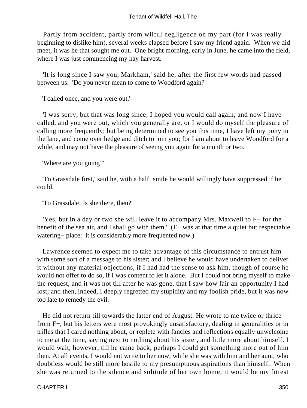Partly from accident, partly from wilful negligence on my part (for I was really beginning to dislike him), several weeks elapsed before I saw my friend again. When we did meet, it was he that sought me out. One bright morning, early in June, he came into the field, where I was just commencing my hay harvest.

 'It is long since I saw you, Markham,' said he, after the first few words had passed between us. 'Do you never mean to come to Woodford again?'

'I called once, and you were out.'

 'I was sorry, but that was long since; I hoped you would call again, and now I have called, and you were out, which you generally are, or I would do myself the pleasure of calling more frequently; but being determined to see you this time, I have left my pony in the lane, and come over hedge and ditch to join you; for I am about to leave Woodford for a while, and may not have the pleasure of seeing you again for a month or two.'

'Where are you going?'

 'To Grassdale first,' said he, with a half−smile he would willingly have suppressed if he could.

'To Grassdale! Is she there, then?'

 'Yes, but in a day or two she will leave it to accompany Mrs. Maxwell to F− for the benefit of the sea air, and I shall go with them.' (F− was at that time a quiet but respectable watering− place: it is considerably more frequented now.)

 Lawrence seemed to expect me to take advantage of this circumstance to entrust him with some sort of a message to his sister; and I believe he would have undertaken to deliver it without any material objections, if I had had the sense to ask him, though of course he would not offer to do so, if I was content to let it alone. But I could not bring myself to make the request, and it was not till after he was gone, that I saw how fair an opportunity I had lost; and then, indeed, I deeply regretted my stupidity and my foolish pride, but it was now too late to remedy the evil.

 He did not return till towards the latter end of August. He wrote to me twice or thrice from F−, but his letters were most provokingly unsatisfactory, dealing in generalities or in trifles that I cared nothing about, or replete with fancies and reflections equally unwelcome to me at the time, saying next to nothing about his sister, and little more about himself. I would wait, however, till he came back; perhaps I could get something more out of him then. At all events, I would not write to her now, while she was with him and her aunt, who doubtless would be still more hostile to my presumptuous aspirations than himself. When she was returned to the silence and solitude of her own home, it would be my fittest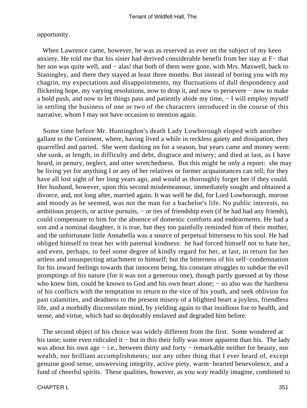#### opportunity.

 When Lawrence came, however, he was as reserved as ever on the subject of my keen anxiety. He told me that his sister had derived considerable benefit from her stay at F− that her son was quite well, and – alas! that both of them were gone, with Mrs. Maxwell, back to Staningley, and there they stayed at least three months. But instead of boring you with my chagrin, my expectations and disappointments, my fluctuations of dull despondency and flickering hope, my varying resolutions, now to drop it, and now to persevere − now to make a bold push, and now to let things pass and patiently abide my time, − I will employ myself in settling the business of one or two of the characters introduced in the course of this narrative, whom I may not have occasion to mention again.

 Some time before Mr. Huntingdon's death Lady Lowborough eloped with another gallant to the Continent, where, having lived a while in reckless gaiety and dissipation, they quarrelled and parted. She went dashing on for a season, but years came and money went: she sunk, at length, in difficulty and debt, disgrace and misery; and died at last, as I have heard, in penury, neglect, and utter wretchedness. But this might be only a report: she may be living yet for anything I or any of her relatives or former acquaintances can tell; for they have all lost sight of her long years ago, and would as thoroughly forget her if they could. Her husband, however, upon this second misdemeanour, immediately sought and obtained a divorce, and, not long after, married again. It was well he did, for Lord Lowborough, morose and moody as he seemed, was not the man for a bachelor's life. No public interests, no ambitious projects, or active pursuits, − or ties of friendship even (if he had had any friends), could compensate to him for the absence of domestic comforts and endearments. He had a son and a nominal daughter, it is true, but they too painfully reminded him of their mother, and the unfortunate little Annabella was a source of perpetual bitterness to his soul. He had obliged himself to treat her with paternal kindness: he had forced himself not to hate her, and even, perhaps, to feel some degree of kindly regard for her, at last, in return for her artless and unsuspecting attachment to himself; but the bitterness of his self−condemnation for his inward feelings towards that innocent being, his constant struggles to subdue the evil promptings of his nature (for it was not a generous one), though partly guessed at by those who knew him, could be known to God and his own heart alone; – so also was the hardness of his conflicts with the temptation to return to the vice of his youth, and seek oblivion for past calamities, and deadness to the present misery of a blighted heart a joyless, friendless life, and a morbidly disconsolate mind, by yielding again to that insidious foe to health, and sense, and virtue, which had so deplorably enslaved and degraded him before.

 The second object of his choice was widely different from the first. Some wondered at his taste; some even ridiculed it − but in this their folly was more apparent than his. The lady was about his own age – i.e., between thirty and forty – remarkable neither for beauty, nor wealth, nor brilliant accomplishments; nor any other thing that I ever heard of, except genuine good sense, unswerving integrity, active piety, warm−hearted benevolence, and a fund of cheerful spirits. These qualities, however, as you way readily imagine, combined to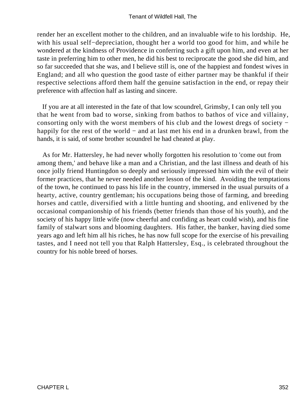render her an excellent mother to the children, and an invaluable wife to his lordship. He, with his usual self−depreciation, thought her a world too good for him, and while he wondered at the kindness of Providence in conferring such a gift upon him, and even at her taste in preferring him to other men, he did his best to reciprocate the good she did him, and so far succeeded that she was, and I believe still is, one of the happiest and fondest wives in England; and all who question the good taste of either partner may be thankful if their respective selections afford them half the genuine satisfaction in the end, or repay their preference with affection half as lasting and sincere.

 If you are at all interested in the fate of that low scoundrel, Grimsby, I can only tell you that he went from bad to worse, sinking from bathos to bathos of vice and villainy, consorting only with the worst members of his club and the lowest dregs of society − happily for the rest of the world − and at last met his end in a drunken brawl, from the hands, it is said, of some brother scoundrel he had cheated at play.

 As for Mr. Hattersley, he had never wholly forgotten his resolution to 'come out from among them,' and behave like a man and a Christian, and the last illness and death of his once jolly friend Huntingdon so deeply and seriously impressed him with the evil of their former practices, that he never needed another lesson of the kind. Avoiding the temptations of the town, he continued to pass his life in the country, immersed in the usual pursuits of a hearty, active, country gentleman; his occupations being those of farming, and breeding horses and cattle, diversified with a little hunting and shooting, and enlivened by the occasional companionship of his friends (better friends than those of his youth), and the society of his happy little wife (now cheerful and confiding as heart could wish), and his fine family of stalwart sons and blooming daughters. His father, the banker, having died some years ago and left him all his riches, he has now full scope for the exercise of his prevailing tastes, and I need not tell you that Ralph Hattersley, Esq., is celebrated throughout the country for his noble breed of horses.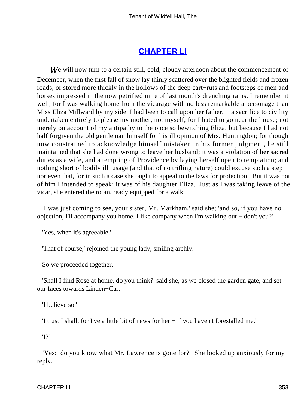# **[CHAPTER LI](#page-380-0)**

**W**e will now turn to a certain still, cold, cloudy afternoon about the commencement of December, when the first fall of snow lay thinly scattered over the blighted fields and frozen roads, or stored more thickly in the hollows of the deep cart−ruts and footsteps of men and horses impressed in the now petrified mire of last month's drenching rains. I remember it well, for I was walking home from the vicarage with no less remarkable a personage than Miss Eliza Millward by my side. I had been to call upon her father, – a sacrifice to civility undertaken entirely to please my mother, not myself, for I hated to go near the house; not merely on account of my antipathy to the once so bewitching Eliza, but because I had not half forgiven the old gentleman himself for his ill opinion of Mrs. Huntingdon; for though now constrained to acknowledge himself mistaken in his former judgment, he still maintained that she had done wrong to leave her husband; it was a violation of her sacred duties as a wife, and a tempting of Providence by laying herself open to temptation; and nothing short of bodily ill−usage (and that of no trifling nature) could excuse such a step − nor even that, for in such a case she ought to appeal to the laws for protection. But it was not of him I intended to speak; it was of his daughter Eliza. Just as I was taking leave of the vicar, she entered the room, ready equipped for a walk.

 'I was just coming to see, your sister, Mr. Markham,' said she; 'and so, if you have no objection, I'll accompany you home. I like company when I'm walking out − don't you?'

'Yes, when it's agreeable.'

'That of course,' rejoined the young lady, smiling archly.

So we proceeded together.

 'Shall I find Rose at home, do you think?' said she, as we closed the garden gate, and set our faces towards Linden−Car.

'I believe so.'

'I trust I shall, for I've a little bit of news for her − if you haven't forestalled me.'

'I?'

 'Yes: do you know what Mr. Lawrence is gone for?' She looked up anxiously for my reply.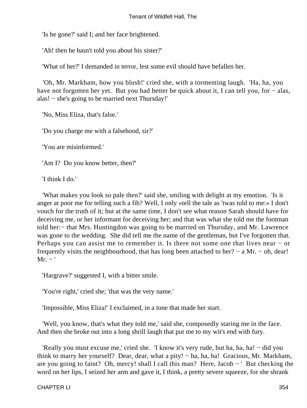'Is he gone?' said I; and her face brightened.

'Ah! then he hasn't told you about his sister?'

'What of her?' I demanded in terror, lest some evil should have befallen her.

 'Oh, Mr. Markham, how you blush!' cried she, with a tormenting laugh. 'Ha, ha, you have not forgotten her yet. But you had better be quick about it, I can tell you, for – alas, alas! − she's going to be married next Thursday!'

'No, Miss Eliza, that's false.'

'Do you charge me with a falsehood, sir?'

'You are misinformed.'

'Am I? Do you know better, then?'

'I think I do.'

 'What makes you look so pale then?' said she, smiling with delight at my emotion. 'Is it anger at poor me for telling such a fib? Well, I only «tell the tale as 'twas told to me:» I don't vouch for the truth of it; but at the same time, I don't see what reason Sarah should have for deceiving me, or her informant for deceiving her; and that was what she told me the footman told her:− that Mrs. Huntingdon was going to be married on Thursday, and Mr. Lawrence was gone to the wedding. She did tell me the name of the gentleman, but I've forgotten that. Perhaps you can assist me to remember it. Is there not some one that lives near − or frequently visits the neighbourhood, that has long been attached to her? − a Mr. − oh, dear!  $Mr. -'$ 

'Hargrave?' suggested I, with a bitter smile.

'You're right,' cried she; 'that was the very name.'

'Impossible, Miss Eliza!' I exclaimed, in a tone that made her start.

 'Well, you know, that's what they told me,' said she, composedly staring me in the face. And then she broke out into a long shrill laugh that put me to my wit's end with fury.

 'Really you must excuse me,' cried she. 'I know it's very rude, but ha, ha, ha! − did you think to marry her yourself? Dear, dear, what a pity! − ha, ha, ha! Gracious, Mr. Markham, are you going to faint? Oh, mercy! shall I call this man? Here, Jacob − ' But checking the word on her lips, I seized her arm and gave it, I think, a pretty severe squeeze, for she shrank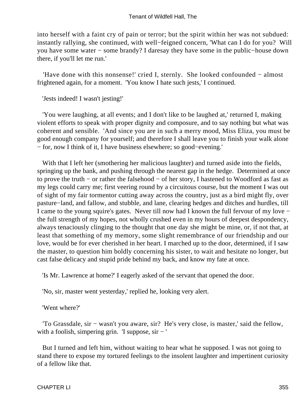into herself with a faint cry of pain or terror; but the spirit within her was not subdued: instantly rallying, she continued, with well−feigned concern, 'What can I do for you? Will you have some water − some brandy? I daresay they have some in the public−house down there, if you'll let me run.'

 'Have done with this nonsense!' cried I, sternly. She looked confounded − almost frightened again, for a moment. 'You know I hate such jests,' I continued.

'Jests indeed! I wasn't jesting!'

 'You were laughing, at all events; and I don't like to be laughed at,' returned I, making violent efforts to speak with proper dignity and composure, and to say nothing but what was coherent and sensible. 'And since you are in such a merry mood, Miss Eliza, you must be good enough company for yourself; and therefore I shall leave you to finish your walk alone − for, now I think of it, I have business elsewhere; so good−evening.'

With that I left her (smothering her malicious laughter) and turned aside into the fields, springing up the bank, and pushing through the nearest gap in the hedge. Determined at once to prove the truth − or rather the falsehood − of her story, I hastened to Woodford as fast as my legs could carry me; first veering round by a circuitous course, but the moment I was out of sight of my fair tormentor cutting away across the country, just as a bird might fly, over pasture−land, and fallow, and stubble, and lane, clearing hedges and ditches and hurdles, till I came to the young squire's gates. Never till now had I known the full fervour of my love − the full strength of my hopes, not wholly crushed even in my hours of deepest despondency, always tenaciously clinging to the thought that one day she might be mine, or, if not that, at least that something of my memory, some slight remembrance of our friendship and our love, would be for ever cherished in her heart. I marched up to the door, determined, if I saw the master, to question him boldly concerning his sister, to wait and hesitate no longer, but cast false delicacy and stupid pride behind my back, and know my fate at once.

'Is Mr. Lawrence at home?' I eagerly asked of the servant that opened the door.

'No, sir, master went yesterday,' replied he, looking very alert.

'Went where?'

 'To Grassdale, sir − wasn't you aware, sir? He's very close, is master,' said the fellow, with a foolish, simpering grin. 'I suppose,  $\sin - '$ 

 But I turned and left him, without waiting to hear what he supposed. I was not going to stand there to expose my tortured feelings to the insolent laughter and impertinent curiosity of a fellow like that.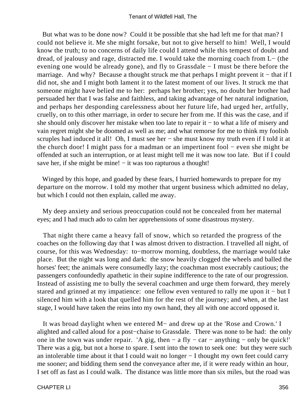But what was to be done now? Could it be possible that she had left me for that man? I could not believe it. Me she might forsake, but not to give herself to him! Well, I would know the truth; to no concerns of daily life could I attend while this tempest of doubt and dread, of jealousy and rage, distracted me. I would take the morning coach from L− (the evening one would be already gone), and fly to Grassdale − I must be there before the marriage. And why? Because a thought struck me that perhaps I might prevent it – that if I did not, she and I might both lament it to the latest moment of our lives. It struck me that someone might have belied me to her: perhaps her brother; yes, no doubt her brother had persuaded her that I was false and faithless, and taking advantage of her natural indignation, and perhaps her desponding carelessness about her future life, had urged her, artfully, cruelly, on to this other marriage, in order to secure her from me. If this was the case, and if she should only discover her mistake when too late to repair it − to what a life of misery and vain regret might she be doomed as well as me; and what remorse for me to think my foolish scruples had induced it all! Oh, I must see her – she must know my truth even if I told it at the church door! I might pass for a madman or an impertinent fool − even she might be offended at such an interruption, or at least might tell me it was now too late. But if I could save her, if she might be mine! – it was too rapturous a thought!

 Winged by this hope, and goaded by these fears, I hurried homewards to prepare for my departure on the morrow. I told my mother that urgent business which admitted no delay, but which I could not then explain, called me away.

 My deep anxiety and serious preoccupation could not be concealed from her maternal eyes; and I had much ado to calm her apprehensions of some disastrous mystery.

 That night there came a heavy fall of snow, which so retarded the progress of the coaches on the following day that I was almost driven to distraction. I travelled all night, of course, for this was Wednesday: to−morrow morning, doubtless, the marriage would take place. But the night was long and dark: the snow heavily clogged the wheels and balled the horses' feet; the animals were consumedly lazy; the coachman most execrably cautious; the passengers confoundedly apathetic in their supine indifference to the rate of our progression. Instead of assisting me to bully the several coachmen and urge them forward, they merely stared and grinned at my impatience: one fellow even ventured to rally me upon it − but I silenced him with a look that quelled him for the rest of the journey; and when, at the last stage, I would have taken the reins into my own hand, they all with one accord opposed it.

 It was broad daylight when we entered M− and drew up at the 'Rose and Crown.' I alighted and called aloud for a post−chaise to Grassdale. There was none to be had: the only one in the town was under repair. 'A gig, then  $-$  a fly  $-$  car  $-$  anything  $-$  only be quick!' There was a gig, but not a horse to spare. I sent into the town to seek one: but they were such an intolerable time about it that I could wait no longer − I thought my own feet could carry me sooner; and bidding them send the conveyance after me, if it were ready within an hour, I set off as fast as I could walk. The distance was little more than six miles, but the road was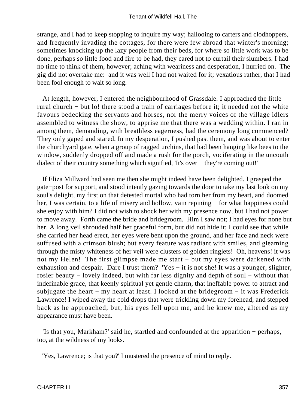strange, and I had to keep stopping to inquire my way; hallooing to carters and clodhoppers, and frequently invading the cottages, for there were few abroad that winter's morning; sometimes knocking up the lazy people from their beds, for where so little work was to be done, perhaps so little food and fire to be had, they cared not to curtail their slumbers. I had no time to think of them, however; aching with weariness and desperation, I hurried on. The gig did not overtake me: and it was well I had not waited for it; vexatious rather, that I had been fool enough to wait so long.

 At length, however, I entered the neighbourhood of Grassdale. I approached the little rural church − but lo! there stood a train of carriages before it; it needed not the white favours bedecking the servants and horses, nor the merry voices of the village idlers assembled to witness the show, to apprise me that there was a wedding within. I ran in among them, demanding, with breathless eagerness, had the ceremony long commenced? They only gaped and stared. In my desperation, I pushed past them, and was about to enter the churchyard gate, when a group of ragged urchins, that had been hanging like bees to the window, suddenly dropped off and made a rush for the porch, vociferating in the uncouth dialect of their country something which signified, 'It's over − they're coming out!'

 If Eliza Millward had seen me then she might indeed have been delighted. I grasped the gate−post for support, and stood intently gazing towards the door to take my last look on my soul's delight, my first on that detested mortal who had torn her from my heart, and doomed her, I was certain, to a life of misery and hollow, vain repining – for what happiness could she enjoy with him? I did not wish to shock her with my presence now, but I had not power to move away. Forth came the bride and bridegroom. Him I saw not; I had eyes for none but her. A long veil shrouded half her graceful form, but did not hide it; I could see that while she carried her head erect, her eyes were bent upon the ground, and her face and neck were suffused with a crimson blush; but every feature was radiant with smiles, and gleaming through the misty whiteness of her veil were clusters of golden ringlets! Oh, heavens! it was not my Helen! The first glimpse made me start – but my eyes were darkened with exhaustion and despair. Dare I trust them? 'Yes – it is not she! It was a younger, slighter, rosier beauty – lovely indeed, but with far less dignity and depth of soul – without that indefinable grace, that keenly spiritual yet gentle charm, that ineffable power to attract and subjugate the heart  $-$  my heart at least. I looked at the bridegroom  $-$  it was Frederick Lawrence! I wiped away the cold drops that were trickling down my forehead, and stepped back as he approached; but, his eyes fell upon me, and he knew me, altered as my appearance must have been.

 'Is that you, Markham?' said he, startled and confounded at the apparition − perhaps, too, at the wildness of my looks.

'Yes, Lawrence; is that you?' I mustered the presence of mind to reply.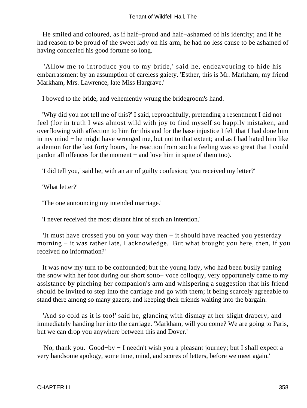He smiled and coloured, as if half−proud and half−ashamed of his identity; and if he had reason to be proud of the sweet lady on his arm, he had no less cause to be ashamed of having concealed his good fortune so long.

 'Allow me to introduce you to my bride,' said he, endeavouring to hide his embarrassment by an assumption of careless gaiety. 'Esther, this is Mr. Markham; my friend Markham, Mrs. Lawrence, late Miss Hargrave.'

I bowed to the bride, and vehemently wrung the bridegroom's hand.

 'Why did you not tell me of this?' I said, reproachfully, pretending a resentment I did not feel (for in truth I was almost wild with joy to find myself so happily mistaken, and overflowing with affection to him for this and for the base injustice I felt that I had done him in my mind − he might have wronged me, but not to that extent; and as I had hated him like a demon for the last forty hours, the reaction from such a feeling was so great that I could pardon all offences for the moment – and love him in spite of them too).

'I did tell you,' said he, with an air of guilty confusion; 'you received my letter?'

'What letter?'

'The one announcing my intended marriage.'

'I never received the most distant hint of such an intention.'

 'It must have crossed you on your way then − it should have reached you yesterday morning − it was rather late, I acknowledge. But what brought you here, then, if you received no information?'

 It was now my turn to be confounded; but the young lady, who had been busily patting the snow with her foot during our short sotto− voce colloquy, very opportunely came to my assistance by pinching her companion's arm and whispering a suggestion that his friend should be invited to step into the carriage and go with them; it being scarcely agreeable to stand there among so many gazers, and keeping their friends waiting into the bargain.

'And so cold as it is too!' said he, glancing with dismay at her slight drapery, and immediately handing her into the carriage. 'Markham, will you come? We are going to Paris, but we can drop you anywhere between this and Dover.'

 'No, thank you. Good−by − I needn't wish you a pleasant journey; but I shall expect a very handsome apology, some time, mind, and scores of letters, before we meet again.'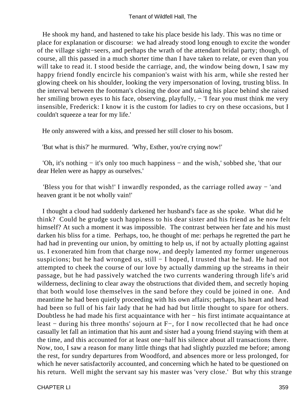He shook my hand, and hastened to take his place beside his lady. This was no time or place for explanation or discourse: we had already stood long enough to excite the wonder of the village sight−seers, and perhaps the wrath of the attendant bridal party; though, of course, all this passed in a much shorter time than I have taken to relate, or even than you will take to read it. I stood beside the carriage, and, the window being down, I saw my happy friend fondly encircle his companion's waist with his arm, while she rested her glowing cheek on his shoulder, looking the very impersonation of loving, trusting bliss. In the interval between the footman's closing the door and taking his place behind she raised her smiling brown eyes to his face, observing, playfully, − 'I fear you must think me very insensible, Frederick: I know it is the custom for ladies to cry on these occasions, but I couldn't squeeze a tear for my life.'

He only answered with a kiss, and pressed her still closer to his bosom.

'But what is this?' he murmured. 'Why, Esther, you're crying now!'

 'Oh, it's nothing − it's only too much happiness − and the wish,' sobbed she, 'that our dear Helen were as happy as ourselves.'

 'Bless you for that wish!' I inwardly responded, as the carriage rolled away − 'and heaven grant it be not wholly vain!'

 I thought a cloud had suddenly darkened her husband's face as she spoke. What did he think? Could he grudge such happiness to his dear sister and his friend as he now felt himself? At such a moment it was impossible. The contrast between her fate and his must darken his bliss for a time. Perhaps, too, he thought of me: perhaps he regretted the part he had had in preventing our union, by omitting to help us, if not by actually plotting against us. I exonerated him from that charge now, and deeply lamented my former ungenerous suspicions; but he had wronged us, still − I hoped, I trusted that he had. He had not attempted to cheek the course of our love by actually damming up the streams in their passage, but he had passively watched the two currents wandering through life's arid wilderness, declining to clear away the obstructions that divided them, and secretly hoping that both would lose themselves in the sand before they could be joined in one. And meantime he had been quietly proceeding with his own affairs; perhaps, his heart and head had been so full of his fair lady that he had had but little thought to spare for others. Doubtless he had made his first acquaintance with her – his first intimate acquaintance at least − during his three months' sojourn at F−, for I now recollected that he had once casually let fall an intimation that his aunt and sister had a young friend staying with them at the time, and this accounted for at least one−half his silence about all transactions there. Now, too, I saw a reason for many little things that had slightly puzzled me before; among the rest, for sundry departures from Woodford, and absences more or less prolonged, for which he never satisfactorily accounted, and concerning which he hated to be questioned on his return. Well might the servant say his master was 'very close.' But why this strange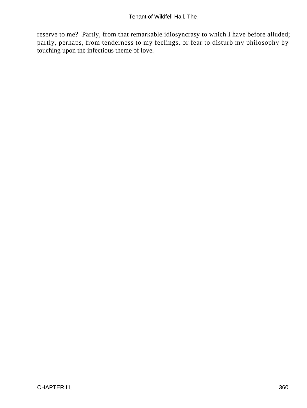reserve to me? Partly, from that remarkable idiosyncrasy to which I have before alluded; partly, perhaps, from tenderness to my feelings, or fear to disturb my philosophy by touching upon the infectious theme of love.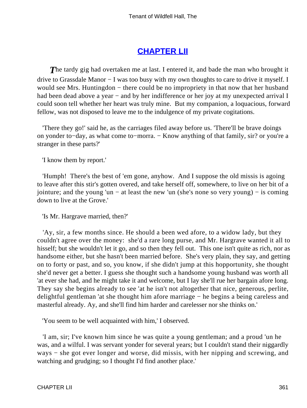### **[CHAPTER LII](#page-380-0)**

<span id="page-361-0"></span>**The tardy gig had overtaken me at last.** I entered it, and bade the man who brought it drive to Grassdale Manor − I was too busy with my own thoughts to care to drive it myself. I would see Mrs. Huntingdon – there could be no impropriety in that now that her husband had been dead above a year – and by her indifference or her joy at my unexpected arrival I could soon tell whether her heart was truly mine. But my companion, a loquacious, forward fellow, was not disposed to leave me to the indulgence of my private cogitations.

 'There they go!' said he, as the carriages filed away before us. 'There'll be brave doings on yonder to–day, as what come to–morra. – Know anything of that family, sir? or you're a stranger in these parts?'

'I know them by report.'

 'Humph! There's the best of 'em gone, anyhow. And I suppose the old missis is agoing to leave after this stir's gotten overed, and take herself off, somewhere, to live on her bit of a jointure; and the young 'un − at least the new 'un (she's none so very young) − is coming down to live at the Grove.'

'Is Mr. Hargrave married, then?'

 'Ay, sir, a few months since. He should a been wed afore, to a widow lady, but they couldn't agree over the money: she'd a rare long purse, and Mr. Hargrave wanted it all to hisself; but she wouldn't let it go, and so then they fell out. This one isn't quite as rich, nor as handsome either, but she hasn't been married before. She's very plain, they say, and getting on to forty or past, and so, you know, if she didn't jump at this hopportunity, she thought she'd never get a better. I guess she thought such a handsome young husband was worth all 'at ever she had, and he might take it and welcome, but I lay she'll rue her bargain afore long. They say she begins already to see 'at he isn't not altogether that nice, generous, perlite, delightful gentleman 'at she thought him afore marriage − he begins a being careless and masterful already. Ay, and she'll find him harder and carelesser nor she thinks on.'

'You seem to be well acquainted with him,' I observed.

 'I am, sir; I've known him since he was quite a young gentleman; and a proud 'un he was, and a wilful. I was servant yonder for several years; but I couldn't stand their niggardly ways − she got ever longer and worse, did missis, with her nipping and screwing, and watching and grudging; so I thought I'd find another place.'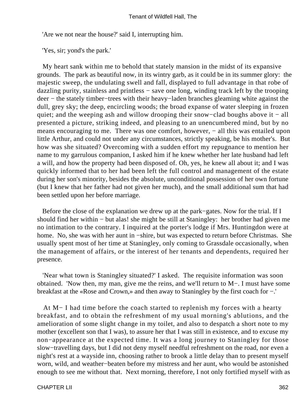'Are we not near the house?' said I, interrupting him.

'Yes, sir; yond's the park.'

 My heart sank within me to behold that stately mansion in the midst of its expansive grounds. The park as beautiful now, in its wintry garb, as it could be in its summer glory: the majestic sweep, the undulating swell and fall, displayed to full advantage in that robe of dazzling purity, stainless and printless − save one long, winding track left by the trooping deer − the stately timber−trees with their heavy−laden branches gleaming white against the dull, grey sky; the deep, encircling woods; the broad expanse of water sleeping in frozen quiet; and the weeping ash and willow drooping their snow−clad boughs above it − all presented a picture, striking indeed, and pleasing to an unencumbered mind, but by no means encouraging to me. There was one comfort, however, – all this was entailed upon little Arthur, and could not under any circumstances, strictly speaking, be his mother's. But how was she situated? Overcoming with a sudden effort my repugnance to mention her name to my garrulous companion, I asked him if he knew whether her late husband had left a will, and how the property had been disposed of. Oh, yes, he knew all about it; and I was quickly informed that to her had been left the full control and management of the estate during her son's minority, besides the absolute, unconditional possession of her own fortune (but I knew that her father had not given her much), and the small additional sum that had been settled upon her before marriage.

 Before the close of the explanation we drew up at the park−gates. Now for the trial. If I should find her within − but alas! she might be still at Staningley: her brother had given me no intimation to the contrary. I inquired at the porter's lodge if Mrs. Huntingdon were at home. No, she was with her aunt in −shire, but was expected to return before Christmas. She usually spent most of her time at Staningley, only coming to Grassdale occasionally, when the management of affairs, or the interest of her tenants and dependents, required her presence.

 'Near what town is Staningley situated?' I asked. The requisite information was soon obtained. 'Now then, my man, give me the reins, and we'll return to M−. I must have some breakfast at the «Rose and Crown,» and then away to Staningley by the first coach for −.'

 At M− I had time before the coach started to replenish my forces with a hearty breakfast, and to obtain the refreshment of my usual morning's ablutions, and the amelioration of some slight change in my toilet, and also to despatch a short note to my mother (excellent son that I was), to assure her that I was still in existence, and to excuse my non−appearance at the expected time. It was a long journey to Staningley for those slow−travelling days, but I did not deny myself needful refreshment on the road, nor even a night's rest at a wayside inn, choosing rather to brook a little delay than to present myself worn, wild, and weather−beaten before my mistress and her aunt, who would be astonished enough to see me without that. Next morning, therefore, I not only fortified myself with as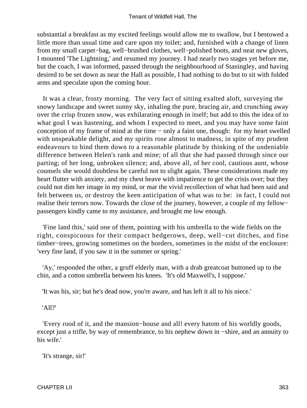substantial a breakfast as my excited feelings would allow me to swallow, but I bestowed a little more than usual time and care upon my toilet; and, furnished with a change of linen from my small carpet−bag, well−brushed clothes, well−polished boots, and neat new gloves, I mounted 'The Lightning,' and resumed my journey. I had nearly two stages yet before me, but the coach, I was informed, passed through the neighbourhood of Staningley, and having desired to be set down as near the Hall as possible, I had nothing to do but to sit with folded arms and speculate upon the coming hour.

 It was a clear, frosty morning. The very fact of sitting exalted aloft, surveying the snowy landscape and sweet sunny sky, inhaling the pure, bracing air, and crunching away over the crisp frozen snow, was exhilarating enough in itself; but add to this the idea of to what goal I was hastening, and whom I expected to meet, and you may have some faint conception of my frame of mind at the time − only a faint one, though: for my heart swelled with unspeakable delight, and my spirits rose almost to madness, in spite of my prudent endeavours to bind them down to a reasonable platitude by thinking of the undeniable difference between Helen's rank and mine; of all that she had passed through since our parting; of her long, unbroken silence; and, above all, of her cool, cautious aunt, whose counsels she would doubtless be careful not to slight again. These considerations made my heart flutter with anxiety, and my chest heave with impatience to get the crisis over; but they could not dim her image in my mind, or mar the vivid recollection of what had been said and felt between us, or destroy the keen anticipation of what was to be: in fact, I could not realise their terrors now. Towards the close of the journey, however, a couple of my fellow− passengers kindly came to my assistance, and brought me low enough.

 'Fine land this,' said one of them, pointing with his umbrella to the wide fields on the right, conspicuous for their compact hedgerows, deep, well−cut ditches, and fine timber−trees, growing sometimes on the borders, sometimes in the midst of the enclosure: 'very fine land, if you saw it in the summer or spring.'

 'Ay,' responded the other, a gruff elderly man, with a drab greatcoat buttoned up to the chin, and a cotton umbrella between his knees. 'It's old Maxwell's, I suppose.'

'It was his, sir; but he's dead now, you're aware, and has left it all to his niece.'

### 'All?'

 'Every rood of it, and the mansion−house and all! every hatom of his worldly goods, except just a trifle, by way of remembrance, to his nephew down in −shire, and an annuity to his wife.'

'It's strange, sir!'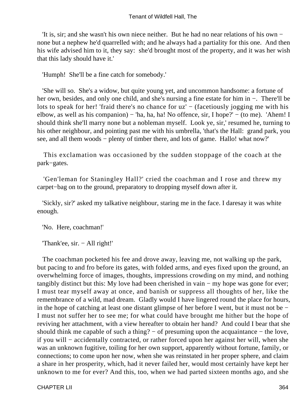'It is, sir; and she wasn't his own niece neither. But he had no near relations of his own − none but a nephew he'd quarrelled with; and he always had a partiality for this one. And then his wife advised him to it, they say: she'd brought most of the property, and it was her wish that this lady should have it.'

'Humph! She'll be a fine catch for somebody.'

 'She will so. She's a widow, but quite young yet, and uncommon handsome: a fortune of her own, besides, and only one child, and she's nursing a fine estate for him in −. There'll be lots to speak for her! 'fraid there's no chance for uz' − (facetiously jogging me with his elbow, as well as his companion) – 'ha, ha, ha! No offence, sir, I hope?' – (to me). 'Ahem! I should think she'll marry none but a nobleman myself. Look ye, sir,' resumed he, turning to his other neighbour, and pointing past me with his umbrella, 'that's the Hall: grand park, you see, and all them woods – plenty of timber there, and lots of game. Hallo! what now?'

 This exclamation was occasioned by the sudden stoppage of the coach at the park−gates.

 'Gen'leman for Staningley Hall?' cried the coachman and I rose and threw my carpet−bag on to the ground, preparatory to dropping myself down after it.

 'Sickly, sir?' asked my talkative neighbour, staring me in the face. I daresay it was white enough.

'No. Here, coachman!'

'Thank'ee, sir. − All right!'

 The coachman pocketed his fee and drove away, leaving me, not walking up the park, but pacing to and fro before its gates, with folded arms, and eyes fixed upon the ground, an overwhelming force of images, thoughts, impressions crowding on my mind, and nothing tangibly distinct but this: My love had been cherished in vain − my hope was gone for ever; I must tear myself away at once, and banish or suppress all thoughts of her, like the remembrance of a wild, mad dream. Gladly would I have lingered round the place for hours, in the hope of catching at least one distant glimpse of her before I went, but it must not be − I must not suffer her to see me; for what could have brought me hither but the hope of reviving her attachment, with a view hereafter to obtain her hand? And could I bear that she should think me capable of such a thing? – of presuming upon the acquaintance – the love, if you will − accidentally contracted, or rather forced upon her against her will, when she was an unknown fugitive, toiling for her own support, apparently without fortune, family, or connections; to come upon her now, when she was reinstated in her proper sphere, and claim a share in her prosperity, which, had it never failed her, would most certainly have kept her unknown to me for ever? And this, too, when we had parted sixteen months ago, and she

CHAPTER LII 364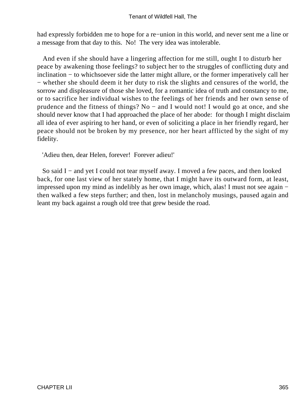had expressly forbidden me to hope for a re−union in this world, and never sent me a line or a message from that day to this. No! The very idea was intolerable.

 And even if she should have a lingering affection for me still, ought I to disturb her peace by awakening those feelings? to subject her to the struggles of conflicting duty and inclination − to whichsoever side the latter might allure, or the former imperatively call her − whether she should deem it her duty to risk the slights and censures of the world, the sorrow and displeasure of those she loved, for a romantic idea of truth and constancy to me, or to sacrifice her individual wishes to the feelings of her friends and her own sense of prudence and the fitness of things? No − and I would not! I would go at once, and she should never know that I had approached the place of her abode: for though I might disclaim all idea of ever aspiring to her hand, or even of soliciting a place in her friendly regard, her peace should not be broken by my presence, nor her heart afflicted by the sight of my fidelity.

'Adieu then, dear Helen, forever! Forever adieu!'

So said I – and yet I could not tear myself away. I moved a few paces, and then looked back, for one last view of her stately home, that I might have its outward form, at least, impressed upon my mind as indelibly as her own image, which, alas! I must not see again − then walked a few steps further; and then, lost in melancholy musings, paused again and leant my back against a rough old tree that grew beside the road.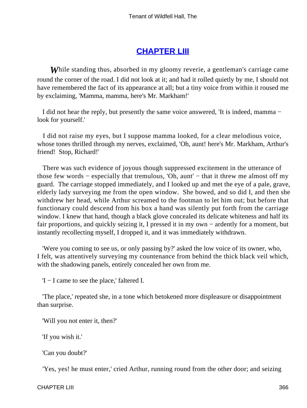### **[CHAPTER LIII](#page-380-0)**

<span id="page-366-0"></span>*W*hile standing thus, absorbed in my gloomy reverie, a gentleman's carriage came round the corner of the road. I did not look at it; and had it rolled quietly by me, I should not have remembered the fact of its appearance at all; but a tiny voice from within it roused me by exclaiming, 'Mamma, mamma, here's Mr. Markham!'

 I did not hear the reply, but presently the same voice answered, 'It is indeed, mamma − look for yourself.'

 I did not raise my eyes, but I suppose mamma looked, for a clear melodious voice, whose tones thrilled through my nerves, exclaimed, 'Oh, aunt! here's Mr. Markham, Arthur's friend! Stop, Richard!'

 There was such evidence of joyous though suppressed excitement in the utterance of those few words − especially that tremulous, 'Oh, aunt' − that it threw me almost off my guard. The carriage stopped immediately, and I looked up and met the eye of a pale, grave, elderly lady surveying me from the open window. She bowed, and so did I, and then she withdrew her head, while Arthur screamed to the footman to let him out; but before that functionary could descend from his box a hand was silently put forth from the carriage window. I knew that hand, though a black glove concealed its delicate whiteness and half its fair proportions, and quickly seizing it, I pressed it in my own − ardently for a moment, but instantly recollecting myself, I dropped it, and it was immediately withdrawn.

 'Were you coming to see us, or only passing by?' asked the low voice of its owner, who, I felt, was attentively surveying my countenance from behind the thick black veil which, with the shadowing panels, entirely concealed her own from me.

'I − I came to see the place,' faltered I.

 'The place,' repeated she, in a tone which betokened more displeasure or disappointment than surprise.

'Will you not enter it, then?'

'If you wish it.'

'Can you doubt?'

'Yes, yes! he must enter,' cried Arthur, running round from the other door; and seizing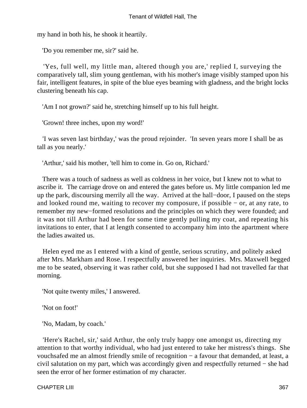my hand in both his, he shook it heartily.

'Do you remember me, sir?' said he.

 'Yes, full well, my little man, altered though you are,' replied I, surveying the comparatively tall, slim young gentleman, with his mother's image visibly stamped upon his fair, intelligent features, in spite of the blue eyes beaming with gladness, and the bright locks clustering beneath his cap.

'Am I not grown?' said he, stretching himself up to his full height.

'Grown! three inches, upon my word!'

 'I was seven last birthday,' was the proud rejoinder. 'In seven years more I shall be as tall as you nearly.'

'Arthur,' said his mother, 'tell him to come in. Go on, Richard.'

 There was a touch of sadness as well as coldness in her voice, but I knew not to what to ascribe it. The carriage drove on and entered the gates before us. My little companion led me up the park, discoursing merrily all the way. Arrived at the hall−door, I paused on the steps and looked round me, waiting to recover my composure, if possible − or, at any rate, to remember my new−formed resolutions and the principles on which they were founded; and it was not till Arthur had been for some time gently pulling my coat, and repeating his invitations to enter, that I at length consented to accompany him into the apartment where the ladies awaited us.

 Helen eyed me as I entered with a kind of gentle, serious scrutiny, and politely asked after Mrs. Markham and Rose. I respectfully answered her inquiries. Mrs. Maxwell begged me to be seated, observing it was rather cold, but she supposed I had not travelled far that morning.

'Not quite twenty miles,' I answered.

'Not on foot!'

'No, Madam, by coach.'

 'Here's Rachel, sir,' said Arthur, the only truly happy one amongst us, directing my attention to that worthy individual, who had just entered to take her mistress's things. She vouchsafed me an almost friendly smile of recognition − a favour that demanded, at least, a civil salutation on my part, which was accordingly given and respectfully returned − she had seen the error of her former estimation of my character.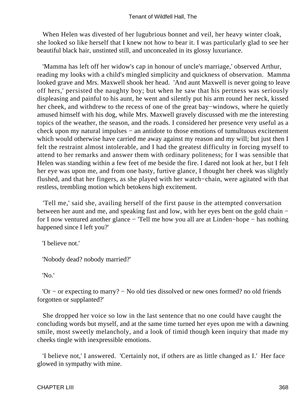When Helen was divested of her lugubrious bonnet and veil, her heavy winter cloak, she looked so like herself that I knew not how to bear it. I was particularly glad to see her beautiful black hair, unstinted still, and unconcealed in its glossy luxuriance.

 'Mamma has left off her widow's cap in honour of uncle's marriage,' observed Arthur, reading my looks with a child's mingled simplicity and quickness of observation. Mamma looked grave and Mrs. Maxwell shook her head. 'And aunt Maxwell is never going to leave off hers,' persisted the naughty boy; but when he saw that his pertness was seriously displeasing and painful to his aunt, he went and silently put his arm round her neck, kissed her cheek, and withdrew to the recess of one of the great bay−windows, where he quietly amused himself with his dog, while Mrs. Maxwell gravely discussed with me the interesting topics of the weather, the season, and the roads. I considered her presence very useful as a check upon my natural impulses − an antidote to those emotions of tumultuous excitement which would otherwise have carried me away against my reason and my will; but just then I felt the restraint almost intolerable, and I had the greatest difficulty in forcing myself to attend to her remarks and answer them with ordinary politeness; for I was sensible that Helen was standing within a few feet of me beside the fire. I dared not look at her, but I felt her eye was upon me, and from one hasty, furtive glance, I thought her cheek was slightly flushed, and that her fingers, as she played with her watch−chain, were agitated with that restless, trembling motion which betokens high excitement.

 'Tell me,' said she, availing herself of the first pause in the attempted conversation between her aunt and me, and speaking fast and low, with her eyes bent on the gold chain − for I now ventured another glance − 'Tell me how you all are at Linden−hope − has nothing happened since I left you?'

'I believe not.'

'Nobody dead? nobody married?'

'No.'

 'Or − or expecting to marry? − No old ties dissolved or new ones formed? no old friends forgotten or supplanted?'

 She dropped her voice so low in the last sentence that no one could have caught the concluding words but myself, and at the same time turned her eyes upon me with a dawning smile, most sweetly melancholy, and a look of timid though keen inquiry that made my cheeks tingle with inexpressible emotions.

 'I believe not,' I answered. 'Certainly not, if others are as little changed as I.' Her face glowed in sympathy with mine.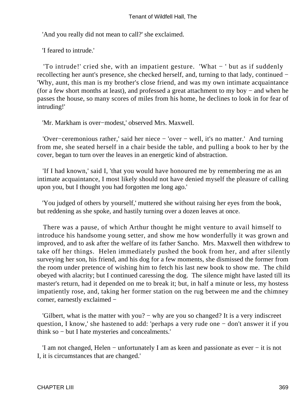'And you really did not mean to call?' she exclaimed.

'I feared to intrude.'

 'To intrude!' cried she, with an impatient gesture. 'What − ' but as if suddenly recollecting her aunt's presence, she checked herself, and, turning to that lady, continued − 'Why, aunt, this man is my brother's close friend, and was my own intimate acquaintance (for a few short months at least), and professed a great attachment to my boy − and when he passes the house, so many scores of miles from his home, he declines to look in for fear of intruding!'

'Mr. Markham is over−modest,' observed Mrs. Maxwell.

 'Over−ceremonious rather,' said her niece − 'over − well, it's no matter.' And turning from me, she seated herself in a chair beside the table, and pulling a book to her by the cover, began to turn over the leaves in an energetic kind of abstraction.

 'If I had known,' said I, 'that you would have honoured me by remembering me as an intimate acquaintance, I most likely should not have denied myself the pleasure of calling upon you, but I thought you had forgotten me long ago.'

 'You judged of others by yourself,' muttered she without raising her eyes from the book, but reddening as she spoke, and hastily turning over a dozen leaves at once.

 There was a pause, of which Arthur thought he might venture to avail himself to introduce his handsome young setter, and show me how wonderfully it was grown and improved, and to ask after the welfare of its father Sancho. Mrs. Maxwell then withdrew to take off her things. Helen immediately pushed the book from her, and after silently surveying her son, his friend, and his dog for a few moments, she dismissed the former from the room under pretence of wishing him to fetch his last new book to show me. The child obeyed with alacrity; but I continued caressing the dog. The silence might have lasted till its master's return, had it depended on me to break it; but, in half a minute or less, my hostess impatiently rose, and, taking her former station on the rug between me and the chimney corner, earnestly exclaimed −

 'Gilbert, what is the matter with you? − why are you so changed? It is a very indiscreet question, I know,' she hastened to add: 'perhaps a very rude one − don't answer it if you think so − but I hate mysteries and concealments.'

 'I am not changed, Helen − unfortunately I am as keen and passionate as ever − it is not I, it is circumstances that are changed.'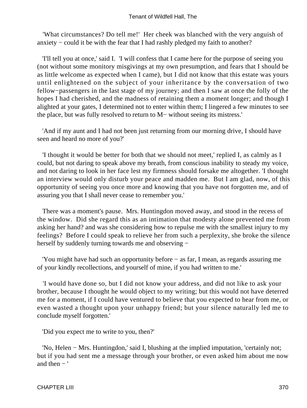'What circumstances? Do tell me!' Her cheek was blanched with the very anguish of anxiety − could it be with the fear that I had rashly pledged my faith to another?

 'I'll tell you at once,' said I. 'I will confess that I came here for the purpose of seeing you (not without some monitory misgivings at my own presumption, and fears that I should be as little welcome as expected when I came), but I did not know that this estate was yours until enlightened on the subject of your inheritance by the conversation of two fellow−passengers in the last stage of my journey; and then I saw at once the folly of the hopes I had cherished, and the madness of retaining them a moment longer; and though I alighted at your gates, I determined not to enter within them; I lingered a few minutes to see the place, but was fully resolved to return to M− without seeing its mistress.'

 'And if my aunt and I had not been just returning from our morning drive, I should have seen and heard no more of you?'

 'I thought it would be better for both that we should not meet,' replied I, as calmly as I could, but not daring to speak above my breath, from conscious inability to steady my voice, and not daring to look in her face lest my firmness should forsake me altogether. 'I thought an interview would only disturb your peace and madden me. But I am glad, now, of this opportunity of seeing you once more and knowing that you have not forgotten me, and of assuring you that I shall never cease to remember you.'

 There was a moment's pause. Mrs. Huntingdon moved away, and stood in the recess of the window. Did she regard this as an intimation that modesty alone prevented me from asking her hand? and was she considering how to repulse me with the smallest injury to my feelings? Before I could speak to relieve her from such a perplexity, she broke the silence herself by suddenly turning towards me and observing –

 'You might have had such an opportunity before − as far, I mean, as regards assuring me of your kindly recollections, and yourself of mine, if you had written to me.'

 'I would have done so, but I did not know your address, and did not like to ask your brother, because I thought he would object to my writing; but this would not have deterred me for a moment, if I could have ventured to believe that you expected to hear from me, or even wasted a thought upon your unhappy friend; but your silence naturally led me to conclude myself forgotten.'

'Did you expect me to write to you, then?'

 'No, Helen − Mrs. Huntingdon,' said I, blushing at the implied imputation, 'certainly not; but if you had sent me a message through your brother, or even asked him about me now and then  $-$ '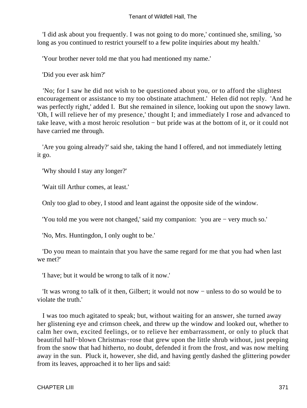'I did ask about you frequently. I was not going to do more,' continued she, smiling, 'so long as you continued to restrict yourself to a few polite inquiries about my health.'

'Your brother never told me that you had mentioned my name.'

'Did you ever ask him?'

 'No; for I saw he did not wish to be questioned about you, or to afford the slightest encouragement or assistance to my too obstinate attachment.' Helen did not reply. 'And he was perfectly right,' added I. But she remained in silence, looking out upon the snowy lawn. 'Oh, I will relieve her of my presence,' thought I; and immediately I rose and advanced to take leave, with a most heroic resolution − but pride was at the bottom of it, or it could not have carried me through.

 'Are you going already?' said she, taking the hand I offered, and not immediately letting it go.

'Why should I stay any longer?'

'Wait till Arthur comes, at least.'

Only too glad to obey, I stood and leant against the opposite side of the window.

'You told me you were not changed,' said my companion: 'you are − very much so.'

'No, Mrs. Huntingdon, I only ought to be.'

 'Do you mean to maintain that you have the same regard for me that you had when last we met?'

'I have; but it would be wrong to talk of it now.'

 'It was wrong to talk of it then, Gilbert; it would not now − unless to do so would be to violate the truth.'

 I was too much agitated to speak; but, without waiting for an answer, she turned away her glistening eye and crimson cheek, and threw up the window and looked out, whether to calm her own, excited feelings, or to relieve her embarrassment, or only to pluck that beautiful half−blown Christmas−rose that grew upon the little shrub without, just peeping from the snow that had hitherto, no doubt, defended it from the frost, and was now melting away in the sun. Pluck it, however, she did, and having gently dashed the glittering powder from its leaves, approached it to her lips and said: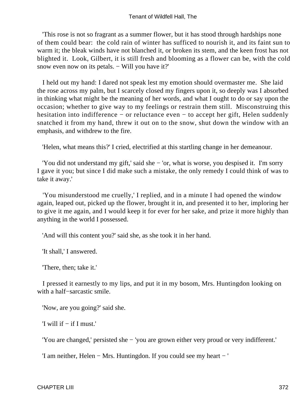'This rose is not so fragrant as a summer flower, but it has stood through hardships none of them could bear: the cold rain of winter has sufficed to nourish it, and its faint sun to warm it; the bleak winds have not blanched it, or broken its stem, and the keen frost has not blighted it. Look, Gilbert, it is still fresh and blooming as a flower can be, with the cold snow even now on its petals. – Will you have it?'

 I held out my hand: I dared not speak lest my emotion should overmaster me. She laid the rose across my palm, but I scarcely closed my fingers upon it, so deeply was I absorbed in thinking what might be the meaning of her words, and what I ought to do or say upon the occasion; whether to give way to my feelings or restrain them still. Misconstruing this hesitation into indifference − or reluctance even − to accept her gift, Helen suddenly snatched it from my hand, threw it out on to the snow, shut down the window with an emphasis, and withdrew to the fire.

'Helen, what means this?' I cried, electrified at this startling change in her demeanour.

 'You did not understand my gift,' said she − 'or, what is worse, you despised it. I'm sorry I gave it you; but since I did make such a mistake, the only remedy I could think of was to take it away.'

 'You misunderstood me cruelly,' I replied, and in a minute I had opened the window again, leaped out, picked up the flower, brought it in, and presented it to her, imploring her to give it me again, and I would keep it for ever for her sake, and prize it more highly than anything in the world I possessed.

'And will this content you?' said she, as she took it in her hand.

'It shall,' I answered.

'There, then; take it.'

 I pressed it earnestly to my lips, and put it in my bosom, Mrs. Huntingdon looking on with a half−sarcastic smile.

'Now, are you going?' said she.

'I will if − if I must.'

'You are changed,' persisted she − 'you are grown either very proud or very indifferent.'

'I am neither, Helen − Mrs. Huntingdon. If you could see my heart − '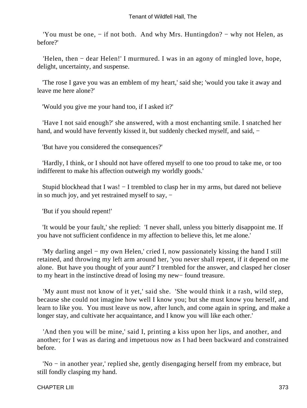'You must be one, − if not both. And why Mrs. Huntingdon? − why not Helen, as before?'

 'Helen, then − dear Helen!' I murmured. I was in an agony of mingled love, hope, delight, uncertainty, and suspense.

 'The rose I gave you was an emblem of my heart,' said she; 'would you take it away and leave me here alone?'

'Would you give me your hand too, if I asked it?'

 'Have I not said enough?' she answered, with a most enchanting smile. I snatched her hand, and would have fervently kissed it, but suddenly checked myself, and said, −

'But have you considered the consequences?'

 'Hardly, I think, or I should not have offered myself to one too proud to take me, or too indifferent to make his affection outweigh my worldly goods.'

 Stupid blockhead that I was! − I trembled to clasp her in my arms, but dared not believe in so much joy, and yet restrained myself to say, −

'But if you should repent!'

 'It would be your fault,' she replied: 'I never shall, unless you bitterly disappoint me. If you have not sufficient confidence in my affection to believe this, let me alone.'

 'My darling angel − my own Helen,' cried I, now passionately kissing the hand I still retained, and throwing my left arm around her, 'you never shall repent, if it depend on me alone. But have you thought of your aunt?' I trembled for the answer, and clasped her closer to my heart in the instinctive dread of losing my new− found treasure.

 'My aunt must not know of it yet,' said she. 'She would think it a rash, wild step, because she could not imagine how well I know you; but she must know you herself, and learn to like you. You must leave us now, after lunch, and come again in spring, and make a longer stay, and cultivate her acquaintance, and I know you will like each other.'

 'And then you will be mine,' said I, printing a kiss upon her lips, and another, and another; for I was as daring and impetuous now as I had been backward and constrained before.

 'No − in another year,' replied she, gently disengaging herself from my embrace, but still fondly clasping my hand.

### CHAPTER LIII 373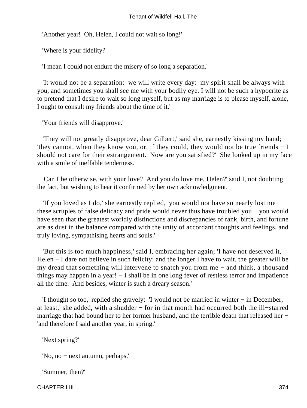'Another year! Oh, Helen, I could not wait so long!'

'Where is your fidelity?'

'I mean I could not endure the misery of so long a separation.'

 'It would not be a separation: we will write every day: my spirit shall be always with you, and sometimes you shall see me with your bodily eye. I will not be such a hypocrite as to pretend that I desire to wait so long myself, but as my marriage is to please myself, alone, I ought to consult my friends about the time of it.'

'Your friends will disapprove.'

 'They will not greatly disapprove, dear Gilbert,' said she, earnestly kissing my hand; 'they cannot, when they know you, or, if they could, they would not be true friends − I should not care for their estrangement. Now are you satisfied?' She looked up in my face with a smile of ineffable tenderness.

 'Can I be otherwise, with your love? And you do love me, Helen?' said I, not doubting the fact, but wishing to hear it confirmed by her own acknowledgment.

 'If you loved as I do,' she earnestly replied, 'you would not have so nearly lost me − these scruples of false delicacy and pride would never thus have troubled you − you would have seen that the greatest worldly distinctions and discrepancies of rank, birth, and fortune are as dust in the balance compared with the unity of accordant thoughts and feelings, and truly loving, sympathising hearts and souls.'

 'But this is too much happiness,' said I, embracing her again; 'I have not deserved it, Helen – I dare not believe in such felicity: and the longer I have to wait, the greater will be my dread that something will intervene to snatch you from me − and think, a thousand things may happen in a year! − I shall be in one long fever of restless terror and impatience all the time. And besides, winter is such a dreary season.'

 'I thought so too,' replied she gravely: 'I would not be married in winter − in December, at least,' she added, with a shudder − for in that month had occurred both the ill−starred marriage that had bound her to her former husband, and the terrible death that released her − 'and therefore I said another year, in spring.'

'Next spring?'

'No, no − next autumn, perhaps.'

'Summer, then?'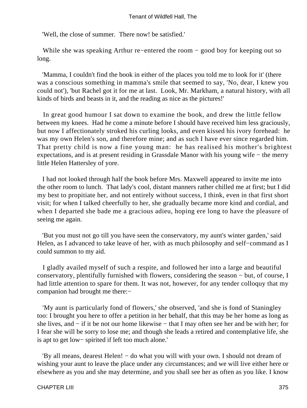'Well, the close of summer. There now! be satisfied.'

 While she was speaking Arthur re−entered the room − good boy for keeping out so long.

 'Mamma, I couldn't find the book in either of the places you told me to look for it' (there was a conscious something in mamma's smile that seemed to say, 'No, dear, I knew you could not'), 'but Rachel got it for me at last. Look, Mr. Markham, a natural history, with all kinds of birds and beasts in it, and the reading as nice as the pictures!'

 In great good humour I sat down to examine the book, and drew the little fellow between my knees. Had he come a minute before I should have received him less graciously, but now I affectionately stroked his curling looks, and even kissed his ivory forehead: he was my own Helen's son, and therefore mine; and as such I have ever since regarded him. That pretty child is now a fine young man: he has realised his mother's brightest expectations, and is at present residing in Grassdale Manor with his young wife − the merry little Helen Hattersley of yore.

 I had not looked through half the book before Mrs. Maxwell appeared to invite me into the other room to lunch. That lady's cool, distant manners rather chilled me at first; but I did my best to propitiate her, and not entirely without success, I think, even in that first short visit; for when I talked cheerfully to her, she gradually became more kind and cordial, and when I departed she bade me a gracious adieu, hoping ere long to have the pleasure of seeing me again.

 'But you must not go till you have seen the conservatory, my aunt's winter garden,' said Helen, as I advanced to take leave of her, with as much philosophy and self−command as I could summon to my aid.

 I gladly availed myself of such a respite, and followed her into a large and beautiful conservatory, plentifully furnished with flowers, considering the season − but, of course, I had little attention to spare for them. It was not, however, for any tender colloquy that my companion had brought me there:−

 'My aunt is particularly fond of flowers,' she observed, 'and she is fond of Staningley too: I brought you here to offer a petition in her behalf, that this may be her home as long as she lives, and − if it be not our home likewise − that I may often see her and be with her; for I fear she will be sorry to lose me; and though she leads a retired and contemplative life, she is apt to get low− spirited if left too much alone.'

 'By all means, dearest Helen! − do what you will with your own. I should not dream of wishing your aunt to leave the place under any circumstances; and we will live either here or elsewhere as you and she may determine, and you shall see her as often as you like. I know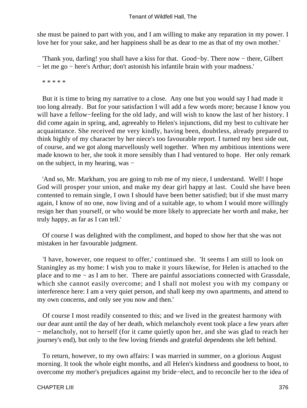she must be pained to part with you, and I am willing to make any reparation in my power. I love her for your sake, and her happiness shall be as dear to me as that of my own mother.'

 'Thank you, darling! you shall have a kiss for that. Good−by. There now − there, Gilbert − let me go − here's Arthur; don't astonish his infantile brain with your madness.'

\* \* \* \* \*

 But it is time to bring my narrative to a close. Any one but you would say I had made it too long already. But for your satisfaction I will add a few words more; because I know you will have a fellow−feeling for the old lady, and will wish to know the last of her history. I did come again in spring, and, agreeably to Helen's injunctions, did my best to cultivate her acquaintance. She received me very kindly, having been, doubtless, already prepared to think highly of my character by her niece's too favourable report. I turned my best side out, of course, and we got along marvellously well together. When my ambitious intentions were made known to her, she took it more sensibly than I had ventured to hope. Her only remark on the subject, in my hearing, was −

 'And so, Mr. Markham, you are going to rob me of my niece, I understand. Well! I hope God will prosper your union, and make my dear girl happy at last. Could she have been contented to remain single, I own I should have been better satisfied; but if she must marry again, I know of no one, now living and of a suitable age, to whom I would more willingly resign her than yourself, or who would be more likely to appreciate her worth and make, her truly happy, as far as I can tell.'

 Of course I was delighted with the compliment, and hoped to show her that she was not mistaken in her favourable judgment.

 'I have, however, one request to offer,' continued she. 'It seems I am still to look on Staningley as my home: I wish you to make it yours likewise, for Helen is attached to the place and to me − as I am to her. There are painful associations connected with Grassdale, which she cannot easily overcome; and I shall not molest you with my company or interference here: I am a very quiet person, and shall keep my own apartments, and attend to my own concerns, and only see you now and then.'

 Of course I most readily consented to this; and we lived in the greatest harmony with our dear aunt until the day of her death, which melancholy event took place a few years after − melancholy, not to herself (for it came quietly upon her, and she was glad to reach her journey's end), but only to the few loving friends and grateful dependents she left behind.

 To return, however, to my own affairs: I was married in summer, on a glorious August morning. It took the whole eight months, and all Helen's kindness and goodness to boot, to overcome my mother's prejudices against my bride−elect, and to reconcile her to the idea of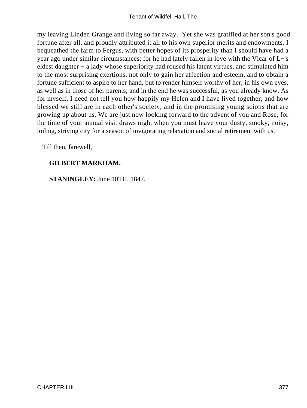my leaving Linden Grange and living so far away. Yet she was gratified at her son's good fortune after all, and proudly attributed it all to his own superior merits and endowments. I bequeathed the farm to Fergus, with better hopes of its prosperity than I should have had a year ago under similar circumstances; for he had lately fallen in love with the Vicar of L−'s eldest daughter − a lady whose superiority had roused his latent virtues, and stimulated him to the most surprising exertions, not only to gain her affection and esteem, and to obtain a fortune sufficient to aspire to her hand, but to render himself worthy of her, in his own eyes, as well as in those of her parents; and in the end he was successful, as you already know. As for myself, I need not tell you how happily my Helen and I have lived together, and how blessed we still are in each other's society, and in the promising young scions that are growing up about us. We are just now looking forward to the advent of you and Rose, for the time of your annual visit draws nigh, when you must leave your dusty, smoky, noisy, toiling, striving city for a season of invigorating relaxation and social retirement with us.

Till then, farewell,

### **GILBERT MARKHAM.**

**STANINGLEY:** June 10TH, 1847.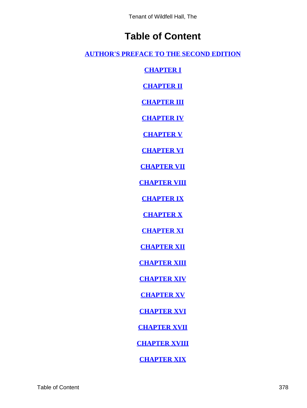# **Table of Content**

**[AUTHOR'S PREFACE TO THE SECOND EDITION](#page-3-0)**

**[CHAPTER I](#page-5-0)**

**[CHAPTER II](#page-13-0)**

**[CHAPTER III](#page-18-0)**

**[CHAPTER IV](#page-25-0)**

**[CHAPTER V](#page-32-0)**

**[CHAPTER VI](#page-36-0)**

**[CHAPTER VII](#page-43-0)**

**[CHAPTER VIII](#page-52-0)**

**[CHAPTER IX](#page-56-0)**

**[CHAPTER X](#page-66-0)**

**[CHAPTER XI](#page-71-0)**

**[CHAPTER XII](#page-76-0)**

**[CHAPTER XIII](#page-85-0)**

**[CHAPTER XIV](#page-89-0)**

**[CHAPTER XV](#page-95-0)**

**[CHAPTER XVI](#page-102-0)**

**[CHAPTER XVII](#page-112-0)**

**[CHAPTER XVIII](#page-119-0)**

**[CHAPTER XIX](#page-128-0)**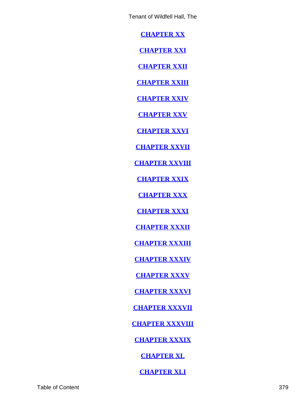**[CHAPTER XX](#page-134-0)**

**[CHAPTER XXI](#page-141-0)**

**[CHAPTER XXII](#page-145-0)**

**[CHAPTER XXIII](#page-158-0)**

**[CHAPTER XXIV](#page-162-0)**

**[CHAPTER XXV](#page-170-0)**

**[CHAPTER XXVI](#page-178-0)**

**[CHAPTER XXVII](#page-180-0)**

**[CHAPTER XXVIII](#page-186-0)**

**[CHAPTER XXIX](#page-189-0)**

**[CHAPTER XXX](#page-195-0)**

**[CHAPTER XXXI](#page-204-0)**

**[CHAPTER XXXII](#page-214-0)**

**[CHAPTER XXXIII](#page-225-0)**

**[CHAPTER XXXIV](#page-236-0)**

**[CHAPTER XXXV](#page-240-0)**

**[CHAPTER XXXVI](#page-245-0)**

**[CHAPTER XXXVII](#page-249-0)**

**[CHAPTER XXXVIII](#page-258-0)**

**[CHAPTER XXXIX](#page-265-0)**

**[CHAPTER XL](#page-277-0)**

**[CHAPTER XLI](#page-281-0)**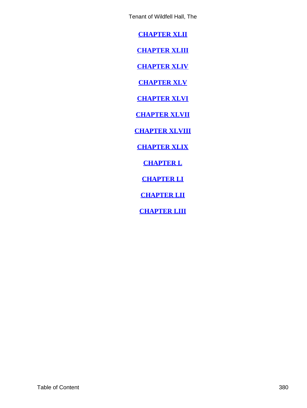<span id="page-380-0"></span>**[CHAPTER XLII](#page-287-0)**

**[CHAPTER XLIII](#page-292-0)**

**[CHAPTER XLIV](#page-297-0)**

**[CHAPTER XLV](#page-303-0)**

**[CHAPTER XLVI](#page-315-0)**

**[CHAPTER XLVII](#page-321-0)**

**[CHAPTER XLVIII](#page-333-0)**

**[CHAPTER XLIX](#page-338-0)**

**[CHAPTER L](#page-346-0)**

**[CHAPTER LI](#page-353-0)**

**[CHAPTER LII](#page-361-0)**

**[CHAPTER LIII](#page-366-0)**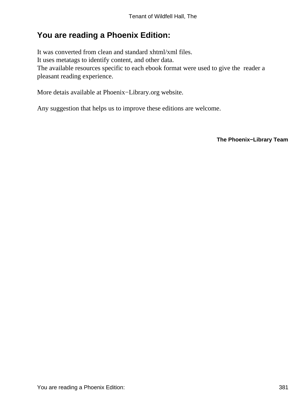## **You are reading a Phoenix Edition:**

It was converted from clean and standard xhtml/xml files. It uses metatags to identify content, and other data. The available resources specific to each ebook format were used to give the reader a pleasant reading experience.

More detais available at Phoenix−Library.org website.

Any suggestion that helps us to improve these editions are welcome.

**The Phoenix−Library Team**